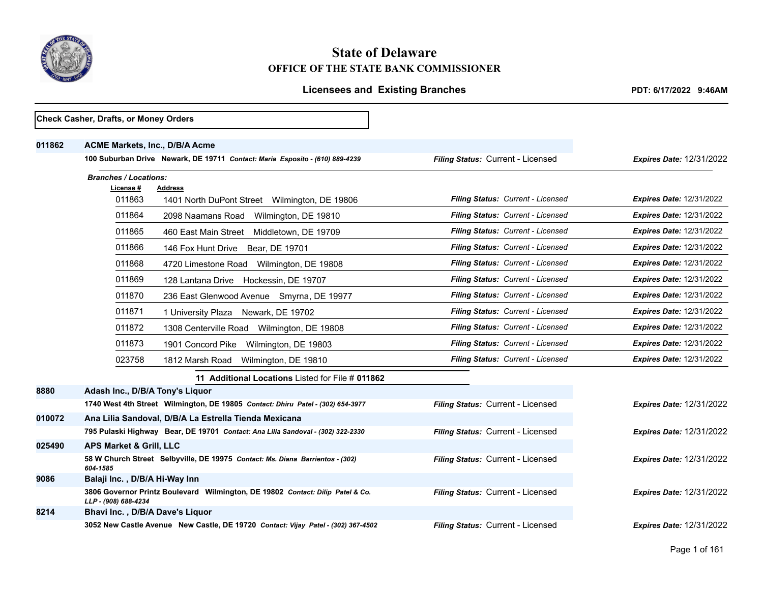

# **State of Delaware OFFICE OF THE STATE BANK COMMISSIONER**

|        | Check Casher, Drafts, or Money Orders                                                                |                                   |                                 |
|--------|------------------------------------------------------------------------------------------------------|-----------------------------------|---------------------------------|
| 011862 | <b>ACME Markets, Inc., D/B/A Acme</b>                                                                |                                   |                                 |
|        | 100 Suburban Drive Newark, DE 19711 Contact: Maria Esposito - (610) 889-4239                         | Filing Status: Current - Licensed | <b>Expires Date: 12/31/2022</b> |
|        | <b>Branches / Locations:</b>                                                                         |                                   |                                 |
|        | License#<br>Address                                                                                  |                                   |                                 |
|        | 011863<br>1401 North DuPont Street Wilmington, DE 19806                                              | Filing Status: Current - Licensed | <b>Expires Date: 12/31/2022</b> |
|        | 011864<br>2098 Naamans Road<br>Wilmington, DE 19810                                                  | Filing Status: Current - Licensed | <b>Expires Date: 12/31/2022</b> |
|        | 011865<br>460 East Main Street<br>Middletown, DE 19709                                               | Filing Status: Current - Licensed | <b>Expires Date: 12/31/2022</b> |
|        | 011866<br>146 Fox Hunt Drive Bear, DE 19701                                                          | Filing Status: Current - Licensed | Expires Date: 12/31/2022        |
|        | 011868<br>4720 Limestone Road Wilmington, DE 19808                                                   | Filing Status: Current - Licensed | <b>Expires Date: 12/31/2022</b> |
|        | 011869<br>128 Lantana Drive<br>Hockessin, DE 19707                                                   | Filing Status: Current - Licensed | <b>Expires Date: 12/31/2022</b> |
|        | 011870<br>236 East Glenwood Avenue Smyrna, DE 19977                                                  | Filing Status: Current - Licensed | <b>Expires Date: 12/31/2022</b> |
|        | 011871<br>1 University Plaza Newark, DE 19702                                                        | Filing Status: Current - Licensed | <b>Expires Date: 12/31/2022</b> |
|        | 011872<br>1308 Centerville Road Wilmington, DE 19808                                                 | Filing Status: Current - Licensed | <b>Expires Date: 12/31/2022</b> |
|        | 011873<br>1901 Concord Pike<br>Wilmington, DE 19803                                                  | Filing Status: Current - Licensed | <b>Expires Date: 12/31/2022</b> |
|        | 023758<br>1812 Marsh Road<br>Wilmington, DE 19810                                                    | Filing Status: Current - Licensed | <b>Expires Date: 12/31/2022</b> |
|        | 11 Additional Locations Listed for File # 011862                                                     |                                   |                                 |
| 8880   | Adash Inc., D/B/A Tony's Liquor                                                                      |                                   |                                 |
|        | 1740 West 4th Street Wilmington, DE 19805 Contact: Dhiru Patel - (302) 654-3977                      | Filing Status: Current - Licensed | <b>Expires Date: 12/31/2022</b> |
| 010072 | Ana Lilia Sandoval, D/B/A La Estrella Tienda Mexicana                                                |                                   |                                 |
|        | 795 Pulaski Highway Bear, DE 19701 Contact: Ana Lilia Sandoval - (302) 322-2330                      | Filing Status: Current - Licensed | <b>Expires Date: 12/31/2022</b> |
| 025490 | <b>APS Market &amp; Grill, LLC</b>                                                                   |                                   |                                 |
|        | 58 W Church Street Selbyville, DE 19975 Contact: Ms. Diana Barrientos - (302)<br>604-1585            | Filing Status: Current - Licensed | <b>Expires Date: 12/31/2022</b> |
| 9086   | Balaji Inc., D/B/A Hi-Way Inn                                                                        |                                   |                                 |
|        | 3806 Governor Printz Boulevard Wilmington, DE 19802 Contact: Dilip Patel & Co.<br>LLP-(908) 688-4234 | Filing Status: Current - Licensed | <b>Expires Date: 12/31/2022</b> |
| 8214   | Bhavi Inc., D/B/A Dave's Liquor                                                                      |                                   |                                 |
|        | 3052 New Castle Avenue New Castle, DE 19720 Contact: Vijay Patel - (302) 367-4502                    | Filing Status: Current - Licensed | <b>Expires Date: 12/31/2022</b> |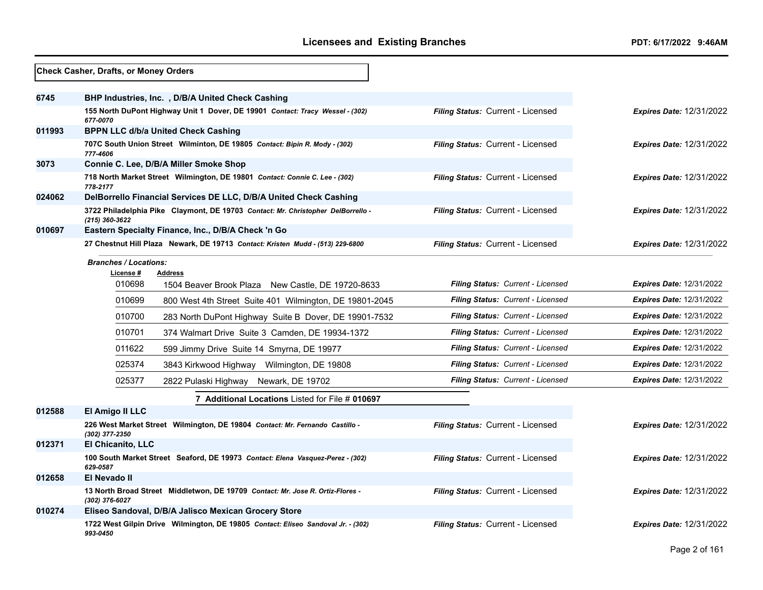|        | Check Casher, Drafts, or Money Orders                                                              |                                   |                                 |
|--------|----------------------------------------------------------------------------------------------------|-----------------------------------|---------------------------------|
| 6745   | BHP Industries, Inc. , D/B/A United Check Cashing                                                  |                                   |                                 |
|        | 155 North DuPont Highway Unit 1 Dover, DE 19901 Contact: Tracy Wessel - (302)<br>677-0070          | Filing Status: Current - Licensed | <b>Expires Date: 12/31/2022</b> |
| 011993 | <b>BPPN LLC d/b/a United Check Cashing</b>                                                         |                                   |                                 |
|        | 707C South Union Street Wilminton, DE 19805 Contact: Bipin R. Mody - (302)<br>777-4606             | Filing Status: Current - Licensed | <b>Expires Date: 12/31/2022</b> |
| 3073   | Connie C. Lee, D/B/A Miller Smoke Shop                                                             |                                   |                                 |
|        | 718 North Market Street Wilmington, DE 19801 Contact: Connie C. Lee - (302)<br>778-2177            | Filing Status: Current - Licensed | <b>Expires Date: 12/31/2022</b> |
| 024062 | DelBorrello Financial Services DE LLC, D/B/A United Check Cashing                                  |                                   |                                 |
|        | 3722 Philadelphia Pike Claymont, DE 19703 Contact: Mr. Christopher DelBorrello -<br>(215) 360-3622 | Filing Status: Current - Licensed | <b>Expires Date: 12/31/2022</b> |
| 010697 | Eastern Specialty Finance, Inc., D/B/A Check 'n Go                                                 |                                   |                                 |
|        | 27 Chestnut Hill Plaza Newark, DE 19713 Contact: Kristen Mudd - (513) 229-6800                     | Filing Status: Current - Licensed | <b>Expires Date: 12/31/2022</b> |
|        | <b>Branches / Locations:</b>                                                                       |                                   |                                 |
|        | License #<br><b>Address</b><br>010698<br>1504 Beaver Brook Plaza New Castle, DE 19720-8633         | Filing Status: Current - Licensed | <b>Expires Date: 12/31/2022</b> |
|        | 010699<br>800 West 4th Street Suite 401 Wilmington, DE 19801-2045                                  | Filing Status: Current - Licensed | <b>Expires Date: 12/31/2022</b> |
|        | 010700<br>283 North DuPont Highway Suite B Dover, DE 19901-7532                                    | Filing Status: Current - Licensed | <b>Expires Date: 12/31/2022</b> |
|        | 010701<br>374 Walmart Drive Suite 3 Camden, DE 19934-1372                                          | Filing Status: Current - Licensed | <b>Expires Date: 12/31/2022</b> |
|        | 011622<br>599 Jimmy Drive Suite 14 Smyrna, DE 19977                                                | Filing Status: Current - Licensed | <b>Expires Date: 12/31/2022</b> |
|        | 025374<br>3843 Kirkwood Highway Wilmington, DE 19808                                               | Filing Status: Current - Licensed | <b>Expires Date: 12/31/2022</b> |
|        | 025377<br>2822 Pulaski Highway Newark, DE 19702                                                    | Filing Status: Current - Licensed | <b>Expires Date: 12/31/2022</b> |
|        | 7 Additional Locations Listed for File # 010697                                                    |                                   |                                 |
| 012588 | El Amigo II LLC                                                                                    |                                   |                                 |
|        | 226 West Market Street Wilmington, DE 19804 Contact: Mr. Fernando Castillo -<br>(302) 377-2350     | Filing Status: Current - Licensed | <b>Expires Date: 12/31/2022</b> |
| 012371 | <b>El Chicanito, LLC</b>                                                                           |                                   |                                 |
|        | 100 South Market Street Seaford, DE 19973 Contact: Elena Vasquez-Perez - (302)<br>629-0587         | Filing Status: Current - Licensed | <b>Expires Date: 12/31/2022</b> |
| 012658 | El Nevado II                                                                                       |                                   |                                 |
|        | 13 North Broad Street Middletwon, DE 19709 Contact: Mr. Jose R. Ortiz-Flores -<br>(302) 376-6027   | Filing Status: Current - Licensed | <b>Expires Date: 12/31/2022</b> |
| 010274 | Eliseo Sandoval, D/B/A Jalisco Mexican Grocery Store                                               |                                   |                                 |
|        | 1722 West Gilpin Drive Wilmington, DE 19805 Contact: Eliseo Sandoval Jr. - (302)<br>993-0450       | Filing Status: Current - Licensed | <b>Expires Date: 12/31/2022</b> |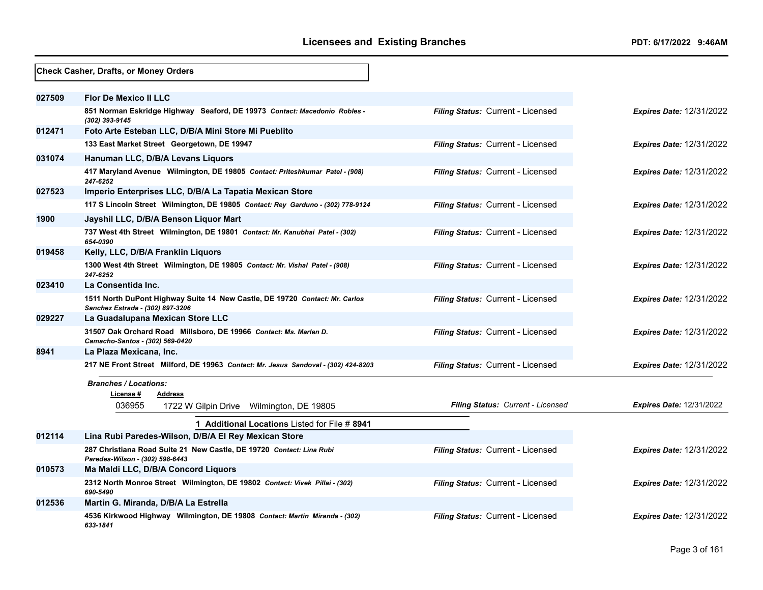|        | Check Casher, Drafts, or Money Orders                                                                           |                                   |                                 |
|--------|-----------------------------------------------------------------------------------------------------------------|-----------------------------------|---------------------------------|
| 027509 | <b>Flor De Mexico II LLC</b>                                                                                    |                                   |                                 |
|        | 851 Norman Eskridge Highway Seaford, DE 19973 Contact: Macedonio Robles -<br>(302) 393-9145                     | Filing Status: Current - Licensed | <b>Expires Date: 12/31/2022</b> |
| 012471 | Foto Arte Esteban LLC, D/B/A Mini Store Mi Pueblito                                                             |                                   |                                 |
|        | 133 East Market Street Georgetown, DE 19947                                                                     | Filing Status: Current - Licensed | <b>Expires Date: 12/31/2022</b> |
| 031074 | Hanuman LLC, D/B/A Levans Liquors                                                                               |                                   |                                 |
|        | 417 Maryland Avenue Wilmington, DE 19805 Contact: Priteshkumar Patel - (908)<br>247-6252                        | Filing Status: Current - Licensed | <b>Expires Date: 12/31/2022</b> |
| 027523 | Imperio Enterprises LLC, D/B/A La Tapatia Mexican Store                                                         |                                   |                                 |
|        | 117 S Lincoln Street Wilmington, DE 19805 Contact: Rey Garduno - (302) 778-9124                                 | Filing Status: Current - Licensed | <b>Expires Date: 12/31/2022</b> |
| 1900   | Jayshil LLC, D/B/A Benson Liquor Mart                                                                           |                                   |                                 |
|        | 737 West 4th Street Wilmington, DE 19801 Contact: Mr. Kanubhai Patel - (302)<br>654-0390                        | Filing Status: Current - Licensed | <b>Expires Date: 12/31/2022</b> |
| 019458 | Kelly, LLC, D/B/A Franklin Liquors                                                                              |                                   |                                 |
|        | 1300 West 4th Street Wilmington, DE 19805 Contact: Mr. Vishal Patel - (908)<br>247-6252                         | Filing Status: Current - Licensed | <b>Expires Date: 12/31/2022</b> |
| 023410 | La Consentida Inc.                                                                                              |                                   |                                 |
|        | 1511 North DuPont Highway Suite 14 New Castle, DE 19720 Contact: Mr. Carlos<br>Sanchez Estrada - (302) 897-3206 | Filing Status: Current - Licensed | <b>Expires Date: 12/31/2022</b> |
| 029227 | La Guadalupana Mexican Store LLC                                                                                |                                   |                                 |
|        | 31507 Oak Orchard Road Millsboro, DE 19966 Contact: Ms. Marlen D.<br>Camacho-Santos - (302) 569-0420            | Filing Status: Current - Licensed | <b>Expires Date: 12/31/2022</b> |
| 8941   | La Plaza Mexicana, Inc.                                                                                         |                                   |                                 |
|        | 217 NE Front Street Milford, DE 19963 Contact: Mr. Jesus Sandoval - (302) 424-8203                              | Filing Status: Current - Licensed | <b>Expires Date: 12/31/2022</b> |
|        | <b>Branches / Locations:</b><br>License #<br>Address                                                            |                                   |                                 |
|        | 036955<br>1722 W Gilpin Drive Wilmington, DE 19805                                                              | Filing Status: Current - Licensed | <b>Expires Date: 12/31/2022</b> |
|        | <b>1 Additional Locations Listed for File # 8941</b>                                                            |                                   |                                 |
| 012114 | Lina Rubi Paredes-Wilson, D/B/A El Rey Mexican Store                                                            |                                   |                                 |
|        | 287 Christiana Road Suite 21 New Castle, DE 19720 Contact: Lina Rubi<br>Paredes-Wilson - (302) 598-6443         | Filing Status: Current - Licensed | <b>Expires Date: 12/31/2022</b> |
| 010573 | Ma Maldi LLC, D/B/A Concord Liquors                                                                             |                                   |                                 |
|        | 2312 North Monroe Street Wilmington, DE 19802 Contact: Vivek Pillai - (302)<br>690-5490                         | Filing Status: Current - Licensed | Expires Date: 12/31/2022        |
| 012536 | Martin G. Miranda, D/B/A La Estrella                                                                            |                                   |                                 |
|        | 4536 Kirkwood Highway Wilmington, DE 19808 Contact: Martin Miranda - (302)<br>633-1841                          | Filing Status: Current - Licensed | <b>Expires Date: 12/31/2022</b> |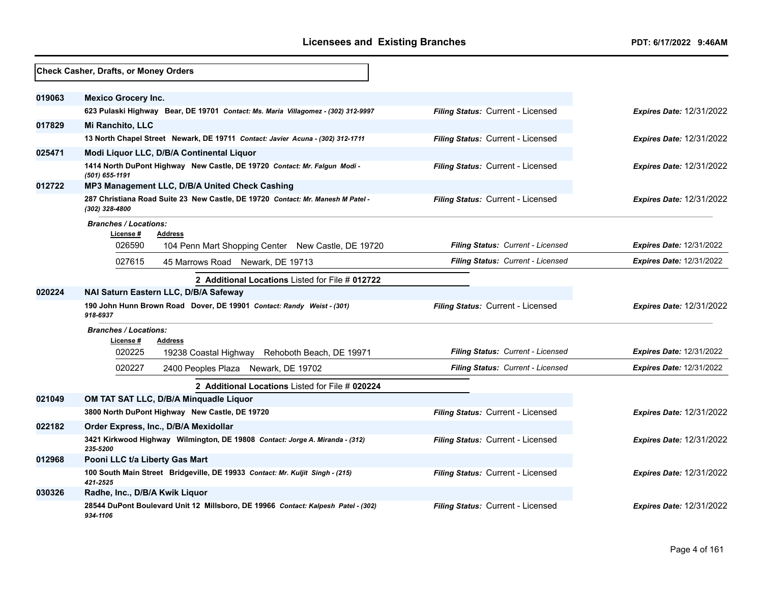|        | Check Casher, Drafts, or Money Orders                                                             |                                   |                                 |
|--------|---------------------------------------------------------------------------------------------------|-----------------------------------|---------------------------------|
| 019063 | <b>Mexico Grocery Inc.</b>                                                                        |                                   |                                 |
|        | 623 Pulaski Highway Bear, DE 19701 Contact: Ms. Maria Villagomez - (302) 312-9997                 | Filing Status: Current - Licensed | <b>Expires Date: 12/31/2022</b> |
| 017829 | <b>Mi Ranchito, LLC</b>                                                                           |                                   |                                 |
|        | 13 North Chapel Street Newark, DE 19711 Contact: Javier Acuna - (302) 312-1711                    | Filing Status: Current - Licensed | <b>Expires Date: 12/31/2022</b> |
| 025471 | Modi Liquor LLC, D/B/A Continental Liquor                                                         |                                   |                                 |
|        | 1414 North DuPont Highway New Castle, DE 19720 Contact: Mr. Falgun Modi -<br>$(501)$ 655-1191     | Filing Status: Current - Licensed | <b>Expires Date: 12/31/2022</b> |
| 012722 | MP3 Management LLC, D/B/A United Check Cashing                                                    |                                   |                                 |
|        | 287 Christiana Road Suite 23 New Castle, DE 19720 Contact: Mr. Manesh M Patel -<br>(302) 328-4800 | Filing Status: Current - Licensed | <b>Expires Date: 12/31/2022</b> |
|        | <b>Branches / Locations:</b><br>License #<br><b>Address</b>                                       |                                   |                                 |
|        | 026590<br>104 Penn Mart Shopping Center New Castle, DE 19720                                      | Filing Status: Current - Licensed | <b>Expires Date: 12/31/2022</b> |
|        | 027615<br>45 Marrows Road Newark, DE 19713                                                        | Filing Status: Current - Licensed | <b>Expires Date: 12/31/2022</b> |
|        | 2 Additional Locations Listed for File # 012722                                                   |                                   |                                 |
| 020224 | NAI Saturn Eastern LLC, D/B/A Safeway                                                             |                                   |                                 |
|        | 190 John Hunn Brown Road Dover, DE 19901 Contact: Randy Weist - (301)<br>918-6937                 | Filing Status: Current - Licensed | <b>Expires Date: 12/31/2022</b> |
|        | <b>Branches / Locations:</b>                                                                      |                                   |                                 |
|        | License #<br><b>Address</b>                                                                       |                                   |                                 |
|        | 020225<br>19238 Coastal Highway Rehoboth Beach, DE 19971                                          | Filing Status: Current - Licensed | <b>Expires Date: 12/31/2022</b> |
|        | 020227<br>2400 Peoples Plaza Newark, DE 19702                                                     | Filing Status: Current - Licensed | <b>Expires Date: 12/31/2022</b> |
|        | 2 Additional Locations Listed for File # 020224                                                   |                                   |                                 |
| 021049 | OM TAT SAT LLC, D/B/A Minquadle Liquor                                                            |                                   |                                 |
|        | 3800 North DuPont Highway New Castle, DE 19720                                                    | Filing Status: Current - Licensed | <b>Expires Date: 12/31/2022</b> |
| 022182 | Order Express, Inc., D/B/A Mexidollar                                                             |                                   |                                 |
|        | 3421 Kirkwood Highway Wilmington, DE 19808 Contact: Jorge A. Miranda - (312)<br>235-5200          | Filing Status: Current - Licensed | <b>Expires Date: 12/31/2022</b> |
| 012968 | Pooni LLC t/a Liberty Gas Mart                                                                    |                                   |                                 |
|        | 100 South Main Street Bridgeville, DE 19933 Contact: Mr. Kuljit Singh - (215)<br>421-2525         | Filing Status: Current - Licensed | <b>Expires Date: 12/31/2022</b> |
| 030326 | Radhe, Inc., D/B/A Kwik Liquor                                                                    |                                   |                                 |
|        | 28544 DuPont Boulevard Unit 12 Millsboro, DE 19966 Contact: Kalpesh Patel - (302)<br>934-1106     | Filing Status: Current - Licensed | <b>Expires Date: 12/31/2022</b> |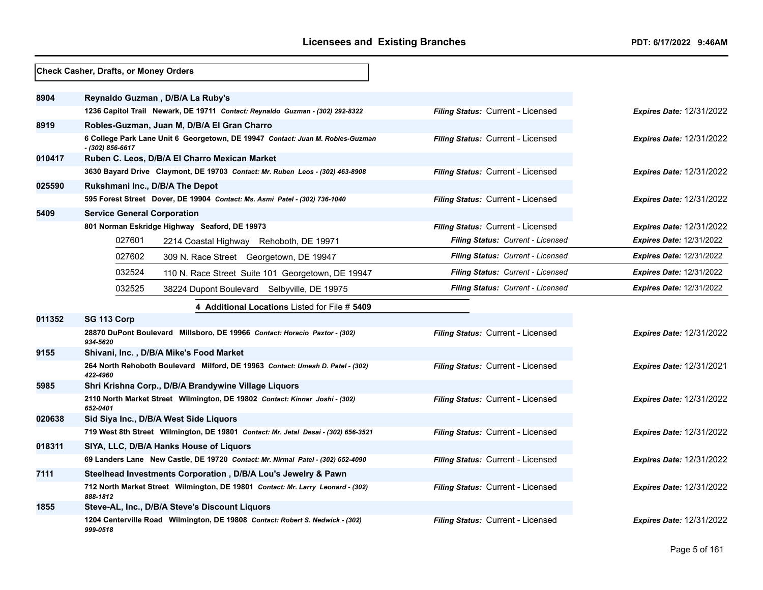|        | Check Casher, Drafts, or Money Orders                                                                |                                   |                                 |
|--------|------------------------------------------------------------------------------------------------------|-----------------------------------|---------------------------------|
| 8904   | Reynaldo Guzman, D/B/A La Ruby's                                                                     |                                   |                                 |
|        | 1236 Capitol Trail Newark, DE 19711 Contact: Reynaldo Guzman - (302) 292-8322                        | Filing Status: Current - Licensed | <b>Expires Date: 12/31/2022</b> |
| 8919   | Robles-Guzman, Juan M, D/B/A El Gran Charro                                                          |                                   |                                 |
|        | 6 College Park Lane Unit 6 Georgetown, DE 19947 Contact: Juan M. Robles-Guzman<br>$-$ (302) 856-6617 | Filing Status: Current - Licensed | Expires Date: 12/31/2022        |
| 010417 | Ruben C. Leos, D/B/A El Charro Mexican Market                                                        |                                   |                                 |
|        | 3630 Bayard Drive Claymont, DE 19703 Contact: Mr. Ruben Leos - (302) 463-8908                        | Filing Status: Current - Licensed | <b>Expires Date: 12/31/2022</b> |
| 025590 | Rukshmani Inc., D/B/A The Depot                                                                      |                                   |                                 |
|        | 595 Forest Street Dover, DE 19904 Contact: Ms. Asmi Patel - (302) 736-1040                           | Filing Status: Current - Licensed | <b>Expires Date: 12/31/2022</b> |
| 5409   | <b>Service General Corporation</b>                                                                   |                                   |                                 |
|        | 801 Norman Eskridge Highway Seaford, DE 19973                                                        | Filing Status: Current - Licensed | <b>Expires Date: 12/31/2022</b> |
|        | 027601<br>2214 Coastal Highway Rehoboth, DE 19971                                                    | Filing Status: Current - Licensed | <b>Expires Date: 12/31/2022</b> |
|        | 027602<br>309 N. Race Street Georgetown, DE 19947                                                    | Filing Status: Current - Licensed | <b>Expires Date: 12/31/2022</b> |
|        | 032524<br>110 N. Race Street Suite 101 Georgetown, DE 19947                                          | Filing Status: Current - Licensed | <b>Expires Date: 12/31/2022</b> |
|        | 032525<br>38224 Dupont Boulevard Selbyville, DE 19975                                                | Filing Status: Current - Licensed | <b>Expires Date: 12/31/2022</b> |
|        | 4 Additional Locations Listed for File # 5409                                                        |                                   |                                 |
| 011352 | SG 113 Corp                                                                                          |                                   |                                 |
|        | 28870 DuPont Boulevard Millsboro, DE 19966 Contact: Horacio Paxtor - (302)<br>934-5620               | Filing Status: Current - Licensed | Expires Date: 12/31/2022        |
| 9155   | Shivani, Inc., D/B/A Mike's Food Market                                                              |                                   |                                 |
|        | 264 North Rehoboth Boulevard Milford, DE 19963 Contact: Umesh D. Patel - (302)<br>422-4960           | Filing Status: Current - Licensed | Expires Date: 12/31/2021        |
| 5985   | Shri Krishna Corp., D/B/A Brandywine Village Liquors                                                 |                                   |                                 |
|        | 2110 North Market Street Wilmington, DE 19802 Contact: Kinnar Joshi - (302)<br>652-0401              | Filing Status: Current - Licensed | <b>Expires Date: 12/31/2022</b> |
| 020638 | Sid Siya Inc., D/B/A West Side Liquors                                                               |                                   |                                 |
|        | 719 West 8th Street Wilmington, DE 19801 Contact: Mr. Jetal Desai - (302) 656-3521                   | Filing Status: Current - Licensed | <b>Expires Date: 12/31/2022</b> |
| 018311 | SIYA, LLC, D/B/A Hanks House of Liquors                                                              |                                   |                                 |
|        | 69 Landers Lane New Castle, DE 19720 Contact: Mr. Nirmal Patel - (302) 652-4090                      | Filing Status: Current - Licensed | <b>Expires Date: 12/31/2022</b> |
| 7111   | Steelhead Investments Corporation, D/B/A Lou's Jewelry & Pawn                                        |                                   |                                 |
|        | 712 North Market Street Wilmington, DE 19801 Contact: Mr. Larry Leonard - (302)<br>888-1812          | Filing Status: Current - Licensed | Expires Date: 12/31/2022        |
| 1855   | Steve-AL, Inc., D/B/A Steve's Discount Liquors                                                       |                                   |                                 |
|        | 1204 Centerville Road Wilmington, DE 19808 Contact: Robert S. Nedwick - (302)<br>999-0518            | Filing Status: Current - Licensed | Expires Date: 12/31/2022        |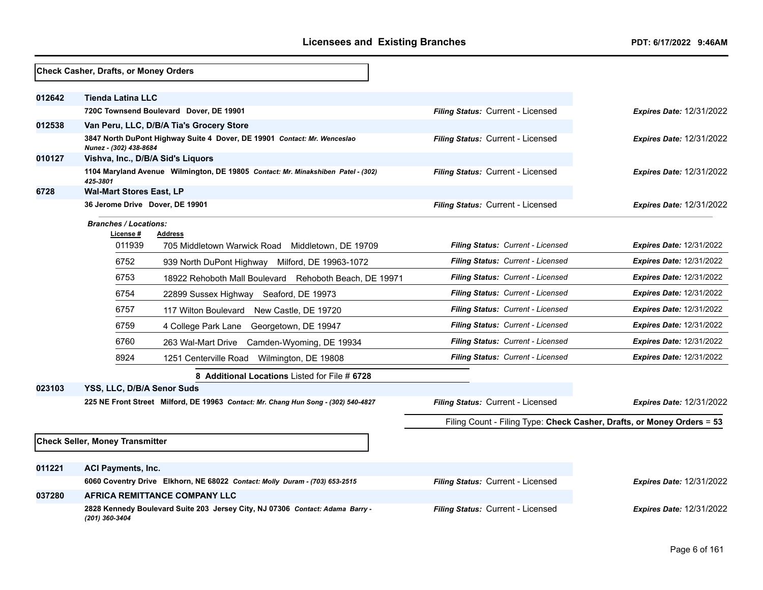|        | Check Casher, Drafts, or Money Orders                       |                                                                                    |                                          |                                                                        |
|--------|-------------------------------------------------------------|------------------------------------------------------------------------------------|------------------------------------------|------------------------------------------------------------------------|
| 012642 | <b>Tienda Latina LLC</b>                                    |                                                                                    |                                          |                                                                        |
|        |                                                             | 720C Townsend Boulevard Dover, DE 19901                                            | Filing Status: Current - Licensed        | <b>Expires Date: 12/31/2022</b>                                        |
| 012538 |                                                             | Van Peru, LLC, D/B/A Tia's Grocery Store                                           |                                          |                                                                        |
|        |                                                             | 3847 North DuPont Highway Suite 4 Dover, DE 19901 Contact: Mr. Wenceslao           | Filing Status: Current - Licensed        | <b>Expires Date: 12/31/2022</b>                                        |
| 010127 | Nunez - (302) 438-8684<br>Vishva, Inc., D/B/A Sid's Liquors |                                                                                    |                                          |                                                                        |
|        | 425-3801                                                    | 1104 Maryland Avenue Wilmington, DE 19805 Contact: Mr. Minakshiben Patel - (302)   | Filing Status: Current - Licensed        | <b>Expires Date: 12/31/2022</b>                                        |
| 6728   | <b>Wal-Mart Stores East, LP</b>                             |                                                                                    |                                          |                                                                        |
|        | 36 Jerome Drive Dover, DE 19901                             |                                                                                    | Filing Status: Current - Licensed        | <b>Expires Date: 12/31/2022</b>                                        |
|        | <b>Branches / Locations:</b><br>License #                   | Address                                                                            |                                          |                                                                        |
|        | 011939                                                      | 705 Middletown Warwick Road<br>Middletown, DE 19709                                | Filing Status: Current - Licensed        | <b>Expires Date: 12/31/2022</b>                                        |
|        | 6752                                                        | 939 North DuPont Highway Milford, DE 19963-1072                                    | Filing Status: Current - Licensed        | <b>Expires Date: 12/31/2022</b>                                        |
|        | 6753                                                        | 18922 Rehoboth Mall Boulevard Rehoboth Beach, DE 19971                             | <b>Filing Status: Current - Licensed</b> | <b>Expires Date: 12/31/2022</b>                                        |
|        | 6754                                                        | 22899 Sussex Highway Seaford, DE 19973                                             | Filing Status: Current - Licensed        | <b>Expires Date: 12/31/2022</b>                                        |
|        | 6757                                                        | 117 Wilton Boulevard New Castle, DE 19720                                          | <b>Filing Status: Current - Licensed</b> | <b>Expires Date: 12/31/2022</b>                                        |
|        | 6759                                                        | 4 College Park Lane<br>Georgetown, DE 19947                                        | Filing Status: Current - Licensed        | <b>Expires Date: 12/31/2022</b>                                        |
|        | 6760                                                        | Camden-Wyoming, DE 19934<br>263 Wal-Mart Drive                                     | Filing Status: Current - Licensed        | <b>Expires Date: 12/31/2022</b>                                        |
|        | 8924                                                        | 1251 Centerville Road Wilmington, DE 19808                                         | <b>Filing Status: Current - Licensed</b> | <b>Expires Date: 12/31/2022</b>                                        |
|        |                                                             | 8 Additional Locations Listed for File # 6728                                      |                                          |                                                                        |
| 023103 | YSS, LLC, D/B/A Senor Suds                                  |                                                                                    |                                          |                                                                        |
|        |                                                             | 225 NE Front Street Milford, DE 19963 Contact: Mr. Chang Hun Song - (302) 540-4827 | Filing Status: Current - Licensed        | <b>Expires Date: 12/31/2022</b>                                        |
|        |                                                             |                                                                                    |                                          | Filing Count - Filing Type: Check Casher, Drafts, or Money Orders = 53 |
|        | <b>Check Seller, Money Transmitter</b>                      |                                                                                    |                                          |                                                                        |
| 011221 | <b>ACI Payments, Inc.</b>                                   |                                                                                    |                                          |                                                                        |
|        |                                                             | 6060 Coventry Drive Elkhorn, NE 68022 Contact: Molly Duram - (703) 653-2515        | Filing Status: Current - Licensed        | <b>Expires Date: 12/31/2022</b>                                        |
| 037280 |                                                             | <b>AFRICA REMITTANCE COMPANY LLC</b>                                               |                                          |                                                                        |
|        | (201) 360-3404                                              | 2828 Kennedy Boulevard Suite 203 Jersey City, NJ 07306 Contact: Adama Barry -      | Filing Status: Current - Licensed        | <b>Expires Date: 12/31/2022</b>                                        |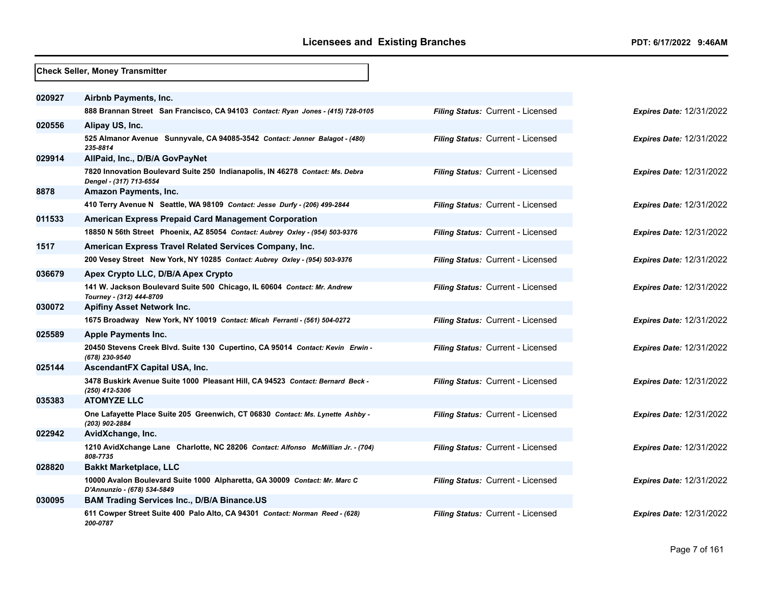|        | Check Seller, Money Transmitter                                                                           |                                   |
|--------|-----------------------------------------------------------------------------------------------------------|-----------------------------------|
| 020927 | Airbnb Payments, Inc.                                                                                     |                                   |
|        | 888 Brannan Street San Francisco, CA 94103 Contact: Ryan Jones - (415) 728-0105                           | Filing Status: Current - Licensed |
| 020556 | Alipay US, Inc.                                                                                           |                                   |
|        | 525 Almanor Avenue Sunnyvale, CA 94085-3542 Contact: Jenner Balagot - (480)<br>235-8814                   | Filing Status: Current - Licensed |
| 029914 | AllPaid, Inc., D/B/A GovPayNet                                                                            |                                   |
|        | 7820 Innovation Boulevard Suite 250 Indianapolis, IN 46278 Contact: Ms. Debra<br>Dengel - (317) 713-6554  | Filing Status: Current - Licensed |
| 8878   | Amazon Payments, Inc.                                                                                     |                                   |
|        | 410 Terry Avenue N Seattle, WA 98109 Contact: Jesse Durfy - (206) 499-2844                                | Filing Status: Current - Licensed |
| 011533 | <b>American Express Prepaid Card Management Corporation</b>                                               |                                   |
|        | 18850 N 56th Street Phoenix, AZ 85054 Contact: Aubrey Oxley - (954) 503-9376                              | Filing Status: Current - Licensed |
| 1517   | American Express Travel Related Services Company, Inc.                                                    |                                   |
|        | 200 Vesey Street New York, NY 10285 Contact: Aubrey Oxley - (954) 503-9376                                | Filing Status: Current - Licensed |
| 036679 | Apex Crypto LLC, D/B/A Apex Crypto                                                                        |                                   |
|        | 141 W. Jackson Boulevard Suite 500 Chicago, IL 60604 Contact: Mr. Andrew<br>Tourney - (312) 444-8709      | Filing Status: Current - Licensed |
| 030072 | <b>Apifiny Asset Network Inc.</b>                                                                         |                                   |
|        | 1675 Broadway New York, NY 10019 Contact: Micah Ferranti - (561) 504-0272                                 | Filing Status: Current - Licensed |
| 025589 | <b>Apple Payments Inc.</b>                                                                                |                                   |
|        | 20450 Stevens Creek Blvd. Suite 130 Cupertino, CA 95014 Contact: Kevin Erwin -<br>(678) 230-9540          | Filing Status: Current - Licensed |
| 025144 | AscendantFX Capital USA, Inc.                                                                             |                                   |
|        | 3478 Buskirk Avenue Suite 1000 Pleasant Hill, CA 94523 Contact: Bernard Beck -<br>(250) 412-5306          | Filing Status: Current - Licensed |
| 035383 | <b>ATOMYZE LLC</b>                                                                                        |                                   |
|        | One Lafayette Place Suite 205 Greenwich, CT 06830 Contact: Ms. Lynette Ashby -<br>(203) 902-2884          | Filing Status: Current - Licensed |
| 022942 | AvidXchange, Inc.                                                                                         |                                   |
|        | 1210 AvidXchange Lane Charlotte, NC 28206 Contact: Alfonso McMillian Jr. - (704)<br>808-7735              | Filing Status: Current - Licensed |
| 028820 | <b>Bakkt Marketplace, LLC</b>                                                                             |                                   |
|        | 10000 Avalon Boulevard Suite 1000 Alpharetta, GA 30009 Contact: Mr. Marc C<br>D'Annunzio - (678) 534-5849 | Filing Status: Current - Licensed |
| 030095 | <b>BAM Trading Services Inc., D/B/A Binance.US</b>                                                        |                                   |
|        | 611 Cowper Street Suite 400 Palo Alto, CA 94301 Contact: Norman Reed - (628)<br>200-0787                  | Filing Status: Current - Licensed |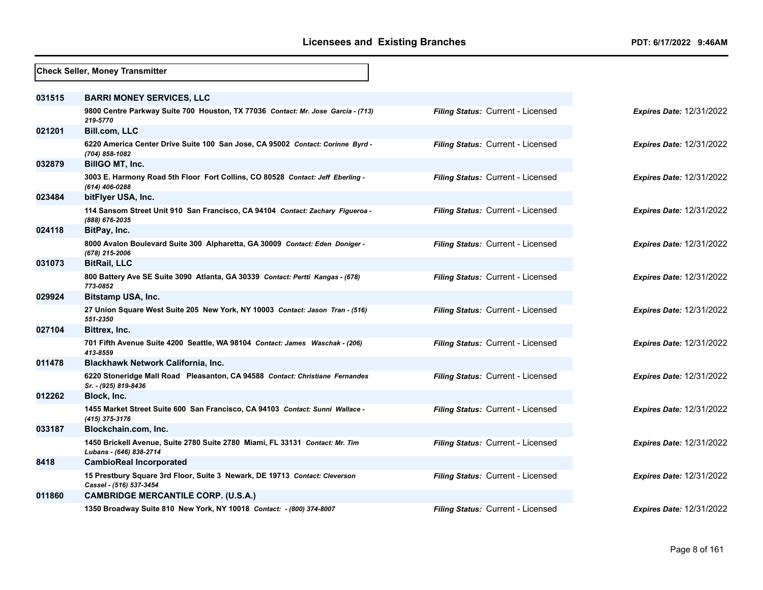|        | <b>Check Seller, Money Transmitter</b>                                                                  |                                   |                                 |
|--------|---------------------------------------------------------------------------------------------------------|-----------------------------------|---------------------------------|
| 031515 | <b>BARRI MONEY SERVICES, LLC</b>                                                                        |                                   |                                 |
|        | 9800 Centre Parkway Suite 700 Houston, TX 77036 Contact: Mr. Jose Garcia - (713)<br>219-5770            | Filing Status: Current - Licensed | <b>Expires Date: 12/31/2022</b> |
| 021201 | <b>Bill.com, LLC</b>                                                                                    |                                   |                                 |
|        | 6220 America Center Drive Suite 100 San Jose, CA 95002 Contact: Corinne Byrd -<br>(704) 858-1082        | Filing Status: Current - Licensed | <b>Expires Date: 12/31/2022</b> |
| 032879 | BillGO MT, Inc.                                                                                         |                                   |                                 |
|        | 3003 E. Harmony Road 5th Floor Fort Collins, CO 80528 Contact: Jeff Eberling -<br>(614) 406-0288        | Filing Status: Current - Licensed | <b>Expires Date: 12/31/2022</b> |
| 023484 | bitFlyer USA, Inc.                                                                                      |                                   |                                 |
|        | 114 Sansom Street Unit 910 San Francisco, CA 94104 Contact: Zachary Figueroa -<br>(888) 676-2035        | Filing Status: Current - Licensed | <b>Expires Date: 12/31/2022</b> |
| 024118 | BitPay, Inc.                                                                                            |                                   |                                 |
|        | 8000 Avalon Boulevard Suite 300 Alpharetta, GA 30009 Contact: Eden Doniger -<br>(678) 215-2006          | Filing Status: Current - Licensed | <b>Expires Date: 12/31/2022</b> |
| 031073 | <b>BitRail, LLC</b>                                                                                     |                                   |                                 |
|        | 800 Battery Ave SE Suite 3090 Atlanta, GA 30339 Contact: Pertti Kangas - (678)<br>773-0852              | Filing Status: Current - Licensed | <b>Expires Date: 12/31/2022</b> |
| 029924 | <b>Bitstamp USA, Inc.</b>                                                                               |                                   |                                 |
|        | 27 Union Square West Suite 205 New York, NY 10003 Contact: Jason Tran - (516)<br>551-2350               | Filing Status: Current - Licensed | <b>Expires Date: 12/31/2022</b> |
| 027104 | Bittrex, Inc.                                                                                           |                                   |                                 |
|        | 701 Fifth Avenue Suite 4200 Seattle, WA 98104 Contact: James Waschak - (206)<br>413-8559                | Filing Status: Current - Licensed | <b>Expires Date: 12/31/2022</b> |
| 011478 | Blackhawk Network California, Inc.                                                                      |                                   |                                 |
|        | 6220 Stoneridge Mall Road Pleasanton, CA 94588 Contact: Christiane Fernandes<br>Sr. - (925) 819-8436    | Filing Status: Current - Licensed | <b>Expires Date: 12/31/2022</b> |
| 012262 | Block, Inc.                                                                                             |                                   |                                 |
|        | 1455 Market Street Suite 600 San Francisco, CA 94103 Contact: Sunni Wallace -<br>(415) 375-3176         | Filing Status: Current - Licensed | <b>Expires Date: 12/31/2022</b> |
| 033187 | Blockchain.com, Inc.                                                                                    |                                   |                                 |
|        | 1450 Brickell Avenue, Suite 2780 Suite 2780 Miami, FL 33131 Contact: Mr. Tim<br>Lubans - (646) 838-2714 | Filing Status: Current - Licensed | <b>Expires Date: 12/31/2022</b> |
| 8418   | <b>CambioReal Incorporated</b>                                                                          |                                   |                                 |
|        | 15 Prestbury Square 3rd Floor, Suite 3 Newark, DE 19713 Contact: Cleverson<br>Cassel - (516) 537-3454   | Filing Status: Current - Licensed | <b>Expires Date: 12/31/2022</b> |
| 011860 | <b>CAMBRIDGE MERCANTILE CORP. (U.S.A.)</b>                                                              |                                   |                                 |
|        | 1350 Broadway Suite 810 New York, NY 10018 Contact: - (800) 374-8007                                    | Filing Status: Current - Licensed | <b>Expires Date: 12/31/2022</b> |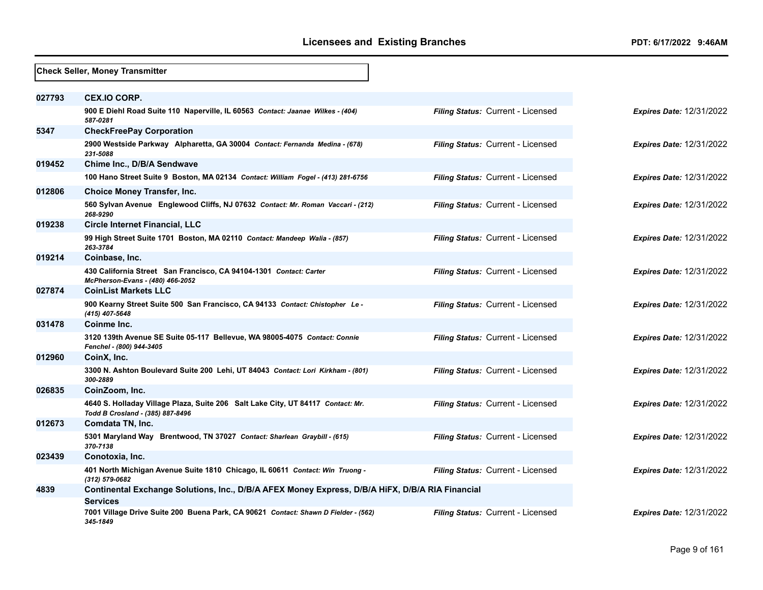|        | <b>Check Seller, Money Transmitter</b>                                                                              |                                   |                                 |
|--------|---------------------------------------------------------------------------------------------------------------------|-----------------------------------|---------------------------------|
| 027793 | <b>CEX.IO CORP.</b>                                                                                                 |                                   |                                 |
|        | 900 E Diehl Road Suite 110 Naperville, IL 60563 Contact: Jaanae Wilkes - (404)<br>587-0281                          | Filing Status: Current - Licensed | <b>Expires Date: 12/31/2022</b> |
| 5347   | <b>CheckFreePay Corporation</b>                                                                                     |                                   |                                 |
|        | 2900 Westside Parkway Alpharetta, GA 30004 Contact: Fernanda Medina - (678)<br>231-5088                             | Filing Status: Current - Licensed | <b>Expires Date: 12/31/2022</b> |
| 019452 | Chime Inc., D/B/A Sendwave                                                                                          |                                   |                                 |
|        | 100 Hano Street Suite 9 Boston, MA 02134 Contact: William Fogel - (413) 281-6756                                    | Filing Status: Current - Licensed | <b>Expires Date: 12/31/2022</b> |
| 012806 | <b>Choice Money Transfer, Inc.</b>                                                                                  |                                   |                                 |
|        | 560 Sylvan Avenue Englewood Cliffs, NJ 07632 Contact: Mr. Roman Vaccari - (212)<br>268-9290                         | Filing Status: Current - Licensed | <b>Expires Date: 12/31/2022</b> |
| 019238 | <b>Circle Internet Financial, LLC</b>                                                                               |                                   |                                 |
|        | 99 High Street Suite 1701 Boston, MA 02110 Contact: Mandeep Walia - (857)<br>263-3784                               | Filing Status: Current - Licensed | <b>Expires Date: 12/31/2022</b> |
| 019214 | Coinbase, Inc.                                                                                                      |                                   |                                 |
|        | 430 California Street San Francisco, CA 94104-1301 Contact: Carter<br>McPherson-Evans - (480) 466-2052              | Filing Status: Current - Licensed | <b>Expires Date: 12/31/2022</b> |
| 027874 | <b>CoinList Markets LLC</b>                                                                                         |                                   |                                 |
|        | 900 Kearny Street Suite 500 San Francisco, CA 94133 Contact: Chistopher Le -<br>(415) 407-5648                      | Filing Status: Current - Licensed | Expires Date: 12/31/2022        |
| 031478 | Coinme Inc.                                                                                                         |                                   |                                 |
|        | 3120 139th Avenue SE Suite 05-117 Bellevue, WA 98005-4075 Contact: Connie<br>Fenchel - (800) 944-3405               | Filing Status: Current - Licensed | <b>Expires Date: 12/31/2022</b> |
| 012960 | CoinX, Inc.                                                                                                         |                                   |                                 |
|        | 3300 N. Ashton Boulevard Suite 200 Lehi, UT 84043 Contact: Lori Kirkham - (801)<br>300-2889                         | Filing Status: Current - Licensed | <b>Expires Date: 12/31/2022</b> |
| 026835 | CoinZoom, Inc.                                                                                                      |                                   |                                 |
|        | 4640 S. Holladay Village Plaza, Suite 206 Salt Lake City, UT 84117 Contact: Mr.<br>Todd B Crosland - (385) 887-8496 | Filing Status: Current - Licensed | <b>Expires Date: 12/31/2022</b> |
| 012673 | Comdata TN, Inc.                                                                                                    |                                   |                                 |
|        | 5301 Maryland Way Brentwood, TN 37027 Contact: Sharlean Graybill - (615)<br>370-7138                                | Filing Status: Current - Licensed | <b>Expires Date: 12/31/2022</b> |
| 023439 | Conotoxia, Inc.                                                                                                     |                                   |                                 |
|        | 401 North Michigan Avenue Suite 1810 Chicago, IL 60611 Contact: Win Truong -<br>(312) 579-0682                      | Filing Status: Current - Licensed | <b>Expires Date: 12/31/2022</b> |
| 4839   | Continental Exchange Solutions, Inc., D/B/A AFEX Money Express, D/B/A HiFX, D/B/A RIA Financial<br><b>Services</b>  |                                   |                                 |
|        | 7001 Village Drive Suite 200 Buena Park, CA 90621 Contact: Shawn D Fielder - (562)<br>345-1849                      | Filing Status: Current - Licensed | <b>Expires Date: 12/31/2022</b> |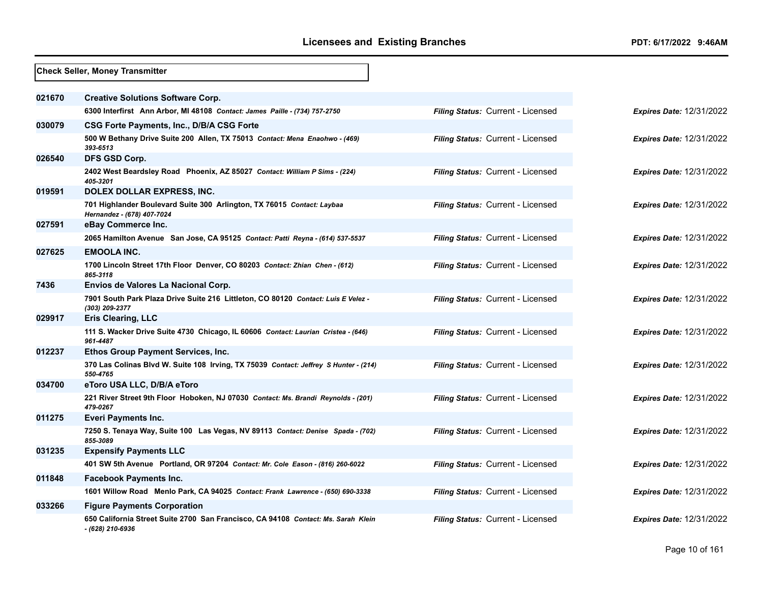|        | <b>Check Seller, Money Transmitter</b>                                                                |                                          |                                 |
|--------|-------------------------------------------------------------------------------------------------------|------------------------------------------|---------------------------------|
| 021670 | <b>Creative Solutions Software Corp.</b>                                                              |                                          |                                 |
|        | 6300 Interfirst Ann Arbor, MI 48108 Contact: James Paille - (734) 757-2750                            | Filing Status: Current - Licensed        | <b>Expires Date: 12/31/2022</b> |
| 030079 | CSG Forte Payments, Inc., D/B/A CSG Forte                                                             |                                          |                                 |
|        | 500 W Bethany Drive Suite 200 Allen, TX 75013 Contact: Mena Enaohwo - (469)<br>393-6513               | Filing Status: Current - Licensed        | <b>Expires Date: 12/31/2022</b> |
| 026540 | DFS GSD Corp.                                                                                         |                                          |                                 |
|        | 2402 West Beardsley Road Phoenix, AZ 85027 Contact: William P Sims - (224)<br>405-3201                | <b>Filing Status: Current - Licensed</b> | <b>Expires Date: 12/31/2022</b> |
| 019591 | DOLEX DOLLAR EXPRESS, INC.                                                                            |                                          |                                 |
|        | 701 Highlander Boulevard Suite 300 Arlington, TX 76015 Contact: Laybaa<br>Hernandez - (678) 407-7024  | Filing Status: Current - Licensed        | <b>Expires Date: 12/31/2022</b> |
| 027591 | eBay Commerce Inc.                                                                                    |                                          |                                 |
|        | 2065 Hamilton Avenue San Jose, CA 95125 Contact: Patti Reyna - (614) 537-5537                         | Filing Status: Current - Licensed        | <b>Expires Date: 12/31/2022</b> |
| 027625 | <b>EMOOLA INC.</b>                                                                                    |                                          |                                 |
|        | 1700 Lincoln Street 17th Floor Denver, CO 80203 Contact: Zhian Chen - (612)<br>865-3118               | Filing Status: Current - Licensed        | <b>Expires Date: 12/31/2022</b> |
| 7436   | Envios de Valores La Nacional Corp.                                                                   |                                          |                                 |
|        | 7901 South Park Plaza Drive Suite 216 Littleton, CO 80120 Contact: Luis E Velez -<br>(303) 209-2377   | Filing Status: Current - Licensed        | <b>Expires Date: 12/31/2022</b> |
| 029917 | <b>Eris Clearing, LLC</b>                                                                             |                                          |                                 |
|        | 111 S. Wacker Drive Suite 4730 Chicago, IL 60606 Contact: Laurian Cristea - (646)<br>961-4487         | Filing Status: Current - Licensed        | <b>Expires Date: 12/31/2022</b> |
| 012237 | <b>Ethos Group Payment Services, Inc.</b>                                                             |                                          |                                 |
|        | 370 Las Colinas Blvd W. Suite 108 Irving, TX 75039 Contact: Jeffrey S Hunter - (214)<br>550-4765      | Filing Status: Current - Licensed        | <b>Expires Date: 12/31/2022</b> |
| 034700 | eToro USA LLC, D/B/A eToro                                                                            |                                          |                                 |
|        | 221 River Street 9th Floor Hoboken, NJ 07030 Contact: Ms. Brandi Reynolds - (201)<br>479-0267         | <b>Filing Status: Current - Licensed</b> | <b>Expires Date: 12/31/2022</b> |
| 011275 | Everi Payments Inc.                                                                                   |                                          |                                 |
|        | 7250 S. Tenaya Way, Suite 100 Las Vegas, NV 89113 Contact: Denise Spada - (702)<br>855-3089           | Filing Status: Current - Licensed        | <b>Expires Date: 12/31/2022</b> |
| 031235 | <b>Expensify Payments LLC</b>                                                                         |                                          |                                 |
|        | 401 SW 5th Avenue Portland, OR 97204 Contact: Mr. Cole Eason - (816) 260-6022                         | Filing Status: Current - Licensed        | <b>Expires Date: 12/31/2022</b> |
| 011848 | <b>Facebook Payments Inc.</b>                                                                         |                                          |                                 |
|        | 1601 Willow Road Menlo Park, CA 94025 Contact: Frank Lawrence - (650) 690-3338                        | Filing Status: Current - Licensed        | <b>Expires Date: 12/31/2022</b> |
| 033266 | <b>Figure Payments Corporation</b>                                                                    |                                          |                                 |
|        | 650 California Street Suite 2700 San Francisco, CA 94108 Contact: Ms. Sarah Klein<br>- (628) 210-6936 | Filing Status: Current - Licensed        | <b>Expires Date: 12/31/2022</b> |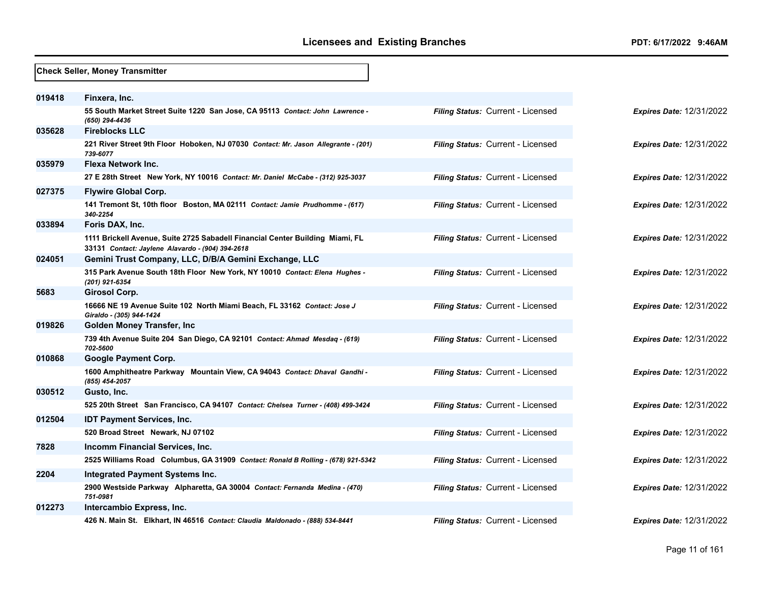|        | <b>Check Seller, Money Transmitter</b>                                                                                            |                                          |                                 |
|--------|-----------------------------------------------------------------------------------------------------------------------------------|------------------------------------------|---------------------------------|
|        |                                                                                                                                   |                                          |                                 |
| 019418 | Finxera, Inc.                                                                                                                     |                                          |                                 |
|        | 55 South Market Street Suite 1220 San Jose, CA 95113 Contact: John Lawrence -<br>(650) 294-4436                                   | Filing Status: Current - Licensed        | <b>Expires Date: 12/31/2022</b> |
| 035628 | <b>Fireblocks LLC</b>                                                                                                             |                                          |                                 |
|        | 221 River Street 9th Floor Hoboken, NJ 07030 Contact: Mr. Jason Allegrante - (201)<br>739-6077                                    | Filing Status: Current - Licensed        | <b>Expires Date: 12/31/2022</b> |
| 035979 | <b>Flexa Network Inc.</b>                                                                                                         |                                          |                                 |
|        | 27 E 28th Street New York, NY 10016 Contact: Mr. Daniel McCabe - (312) 925-3037                                                   | Filing Status: Current - Licensed        | Expires Date: 12/31/2022        |
| 027375 | <b>Flywire Global Corp.</b>                                                                                                       |                                          |                                 |
|        | 141 Tremont St, 10th floor Boston, MA 02111 Contact: Jamie Prudhomme - (617)<br>340-2254                                          | Filing Status: Current - Licensed        | <b>Expires Date: 12/31/2022</b> |
| 033894 | Foris DAX, Inc.                                                                                                                   |                                          |                                 |
|        | 1111 Brickell Avenue, Suite 2725 Sabadell Financial Center Building Miami, FL<br>33131 Contact: Jaylene Alavardo - (904) 394-2618 | Filing Status: Current - Licensed        | <b>Expires Date: 12/31/2022</b> |
| 024051 | Gemini Trust Company, LLC, D/B/A Gemini Exchange, LLC                                                                             |                                          |                                 |
|        | 315 Park Avenue South 18th Floor New York, NY 10010 Contact: Elena Hughes -<br>(201) 921-6354                                     | Filing Status: Current - Licensed        | <b>Expires Date: 12/31/2022</b> |
| 5683   | <b>Girosol Corp.</b>                                                                                                              |                                          |                                 |
|        | 16666 NE 19 Avenue Suite 102 North Miami Beach, FL 33162 Contact: Jose J<br>Giraldo - (305) 944-1424                              | Filing Status: Current - Licensed        | <b>Expires Date: 12/31/2022</b> |
| 019826 | Golden Money Transfer, Inc.                                                                                                       |                                          |                                 |
|        | 739 4th Avenue Suite 204 San Diego, CA 92101 Contact: Ahmad Mesdag - (619)<br>702-5600                                            | Filing Status: Current - Licensed        | <b>Expires Date: 12/31/2022</b> |
| 010868 | <b>Google Payment Corp.</b>                                                                                                       |                                          |                                 |
|        | 1600 Amphitheatre Parkway Mountain View, CA 94043 Contact: Dhaval Gandhi -<br>(855) 454-2057                                      | Filing Status: Current - Licensed        | <b>Expires Date: 12/31/2022</b> |
| 030512 | Gusto, Inc.                                                                                                                       |                                          |                                 |
|        | 525 20th Street San Francisco, CA 94107 Contact: Chelsea Turner - (408) 499-3424                                                  | Filing Status: Current - Licensed        | <b>Expires Date: 12/31/2022</b> |
| 012504 | <b>IDT Payment Services, Inc.</b>                                                                                                 |                                          |                                 |
|        | 520 Broad Street Newark, NJ 07102                                                                                                 | Filing Status: Current - Licensed        | <b>Expires Date: 12/31/2022</b> |
| 7828   | Incomm Financial Services, Inc.                                                                                                   |                                          |                                 |
|        | 2525 Williams Road Columbus, GA 31909 Contact: Ronald B Rolling - (678) 921-5342                                                  | Filing Status: Current - Licensed        | <b>Expires Date: 12/31/2022</b> |
| 2204   | <b>Integrated Payment Systems Inc.</b>                                                                                            |                                          |                                 |
|        | 2900 Westside Parkway Alpharetta, GA 30004 Contact: Fernanda Medina - (470)<br>751-0981                                           | Filing Status: Current - Licensed        | <b>Expires Date: 12/31/2022</b> |
| 012273 | Intercambio Express, Inc.                                                                                                         |                                          |                                 |
|        | 426 N. Main St. Elkhart, IN 46516 Contact: Claudia Maldonado - (888) 534-8441                                                     | <b>Filing Status: Current - Licensed</b> | <b>Expires Date: 12/31/2022</b> |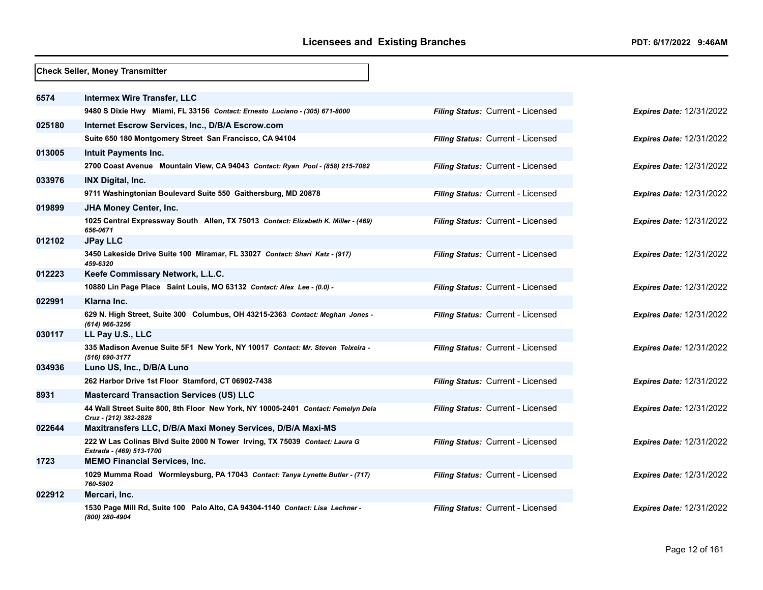|        | <b>Check Seller, Money Transmitter</b>                                                                     |                                   |
|--------|------------------------------------------------------------------------------------------------------------|-----------------------------------|
| 6574   | <b>Intermex Wire Transfer, LLC</b>                                                                         |                                   |
|        | 9480 S Dixie Hwy Miami, FL 33156 Contact: Ernesto Luciano - (305) 671-8000                                 | Filing Status: Current - Licensed |
| 025180 |                                                                                                            |                                   |
|        | Internet Escrow Services, Inc., D/B/A Escrow.com                                                           |                                   |
|        | Suite 650 180 Montgomery Street San Francisco, CA 94104                                                    | Filing Status: Current - Licensed |
| 013005 | <b>Intuit Payments Inc.</b>                                                                                |                                   |
|        | 2700 Coast Avenue Mountain View, CA 94043 Contact: Ryan Pool - (858) 215-7082                              | Filing Status: Current - Licensed |
| 033976 | <b>INX Digital, Inc.</b>                                                                                   |                                   |
|        | 9711 Washingtonian Boulevard Suite 550 Gaithersburg, MD 20878                                              | Filing Status: Current - Licensed |
| 019899 | <b>JHA Money Center, Inc.</b>                                                                              |                                   |
|        | 1025 Central Expressway South Allen, TX 75013 Contact: Elizabeth K. Miller - (469)<br>656-0671             | Filing Status: Current - Licensed |
| 012102 | <b>JPay LLC</b>                                                                                            |                                   |
|        | 3450 Lakeside Drive Suite 100 Miramar, FL 33027 Contact: Shari Katz - (917)<br>459-6320                    | Filing Status: Current - Licensed |
| 012223 | Keefe Commissary Network, L.L.C.                                                                           |                                   |
|        | 10880 Lin Page Place Saint Louis, MO 63132 Contact: Alex Lee - (0.0) -                                     | Filing Status: Current - Licensed |
| 022991 | Klarna Inc.                                                                                                |                                   |
|        | 629 N. High Street, Suite 300 Columbus, OH 43215-2363 Contact: Meghan Jones -<br>(614) 966-3256            | Filing Status: Current - Licensed |
| 030117 | LL Pay U.S., LLC                                                                                           |                                   |
|        | 335 Madison Avenue Suite 5F1 New York, NY 10017 Contact: Mr. Steven Teixeira -<br>(516) 690-3177           | Filing Status: Current - Licensed |
| 034936 | Luno US, Inc., D/B/A Luno                                                                                  |                                   |
|        | 262 Harbor Drive 1st Floor Stamford, CT 06902-7438                                                         | Filing Status: Current - Licensed |
| 8931   | <b>Mastercard Transaction Services (US) LLC</b>                                                            |                                   |
|        | 44 Wall Street Suite 800, 8th Floor New York, NY 10005-2401 Contact: Femelyn Dela<br>Cruz - (212) 382-2828 | Filing Status: Current - Licensed |
| 022644 | Maxitransfers LLC, D/B/A Maxi Money Services, D/B/A Maxi-MS                                                |                                   |
|        | 222 W Las Colinas Blvd Suite 2000 N Tower Irving, TX 75039 Contact: Laura G<br>Estrada - (469) 513-1700    | Filing Status: Current - Licensed |
| 1723   | <b>MEMO Financial Services, Inc.</b>                                                                       |                                   |
|        | 1029 Mumma Road Wormleysburg, PA 17043 Contact: Tanya Lynette Butler - (717)<br>760-5902                   | Filing Status: Current - Licensed |
| 022912 | Mercari, Inc.                                                                                              |                                   |
|        | 1530 Page Mill Rd, Suite 100 Palo Alto, CA 94304-1140 Contact: Lisa Lechner -<br>(800) 280-4904            | Filing Status: Current - Licensed |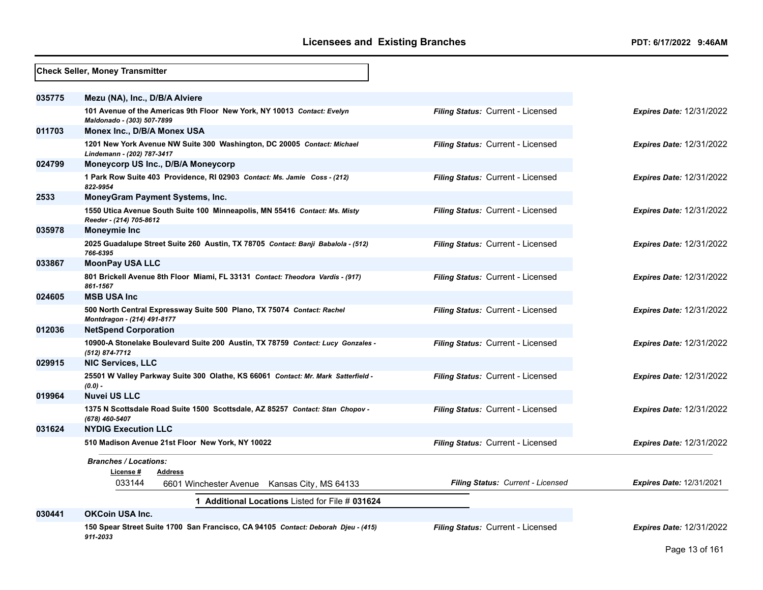|        | <b>Check Seller, Money Transmitter</b>                                                                |                                          |                                 |
|--------|-------------------------------------------------------------------------------------------------------|------------------------------------------|---------------------------------|
| 035775 | Mezu (NA), Inc., D/B/A Alviere                                                                        |                                          |                                 |
|        | 101 Avenue of the Americas 9th Floor New York, NY 10013 Contact: Evelyn<br>Maldonado - (303) 507-7899 | <b>Filing Status: Current - Licensed</b> | <b>Expires Date: 12/31/2022</b> |
| 011703 | Monex Inc., D/B/A Monex USA                                                                           |                                          |                                 |
|        | 1201 New York Avenue NW Suite 300 Washington, DC 20005 Contact: Michael<br>Lindemann - (202) 787-3417 | Filing Status: Current - Licensed        | <b>Expires Date: 12/31/2022</b> |
| 024799 | Moneycorp US Inc., D/B/A Moneycorp                                                                    |                                          |                                 |
|        | 1 Park Row Suite 403 Providence, RI 02903 Contact: Ms. Jamie Coss - (212)<br>822-9954                 | Filing Status: Current - Licensed        | <b>Expires Date: 12/31/2022</b> |
| 2533   | <b>MoneyGram Payment Systems, Inc.</b>                                                                |                                          |                                 |
|        | 1550 Utica Avenue South Suite 100 Minneapolis, MN 55416 Contact: Ms. Misty<br>Reeder - (214) 705-8612 | Filing Status: Current - Licensed        | <b>Expires Date: 12/31/2022</b> |
| 035978 | <b>Moneymie Inc</b>                                                                                   |                                          |                                 |
|        | 2025 Guadalupe Street Suite 260 Austin, TX 78705 Contact: Banji Babalola - (512)<br>766-6395          | Filing Status: Current - Licensed        | Expires Date: 12/31/2022        |
| 033867 | <b>MoonPay USA LLC</b>                                                                                |                                          |                                 |
|        | 801 Brickell Avenue 8th Floor Miami, FL 33131 Contact: Theodora Vardis - (917)<br>861-1567            | Filing Status: Current - Licensed        | <b>Expires Date: 12/31/2022</b> |
| 024605 | <b>MSB USA Inc</b>                                                                                    |                                          |                                 |
|        | 500 North Central Expressway Suite 500 Plano, TX 75074 Contact: Rachel<br>Montdragon - (214) 491-8177 | Filing Status: Current - Licensed        | <b>Expires Date: 12/31/2022</b> |
| 012036 | <b>NetSpend Corporation</b>                                                                           |                                          |                                 |
|        | 10900-A Stonelake Boulevard Suite 200 Austin, TX 78759 Contact: Lucy Gonzales -<br>(512) 874-7712     | Filing Status: Current - Licensed        | <b>Expires Date: 12/31/2022</b> |
| 029915 | NIC Services, LLC                                                                                     |                                          |                                 |
|        | 25501 W Valley Parkway Suite 300 Olathe, KS 66061 Contact: Mr. Mark Satterfield -<br>$(0.0)$ -        | Filing Status: Current - Licensed        | <b>Expires Date: 12/31/2022</b> |
| 019964 | <b>Nuvei US LLC</b>                                                                                   |                                          |                                 |
|        | 1375 N Scottsdale Road Suite 1500 Scottsdale, AZ 85257 Contact: Stan Chopov -<br>(678) 460-5407       | Filing Status: Current - Licensed        | <b>Expires Date: 12/31/2022</b> |
| 031624 | <b>NYDIG Execution LLC</b>                                                                            |                                          |                                 |
|        | 510 Madison Avenue 21st Floor New York, NY 10022                                                      | Filing Status: Current - Licensed        | <b>Expires Date: 12/31/2022</b> |
|        | <b>Branches / Locations:</b><br>License#<br>Address                                                   |                                          |                                 |
|        | 033144<br>6601 Winchester Avenue Kansas City, MS 64133                                                | Filing Status: Current - Licensed        | <b>Expires Date: 12/31/2021</b> |
|        | 1 Additional Locations Listed for File # 031624                                                       |                                          |                                 |
| 030441 | <b>OKCoin USA Inc.</b>                                                                                |                                          |                                 |
|        | 150 Spear Street Suite 1700 San Francisco, CA 94105 Contact: Deborah Djeu - (415)<br>911-2033         | Filing Status: Current - Licensed        | <b>Expires Date: 12/31/2022</b> |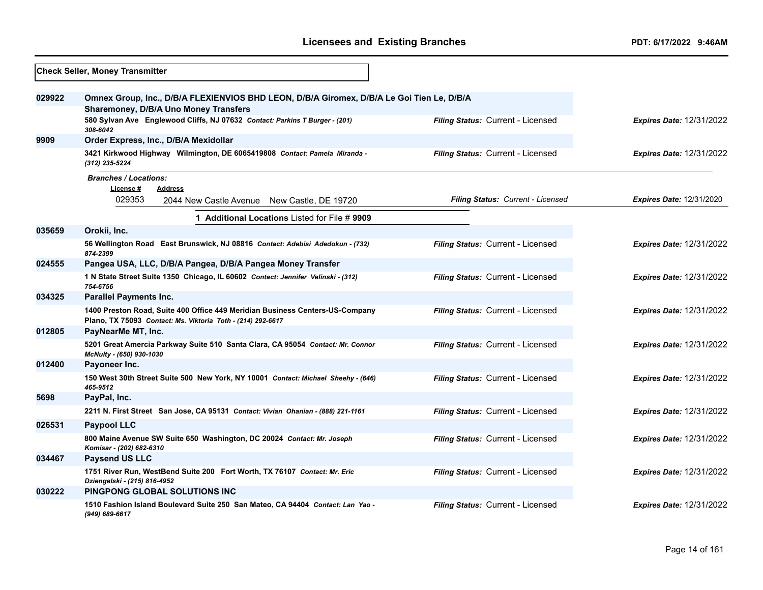|        | <b>Check Seller, Money Transmitter</b>                                                                                                      |                                   |                                 |
|--------|---------------------------------------------------------------------------------------------------------------------------------------------|-----------------------------------|---------------------------------|
| 029922 | Omnex Group, Inc., D/B/A FLEXIENVIOS BHD LEON, D/B/A Giromex, D/B/A Le Goi Tien Le, D/B/A                                                   |                                   |                                 |
|        | <b>Sharemoney, D/B/A Uno Money Transfers</b>                                                                                                |                                   |                                 |
|        | 580 Sylvan Ave Englewood Cliffs, NJ 07632 Contact: Parkins T Burger - (201)<br>308-6042                                                     | Filing Status: Current - Licensed | <b>Expires Date: 12/31/2022</b> |
| 9909   | Order Express, Inc., D/B/A Mexidollar                                                                                                       |                                   |                                 |
|        | 3421 Kirkwood Highway Wilmington, DE 6065419808 Contact: Pamela Miranda -<br>(312) 235-5224                                                 | Filing Status: Current - Licensed | <b>Expires Date: 12/31/2022</b> |
|        | <b>Branches / Locations:</b><br>License#<br><b>Address</b>                                                                                  |                                   |                                 |
|        | 029353<br>2044 New Castle Avenue New Castle, DE 19720                                                                                       | Filing Status: Current - Licensed | <b>Expires Date: 12/31/2020</b> |
|        | 1 Additional Locations Listed for File # 9909                                                                                               |                                   |                                 |
| 035659 | Orokii, Inc.                                                                                                                                |                                   |                                 |
|        | 56 Wellington Road East Brunswick, NJ 08816 Contact: Adebisi Adedokun - (732)<br>874-2399                                                   | Filing Status: Current - Licensed | <b>Expires Date: 12/31/2022</b> |
| 024555 | Pangea USA, LLC, D/B/A Pangea, D/B/A Pangea Money Transfer                                                                                  |                                   |                                 |
|        | 1 N State Street Suite 1350 Chicago, IL 60602 Contact: Jennifer Velinski - (312)<br>754-6756                                                | Filing Status: Current - Licensed | <b>Expires Date: 12/31/2022</b> |
| 034325 | <b>Parallel Payments Inc.</b>                                                                                                               |                                   |                                 |
|        | 1400 Preston Road, Suite 400 Office 449 Meridian Business Centers-US-Company<br>Plano, TX 75093 Contact: Ms. Viktoria Toth - (214) 292-6617 | Filing Status: Current - Licensed | <b>Expires Date: 12/31/2022</b> |
| 012805 | PayNearMe MT, Inc.                                                                                                                          |                                   |                                 |
|        | 5201 Great Amercia Parkway Suite 510 Santa Clara, CA 95054 Contact: Mr. Connor<br>McNulty - (650) 930-1030                                  | Filing Status: Current - Licensed | <b>Expires Date: 12/31/2022</b> |
| 012400 | Payoneer Inc.                                                                                                                               |                                   |                                 |
|        | 150 West 30th Street Suite 500 New York, NY 10001 Contact: Michael Sheehy - (646)<br>465-9512                                               | Filing Status: Current - Licensed | <b>Expires Date: 12/31/2022</b> |
| 5698   | PayPal, Inc.                                                                                                                                |                                   |                                 |
|        | 2211 N. First Street San Jose, CA 95131 Contact: Vivian Ohanian - (888) 221-1161                                                            | Filing Status: Current - Licensed | <b>Expires Date: 12/31/2022</b> |
| 026531 | <b>Paypool LLC</b>                                                                                                                          |                                   |                                 |
|        | 800 Maine Avenue SW Suite 650 Washington, DC 20024 Contact: Mr. Joseph<br>Komisar - (202) 682-6310                                          | Filing Status: Current - Licensed | <b>Expires Date: 12/31/2022</b> |
| 034467 | <b>Paysend US LLC</b>                                                                                                                       |                                   |                                 |
|        | 1751 River Run, WestBend Suite 200 Fort Worth, TX 76107 Contact: Mr. Eric<br>Dziengelski - (215) 816-4952                                   | Filing Status: Current - Licensed | <b>Expires Date: 12/31/2022</b> |
| 030222 | PINGPONG GLOBAL SOLUTIONS INC                                                                                                               |                                   |                                 |
|        | 1510 Fashion Island Boulevard Suite 250 San Mateo, CA 94404 Contact: Lan Yao -<br>(949) 689-6617                                            | Filing Status: Current - Licensed | <b>Expires Date: 12/31/2022</b> |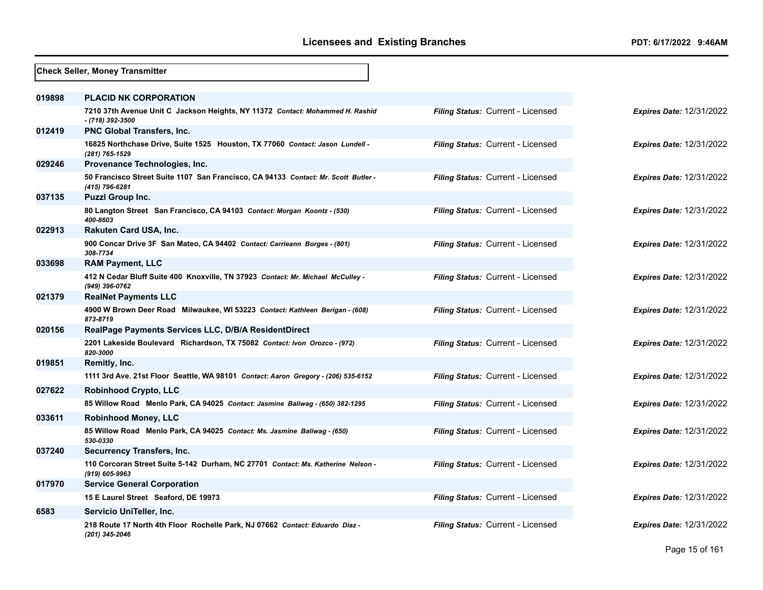|        | <b>Check Seller, Money Transmitter</b>                                                                                                   |                                   |                                 |
|--------|------------------------------------------------------------------------------------------------------------------------------------------|-----------------------------------|---------------------------------|
| 019898 | <b>PLACID NK CORPORATION</b>                                                                                                             |                                   |                                 |
|        | 7210 37th Avenue Unit C Jackson Heights, NY 11372 Contact: Mohammed H. Rashid<br>- (718) 392-3500                                        | Filing Status: Current - Licensed | <b>Expires Date: 12/31/2022</b> |
| 012419 | PNC Global Transfers, Inc.                                                                                                               |                                   |                                 |
|        | 16825 Northchase Drive, Suite 1525 Houston, TX 77060 Contact: Jason Lundell -<br>(281) 765-1529                                          | Filing Status: Current - Licensed | <b>Expires Date: 12/31/2022</b> |
| 029246 | Provenance Technologies, Inc.                                                                                                            |                                   |                                 |
|        | 50 Francisco Street Suite 1107 San Francisco, CA 94133 Contact: Mr. Scott Butler -<br>(415) 796-6281                                     | Filing Status: Current - Licensed | <b>Expires Date: 12/31/2022</b> |
| 037135 | <b>Puzzl Group Inc.</b>                                                                                                                  |                                   |                                 |
|        | 80 Langton Street San Francisco, CA 94103 Contact: Morgan Koontz - (530)<br>400-8603                                                     | Filing Status: Current - Licensed | <b>Expires Date: 12/31/2022</b> |
| 022913 | <b>Rakuten Card USA, Inc.</b>                                                                                                            |                                   |                                 |
|        | 900 Concar Drive 3F San Mateo, CA 94402 Contact: Carrieann Borges - (801)<br>308-7734                                                    | Filing Status: Current - Licensed | <b>Expires Date: 12/31/2022</b> |
| 033698 | <b>RAM Payment, LLC</b>                                                                                                                  |                                   |                                 |
|        | 412 N Cedar Bluff Suite 400 Knoxville, TN 37923 Contact: Mr. Michael McCulley -<br>(949) 396-0762                                        | Filing Status: Current - Licensed | <b>Expires Date: 12/31/2022</b> |
| 021379 | <b>RealNet Payments LLC</b>                                                                                                              |                                   |                                 |
|        | 4900 W Brown Deer Road Milwaukee, WI 53223 Contact: Kathleen Berigan - (608)<br>873-8719                                                 | Filing Status: Current - Licensed | <b>Expires Date: 12/31/2022</b> |
| 020156 | RealPage Payments Services LLC, D/B/A ResidentDirect                                                                                     |                                   |                                 |
|        | 2201 Lakeside Boulevard Richardson, TX 75082 Contact: Ivon Orozco - (972)<br>820-3000                                                    | Filing Status: Current - Licensed | <b>Expires Date: 12/31/2022</b> |
| 019851 | Remitly, Inc.                                                                                                                            |                                   |                                 |
|        | 1111 3rd Ave. 21st Floor Seattle, WA 98101 Contact: Aaron Gregory - (206) 535-6152                                                       | Filing Status: Current - Licensed | <b>Expires Date: 12/31/2022</b> |
| 027622 | <b>Robinhood Crypto, LLC</b>                                                                                                             |                                   |                                 |
|        | 85 Willow Road Menlo Park, CA 94025 Contact: Jasmine Baliwag - (650) 382-1295                                                            | Filing Status: Current - Licensed | <b>Expires Date: 12/31/2022</b> |
| 033611 | <b>Robinhood Money, LLC</b>                                                                                                              |                                   |                                 |
|        | 85 Willow Road Menlo Park, CA 94025 Contact: Ms. Jasmine Baliwag - (650)<br>530-0330                                                     | Filing Status: Current - Licensed | <b>Expires Date: 12/31/2022</b> |
| 037240 | Securrency Transfers, Inc.                                                                                                               |                                   |                                 |
| 017970 | 110 Corcoran Street Suite 5-142 Durham, NC 27701 Contact: Ms. Katherine Nelson -<br>(919) 605-9963<br><b>Service General Corporation</b> | Filing Status: Current - Licensed | <b>Expires Date: 12/31/2022</b> |
|        | 15 E Laurel Street Seaford, DE 19973                                                                                                     | Filing Status: Current - Licensed | Expires Date: 12/31/2022        |
| 6583   | Servicio UniTeller, Inc.                                                                                                                 |                                   |                                 |
|        |                                                                                                                                          | Filing Status: Current - Licensed |                                 |
|        | 218 Route 17 North 4th Floor Rochelle Park, NJ 07662 Contact: Eduardo Diaz -<br>(201) 345-2046                                           |                                   | <b>Expires Date: 12/31/2022</b> |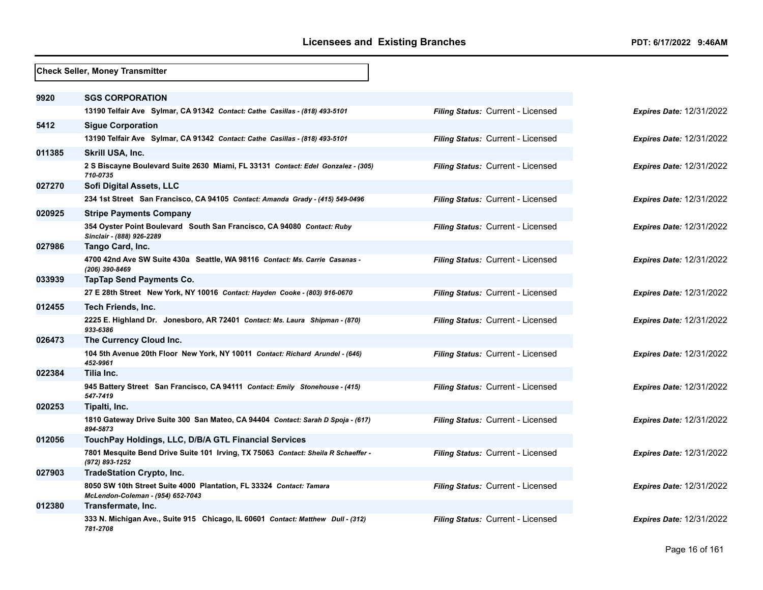|        | <b>Check Seller, Money Transmitter</b>                                                                   |                                          |
|--------|----------------------------------------------------------------------------------------------------------|------------------------------------------|
| 9920   | <b>SGS CORPORATION</b>                                                                                   |                                          |
|        | 13190 Telfair Ave Sylmar, CA 91342 Contact: Cathe Casillas - (818) 493-5101                              | Filing Status: Current - Licensed        |
| 5412   | <b>Sigue Corporation</b>                                                                                 |                                          |
|        | 13190 Telfair Ave Sylmar, CA 91342 Contact: Cathe Casillas - (818) 493-5101                              | Filing Status: Current - Licensed        |
| 011385 | Skrill USA, Inc.                                                                                         |                                          |
|        | 2 S Biscayne Boulevard Suite 2630 Miami, FL 33131 Contact: Edel Gonzalez - (305)<br>710-0735             | Filing Status: Current - Licensed        |
| 027270 | Sofi Digital Assets, LLC                                                                                 |                                          |
|        | 234 1st Street San Francisco, CA 94105 Contact: Amanda Grady - (415) 549-0496                            | Filing Status: Current - Licensed        |
| 020925 | <b>Stripe Payments Company</b>                                                                           |                                          |
|        | 354 Oyster Point Boulevard South San Francisco, CA 94080 Contact: Ruby<br>Sinclair - (888) 926-2289      | Filing Status: Current - Licensed        |
| 027986 | Tango Card, Inc.                                                                                         |                                          |
|        | 4700 42nd Ave SW Suite 430a Seattle, WA 98116 Contact: Ms. Carrie Casanas -<br>(206) 390-8469            | Filing Status: Current - Licensed        |
| 033939 | TapTap Send Payments Co.                                                                                 |                                          |
|        | 27 E 28th Street New York, NY 10016 Contact: Hayden Cooke - (803) 916-0670                               | Filing Status: Current - Licensed        |
| 012455 | <b>Tech Friends, Inc.</b>                                                                                |                                          |
|        | 2225 E. Highland Dr. Jonesboro, AR 72401 Contact: Ms. Laura Shipman - (870)<br>933-6386                  | <b>Filing Status: Current - Licensed</b> |
| 026473 | The Currency Cloud Inc.                                                                                  |                                          |
|        | 104 5th Avenue 20th Floor New York, NY 10011 Contact: Richard Arundel - (646)<br>452-9961                | Filing Status: Current - Licensed        |
| 022384 | Tilia Inc.                                                                                               |                                          |
|        | 945 Battery Street San Francisco, CA 94111 Contact: Emily Stonehouse - (415)<br>547-7419                 | Filing Status: Current - Licensed        |
| 020253 | Tipalti, Inc.                                                                                            |                                          |
|        | 1810 Gateway Drive Suite 300 San Mateo, CA 94404 Contact: Sarah D Spoja - (617)<br>894-5873              | Filing Status: Current - Licensed        |
| 012056 | TouchPay Holdings, LLC, D/B/A GTL Financial Services                                                     |                                          |
|        | 7801 Mesquite Bend Drive Suite 101 Irving, TX 75063 Contact: Sheila R Schaeffer -<br>(972) 893-1252      | Filing Status: Current - Licensed        |
| 027903 | <b>TradeStation Crypto, Inc.</b>                                                                         |                                          |
|        | 8050 SW 10th Street Suite 4000 Plantation, FL 33324 Contact: Tamara<br>McLendon-Coleman - (954) 652-7043 | Filing Status: Current - Licensed        |
| 012380 | Transfermate, Inc.                                                                                       |                                          |
|        | 333 N. Michigan Ave., Suite 915 Chicago, IL 60601 Contact: Matthew Dull - (312)<br>781-2708              | Filing Status: Current - Licensed        |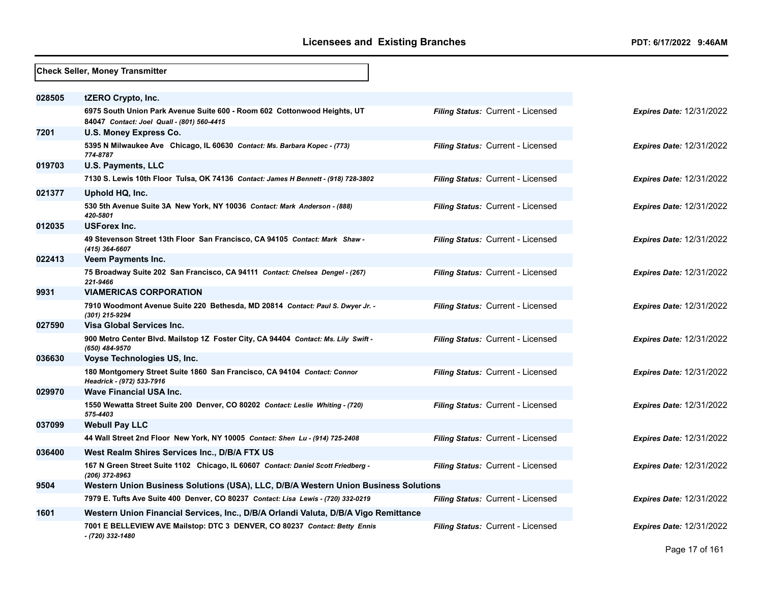|        | <b>Check Seller, Money Transmitter</b>                                                                                               |                                          |
|--------|--------------------------------------------------------------------------------------------------------------------------------------|------------------------------------------|
| 028505 | tZERO Crypto, Inc.                                                                                                                   |                                          |
|        | 6975 South Union Park Avenue Suite 600 - Room 602 Cottonwood Heights, UT<br>84047 Contact: Joel Quall - (801) 560-4415               | <b>Filing Status: Current - Licensed</b> |
| 7201   | <b>U.S. Money Express Co.</b>                                                                                                        |                                          |
|        | 5395 N Milwaukee Ave Chicago, IL 60630 Contact: Ms. Barbara Kopec - (773)<br>774-8787                                                | Filing Status: Current - Licensed        |
| 019703 | <b>U.S. Payments, LLC</b>                                                                                                            |                                          |
|        | 7130 S. Lewis 10th Floor Tulsa, OK 74136 Contact: James H Bennett - (918) 728-3802                                                   | <b>Filing Status: Current - Licensed</b> |
| 021377 | Uphold HQ, Inc.                                                                                                                      |                                          |
|        | 530 5th Avenue Suite 3A New York, NY 10036 Contact: Mark Anderson - (888)<br>420-5801                                                | Filing Status: Current - Licensed        |
| 012035 | <b>USForex Inc.</b>                                                                                                                  |                                          |
|        | 49 Stevenson Street 13th Floor San Francisco, CA 94105 Contact: Mark Shaw -<br>(415) 364-6607                                        | Filing Status: Current - Licensed        |
| 022413 | Veem Payments Inc.                                                                                                                   |                                          |
|        | 75 Broadway Suite 202 San Francisco, CA 94111 Contact: Chelsea Dengel - (267)<br>221-9466                                            | Filing Status: Current - Licensed        |
| 9931   | <b>VIAMERICAS CORPORATION</b>                                                                                                        |                                          |
| 027590 | 7910 Woodmont Avenue Suite 220 Bethesda, MD 20814 Contact: Paul S. Dwyer Jr. -<br>(301) 215-9294<br><b>Visa Global Services Inc.</b> | Filing Status: Current - Licensed        |
|        | 900 Metro Center Blvd. Mailstop 1Z Foster City, CA 94404 Contact: Ms. Lily Swift -                                                   | Filing Status: Current - Licensed        |
|        | (650) 484-9570                                                                                                                       |                                          |
| 036630 | Voyse Technologies US, Inc.                                                                                                          |                                          |
|        | 180 Montgomery Street Suite 1860 San Francisco, CA 94104 Contact: Connor<br>Headrick - (972) 533-7916                                | Filing Status: Current - Licensed        |
| 029970 | <b>Wave Financial USA Inc.</b>                                                                                                       |                                          |
|        | 1550 Wewatta Street Suite 200 Denver, CO 80202 Contact: Leslie Whiting - (720)<br>575-4403                                           | Filing Status: Current - Licensed        |
| 037099 | <b>Webull Pay LLC</b>                                                                                                                |                                          |
|        | 44 Wall Street 2nd Floor New York, NY 10005 Contact: Shen Lu - (914) 725-2408                                                        | Filing Status: Current - Licensed        |
| 036400 | West Realm Shires Services Inc., D/B/A FTX US                                                                                        |                                          |
|        | 167 N Green Street Suite 1102 Chicago, IL 60607 Contact: Daniel Scott Friedberg -<br>(206) 372-8963                                  | Filing Status: Current - Licensed        |
| 9504   | Western Union Business Solutions (USA), LLC, D/B/A Western Union Business Solutions                                                  |                                          |
|        | 7979 E. Tufts Ave Suite 400 Denver, CO 80237 Contact: Lisa Lewis - (720) 332-0219                                                    | Filing Status: Current - Licensed        |
| 1601   | Western Union Financial Services, Inc., D/B/A Orlandi Valuta, D/B/A Vigo Remittance                                                  |                                          |
|        | 7001 E BELLEVIEW AVE Mailstop: DTC 3 DENVER, CO 80237 Contact: Betty Ennis<br>- (720) 332-1480                                       | Filing Status: Current - Licensed        |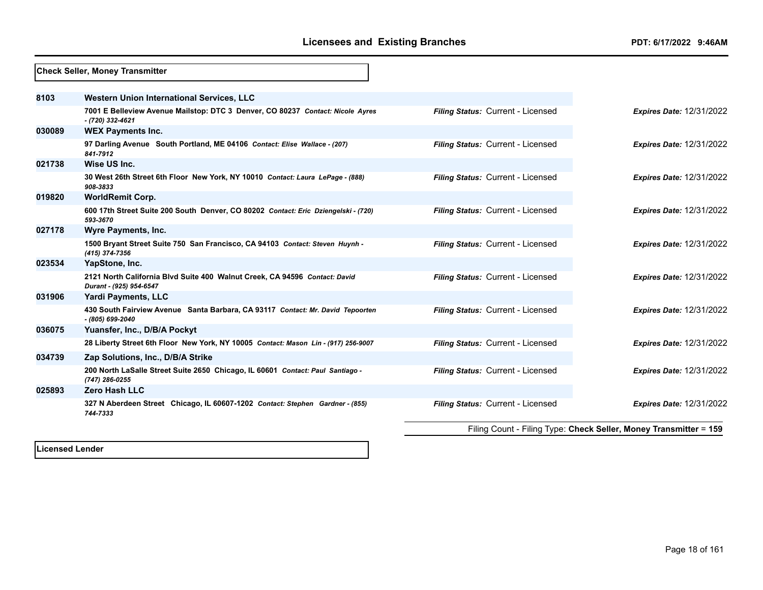|        | <b>Check Seller, Money Transmitter</b>                                                                |                                   |                                                                   |
|--------|-------------------------------------------------------------------------------------------------------|-----------------------------------|-------------------------------------------------------------------|
| 8103   | Western Union International Services, LLC                                                             |                                   |                                                                   |
|        | 7001 E Belleview Avenue Mailstop: DTC 3 Denver, CO 80237 Contact: Nicole Ayres<br>- (720) 332-4621    | Filing Status: Current - Licensed | <b>Expires Date: 12/31/2022</b>                                   |
| 030089 | <b>WEX Payments Inc.</b>                                                                              |                                   |                                                                   |
|        | 97 Darling Avenue South Portland, ME 04106 Contact: Elise Wallace - (207)<br>841-7912                 | Filing Status: Current - Licensed | <b>Expires Date: 12/31/2022</b>                                   |
| 021738 | Wise US Inc.                                                                                          |                                   |                                                                   |
|        | 30 West 26th Street 6th Floor New York, NY 10010 Contact: Laura LePage - (888)<br>908-3833            | Filing Status: Current - Licensed | <b>Expires Date: 12/31/2022</b>                                   |
| 019820 | <b>WorldRemit Corp.</b>                                                                               |                                   |                                                                   |
|        | 600 17th Street Suite 200 South Denver, CO 80202 Contact: Eric Dziengelski - (720)<br>593-3670        | Filing Status: Current - Licensed | <b>Expires Date: 12/31/2022</b>                                   |
| 027178 | Wyre Payments, Inc.                                                                                   |                                   |                                                                   |
|        | 1500 Bryant Street Suite 750 San Francisco, CA 94103 Contact: Steven Huynh -<br>(415) 374-7356        | Filing Status: Current - Licensed | <b>Expires Date: 12/31/2022</b>                                   |
| 023534 | YapStone, Inc.                                                                                        |                                   |                                                                   |
|        | 2121 North California Blvd Suite 400 Walnut Creek, CA 94596 Contact: David<br>Durant - (925) 954-6547 | Filing Status: Current - Licensed | <b>Expires Date: 12/31/2022</b>                                   |
| 031906 | <b>Yardi Payments, LLC</b>                                                                            |                                   |                                                                   |
|        | 430 South Fairview Avenue Santa Barbara, CA 93117 Contact: Mr. David Tepoorten<br>- (805) 699-2040    | Filing Status: Current - Licensed | <b>Expires Date: 12/31/2022</b>                                   |
| 036075 | Yuansfer, Inc., D/B/A Pockyt                                                                          |                                   |                                                                   |
|        | 28 Liberty Street 6th Floor New York, NY 10005 Contact: Mason Lin - (917) 256-9007                    | Filing Status: Current - Licensed | <b>Expires Date: 12/31/2022</b>                                   |
| 034739 | Zap Solutions, Inc., D/B/A Strike                                                                     |                                   |                                                                   |
|        | 200 North LaSalle Street Suite 2650 Chicago, IL 60601 Contact: Paul Santiago -<br>(747) 286-0255      | Filing Status: Current - Licensed | <b>Expires Date: 12/31/2022</b>                                   |
| 025893 | <b>Zero Hash LLC</b>                                                                                  |                                   |                                                                   |
|        | 327 N Aberdeen Street Chicago, IL 60607-1202 Contact: Stephen Gardner - (855)<br>744-7333             | Filing Status: Current - Licensed | <b>Expires Date: 12/31/2022</b>                                   |
|        |                                                                                                       |                                   | Filing Count - Filing Type: Check Seller, Money Transmitter = 159 |

**Licensed Lender**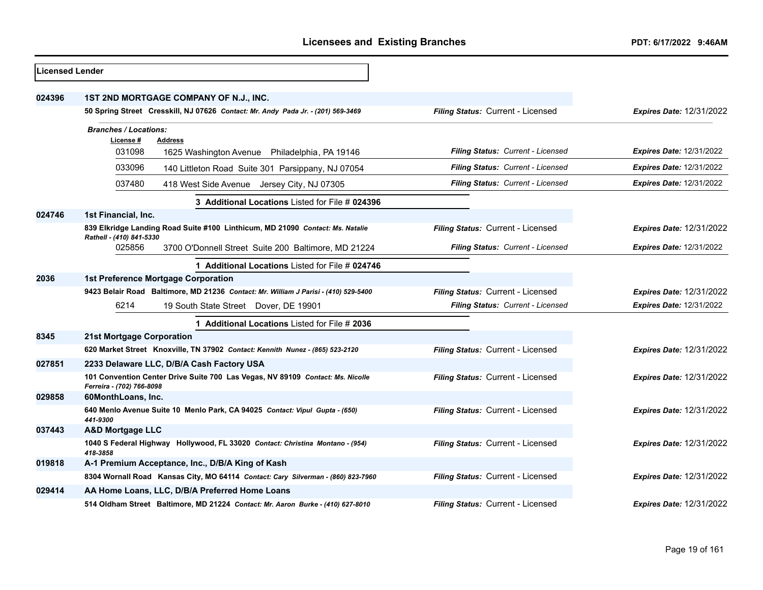| <b>Licensed Lender</b> |                                                                                                                            |                                          |                                 |
|------------------------|----------------------------------------------------------------------------------------------------------------------------|------------------------------------------|---------------------------------|
| 024396                 | 1ST 2ND MORTGAGE COMPANY OF N.J., INC.<br>50 Spring Street Cresskill, NJ 07626 Contact: Mr. Andy Pada Jr. - (201) 569-3469 | Filing Status: Current - Licensed        | <b>Expires Date: 12/31/2022</b> |
|                        |                                                                                                                            |                                          |                                 |
|                        | <b>Branches / Locations:</b><br>License#<br><b>Address</b>                                                                 |                                          |                                 |
|                        | 031098<br>1625 Washington Avenue Philadelphia, PA 19146                                                                    | <b>Filing Status: Current - Licensed</b> | <b>Expires Date: 12/31/2022</b> |
|                        | 033096<br>140 Littleton Road Suite 301 Parsippany, NJ 07054                                                                | Filing Status: Current - Licensed        | <b>Expires Date: 12/31/2022</b> |
|                        | 037480<br>418 West Side Avenue<br>Jersey City, NJ 07305                                                                    | Filing Status: Current - Licensed        | <b>Expires Date: 12/31/2022</b> |
|                        | 3 Additional Locations Listed for File # 024396                                                                            |                                          |                                 |
| 024746                 | 1st Financial, Inc.                                                                                                        |                                          |                                 |
|                        | 839 Elkridge Landing Road Suite #100 Linthicum, MD 21090 Contact: Ms. Natalie                                              | Filing Status: Current - Licensed        | <b>Expires Date: 12/31/2022</b> |
|                        | Rathell - (410) 841-5330<br>025856<br>3700 O'Donnell Street Suite 200 Baltimore, MD 21224                                  | Filing Status: Current - Licensed        | <b>Expires Date: 12/31/2022</b> |
|                        | 1 Additional Locations Listed for File # 024746                                                                            |                                          |                                 |
| 2036                   | 1st Preference Mortgage Corporation                                                                                        |                                          |                                 |
|                        | 9423 Belair Road Baltimore, MD 21236 Contact: Mr. William J Parisi - (410) 529-5400                                        | Filing Status: Current - Licensed        | <b>Expires Date: 12/31/2022</b> |
|                        | 6214<br>19 South State Street Dover, DE 19901                                                                              | Filing Status: Current - Licensed        | <b>Expires Date: 12/31/2022</b> |
|                        | 1 Additional Locations Listed for File # 2036                                                                              |                                          |                                 |
| 8345                   | 21st Mortgage Corporation                                                                                                  |                                          |                                 |
|                        | 620 Market Street Knoxville, TN 37902 Contact: Kennith Nunez - (865) 523-2120                                              | Filing Status: Current - Licensed        | <b>Expires Date: 12/31/2022</b> |
| 027851                 | 2233 Delaware LLC, D/B/A Cash Factory USA                                                                                  |                                          |                                 |
|                        | 101 Convention Center Drive Suite 700 Las Vegas, NV 89109 Contact: Ms. Nicolle<br>Ferreira - (702) 766-8098                | Filing Status: Current - Licensed        | <b>Expires Date: 12/31/2022</b> |
| 029858                 | 60MonthLoans, Inc.                                                                                                         |                                          |                                 |
|                        | 640 Menlo Avenue Suite 10 Menlo Park, CA 94025 Contact: Vipul Gupta - (650)<br>441-9300                                    | Filing Status: Current - Licensed        | <b>Expires Date: 12/31/2022</b> |
| 037443                 | <b>A&amp;D Mortgage LLC</b>                                                                                                |                                          |                                 |
|                        | 1040 S Federal Highway Hollywood, FL 33020 Contact: Christina Montano - (954)<br>418-3858                                  | Filing Status: Current - Licensed        | <b>Expires Date: 12/31/2022</b> |
| 019818                 | A-1 Premium Acceptance, Inc., D/B/A King of Kash                                                                           |                                          |                                 |
|                        | 8304 Wornall Road Kansas City, MO 64114 Contact: Cary Silverman - (860) 823-7960                                           | Filing Status: Current - Licensed        | <b>Expires Date: 12/31/2022</b> |
| 029414                 | AA Home Loans, LLC, D/B/A Preferred Home Loans                                                                             |                                          |                                 |
|                        | 514 Oldham Street Baltimore, MD 21224 Contact: Mr. Aaron Burke - (410) 627-8010                                            | Filing Status: Current - Licensed        | <b>Expires Date: 12/31/2022</b> |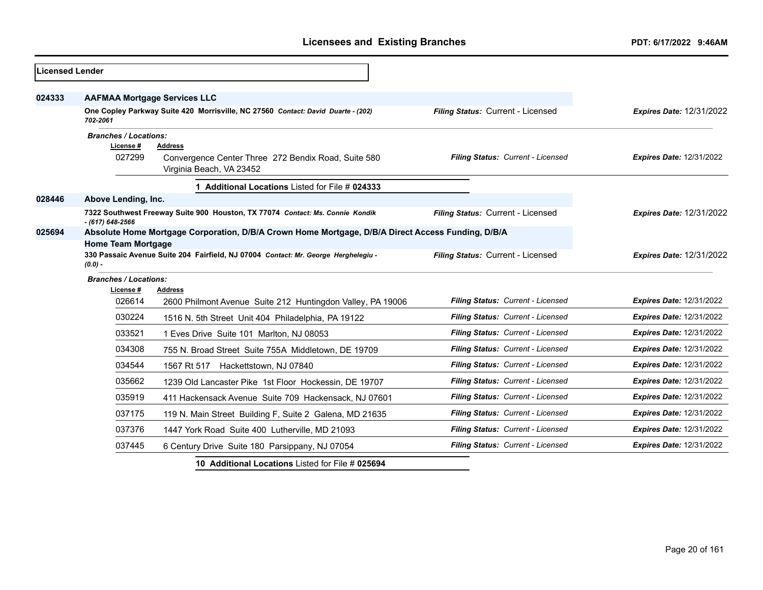| <b>Licensed Lender</b> |                                                                                                                                |                                                                                  |                                   |                                 |
|------------------------|--------------------------------------------------------------------------------------------------------------------------------|----------------------------------------------------------------------------------|-----------------------------------|---------------------------------|
| 024333                 | <b>AAFMAA Mortgage Services LLC</b>                                                                                            |                                                                                  |                                   |                                 |
|                        | 702-2061                                                                                                                       | One Copley Parkway Suite 420 Morrisville, NC 27560 Contact: David Duarte - (202) | Filing Status: Current - Licensed | <b>Expires Date: 12/31/2022</b> |
|                        | <b>Branches / Locations:</b><br>License #                                                                                      | <b>Address</b>                                                                   |                                   |                                 |
|                        | 027299                                                                                                                         | Convergence Center Three 272 Bendix Road, Suite 580<br>Virginia Beach, VA 23452  | Filing Status: Current - Licensed | <b>Expires Date: 12/31/2022</b> |
|                        |                                                                                                                                | 1 Additional Locations Listed for File # 024333                                  |                                   |                                 |
| 028446                 | Above Lending, Inc.                                                                                                            |                                                                                  |                                   |                                 |
|                        | - (617) 648-2566                                                                                                               | 7322 Southwest Freeway Suite 900 Houston, TX 77074 Contact: Ms. Connie Kondik    | Filing Status: Current - Licensed | <b>Expires Date: 12/31/2022</b> |
| 025694                 | Absolute Home Mortgage Corporation, D/B/A Crown Home Mortgage, D/B/A Direct Access Funding, D/B/A<br><b>Home Team Mortgage</b> |                                                                                  |                                   |                                 |
|                        | 330 Passaic Avenue Suite 204 Fairfield, NJ 07004 Contact: Mr. George Herghelegiu -<br>$(0.0) -$                                |                                                                                  | Filing Status: Current - Licensed | <b>Expires Date: 12/31/2022</b> |
|                        | <b>Branches / Locations:</b>                                                                                                   |                                                                                  |                                   |                                 |
|                        | License #<br>026614                                                                                                            | Address<br>2600 Philmont Avenue Suite 212 Huntingdon Valley, PA 19006            | Filing Status: Current - Licensed | <b>Expires Date: 12/31/2022</b> |
|                        | 030224                                                                                                                         | 1516 N. 5th Street Unit 404 Philadelphia, PA 19122                               | Filing Status: Current - Licensed | <b>Expires Date: 12/31/2022</b> |
|                        | 033521                                                                                                                         | 1 Eves Drive Suite 101 Marlton, NJ 08053                                         | Filing Status: Current - Licensed | <b>Expires Date: 12/31/2022</b> |
|                        | 034308                                                                                                                         | 755 N. Broad Street Suite 755A Middletown, DE 19709                              | Filing Status: Current - Licensed | <b>Expires Date: 12/31/2022</b> |
|                        | 034544                                                                                                                         | 1567 Rt 517 Hackettstown, NJ 07840                                               | Filing Status: Current - Licensed | <b>Expires Date: 12/31/2022</b> |
|                        | 035662                                                                                                                         | 1239 Old Lancaster Pike 1st Floor Hockessin, DE 19707                            | Filing Status: Current - Licensed | Expires Date: 12/31/2022        |
|                        | 035919                                                                                                                         | 411 Hackensack Avenue Suite 709 Hackensack, NJ 07601                             | Filing Status: Current - Licensed | <b>Expires Date: 12/31/2022</b> |
|                        | 037175                                                                                                                         | 119 N. Main Street Building F, Suite 2 Galena, MD 21635                          | Filing Status: Current - Licensed | <b>Expires Date: 12/31/2022</b> |
|                        | 037376                                                                                                                         | 1447 York Road Suite 400 Lutherville, MD 21093                                   | Filing Status: Current - Licensed | <b>Expires Date: 12/31/2022</b> |
|                        | 037445                                                                                                                         | 6 Century Drive Suite 180 Parsippany, NJ 07054                                   | Filing Status: Current - Licensed | <b>Expires Date: 12/31/2022</b> |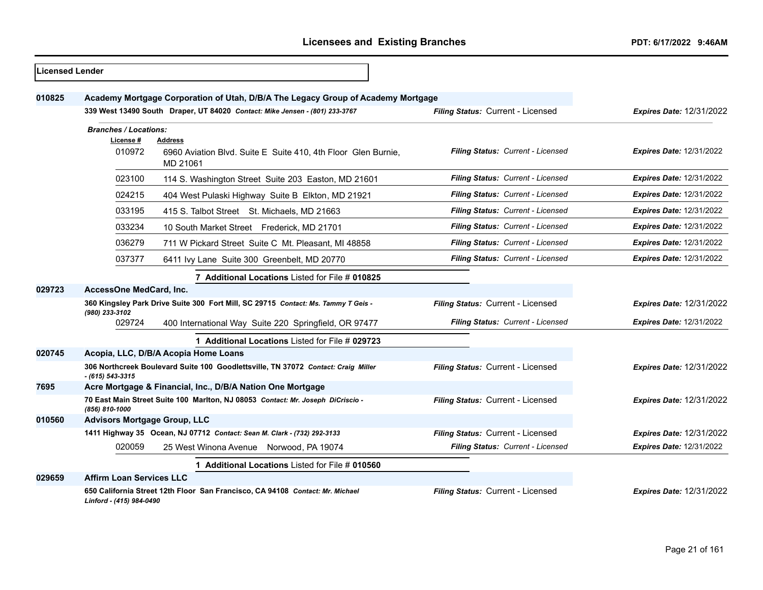| <b>Licensed Lender</b> |                                                                                  |                                                                                      |                                   |                                 |
|------------------------|----------------------------------------------------------------------------------|--------------------------------------------------------------------------------------|-----------------------------------|---------------------------------|
| 010825                 | Academy Mortgage Corporation of Utah, D/B/A The Legacy Group of Academy Mortgage |                                                                                      |                                   |                                 |
|                        |                                                                                  | 339 West 13490 South Draper, UT 84020 Contact: Mike Jensen - (801) 233-3767          | Filing Status: Current - Licensed | <b>Expires Date: 12/31/2022</b> |
|                        | <b>Branches / Locations:</b>                                                     |                                                                                      |                                   |                                 |
|                        | License #<br>010972                                                              | Address<br>6960 Aviation Blvd. Suite E Suite 410, 4th Floor Glen Burnie,<br>MD 21061 | Filing Status: Current - Licensed | <b>Expires Date: 12/31/2022</b> |
|                        | 023100                                                                           | 114 S. Washington Street Suite 203 Easton, MD 21601                                  | Filing Status: Current - Licensed | <b>Expires Date: 12/31/2022</b> |
|                        | 024215                                                                           | 404 West Pulaski Highway Suite B Elkton, MD 21921                                    | Filing Status: Current - Licensed | <b>Expires Date: 12/31/2022</b> |
|                        | 033195                                                                           | 415 S. Talbot Street St. Michaels, MD 21663                                          | Filing Status: Current - Licensed | <b>Expires Date: 12/31/2022</b> |
|                        | 033234                                                                           | 10 South Market Street Frederick, MD 21701                                           | Filing Status: Current - Licensed | <b>Expires Date: 12/31/2022</b> |
|                        | 036279                                                                           | 711 W Pickard Street Suite C Mt. Pleasant, MI 48858                                  | Filing Status: Current - Licensed | <b>Expires Date: 12/31/2022</b> |
|                        | 037377                                                                           | 6411 Ivy Lane Suite 300 Greenbelt, MD 20770                                          | Filing Status: Current - Licensed | <b>Expires Date: 12/31/2022</b> |
|                        |                                                                                  | 7 Additional Locations Listed for File # 010825                                      |                                   |                                 |
| 029723                 | AccessOne MedCard, Inc.                                                          |                                                                                      |                                   |                                 |
|                        | (980) 233-3102                                                                   | 360 Kingsley Park Drive Suite 300 Fort Mill, SC 29715 Contact: Ms. Tammy T Geis -    | Filing Status: Current - Licensed | <b>Expires Date: 12/31/2022</b> |
|                        | 029724                                                                           | 400 International Way Suite 220 Springfield, OR 97477                                | Filing Status: Current - Licensed | Expires Date: 12/31/2022        |
|                        |                                                                                  | 1 Additional Locations Listed for File # 029723                                      |                                   |                                 |
| 020745                 |                                                                                  | Acopia, LLC, D/B/A Acopia Home Loans                                                 |                                   |                                 |
|                        | $-$ (615) 543-3315                                                               | 306 Northcreek Boulevard Suite 100 Goodlettsville, TN 37072 Contact: Craig Miller    | Filing Status: Current - Licensed | <b>Expires Date: 12/31/2022</b> |
| 7695                   | Acre Mortgage & Financial, Inc., D/B/A Nation One Mortgage                       |                                                                                      |                                   |                                 |
|                        | (856) 810-1000                                                                   | 70 East Main Street Suite 100 Marlton, NJ 08053 Contact: Mr. Joseph DiCriscio -      | Filing Status: Current - Licensed | <b>Expires Date: 12/31/2022</b> |
| 010560                 | <b>Advisors Mortgage Group, LLC</b>                                              |                                                                                      |                                   |                                 |
|                        |                                                                                  | 1411 Highway 35 Ocean, NJ 07712 Contact: Sean M. Clark - (732) 292-3133              | Filing Status: Current - Licensed | <b>Expires Date: 12/31/2022</b> |
|                        | 020059                                                                           | 25 West Winona Avenue Norwood, PA 19074                                              | Filing Status: Current - Licensed | <b>Expires Date: 12/31/2022</b> |
|                        |                                                                                  | 1 Additional Locations Listed for File # 010560                                      |                                   |                                 |
| 029659                 | <b>Affirm Loan Services LLC</b>                                                  |                                                                                      |                                   |                                 |
|                        | Linford - (415) 984-0490                                                         | 650 California Street 12th Floor San Francisco, CA 94108 Contact: Mr. Michael        | Filing Status: Current - Licensed | <b>Expires Date: 12/31/2022</b> |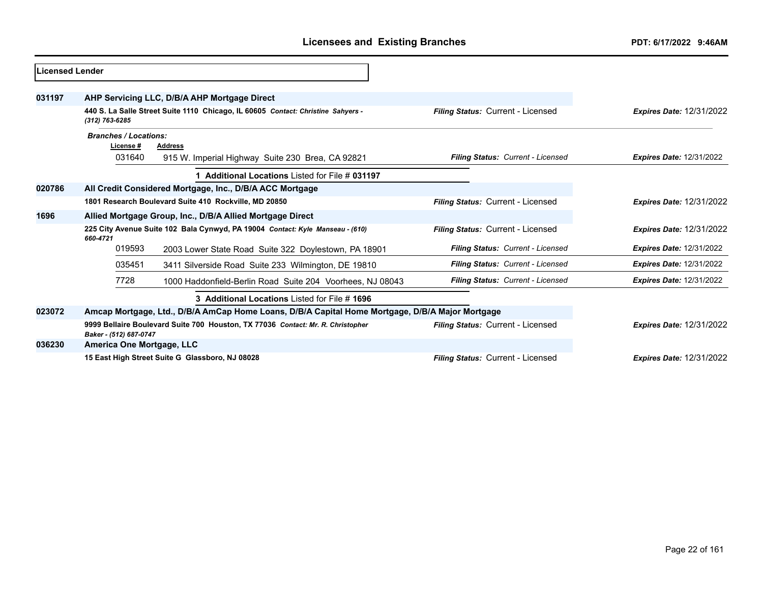| <b>Licensed Lender</b> |                                                                                                           |                                                                                                 |                                          |                                 |
|------------------------|-----------------------------------------------------------------------------------------------------------|-------------------------------------------------------------------------------------------------|------------------------------------------|---------------------------------|
| 031197                 |                                                                                                           | AHP Servicing LLC, D/B/A AHP Mortgage Direct                                                    |                                          |                                 |
|                        | (312) 763-6285                                                                                            | 440 S. La Salle Street Suite 1110 Chicago, IL 60605 Contact: Christine Sahyers -                | Filing Status: Current - Licensed        | <b>Expires Date: 12/31/2022</b> |
|                        | <b>Branches / Locations:</b><br>License #<br><b>Address</b>                                               |                                                                                                 |                                          |                                 |
|                        | 031640                                                                                                    | 915 W. Imperial Highway Suite 230 Brea, CA 92821                                                | Filing Status: Current - Licensed        | <b>Expires Date: 12/31/2022</b> |
|                        |                                                                                                           | 1 Additional Locations Listed for File # 031197                                                 |                                          |                                 |
| 020786                 |                                                                                                           | All Credit Considered Mortgage, Inc., D/B/A ACC Mortgage                                        |                                          |                                 |
|                        | 1801 Research Boulevard Suite 410 Rockville, MD 20850                                                     |                                                                                                 | Filing Status: Current - Licensed        | <b>Expires Date: 12/31/2022</b> |
| 1696                   | Allied Mortgage Group, Inc., D/B/A Allied Mortgage Direct                                                 |                                                                                                 |                                          |                                 |
|                        | 225 City Avenue Suite 102 Bala Cynwyd, PA 19004 Contact: Kyle Manseau - (610)<br>660-4721                 |                                                                                                 | Filing Status: Current - Licensed        | <b>Expires Date: 12/31/2022</b> |
|                        | 019593                                                                                                    | 2003 Lower State Road Suite 322 Doylestown, PA 18901                                            | Filing Status: Current - Licensed        | <b>Expires Date: 12/31/2022</b> |
|                        | 035451                                                                                                    | 3411 Silverside Road Suite 233 Wilmington, DE 19810                                             | Filing Status: Current - Licensed        | <b>Expires Date: 12/31/2022</b> |
|                        | 7728                                                                                                      | 1000 Haddonfield-Berlin Road Suite 204 Voorhees, NJ 08043                                       | Filing Status: Current - Licensed        | <b>Expires Date: 12/31/2022</b> |
|                        |                                                                                                           |                                                                                                 |                                          |                                 |
| 023072                 |                                                                                                           | Amcap Mortgage, Ltd., D/B/A AmCap Home Loans, D/B/A Capital Home Mortgage, D/B/A Major Mortgage |                                          |                                 |
|                        | 9999 Bellaire Boulevard Suite 700 Houston, TX 77036 Contact: Mr. R. Christopher<br>Baker - (512) 687-0747 |                                                                                                 | <b>Filing Status: Current - Licensed</b> | <b>Expires Date: 12/31/2022</b> |
| 036230                 | America One Mortgage, LLC                                                                                 |                                                                                                 |                                          |                                 |
|                        |                                                                                                           | 15 East High Street Suite G Glassboro, NJ 08028                                                 | Filing Status: Current - Licensed        | <b>Expires Date: 12/31/2022</b> |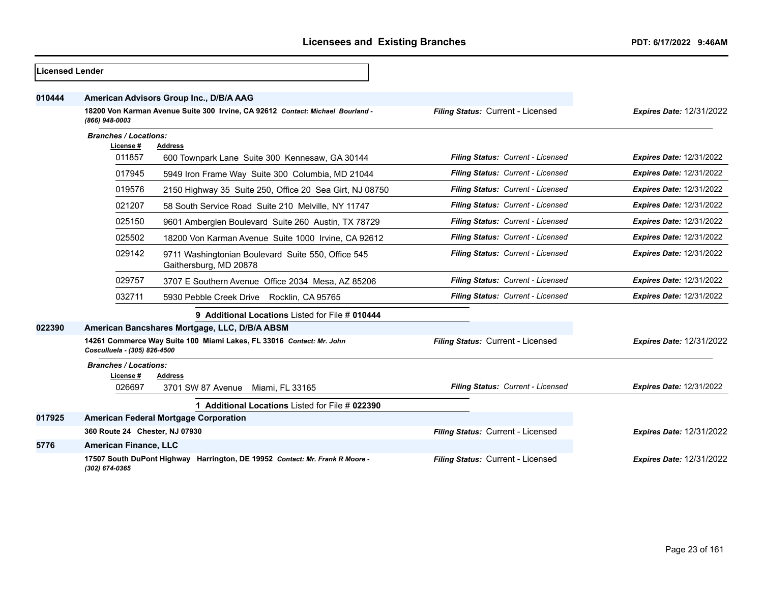| <b>Licensed Lender</b> |                                                                                                      |                                                                                |                                   |                                 |
|------------------------|------------------------------------------------------------------------------------------------------|--------------------------------------------------------------------------------|-----------------------------------|---------------------------------|
| 010444                 | American Advisors Group Inc., D/B/A AAG                                                              |                                                                                |                                   |                                 |
|                        | (866) 948-0003                                                                                       | 18200 Von Karman Avenue Suite 300 Irvine, CA 92612 Contact: Michael Bourland - | Filing Status: Current - Licensed | <b>Expires Date: 12/31/2022</b> |
|                        | <b>Branches / Locations:</b><br>License #<br><b>Address</b>                                          |                                                                                |                                   |                                 |
|                        |                                                                                                      |                                                                                |                                   |                                 |
|                        | 011857                                                                                               | 600 Townpark Lane Suite 300 Kennesaw, GA 30144                                 | Filing Status: Current - Licensed | <b>Expires Date: 12/31/2022</b> |
|                        | 017945                                                                                               | 5949 Iron Frame Way Suite 300 Columbia, MD 21044                               | Filing Status: Current - Licensed | <b>Expires Date: 12/31/2022</b> |
|                        | 019576                                                                                               | 2150 Highway 35 Suite 250, Office 20 Sea Girt, NJ 08750                        | Filing Status: Current - Licensed | <b>Expires Date: 12/31/2022</b> |
|                        | 021207                                                                                               | 58 South Service Road Suite 210 Melville, NY 11747                             | Filing Status: Current - Licensed | <b>Expires Date: 12/31/2022</b> |
|                        | 025150                                                                                               | 9601 Amberglen Boulevard Suite 260 Austin, TX 78729                            | Filing Status: Current - Licensed | <b>Expires Date: 12/31/2022</b> |
|                        | 025502                                                                                               | 18200 Von Karman Avenue Suite 1000 Irvine, CA 92612                            | Filing Status: Current - Licensed | <b>Expires Date: 12/31/2022</b> |
|                        | 029142                                                                                               | 9711 Washingtonian Boulevard Suite 550, Office 545<br>Gaithersburg, MD 20878   | Filing Status: Current - Licensed | <b>Expires Date: 12/31/2022</b> |
|                        | 029757                                                                                               | 3707 E Southern Avenue Office 2034 Mesa, AZ 85206                              | Filing Status: Current - Licensed | <b>Expires Date: 12/31/2022</b> |
|                        | 032711                                                                                               | 5930 Pebble Creek Drive Rocklin, CA 95765                                      | Filing Status: Current - Licensed | <b>Expires Date: 12/31/2022</b> |
|                        |                                                                                                      | 9 Additional Locations Listed for File # 010444                                |                                   |                                 |
| 022390                 |                                                                                                      | American Bancshares Mortgage, LLC, D/B/A ABSM                                  |                                   |                                 |
|                        | 14261 Commerce Way Suite 100 Miami Lakes, FL 33016 Contact: Mr. John<br>Cosculluela - (305) 826-4500 |                                                                                | Filing Status: Current - Licensed | <b>Expires Date: 12/31/2022</b> |
|                        | <b>Branches / Locations:</b><br>License#                                                             | <b>Address</b>                                                                 |                                   |                                 |
|                        | 026697                                                                                               | 3701 SW 87 Avenue<br>Miami, FL 33165                                           | Filing Status: Current - Licensed | <b>Expires Date: 12/31/2022</b> |
|                        |                                                                                                      | 1 Additional Locations Listed for File # 022390                                |                                   |                                 |
| 017925                 |                                                                                                      | <b>American Federal Mortgage Corporation</b>                                   |                                   |                                 |
|                        | 360 Route 24 Chester, NJ 07930                                                                       |                                                                                | Filing Status: Current - Licensed | <b>Expires Date: 12/31/2022</b> |
| 5776                   | <b>American Finance, LLC</b>                                                                         |                                                                                |                                   |                                 |
|                        | (302) 674-0365                                                                                       | 17507 South DuPont Highway Harrington, DE 19952 Contact: Mr. Frank R Moore -   | Filing Status: Current - Licensed | <b>Expires Date: 12/31/2022</b> |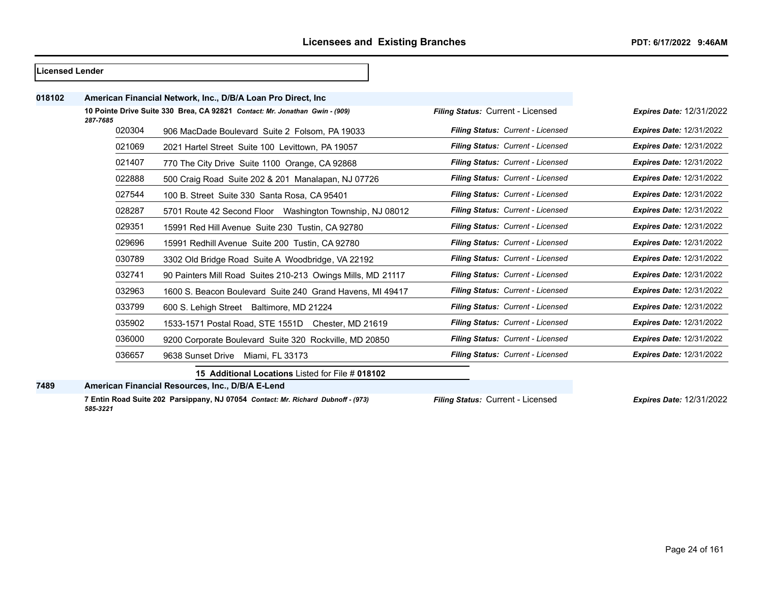| Licensed Lender |          |                                                                             |                                   |                                 |
|-----------------|----------|-----------------------------------------------------------------------------|-----------------------------------|---------------------------------|
| 018102          |          | American Financial Network, Inc., D/B/A Loan Pro Direct, Inc.               |                                   |                                 |
|                 | 287-7685 | 10 Pointe Drive Suite 330 Brea, CA 92821 Contact: Mr. Jonathan Gwin - (909) | Filing Status: Current - Licensed | <b>Expires Date: 12/31/2022</b> |
|                 | 020304   | 906 MacDade Boulevard Suite 2 Folsom, PA 19033                              | Filing Status: Current - Licensed | <b>Expires Date: 12/31/2022</b> |
|                 | 021069   | 2021 Hartel Street Suite 100 Levittown, PA 19057                            | Filing Status: Current - Licensed | <b>Expires Date: 12/31/2022</b> |
|                 | 021407   | 770 The City Drive Suite 1100 Orange, CA 92868                              | Filing Status: Current - Licensed | <b>Expires Date: 12/31/2022</b> |
|                 | 022888   | 500 Craig Road Suite 202 & 201 Manalapan, NJ 07726                          | Filing Status: Current - Licensed | <b>Expires Date: 12/31/2022</b> |
|                 | 027544   | 100 B. Street Suite 330 Santa Rosa, CA 95401                                | Filing Status: Current - Licensed | <b>Expires Date: 12/31/2022</b> |
|                 | 028287   | 5701 Route 42 Second Floor Washington Township, NJ 08012                    | Filing Status: Current - Licensed | <b>Expires Date: 12/31/2022</b> |
|                 | 029351   | 15991 Red Hill Avenue Suite 230 Tustin, CA 92780                            | Filing Status: Current - Licensed | <b>Expires Date: 12/31/2022</b> |
|                 | 029696   | 15991 Redhill Avenue Suite 200 Tustin, CA 92780                             | Filing Status: Current - Licensed | <b>Expires Date: 12/31/2022</b> |
|                 | 030789   | 3302 Old Bridge Road Suite A Woodbridge, VA 22192                           | Filing Status: Current - Licensed | <b>Expires Date: 12/31/2022</b> |
|                 | 032741   | 90 Painters Mill Road Suites 210-213 Owings Mills, MD 21117                 | Filing Status: Current - Licensed | <b>Expires Date: 12/31/2022</b> |
|                 | 032963   | 1600 S. Beacon Boulevard Suite 240 Grand Havens, MI 49417                   | Filing Status: Current - Licensed | <b>Expires Date: 12/31/2022</b> |
|                 | 033799   | 600 S. Lehigh Street Baltimore, MD 21224                                    | Filing Status: Current - Licensed | <b>Expires Date: 12/31/2022</b> |
|                 | 035902   | 1533-1571 Postal Road, STE 1551D Chester, MD 21619                          | Filing Status: Current - Licensed | <b>Expires Date: 12/31/2022</b> |
|                 | 036000   | 9200 Corporate Boulevard Suite 320 Rockville, MD 20850                      | Filing Status: Current - Licensed | <b>Expires Date: 12/31/2022</b> |
|                 | 036657   | 9638 Sunset Drive<br>Miami, FL 33173                                        | Filing Status: Current - Licensed | <b>Expires Date: 12/31/2022</b> |
|                 |          | 15 Additional Locations Listed for File # 018102                            |                                   |                                 |

**American Financial Resources, Inc., D/B/A E-Lend**

**7 Entin Road Suite 202 Parsippany, NJ 07054** *Contact: Mr. Richard Dubnoff - (973) 585-3221*

*Filing Status:* Current - Licensed *Expires Date:* 12/31/2022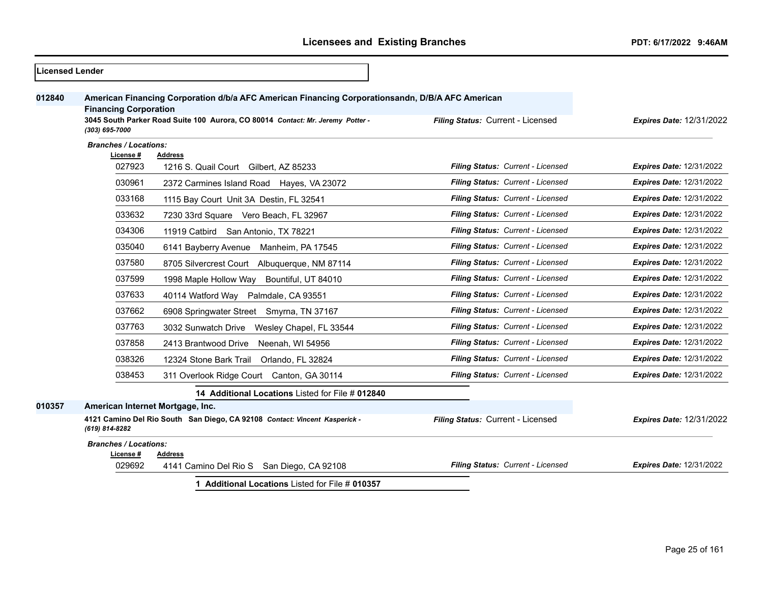| <b>Licensed Lender</b> |                                  |                                                                                                  |                                   |                                 |
|------------------------|----------------------------------|--------------------------------------------------------------------------------------------------|-----------------------------------|---------------------------------|
| 012840                 | <b>Financing Corporation</b>     | American Financing Corporation d/b/a AFC American Financing Corporationsandn, D/B/A AFC American |                                   |                                 |
|                        | (303) 695-7000                   | 3045 South Parker Road Suite 100 Aurora, CO 80014 Contact: Mr. Jeremy Potter -                   | Filing Status: Current - Licensed | <b>Expires Date: 12/31/2022</b> |
|                        | <b>Branches / Locations:</b>     |                                                                                                  |                                   |                                 |
|                        | License #<br>027923              | <b>Address</b><br>1216 S. Quail Court Gilbert, AZ 85233                                          | Filing Status: Current - Licensed | <b>Expires Date: 12/31/2022</b> |
|                        | 030961                           | 2372 Carmines Island Road Hayes, VA 23072                                                        | Filing Status: Current - Licensed | <b>Expires Date: 12/31/2022</b> |
|                        | 033168                           | 1115 Bay Court Unit 3A Destin, FL 32541                                                          | Filing Status: Current - Licensed | <b>Expires Date: 12/31/2022</b> |
|                        | 033632                           | 7230 33rd Square Vero Beach, FL 32967                                                            | Filing Status: Current - Licensed | <b>Expires Date: 12/31/2022</b> |
|                        | 034306                           | 11919 Catbird San Antonio, TX 78221                                                              | Filing Status: Current - Licensed | <b>Expires Date: 12/31/2022</b> |
|                        | 035040                           | 6141 Bayberry Avenue<br>Manheim, PA 17545                                                        | Filing Status: Current - Licensed | <b>Expires Date: 12/31/2022</b> |
|                        | 037580                           | 8705 Silvercrest Court Albuguergue, NM 87114                                                     | Filing Status: Current - Licensed | <b>Expires Date: 12/31/2022</b> |
|                        | 037599                           | 1998 Maple Hollow Way Bountiful, UT 84010                                                        | Filing Status: Current - Licensed | <b>Expires Date: 12/31/2022</b> |
|                        | 037633                           | 40114 Watford Way Palmdale, CA 93551                                                             | Filing Status: Current - Licensed | <b>Expires Date: 12/31/2022</b> |
|                        | 037662                           | 6908 Springwater Street Smyrna, TN 37167                                                         | Filing Status: Current - Licensed | <b>Expires Date: 12/31/2022</b> |
|                        | 037763                           | 3032 Sunwatch Drive Wesley Chapel, FL 33544                                                      | Filing Status: Current - Licensed | <b>Expires Date: 12/31/2022</b> |
|                        | 037858                           | 2413 Brantwood Drive<br>Neenah, WI 54956                                                         | Filing Status: Current - Licensed | <b>Expires Date: 12/31/2022</b> |
|                        | 038326                           | 12324 Stone Bark Trail<br>Orlando, FL 32824                                                      | Filing Status: Current - Licensed | <b>Expires Date: 12/31/2022</b> |
|                        | 038453                           | 311 Overlook Ridge Court Canton, GA 30114                                                        | Filing Status: Current - Licensed | <b>Expires Date: 12/31/2022</b> |
|                        |                                  | 14 Additional Locations Listed for File # 012840                                                 |                                   |                                 |
| 010357                 | American Internet Mortgage, Inc. |                                                                                                  |                                   |                                 |
|                        | (619) 814-8282                   | 4121 Camino Del Rio South San Diego, CA 92108 Contact: Vincent Kasperick -                       | Filing Status: Current - Licensed | <b>Expires Date: 12/31/2022</b> |
|                        | <b>Branches / Locations:</b>     |                                                                                                  |                                   |                                 |
|                        | License #<br>029692              | <b>Address</b><br>4141 Camino Del Rio S San Diego, CA 92108                                      | Filing Status: Current - Licensed | <b>Expires Date: 12/31/2022</b> |
|                        |                                  | 1 Additional Locations Listed for File # 010357                                                  |                                   |                                 |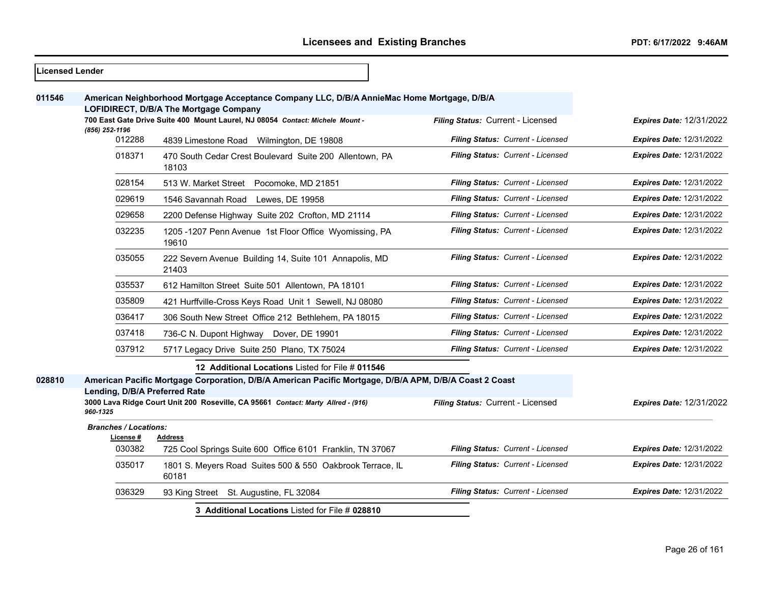┑

| <b>Licensed Lender</b> |                                                                                                                                      |                                                                                                                                                                                            |                                   |                                 |
|------------------------|--------------------------------------------------------------------------------------------------------------------------------------|--------------------------------------------------------------------------------------------------------------------------------------------------------------------------------------------|-----------------------------------|---------------------------------|
| 011546                 | American Neighborhood Mortgage Acceptance Company LLC, D/B/A AnnieMac Home Mortgage, D/B/A<br>LOFIDIRECT, D/B/A The Mortgage Company |                                                                                                                                                                                            |                                   |                                 |
|                        | (856) 252-1196                                                                                                                       | 700 East Gate Drive Suite 400 Mount Laurel, NJ 08054 Contact: Michele Mount -                                                                                                              | Filing Status: Current - Licensed | <b>Expires Date: 12/31/2022</b> |
|                        | 012288                                                                                                                               | 4839 Limestone Road Wilmington, DE 19808                                                                                                                                                   | Filing Status: Current - Licensed | Expires Date: 12/31/2022        |
|                        | 018371                                                                                                                               | 470 South Cedar Crest Boulevard Suite 200 Allentown, PA<br>18103                                                                                                                           | Filing Status: Current - Licensed | Expires Date: 12/31/2022        |
|                        | 028154                                                                                                                               | 513 W. Market Street Pocomoke, MD 21851                                                                                                                                                    | Filing Status: Current - Licensed | <b>Expires Date: 12/31/2022</b> |
|                        | 029619                                                                                                                               | 1546 Savannah Road<br>Lewes, DE 19958                                                                                                                                                      | Filing Status: Current - Licensed | <b>Expires Date: 12/31/2022</b> |
|                        | 029658                                                                                                                               | 2200 Defense Highway Suite 202 Crofton, MD 21114                                                                                                                                           | Filing Status: Current - Licensed | <b>Expires Date: 12/31/2022</b> |
|                        | 032235                                                                                                                               | 1205 -1207 Penn Avenue 1st Floor Office Wyomissing, PA<br>19610                                                                                                                            | Filing Status: Current - Licensed | <b>Expires Date: 12/31/2022</b> |
|                        | 035055                                                                                                                               | 222 Severn Avenue Building 14, Suite 101 Annapolis, MD<br>21403                                                                                                                            | Filing Status: Current - Licensed | <b>Expires Date: 12/31/2022</b> |
|                        | 035537                                                                                                                               | 612 Hamilton Street Suite 501 Allentown, PA 18101                                                                                                                                          | Filing Status: Current - Licensed | <b>Expires Date: 12/31/2022</b> |
|                        | 035809                                                                                                                               | 421 Hurffville-Cross Keys Road Unit 1 Sewell, NJ 08080                                                                                                                                     | Filing Status: Current - Licensed | <b>Expires Date: 12/31/2022</b> |
|                        | 036417                                                                                                                               | 306 South New Street Office 212 Bethlehem, PA 18015                                                                                                                                        | Filing Status: Current - Licensed | <b>Expires Date: 12/31/2022</b> |
|                        | 037418                                                                                                                               | 736-C N. Dupont Highway Dover, DE 19901                                                                                                                                                    | Filing Status: Current - Licensed | <b>Expires Date: 12/31/2022</b> |
|                        | 037912                                                                                                                               | 5717 Legacy Drive Suite 250 Plano, TX 75024                                                                                                                                                | Filing Status: Current - Licensed | <b>Expires Date: 12/31/2022</b> |
|                        |                                                                                                                                      | 12 Additional Locations Listed for File # 011546                                                                                                                                           |                                   |                                 |
| 028810                 | Lending, D/B/A Preferred Rate                                                                                                        | American Pacific Mortgage Corporation, D/B/A American Pacific Mortgage, D/B/A APM, D/B/A Coast 2 Coast<br>3000 Lava Ridge Court Unit 200 Roseville, CA 95661 Contact: Marty Allred - (916) | Filing Status: Current - Licensed | <b>Expires Date: 12/31/2022</b> |
|                        | 960-1325                                                                                                                             |                                                                                                                                                                                            |                                   |                                 |
|                        | <b>Branches / Locations:</b><br>License #                                                                                            | Address                                                                                                                                                                                    |                                   |                                 |
|                        | 030382                                                                                                                               | 725 Cool Springs Suite 600 Office 6101 Franklin, TN 37067                                                                                                                                  | Filing Status: Current - Licensed | <b>Expires Date: 12/31/2022</b> |
|                        | 035017                                                                                                                               | 1801 S. Meyers Road Suites 500 & 550 Oakbrook Terrace, IL<br>60181                                                                                                                         | Filing Status: Current - Licensed | <b>Expires Date: 12/31/2022</b> |
|                        | 036329                                                                                                                               | 93 King Street St. Augustine, FL 32084                                                                                                                                                     | Filing Status: Current - Licensed | <b>Expires Date: 12/31/2022</b> |
|                        |                                                                                                                                      | 3 Additional Locations Listed for File # 028810                                                                                                                                            |                                   |                                 |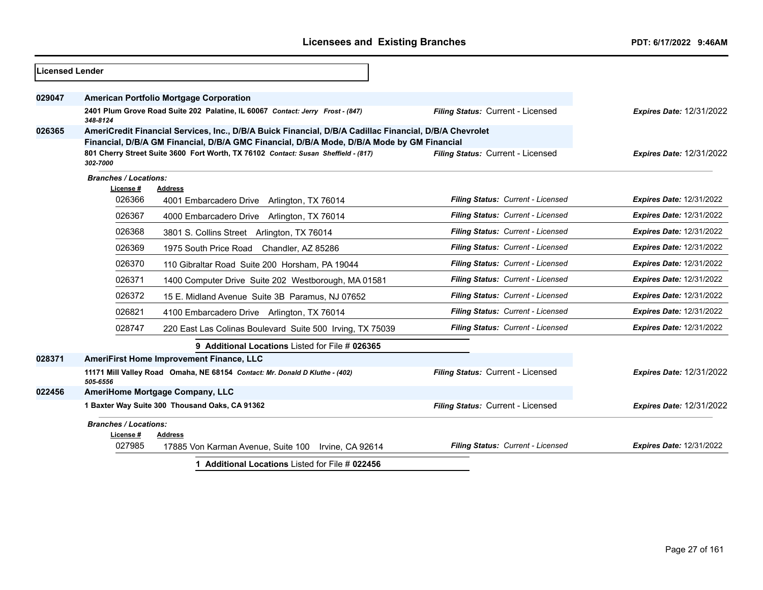| Licensed Lender |                                           |                                                                                                                                                                                                      |                                   |                                 |
|-----------------|-------------------------------------------|------------------------------------------------------------------------------------------------------------------------------------------------------------------------------------------------------|-----------------------------------|---------------------------------|
| 029047          |                                           | <b>American Portfolio Mortgage Corporation</b>                                                                                                                                                       |                                   |                                 |
|                 | 348-8124                                  | 2401 Plum Grove Road Suite 202 Palatine, IL 60067 Contact: Jerry Frost - (847)                                                                                                                       | Filing Status: Current - Licensed | <b>Expires Date: 12/31/2022</b> |
| 026365          |                                           | AmeriCredit Financial Services, Inc., D/B/A Buick Financial, D/B/A Cadillac Financial, D/B/A Chevrolet<br>Financial, D/B/A GM Financial, D/B/A GMC Financial, D/B/A Mode, D/B/A Mode by GM Financial |                                   |                                 |
|                 | 302-7000                                  | 801 Cherry Street Suite 3600 Fort Worth, TX 76102 Contact: Susan Sheffield - (817)                                                                                                                   | Filing Status: Current - Licensed | <b>Expires Date: 12/31/2022</b> |
|                 | <b>Branches / Locations:</b><br>License # | <b>Address</b>                                                                                                                                                                                       |                                   |                                 |
|                 | 026366                                    | 4001 Embarcadero Drive Arlington, TX 76014                                                                                                                                                           | Filing Status: Current - Licensed | <b>Expires Date: 12/31/2022</b> |
|                 | 026367                                    | 4000 Embarcadero Drive Arlington, TX 76014                                                                                                                                                           | Filing Status: Current - Licensed | <b>Expires Date: 12/31/2022</b> |
|                 | 026368                                    | 3801 S. Collins Street Arlington, TX 76014                                                                                                                                                           | Filing Status: Current - Licensed | <b>Expires Date: 12/31/2022</b> |
|                 | 026369                                    | 1975 South Price Road Chandler, AZ 85286                                                                                                                                                             | Filing Status: Current - Licensed | <b>Expires Date: 12/31/2022</b> |
|                 | 026370                                    | 110 Gibraltar Road Suite 200 Horsham, PA 19044                                                                                                                                                       | Filing Status: Current - Licensed | <b>Expires Date: 12/31/2022</b> |
|                 | 026371                                    | 1400 Computer Drive Suite 202 Westborough, MA 01581                                                                                                                                                  | Filing Status: Current - Licensed | <b>Expires Date: 12/31/2022</b> |
|                 | 026372                                    | 15 E. Midland Avenue Suite 3B Paramus, NJ 07652                                                                                                                                                      | Filing Status: Current - Licensed | <b>Expires Date: 12/31/2022</b> |
|                 | 026821                                    | 4100 Embarcadero Drive Arlington, TX 76014                                                                                                                                                           | Filing Status: Current - Licensed | <b>Expires Date: 12/31/2022</b> |
|                 | 028747                                    | 220 East Las Colinas Boulevard Suite 500 Irving, TX 75039                                                                                                                                            | Filing Status: Current - Licensed | <b>Expires Date: 12/31/2022</b> |
|                 |                                           | 9 Additional Locations Listed for File # 026365                                                                                                                                                      |                                   |                                 |
| 028371          |                                           | <b>AmeriFirst Home Improvement Finance, LLC</b>                                                                                                                                                      |                                   |                                 |
|                 | 505-6556                                  | 11171 Mill Valley Road Omaha, NE 68154 Contact: Mr. Donald D Kluthe - (402)                                                                                                                          | Filing Status: Current - Licensed | <b>Expires Date: 12/31/2022</b> |
| 022456          |                                           | AmeriHome Mortgage Company, LLC                                                                                                                                                                      |                                   |                                 |
|                 |                                           | 1 Baxter Way Suite 300 Thousand Oaks, CA 91362                                                                                                                                                       | Filing Status: Current - Licensed | <b>Expires Date: 12/31/2022</b> |
|                 | <b>Branches / Locations:</b><br>License#  | <b>Address</b>                                                                                                                                                                                       |                                   |                                 |
|                 | 027985                                    | 17885 Von Karman Avenue, Suite 100 Irvine, CA 92614                                                                                                                                                  | Filing Status: Current - Licensed | <b>Expires Date: 12/31/2022</b> |
|                 |                                           |                                                                                                                                                                                                      |                                   |                                 |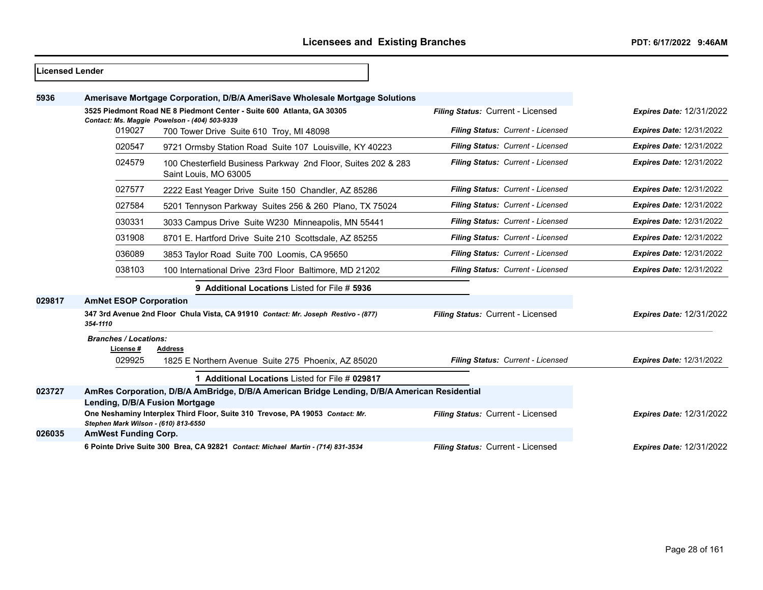| Licensed Lender |                                      |                                                                                              |                                   |                                 |
|-----------------|--------------------------------------|----------------------------------------------------------------------------------------------|-----------------------------------|---------------------------------|
| 5936            |                                      | Amerisave Mortgage Corporation, D/B/A AmeriSave Wholesale Mortgage Solutions                 |                                   |                                 |
|                 |                                      | 3525 Piedmont Road NE 8 Piedmont Center - Suite 600 Atlanta, GA 30305                        | Filing Status: Current - Licensed | <b>Expires Date: 12/31/2022</b> |
|                 | 019027                               | Contact: Ms. Maggie Powelson - (404) 503-9339<br>700 Tower Drive Suite 610 Troy, MI 48098    | Filing Status: Current - Licensed | <b>Expires Date: 12/31/2022</b> |
|                 | 020547                               | 9721 Ormsby Station Road Suite 107 Louisville, KY 40223                                      | Filing Status: Current - Licensed | <b>Expires Date: 12/31/2022</b> |
|                 | 024579                               | 100 Chesterfield Business Parkway 2nd Floor, Suites 202 & 283<br>Saint Louis, MO 63005       | Filing Status: Current - Licensed | <b>Expires Date: 12/31/2022</b> |
|                 | 027577                               | 2222 East Yeager Drive Suite 150 Chandler, AZ 85286                                          | Filing Status: Current - Licensed | <b>Expires Date: 12/31/2022</b> |
|                 | 027584                               | 5201 Tennyson Parkway Suites 256 & 260 Plano, TX 75024                                       | Filing Status: Current - Licensed | <b>Expires Date: 12/31/2022</b> |
|                 | 030331                               | 3033 Campus Drive Suite W230 Minneapolis, MN 55441                                           | Filing Status: Current - Licensed | <b>Expires Date: 12/31/2022</b> |
|                 | 031908                               | 8701 E. Hartford Drive Suite 210 Scottsdale, AZ 85255                                        | Filing Status: Current - Licensed | <b>Expires Date: 12/31/2022</b> |
|                 | 036089                               | 3853 Taylor Road Suite 700 Loomis, CA 95650                                                  | Filing Status: Current - Licensed | <b>Expires Date: 12/31/2022</b> |
|                 | 038103                               | 100 International Drive 23rd Floor Baltimore, MD 21202                                       | Filing Status: Current - Licensed | <b>Expires Date: 12/31/2022</b> |
|                 |                                      | 9 Additional Locations Listed for File # 5936                                                |                                   |                                 |
| 029817          | <b>AmNet ESOP Corporation</b>        |                                                                                              |                                   |                                 |
|                 | 354-1110                             | 347 3rd Avenue 2nd Floor Chula Vista, CA 91910 Contact: Mr. Joseph Restivo - (877)           | Filing Status: Current - Licensed | <b>Expires Date: 12/31/2022</b> |
|                 | <b>Branches / Locations:</b>         |                                                                                              |                                   |                                 |
|                 | License #<br>029925                  | Address<br>1825 E Northern Avenue Suite 275 Phoenix, AZ 85020                                | Filing Status: Current - Licensed | <b>Expires Date: 12/31/2022</b> |
|                 |                                      | 1 Additional Locations Listed for File # 029817                                              |                                   |                                 |
| 023727          | Lending, D/B/A Fusion Mortgage       | AmRes Corporation, D/B/A AmBridge, D/B/A American Bridge Lending, D/B/A American Residential |                                   |                                 |
|                 | Stephen Mark Wilson - (610) 813-6550 | One Neshaminy Interplex Third Floor, Suite 310 Trevose, PA 19053 Contact: Mr.                | Filing Status: Current - Licensed | <b>Expires Date: 12/31/2022</b> |
| 026035          | <b>AmWest Funding Corp.</b>          |                                                                                              |                                   |                                 |
|                 |                                      | 6 Pointe Drive Suite 300 Brea, CA 92821 Contact: Michael Martin - (714) 831-3534             | Filing Status: Current - Licensed | <b>Expires Date: 12/31/2022</b> |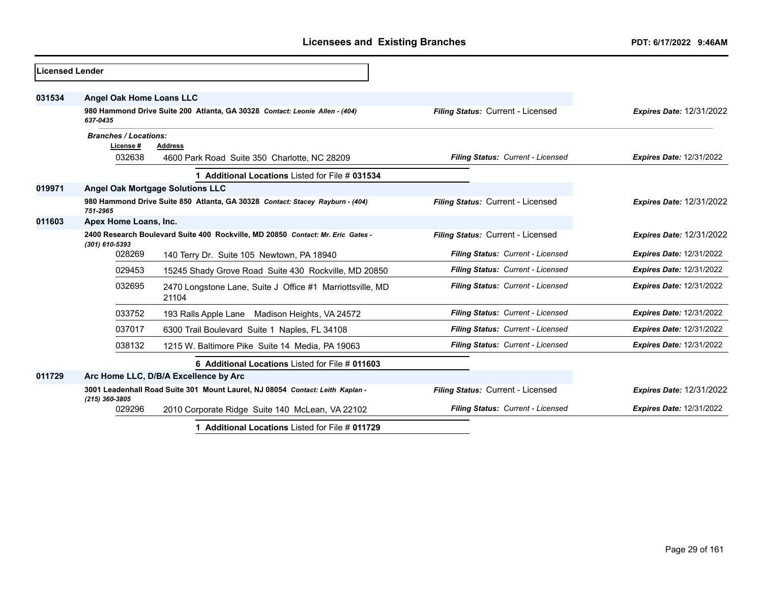| Licensed Lender |                                                                                                   |                                                                               |                                   |                                 |
|-----------------|---------------------------------------------------------------------------------------------------|-------------------------------------------------------------------------------|-----------------------------------|---------------------------------|
| 031534          | Angel Oak Home Loans LLC                                                                          |                                                                               |                                   |                                 |
|                 | 637-0435                                                                                          | 980 Hammond Drive Suite 200 Atlanta, GA 30328 Contact: Leonie Allen - (404)   | Filing Status: Current - Licensed | <b>Expires Date: 12/31/2022</b> |
|                 | <b>Branches / Locations:</b>                                                                      |                                                                               |                                   |                                 |
|                 | License#<br>032638                                                                                | <b>Address</b><br>4600 Park Road Suite 350 Charlotte, NC 28209                | Filing Status: Current - Licensed | <b>Expires Date: 12/31/2022</b> |
|                 |                                                                                                   | 1 Additional Locations Listed for File # 031534                               |                                   |                                 |
| 019971          |                                                                                                   | <b>Angel Oak Mortgage Solutions LLC</b>                                       |                                   |                                 |
|                 | 751-2965                                                                                          | 980 Hammond Drive Suite 850 Atlanta, GA 30328 Contact: Stacey Rayburn - (404) | Filing Status: Current - Licensed | <b>Expires Date: 12/31/2022</b> |
| 011603          | Apex Home Loans, Inc.                                                                             |                                                                               |                                   |                                 |
|                 | 2400 Research Boulevard Suite 400 Rockville, MD 20850 Contact: Mr. Eric Gates -<br>(301) 610-5393 |                                                                               | Filing Status: Current - Licensed | <b>Expires Date: 12/31/2022</b> |
|                 | 028269                                                                                            | 140 Terry Dr. Suite 105 Newtown, PA 18940                                     | Filing Status: Current - Licensed | <b>Expires Date: 12/31/2022</b> |
|                 | 029453                                                                                            | 15245 Shady Grove Road Suite 430 Rockville, MD 20850                          | Filing Status: Current - Licensed | <b>Expires Date: 12/31/2022</b> |
|                 | 032695                                                                                            | 2470 Longstone Lane, Suite J Office #1 Marriottsville, MD<br>21104            | Filing Status: Current - Licensed | <b>Expires Date: 12/31/2022</b> |
|                 | 033752                                                                                            | 193 Ralls Apple Lane Madison Heights, VA 24572                                | Filing Status: Current - Licensed | <b>Expires Date: 12/31/2022</b> |
|                 | 037017                                                                                            | 6300 Trail Boulevard Suite 1 Naples, FL 34108                                 | Filing Status: Current - Licensed | <b>Expires Date: 12/31/2022</b> |
|                 | 038132                                                                                            | 1215 W. Baltimore Pike Suite 14 Media, PA 19063                               | Filing Status: Current - Licensed | Expires Date: 12/31/2022        |
|                 |                                                                                                   | 6 Additional Locations Listed for File # 011603                               |                                   |                                 |
| 011729          |                                                                                                   | Arc Home LLC, D/B/A Excellence by Arc                                         |                                   |                                 |
|                 | $(215)$ 360-3805                                                                                  | 3001 Leadenhall Road Suite 301 Mount Laurel, NJ 08054 Contact: Leith Kaplan - | Filing Status: Current - Licensed | <b>Expires Date: 12/31/2022</b> |
|                 | 029296                                                                                            | 2010 Corporate Ridge Suite 140 McLean, VA 22102                               | Filing Status: Current - Licensed | <b>Expires Date: 12/31/2022</b> |
|                 |                                                                                                   | 1 Additional Locations Listed for File # 011729                               |                                   |                                 |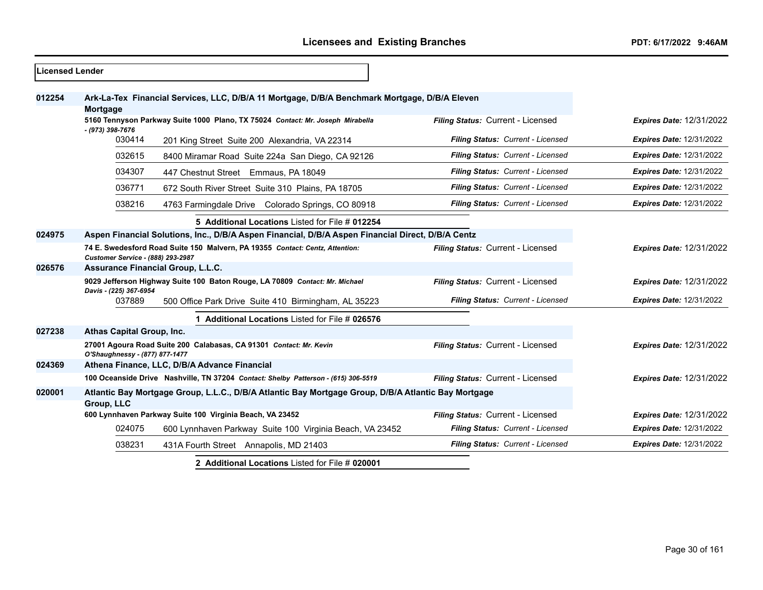| <b>ILicensed Lender</b> |                                                                                                                   |                                   |                                 |
|-------------------------|-------------------------------------------------------------------------------------------------------------------|-----------------------------------|---------------------------------|
| 012254                  | Ark-La-Tex Financial Services, LLC, D/B/A 11 Mortgage, D/B/A Benchmark Mortgage, D/B/A Eleven<br><b>Mortgage</b>  |                                   |                                 |
|                         | 5160 Tennyson Parkway Suite 1000 Plano, TX 75024 Contact: Mr. Joseph Mirabella                                    | Filing Status: Current - Licensed | <b>Expires Date: 12/31/2022</b> |
|                         | - (973) 398-7676<br>030414<br>201 King Street Suite 200 Alexandria, VA 22314                                      | Filing Status: Current - Licensed | <b>Expires Date: 12/31/2022</b> |
|                         | 032615<br>8400 Miramar Road Suite 224a San Diego, CA 92126                                                        | Filing Status: Current - Licensed | <b>Expires Date: 12/31/2022</b> |
|                         | 034307<br>447 Chestnut Street Emmaus, PA 18049                                                                    | Filing Status: Current - Licensed | <b>Expires Date: 12/31/2022</b> |
|                         | 036771<br>672 South River Street Suite 310 Plains, PA 18705                                                       | Filing Status: Current - Licensed | <b>Expires Date: 12/31/2022</b> |
|                         | 038216<br>4763 Farmingdale Drive Colorado Springs, CO 80918                                                       | Filing Status: Current - Licensed | <b>Expires Date: 12/31/2022</b> |
|                         | 5 Additional Locations Listed for File # 012254                                                                   |                                   |                                 |
| 024975                  | Aspen Financial Solutions, Inc., D/B/A Aspen Financial, D/B/A Aspen Financial Direct, D/B/A Centz                 |                                   |                                 |
|                         | 74 E. Swedesford Road Suite 150 Malvern, PA 19355 Contact: Centz, Attention:<br>Customer Service - (888) 293-2987 | Filing Status: Current - Licensed | <b>Expires Date: 12/31/2022</b> |
| 026576                  | <b>Assurance Financial Group, L.L.C.</b>                                                                          |                                   |                                 |
|                         | 9029 Jefferson Highway Suite 100 Baton Rouge, LA 70809 Contact: Mr. Michael<br>Davis - (225) 367-6954             | Filing Status: Current - Licensed | <b>Expires Date: 12/31/2022</b> |
|                         | 037889<br>500 Office Park Drive Suite 410 Birmingham, AL 35223                                                    | Filing Status: Current - Licensed | <b>Expires Date: 12/31/2022</b> |
|                         | 1 Additional Locations Listed for File # 026576                                                                   |                                   |                                 |
| 027238                  | Athas Capital Group, Inc.                                                                                         |                                   |                                 |
|                         | 27001 Agoura Road Suite 200 Calabasas, CA 91301 Contact: Mr. Kevin<br>O'Shaughnessy - (877) 877-1477              | Filing Status: Current - Licensed | <b>Expires Date: 12/31/2022</b> |
| 024369                  | Athena Finance, LLC, D/B/A Advance Financial                                                                      |                                   |                                 |
|                         | 100 Oceanside Drive Nashville, TN 37204 Contact: Shelby Patterson - (615) 306-5519                                | Filing Status: Current - Licensed | <b>Expires Date: 12/31/2022</b> |
| 020001                  | Atlantic Bay Mortgage Group, L.L.C., D/B/A Atlantic Bay Mortgage Group, D/B/A Atlantic Bay Mortgage               |                                   |                                 |
|                         | <b>Group, LLC</b>                                                                                                 |                                   |                                 |
|                         | 600 Lynnhaven Parkway Suite 100 Virginia Beach, VA 23452                                                          | Filing Status: Current - Licensed | <b>Expires Date: 12/31/2022</b> |
|                         | 024075<br>600 Lynnhaven Parkway Suite 100 Virginia Beach, VA 23452                                                | Filing Status: Current - Licensed | <b>Expires Date: 12/31/2022</b> |
|                         | 038231<br>431A Fourth Street Annapolis, MD 21403                                                                  | Filing Status: Current - Licensed | <b>Expires Date: 12/31/2022</b> |
|                         | 2 Additional Locations Listed for File # 020001                                                                   |                                   |                                 |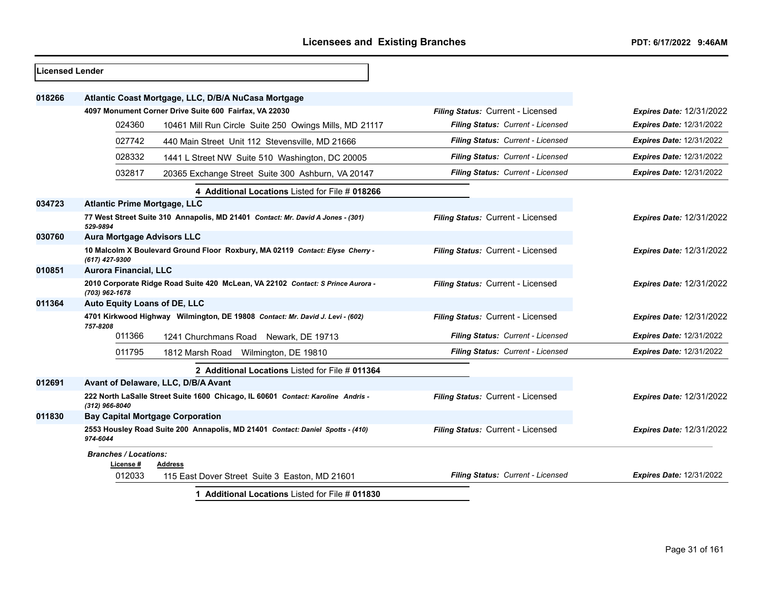| <b>Licensed Lender</b> |                                           |                                                                                  |                                   |                                 |
|------------------------|-------------------------------------------|----------------------------------------------------------------------------------|-----------------------------------|---------------------------------|
| 018266                 |                                           | Atlantic Coast Mortgage, LLC, D/B/A NuCasa Mortgage                              |                                   |                                 |
|                        |                                           | 4097 Monument Corner Drive Suite 600 Fairfax, VA 22030                           | Filing Status: Current - Licensed | <b>Expires Date: 12/31/2022</b> |
|                        | 024360                                    | 10461 Mill Run Circle Suite 250 Owings Mills, MD 21117                           | Filing Status: Current - Licensed | <b>Expires Date: 12/31/2022</b> |
|                        | 027742                                    | 440 Main Street Unit 112 Stevensville, MD 21666                                  | Filing Status: Current - Licensed | <b>Expires Date: 12/31/2022</b> |
|                        | 028332                                    | 1441 L Street NW Suite 510 Washington, DC 20005                                  | Filing Status: Current - Licensed | <b>Expires Date: 12/31/2022</b> |
|                        | 032817                                    | 20365 Exchange Street Suite 300 Ashburn, VA 20147                                | Filing Status: Current - Licensed | <b>Expires Date: 12/31/2022</b> |
|                        |                                           | 4 Additional Locations Listed for File # 018266                                  |                                   |                                 |
| 034723                 | <b>Atlantic Prime Mortgage, LLC</b>       |                                                                                  |                                   |                                 |
|                        | 529-9894                                  | 77 West Street Suite 310 Annapolis, MD 21401 Contact: Mr. David A Jones - (301)  | Filing Status: Current - Licensed | <b>Expires Date: 12/31/2022</b> |
| 030760                 | <b>Aura Mortgage Advisors LLC</b>         |                                                                                  |                                   |                                 |
|                        | (617) 427-9300                            | 10 Malcolm X Boulevard Ground Floor Roxbury, MA 02119 Contact: Elyse Cherry -    | Filing Status: Current - Licensed | <b>Expires Date: 12/31/2022</b> |
| 010851                 | <b>Aurora Financial, LLC</b>              |                                                                                  |                                   |                                 |
|                        | (703) 962-1678                            | 2010 Corporate Ridge Road Suite 420 McLean, VA 22102 Contact: S Prince Aurora -  | Filing Status: Current - Licensed | <b>Expires Date: 12/31/2022</b> |
| 011364                 | Auto Equity Loans of DE, LLC              |                                                                                  |                                   |                                 |
|                        | 757-8208                                  | 4701 Kirkwood Highway Wilmington, DE 19808 Contact: Mr. David J. Levi - (602)    | Filing Status: Current - Licensed | <b>Expires Date: 12/31/2022</b> |
|                        | 011366                                    | 1241 Churchmans Road Newark, DE 19713                                            | Filing Status: Current - Licensed | <b>Expires Date: 12/31/2022</b> |
|                        | 011795                                    | 1812 Marsh Road<br>Wilmington, DE 19810                                          | Filing Status: Current - Licensed | Expires Date: 12/31/2022        |
|                        |                                           | 2 Additional Locations Listed for File # 011364                                  |                                   |                                 |
| 012691                 |                                           | Avant of Delaware, LLC, D/B/A Avant                                              |                                   |                                 |
|                        | (312) 966-8040                            | 222 North LaSalle Street Suite 1600 Chicago, IL 60601 Contact: Karoline Andris - | Filing Status: Current - Licensed | <b>Expires Date: 12/31/2022</b> |
| 011830                 |                                           | <b>Bay Capital Mortgage Corporation</b>                                          |                                   |                                 |
|                        | 974-6044                                  | 2553 Housley Road Suite 200 Annapolis, MD 21401 Contact: Daniel Spotts - (410)   | Filing Status: Current - Licensed | <b>Expires Date: 12/31/2022</b> |
|                        | <b>Branches / Locations:</b><br>License # | <b>Address</b>                                                                   |                                   |                                 |
|                        | 012033                                    | 115 East Dover Street Suite 3 Easton, MD 21601                                   | Filing Status: Current - Licensed | <b>Expires Date: 12/31/2022</b> |
|                        |                                           | 1 Additional Locations Listed for File # 011830                                  |                                   |                                 |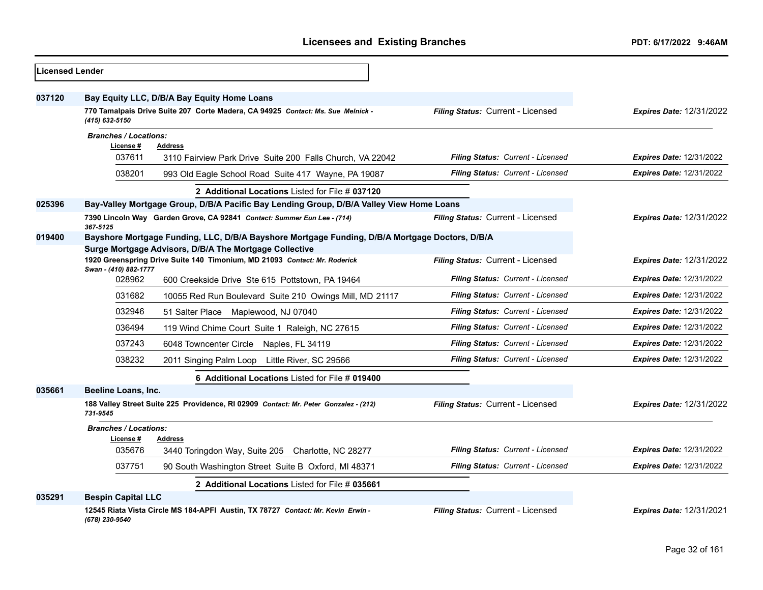| Licensed Lender |                                                                                                            |                                   |                                 |
|-----------------|------------------------------------------------------------------------------------------------------------|-----------------------------------|---------------------------------|
| 037120          | Bay Equity LLC, D/B/A Bay Equity Home Loans                                                                |                                   |                                 |
|                 | 770 Tamalpais Drive Suite 207 Corte Madera, CA 94925 Contact: Ms. Sue Melnick -<br>(415) 632-5150          | Filing Status: Current - Licensed | <b>Expires Date: 12/31/2022</b> |
|                 | <b>Branches / Locations:</b>                                                                               |                                   |                                 |
|                 | License #<br><b>Address</b><br>037611<br>3110 Fairview Park Drive Suite 200 Falls Church, VA 22042         | Filing Status: Current - Licensed | <b>Expires Date: 12/31/2022</b> |
|                 | 038201<br>993 Old Eagle School Road Suite 417 Wayne, PA 19087                                              | Filing Status: Current - Licensed | <b>Expires Date: 12/31/2022</b> |
|                 | 2 Additional Locations Listed for File # 037120                                                            |                                   |                                 |
| 025396          | Bay-Valley Mortgage Group, D/B/A Pacific Bay Lending Group, D/B/A Valley View Home Loans                   |                                   |                                 |
|                 | 7390 Lincoln Way Garden Grove, CA 92841 Contact: Summer Eun Lee - (714)                                    | Filing Status: Current - Licensed | <b>Expires Date: 12/31/2022</b> |
| 019400          | 367-5125<br>Bayshore Mortgage Funding, LLC, D/B/A Bayshore Mortgage Funding, D/B/A Mortgage Doctors, D/B/A |                                   |                                 |
|                 | Surge Mortgage Advisors, D/B/A The Mortgage Collective                                                     |                                   |                                 |
|                 | 1920 Greenspring Drive Suite 140 Timonium, MD 21093 Contact: Mr. Roderick<br>Swan - (410) 882-1777         | Filing Status: Current - Licensed | <b>Expires Date: 12/31/2022</b> |
|                 | 028962<br>600 Creekside Drive Ste 615 Pottstown, PA 19464                                                  | Filing Status: Current - Licensed | <b>Expires Date: 12/31/2022</b> |
|                 | 031682<br>10055 Red Run Boulevard Suite 210 Owings Mill, MD 21117                                          | Filing Status: Current - Licensed | <b>Expires Date: 12/31/2022</b> |
|                 | 032946<br>51 Salter Place Maplewood, NJ 07040                                                              | Filing Status: Current - Licensed | <b>Expires Date: 12/31/2022</b> |
|                 | 036494<br>119 Wind Chime Court Suite 1 Raleigh, NC 27615                                                   | Filing Status: Current - Licensed | <b>Expires Date: 12/31/2022</b> |
|                 | 037243<br>6048 Towncenter Circle Naples, FL 34119                                                          | Filing Status: Current - Licensed | <b>Expires Date: 12/31/2022</b> |
|                 | 038232<br>2011 Singing Palm Loop Little River, SC 29566                                                    | Filing Status: Current - Licensed | <b>Expires Date: 12/31/2022</b> |
|                 | 6 Additional Locations Listed for File # 019400                                                            |                                   |                                 |
| 035661          | Beeline Loans, Inc.                                                                                        |                                   |                                 |
|                 | 188 Valley Street Suite 225 Providence, RI 02909 Contact: Mr. Peter Gonzalez - (212)<br>731-9545           | Filing Status: Current - Licensed | <b>Expires Date: 12/31/2022</b> |
|                 | <b>Branches / Locations:</b>                                                                               |                                   |                                 |
|                 | License#<br><b>Address</b><br>035676<br>3440 Toringdon Way, Suite 205 Charlotte, NC 28277                  | Filing Status: Current - Licensed | <b>Expires Date: 12/31/2022</b> |
|                 | 037751<br>90 South Washington Street Suite B Oxford, MI 48371                                              | Filing Status: Current - Licensed | <b>Expires Date: 12/31/2022</b> |
|                 |                                                                                                            |                                   |                                 |
| 035291          | 2 Additional Locations Listed for File # 035661<br><b>Bespin Capital LLC</b>                               |                                   |                                 |
|                 | 12545 Riata Vista Circle MS 184-APFI Austin, TX 78727 Contact: Mr. Kevin Erwin -                           | Filing Status: Current - Licensed | <b>Expires Date: 12/31/2021</b> |
|                 | (678) 230-9540                                                                                             |                                   |                                 |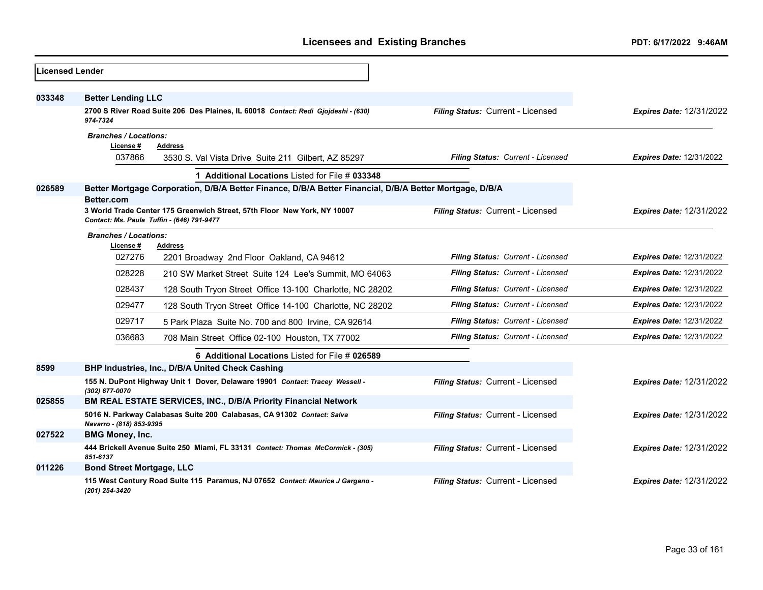| <b>Licensed Lender</b> |                                           |                                                                                                                        |                                   |                                 |
|------------------------|-------------------------------------------|------------------------------------------------------------------------------------------------------------------------|-----------------------------------|---------------------------------|
| 033348                 | <b>Better Lending LLC</b>                 |                                                                                                                        |                                   |                                 |
|                        | 974-7324                                  | 2700 S River Road Suite 206 Des Plaines, IL 60018 Contact: Redi Gjojdeshi - (630)                                      | Filing Status: Current - Licensed | <b>Expires Date: 12/31/2022</b> |
|                        | <b>Branches / Locations:</b><br>License # | <b>Address</b>                                                                                                         |                                   |                                 |
|                        | 037866                                    | 3530 S. Val Vista Drive Suite 211 Gilbert, AZ 85297                                                                    | Filing Status: Current - Licensed | <b>Expires Date: 12/31/2022</b> |
|                        |                                           | 1 Additional Locations Listed for File # 033348                                                                        |                                   |                                 |
| 026589                 | <b>Better.com</b>                         | Better Mortgage Corporation, D/B/A Better Finance, D/B/A Better Financial, D/B/A Better Mortgage, D/B/A                |                                   |                                 |
|                        |                                           | 3 World Trade Center 175 Greenwich Street, 57th Floor New York, NY 10007<br>Contact: Ms. Paula Tuffin - (646) 791-9477 | Filing Status: Current - Licensed | <b>Expires Date: 12/31/2022</b> |
|                        | <b>Branches / Locations:</b>              |                                                                                                                        |                                   |                                 |
|                        | License #<br>027276                       | <b>Address</b><br>2201 Broadway 2nd Floor Oakland, CA 94612                                                            | Filing Status: Current - Licensed | <b>Expires Date: 12/31/2022</b> |
|                        | 028228                                    | 210 SW Market Street Suite 124 Lee's Summit, MO 64063                                                                  | Filing Status: Current - Licensed | <b>Expires Date: 12/31/2022</b> |
|                        | 028437                                    | 128 South Tryon Street Office 13-100 Charlotte, NC 28202                                                               | Filing Status: Current - Licensed | <b>Expires Date: 12/31/2022</b> |
|                        | 029477                                    | 128 South Tryon Street Office 14-100 Charlotte, NC 28202                                                               | Filing Status: Current - Licensed | <b>Expires Date: 12/31/2022</b> |
|                        | 029717                                    | 5 Park Plaza Suite No. 700 and 800 Irvine, CA 92614                                                                    | Filing Status: Current - Licensed | <b>Expires Date: 12/31/2022</b> |
|                        | 036683                                    | 708 Main Street Office 02-100 Houston, TX 77002                                                                        | Filing Status: Current - Licensed | <b>Expires Date: 12/31/2022</b> |
|                        |                                           | 6 Additional Locations Listed for File # 026589                                                                        |                                   |                                 |
| 8599                   |                                           | BHP Industries, Inc., D/B/A United Check Cashing                                                                       |                                   |                                 |
|                        | (302) 677-0070                            | 155 N. DuPont Highway Unit 1 Dover, Delaware 19901 Contact: Tracey Wessell -                                           | Filing Status: Current - Licensed | <b>Expires Date: 12/31/2022</b> |
| 025855                 |                                           | BM REAL ESTATE SERVICES, INC., D/B/A Priority Financial Network                                                        |                                   |                                 |
|                        | Navarro - (818) 853-9395                  | 5016 N. Parkway Calabasas Suite 200 Calabasas, CA 91302 Contact: Salva                                                 | Filing Status: Current - Licensed | <b>Expires Date: 12/31/2022</b> |
| 027522                 | <b>BMG Money, Inc.</b>                    |                                                                                                                        |                                   |                                 |
|                        | 851-6137                                  | 444 Brickell Avenue Suite 250 Miami, FL 33131 Contact: Thomas McCormick - (305)                                        | Filing Status: Current - Licensed | <b>Expires Date: 12/31/2022</b> |
| 011226                 | <b>Bond Street Mortgage, LLC</b>          |                                                                                                                        |                                   |                                 |
|                        | (201) 254-3420                            | 115 West Century Road Suite 115 Paramus, NJ 07652 Contact: Maurice J Gargano -                                         | Filing Status: Current - Licensed | <b>Expires Date: 12/31/2022</b> |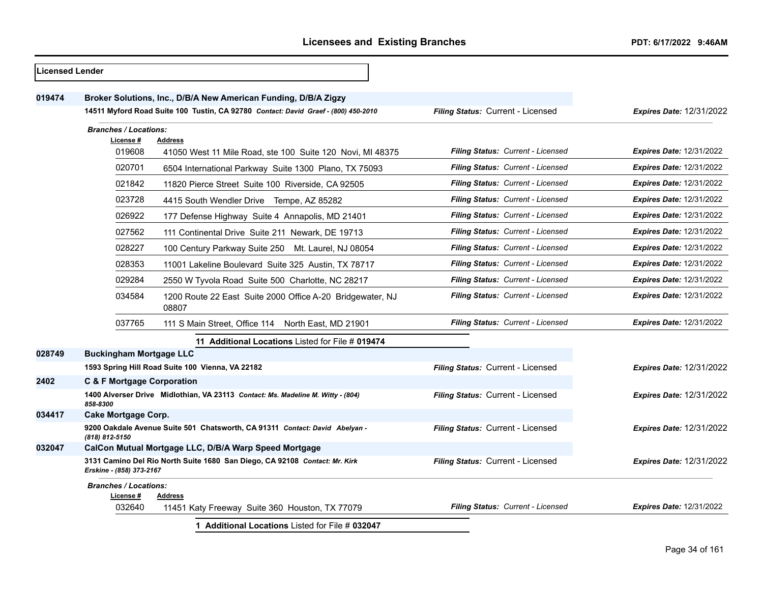| <b>Licensed Lender</b> |                                           |                                                                                    |                                          |                                 |
|------------------------|-------------------------------------------|------------------------------------------------------------------------------------|------------------------------------------|---------------------------------|
| 019474                 |                                           | Broker Solutions, Inc., D/B/A New American Funding, D/B/A Zigzy                    |                                          |                                 |
|                        |                                           | 14511 Myford Road Suite 100 Tustin, CA 92780 Contact: David Graef - (800) 450-2010 | Filing Status: Current - Licensed        | <b>Expires Date: 12/31/2022</b> |
|                        | <b>Branches / Locations:</b>              |                                                                                    |                                          |                                 |
|                        | License#                                  | <b>Address</b>                                                                     |                                          |                                 |
|                        | 019608                                    | 41050 West 11 Mile Road, ste 100 Suite 120 Novi, MI 48375                          | Filing Status: Current - Licensed        | <b>Expires Date: 12/31/2022</b> |
|                        | 020701                                    | 6504 International Parkway Suite 1300 Plano, TX 75093                              | Filing Status: Current - Licensed        | <b>Expires Date: 12/31/2022</b> |
|                        | 021842                                    | 11820 Pierce Street Suite 100 Riverside, CA 92505                                  | Filing Status: Current - Licensed        | <b>Expires Date: 12/31/2022</b> |
|                        | 023728                                    | 4415 South Wendler Drive Tempe, AZ 85282                                           | Filing Status: Current - Licensed        | <b>Expires Date: 12/31/2022</b> |
|                        | 026922                                    | 177 Defense Highway Suite 4 Annapolis, MD 21401                                    | <b>Filing Status: Current - Licensed</b> | <b>Expires Date: 12/31/2022</b> |
|                        | 027562                                    | 111 Continental Drive Suite 211 Newark, DE 19713                                   | Filing Status: Current - Licensed        | <b>Expires Date: 12/31/2022</b> |
|                        | 028227                                    | 100 Century Parkway Suite 250 Mt. Laurel, NJ 08054                                 | Filing Status: Current - Licensed        | <b>Expires Date: 12/31/2022</b> |
|                        | 028353                                    | 11001 Lakeline Boulevard Suite 325 Austin, TX 78717                                | Filing Status: Current - Licensed        | <b>Expires Date: 12/31/2022</b> |
|                        | 029284                                    | 2550 W Tyvola Road Suite 500 Charlotte, NC 28217                                   | Filing Status: Current - Licensed        | <b>Expires Date: 12/31/2022</b> |
|                        | 034584                                    | 1200 Route 22 East Suite 2000 Office A-20 Bridgewater, NJ<br>08807                 | Filing Status: Current - Licensed        | <b>Expires Date: 12/31/2022</b> |
|                        | 037765                                    | 111 S Main Street, Office 114 North East, MD 21901                                 | Filing Status: Current - Licensed        | Expires Date: 12/31/2022        |
|                        |                                           | 11 Additional Locations Listed for File # 019474                                   |                                          |                                 |
| 028749                 | <b>Buckingham Mortgage LLC</b>            |                                                                                    |                                          |                                 |
|                        |                                           | 1593 Spring Hill Road Suite 100 Vienna, VA 22182                                   | Filing Status: Current - Licensed        | <b>Expires Date: 12/31/2022</b> |
| 2402                   | <b>C &amp; F Mortgage Corporation</b>     |                                                                                    |                                          |                                 |
|                        | 858-8300                                  | 1400 Alverser Drive Midlothian, VA 23113 Contact: Ms. Madeline M. Witty - (804)    | Filing Status: Current - Licensed        | <b>Expires Date: 12/31/2022</b> |
| 034417                 | Cake Mortgage Corp.                       |                                                                                    |                                          |                                 |
|                        | (818) 812-5150                            | 9200 Oakdale Avenue Suite 501 Chatsworth, CA 91311 Contact: David Abelyan -        | Filing Status: Current - Licensed        | <b>Expires Date: 12/31/2022</b> |
| 032047                 |                                           | CalCon Mutual Mortgage LLC, D/B/A Warp Speed Mortgage                              |                                          |                                 |
|                        | Erskine - (858) 373-2167                  | 3131 Camino Del Rio North Suite 1680 San Diego, CA 92108 Contact: Mr. Kirk         | Filing Status: Current - Licensed        | <b>Expires Date: 12/31/2022</b> |
|                        | <b>Branches / Locations:</b><br>License # | Address                                                                            |                                          |                                 |
|                        | 032640                                    | 11451 Katy Freeway Suite 360 Houston, TX 77079                                     | Filing Status: Current - Licensed        | <b>Expires Date: 12/31/2022</b> |
|                        |                                           | 1 Additional Locations Listed for File # 032047                                    |                                          |                                 |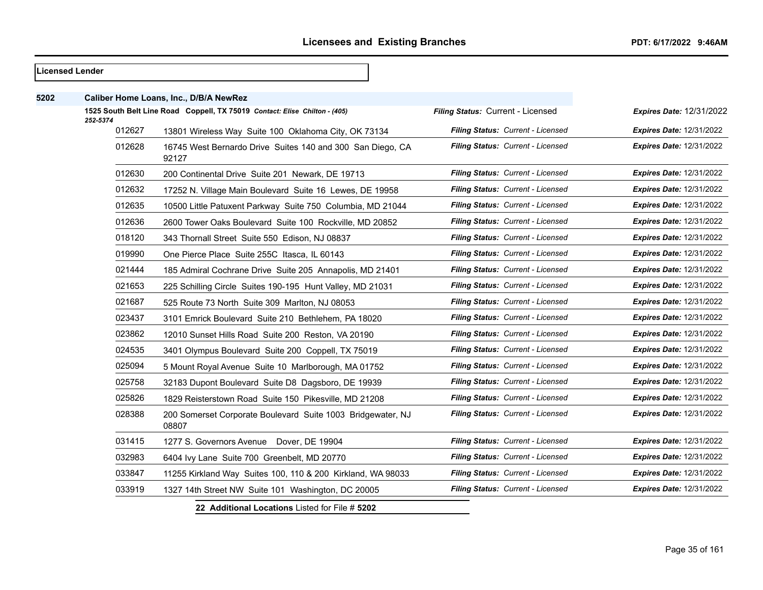|      | Licensed Lender |                                                                            |                                          |                                 |
|------|-----------------|----------------------------------------------------------------------------|------------------------------------------|---------------------------------|
| 5202 |                 | Caliber Home Loans, Inc., D/B/A NewRez                                     |                                          |                                 |
|      | 252-5374        | 1525 South Belt Line Road Coppell, TX 75019 Contact: Elise Chilton - (405) | Filing Status: Current - Licensed        | <b>Expires Date: 12/31/2022</b> |
|      | 012627          | 13801 Wireless Way Suite 100 Oklahoma City, OK 73134                       | Filing Status: Current - Licensed        | <b>Expires Date: 12/31/2022</b> |
|      | 012628          | 16745 West Bernardo Drive Suites 140 and 300 San Diego, CA<br>92127        | Filing Status: Current - Licensed        | <b>Expires Date: 12/31/2022</b> |
|      | 012630          | 200 Continental Drive Suite 201 Newark, DE 19713                           | Filing Status: Current - Licensed        | <b>Expires Date: 12/31/2022</b> |
|      | 012632          | 17252 N. Village Main Boulevard Suite 16 Lewes, DE 19958                   | Filing Status: Current - Licensed        | <b>Expires Date: 12/31/2022</b> |
|      | 012635          | 10500 Little Patuxent Parkway Suite 750 Columbia, MD 21044                 | Filing Status: Current - Licensed        | <b>Expires Date: 12/31/2022</b> |
|      | 012636          | 2600 Tower Oaks Boulevard Suite 100 Rockville, MD 20852                    | Filing Status: Current - Licensed        | <b>Expires Date: 12/31/2022</b> |
|      | 018120          | 343 Thornall Street Suite 550 Edison, NJ 08837                             | Filing Status: Current - Licensed        | Expires Date: 12/31/2022        |
|      | 019990          | One Pierce Place Suite 255C Itasca, IL 60143                               | Filing Status: Current - Licensed        | <b>Expires Date: 12/31/2022</b> |
|      | 021444          | 185 Admiral Cochrane Drive Suite 205 Annapolis, MD 21401                   | Filing Status: Current - Licensed        | <b>Expires Date: 12/31/2022</b> |
|      | 021653          | 225 Schilling Circle Suites 190-195 Hunt Valley, MD 21031                  | Filing Status: Current - Licensed        | <b>Expires Date: 12/31/2022</b> |
|      | 021687          | 525 Route 73 North Suite 309 Marlton, NJ 08053                             | Filing Status: Current - Licensed        | <b>Expires Date: 12/31/2022</b> |
|      | 023437          | 3101 Emrick Boulevard Suite 210 Bethlehem, PA 18020                        | Filing Status: Current - Licensed        | <b>Expires Date: 12/31/2022</b> |
|      | 023862          | 12010 Sunset Hills Road Suite 200 Reston, VA 20190                         | <b>Filing Status: Current - Licensed</b> | <b>Expires Date: 12/31/2022</b> |
|      | 024535          | 3401 Olympus Boulevard Suite 200 Coppell, TX 75019                         | Filing Status: Current - Licensed        | <b>Expires Date: 12/31/2022</b> |
|      | 025094          | 5 Mount Royal Avenue Suite 10 Marlborough, MA 01752                        | Filing Status: Current - Licensed        | <b>Expires Date: 12/31/2022</b> |
|      | 025758          | 32183 Dupont Boulevard Suite D8 Dagsboro, DE 19939                         | Filing Status: Current - Licensed        | <b>Expires Date: 12/31/2022</b> |
|      | 025826          | 1829 Reisterstown Road Suite 150 Pikesville, MD 21208                      | Filing Status: Current - Licensed        | <b>Expires Date: 12/31/2022</b> |
|      | 028388          | 200 Somerset Corporate Boulevard Suite 1003 Bridgewater, NJ<br>08807       | Filing Status: Current - Licensed        | Expires Date: 12/31/2022        |
|      | 031415          | 1277 S. Governors Avenue Dover, DE 19904                                   | Filing Status: Current - Licensed        | <b>Expires Date: 12/31/2022</b> |
|      | 032983          | 6404 Ivy Lane Suite 700 Greenbelt, MD 20770                                | Filing Status: Current - Licensed        | <b>Expires Date: 12/31/2022</b> |
|      | 033847          | 11255 Kirkland Way Suites 100, 110 & 200 Kirkland, WA 98033                | Filing Status: Current - Licensed        | <b>Expires Date: 12/31/2022</b> |
|      | 033919          | 1327 14th Street NW Suite 101 Washington, DC 20005                         | Filing Status: Current - Licensed        | <b>Expires Date: 12/31/2022</b> |
|      |                 | 22 Additional Locations Listed for File # 5202                             |                                          |                                 |

Page 35 of 161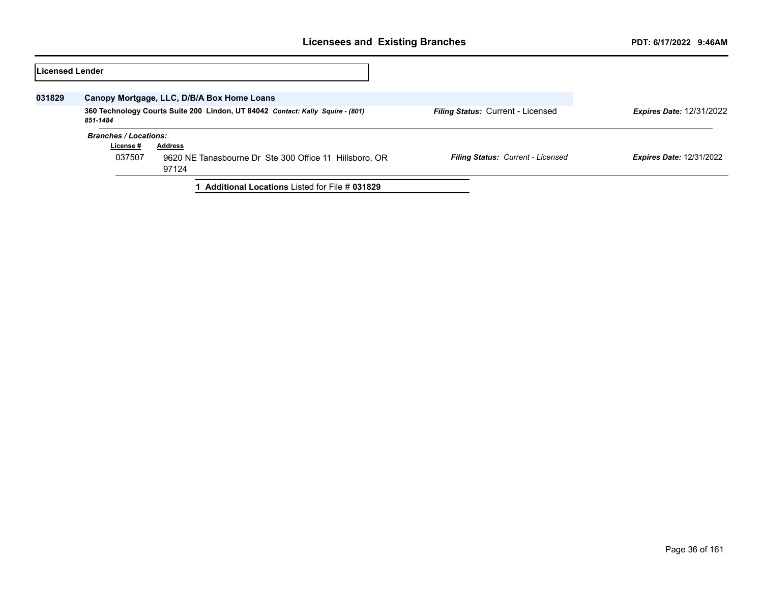| Licensed Lender |                                                                                            |                                                                 |                                          |                                 |
|-----------------|--------------------------------------------------------------------------------------------|-----------------------------------------------------------------|------------------------------------------|---------------------------------|
| 031829          |                                                                                            | Canopy Mortgage, LLC, D/B/A Box Home Loans                      |                                          |                                 |
|                 | 360 Technology Courts Suite 200 Lindon, UT 84042 Contact: Kally Squire - (801)<br>851-1484 |                                                                 | <b>Filing Status: Current - Licensed</b> | <b>Expires Date: 12/31/2022</b> |
|                 | <b>Branches / Locations:</b>                                                               |                                                                 |                                          |                                 |
|                 | License #                                                                                  | <b>Address</b>                                                  |                                          |                                 |
|                 | 037507                                                                                     | 9620 NE Tanasbourne Dr Ste 300 Office 11 Hillsboro, OR<br>97124 | Filing Status: Current - Licensed        | <b>Expires Date: 12/31/2022</b> |
|                 |                                                                                            | <b>Additional Locations Listed for File # 031829</b>            |                                          |                                 |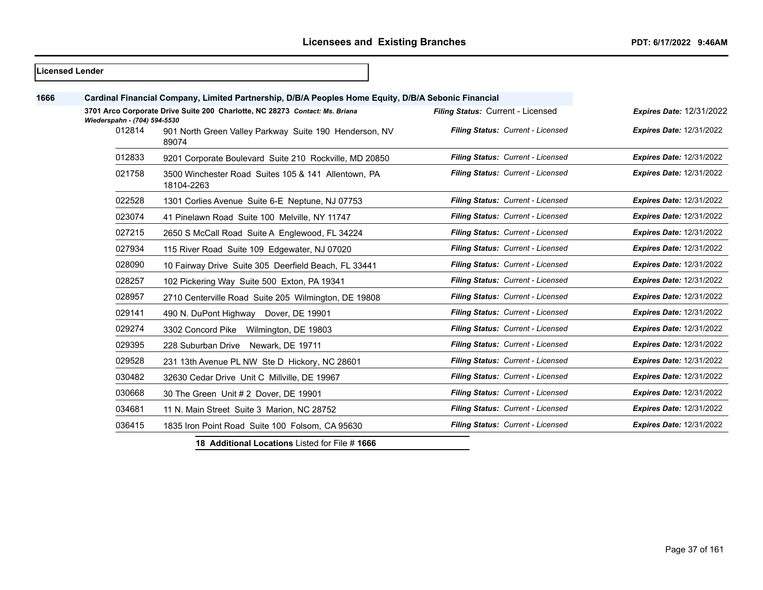|      | lLicensed Lender                                                                                            |                                                                   |                                   |                                 |
|------|-------------------------------------------------------------------------------------------------------------|-------------------------------------------------------------------|-----------------------------------|---------------------------------|
| 1666 | Cardinal Financial Company, Limited Partnership, D/B/A Peoples Home Equity, D/B/A Sebonic Financial         |                                                                   |                                   |                                 |
|      | 3701 Arco Corporate Drive Suite 200 Charlotte, NC 28273 Contact: Ms. Briana<br>Wiederspahn - (704) 594-5530 |                                                                   | Filing Status: Current - Licensed | <b>Expires Date: 12/31/2022</b> |
|      | 012814                                                                                                      | 901 North Green Valley Parkway Suite 190 Henderson, NV<br>89074   | Filing Status: Current - Licensed | <b>Expires Date: 12/31/2022</b> |
|      | 012833                                                                                                      | 9201 Corporate Boulevard Suite 210 Rockville, MD 20850            | Filing Status: Current - Licensed | <b>Expires Date: 12/31/2022</b> |
|      | 021758                                                                                                      | 3500 Winchester Road Suites 105 & 141 Allentown, PA<br>18104-2263 | Filing Status: Current - Licensed | <b>Expires Date: 12/31/2022</b> |
|      | 022528                                                                                                      | 1301 Corlies Avenue Suite 6-E Neptune, NJ 07753                   | Filing Status: Current - Licensed | <b>Expires Date: 12/31/2022</b> |
|      | 023074                                                                                                      | 41 Pinelawn Road Suite 100 Melville, NY 11747                     | Filing Status: Current - Licensed | <b>Expires Date: 12/31/2022</b> |
|      | 027215                                                                                                      | 2650 S McCall Road Suite A Englewood, FL 34224                    | Filing Status: Current - Licensed | <b>Expires Date: 12/31/2022</b> |
|      | 027934                                                                                                      | 115 River Road Suite 109 Edgewater, NJ 07020                      | Filing Status: Current - Licensed | <b>Expires Date: 12/31/2022</b> |
|      | 028090                                                                                                      | 10 Fairway Drive Suite 305 Deerfield Beach, FL 33441              | Filing Status: Current - Licensed | <b>Expires Date: 12/31/2022</b> |
|      | 028257                                                                                                      | 102 Pickering Way Suite 500 Exton, PA 19341                       | Filing Status: Current - Licensed | <b>Expires Date: 12/31/2022</b> |
|      | 028957                                                                                                      | 2710 Centerville Road Suite 205 Wilmington, DE 19808              | Filing Status: Current - Licensed | <b>Expires Date: 12/31/2022</b> |
|      | 029141                                                                                                      | 490 N. DuPont Highway Dover, DE 19901                             | Filing Status: Current - Licensed | <b>Expires Date: 12/31/2022</b> |
|      | 029274                                                                                                      | 3302 Concord Pike Wilmington, DE 19803                            | Filing Status: Current - Licensed | <b>Expires Date: 12/31/2022</b> |
|      | 029395                                                                                                      | 228 Suburban Drive Newark, DE 19711                               | Filing Status: Current - Licensed | <b>Expires Date: 12/31/2022</b> |
|      | 029528                                                                                                      | 231 13th Avenue PL NW Ste D Hickory, NC 28601                     | Filing Status: Current - Licensed | <b>Expires Date: 12/31/2022</b> |
|      | 030482                                                                                                      | 32630 Cedar Drive Unit C Millville, DE 19967                      | Filing Status: Current - Licensed | <b>Expires Date: 12/31/2022</b> |
|      | 030668                                                                                                      | 30 The Green Unit # 2 Dover, DE 19901                             | Filing Status: Current - Licensed | <b>Expires Date: 12/31/2022</b> |
|      | 034681                                                                                                      | 11 N. Main Street Suite 3 Marion, NC 28752                        | Filing Status: Current - Licensed | <b>Expires Date: 12/31/2022</b> |
|      | 036415                                                                                                      | 1835 Iron Point Road Suite 100 Folsom, CA 95630                   | Filing Status: Current - Licensed | <b>Expires Date: 12/31/2022</b> |

**18 Additional Locations** Listed for File # **1666**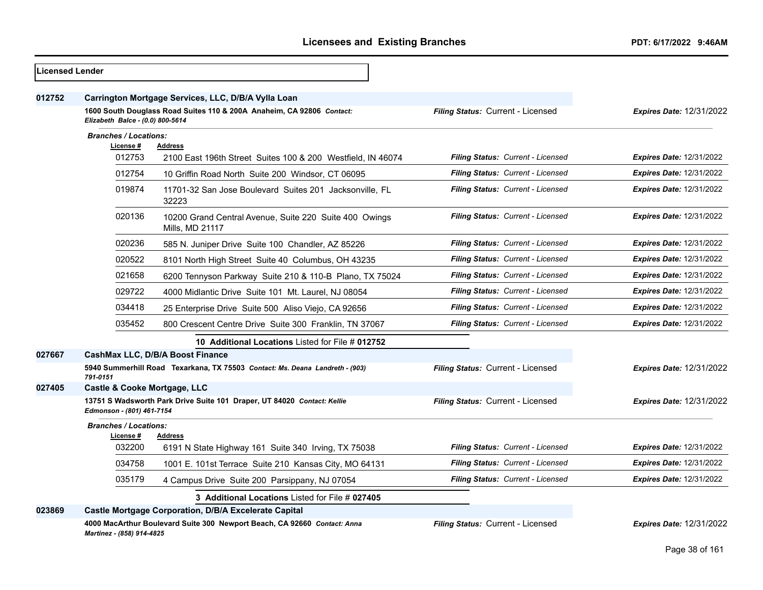| <b>Licensed Lender</b> |                                           |                                                                                                                              |                                          |                                 |
|------------------------|-------------------------------------------|------------------------------------------------------------------------------------------------------------------------------|------------------------------------------|---------------------------------|
| 012752                 |                                           | Carrington Mortgage Services, LLC, D/B/A Vylla Loan<br>1600 South Douglass Road Suites 110 & 200A Anaheim, CA 92806 Contact: | Filing Status: Current - Licensed        | <b>Expires Date: 12/31/2022</b> |
|                        | Elizabeth Balce - (0.0) 800-5614          |                                                                                                                              |                                          |                                 |
|                        | <b>Branches / Locations:</b><br>License # | <b>Address</b>                                                                                                               |                                          |                                 |
|                        | 012753                                    | 2100 East 196th Street Suites 100 & 200 Westfield, IN 46074                                                                  | Filing Status: Current - Licensed        | <b>Expires Date: 12/31/2022</b> |
|                        | 012754                                    | 10 Griffin Road North Suite 200 Windsor, CT 06095                                                                            | Filing Status: Current - Licensed        | <b>Expires Date: 12/31/2022</b> |
|                        | 019874                                    | 11701-32 San Jose Boulevard Suites 201 Jacksonville, FL<br>32223                                                             | Filing Status: Current - Licensed        | <b>Expires Date: 12/31/2022</b> |
|                        | 020136                                    | 10200 Grand Central Avenue, Suite 220 Suite 400 Owings<br>Mills, MD 21117                                                    | Filing Status: Current - Licensed        | <b>Expires Date: 12/31/2022</b> |
|                        | 020236                                    | 585 N. Juniper Drive Suite 100 Chandler, AZ 85226                                                                            | Filing Status: Current - Licensed        | <b>Expires Date: 12/31/2022</b> |
|                        | 020522                                    | 8101 North High Street Suite 40 Columbus, OH 43235                                                                           | Filing Status: Current - Licensed        | <b>Expires Date: 12/31/2022</b> |
|                        | 021658                                    | 6200 Tennyson Parkway Suite 210 & 110-B Plano, TX 75024                                                                      | <b>Filing Status: Current - Licensed</b> | Expires Date: 12/31/2022        |
|                        | 029722                                    | 4000 Midlantic Drive Suite 101 Mt. Laurel, NJ 08054                                                                          | <b>Filing Status: Current - Licensed</b> | <b>Expires Date: 12/31/2022</b> |
|                        | 034418                                    | 25 Enterprise Drive Suite 500 Aliso Viejo, CA 92656                                                                          | Filing Status: Current - Licensed        | <b>Expires Date: 12/31/2022</b> |
|                        | 035452                                    | 800 Crescent Centre Drive Suite 300 Franklin, TN 37067                                                                       | Filing Status: Current - Licensed        | <b>Expires Date: 12/31/2022</b> |
|                        |                                           | 10 Additional Locations Listed for File # 012752                                                                             |                                          |                                 |
| 027667                 |                                           | CashMax LLC, D/B/A Boost Finance                                                                                             |                                          |                                 |
|                        | 791-0151                                  | 5940 Summerhill Road Texarkana, TX 75503 Contact: Ms. Deana Landreth - (903)                                                 | Filing Status: Current - Licensed        | <b>Expires Date: 12/31/2022</b> |
| 027405                 | Castle & Cooke Mortgage, LLC              |                                                                                                                              |                                          |                                 |
|                        | Edmonson - (801) 461-7154                 | 13751 S Wadsworth Park Drive Suite 101 Draper, UT 84020 Contact: Kellie                                                      | Filing Status: Current - Licensed        | Expires Date: 12/31/2022        |
|                        | <b>Branches / Locations:</b>              |                                                                                                                              |                                          |                                 |
|                        | License #<br>032200                       | <b>Address</b><br>6191 N State Highway 161 Suite 340 Irving, TX 75038                                                        | Filing Status: Current - Licensed        | <b>Expires Date: 12/31/2022</b> |
|                        | 034758                                    | 1001 E. 101st Terrace Suite 210 Kansas City, MO 64131                                                                        | Filing Status: Current - Licensed        | <b>Expires Date: 12/31/2022</b> |
|                        | 035179                                    | 4 Campus Drive Suite 200 Parsippany, NJ 07054                                                                                | Filing Status: Current - Licensed        | <b>Expires Date: 12/31/2022</b> |
|                        |                                           | 3 Additional Locations Listed for File # 027405                                                                              |                                          |                                 |
| 023869                 |                                           | Castle Mortgage Corporation, D/B/A Excelerate Capital                                                                        |                                          |                                 |
|                        | Martinez - (858) 914-4825                 | 4000 MacArthur Boulevard Suite 300 Newport Beach, CA 92660 Contact: Anna                                                     | Filing Status: Current - Licensed        | Expires Date: 12/31/2022        |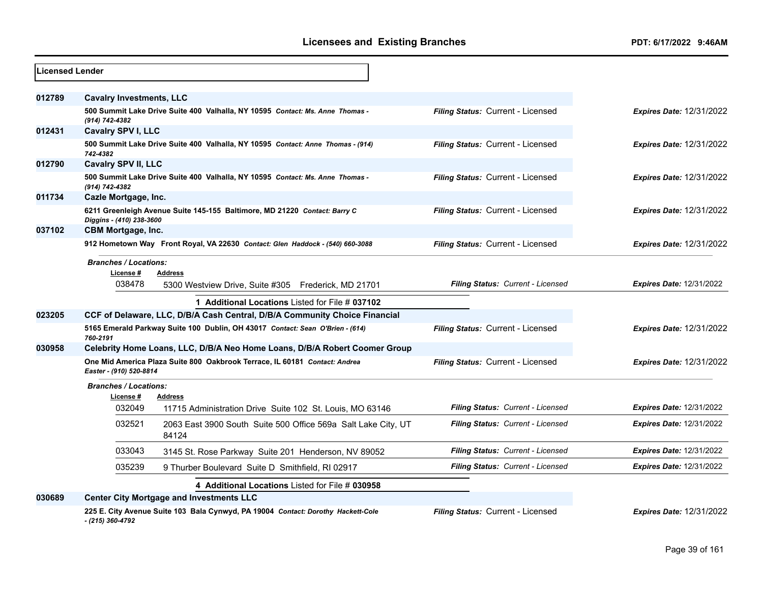| <b>Licensed Lender</b> |                                                     |                                                                                  |                                   |                                 |
|------------------------|-----------------------------------------------------|----------------------------------------------------------------------------------|-----------------------------------|---------------------------------|
| 012789                 | <b>Cavalry Investments, LLC</b>                     |                                                                                  |                                   |                                 |
|                        | (914) 742-4382                                      | 500 Summit Lake Drive Suite 400 Valhalla, NY 10595 Contact: Ms. Anne Thomas -    | Filing Status: Current - Licensed | <b>Expires Date: 12/31/2022</b> |
| 012431                 | <b>Cavalry SPV I, LLC</b>                           |                                                                                  |                                   |                                 |
|                        | 742-4382                                            | 500 Summit Lake Drive Suite 400 Valhalla, NY 10595 Contact: Anne Thomas - (914)  | Filing Status: Current - Licensed | Expires Date: 12/31/2022        |
| 012790                 | <b>Cavalry SPV II, LLC</b>                          |                                                                                  |                                   |                                 |
|                        | (914) 742-4382                                      | 500 Summit Lake Drive Suite 400 Valhalla, NY 10595 Contact: Ms. Anne Thomas -    | Filing Status: Current - Licensed | <b>Expires Date: 12/31/2022</b> |
| 011734                 | Cazle Mortgage, Inc.                                |                                                                                  |                                   |                                 |
|                        | Diggins - (410) 238-3600                            | 6211 Greenleigh Avenue Suite 145-155 Baltimore, MD 21220 Contact: Barry C        | Filing Status: Current - Licensed | Expires Date: 12/31/2022        |
| 037102                 | <b>CBM Mortgage, Inc.</b>                           |                                                                                  |                                   |                                 |
|                        |                                                     | 912 Hometown Way Front Royal, VA 22630 Contact: Glen Haddock - (540) 660-3088    | Filing Status: Current - Licensed | <b>Expires Date: 12/31/2022</b> |
|                        | <b>Branches / Locations:</b><br>License #<br>038478 | <b>Address</b><br>5300 Westview Drive, Suite #305 Frederick, MD 21701            | Filing Status: Current - Licensed | <b>Expires Date: 12/31/2022</b> |
|                        |                                                     | 1 Additional Locations Listed for File # 037102                                  |                                   |                                 |
| 023205                 |                                                     | CCF of Delaware, LLC, D/B/A Cash Central, D/B/A Community Choice Financial       |                                   |                                 |
|                        | 760-2191                                            | 5165 Emerald Parkway Suite 100 Dublin, OH 43017 Contact: Sean O'Brien - (614)    | Filing Status: Current - Licensed | <b>Expires Date: 12/31/2022</b> |
| 030958                 |                                                     | Celebrity Home Loans, LLC, D/B/A Neo Home Loans, D/B/A Robert Coomer Group       |                                   |                                 |
|                        | Easter - (910) 520-8814                             | One Mid America Plaza Suite 800 Oakbrook Terrace, IL 60181 Contact: Andrea       | Filing Status: Current - Licensed | Expires Date: 12/31/2022        |
|                        | <b>Branches / Locations:</b><br>License #           | <b>Address</b>                                                                   |                                   |                                 |
|                        | 032049                                              | 11715 Administration Drive Suite 102 St. Louis, MO 63146                         | Filing Status: Current - Licensed | <b>Expires Date: 12/31/2022</b> |
|                        | 032521                                              | 2063 East 3900 South Suite 500 Office 569a Salt Lake City, UT<br>84124           | Filing Status: Current - Licensed | <b>Expires Date: 12/31/2022</b> |
|                        | 033043                                              | 3145 St. Rose Parkway Suite 201 Henderson, NV 89052                              | Filing Status: Current - Licensed | <b>Expires Date: 12/31/2022</b> |
|                        | 035239                                              | 9 Thurber Boulevard Suite D Smithfield, RI 02917                                 | Filing Status: Current - Licensed | <b>Expires Date: 12/31/2022</b> |
|                        |                                                     | 4 Additional Locations Listed for File # 030958                                  |                                   |                                 |
| 030689                 |                                                     | <b>Center City Mortgage and Investments LLC</b>                                  |                                   |                                 |
|                        | - (215) 360-4792                                    | 225 E. City Avenue Suite 103 Bala Cynwyd, PA 19004 Contact: Dorothy Hackett-Cole | Filing Status: Current - Licensed | Expires Date: 12/31/2022        |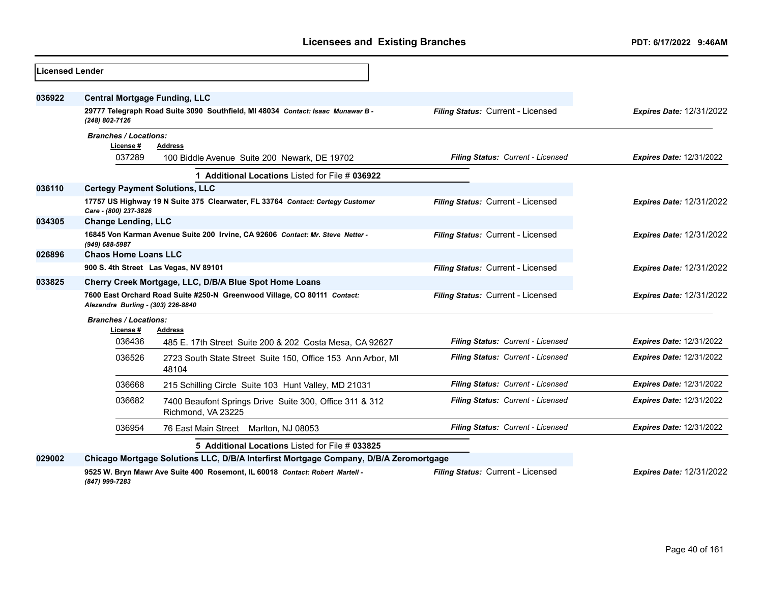| Licensed Lender |                                                                                                                |                                                                                       |                                   |                                 |
|-----------------|----------------------------------------------------------------------------------------------------------------|---------------------------------------------------------------------------------------|-----------------------------------|---------------------------------|
| 036922          | <b>Central Mortgage Funding, LLC</b>                                                                           |                                                                                       |                                   |                                 |
|                 | (248) 802-7126                                                                                                 | 29777 Telegraph Road Suite 3090 Southfield, MI 48034 Contact: Isaac Munawar B -       | Filing Status: Current - Licensed | <b>Expires Date: 12/31/2022</b> |
|                 | <b>Branches / Locations:</b><br>License #<br>037289                                                            | <b>Address</b>                                                                        | Filing Status: Current - Licensed | <b>Expires Date: 12/31/2022</b> |
|                 |                                                                                                                | 100 Biddle Avenue Suite 200 Newark, DE 19702                                          |                                   |                                 |
|                 |                                                                                                                | 1 Additional Locations Listed for File # 036922                                       |                                   |                                 |
| 036110          | <b>Certegy Payment Solutions, LLC</b>                                                                          |                                                                                       |                                   |                                 |
|                 | Care - (800) 237-3826                                                                                          | 17757 US Highway 19 N Suite 375 Clearwater, FL 33764 Contact: Certegy Customer        | Filing Status: Current - Licensed | <b>Expires Date: 12/31/2022</b> |
| 034305          | <b>Change Lending, LLC</b>                                                                                     |                                                                                       |                                   |                                 |
|                 | (949) 688-5987                                                                                                 | 16845 Von Karman Avenue Suite 200 Irvine, CA 92606 Contact: Mr. Steve Netter -        | Filing Status: Current - Licensed | <b>Expires Date: 12/31/2022</b> |
| 026896          | <b>Chaos Home Loans LLC</b>                                                                                    |                                                                                       |                                   |                                 |
|                 |                                                                                                                | 900 S. 4th Street Las Vegas, NV 89101                                                 | Filing Status: Current - Licensed | <b>Expires Date: 12/31/2022</b> |
| 033825          | Cherry Creek Mortgage, LLC, D/B/A Blue Spot Home Loans                                                         |                                                                                       |                                   |                                 |
|                 | 7600 East Orchard Road Suite #250-N Greenwood Village, CO 80111 Contact:<br>Alezandra Burling - (303) 226-8840 |                                                                                       | Filing Status: Current - Licensed | <b>Expires Date: 12/31/2022</b> |
|                 | <b>Branches / Locations:</b>                                                                                   |                                                                                       |                                   |                                 |
|                 | License #                                                                                                      | <b>Address</b>                                                                        |                                   |                                 |
|                 | 036436                                                                                                         | 485 E. 17th Street Suite 200 & 202 Costa Mesa, CA 92627                               | Filing Status: Current - Licensed | <b>Expires Date: 12/31/2022</b> |
|                 | 036526                                                                                                         | 2723 South State Street Suite 150, Office 153 Ann Arbor, MI<br>48104                  | Filing Status: Current - Licensed | <b>Expires Date: 12/31/2022</b> |
|                 | 036668                                                                                                         | 215 Schilling Circle Suite 103 Hunt Valley, MD 21031                                  | Filing Status: Current - Licensed | <b>Expires Date: 12/31/2022</b> |
|                 | 036682                                                                                                         | 7400 Beaufont Springs Drive Suite 300, Office 311 & 312<br>Richmond, VA 23225         | Filing Status: Current - Licensed | <b>Expires Date: 12/31/2022</b> |
|                 | 036954                                                                                                         | 76 East Main Street Marlton, NJ 08053                                                 | Filing Status: Current - Licensed | <b>Expires Date: 12/31/2022</b> |
|                 |                                                                                                                | 5 Additional Locations Listed for File # 033825                                       |                                   |                                 |
| 029002          |                                                                                                                | Chicago Mortgage Solutions LLC, D/B/A Interfirst Mortgage Company, D/B/A Zeromortgage |                                   |                                 |
|                 | (847) 999-7283                                                                                                 | 9525 W. Bryn Mawr Ave Suite 400 Rosemont, IL 60018 Contact: Robert Martell -          | Filing Status: Current - Licensed | <b>Expires Date: 12/31/2022</b> |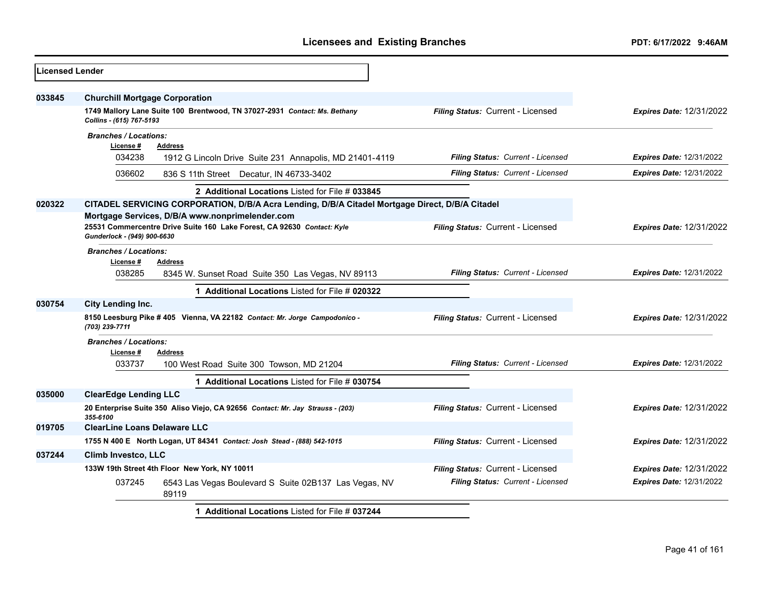| <b>Licensed Lender</b> |                                           |                                                                                                 |                                   |                                 |
|------------------------|-------------------------------------------|-------------------------------------------------------------------------------------------------|-----------------------------------|---------------------------------|
| 033845                 | <b>Churchill Mortgage Corporation</b>     |                                                                                                 |                                   |                                 |
|                        | Collins - (615) 767-5193                  | 1749 Mallory Lane Suite 100 Brentwood, TN 37027-2931 Contact: Ms. Bethany                       | Filing Status: Current - Licensed | <b>Expires Date: 12/31/2022</b> |
|                        | <b>Branches / Locations:</b>              |                                                                                                 |                                   |                                 |
|                        | License #<br>034238                       | <b>Address</b><br>1912 G Lincoln Drive Suite 231 Annapolis, MD 21401-4119                       | Filing Status: Current - Licensed | <b>Expires Date: 12/31/2022</b> |
|                        | 036602                                    | 836 S 11th Street Decatur, IN 46733-3402                                                        | Filing Status: Current - Licensed | <b>Expires Date: 12/31/2022</b> |
|                        |                                           | 2 Additional Locations Listed for File # 033845                                                 |                                   |                                 |
| 020322                 |                                           | CITADEL SERVICING CORPORATION, D/B/A Acra Lending, D/B/A Citadel Mortgage Direct, D/B/A Citadel |                                   |                                 |
|                        |                                           | Mortgage Services, D/B/A www.nonprimelender.com                                                 |                                   |                                 |
|                        | Gunderlock - (949) 900-6630               | 25531 Commercentre Drive Suite 160 Lake Forest, CA 92630 Contact: Kyle                          | Filing Status: Current - Licensed | <b>Expires Date: 12/31/2022</b> |
|                        | <b>Branches / Locations:</b><br>License # | <b>Address</b>                                                                                  |                                   |                                 |
|                        | 038285                                    | 8345 W. Sunset Road Suite 350 Las Vegas, NV 89113                                               | Filing Status: Current - Licensed | <b>Expires Date: 12/31/2022</b> |
|                        |                                           | 1 Additional Locations Listed for File # 020322                                                 |                                   |                                 |
| 030754                 | City Lending Inc.                         |                                                                                                 |                                   |                                 |
|                        | (703) 239-7711                            | 8150 Leesburg Pike #405 Vienna, VA 22182 Contact: Mr. Jorge Campodonico -                       | Filing Status: Current - Licensed | <b>Expires Date: 12/31/2022</b> |
|                        | <b>Branches / Locations:</b>              |                                                                                                 |                                   |                                 |
|                        | License#                                  | <b>Address</b>                                                                                  |                                   |                                 |
|                        | 033737                                    | 100 West Road Suite 300 Towson, MD 21204                                                        | Filing Status: Current - Licensed | <b>Expires Date: 12/31/2022</b> |
|                        |                                           | 1 Additional Locations Listed for File # 030754                                                 |                                   |                                 |
| 035000                 | <b>ClearEdge Lending LLC</b>              |                                                                                                 |                                   |                                 |
|                        | 355-6100                                  | 20 Enterprise Suite 350 Aliso Viejo, CA 92656 Contact: Mr. Jay Strauss - (203)                  | Filing Status: Current - Licensed | <b>Expires Date: 12/31/2022</b> |
| 019705                 | <b>ClearLine Loans Delaware LLC</b>       |                                                                                                 |                                   |                                 |
|                        |                                           | 1755 N 400 E North Logan, UT 84341 Contact: Josh Stead - (888) 542-1015                         | Filing Status: Current - Licensed | <b>Expires Date: 12/31/2022</b> |
| 037244                 | <b>Climb Investco, LLC</b>                |                                                                                                 |                                   |                                 |
|                        |                                           | 133W 19th Street 4th Floor New York, NY 10011                                                   | Filing Status: Current - Licensed | <b>Expires Date: 12/31/2022</b> |
|                        | 037245                                    | 6543 Las Vegas Boulevard S Suite 02B137 Las Vegas, NV<br>89119                                  | Filing Status: Current - Licensed | <b>Expires Date: 12/31/2022</b> |
|                        |                                           | 1 Additional Locations Listed for File # 037244                                                 |                                   |                                 |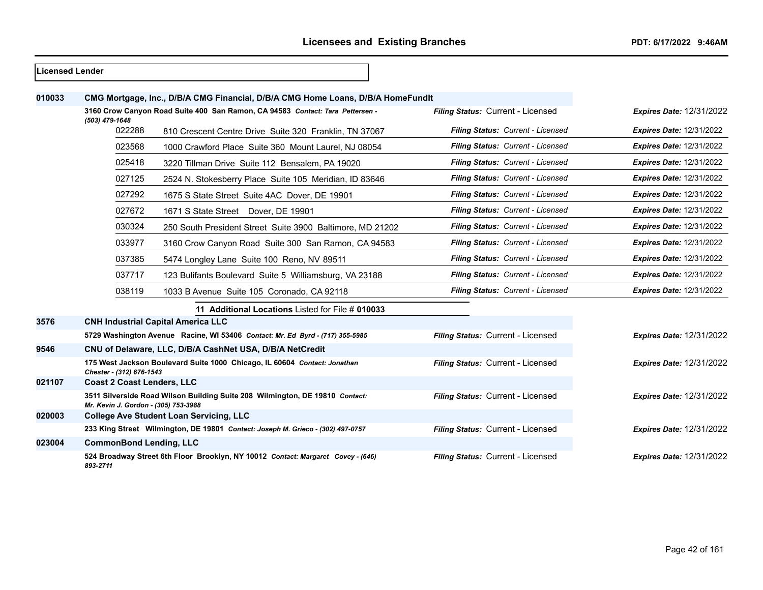| Licensed Lender |                                      |                                                                                  |                                   |                                 |
|-----------------|--------------------------------------|----------------------------------------------------------------------------------|-----------------------------------|---------------------------------|
| 010033          |                                      | CMG Mortgage, Inc., D/B/A CMG Financial, D/B/A CMG Home Loans, D/B/A HomeFundIt  |                                   |                                 |
|                 |                                      | 3160 Crow Canyon Road Suite 400 San Ramon, CA 94583 Contact: Tara Pettersen -    | Filing Status: Current - Licensed | <b>Expires Date: 12/31/2022</b> |
|                 | (503) 479-1648<br>022288             | 810 Crescent Centre Drive Suite 320 Franklin, TN 37067                           | Filing Status: Current - Licensed | <b>Expires Date: 12/31/2022</b> |
|                 | 023568                               | 1000 Crawford Place Suite 360 Mount Laurel, NJ 08054                             | Filing Status: Current - Licensed | <b>Expires Date: 12/31/2022</b> |
|                 | 025418                               | 3220 Tillman Drive Suite 112 Bensalem, PA 19020                                  | Filing Status: Current - Licensed | <b>Expires Date: 12/31/2022</b> |
|                 | 027125                               | 2524 N. Stokesberry Place Suite 105 Meridian, ID 83646                           | Filing Status: Current - Licensed | <b>Expires Date: 12/31/2022</b> |
|                 | 027292                               | 1675 S State Street Suite 4AC Dover, DE 19901                                    | Filing Status: Current - Licensed | <b>Expires Date: 12/31/2022</b> |
|                 | 027672                               | 1671 S State Street Dover, DE 19901                                              | Filing Status: Current - Licensed | <b>Expires Date: 12/31/2022</b> |
|                 | 030324                               | 250 South President Street Suite 3900 Baltimore, MD 21202                        | Filing Status: Current - Licensed | <b>Expires Date: 12/31/2022</b> |
|                 | 033977                               | 3160 Crow Canyon Road Suite 300 San Ramon, CA 94583                              | Filing Status: Current - Licensed | <b>Expires Date: 12/31/2022</b> |
|                 | 037385                               | 5474 Longley Lane Suite 100 Reno, NV 89511                                       | Filing Status: Current - Licensed | <b>Expires Date: 12/31/2022</b> |
|                 | 037717                               | 123 Bulifants Boulevard Suite 5 Williamsburg, VA 23188                           | Filing Status: Current - Licensed | <b>Expires Date: 12/31/2022</b> |
|                 | 038119                               | 1033 B Avenue Suite 105 Coronado, CA 92118                                       | Filing Status: Current - Licensed | <b>Expires Date: 12/31/2022</b> |
|                 |                                      | 11 Additional Locations Listed for File # 010033                                 |                                   |                                 |
| 3576            |                                      | <b>CNH Industrial Capital America LLC</b>                                        |                                   |                                 |
|                 |                                      | 5729 Washington Avenue Racine, WI 53406 Contact: Mr. Ed Byrd - (717) 355-5985    | Filing Status: Current - Licensed | <b>Expires Date: 12/31/2022</b> |
| 9546            |                                      | CNU of Delaware, LLC, D/B/A CashNet USA, D/B/A NetCredit                         |                                   |                                 |
|                 | Chester - (312) 676-1543             | 175 West Jackson Boulevard Suite 1000 Chicago, IL 60604 Contact: Jonathan        | Filing Status: Current - Licensed | <b>Expires Date: 12/31/2022</b> |
| 021107          | <b>Coast 2 Coast Lenders, LLC</b>    |                                                                                  |                                   |                                 |
|                 | Mr. Kevin J. Gordon - (305) 753-3988 | 3511 Silverside Road Wilson Building Suite 208 Wilmington, DE 19810 Contact:     | Filing Status: Current - Licensed | <b>Expires Date: 12/31/2022</b> |
| 020003          |                                      | <b>College Ave Student Loan Servicing, LLC</b>                                   |                                   |                                 |
|                 |                                      | 233 King Street Wilmington, DE 19801 Contact: Joseph M. Grieco - (302) 497-0757  | Filing Status: Current - Licensed | <b>Expires Date: 12/31/2022</b> |
| 023004          | <b>CommonBond Lending, LLC</b>       |                                                                                  |                                   |                                 |
|                 | 893-2711                             | 524 Broadway Street 6th Floor Brooklyn, NY 10012 Contact: Margaret Covey - (646) | Filing Status: Current - Licensed | <b>Expires Date: 12/31/2022</b> |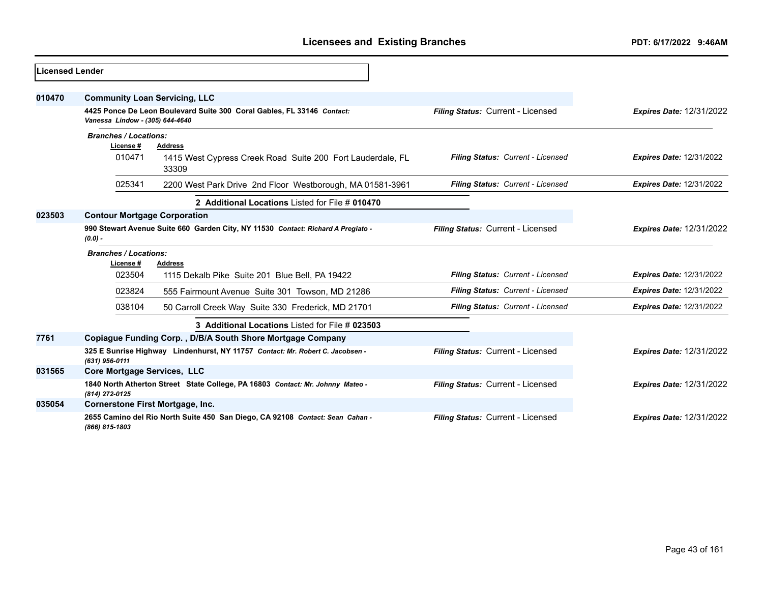| <b>ILicensed Lender</b> |                                                                                               |                                                                                |                                   |                                 |
|-------------------------|-----------------------------------------------------------------------------------------------|--------------------------------------------------------------------------------|-----------------------------------|---------------------------------|
| 010470                  | <b>Community Loan Servicing, LLC</b>                                                          |                                                                                |                                   |                                 |
|                         | Vanessa Lindow - (305) 644-4640                                                               | 4425 Ponce De Leon Boulevard Suite 300 Coral Gables, FL 33146 Contact:         | Filing Status: Current - Licensed | <b>Expires Date: 12/31/2022</b> |
|                         | <b>Branches / Locations:</b><br>License #                                                     | Address                                                                        |                                   |                                 |
|                         | 010471                                                                                        | 1415 West Cypress Creek Road Suite 200 Fort Lauderdale, FL<br>33309            | Filing Status: Current - Licensed | <b>Expires Date: 12/31/2022</b> |
|                         | 025341                                                                                        | 2200 West Park Drive 2nd Floor Westborough, MA 01581-3961                      | Filing Status: Current - Licensed | <b>Expires Date: 12/31/2022</b> |
|                         |                                                                                               | 2 Additional Locations Listed for File # 010470                                |                                   |                                 |
| 023503                  | <b>Contour Mortgage Corporation</b>                                                           |                                                                                |                                   |                                 |
|                         | 990 Stewart Avenue Suite 660 Garden City, NY 11530 Contact: Richard A Pregiato -<br>$(0.0) -$ |                                                                                | Filing Status: Current - Licensed | <b>Expires Date: 12/31/2022</b> |
|                         | <b>Branches / Locations:</b><br>License #                                                     | Address                                                                        |                                   |                                 |
|                         | 023504                                                                                        | 1115 Dekalb Pike Suite 201 Blue Bell, PA 19422                                 | Filing Status: Current - Licensed | <b>Expires Date: 12/31/2022</b> |
|                         | 023824                                                                                        | 555 Fairmount Avenue Suite 301 Towson, MD 21286                                | Filing Status: Current - Licensed | <b>Expires Date: 12/31/2022</b> |
|                         | 038104                                                                                        | 50 Carroll Creek Way Suite 330 Frederick, MD 21701                             | Filing Status: Current - Licensed | <b>Expires Date: 12/31/2022</b> |
|                         |                                                                                               | 3 Additional Locations Listed for File # 023503                                |                                   |                                 |
| 7761                    |                                                                                               | Copiague Funding Corp., D/B/A South Shore Mortgage Company                     |                                   |                                 |
|                         | $(631)$ 956-0111                                                                              | 325 E Sunrise Highway Lindenhurst, NY 11757 Contact: Mr. Robert C. Jacobsen -  | Filing Status: Current - Licensed | <b>Expires Date: 12/31/2022</b> |
| 031565                  | Core Mortgage Services, LLC                                                                   |                                                                                |                                   |                                 |
|                         | (814) 272-0125                                                                                | 1840 North Atherton Street State College, PA 16803 Contact: Mr. Johnny Mateo - | Filing Status: Current - Licensed | <b>Expires Date: 12/31/2022</b> |
| 035054                  | <b>Cornerstone First Mortgage, Inc.</b>                                                       |                                                                                |                                   |                                 |
|                         | (866) 815-1803                                                                                | 2655 Camino del Rio North Suite 450 San Diego, CA 92108 Contact: Sean Cahan -  | Filing Status: Current - Licensed | <b>Expires Date: 12/31/2022</b> |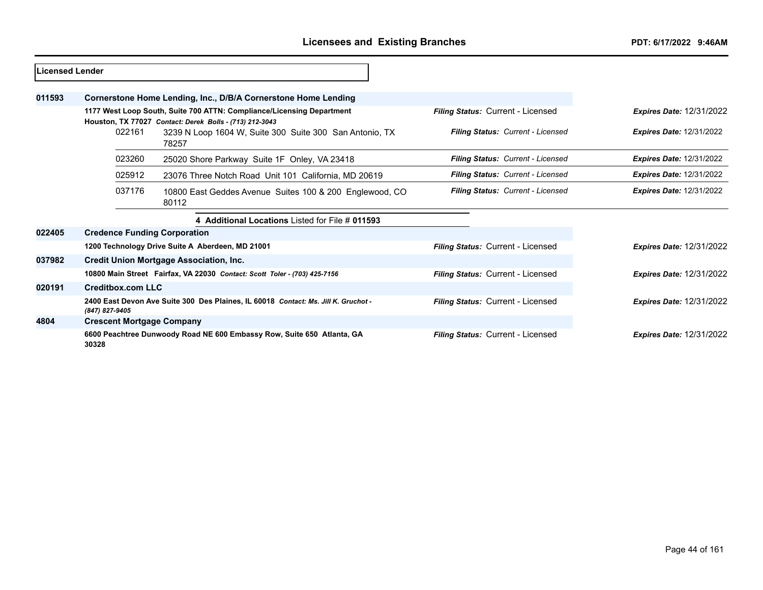| <b>Licensed Lender</b> |                                                                                                                                  |                                                                                    |                                          |                                 |
|------------------------|----------------------------------------------------------------------------------------------------------------------------------|------------------------------------------------------------------------------------|------------------------------------------|---------------------------------|
| 011593                 |                                                                                                                                  | Cornerstone Home Lending, Inc., D/B/A Cornerstone Home Lending                     |                                          |                                 |
|                        | 1177 West Loop South, Suite 700 ATTN: Compliance/Licensing Department<br>Houston, TX 77027 Contact: Derek Bolls - (713) 212-3043 |                                                                                    | Filing Status: Current - Licensed        | <b>Expires Date: 12/31/2022</b> |
|                        | 022161                                                                                                                           | 3239 N Loop 1604 W, Suite 300 Suite 300 San Antonio, TX<br>78257                   | Filing Status: Current - Licensed        | <b>Expires Date: 12/31/2022</b> |
|                        | 023260                                                                                                                           | 25020 Shore Parkway Suite 1F Onley, VA 23418                                       | Filing Status: Current - Licensed        | <b>Expires Date: 12/31/2022</b> |
|                        | 025912                                                                                                                           | 23076 Three Notch Road Unit 101 California, MD 20619                               | Filing Status: Current - Licensed        | <b>Expires Date: 12/31/2022</b> |
|                        | 037176                                                                                                                           | 10800 East Geddes Avenue Suites 100 & 200 Englewood, CO<br>80112                   | Filing Status: Current - Licensed        | <b>Expires Date: 12/31/2022</b> |
|                        |                                                                                                                                  | 4 Additional Locations Listed for File # 011593                                    |                                          |                                 |
| 022405                 | <b>Credence Funding Corporation</b>                                                                                              |                                                                                    |                                          |                                 |
|                        |                                                                                                                                  | 1200 Technology Drive Suite A Aberdeen, MD 21001                                   | Filing Status: Current - Licensed        | <b>Expires Date: 12/31/2022</b> |
| 037982                 |                                                                                                                                  | <b>Credit Union Mortgage Association, Inc.</b>                                     |                                          |                                 |
|                        |                                                                                                                                  | 10800 Main Street Fairfax, VA 22030 Contact: Scott Toler - (703) 425-7156          | Filing Status: Current - Licensed        | <b>Expires Date: 12/31/2022</b> |
| 020191                 | <b>Creditbox.com LLC</b>                                                                                                         |                                                                                    |                                          |                                 |
|                        | (847) 827-9405                                                                                                                   | 2400 East Devon Ave Suite 300 Des Plaines, IL 60018 Contact: Ms. Jill K. Gruchot - | Filing Status: Current - Licensed        | <b>Expires Date: 12/31/2022</b> |
| 4804                   | <b>Crescent Mortgage Company</b>                                                                                                 |                                                                                    |                                          |                                 |
|                        | 30328                                                                                                                            | 6600 Peachtree Dunwoody Road NE 600 Embassy Row, Suite 650 Atlanta, GA             | <b>Filing Status: Current - Licensed</b> | <b>Expires Date: 12/31/2022</b> |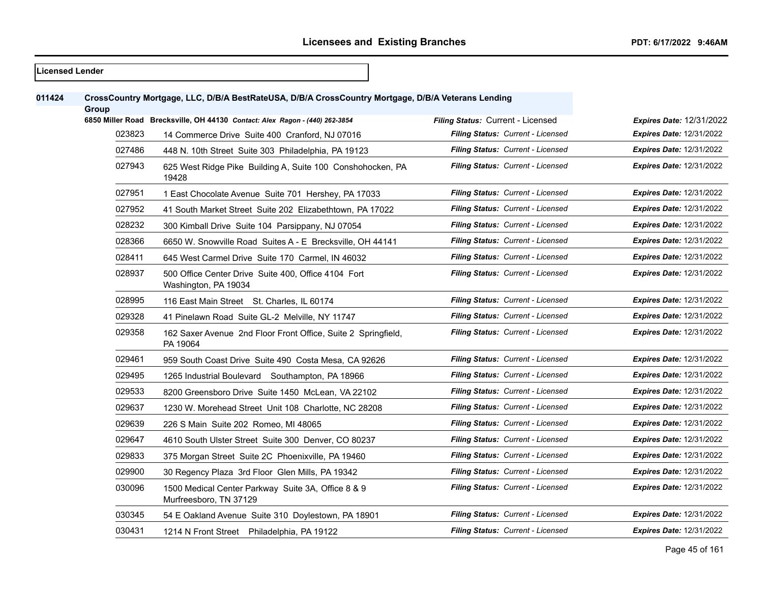# **Licensed Lender CrossCountry Mortgage, LLC, D/B/A BestRateUSA, D/B/A CrossCountry Mortgage, D/B/A Veterans Lending Group 6850 Miller Road Brecksville, OH 44130** *Contact: Alex Ragon - (440) 262-3854 Filing Status:* Current - Licensed *Expires Date:* 12/31/2022 14 Commerce Drive Suite 400 Cranford, NJ 07016 *Filing Status: Current - Licensed Expires Date:* 12/31/2022 448 N. 10th Street Suite 303 Philadelphia, PA 19123 *Filing Status: Current - Licensed Expires Date:* 12/31/2022 625 West Ridge Pike Building A, Suite 100 Conshohocken, PA *Filing Status: Current - Licensed Expires Date:* 12/31/2022 1 East Chocolate Avenue Suite 701 Hershey, PA 17033 *Filing Status: Current - Licensed Expires Date:* 12/31/2022 41 South Market Street Suite 202 Elizabethtown, PA 17022 *Filing Status: Current - Licensed Expires Date:* 12/31/2022 300 Kimball Drive Suite 104 Parsippany, NJ 07054 *Filing Status: Current - Licensed Expires Date:* 12/31/2022 6650 W. Snowville Road Suites A - E Brecksville, OH 44141 *Filing Status: Current - Licensed Expires Date:* 12/31/2022 645 West Carmel Drive Suite 170 Carmel, IN 46032 *Filing Status: Current - Licensed Expires Date:* 12/31/2022 500 Office Center Drive Suite 400, Office 4104 Fort Washington, PA 19034 *Filing Status: Current - Licensed Expires Date:* 12/31/2022 116 East Main Street St. Charles, IL 60174 *Filing Status: Current - Licensed Expires Date:* 12/31/2022 41 Pinelawn Road Suite GL-2 Melville, NY 11747 *Filing Status: Current - Licensed Expires Date:* 12/31/2022 029358 162 Saxer Avenue 2nd Floor Front Office, Suite 2 Springfield, PA 19064 *Filing Status: Current - Licensed Expires Date:* 12/31/2022 959 South Coast Drive Suite 490 Costa Mesa, CA 92626 *Filing Status: Current - Licensed Expires Date:* 12/31/2022 1265 Industrial Boulevard Southampton, PA 18966 *Filing Status: Current - Licensed Expires Date:* 12/31/2022 8200 Greensboro Drive Suite 1450 McLean, VA 22102 *Filing Status: Current - Licensed Expires Date:* 12/31/2022 1230 W. Morehead Street Unit 108 Charlotte, NC 28208 *Filing Status: Current - Licensed Expires Date:* 12/31/2022 226 S Main Suite 202 Romeo, MI 48065 *Filing Status: Current - Licensed Expires Date:* 12/31/2022 4610 South Ulster Street Suite 300 Denver, CO 80237 *Filing Status: Current - Licensed Expires Date:* 12/31/2022 375 Morgan Street Suite 2C Phoenixville, PA 19460 *Filing Status: Current - Licensed Expires Date:* 12/31/2022 30 Regency Plaza 3rd Floor Glen Mills, PA 19342 *Filing Status: Current - Licensed Expires Date:* 12/31/2022 1500 Medical Center Parkway Suite 3A, Office 8 & 9 Murfreesboro, TN 37129 *Filing Status: Current - Licensed Expires Date:* 12/31/2022 54 E Oakland Avenue Suite 310 Doylestown, PA 18901 *Filing Status: Current - Licensed Expires Date:* 12/31/2022 1214 N Front Street Philadelphia, PA 19122 *Filing Status: Current - Licensed Expires Date:* 12/31/2022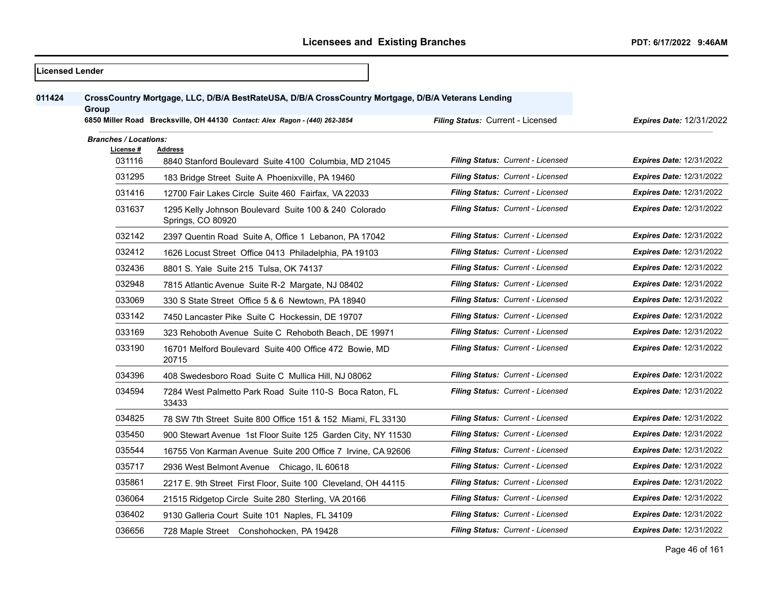| <b>Licensed Lender</b> |                                                     |                                                                                                                                                                                   |                                          |                                 |
|------------------------|-----------------------------------------------------|-----------------------------------------------------------------------------------------------------------------------------------------------------------------------------------|------------------------------------------|---------------------------------|
| 011424                 | Group                                               | CrossCountry Mortgage, LLC, D/B/A BestRateUSA, D/B/A CrossCountry Mortgage, D/B/A Veterans Lending<br>6850 Miller Road Brecksville, OH 44130 Contact: Alex Ragon - (440) 262-3854 | Filing Status: Current - Licensed        | <b>Expires Date: 12/31/2022</b> |
|                        | <b>Branches / Locations:</b><br>License #<br>031116 | <b>Address</b><br>8840 Stanford Boulevard Suite 4100 Columbia, MD 21045                                                                                                           | Filing Status: Current - Licensed        | <b>Expires Date: 12/31/2022</b> |
|                        | 031295                                              | 183 Bridge Street Suite A Phoenixville, PA 19460                                                                                                                                  | Filing Status: Current - Licensed        | <b>Expires Date: 12/31/2022</b> |
|                        | 031416                                              | 12700 Fair Lakes Circle Suite 460 Fairfax, VA 22033                                                                                                                               | <b>Filing Status: Current - Licensed</b> | <b>Expires Date: 12/31/2022</b> |
|                        | 031637                                              | 1295 Kelly Johnson Boulevard Suite 100 & 240 Colorado<br>Springs, CO 80920                                                                                                        | Filing Status: Current - Licensed        | <b>Expires Date: 12/31/2022</b> |
|                        | 032142                                              | 2397 Quentin Road Suite A, Office 1 Lebanon, PA 17042                                                                                                                             | Filing Status: Current - Licensed        | <b>Expires Date: 12/31/2022</b> |
|                        | 032412                                              | 1626 Locust Street Office 0413 Philadelphia, PA 19103                                                                                                                             | Filing Status: Current - Licensed        | <b>Expires Date: 12/31/2022</b> |
|                        | 032436                                              | 8801 S. Yale Suite 215 Tulsa, OK 74137                                                                                                                                            | Filing Status: Current - Licensed        | <b>Expires Date: 12/31/2022</b> |
|                        | 032948                                              | 7815 Atlantic Avenue Suite R-2 Margate, NJ 08402                                                                                                                                  | Filing Status: Current - Licensed        | <b>Expires Date: 12/31/2022</b> |
|                        | 033069                                              | 330 S State Street Office 5 & 6 Newtown, PA 18940                                                                                                                                 | Filing Status: Current - Licensed        | <b>Expires Date: 12/31/2022</b> |
|                        | 033142                                              | 7450 Lancaster Pike Suite C Hockessin, DE 19707                                                                                                                                   | Filing Status: Current - Licensed        | <b>Expires Date: 12/31/2022</b> |
|                        | 033169                                              | 323 Rehoboth Avenue Suite C Rehoboth Beach, DE 19971                                                                                                                              | <b>Filing Status: Current - Licensed</b> | <b>Expires Date: 12/31/2022</b> |
|                        | 033190                                              | 16701 Melford Boulevard Suite 400 Office 472 Bowie, MD<br>20715                                                                                                                   | Filing Status: Current - Licensed        | <b>Expires Date: 12/31/2022</b> |
|                        | 034396                                              | 408 Swedesboro Road Suite C Mullica Hill, NJ 08062                                                                                                                                | Filing Status: Current - Licensed        | <b>Expires Date: 12/31/2022</b> |
|                        | 034594                                              | 7284 West Palmetto Park Road Suite 110-S Boca Raton, FL<br>33433                                                                                                                  | Filing Status: Current - Licensed        | <b>Expires Date: 12/31/2022</b> |
|                        | 034825                                              | 78 SW 7th Street Suite 800 Office 151 & 152 Miami, FL 33130                                                                                                                       | Filing Status: Current - Licensed        | <b>Expires Date: 12/31/2022</b> |
|                        | 035450                                              | 900 Stewart Avenue 1st Floor Suite 125 Garden City, NY 11530                                                                                                                      | <b>Filing Status: Current - Licensed</b> | <b>Expires Date: 12/31/2022</b> |
|                        | 035544                                              | 16755 Von Karman Avenue Suite 200 Office 7 Irvine, CA 92606                                                                                                                       | Filing Status: Current - Licensed        | <b>Expires Date: 12/31/2022</b> |
|                        | 035717                                              | 2936 West Belmont Avenue Chicago, IL 60618                                                                                                                                        | Filing Status: Current - Licensed        | Expires Date: 12/31/2022        |
|                        | 035861                                              | 2217 E. 9th Street First Floor, Suite 100 Cleveland, OH 44115                                                                                                                     | Filing Status: Current - Licensed        | <b>Expires Date: 12/31/2022</b> |
|                        | 036064                                              | 21515 Ridgetop Circle Suite 280 Sterling, VA 20166                                                                                                                                | Filing Status: Current - Licensed        | <b>Expires Date: 12/31/2022</b> |
|                        | 036402                                              | 9130 Galleria Court Suite 101 Naples, FL 34109                                                                                                                                    | Filing Status: Current - Licensed        | <b>Expires Date: 12/31/2022</b> |
|                        | 036656                                              | 728 Maple Street Conshohocken, PA 19428                                                                                                                                           | Filing Status: Current - Licensed        | <b>Expires Date: 12/31/2022</b> |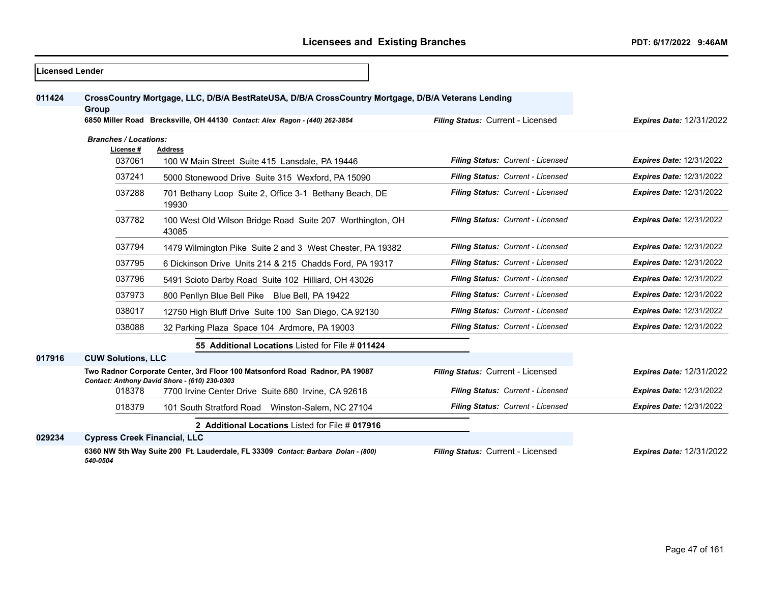| <b>ILicensed Lender</b> |                                     |                                                                                                                                                                                   |                                   |                                 |
|-------------------------|-------------------------------------|-----------------------------------------------------------------------------------------------------------------------------------------------------------------------------------|-----------------------------------|---------------------------------|
| 011424                  | Group                               | CrossCountry Mortgage, LLC, D/B/A BestRateUSA, D/B/A CrossCountry Mortgage, D/B/A Veterans Lending<br>6850 Miller Road Brecksville, OH 44130 Contact: Alex Ragon - (440) 262-3854 | Filing Status: Current - Licensed | <b>Expires Date: 12/31/2022</b> |
|                         | <b>Branches / Locations:</b>        |                                                                                                                                                                                   |                                   |                                 |
|                         | License #                           | <b>Address</b>                                                                                                                                                                    |                                   |                                 |
|                         | 037061                              | 100 W Main Street Suite 415 Lansdale, PA 19446                                                                                                                                    | Filing Status: Current - Licensed | <b>Expires Date: 12/31/2022</b> |
|                         | 037241                              | 5000 Stonewood Drive Suite 315 Wexford, PA 15090                                                                                                                                  | Filing Status: Current - Licensed | <b>Expires Date: 12/31/2022</b> |
|                         | 037288                              | 701 Bethany Loop Suite 2, Office 3-1 Bethany Beach, DE<br>19930                                                                                                                   | Filing Status: Current - Licensed | <b>Expires Date: 12/31/2022</b> |
|                         | 037782                              | 100 West Old Wilson Bridge Road Suite 207 Worthington, OH<br>43085                                                                                                                | Filing Status: Current - Licensed | <b>Expires Date: 12/31/2022</b> |
|                         | 037794                              | 1479 Wilmington Pike Suite 2 and 3 West Chester, PA 19382                                                                                                                         | Filing Status: Current - Licensed | <b>Expires Date: 12/31/2022</b> |
|                         | 037795                              | 6 Dickinson Drive Units 214 & 215 Chadds Ford, PA 19317                                                                                                                           | Filing Status: Current - Licensed | <b>Expires Date: 12/31/2022</b> |
|                         | 037796                              | 5491 Scioto Darby Road Suite 102 Hilliard, OH 43026                                                                                                                               | Filing Status: Current - Licensed | <b>Expires Date: 12/31/2022</b> |
|                         | 037973                              | 800 Penllyn Blue Bell Pike Blue Bell, PA 19422                                                                                                                                    | Filing Status: Current - Licensed | <b>Expires Date: 12/31/2022</b> |
|                         | 038017                              | 12750 High Bluff Drive Suite 100 San Diego, CA 92130                                                                                                                              | Filing Status: Current - Licensed | <b>Expires Date: 12/31/2022</b> |
|                         | 038088                              | 32 Parking Plaza Space 104 Ardmore, PA 19003                                                                                                                                      | Filing Status: Current - Licensed | <b>Expires Date: 12/31/2022</b> |
|                         |                                     | 55 Additional Locations Listed for File # 011424                                                                                                                                  |                                   |                                 |
| 017916                  | <b>CUW Solutions, LLC</b>           |                                                                                                                                                                                   |                                   |                                 |
|                         |                                     | Two Radnor Corporate Center, 3rd Floor 100 Matsonford Road Radnor, PA 19087<br>Contact: Anthony David Shore - (610) 230-0303                                                      | Filing Status: Current - Licensed | <b>Expires Date: 12/31/2022</b> |
|                         | 018378                              | 7700 Irvine Center Drive Suite 680 Irvine, CA 92618                                                                                                                               | Filing Status: Current - Licensed | <b>Expires Date: 12/31/2022</b> |
|                         | 018379                              | 101 South Stratford Road Winston-Salem, NC 27104                                                                                                                                  | Filing Status: Current - Licensed | <b>Expires Date: 12/31/2022</b> |
|                         |                                     | 2 Additional Locations Listed for File # 017916                                                                                                                                   |                                   |                                 |
| 029234                  | <b>Cypress Creek Financial, LLC</b> |                                                                                                                                                                                   |                                   |                                 |
|                         | 540-0504                            | 6360 NW 5th Way Suite 200 Ft. Lauderdale, FL 33309 Contact: Barbara Dolan - (800)                                                                                                 | Filing Status: Current - Licensed | <b>Expires Date: 12/31/2022</b> |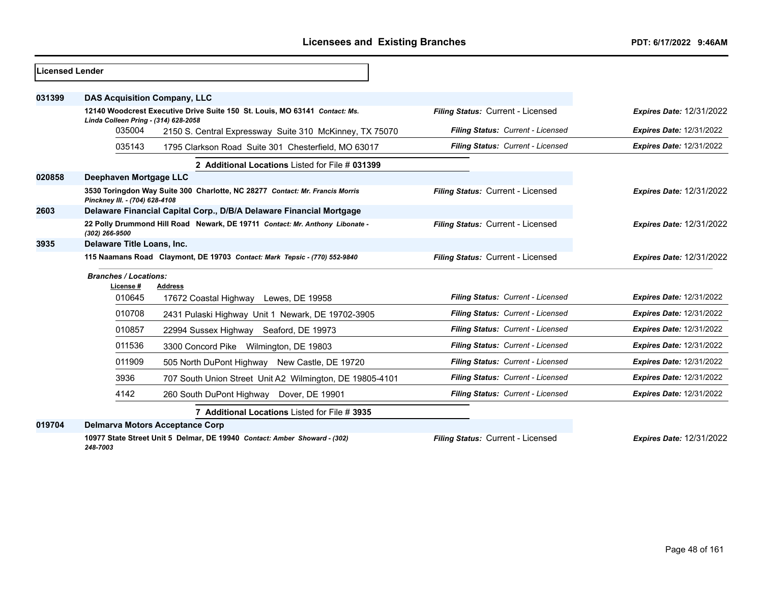| <b>Licensed Lender</b> |                                                                                                                    |                                   |                                 |
|------------------------|--------------------------------------------------------------------------------------------------------------------|-----------------------------------|---------------------------------|
| 031399                 | <b>DAS Acquisition Company, LLC</b>                                                                                |                                   |                                 |
|                        | 12140 Woodcrest Executive Drive Suite 150 St. Louis, MO 63141 Contact: Ms.<br>Linda Colleen Pring - (314) 628-2058 | Filing Status: Current - Licensed | <b>Expires Date: 12/31/2022</b> |
|                        | 035004<br>2150 S. Central Expressway Suite 310 McKinney, TX 75070                                                  | Filing Status: Current - Licensed | <b>Expires Date: 12/31/2022</b> |
|                        | 035143<br>1795 Clarkson Road Suite 301 Chesterfield, MO 63017                                                      | Filing Status: Current - Licensed | <b>Expires Date: 12/31/2022</b> |
|                        | 2 Additional Locations Listed for File # 031399                                                                    |                                   |                                 |
| 020858                 | Deephaven Mortgage LLC                                                                                             |                                   |                                 |
|                        | 3530 Toringdon Way Suite 300 Charlotte, NC 28277 Contact: Mr. Francis Morris<br>Pinckney III. - (704) 628-4108     | Filing Status: Current - Licensed | <b>Expires Date: 12/31/2022</b> |
| 2603                   | Delaware Financial Capital Corp., D/B/A Delaware Financial Mortgage                                                |                                   |                                 |
|                        | 22 Polly Drummond Hill Road Newark, DE 19711 Contact: Mr. Anthony Libonate -<br>(302) 266-9500                     | Filing Status: Current - Licensed | <b>Expires Date: 12/31/2022</b> |
| 3935                   | Delaware Title Loans, Inc.                                                                                         |                                   |                                 |
|                        | 115 Naamans Road Claymont, DE 19703 Contact: Mark Tepsic - (770) 552-9840                                          | Filing Status: Current - Licensed | <b>Expires Date: 12/31/2022</b> |
|                        | <b>Branches / Locations:</b>                                                                                       |                                   |                                 |
|                        | License#<br>Address<br>010645<br>17672 Coastal Highway Lewes, DE 19958                                             | Filing Status: Current - Licensed | <b>Expires Date: 12/31/2022</b> |
|                        | 010708<br>2431 Pulaski Highway Unit 1 Newark, DE 19702-3905                                                        | Filing Status: Current - Licensed | Expires Date: 12/31/2022        |
|                        | 010857<br>22994 Sussex Highway Seaford, DE 19973                                                                   | Filing Status: Current - Licensed | <b>Expires Date: 12/31/2022</b> |
|                        | 011536<br>3300 Concord Pike Wilmington, DE 19803                                                                   | Filing Status: Current - Licensed | <b>Expires Date: 12/31/2022</b> |
|                        | 011909<br>505 North DuPont Highway New Castle, DE 19720                                                            | Filing Status: Current - Licensed | <b>Expires Date: 12/31/2022</b> |
|                        | 3936<br>707 South Union Street Unit A2 Wilmington, DE 19805-4101                                                   | Filing Status: Current - Licensed | <b>Expires Date: 12/31/2022</b> |
|                        | 4142<br>260 South DuPont Highway Dover, DE 19901                                                                   | Filing Status: Current - Licensed | <b>Expires Date: 12/31/2022</b> |
|                        | 7 Additional Locations Listed for File # 3935                                                                      |                                   |                                 |
| 019704                 | <b>Delmarva Motors Acceptance Corp</b>                                                                             |                                   |                                 |
|                        | 10977 State Street Unit 5 Delmar, DE 19940 Contact: Amber Showard - (302)                                          | Filing Status: Current - Licensed | <b>Expires Date: 12/31/2022</b> |

*248-7003*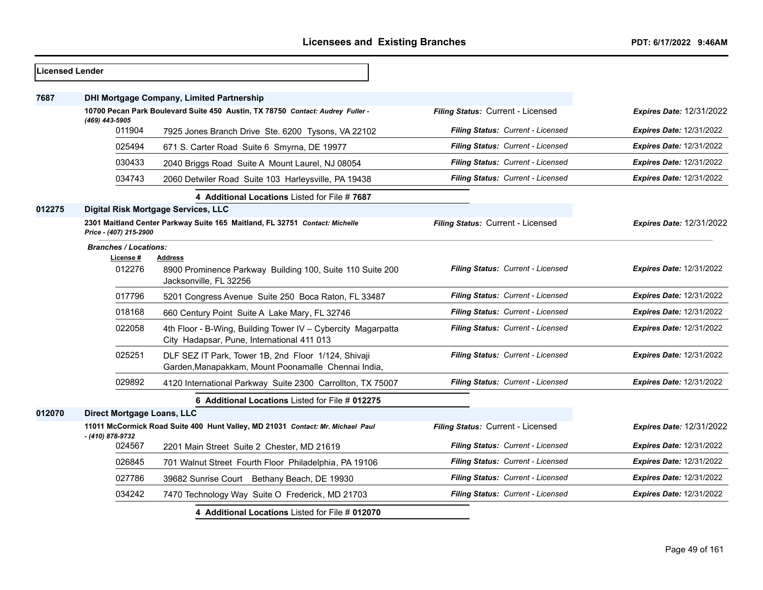| Licensed Lender |                                                                                                       |                                                                                                            |                                          |                                 |
|-----------------|-------------------------------------------------------------------------------------------------------|------------------------------------------------------------------------------------------------------------|------------------------------------------|---------------------------------|
| 7687            |                                                                                                       | <b>DHI Mortgage Company, Limited Partnership</b>                                                           |                                          |                                 |
|                 | 10700 Pecan Park Boulevard Suite 450 Austin, TX 78750 Contact: Audrey Fuller -                        |                                                                                                            | Filing Status: Current - Licensed        | <b>Expires Date: 12/31/2022</b> |
|                 | (469) 443-5905<br>011904                                                                              | 7925 Jones Branch Drive Ste. 6200 Tysons, VA 22102                                                         | Filing Status: Current - Licensed        | <b>Expires Date: 12/31/2022</b> |
|                 | 025494                                                                                                | 671 S. Carter Road Suite 6 Smyrna, DE 19977                                                                | <b>Filing Status: Current - Licensed</b> | <b>Expires Date: 12/31/2022</b> |
|                 | 030433                                                                                                | 2040 Briggs Road Suite A Mount Laurel, NJ 08054                                                            | Filing Status: Current - Licensed        | <b>Expires Date: 12/31/2022</b> |
|                 | 034743                                                                                                | 2060 Detwiler Road Suite 103 Harleysville, PA 19438                                                        | Filing Status: Current - Licensed        | <b>Expires Date: 12/31/2022</b> |
|                 |                                                                                                       | 4 Additional Locations Listed for File # 7687                                                              |                                          |                                 |
| 012275          |                                                                                                       | Digital Risk Mortgage Services, LLC                                                                        |                                          |                                 |
|                 | 2301 Maitland Center Parkway Suite 165 Maitland, FL 32751 Contact: Michelle<br>Price - (407) 215-2900 |                                                                                                            | Filing Status: Current - Licensed        | <b>Expires Date: 12/31/2022</b> |
|                 | <b>Branches / Locations:</b><br>License #<br>012276                                                   | Address<br>8900 Prominence Parkway Building 100, Suite 110 Suite 200<br>Jacksonville, FL 32256             | Filing Status: Current - Licensed        | <b>Expires Date: 12/31/2022</b> |
|                 | 017796                                                                                                | 5201 Congress Avenue Suite 250 Boca Raton, FL 33487                                                        | <b>Filing Status: Current - Licensed</b> | <b>Expires Date: 12/31/2022</b> |
|                 | 018168                                                                                                | 660 Century Point Suite A Lake Mary, FL 32746                                                              | Filing Status: Current - Licensed        | <b>Expires Date: 12/31/2022</b> |
|                 | 022058                                                                                                | 4th Floor - B-Wing, Building Tower IV - Cybercity Magarpatta<br>City Hadapsar, Pune, International 411 013 | Filing Status: Current - Licensed        | <b>Expires Date: 12/31/2022</b> |
|                 | 025251                                                                                                | DLF SEZ IT Park, Tower 1B, 2nd Floor 1/124, Shivaji<br>Garden, Manapakkam, Mount Poonamalle Chennai India, | Filing Status: Current - Licensed        | <b>Expires Date: 12/31/2022</b> |
|                 | 029892                                                                                                | 4120 International Parkway Suite 2300 Carrollton, TX 75007                                                 | Filing Status: Current - Licensed        | <b>Expires Date: 12/31/2022</b> |
|                 |                                                                                                       | 6 Additional Locations Listed for File # 012275                                                            |                                          |                                 |
| 012070          | Direct Mortgage Loans, LLC                                                                            |                                                                                                            |                                          |                                 |
|                 |                                                                                                       | 11011 McCormick Road Suite 400 Hunt Valley, MD 21031 Contact: Mr. Michael Paul                             | Filing Status: Current - Licensed        | Expires Date: 12/31/2022        |
|                 | - (410) 878-9732<br>024567                                                                            | 2201 Main Street Suite 2 Chester, MD 21619                                                                 | Filing Status: Current - Licensed        | <b>Expires Date: 12/31/2022</b> |
|                 | 026845                                                                                                | 701 Walnut Street Fourth Floor Philadelphia, PA 19106                                                      | Filing Status: Current - Licensed        | <b>Expires Date: 12/31/2022</b> |
|                 | 027786                                                                                                | 39682 Sunrise Court Bethany Beach, DE 19930                                                                | Filing Status: Current - Licensed        | <b>Expires Date: 12/31/2022</b> |
|                 | 034242                                                                                                | 7470 Technology Way Suite O Frederick, MD 21703                                                            | Filing Status: Current - Licensed        | <b>Expires Date: 12/31/2022</b> |
|                 |                                                                                                       | 4 Additional Locations Listed for File # 012070                                                            |                                          |                                 |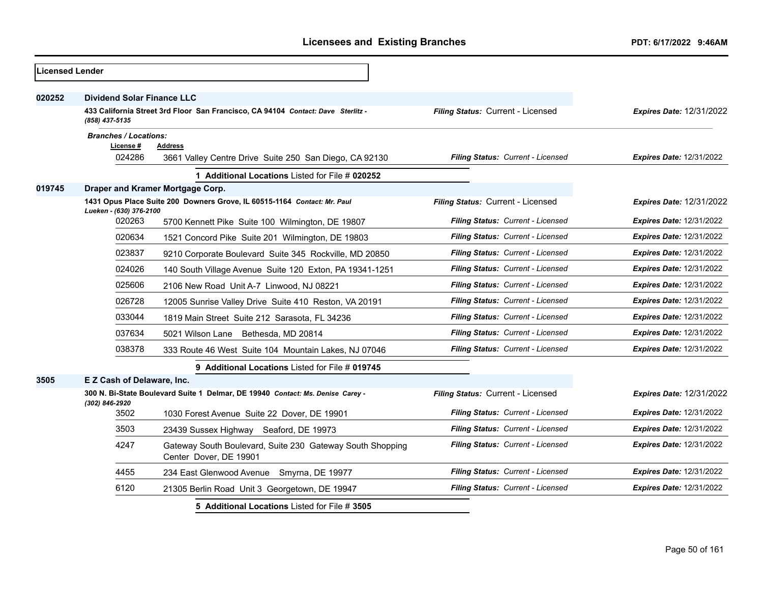|        | <b>Licensed Lender</b>                    |                                                                                     |                                          |                                 |  |  |
|--------|-------------------------------------------|-------------------------------------------------------------------------------------|------------------------------------------|---------------------------------|--|--|
| 020252 | <b>Dividend Solar Finance LLC</b>         |                                                                                     |                                          |                                 |  |  |
|        | (858) 437-5135                            | 433 California Street 3rd Floor San Francisco, CA 94104 Contact: Dave Sterlitz -    | Filing Status: Current - Licensed        | <b>Expires Date: 12/31/2022</b> |  |  |
|        | <b>Branches / Locations:</b><br>License # | <b>Address</b>                                                                      |                                          |                                 |  |  |
|        | 024286                                    | 3661 Valley Centre Drive Suite 250 San Diego, CA 92130                              | Filing Status: Current - Licensed        | <b>Expires Date: 12/31/2022</b> |  |  |
|        |                                           | 1 Additional Locations Listed for File # 020252                                     |                                          |                                 |  |  |
| 019745 |                                           | Draper and Kramer Mortgage Corp.                                                    |                                          |                                 |  |  |
|        | Lueken - (630) 376-2100                   | 1431 Opus Place Suite 200 Downers Grove, IL 60515-1164 Contact: Mr. Paul            | Filing Status: Current - Licensed        | <b>Expires Date: 12/31/2022</b> |  |  |
|        | 020263                                    | 5700 Kennett Pike Suite 100 Wilmington, DE 19807                                    | Filing Status: Current - Licensed        | <b>Expires Date: 12/31/2022</b> |  |  |
|        | 020634                                    | 1521 Concord Pike Suite 201 Wilmington, DE 19803                                    | Filing Status: Current - Licensed        | Expires Date: 12/31/2022        |  |  |
|        | 023837                                    | 9210 Corporate Boulevard Suite 345 Rockville, MD 20850                              | Filing Status: Current - Licensed        | <b>Expires Date: 12/31/2022</b> |  |  |
|        | 024026                                    | 140 South Village Avenue Suite 120 Exton, PA 19341-1251                             | Filing Status: Current - Licensed        | <b>Expires Date: 12/31/2022</b> |  |  |
|        | 025606                                    | 2106 New Road Unit A-7 Linwood, NJ 08221                                            | Filing Status: Current - Licensed        | <b>Expires Date: 12/31/2022</b> |  |  |
|        | 026728                                    | 12005 Sunrise Valley Drive Suite 410 Reston, VA 20191                               | Filing Status: Current - Licensed        | Expires Date: 12/31/2022        |  |  |
|        | 033044                                    | 1819 Main Street Suite 212 Sarasota, FL 34236                                       | Filing Status: Current - Licensed        | <b>Expires Date: 12/31/2022</b> |  |  |
|        | 037634                                    | 5021 Wilson Lane Bethesda, MD 20814                                                 | Filing Status: Current - Licensed        | <b>Expires Date: 12/31/2022</b> |  |  |
|        | 038378                                    | 333 Route 46 West Suite 104 Mountain Lakes, NJ 07046                                | Filing Status: Current - Licensed        | <b>Expires Date: 12/31/2022</b> |  |  |
|        |                                           | 9 Additional Locations Listed for File # 019745                                     |                                          |                                 |  |  |
| 3505   | E Z Cash of Delaware, Inc.                |                                                                                     |                                          |                                 |  |  |
|        | (302) 846-2920                            | 300 N. Bi-State Boulevard Suite 1 Delmar, DE 19940 Contact: Ms. Denise Carey -      | Filing Status: Current - Licensed        | <b>Expires Date: 12/31/2022</b> |  |  |
|        | 3502                                      | 1030 Forest Avenue Suite 22 Dover, DE 19901                                         | Filing Status: Current - Licensed        | <b>Expires Date: 12/31/2022</b> |  |  |
|        | 3503                                      | 23439 Sussex Highway Seaford, DE 19973                                              | <b>Filing Status: Current - Licensed</b> | <b>Expires Date: 12/31/2022</b> |  |  |
|        | 4247                                      | Gateway South Boulevard, Suite 230 Gateway South Shopping<br>Center Dover, DE 19901 | <b>Filing Status: Current - Licensed</b> | <b>Expires Date: 12/31/2022</b> |  |  |
|        | 4455                                      | 234 East Glenwood Avenue Smyrna, DE 19977                                           | Filing Status: Current - Licensed        | <b>Expires Date: 12/31/2022</b> |  |  |
|        | 6120                                      | 21305 Berlin Road Unit 3 Georgetown, DE 19947                                       | Filing Status: Current - Licensed        | Expires Date: 12/31/2022        |  |  |
|        |                                           | 5 Additional Locations Listed for File # 3505                                       |                                          |                                 |  |  |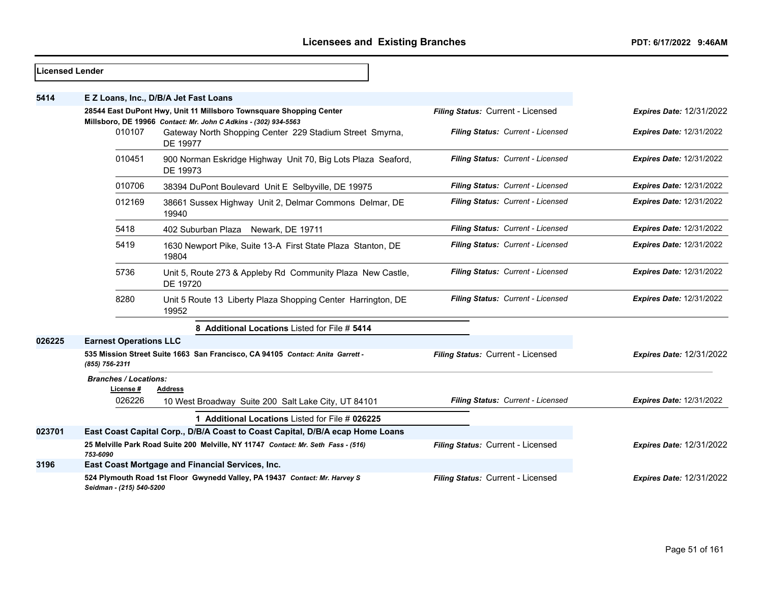| <b>Licensed Lender</b> |                                                                                                                                        |                                                                                   |                                   |                                 |
|------------------------|----------------------------------------------------------------------------------------------------------------------------------------|-----------------------------------------------------------------------------------|-----------------------------------|---------------------------------|
| 5414                   |                                                                                                                                        | E Z Loans, Inc., D/B/A Jet Fast Loans                                             |                                   |                                 |
|                        | 28544 East DuPont Hwy, Unit 11 Millsboro Townsquare Shopping Center<br>Millsboro, DE 19966 Contact: Mr. John C Adkins - (302) 934-5563 |                                                                                   | Filing Status: Current - Licensed | <b>Expires Date: 12/31/2022</b> |
|                        | 010107                                                                                                                                 | Gateway North Shopping Center 229 Stadium Street Smyrna,<br>DE 19977              | Filing Status: Current - Licensed | <b>Expires Date: 12/31/2022</b> |
|                        | 010451                                                                                                                                 | 900 Norman Eskridge Highway Unit 70, Big Lots Plaza Seaford,<br>DE 19973          | Filing Status: Current - Licensed | <b>Expires Date: 12/31/2022</b> |
|                        | 010706                                                                                                                                 | 38394 DuPont Boulevard Unit E Selbyville, DE 19975                                | Filing Status: Current - Licensed | <b>Expires Date: 12/31/2022</b> |
|                        | 012169                                                                                                                                 | 38661 Sussex Highway Unit 2, Delmar Commons Delmar, DE<br>19940                   | Filing Status: Current - Licensed | <b>Expires Date: 12/31/2022</b> |
|                        | 5418                                                                                                                                   | 402 Suburban Plaza Newark, DE 19711                                               | Filing Status: Current - Licensed | <b>Expires Date: 12/31/2022</b> |
|                        | 5419                                                                                                                                   | 1630 Newport Pike, Suite 13-A First State Plaza Stanton, DE<br>19804              | Filing Status: Current - Licensed | <b>Expires Date: 12/31/2022</b> |
|                        | 5736                                                                                                                                   | Unit 5, Route 273 & Appleby Rd Community Plaza New Castle,<br>DE 19720            | Filing Status: Current - Licensed | <b>Expires Date: 12/31/2022</b> |
|                        | 8280                                                                                                                                   | Unit 5 Route 13 Liberty Plaza Shopping Center Harrington, DE<br>19952             | Filing Status: Current - Licensed | <b>Expires Date: 12/31/2022</b> |
|                        |                                                                                                                                        | 8 Additional Locations Listed for File # 5414                                     |                                   |                                 |
| 026225                 | <b>Earnest Operations LLC</b>                                                                                                          |                                                                                   |                                   |                                 |
|                        | (855) 756-2311                                                                                                                         | 535 Mission Street Suite 1663 San Francisco, CA 94105 Contact: Anita Garrett -    | Filing Status: Current - Licensed | <b>Expires Date: 12/31/2022</b> |
|                        | <b>Branches / Locations:</b><br>License #                                                                                              | <b>Address</b>                                                                    |                                   |                                 |
|                        | 026226                                                                                                                                 | 10 West Broadway Suite 200 Salt Lake City, UT 84101                               | Filing Status: Current - Licensed | <b>Expires Date: 12/31/2022</b> |
|                        |                                                                                                                                        | 1 Additional Locations Listed for File # 026225                                   |                                   |                                 |
| 023701                 |                                                                                                                                        | East Coast Capital Corp., D/B/A Coast to Coast Capital, D/B/A ecap Home Loans     |                                   |                                 |
|                        | 753-6090                                                                                                                               | 25 Melville Park Road Suite 200 Melville, NY 11747 Contact: Mr. Seth Fass - (516) | Filing Status: Current - Licensed | <b>Expires Date: 12/31/2022</b> |
| 3196                   |                                                                                                                                        | East Coast Mortgage and Financial Services, Inc.                                  |                                   |                                 |
|                        | Seidman - (215) 540-5200                                                                                                               | 524 Plymouth Road 1st Floor Gwynedd Valley, PA 19437 Contact: Mr. Harvey S        | Filing Status: Current - Licensed | <b>Expires Date: 12/31/2022</b> |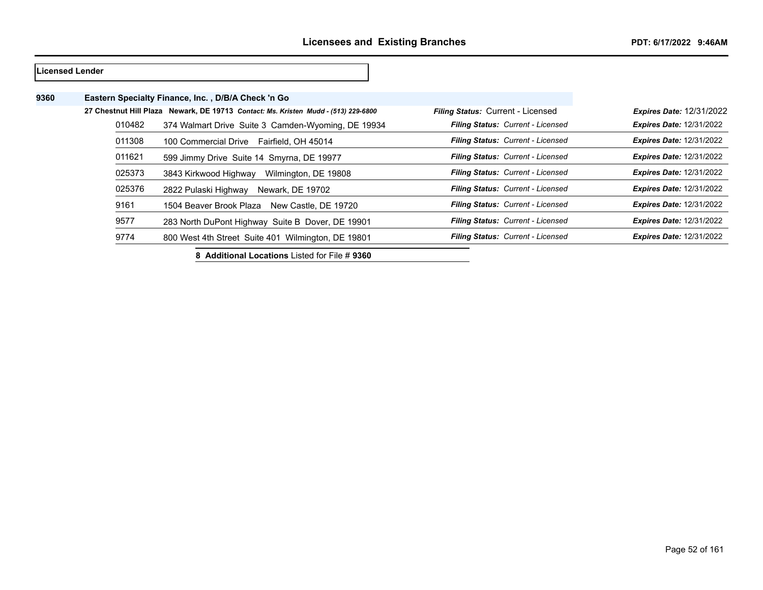# **Licensed Lender Eastern Specialty Finance, Inc. , D/B/A Check 'n Go 27 Chestnut Hill Plaza Newark, DE 19713** *Contact: Ms. Kristen Mudd - (513) 229-6800 Filing Status:* Current - Licensed *Expires Date:* 12/31/2022 374 Walmart Drive Suite 3 Camden-Wyoming, DE 19934 *Filing Status: Current - Licensed Expires Date:* 12/31/2022 100 Commercial Drive Fairfield, OH 45014 *Filing Status: Current - Licensed Expires Date:* 12/31/2022 599 Jimmy Drive Suite 14 Smyrna, DE 19977 *Filing Status: Current - Licensed Expires Date:* 12/31/2022 3843 Kirkwood Highway Wilmington, DE 19808 *Filing Status: Current - Licensed Expires Date:* 12/31/2022 2822 Pulaski Highway Newark, DE 19702 *Filing Status: Current - Licensed Expires Date:* 12/31/2022 1504 Beaver Brook Plaza New Castle, DE 19720 *Filing Status: Current - Licensed Expires Date:* 12/31/2022 283 North DuPont Highway Suite B Dover, DE 19901 *Filing Status: Current - Licensed Expires Date:* 12/31/2022 800 West 4th Street Suite 401 Wilmington, DE 19801 *Filing Status: Current - Licensed Expires Date:* 12/31/2022

**8 Additional Locations** Listed for File # **9360**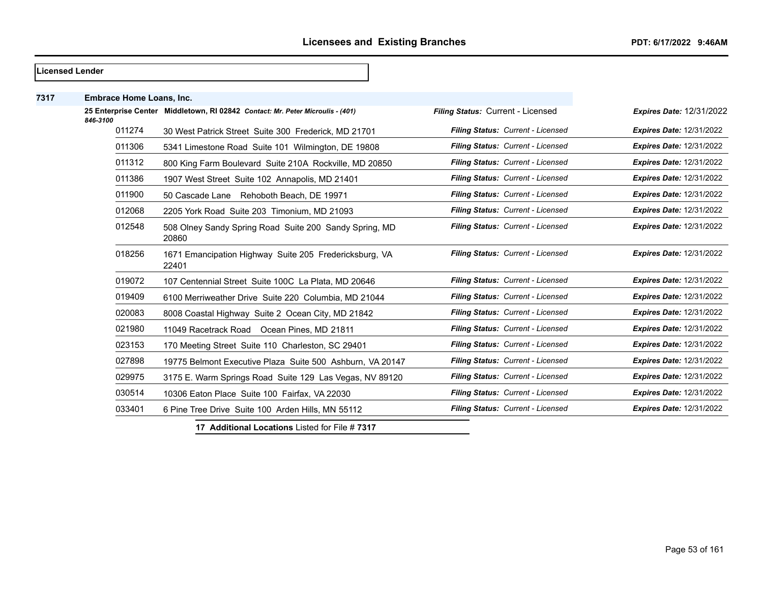| Licensed Lender |                                 |                                                                                |                                   |                                 |
|-----------------|---------------------------------|--------------------------------------------------------------------------------|-----------------------------------|---------------------------------|
| 7317            | <b>Embrace Home Loans, Inc.</b> |                                                                                |                                   |                                 |
|                 | 846-3100                        | 25 Enterprise Center Middletown, RI 02842 Contact: Mr. Peter Microulis - (401) | Filing Status: Current - Licensed | <b>Expires Date: 12/31/2022</b> |
|                 | 011274                          | 30 West Patrick Street Suite 300 Frederick, MD 21701                           | Filing Status: Current - Licensed | <b>Expires Date: 12/31/2022</b> |
|                 | 011306                          | 5341 Limestone Road Suite 101 Wilmington, DE 19808                             | Filing Status: Current - Licensed | <b>Expires Date: 12/31/2022</b> |
|                 | 011312                          | 800 King Farm Boulevard Suite 210A Rockville, MD 20850                         | Filing Status: Current - Licensed | <b>Expires Date: 12/31/2022</b> |
|                 | 011386                          | 1907 West Street Suite 102 Annapolis, MD 21401                                 | Filing Status: Current - Licensed | <b>Expires Date: 12/31/2022</b> |
|                 | 011900                          | 50 Cascade Lane Rehoboth Beach, DE 19971                                       | Filing Status: Current - Licensed | <b>Expires Date: 12/31/2022</b> |
|                 | 012068                          | 2205 York Road Suite 203 Timonium, MD 21093                                    | Filing Status: Current - Licensed | <b>Expires Date: 12/31/2022</b> |
|                 | 012548                          | 508 Olney Sandy Spring Road Suite 200 Sandy Spring, MD<br>20860                | Filing Status: Current - Licensed | <b>Expires Date: 12/31/2022</b> |
|                 | 018256                          | 1671 Emancipation Highway Suite 205 Fredericksburg, VA<br>22401                | Filing Status: Current - Licensed | <b>Expires Date: 12/31/2022</b> |
|                 | 019072                          | 107 Centennial Street Suite 100C La Plata, MD 20646                            | Filing Status: Current - Licensed | <b>Expires Date: 12/31/2022</b> |
|                 | 019409                          | 6100 Merriweather Drive Suite 220 Columbia, MD 21044                           | Filing Status: Current - Licensed | <b>Expires Date: 12/31/2022</b> |
|                 | 020083                          | 8008 Coastal Highway Suite 2 Ocean City, MD 21842                              | Filing Status: Current - Licensed | <b>Expires Date: 12/31/2022</b> |
|                 | 021980                          | 11049 Racetrack Road Ocean Pines, MD 21811                                     | Filing Status: Current - Licensed | <b>Expires Date: 12/31/2022</b> |
|                 | 023153                          | 170 Meeting Street Suite 110 Charleston, SC 29401                              | Filing Status: Current - Licensed | <b>Expires Date: 12/31/2022</b> |
|                 | 027898                          | 19775 Belmont Executive Plaza Suite 500 Ashburn, VA 20147                      | Filing Status: Current - Licensed | <b>Expires Date: 12/31/2022</b> |
|                 | 029975                          | 3175 E. Warm Springs Road Suite 129 Las Vegas, NV 89120                        | Filing Status: Current - Licensed | <b>Expires Date: 12/31/2022</b> |
|                 | 030514                          | 10306 Eaton Place Suite 100 Fairfax, VA 22030                                  | Filing Status: Current - Licensed | <b>Expires Date: 12/31/2022</b> |
|                 | 033401                          | 6 Pine Tree Drive Suite 100 Arden Hills, MN 55112                              | Filing Status: Current - Licensed | <b>Expires Date: 12/31/2022</b> |

**17 Additional Locations** Listed for File # **7317**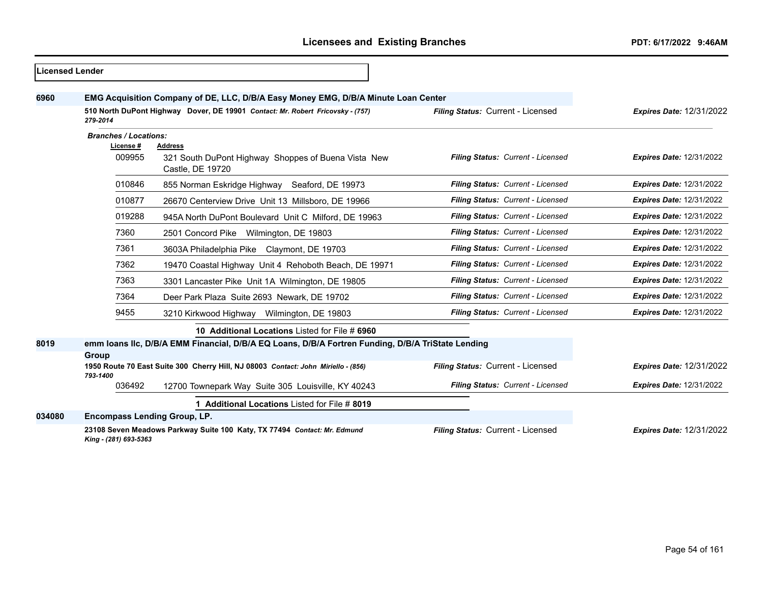$\overline{\phantom{0}}$ 

| <b>ILicensed Lender</b> |                                                                                                                                 |                                                                                           |                                   |                                 |  |  |
|-------------------------|---------------------------------------------------------------------------------------------------------------------------------|-------------------------------------------------------------------------------------------|-----------------------------------|---------------------------------|--|--|
| 6960                    |                                                                                                                                 | EMG Acquisition Company of DE, LLC, D/B/A Easy Money EMG, D/B/A Minute Loan Center        |                                   |                                 |  |  |
|                         | 510 North DuPont Highway Dover, DE 19901 Contact: Mr. Robert Fricovsky - (757)<br>Filing Status: Current - Licensed<br>279-2014 |                                                                                           | <b>Expires Date: 12/31/2022</b>   |                                 |  |  |
|                         | <b>Branches / Locations:</b>                                                                                                    |                                                                                           |                                   |                                 |  |  |
|                         | License #<br>009955                                                                                                             | <b>Address</b><br>321 South DuPont Highway Shoppes of Buena Vista New<br>Castle, DE 19720 | Filing Status: Current - Licensed | <b>Expires Date: 12/31/2022</b> |  |  |
|                         | 010846                                                                                                                          | 855 Norman Eskridge Highway Seaford, DE 19973                                             | Filing Status: Current - Licensed | <b>Expires Date: 12/31/2022</b> |  |  |
|                         | 010877                                                                                                                          | 26670 Centerview Drive Unit 13 Millsboro, DE 19966                                        | Filing Status: Current - Licensed | <b>Expires Date: 12/31/2022</b> |  |  |
|                         | 019288                                                                                                                          | 945A North DuPont Boulevard Unit C Milford, DE 19963                                      | Filing Status: Current - Licensed | <b>Expires Date: 12/31/2022</b> |  |  |
|                         | 7360                                                                                                                            | 2501 Concord Pike Wilmington, DE 19803                                                    | Filing Status: Current - Licensed | <b>Expires Date: 12/31/2022</b> |  |  |
|                         | 7361                                                                                                                            | 3603A Philadelphia Pike Claymont, DE 19703                                                | Filing Status: Current - Licensed | <b>Expires Date: 12/31/2022</b> |  |  |
|                         | 7362                                                                                                                            | 19470 Coastal Highway Unit 4 Rehoboth Beach, DE 19971                                     | Filing Status: Current - Licensed | <b>Expires Date: 12/31/2022</b> |  |  |
|                         | 7363                                                                                                                            | 3301 Lancaster Pike Unit 1A Wilmington, DE 19805                                          | Filing Status: Current - Licensed | <b>Expires Date: 12/31/2022</b> |  |  |
|                         | 7364                                                                                                                            | Deer Park Plaza Suite 2693 Newark, DE 19702                                               | Filing Status: Current - Licensed | <b>Expires Date: 12/31/2022</b> |  |  |
|                         | 9455                                                                                                                            | 3210 Kirkwood Highway Wilmington, DE 19803                                                | Filing Status: Current - Licensed | <b>Expires Date: 12/31/2022</b> |  |  |
|                         |                                                                                                                                 | 10 Additional Locations Listed for File # 6960                                            |                                   |                                 |  |  |
| 8019                    | emm Ioans IIc, D/B/A EMM Financial, D/B/A EQ Loans, D/B/A Fortren Funding, D/B/A TriState Lending<br>Group                      |                                                                                           |                                   |                                 |  |  |
|                         | 793-1400                                                                                                                        | 1950 Route 70 East Suite 300 Cherry Hill, NJ 08003 Contact: John Miriello - (856)         | Filing Status: Current - Licensed | <b>Expires Date: 12/31/2022</b> |  |  |
|                         | 036492                                                                                                                          | 12700 Townepark Way Suite 305 Louisville, KY 40243                                        | Filing Status: Current - Licensed | <b>Expires Date: 12/31/2022</b> |  |  |
|                         |                                                                                                                                 | 1 Additional Locations Listed for File # 8019                                             |                                   |                                 |  |  |
| 034080                  | <b>Encompass Lending Group, LP.</b>                                                                                             |                                                                                           |                                   |                                 |  |  |
|                         | King - (281) 693-5363                                                                                                           | 23108 Seven Meadows Parkway Suite 100 Katy, TX 77494 Contact: Mr. Edmund                  | Filing Status: Current - Licensed | <b>Expires Date: 12/31/2022</b> |  |  |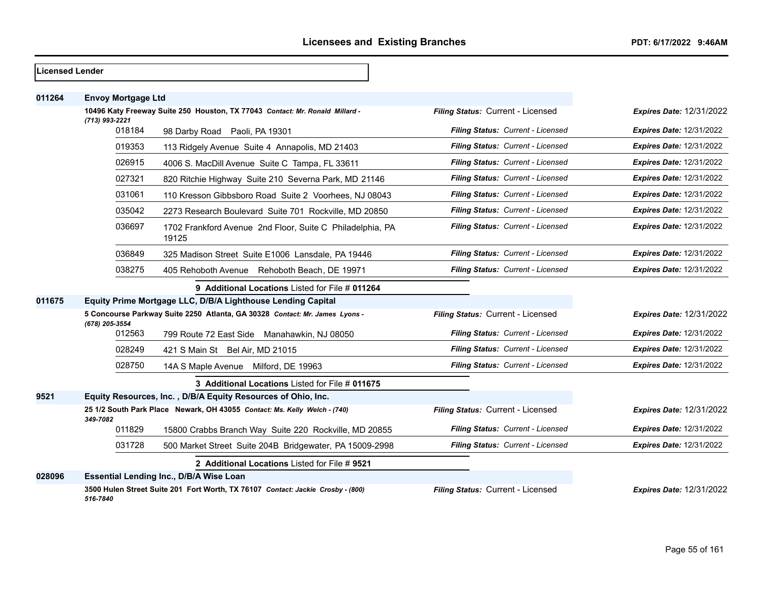| <b>Licensed Lender</b> |                                                                                                |                                                                                 |                                   |                                 |
|------------------------|------------------------------------------------------------------------------------------------|---------------------------------------------------------------------------------|-----------------------------------|---------------------------------|
| 011264                 | <b>Envoy Mortgage Ltd</b>                                                                      |                                                                                 |                                   |                                 |
|                        | 10496 Katy Freeway Suite 250 Houston, TX 77043 Contact: Mr. Ronald Millard -<br>(713) 993-2221 |                                                                                 | Filing Status: Current - Licensed | <b>Expires Date: 12/31/2022</b> |
|                        | 018184                                                                                         | 98 Darby Road Paoli, PA 19301                                                   | Filing Status: Current - Licensed | <b>Expires Date: 12/31/2022</b> |
|                        | 019353                                                                                         | 113 Ridgely Avenue Suite 4 Annapolis, MD 21403                                  | Filing Status: Current - Licensed | <b>Expires Date: 12/31/2022</b> |
|                        | 026915                                                                                         | 4006 S. MacDill Avenue Suite C Tampa, FL 33611                                  | Filing Status: Current - Licensed | <b>Expires Date: 12/31/2022</b> |
|                        | 027321                                                                                         | 820 Ritchie Highway Suite 210 Severna Park, MD 21146                            | Filing Status: Current - Licensed | <b>Expires Date: 12/31/2022</b> |
|                        | 031061                                                                                         | 110 Kresson Gibbsboro Road Suite 2 Voorhees, NJ 08043                           | Filing Status: Current - Licensed | <b>Expires Date: 12/31/2022</b> |
|                        | 035042                                                                                         | 2273 Research Boulevard Suite 701 Rockville, MD 20850                           | Filing Status: Current - Licensed | Expires Date: 12/31/2022        |
|                        | 036697                                                                                         | 1702 Frankford Avenue 2nd Floor, Suite C Philadelphia, PA<br>19125              | Filing Status: Current - Licensed | <b>Expires Date: 12/31/2022</b> |
|                        | 036849                                                                                         | 325 Madison Street Suite E1006 Lansdale, PA 19446                               | Filing Status: Current - Licensed | <b>Expires Date: 12/31/2022</b> |
|                        | 038275                                                                                         | 405 Rehoboth Avenue Rehoboth Beach, DE 19971                                    | Filing Status: Current - Licensed | <b>Expires Date: 12/31/2022</b> |
|                        |                                                                                                | 9 Additional Locations Listed for File # 011264                                 |                                   |                                 |
| 011675                 | Equity Prime Mortgage LLC, D/B/A Lighthouse Lending Capital                                    |                                                                                 |                                   |                                 |
|                        | 5 Concourse Parkway Suite 2250 Atlanta, GA 30328 Contact: Mr. James Lyons -<br>(678) 205-3554  |                                                                                 | Filing Status: Current - Licensed | <b>Expires Date: 12/31/2022</b> |
|                        | 012563                                                                                         | 799 Route 72 East Side Manahawkin, NJ 08050                                     | Filing Status: Current - Licensed | <b>Expires Date: 12/31/2022</b> |
|                        | 028249                                                                                         | 421 S Main St Bel Air, MD 21015                                                 | Filing Status: Current - Licensed | <b>Expires Date: 12/31/2022</b> |
|                        | 028750                                                                                         | 14A S Maple Avenue Milford, DE 19963                                            | Filing Status: Current - Licensed | <b>Expires Date: 12/31/2022</b> |
|                        |                                                                                                | 3 Additional Locations Listed for File # 011675                                 |                                   |                                 |
| 9521                   |                                                                                                | Equity Resources, Inc., D/B/A Equity Resources of Ohio, Inc.                    |                                   |                                 |
|                        | 349-7082                                                                                       | 25 1/2 South Park Place Newark, OH 43055 Contact: Ms. Kelly Welch - (740)       | Filing Status: Current - Licensed | <b>Expires Date: 12/31/2022</b> |
|                        | 011829                                                                                         | 15800 Crabbs Branch Way Suite 220 Rockville, MD 20855                           | Filing Status: Current - Licensed | <b>Expires Date: 12/31/2022</b> |
|                        | 031728                                                                                         | 500 Market Street Suite 204B Bridgewater, PA 15009-2998                         | Filing Status: Current - Licensed | <b>Expires Date: 12/31/2022</b> |
|                        |                                                                                                | 2 Additional Locations Listed for File # 9521                                   |                                   |                                 |
| 028096                 |                                                                                                | Essential Lending Inc., D/B/A Wise Loan                                         |                                   |                                 |
|                        | 516-7840                                                                                       | 3500 Hulen Street Suite 201 Fort Worth, TX 76107 Contact: Jackie Crosby - (800) | Filing Status: Current - Licensed | <b>Expires Date: 12/31/2022</b> |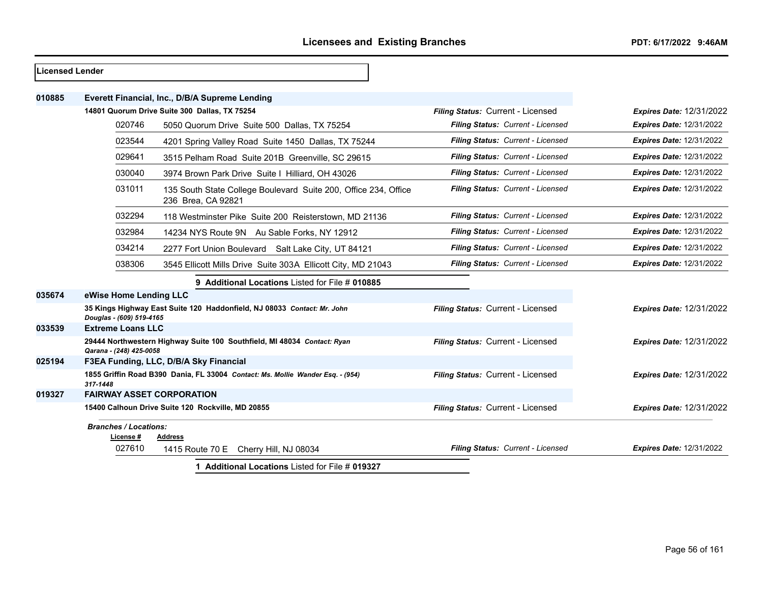| <b>Licensed Lender</b> |                                          |                                                                                       |                                   |                                 |
|------------------------|------------------------------------------|---------------------------------------------------------------------------------------|-----------------------------------|---------------------------------|
| 010885                 |                                          | Everett Financial, Inc., D/B/A Supreme Lending                                        |                                   |                                 |
|                        |                                          | 14801 Quorum Drive Suite 300 Dallas, TX 75254                                         | Filing Status: Current - Licensed | <b>Expires Date: 12/31/2022</b> |
|                        | 020746                                   | 5050 Quorum Drive Suite 500 Dallas, TX 75254                                          | Filing Status: Current - Licensed | <b>Expires Date: 12/31/2022</b> |
|                        | 023544                                   | 4201 Spring Valley Road Suite 1450 Dallas, TX 75244                                   | Filing Status: Current - Licensed | <b>Expires Date: 12/31/2022</b> |
|                        | 029641                                   | 3515 Pelham Road Suite 201B Greenville, SC 29615                                      | Filing Status: Current - Licensed | <b>Expires Date: 12/31/2022</b> |
|                        | 030040                                   | 3974 Brown Park Drive Suite I Hilliard, OH 43026                                      | Filing Status: Current - Licensed | <b>Expires Date: 12/31/2022</b> |
|                        | 031011                                   | 135 South State College Boulevard Suite 200, Office 234, Office<br>236 Brea, CA 92821 | Filing Status: Current - Licensed | <b>Expires Date: 12/31/2022</b> |
|                        | 032294                                   | 118 Westminster Pike Suite 200 Reisterstown, MD 21136                                 | Filing Status: Current - Licensed | <b>Expires Date: 12/31/2022</b> |
|                        | 032984                                   | 14234 NYS Route 9N Au Sable Forks, NY 12912                                           | Filing Status: Current - Licensed | <b>Expires Date: 12/31/2022</b> |
|                        | 034214                                   | 2277 Fort Union Boulevard Salt Lake City, UT 84121                                    | Filing Status: Current - Licensed | <b>Expires Date: 12/31/2022</b> |
|                        | 038306                                   | 3545 Ellicott Mills Drive Suite 303A Ellicott City, MD 21043                          | Filing Status: Current - Licensed | <b>Expires Date: 12/31/2022</b> |
|                        |                                          | 9 Additional Locations Listed for File # 010885                                       |                                   |                                 |
| 035674                 | eWise Home Lending LLC                   |                                                                                       |                                   |                                 |
|                        | Douglas - (609) 519-4165                 | 35 Kings Highway East Suite 120 Haddonfield, NJ 08033 Contact: Mr. John               | Filing Status: Current - Licensed | <b>Expires Date: 12/31/2022</b> |
| 033539                 | <b>Extreme Loans LLC</b>                 |                                                                                       |                                   |                                 |
|                        | Qarana - (248) 425-0058                  | 29444 Northwestern Highway Suite 100 Southfield, MI 48034 Contact: Ryan               | Filing Status: Current - Licensed | <b>Expires Date: 12/31/2022</b> |
| 025194                 |                                          | F3EA Funding, LLC, D/B/A Sky Financial                                                |                                   |                                 |
|                        | 317-1448                                 | 1855 Griffin Road B390 Dania, FL 33004 Contact: Ms. Mollie Wander Esq. - (954)        | Filing Status: Current - Licensed | <b>Expires Date: 12/31/2022</b> |
| 019327                 | <b>FAIRWAY ASSET CORPORATION</b>         |                                                                                       |                                   |                                 |
|                        |                                          | 15400 Calhoun Drive Suite 120 Rockville, MD 20855                                     | Filing Status: Current - Licensed | <b>Expires Date: 12/31/2022</b> |
|                        | <b>Branches / Locations:</b><br>License# | <b>Address</b>                                                                        |                                   |                                 |
|                        | 027610                                   | 1415 Route 70 E Cherry Hill, NJ 08034                                                 | Filing Status: Current - Licensed | <b>Expires Date: 12/31/2022</b> |
|                        |                                          | 1 Additional Locations Listed for File # 019327                                       |                                   |                                 |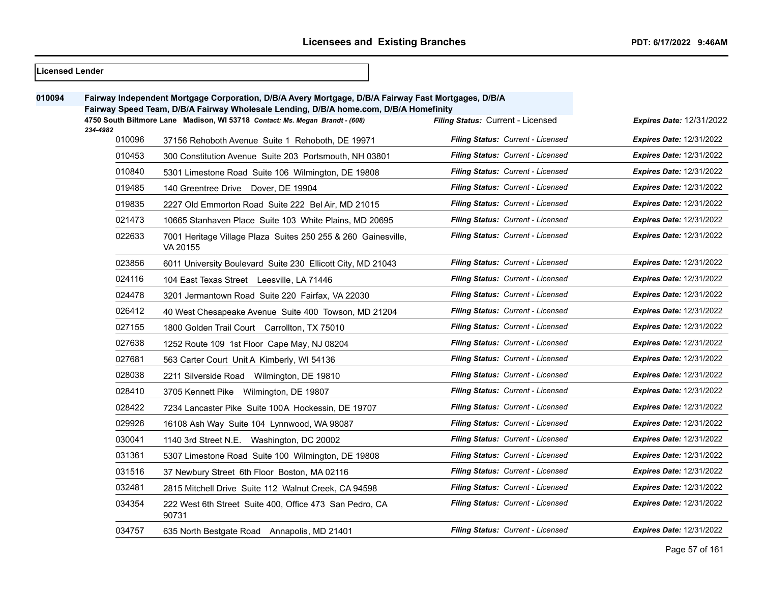| Licensed Lender |          |                                                                                                                                                                                              |                                          |                                 |
|-----------------|----------|----------------------------------------------------------------------------------------------------------------------------------------------------------------------------------------------|------------------------------------------|---------------------------------|
| 010094          |          | Fairway Independent Mortgage Corporation, D/B/A Avery Mortgage, D/B/A Fairway Fast Mortgages, D/B/A<br>Fairway Speed Team, D/B/A Fairway Wholesale Lending, D/B/A home.com, D/B/A Homefinity |                                          |                                 |
|                 | 234-4982 | 4750 South Biltmore Lane Madison, WI 53718 Contact: Ms. Megan Brandt - (608)                                                                                                                 | Filing Status: Current - Licensed        | Expires Date: 12/31/2022        |
|                 | 010096   | 37156 Rehoboth Avenue Suite 1 Rehoboth, DE 19971                                                                                                                                             | Filing Status: Current - Licensed        | <b>Expires Date: 12/31/2022</b> |
|                 | 010453   | 300 Constitution Avenue Suite 203 Portsmouth, NH 03801                                                                                                                                       | Filing Status: Current - Licensed        | <b>Expires Date: 12/31/2022</b> |
|                 | 010840   | 5301 Limestone Road Suite 106 Wilmington, DE 19808                                                                                                                                           | <b>Filing Status: Current - Licensed</b> | <b>Expires Date: 12/31/2022</b> |
|                 | 019485   | 140 Greentree Drive Dover, DE 19904                                                                                                                                                          | Filing Status: Current - Licensed        | <b>Expires Date: 12/31/2022</b> |
|                 | 019835   | 2227 Old Emmorton Road Suite 222 Bel Air, MD 21015                                                                                                                                           | <b>Filing Status: Current - Licensed</b> | <b>Expires Date: 12/31/2022</b> |
|                 | 021473   | 10665 Stanhaven Place Suite 103 White Plains, MD 20695                                                                                                                                       | Filing Status: Current - Licensed        | <b>Expires Date: 12/31/2022</b> |
|                 | 022633   | 7001 Heritage Village Plaza Suites 250 255 & 260 Gainesville,<br>VA 20155                                                                                                                    | Filing Status: Current - Licensed        | Expires Date: 12/31/2022        |
|                 | 023856   | 6011 University Boulevard Suite 230 Ellicott City, MD 21043                                                                                                                                  | Filing Status: Current - Licensed        | <b>Expires Date: 12/31/2022</b> |
|                 | 024116   | 104 East Texas Street Leesville, LA 71446                                                                                                                                                    | Filing Status: Current - Licensed        | <b>Expires Date: 12/31/2022</b> |
|                 | 024478   | 3201 Jermantown Road Suite 220 Fairfax, VA 22030                                                                                                                                             | Filing Status: Current - Licensed        | <b>Expires Date: 12/31/2022</b> |
|                 | 026412   | 40 West Chesapeake Avenue Suite 400 Towson, MD 21204                                                                                                                                         | <b>Filing Status: Current - Licensed</b> | <b>Expires Date: 12/31/2022</b> |
|                 | 027155   | 1800 Golden Trail Court Carrollton, TX 75010                                                                                                                                                 | <b>Filing Status: Current - Licensed</b> | <b>Expires Date: 12/31/2022</b> |
|                 | 027638   | 1252 Route 109 1st Floor Cape May, NJ 08204                                                                                                                                                  | <b>Filing Status: Current - Licensed</b> | <b>Expires Date: 12/31/2022</b> |
|                 | 027681   | 563 Carter Court Unit A Kimberly, WI 54136                                                                                                                                                   | Filing Status: Current - Licensed        | <b>Expires Date: 12/31/2022</b> |
|                 | 028038   | 2211 Silverside Road Wilmington, DE 19810                                                                                                                                                    | Filing Status: Current - Licensed        | <b>Expires Date: 12/31/2022</b> |
|                 | 028410   | 3705 Kennett Pike Wilmington, DE 19807                                                                                                                                                       | Filing Status: Current - Licensed        | <b>Expires Date: 12/31/2022</b> |
|                 | 028422   | 7234 Lancaster Pike Suite 100A Hockessin, DE 19707                                                                                                                                           | Filing Status: Current - Licensed        | <b>Expires Date: 12/31/2022</b> |
|                 | 029926   | 16108 Ash Way Suite 104 Lynnwood, WA 98087                                                                                                                                                   | Filing Status: Current - Licensed        | <b>Expires Date: 12/31/2022</b> |
|                 | 030041   | 1140 3rd Street N.E. Washington, DC 20002                                                                                                                                                    | Filing Status: Current - Licensed        | Expires Date: 12/31/2022        |
|                 | 031361   | 5307 Limestone Road Suite 100 Wilmington, DE 19808                                                                                                                                           | Filing Status: Current - Licensed        | <b>Expires Date: 12/31/2022</b> |
|                 | 031516   | 37 Newbury Street 6th Floor Boston, MA 02116                                                                                                                                                 | Filing Status: Current - Licensed        | <b>Expires Date: 12/31/2022</b> |
|                 | 032481   | 2815 Mitchell Drive Suite 112 Walnut Creek, CA 94598                                                                                                                                         | Filing Status: Current - Licensed        | <b>Expires Date: 12/31/2022</b> |
|                 | 034354   | 222 West 6th Street Suite 400, Office 473 San Pedro, CA<br>90731                                                                                                                             | Filing Status: Current - Licensed        | <b>Expires Date: 12/31/2022</b> |
|                 | 034757   | 635 North Bestgate Road Annapolis, MD 21401                                                                                                                                                  | Filing Status: Current - Licensed        | <b>Expires Date: 12/31/2022</b> |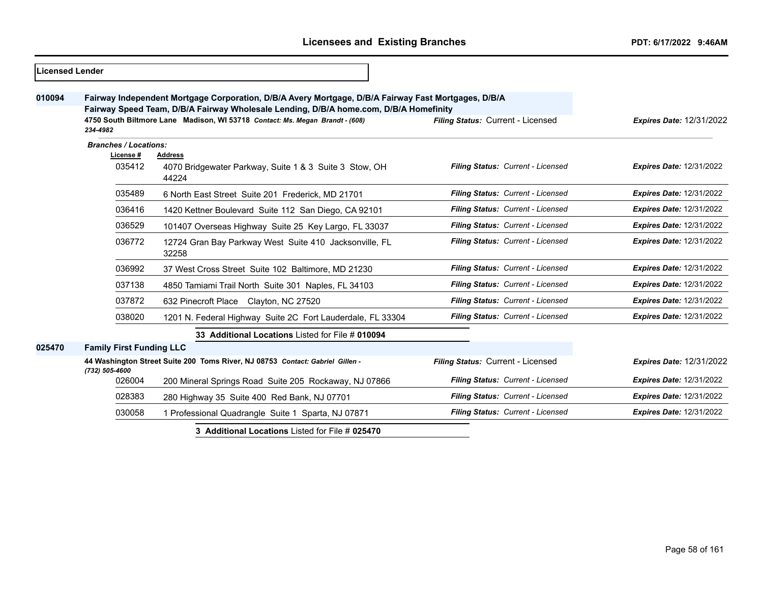| 010094 | Fairway Independent Mortgage Corporation, D/B/A Avery Mortgage, D/B/A Fairway Fast Mortgages, D/B/A<br>Fairway Speed Team, D/B/A Fairway Wholesale Lending, D/B/A home.com, D/B/A Homefinity<br>4750 South Biltmore Lane Madison, WI 53718 Contact: Ms. Megan Brandt - (608)<br>Filing Status: Current - Licensed<br>234-4982 |                                                                               |                                   | <b>Expires Date: 12/31/2022</b> |
|--------|-------------------------------------------------------------------------------------------------------------------------------------------------------------------------------------------------------------------------------------------------------------------------------------------------------------------------------|-------------------------------------------------------------------------------|-----------------------------------|---------------------------------|
|        | <b>Branches / Locations:</b><br>License #                                                                                                                                                                                                                                                                                     | Address                                                                       |                                   |                                 |
|        | 035412                                                                                                                                                                                                                                                                                                                        | 4070 Bridgewater Parkway, Suite 1 & 3 Suite 3 Stow, OH<br>44224               | Filing Status: Current - Licensed | <b>Expires Date: 12/31/2022</b> |
|        | 035489                                                                                                                                                                                                                                                                                                                        | 6 North East Street Suite 201 Frederick, MD 21701                             | Filing Status: Current - Licensed | <b>Expires Date: 12/31/2022</b> |
|        | 036416                                                                                                                                                                                                                                                                                                                        | 1420 Kettner Boulevard Suite 112 San Diego, CA 92101                          | Filing Status: Current - Licensed | <b>Expires Date: 12/31/2022</b> |
|        | 036529                                                                                                                                                                                                                                                                                                                        | 101407 Overseas Highway Suite 25 Key Largo, FL 33037                          | Filing Status: Current - Licensed | <b>Expires Date: 12/31/2022</b> |
|        | 036772                                                                                                                                                                                                                                                                                                                        | 12724 Gran Bay Parkway West Suite 410 Jacksonville, FL<br>32258               | Filing Status: Current - Licensed | <b>Expires Date: 12/31/2022</b> |
|        | 036992                                                                                                                                                                                                                                                                                                                        | 37 West Cross Street Suite 102 Baltimore, MD 21230                            | Filing Status: Current - Licensed | <b>Expires Date: 12/31/2022</b> |
|        | 037138                                                                                                                                                                                                                                                                                                                        | 4850 Tamiami Trail North Suite 301 Naples, FL 34103                           | Filing Status: Current - Licensed | <b>Expires Date: 12/31/2022</b> |
|        | 037872                                                                                                                                                                                                                                                                                                                        | 632 Pinecroft Place Clayton, NC 27520                                         | Filing Status: Current - Licensed | <b>Expires Date: 12/31/2022</b> |
|        | 038020                                                                                                                                                                                                                                                                                                                        | 1201 N. Federal Highway Suite 2C Fort Lauderdale, FL 33304                    | Filing Status: Current - Licensed | <b>Expires Date: 12/31/2022</b> |
|        |                                                                                                                                                                                                                                                                                                                               | 33 Additional Locations Listed for File # 010094                              |                                   |                                 |
| 025470 | <b>Family First Funding LLC</b>                                                                                                                                                                                                                                                                                               |                                                                               |                                   |                                 |
|        | (732) 505-4600                                                                                                                                                                                                                                                                                                                | 44 Washington Street Suite 200 Toms River, NJ 08753 Contact: Gabriel Gillen - | Filing Status: Current - Licensed | <b>Expires Date: 12/31/2022</b> |
|        | 026004                                                                                                                                                                                                                                                                                                                        | 200 Mineral Springs Road Suite 205 Rockaway, NJ 07866                         | Filing Status: Current - Licensed | <b>Expires Date: 12/31/2022</b> |
|        | 028383                                                                                                                                                                                                                                                                                                                        | 280 Highway 35 Suite 400 Red Bank, NJ 07701                                   | Filing Status: Current - Licensed | <b>Expires Date: 12/31/2022</b> |
|        | 030058                                                                                                                                                                                                                                                                                                                        | 1 Professional Quadrangle Suite 1 Sparta, NJ 07871                            | Filing Status: Current - Licensed | <b>Expires Date: 12/31/2022</b> |

**3 Additional Locations** Listed for File # **025470**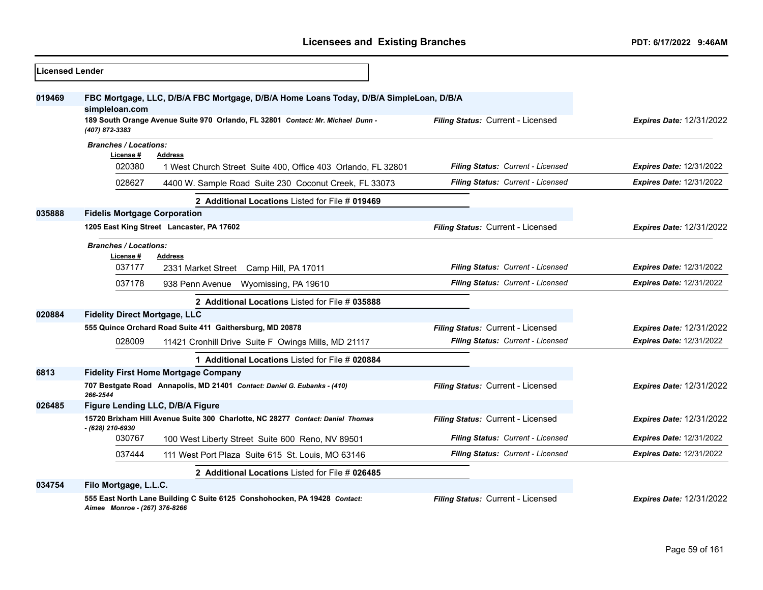| <b>Licensed Lender</b> |                                                                                                            |                                   |                                 |
|------------------------|------------------------------------------------------------------------------------------------------------|-----------------------------------|---------------------------------|
| 019469                 | FBC Mortgage, LLC, D/B/A FBC Mortgage, D/B/A Home Loans Today, D/B/A SimpleLoan, D/B/A<br>simpleloan.com   |                                   |                                 |
|                        | 189 South Orange Avenue Suite 970 Orlando, FL 32801 Contact: Mr. Michael Dunn -<br>(407) 872-3383          | Filing Status: Current - Licensed | <b>Expires Date: 12/31/2022</b> |
|                        | <b>Branches / Locations:</b><br>License #<br><b>Address</b>                                                |                                   |                                 |
|                        | 020380<br>1 West Church Street Suite 400, Office 403 Orlando, FL 32801                                     | Filing Status: Current - Licensed | <b>Expires Date: 12/31/2022</b> |
|                        | 028627<br>4400 W. Sample Road Suite 230 Coconut Creek, FL 33073                                            | Filing Status: Current - Licensed | <b>Expires Date: 12/31/2022</b> |
|                        | 2 Additional Locations Listed for File # 019469                                                            |                                   |                                 |
| 035888                 | <b>Fidelis Mortgage Corporation</b>                                                                        |                                   |                                 |
|                        | 1205 East King Street Lancaster, PA 17602                                                                  | Filing Status: Current - Licensed | <b>Expires Date: 12/31/2022</b> |
|                        | <b>Branches / Locations:</b>                                                                               |                                   |                                 |
|                        | License #<br><b>Address</b><br>037177<br>2331 Market Street Camp Hill, PA 17011                            | Filing Status: Current - Licensed | <b>Expires Date: 12/31/2022</b> |
|                        | 037178<br>938 Penn Avenue<br>Wyomissing, PA 19610                                                          | Filing Status: Current - Licensed | <b>Expires Date: 12/31/2022</b> |
|                        | 2 Additional Locations Listed for File # 035888                                                            |                                   |                                 |
| 020884                 | <b>Fidelity Direct Mortgage, LLC</b>                                                                       |                                   |                                 |
|                        | 555 Quince Orchard Road Suite 411 Gaithersburg, MD 20878                                                   | Filing Status: Current - Licensed | <b>Expires Date: 12/31/2022</b> |
|                        | 028009<br>11421 Cronhill Drive Suite F Owings Mills, MD 21117                                              | Filing Status: Current - Licensed | <b>Expires Date: 12/31/2022</b> |
|                        | 1 Additional Locations Listed for File # 020884                                                            |                                   |                                 |
| 6813                   | <b>Fidelity First Home Mortgage Company</b>                                                                |                                   |                                 |
|                        | 707 Bestgate Road Annapolis, MD 21401 Contact: Daniel G. Eubanks - (410)<br>266-2544                       | Filing Status: Current - Licensed | <b>Expires Date: 12/31/2022</b> |
| 026485                 | Figure Lending LLC, D/B/A Figure                                                                           |                                   |                                 |
|                        | 15720 Brixham Hill Avenue Suite 300 Charlotte, NC 28277 Contact: Daniel Thomas<br>- (628) 210-6930         | Filing Status: Current - Licensed | <b>Expires Date: 12/31/2022</b> |
|                        | 030767<br>100 West Liberty Street Suite 600 Reno, NV 89501                                                 | Filing Status: Current - Licensed | <b>Expires Date: 12/31/2022</b> |
|                        | 037444<br>111 West Port Plaza Suite 615 St. Louis, MO 63146                                                | Filing Status: Current - Licensed | <b>Expires Date: 12/31/2022</b> |
|                        | 2 Additional Locations Listed for File # 026485                                                            |                                   |                                 |
| 034754                 | Filo Mortgage, L.L.C.                                                                                      |                                   |                                 |
|                        | 555 East North Lane Building C Suite 6125 Conshohocken, PA 19428 Contact:<br>Aimee Monroe - (267) 376-8266 | Filing Status: Current - Licensed | <b>Expires Date: 12/31/2022</b> |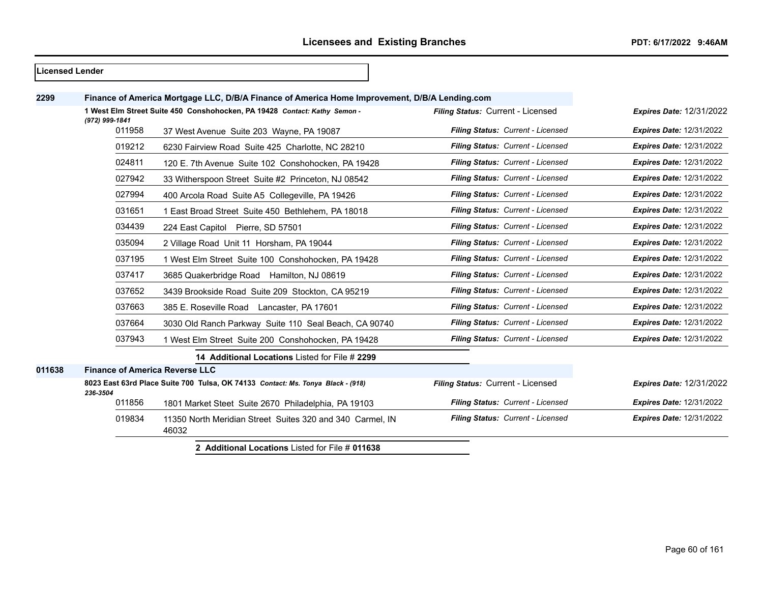#### **Licensed Lender**

| 2299   |                                       | Finance of America Mortgage LLC, D/B/A Finance of America Home Improvement, D/B/A Lending.com |                                   |                                 |
|--------|---------------------------------------|-----------------------------------------------------------------------------------------------|-----------------------------------|---------------------------------|
|        |                                       | 1 West Elm Street Suite 450 Conshohocken, PA 19428 Contact: Kathy Semon -                     | Filing Status: Current - Licensed | <b>Expires Date: 12/31/2022</b> |
|        | (972) 999-1841<br>011958              | 37 West Avenue Suite 203 Wayne, PA 19087                                                      | Filing Status: Current - Licensed | <b>Expires Date: 12/31/2022</b> |
|        | 019212                                | 6230 Fairview Road Suite 425 Charlotte, NC 28210                                              | Filing Status: Current - Licensed | <b>Expires Date: 12/31/2022</b> |
|        | 024811                                | 120 E. 7th Avenue Suite 102 Conshohocken, PA 19428                                            | Filing Status: Current - Licensed | <b>Expires Date: 12/31/2022</b> |
|        | 027942                                | 33 Witherspoon Street Suite #2 Princeton, NJ 08542                                            | Filing Status: Current - Licensed | <b>Expires Date: 12/31/2022</b> |
|        | 027994                                | 400 Arcola Road Suite A5 Collegeville, PA 19426                                               | Filing Status: Current - Licensed | <b>Expires Date: 12/31/2022</b> |
|        | 031651                                | 1 East Broad Street Suite 450 Bethlehem, PA 18018                                             | Filing Status: Current - Licensed | <b>Expires Date: 12/31/2022</b> |
|        | 034439                                | 224 East Capitol Pierre, SD 57501                                                             | Filing Status: Current - Licensed | <b>Expires Date: 12/31/2022</b> |
|        | 035094                                | 2 Village Road Unit 11 Horsham, PA 19044                                                      | Filing Status: Current - Licensed | <b>Expires Date: 12/31/2022</b> |
|        | 037195                                | 1 West Elm Street Suite 100 Conshohocken, PA 19428                                            | Filing Status: Current - Licensed | <b>Expires Date: 12/31/2022</b> |
|        | 037417                                | 3685 Quakerbridge Road Hamilton, NJ 08619                                                     | Filing Status: Current - Licensed | <b>Expires Date: 12/31/2022</b> |
|        | 037652                                | 3439 Brookside Road Suite 209 Stockton, CA 95219                                              | Filing Status: Current - Licensed | <b>Expires Date: 12/31/2022</b> |
|        | 037663                                | 385 E. Roseville Road Lancaster, PA 17601                                                     | Filing Status: Current - Licensed | <b>Expires Date: 12/31/2022</b> |
|        | 037664                                | 3030 Old Ranch Parkway Suite 110 Seal Beach, CA 90740                                         | Filing Status: Current - Licensed | <b>Expires Date: 12/31/2022</b> |
|        | 037943                                | 1 West Elm Street Suite 200 Conshohocken, PA 19428                                            | Filing Status: Current - Licensed | <b>Expires Date: 12/31/2022</b> |
|        |                                       | 14 Additional Locations Listed for File # 2299                                                |                                   |                                 |
| 011638 | <b>Finance of America Reverse LLC</b> |                                                                                               |                                   |                                 |
|        | 236-3504                              | 8023 East 63rd Place Suite 700 Tulsa, OK 74133 Contact: Ms. Tonya Black - (918)               | Filing Status: Current - Licensed | <b>Expires Date: 12/31/2022</b> |
|        | 011856                                | 1801 Market Steet Suite 2670 Philadelphia, PA 19103                                           | Filing Status: Current - Licensed | <b>Expires Date: 12/31/2022</b> |
|        | 019834                                | 11350 North Meridian Street Suites 320 and 340 Carmel, IN<br>46032                            | Filing Status: Current - Licensed | <b>Expires Date: 12/31/2022</b> |
|        |                                       |                                                                                               |                                   |                                 |

**2 Additional Locations** Listed for File # **011638**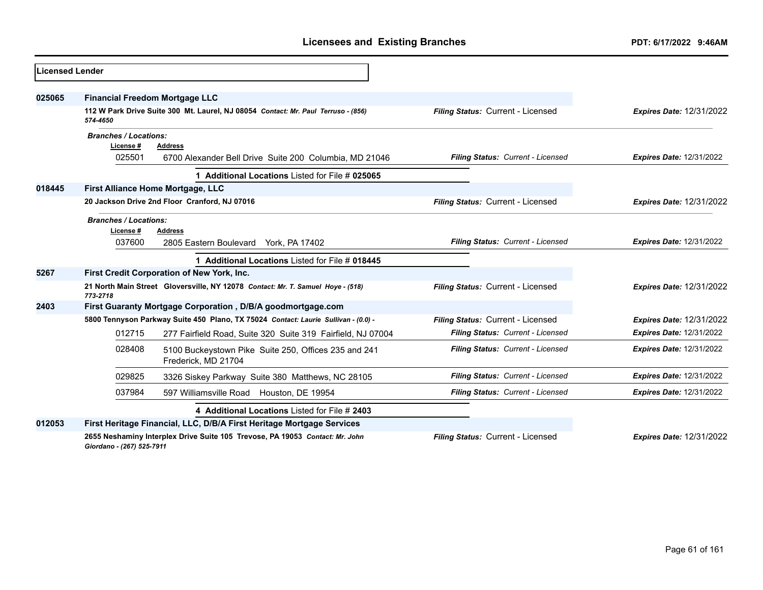| <b>Licensed Lender</b> |                                          |                                                                                    |                                   |                                 |
|------------------------|------------------------------------------|------------------------------------------------------------------------------------|-----------------------------------|---------------------------------|
| 025065                 | <b>Financial Freedom Mortgage LLC</b>    |                                                                                    |                                   |                                 |
|                        | 574-4650                                 | 112 W Park Drive Suite 300 Mt. Laurel, NJ 08054 Contact: Mr. Paul Terruso - (856)  | Filing Status: Current - Licensed | <b>Expires Date: 12/31/2022</b> |
|                        | <b>Branches / Locations:</b><br>License# | <b>Address</b>                                                                     |                                   |                                 |
|                        | 025501                                   | 6700 Alexander Bell Drive Suite 200 Columbia, MD 21046                             | Filing Status: Current - Licensed | <b>Expires Date: 12/31/2022</b> |
|                        |                                          | Additional Locations Listed for File # 025065                                      |                                   |                                 |
| 018445                 | First Alliance Home Mortgage, LLC        |                                                                                    |                                   |                                 |
|                        |                                          | 20 Jackson Drive 2nd Floor Cranford, NJ 07016                                      | Filing Status: Current - Licensed | <b>Expires Date: 12/31/2022</b> |
|                        | <b>Branches / Locations:</b><br>License# | <b>Address</b>                                                                     |                                   |                                 |
|                        | 037600                                   | 2805 Eastern Boulevard York, PA 17402                                              | Filing Status: Current - Licensed | <b>Expires Date: 12/31/2022</b> |
|                        |                                          | 1 Additional Locations Listed for File # 018445                                    |                                   |                                 |
| 5267                   |                                          | First Credit Corporation of New York, Inc.                                         |                                   |                                 |
|                        | 773-2718                                 | 21 North Main Street Gloversville, NY 12078 Contact: Mr. T. Samuel Hoye - (518)    | Filing Status: Current - Licensed | <b>Expires Date: 12/31/2022</b> |
| 2403                   |                                          | First Guaranty Mortgage Corporation, D/B/A goodmortgage.com                        |                                   |                                 |
|                        |                                          | 5800 Tennyson Parkway Suite 450 Plano, TX 75024 Contact: Laurie Sullivan - (0.0) - | Filing Status: Current - Licensed | <b>Expires Date: 12/31/2022</b> |
|                        | 012715                                   | 277 Fairfield Road, Suite 320 Suite 319 Fairfield, NJ 07004                        | Filing Status: Current - Licensed | <b>Expires Date: 12/31/2022</b> |
|                        | 028408                                   | 5100 Buckeystown Pike Suite 250, Offices 235 and 241<br>Frederick, MD 21704        | Filing Status: Current - Licensed | <b>Expires Date: 12/31/2022</b> |
|                        | 029825                                   | 3326 Siskey Parkway Suite 380 Matthews, NC 28105                                   | Filing Status: Current - Licensed | <b>Expires Date: 12/31/2022</b> |
|                        | 037984                                   | 597 Williamsville Road Houston, DE 19954                                           | Filing Status: Current - Licensed | <b>Expires Date: 12/31/2022</b> |
|                        |                                          | 4 Additional Locations Listed for File # 2403                                      |                                   |                                 |
| 012053                 |                                          | First Heritage Financial, LLC, D/B/A First Heritage Mortgage Services              |                                   |                                 |
|                        | Giordano - (267) 525-7911                | 2655 Neshaminy Interplex Drive Suite 105 Trevose, PA 19053 Contact: Mr. John       | Filing Status: Current - Licensed | <b>Expires Date: 12/31/2022</b> |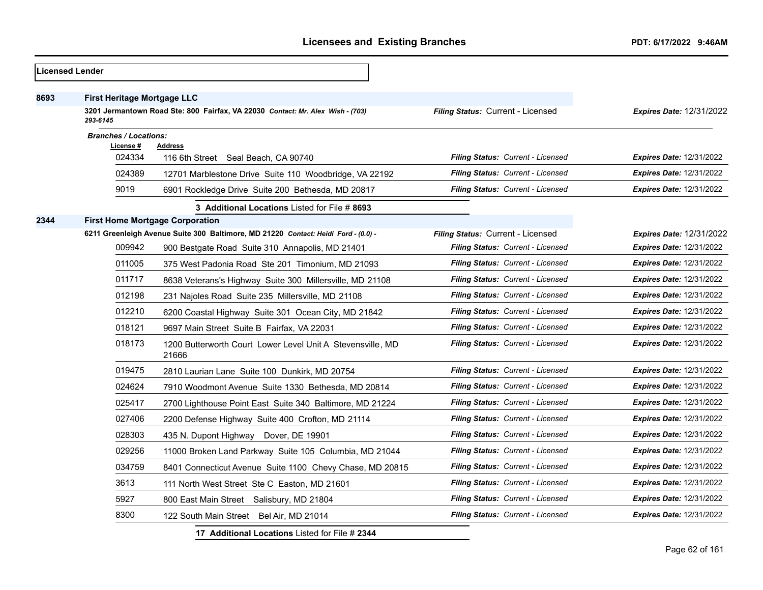|      | Licensed Lender                           |                                                                                    |                                          |                                 |
|------|-------------------------------------------|------------------------------------------------------------------------------------|------------------------------------------|---------------------------------|
| 8693 | <b>First Heritage Mortgage LLC</b>        |                                                                                    |                                          |                                 |
|      | 293-6145                                  | 3201 Jermantown Road Ste: 800 Fairfax, VA 22030 Contact: Mr. Alex Wish - (703)     | Filing Status: Current - Licensed        | <b>Expires Date: 12/31/2022</b> |
|      | <b>Branches / Locations:</b><br>License # | <b>Address</b>                                                                     |                                          |                                 |
|      | 024334                                    | 116 6th Street Seal Beach, CA 90740                                                | Filing Status: Current - Licensed        | <b>Expires Date: 12/31/2022</b> |
|      | 024389                                    | 12701 Marblestone Drive Suite 110 Woodbridge, VA 22192                             | Filing Status: Current - Licensed        | <b>Expires Date: 12/31/2022</b> |
|      | 9019                                      | 6901 Rockledge Drive Suite 200 Bethesda, MD 20817                                  | Filing Status: Current - Licensed        | <b>Expires Date: 12/31/2022</b> |
|      |                                           | 3 Additional Locations Listed for File # 8693                                      |                                          |                                 |
| 2344 | <b>First Home Mortgage Corporation</b>    |                                                                                    |                                          |                                 |
|      |                                           | 6211 Greenleigh Avenue Suite 300 Baltimore, MD 21220 Contact: Heidi Ford - (0.0) - | Filing Status: Current - Licensed        | <b>Expires Date: 12/31/2022</b> |
|      | 009942                                    | 900 Bestgate Road Suite 310 Annapolis, MD 21401                                    | Filing Status: Current - Licensed        | <b>Expires Date: 12/31/2022</b> |
|      | 011005                                    | 375 West Padonia Road Ste 201 Timonium, MD 21093                                   | Filing Status: Current - Licensed        | <b>Expires Date: 12/31/2022</b> |
|      | 011717                                    | 8638 Veterans's Highway Suite 300 Millersville, MD 21108                           | Filing Status: Current - Licensed        | <b>Expires Date: 12/31/2022</b> |
|      | 012198                                    | 231 Najoles Road Suite 235 Millersville, MD 21108                                  | <b>Filing Status: Current - Licensed</b> | <b>Expires Date: 12/31/2022</b> |
|      | 012210                                    | 6200 Coastal Highway Suite 301 Ocean City, MD 21842                                | <b>Filing Status: Current - Licensed</b> | <b>Expires Date: 12/31/2022</b> |
|      | 018121                                    | 9697 Main Street Suite B Fairfax, VA 22031                                         | <b>Filing Status: Current - Licensed</b> | <b>Expires Date: 12/31/2022</b> |
|      | 018173                                    | 1200 Butterworth Court Lower Level Unit A Stevensville, MD<br>21666                | Filing Status: Current - Licensed        | <b>Expires Date: 12/31/2022</b> |
|      | 019475                                    | 2810 Laurian Lane Suite 100 Dunkirk, MD 20754                                      | Filing Status: Current - Licensed        | <b>Expires Date: 12/31/2022</b> |
|      | 024624                                    | 7910 Woodmont Avenue Suite 1330 Bethesda, MD 20814                                 | <b>Filing Status: Current - Licensed</b> | <b>Expires Date: 12/31/2022</b> |
|      | 025417                                    | 2700 Lighthouse Point East Suite 340 Baltimore, MD 21224                           | Filing Status: Current - Licensed        | <b>Expires Date: 12/31/2022</b> |
|      | 027406                                    | 2200 Defense Highway Suite 400 Crofton, MD 21114                                   | Filing Status: Current - Licensed        | <b>Expires Date: 12/31/2022</b> |
|      | 028303                                    | 435 N. Dupont Highway Dover, DE 19901                                              | Filing Status: Current - Licensed        | <b>Expires Date: 12/31/2022</b> |
|      | 029256                                    | 11000 Broken Land Parkway Suite 105 Columbia, MD 21044                             | <b>Filing Status: Current - Licensed</b> | <b>Expires Date: 12/31/2022</b> |
|      | 034759                                    | 8401 Connecticut Avenue Suite 1100 Chevy Chase, MD 20815                           | Filing Status: Current - Licensed        | <b>Expires Date: 12/31/2022</b> |
|      | 3613                                      | 111 North West Street Ste C Easton, MD 21601                                       | Filing Status: Current - Licensed        | <b>Expires Date: 12/31/2022</b> |
|      | 5927                                      | 800 East Main Street Salisbury, MD 21804                                           | Filing Status: Current - Licensed        | <b>Expires Date: 12/31/2022</b> |
|      | 8300                                      | 122 South Main Street Bel Air, MD 21014                                            | <b>Filing Status: Current - Licensed</b> | <b>Expires Date: 12/31/2022</b> |
|      |                                           | 17 Additional Locations Listed for File # 2344                                     |                                          |                                 |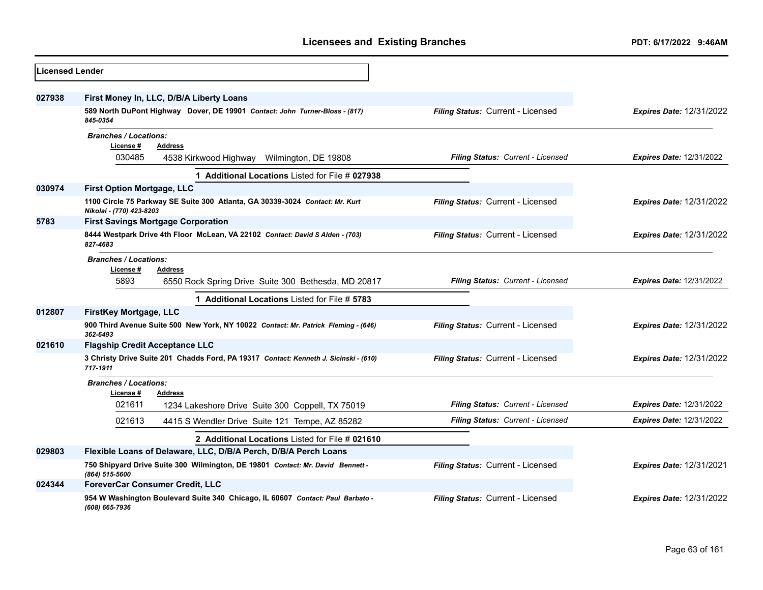| <b>Licensed Lender</b> |                                                                                                                    |                                          |                                 |
|------------------------|--------------------------------------------------------------------------------------------------------------------|------------------------------------------|---------------------------------|
| 027938                 | First Money In, LLC, D/B/A Liberty Loans                                                                           |                                          |                                 |
|                        | 589 North DuPont Highway Dover, DE 19901 Contact: John Turner-Bloss - (817)<br>845-0354                            | Filing Status: Current - Licensed        | <b>Expires Date: 12/31/2022</b> |
|                        | <b>Branches / Locations:</b><br>License#<br><b>Address</b><br>030485<br>4538 Kirkwood Highway Wilmington, DE 19808 | <b>Filing Status: Current - Licensed</b> | <b>Expires Date: 12/31/2022</b> |
|                        | 1 Additional Locations Listed for File # 027938                                                                    |                                          |                                 |
| 030974                 | <b>First Option Mortgage, LLC</b>                                                                                  |                                          |                                 |
|                        | 1100 Circle 75 Parkway SE Suite 300 Atlanta, GA 30339-3024 Contact: Mr. Kurt<br>Nikolai - (770) 423-8203           | Filing Status: Current - Licensed        | <b>Expires Date: 12/31/2022</b> |
| 5783                   | <b>First Savings Mortgage Corporation</b>                                                                          |                                          |                                 |
|                        | 8444 Westpark Drive 4th Floor McLean, VA 22102 Contact: David S Alden - (703)<br>827-4683                          | Filing Status: Current - Licensed        | <b>Expires Date: 12/31/2022</b> |
|                        | <b>Branches / Locations:</b><br>License #<br><b>Address</b>                                                        |                                          |                                 |
|                        | 5893<br>6550 Rock Spring Drive Suite 300 Bethesda, MD 20817                                                        | Filing Status: Current - Licensed        | <b>Expires Date: 12/31/2022</b> |
|                        | 1 Additional Locations Listed for File # 5783                                                                      |                                          |                                 |
| 012807                 | <b>FirstKey Mortgage, LLC</b>                                                                                      |                                          |                                 |
|                        | 900 Third Avenue Suite 500 New York, NY 10022 Contact: Mr. Patrick Fleming - (646)<br>362-6493                     | Filing Status: Current - Licensed        | <b>Expires Date: 12/31/2022</b> |
| 021610                 | <b>Flagship Credit Acceptance LLC</b>                                                                              |                                          |                                 |
|                        | 3 Christy Drive Suite 201 Chadds Ford, PA 19317 Contact: Kenneth J. Sicinski - (610)<br>717-1911                   | Filing Status: Current - Licensed        | <b>Expires Date: 12/31/2022</b> |
|                        | <b>Branches / Locations:</b><br>License #<br><b>Address</b>                                                        |                                          |                                 |
|                        | 021611<br>1234 Lakeshore Drive Suite 300 Coppell, TX 75019                                                         | <b>Filing Status: Current - Licensed</b> | <b>Expires Date: 12/31/2022</b> |
|                        | 021613<br>4415 S Wendler Drive Suite 121 Tempe, AZ 85282                                                           | Filing Status: Current - Licensed        | <b>Expires Date: 12/31/2022</b> |
|                        | 2 Additional Locations Listed for File # 021610                                                                    |                                          |                                 |
| 029803                 | Flexible Loans of Delaware, LLC, D/B/A Perch, D/B/A Perch Loans                                                    |                                          |                                 |
|                        | 750 Shipyard Drive Suite 300 Wilmington, DE 19801 Contact: Mr. David Bennett -<br>(864) 515-5600                   | Filing Status: Current - Licensed        | <b>Expires Date: 12/31/2021</b> |
| 024344                 | <b>ForeverCar Consumer Credit, LLC</b>                                                                             |                                          |                                 |
|                        | 954 W Washington Boulevard Suite 340 Chicago, IL 60607 Contact: Paul Barbato -<br>(608) 665-7936                   | Filing Status: Current - Licensed        | <b>Expires Date: 12/31/2022</b> |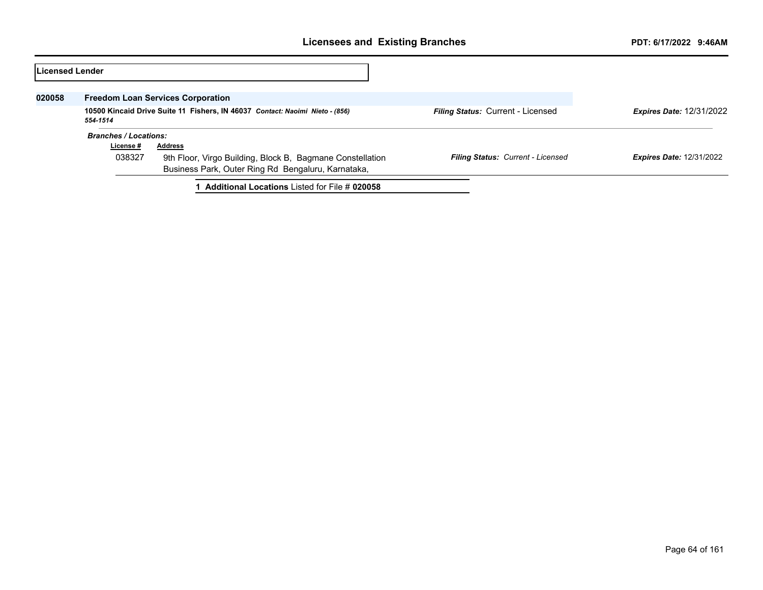| Licensed Lender |                                          |                                                                                                                 |                                          |                                 |
|-----------------|------------------------------------------|-----------------------------------------------------------------------------------------------------------------|------------------------------------------|---------------------------------|
| 020058          | <b>Freedom Loan Services Corporation</b> |                                                                                                                 |                                          |                                 |
|                 | 554-1514                                 | 10500 Kincaid Drive Suite 11 Fishers, IN 46037 Contact: Naoimi Nieto - (856)                                    | <b>Filing Status: Current - Licensed</b> | <b>Expires Date: 12/31/2022</b> |
|                 | <b>Branches / Locations:</b>             |                                                                                                                 |                                          |                                 |
|                 | License #                                | <b>Address</b>                                                                                                  |                                          |                                 |
|                 | 038327                                   | 9th Floor, Virgo Building, Block B, Bagmane Constellation<br>Business Park, Outer Ring Rd Bengaluru, Karnataka, | <b>Filing Status: Current - Licensed</b> | <b>Expires Date: 12/31/2022</b> |
|                 |                                          | <b>Additional Locations Listed for File # 020058</b>                                                            |                                          |                                 |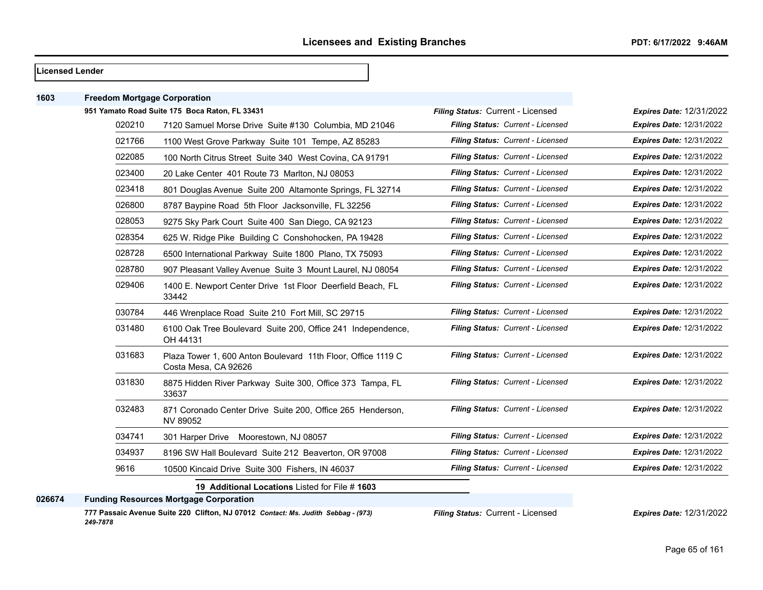#### **Licensed Lender**

| 1603   | <b>Freedom Mortgage Corporation</b> |                                                                                      |                                   |                                 |
|--------|-------------------------------------|--------------------------------------------------------------------------------------|-----------------------------------|---------------------------------|
|        |                                     | 951 Yamato Road Suite 175 Boca Raton, FL 33431                                       | Filing Status: Current - Licensed | Expires Date: 12/31/2022        |
|        | 020210                              | 7120 Samuel Morse Drive Suite #130 Columbia, MD 21046                                | Filing Status: Current - Licensed | Expires Date: 12/31/2022        |
|        | 021766                              | 1100 West Grove Parkway Suite 101 Tempe, AZ 85283                                    | Filing Status: Current - Licensed | <b>Expires Date: 12/31/2022</b> |
|        | 022085                              | 100 North Citrus Street Suite 340 West Covina, CA 91791                              | Filing Status: Current - Licensed | <b>Expires Date: 12/31/2022</b> |
|        | 023400                              | 20 Lake Center 401 Route 73 Marlton, NJ 08053                                        | Filing Status: Current - Licensed | <b>Expires Date: 12/31/2022</b> |
|        | 023418                              | 801 Douglas Avenue Suite 200 Altamonte Springs, FL 32714                             | Filing Status: Current - Licensed | <b>Expires Date: 12/31/2022</b> |
|        | 026800                              | 8787 Baypine Road 5th Floor Jacksonville, FL 32256                                   | Filing Status: Current - Licensed | <b>Expires Date: 12/31/2022</b> |
|        | 028053                              | 9275 Sky Park Court Suite 400 San Diego, CA 92123                                    | Filing Status: Current - Licensed | <b>Expires Date: 12/31/2022</b> |
|        | 028354                              | 625 W. Ridge Pike Building C Conshohocken, PA 19428                                  | Filing Status: Current - Licensed | <b>Expires Date: 12/31/2022</b> |
|        | 028728                              | 6500 International Parkway Suite 1800 Plano, TX 75093                                | Filing Status: Current - Licensed | <b>Expires Date: 12/31/2022</b> |
|        | 028780                              | 907 Pleasant Valley Avenue Suite 3 Mount Laurel, NJ 08054                            | Filing Status: Current - Licensed | <b>Expires Date: 12/31/2022</b> |
|        | 029406                              | 1400 E. Newport Center Drive 1st Floor Deerfield Beach, FL<br>33442                  | Filing Status: Current - Licensed | <b>Expires Date: 12/31/2022</b> |
|        | 030784                              | 446 Wrenplace Road Suite 210 Fort Mill, SC 29715                                     | Filing Status: Current - Licensed | <b>Expires Date: 12/31/2022</b> |
|        | 031480                              | 6100 Oak Tree Boulevard Suite 200, Office 241 Independence,<br>OH 44131              | Filing Status: Current - Licensed | <b>Expires Date: 12/31/2022</b> |
|        | 031683                              | Plaza Tower 1, 600 Anton Boulevard 11th Floor, Office 1119 C<br>Costa Mesa, CA 92626 | Filing Status: Current - Licensed | <b>Expires Date: 12/31/2022</b> |
|        | 031830                              | 8875 Hidden River Parkway Suite 300, Office 373 Tampa, FL<br>33637                   | Filing Status: Current - Licensed | Expires Date: 12/31/2022        |
|        | 032483                              | 871 Coronado Center Drive Suite 200, Office 265 Henderson,<br>NV 89052               | Filing Status: Current - Licensed | <b>Expires Date: 12/31/2022</b> |
|        | 034741                              | 301 Harper Drive Moorestown, NJ 08057                                                | Filing Status: Current - Licensed | <b>Expires Date: 12/31/2022</b> |
|        | 034937                              | 8196 SW Hall Boulevard Suite 212 Beaverton, OR 97008                                 | Filing Status: Current - Licensed | <b>Expires Date: 12/31/2022</b> |
|        | 9616                                | 10500 Kincaid Drive Suite 300 Fishers, IN 46037                                      | Filing Status: Current - Licensed | <b>Expires Date: 12/31/2022</b> |
|        |                                     | 19 Additional Locations Listed for File # 1603                                       |                                   |                                 |
| 026674 |                                     | <b>Funding Resources Mortgage Corporation</b>                                        |                                   |                                 |
|        |                                     |                                                                                      |                                   |                                 |

**777 Passaic Avenue Suite 220 Clifton, NJ 07012** *Contact: Ms. Judith Sebbag - (973) 249-7878*

*Filing Status:* Current - Licensed *Expires Date:* 12/31/2022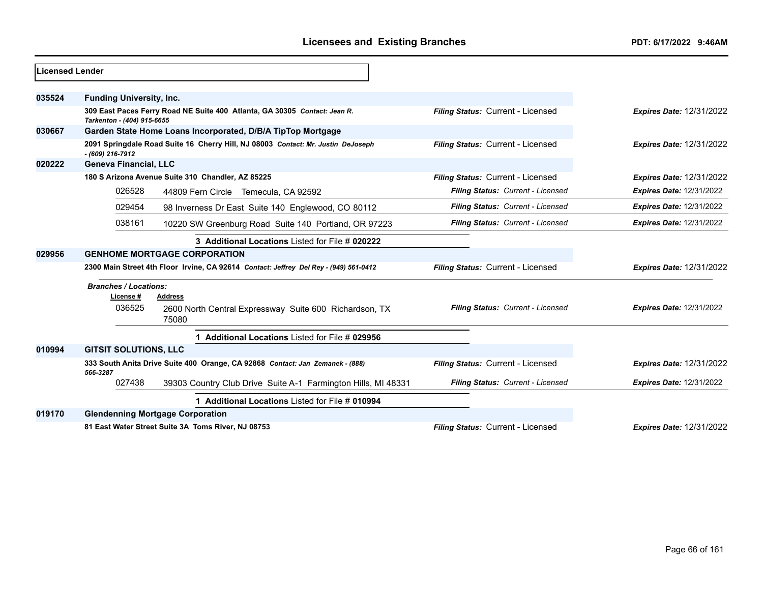| Licensed Lender |                                                                                       |                                                                                  |                                   |                                 |
|-----------------|---------------------------------------------------------------------------------------|----------------------------------------------------------------------------------|-----------------------------------|---------------------------------|
| 035524          | <b>Funding University, Inc.</b>                                                       |                                                                                  |                                   |                                 |
|                 | Tarkenton - (404) 915-6655                                                            | 309 East Paces Ferry Road NE Suite 400 Atlanta, GA 30305 Contact: Jean R.        | Filing Status: Current - Licensed | <b>Expires Date: 12/31/2022</b> |
| 030667          |                                                                                       | Garden State Home Loans Incorporated, D/B/A TipTop Mortgage                      |                                   |                                 |
|                 | $- (609)$ 216-7912                                                                    | 2091 Springdale Road Suite 16 Cherry Hill, NJ 08003 Contact: Mr. Justin DeJoseph | Filing Status: Current - Licensed | <b>Expires Date: 12/31/2022</b> |
| 020222          | <b>Geneva Financial, LLC</b>                                                          |                                                                                  |                                   |                                 |
|                 |                                                                                       | 180 S Arizona Avenue Suite 310 Chandler, AZ 85225                                | Filing Status: Current - Licensed | <b>Expires Date: 12/31/2022</b> |
|                 | 026528                                                                                | 44809 Fern Circle Temecula, CA 92592                                             | Filing Status: Current - Licensed | <b>Expires Date: 12/31/2022</b> |
|                 | 029454                                                                                | 98 Inverness Dr East Suite 140 Englewood, CO 80112                               | Filing Status: Current - Licensed | <b>Expires Date: 12/31/2022</b> |
|                 | 038161                                                                                | 10220 SW Greenburg Road Suite 140 Portland, OR 97223                             | Filing Status: Current - Licensed | <b>Expires Date: 12/31/2022</b> |
|                 |                                                                                       | 3 Additional Locations Listed for File # 020222                                  |                                   |                                 |
| 029956          | <b>GENHOME MORTGAGE CORPORATION</b>                                                   |                                                                                  |                                   |                                 |
|                 | 2300 Main Street 4th Floor Irvine, CA 92614 Contact: Jeffrey Del Rey - (949) 561-0412 |                                                                                  | Filing Status: Current - Licensed | <b>Expires Date: 12/31/2022</b> |
|                 | <b>Branches / Locations:</b>                                                          |                                                                                  |                                   |                                 |
|                 | License #                                                                             | Address                                                                          |                                   |                                 |
|                 | 036525                                                                                | 2600 North Central Expressway Suite 600 Richardson, TX<br>75080                  | Filing Status: Current - Licensed | <b>Expires Date: 12/31/2022</b> |
|                 | Additional Locations Listed for File # 029956                                         |                                                                                  |                                   |                                 |
| 010994          | <b>GITSIT SOLUTIONS, LLC</b>                                                          |                                                                                  |                                   |                                 |
|                 | 566-3287                                                                              | 333 South Anita Drive Suite 400 Orange, CA 92868 Contact: Jan Zemanek - (888)    | Filing Status: Current - Licensed | <b>Expires Date: 12/31/2022</b> |
|                 | 027438                                                                                | 39303 Country Club Drive Suite A-1 Farmington Hills, MI 48331                    | Filing Status: Current - Licensed | <b>Expires Date: 12/31/2022</b> |
|                 |                                                                                       | 1 Additional Locations Listed for File # 010994                                  |                                   |                                 |
| 019170          |                                                                                       | <b>Glendenning Mortgage Corporation</b>                                          |                                   |                                 |
|                 |                                                                                       | 81 East Water Street Suite 3A Toms River, NJ 08753                               | Filing Status: Current - Licensed | <b>Expires Date: 12/31/2022</b> |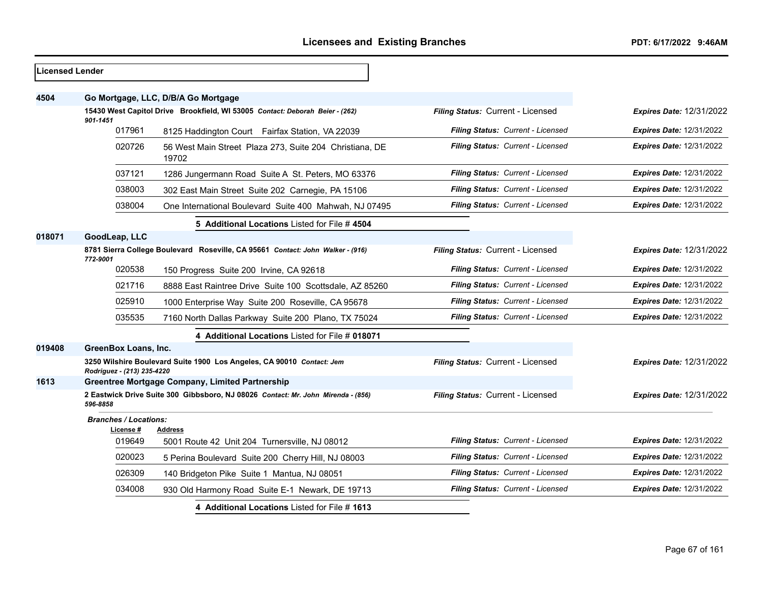| <b>Licensed Lender</b> |                                                                                              |                                                                                |                                   |                                 |
|------------------------|----------------------------------------------------------------------------------------------|--------------------------------------------------------------------------------|-----------------------------------|---------------------------------|
| 4504                   |                                                                                              | Go Mortgage, LLC, D/B/A Go Mortgage                                            |                                   |                                 |
|                        | 15430 West Capitol Drive Brookfield, WI 53005 Contact: Deborah Beier - (262)                 |                                                                                | Filing Status: Current - Licensed | <b>Expires Date: 12/31/2022</b> |
|                        | 901-1451<br>017961                                                                           | 8125 Haddington Court Fairfax Station, VA 22039                                | Filing Status: Current - Licensed | <b>Expires Date: 12/31/2022</b> |
|                        | 020726                                                                                       | 56 West Main Street Plaza 273, Suite 204 Christiana, DE<br>19702               | Filing Status: Current - Licensed | <b>Expires Date: 12/31/2022</b> |
|                        | 037121                                                                                       | 1286 Jungermann Road Suite A St. Peters, MO 63376                              | Filing Status: Current - Licensed | <b>Expires Date: 12/31/2022</b> |
|                        | 038003                                                                                       | 302 East Main Street Suite 202 Carnegie, PA 15106                              | Filing Status: Current - Licensed | <b>Expires Date: 12/31/2022</b> |
|                        | 038004                                                                                       | One International Boulevard Suite 400 Mahwah, NJ 07495                         | Filing Status: Current - Licensed | <b>Expires Date: 12/31/2022</b> |
|                        |                                                                                              | 5 Additional Locations Listed for File # 4504                                  |                                   |                                 |
| 018071                 | GoodLeap, LLC                                                                                |                                                                                |                                   |                                 |
|                        | 772-9001                                                                                     | 8781 Sierra College Boulevard Roseville, CA 95661 Contact: John Walker - (916) | Filing Status: Current - Licensed | <b>Expires Date: 12/31/2022</b> |
|                        | 020538                                                                                       | 150 Progress Suite 200 Irvine, CA 92618                                        | Filing Status: Current - Licensed | <b>Expires Date: 12/31/2022</b> |
|                        | 021716                                                                                       | 8888 East Raintree Drive Suite 100 Scottsdale, AZ 85260                        | Filing Status: Current - Licensed | <b>Expires Date: 12/31/2022</b> |
|                        | 025910                                                                                       | 1000 Enterprise Way Suite 200 Roseville, CA 95678                              | Filing Status: Current - Licensed | <b>Expires Date: 12/31/2022</b> |
|                        | 035535                                                                                       | 7160 North Dallas Parkway Suite 200 Plano, TX 75024                            | Filing Status: Current - Licensed | Expires Date: 12/31/2022        |
|                        |                                                                                              | 4 Additional Locations Listed for File # 018071                                |                                   |                                 |
| 019408                 | GreenBox Loans, Inc.                                                                         |                                                                                |                                   |                                 |
|                        | Rodriguez - (213) 235-4220                                                                   | 3250 Wilshire Boulevard Suite 1900 Los Angeles, CA 90010 Contact: Jem          | Filing Status: Current - Licensed | <b>Expires Date: 12/31/2022</b> |
| 1613                   |                                                                                              | <b>Greentree Mortgage Company, Limited Partnership</b>                         |                                   |                                 |
|                        | 2 Eastwick Drive Suite 300 Gibbsboro, NJ 08026 Contact: Mr. John Mirenda - (856)<br>596-8858 |                                                                                | Filing Status: Current - Licensed | <b>Expires Date: 12/31/2022</b> |
|                        | <b>Branches / Locations:</b>                                                                 |                                                                                |                                   |                                 |
|                        | License #<br>019649                                                                          | Address<br>5001 Route 42 Unit 204 Turnersville, NJ 08012                       | Filing Status: Current - Licensed | <b>Expires Date: 12/31/2022</b> |
|                        | 020023                                                                                       | 5 Perina Boulevard Suite 200 Cherry Hill, NJ 08003                             | Filing Status: Current - Licensed | <b>Expires Date: 12/31/2022</b> |
|                        | 026309                                                                                       | 140 Bridgeton Pike Suite 1 Mantua, NJ 08051                                    | Filing Status: Current - Licensed | Expires Date: 12/31/2022        |
|                        | 034008                                                                                       | 930 Old Harmony Road Suite E-1 Newark, DE 19713                                | Filing Status: Current - Licensed | Expires Date: 12/31/2022        |
|                        |                                                                                              | 4 Additional Locations Listed for File #1613                                   |                                   |                                 |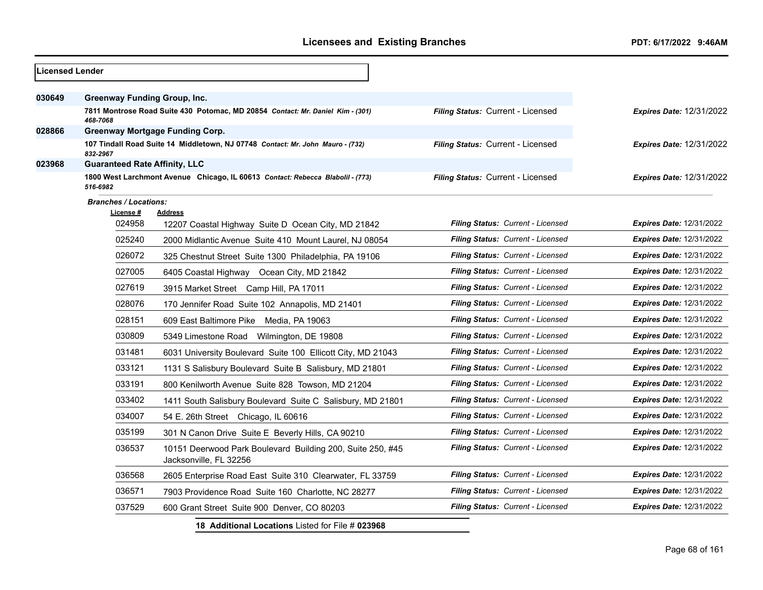| Licensed Lender |                                      |                                                                                      |                                          |                                 |
|-----------------|--------------------------------------|--------------------------------------------------------------------------------------|------------------------------------------|---------------------------------|
|                 |                                      |                                                                                      |                                          |                                 |
| 030649          | Greenway Funding Group, Inc.         |                                                                                      |                                          |                                 |
|                 | 468-7068                             | 7811 Montrose Road Suite 430 Potomac, MD 20854 Contact: Mr. Daniel Kim - (301)       | Filing Status: Current - Licensed        | <b>Expires Date: 12/31/2022</b> |
| 028866          |                                      | <b>Greenway Mortgage Funding Corp.</b>                                               |                                          |                                 |
|                 | 832-2967                             | 107 Tindall Road Suite 14 Middletown, NJ 07748 Contact: Mr. John Mauro - (732)       | Filing Status: Current - Licensed        | <b>Expires Date: 12/31/2022</b> |
| 023968          | <b>Guaranteed Rate Affinity, LLC</b> |                                                                                      |                                          |                                 |
|                 | 516-6982                             | 1800 West Larchmont Avenue Chicago, IL 60613 Contact: Rebecca Blabolil - (773)       | Filing Status: Current - Licensed        | <b>Expires Date: 12/31/2022</b> |
|                 | <b>Branches / Locations:</b>         |                                                                                      |                                          |                                 |
|                 | License #<br>024958                  | <b>Address</b><br>12207 Coastal Highway Suite D Ocean City, MD 21842                 | Filing Status: Current - Licensed        | <b>Expires Date: 12/31/2022</b> |
|                 | 025240                               | 2000 Midlantic Avenue Suite 410 Mount Laurel, NJ 08054                               | Filing Status: Current - Licensed        | <b>Expires Date: 12/31/2022</b> |
|                 | 026072                               | 325 Chestnut Street Suite 1300 Philadelphia, PA 19106                                | Filing Status: Current - Licensed        | <b>Expires Date: 12/31/2022</b> |
|                 | 027005                               | 6405 Coastal Highway Ocean City, MD 21842                                            | Filing Status: Current - Licensed        | Expires Date: 12/31/2022        |
|                 | 027619                               | 3915 Market Street Camp Hill, PA 17011                                               | <b>Filing Status: Current - Licensed</b> | <b>Expires Date: 12/31/2022</b> |
|                 | 028076                               | 170 Jennifer Road Suite 102 Annapolis, MD 21401                                      | Filing Status: Current - Licensed        | <b>Expires Date: 12/31/2022</b> |
|                 | 028151                               | 609 East Baltimore Pike Media, PA 19063                                              | Filing Status: Current - Licensed        | <b>Expires Date: 12/31/2022</b> |
|                 | 030809                               | 5349 Limestone Road Wilmington, DE 19808                                             | Filing Status: Current - Licensed        | <b>Expires Date: 12/31/2022</b> |
|                 | 031481                               | 6031 University Boulevard Suite 100 Ellicott City, MD 21043                          | Filing Status: Current - Licensed        | <b>Expires Date: 12/31/2022</b> |
|                 | 033121                               | 1131 S Salisbury Boulevard Suite B Salisbury, MD 21801                               | Filing Status: Current - Licensed        | <b>Expires Date: 12/31/2022</b> |
|                 | 033191                               | 800 Kenilworth Avenue Suite 828 Towson, MD 21204                                     | Filing Status: Current - Licensed        | <b>Expires Date: 12/31/2022</b> |
|                 | 033402                               | 1411 South Salisbury Boulevard Suite C Salisbury, MD 21801                           | Filing Status: Current - Licensed        | <b>Expires Date: 12/31/2022</b> |
|                 | 034007                               | 54 E. 26th Street Chicago, IL 60616                                                  | Filing Status: Current - Licensed        | <b>Expires Date: 12/31/2022</b> |
|                 | 035199                               | 301 N Canon Drive Suite E Beverly Hills, CA 90210                                    | Filing Status: Current - Licensed        | <b>Expires Date: 12/31/2022</b> |
|                 | 036537                               | 10151 Deerwood Park Boulevard Building 200, Suite 250, #45<br>Jacksonville, FL 32256 | Filing Status: Current - Licensed        | <b>Expires Date: 12/31/2022</b> |
|                 | 036568                               | 2605 Enterprise Road East Suite 310 Clearwater, FL 33759                             | Filing Status: Current - Licensed        | <b>Expires Date: 12/31/2022</b> |
|                 | 036571                               | 7903 Providence Road Suite 160 Charlotte, NC 28277                                   | Filing Status: Current - Licensed        | <b>Expires Date: 12/31/2022</b> |
|                 | 037529                               | 600 Grant Street Suite 900 Denver, CO 80203                                          | Filing Status: Current - Licensed        | <b>Expires Date: 12/31/2022</b> |
|                 |                                      | 18 Additional Locations Listed for File # 023968                                     |                                          |                                 |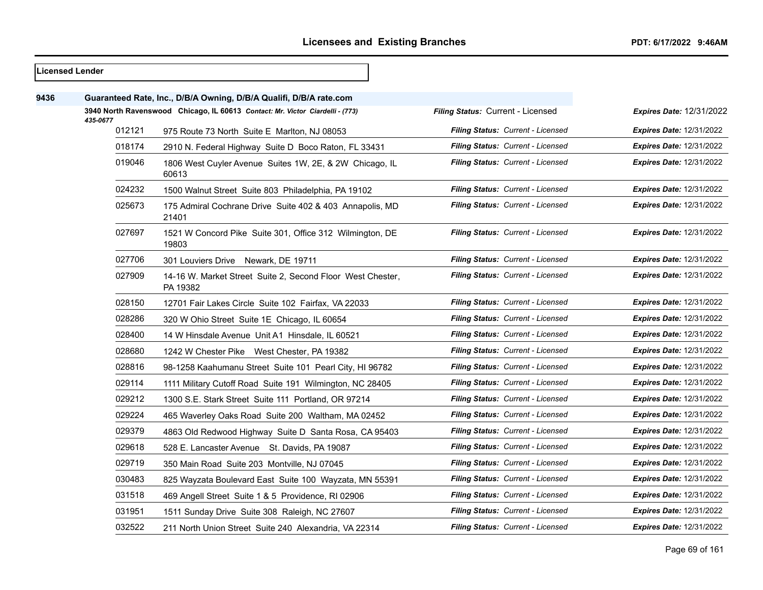| Licensed Lender |          |                                                                               |                                          |                                 |
|-----------------|----------|-------------------------------------------------------------------------------|------------------------------------------|---------------------------------|
| 9436            |          | Guaranteed Rate, Inc., D/B/A Owning, D/B/A Qualifi, D/B/A rate.com            |                                          |                                 |
|                 | 435-0677 | 3940 North Ravenswood Chicago, IL 60613 Contact: Mr. Victor Ciardelli - (773) | Filing Status: Current - Licensed        | <b>Expires Date: 12/31/2022</b> |
|                 | 012121   | 975 Route 73 North Suite E Marlton, NJ 08053                                  | Filing Status: Current - Licensed        | <b>Expires Date: 12/31/2022</b> |
|                 | 018174   | 2910 N. Federal Highway Suite D Boco Raton, FL 33431                          | Filing Status: Current - Licensed        | <b>Expires Date: 12/31/2022</b> |
|                 | 019046   | 1806 West Cuyler Avenue Suites 1W, 2E, & 2W Chicago, IL<br>60613              | Filing Status: Current - Licensed        | <b>Expires Date: 12/31/2022</b> |
|                 | 024232   | 1500 Walnut Street Suite 803 Philadelphia, PA 19102                           | Filing Status: Current - Licensed        | <b>Expires Date: 12/31/2022</b> |
|                 | 025673   | 175 Admiral Cochrane Drive Suite 402 & 403 Annapolis, MD<br>21401             | Filing Status: Current - Licensed        | <b>Expires Date: 12/31/2022</b> |
|                 | 027697   | 1521 W Concord Pike Suite 301, Office 312 Wilmington, DE<br>19803             | Filing Status: Current - Licensed        | <b>Expires Date: 12/31/2022</b> |
|                 | 027706   | 301 Louviers Drive Newark, DE 19711                                           | Filing Status: Current - Licensed        | <b>Expires Date: 12/31/2022</b> |
|                 | 027909   | 14-16 W. Market Street Suite 2, Second Floor West Chester,<br>PA 19382        | Filing Status: Current - Licensed        | <b>Expires Date: 12/31/2022</b> |
|                 | 028150   | 12701 Fair Lakes Circle Suite 102 Fairfax, VA 22033                           | Filing Status: Current - Licensed        | <b>Expires Date: 12/31/2022</b> |
|                 | 028286   | 320 W Ohio Street Suite 1E Chicago, IL 60654                                  | Filing Status: Current - Licensed        | <b>Expires Date: 12/31/2022</b> |
|                 | 028400   | 14 W Hinsdale Avenue Unit A1 Hinsdale, IL 60521                               | Filing Status: Current - Licensed        | <b>Expires Date: 12/31/2022</b> |
|                 | 028680   | 1242 W Chester Pike West Chester, PA 19382                                    | Filing Status: Current - Licensed        | <b>Expires Date: 12/31/2022</b> |
|                 | 028816   | 98-1258 Kaahumanu Street Suite 101 Pearl City, HI 96782                       | Filing Status: Current - Licensed        | <b>Expires Date: 12/31/2022</b> |
|                 | 029114   | 1111 Military Cutoff Road Suite 191 Wilmington, NC 28405                      | Filing Status: Current - Licensed        | <b>Expires Date: 12/31/2022</b> |
|                 | 029212   | 1300 S.E. Stark Street Suite 111 Portland, OR 97214                           | Filing Status: Current - Licensed        | <b>Expires Date: 12/31/2022</b> |
|                 | 029224   | 465 Waverley Oaks Road Suite 200 Waltham, MA 02452                            | Filing Status: Current - Licensed        | <b>Expires Date: 12/31/2022</b> |
|                 | 029379   | 4863 Old Redwood Highway Suite D Santa Rosa, CA 95403                         | <b>Filing Status: Current - Licensed</b> | <b>Expires Date: 12/31/2022</b> |
|                 | 029618   | 528 E. Lancaster Avenue St. Davids, PA 19087                                  | Filing Status: Current - Licensed        | <b>Expires Date: 12/31/2022</b> |
|                 | 029719   | 350 Main Road Suite 203 Montville, NJ 07045                                   | Filing Status: Current - Licensed        | <b>Expires Date: 12/31/2022</b> |
|                 | 030483   | 825 Wayzata Boulevard East Suite 100 Wayzata, MN 55391                        | Filing Status: Current - Licensed        | <b>Expires Date: 12/31/2022</b> |
|                 | 031518   | 469 Angell Street Suite 1 & 5 Providence, RI 02906                            | Filing Status: Current - Licensed        | <b>Expires Date: 12/31/2022</b> |
|                 | 031951   | 1511 Sunday Drive Suite 308 Raleigh, NC 27607                                 | Filing Status: Current - Licensed        | <b>Expires Date: 12/31/2022</b> |
|                 | 032522   | 211 North Union Street Suite 240 Alexandria, VA 22314                         | Filing Status: Current - Licensed        | <b>Expires Date: 12/31/2022</b> |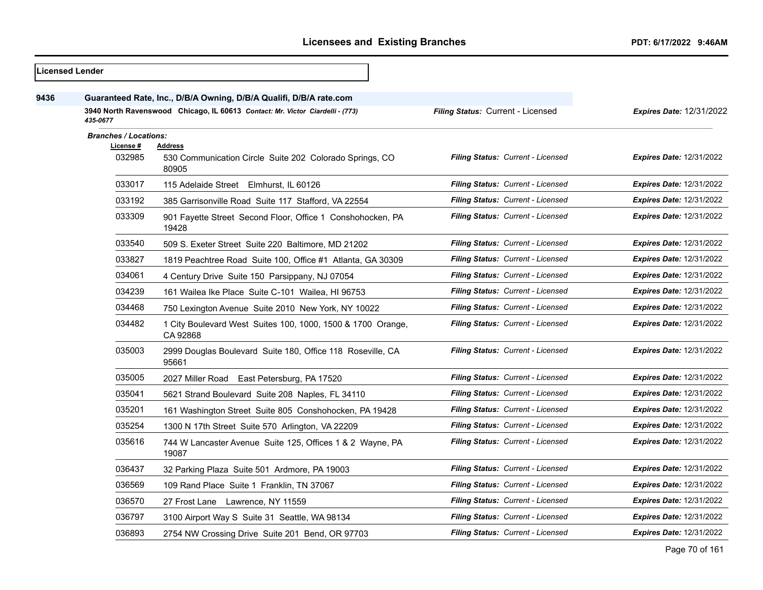|      | Licensed Lender              |                                                                                    |                                   |                                 |
|------|------------------------------|------------------------------------------------------------------------------------|-----------------------------------|---------------------------------|
| 9436 |                              | Guaranteed Rate, Inc., D/B/A Owning, D/B/A Qualifi, D/B/A rate.com                 |                                   |                                 |
|      | 435-0677                     | 3940 North Ravenswood Chicago, IL 60613 Contact: Mr. Victor Ciardelli - (773)      | Filing Status: Current - Licensed | <b>Expires Date: 12/31/2022</b> |
|      | <b>Branches / Locations:</b> |                                                                                    |                                   |                                 |
|      | License #<br>032985          | <b>Address</b><br>530 Communication Circle Suite 202 Colorado Springs, CO<br>80905 | Filing Status: Current - Licensed | <b>Expires Date: 12/31/2022</b> |
|      | 033017                       | 115 Adelaide Street Elmhurst, IL 60126                                             | Filing Status: Current - Licensed | Expires Date: 12/31/2022        |
|      | 033192                       | 385 Garrisonville Road Suite 117 Stafford, VA 22554                                | Filing Status: Current - Licensed | Expires Date: 12/31/2022        |
|      | 033309                       | 901 Fayette Street Second Floor, Office 1 Conshohocken, PA<br>19428                | Filing Status: Current - Licensed | <b>Expires Date: 12/31/2022</b> |
|      | 033540                       | 509 S. Exeter Street Suite 220 Baltimore, MD 21202                                 | Filing Status: Current - Licensed | <b>Expires Date: 12/31/2022</b> |
|      | 033827                       | 1819 Peachtree Road Suite 100, Office #1 Atlanta, GA 30309                         | Filing Status: Current - Licensed | <b>Expires Date: 12/31/2022</b> |
|      | 034061                       | 4 Century Drive Suite 150 Parsippany, NJ 07054                                     | Filing Status: Current - Licensed | <b>Expires Date: 12/31/2022</b> |
|      | 034239                       | 161 Wailea Ike Place Suite C-101 Wailea, HI 96753                                  | Filing Status: Current - Licensed | <b>Expires Date: 12/31/2022</b> |
|      | 034468                       | 750 Lexington Avenue Suite 2010 New York, NY 10022                                 | Filing Status: Current - Licensed | <b>Expires Date: 12/31/2022</b> |
|      | 034482                       | 1 City Boulevard West Suites 100, 1000, 1500 & 1700 Orange,<br>CA 92868            | Filing Status: Current - Licensed | <b>Expires Date: 12/31/2022</b> |
|      | 035003                       | 2999 Douglas Boulevard Suite 180, Office 118 Roseville, CA<br>95661                | Filing Status: Current - Licensed | <b>Expires Date: 12/31/2022</b> |
|      | 035005                       | 2027 Miller Road East Petersburg, PA 17520                                         | Filing Status: Current - Licensed | <b>Expires Date: 12/31/2022</b> |
|      | 035041                       | 5621 Strand Boulevard Suite 208 Naples, FL 34110                                   | Filing Status: Current - Licensed | <b>Expires Date: 12/31/2022</b> |
|      | 035201                       | 161 Washington Street Suite 805 Conshohocken, PA 19428                             | Filing Status: Current - Licensed | <b>Expires Date: 12/31/2022</b> |
|      | 035254                       | 1300 N 17th Street Suite 570 Arlington, VA 22209                                   | Filing Status: Current - Licensed | <b>Expires Date: 12/31/2022</b> |
|      | 035616                       | 744 W Lancaster Avenue Suite 125, Offices 1 & 2 Wayne, PA<br>19087                 | Filing Status: Current - Licensed | <b>Expires Date: 12/31/2022</b> |
|      | 036437                       | 32 Parking Plaza Suite 501 Ardmore, PA 19003                                       | Filing Status: Current - Licensed | <b>Expires Date: 12/31/2022</b> |
|      | 036569                       | 109 Rand Place Suite 1 Franklin, TN 37067                                          | Filing Status: Current - Licensed | <b>Expires Date: 12/31/2022</b> |
|      | 036570                       | 27 Frost Lane Lawrence, NY 11559                                                   | Filing Status: Current - Licensed | <b>Expires Date: 12/31/2022</b> |
|      | 036797                       | 3100 Airport Way S Suite 31 Seattle, WA 98134                                      | Filing Status: Current - Licensed | <b>Expires Date: 12/31/2022</b> |
|      | 036893                       | 2754 NW Crossing Drive Suite 201 Bend, OR 97703                                    | Filing Status: Current - Licensed | <b>Expires Date: 12/31/2022</b> |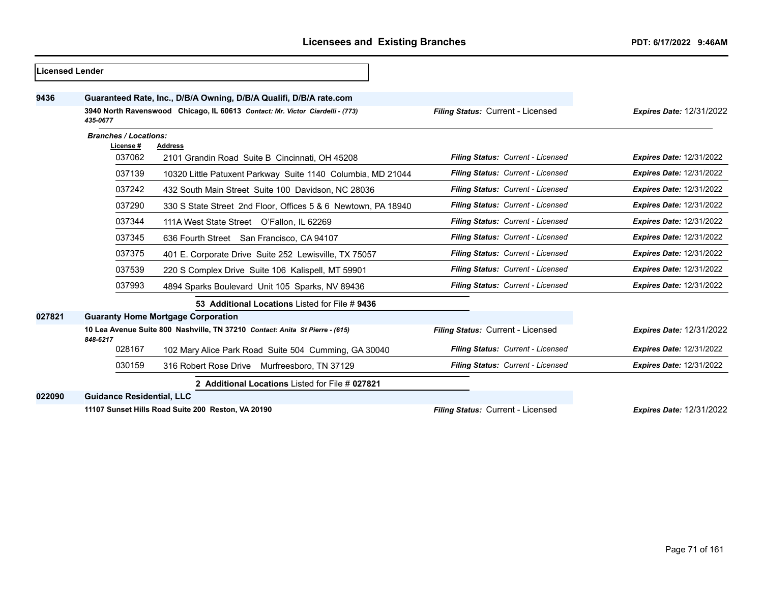| <b>Licensed Lender</b> |                                           |                                                                               |                                   |                                 |  |
|------------------------|-------------------------------------------|-------------------------------------------------------------------------------|-----------------------------------|---------------------------------|--|
| 9436                   |                                           | Guaranteed Rate, Inc., D/B/A Owning, D/B/A Qualifi, D/B/A rate.com            |                                   |                                 |  |
|                        | 435-0677                                  | 3940 North Ravenswood Chicago, IL 60613 Contact: Mr. Victor Ciardelli - (773) | Filing Status: Current - Licensed | <b>Expires Date: 12/31/2022</b> |  |
|                        | <b>Branches / Locations:</b><br>License # | <b>Address</b>                                                                |                                   |                                 |  |
|                        | 037062                                    | 2101 Grandin Road Suite B Cincinnati, OH 45208                                | Filing Status: Current - Licensed | <b>Expires Date: 12/31/2022</b> |  |
|                        | 037139                                    | 10320 Little Patuxent Parkway Suite 1140 Columbia, MD 21044                   | Filing Status: Current - Licensed | <b>Expires Date: 12/31/2022</b> |  |
|                        | 037242                                    | 432 South Main Street Suite 100 Davidson, NC 28036                            | Filing Status: Current - Licensed | <b>Expires Date: 12/31/2022</b> |  |
|                        | 037290                                    | 330 S State Street 2nd Floor, Offices 5 & 6 Newtown, PA 18940                 | Filing Status: Current - Licensed | <b>Expires Date: 12/31/2022</b> |  |
|                        | 037344                                    | 111A West State Street O'Fallon, IL 62269                                     | Filing Status: Current - Licensed | <b>Expires Date: 12/31/2022</b> |  |
|                        | 037345                                    | 636 Fourth Street San Francisco, CA 94107                                     | Filing Status: Current - Licensed | <b>Expires Date: 12/31/2022</b> |  |
|                        | 037375                                    | 401 E. Corporate Drive Suite 252 Lewisville, TX 75057                         | Filing Status: Current - Licensed | <b>Expires Date: 12/31/2022</b> |  |
|                        | 037539                                    | 220 S Complex Drive Suite 106 Kalispell, MT 59901                             | Filing Status: Current - Licensed | <b>Expires Date: 12/31/2022</b> |  |
|                        | 037993                                    | 4894 Sparks Boulevard Unit 105 Sparks, NV 89436                               | Filing Status: Current - Licensed | <b>Expires Date: 12/31/2022</b> |  |
|                        |                                           | 53 Additional Locations Listed for File # 9436                                |                                   |                                 |  |
| 027821                 |                                           | <b>Guaranty Home Mortgage Corporation</b>                                     |                                   |                                 |  |
|                        | 848-6217                                  | 10 Lea Avenue Suite 800 Nashville, TN 37210 Contact: Anita St Pierre - (615)  | Filing Status: Current - Licensed | <b>Expires Date: 12/31/2022</b> |  |
|                        | 028167                                    | 102 Mary Alice Park Road Suite 504 Cumming, GA 30040                          | Filing Status: Current - Licensed | <b>Expires Date: 12/31/2022</b> |  |
|                        | 030159                                    | 316 Robert Rose Drive<br>Murfreesboro, TN 37129                               | Filing Status: Current - Licensed | <b>Expires Date: 12/31/2022</b> |  |
|                        |                                           | 2 Additional Locations Listed for File # 027821                               |                                   |                                 |  |
| 022090                 | <b>Guidance Residential, LLC</b>          |                                                                               |                                   |                                 |  |
|                        |                                           | 11107 Sunset Hills Road Suite 200 Reston, VA 20190                            | Filing Status: Current - Licensed | <b>Expires Date: 12/31/2022</b> |  |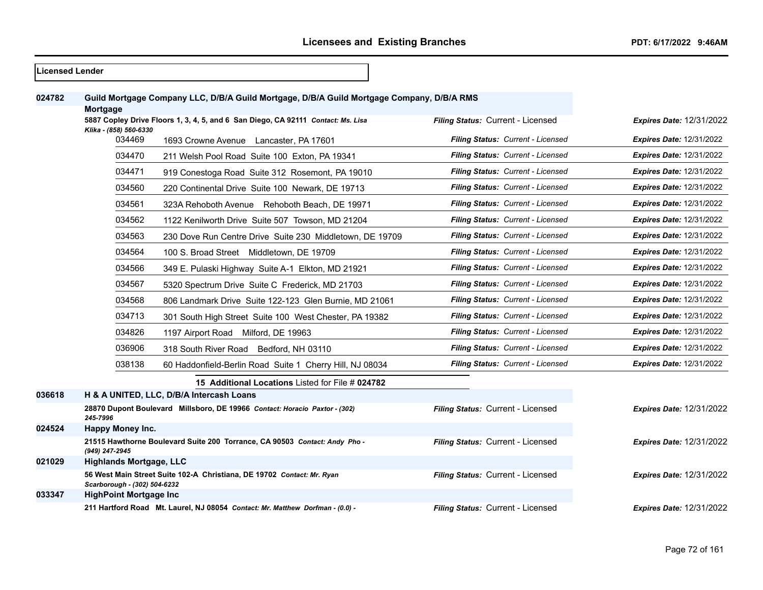| <b>Licensed Lender</b> |                                                                                  |                                                                                           |                                   |                                 |
|------------------------|----------------------------------------------------------------------------------|-------------------------------------------------------------------------------------------|-----------------------------------|---------------------------------|
| 024782                 | Mortgage                                                                         | Guild Mortgage Company LLC, D/B/A Guild Mortgage, D/B/A Guild Mortgage Company, D/B/A RMS |                                   |                                 |
|                        | 5887 Copley Drive Floors 1, 3, 4, 5, and 6 San Diego, CA 92111 Contact: Ms. Lisa |                                                                                           | Filing Status: Current - Licensed | <b>Expires Date: 12/31/2022</b> |
|                        | Klika - (858) 560-6330<br>034469                                                 | 1693 Crowne Avenue Lancaster, PA 17601                                                    | Filing Status: Current - Licensed | <b>Expires Date: 12/31/2022</b> |
|                        | 034470                                                                           | 211 Welsh Pool Road Suite 100 Exton, PA 19341                                             | Filing Status: Current - Licensed | <b>Expires Date: 12/31/2022</b> |
|                        | 034471                                                                           | 919 Conestoga Road Suite 312 Rosemont, PA 19010                                           | Filing Status: Current - Licensed | <b>Expires Date: 12/31/2022</b> |
|                        | 034560                                                                           | 220 Continental Drive Suite 100 Newark, DE 19713                                          | Filing Status: Current - Licensed | <b>Expires Date: 12/31/2022</b> |
|                        | 034561                                                                           | 323A Rehoboth Avenue Rehoboth Beach, DE 19971                                             | Filing Status: Current - Licensed | <b>Expires Date: 12/31/2022</b> |
|                        | 034562                                                                           | 1122 Kenilworth Drive Suite 507 Towson, MD 21204                                          | Filing Status: Current - Licensed | <b>Expires Date: 12/31/2022</b> |
|                        | 034563                                                                           | 230 Dove Run Centre Drive Suite 230 Middletown, DE 19709                                  | Filing Status: Current - Licensed | <b>Expires Date: 12/31/2022</b> |
|                        | 034564                                                                           | 100 S. Broad Street Middletown, DE 19709                                                  | Filing Status: Current - Licensed | <b>Expires Date: 12/31/2022</b> |
|                        | 034566                                                                           | 349 E. Pulaski Highway Suite A-1 Elkton, MD 21921                                         | Filing Status: Current - Licensed | <b>Expires Date: 12/31/2022</b> |
|                        | 034567                                                                           | 5320 Spectrum Drive Suite C Frederick, MD 21703                                           | Filing Status: Current - Licensed | <b>Expires Date: 12/31/2022</b> |
|                        | 034568                                                                           | 806 Landmark Drive Suite 122-123 Glen Burnie, MD 21061                                    | Filing Status: Current - Licensed | <b>Expires Date: 12/31/2022</b> |
|                        | 034713                                                                           | 301 South High Street Suite 100 West Chester, PA 19382                                    | Filing Status: Current - Licensed | <b>Expires Date: 12/31/2022</b> |
|                        | 034826                                                                           | 1197 Airport Road Milford, DE 19963                                                       | Filing Status: Current - Licensed | <b>Expires Date: 12/31/2022</b> |
|                        | 036906                                                                           | 318 South River Road Bedford, NH 03110                                                    | Filing Status: Current - Licensed | <b>Expires Date: 12/31/2022</b> |
|                        | 038138                                                                           | 60 Haddonfield-Berlin Road Suite 1 Cherry Hill, NJ 08034                                  | Filing Status: Current - Licensed | <b>Expires Date: 12/31/2022</b> |
|                        |                                                                                  | 15 Additional Locations Listed for File # 024782                                          |                                   |                                 |
| 036618                 |                                                                                  | H & A UNITED, LLC, D/B/A Intercash Loans                                                  |                                   |                                 |
|                        | 245-7996                                                                         | 28870 Dupont Boulevard Millsboro, DE 19966 Contact: Horacio Paxtor - (302)                | Filing Status: Current - Licensed | <b>Expires Date: 12/31/2022</b> |
| 024524                 | <b>Happy Money Inc.</b>                                                          |                                                                                           |                                   |                                 |
|                        | (949) 247-2945                                                                   | 21515 Hawthorne Boulevard Suite 200 Torrance, CA 90503 Contact: Andy Pho -                | Filing Status: Current - Licensed | <b>Expires Date: 12/31/2022</b> |
| 021029                 | <b>Highlands Mortgage, LLC</b>                                                   |                                                                                           |                                   |                                 |
|                        | Scarborough - (302) 504-6232                                                     | 56 West Main Street Suite 102-A Christiana, DE 19702 Contact: Mr. Ryan                    | Filing Status: Current - Licensed | <b>Expires Date: 12/31/2022</b> |
| 033347                 | <b>HighPoint Mortgage Inc.</b>                                                   |                                                                                           |                                   |                                 |
|                        |                                                                                  | 211 Hartford Road Mt. Laurel, NJ 08054 Contact: Mr. Matthew Dorfman - (0.0) -             | Filing Status: Current - Licensed | <b>Expires Date: 12/31/2022</b> |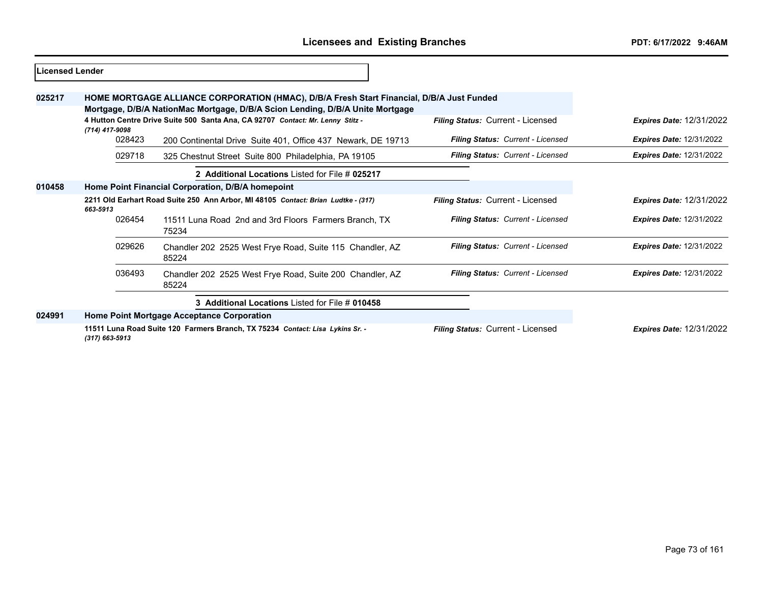| Licensed Lender |                                                                                               |                                                                                                                                                                            |                                          |                                 |
|-----------------|-----------------------------------------------------------------------------------------------|----------------------------------------------------------------------------------------------------------------------------------------------------------------------------|------------------------------------------|---------------------------------|
| 025217          |                                                                                               | HOME MORTGAGE ALLIANCE CORPORATION (HMAC), D/B/A Fresh Start Financial, D/B/A Just Funded<br>Mortgage, D/B/A NationMac Mortgage, D/B/A Scion Lending, D/B/A Unite Mortgage |                                          |                                 |
|                 | (714) 417-9098                                                                                | 4 Hutton Centre Drive Suite 500 Santa Ana, CA 92707 Contact: Mr. Lenny Stitz -                                                                                             | <b>Filing Status: Current - Licensed</b> | <b>Expires Date: 12/31/2022</b> |
|                 | 028423                                                                                        | 200 Continental Drive Suite 401, Office 437 Newark, DE 19713                                                                                                               | Filing Status: Current - Licensed        | <b>Expires Date: 12/31/2022</b> |
|                 | 029718                                                                                        | 325 Chestnut Street Suite 800 Philadelphia, PA 19105                                                                                                                       | Filing Status: Current - Licensed        | <b>Expires Date: 12/31/2022</b> |
|                 |                                                                                               | 2 Additional Locations Listed for File # 025217                                                                                                                            |                                          |                                 |
| 010458          | Home Point Financial Corporation, D/B/A homepoint                                             |                                                                                                                                                                            |                                          |                                 |
|                 | 2211 Old Earhart Road Suite 250 Ann Arbor, MI 48105 Contact: Brian Ludtke - (317)<br>663-5913 |                                                                                                                                                                            | Filing Status: Current - Licensed        | <b>Expires Date: 12/31/2022</b> |
|                 | 026454                                                                                        | 11511 Luna Road 2nd and 3rd Floors Farmers Branch, TX<br>75234                                                                                                             | Filing Status: Current - Licensed        | <b>Expires Date: 12/31/2022</b> |
|                 | 029626                                                                                        | Chandler 202 2525 West Frye Road, Suite 115 Chandler, AZ<br>85224                                                                                                          | Filing Status: Current - Licensed        | <b>Expires Date: 12/31/2022</b> |
|                 | 036493                                                                                        | Chandler 202 2525 West Frye Road, Suite 200 Chandler, AZ<br>85224                                                                                                          | Filing Status: Current - Licensed        | <b>Expires Date: 12/31/2022</b> |
|                 |                                                                                               | 3 Additional Locations Listed for File # 010458                                                                                                                            |                                          |                                 |
| 024991          |                                                                                               | Home Point Mortgage Acceptance Corporation                                                                                                                                 |                                          |                                 |
|                 | $(317) 663 - 5913$                                                                            | 11511 Luna Road Suite 120 Farmers Branch, TX 75234 Contact: Lisa Lykins Sr. -                                                                                              | Filing Status: Current - Licensed        | <b>Expires Date: 12/31/2022</b> |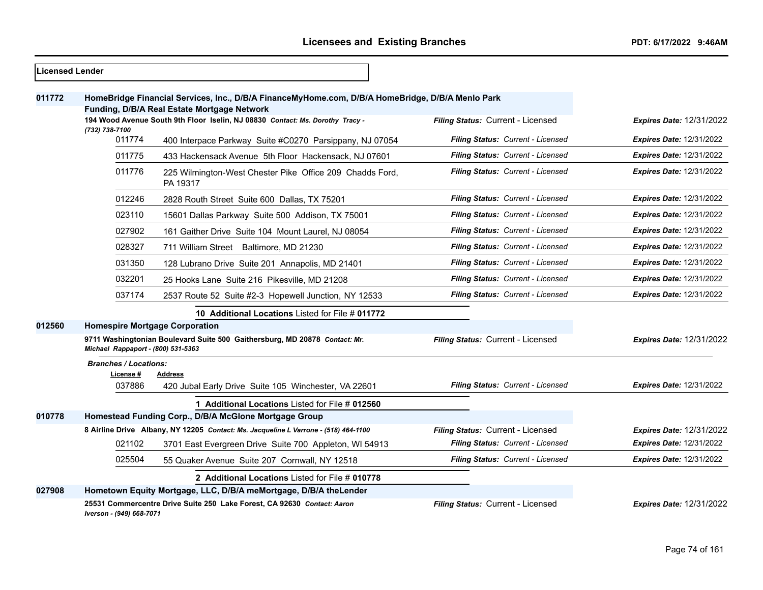- r

| <b>Licensed Lender</b> |                                       |                                                                                                                                                 |                                   |                                 |
|------------------------|---------------------------------------|-------------------------------------------------------------------------------------------------------------------------------------------------|-----------------------------------|---------------------------------|
| 011772                 |                                       | HomeBridge Financial Services, Inc., D/B/A FinanceMyHome.com, D/B/A HomeBridge, D/B/A Menlo Park<br>Funding, D/B/A Real Estate Mortgage Network |                                   |                                 |
|                        |                                       | 194 Wood Avenue South 9th Floor Iselin, NJ 08830 Contact: Ms. Dorothy Tracy -                                                                   | Filing Status: Current - Licensed | <b>Expires Date: 12/31/2022</b> |
|                        | (732) 738-7100<br>011774              | 400 Interpace Parkway Suite #C0270 Parsippany, NJ 07054                                                                                         | Filing Status: Current - Licensed | <b>Expires Date: 12/31/2022</b> |
|                        | 011775                                | 433 Hackensack Avenue 5th Floor Hackensack, NJ 07601                                                                                            | Filing Status: Current - Licensed | <b>Expires Date: 12/31/2022</b> |
|                        | 011776                                | 225 Wilmington-West Chester Pike Office 209 Chadds Ford,<br>PA 19317                                                                            | Filing Status: Current - Licensed | <b>Expires Date: 12/31/2022</b> |
|                        | 012246                                | 2828 Routh Street Suite 600 Dallas, TX 75201                                                                                                    | Filing Status: Current - Licensed | <b>Expires Date: 12/31/2022</b> |
|                        | 023110                                | 15601 Dallas Parkway Suite 500 Addison, TX 75001                                                                                                | Filing Status: Current - Licensed | <b>Expires Date: 12/31/2022</b> |
|                        | 027902                                | 161 Gaither Drive Suite 104 Mount Laurel, NJ 08054                                                                                              | Filing Status: Current - Licensed | <b>Expires Date: 12/31/2022</b> |
|                        | 028327                                | 711 William Street Baltimore, MD 21230                                                                                                          | Filing Status: Current - Licensed | <b>Expires Date: 12/31/2022</b> |
|                        | 031350                                | 128 Lubrano Drive Suite 201 Annapolis, MD 21401                                                                                                 | Filing Status: Current - Licensed | <b>Expires Date: 12/31/2022</b> |
|                        | 032201                                | 25 Hooks Lane Suite 216 Pikesville, MD 21208                                                                                                    | Filing Status: Current - Licensed | <b>Expires Date: 12/31/2022</b> |
|                        | 037174                                | 2537 Route 52 Suite #2-3 Hopewell Junction, NY 12533                                                                                            | Filing Status: Current - Licensed | <b>Expires Date: 12/31/2022</b> |
|                        |                                       | 10 Additional Locations Listed for File # 011772                                                                                                |                                   |                                 |
| 012560                 | <b>Homespire Mortgage Corporation</b> |                                                                                                                                                 |                                   |                                 |
|                        | Michael Rappaport - (800) 531-5363    | 9711 Washingtonian Boulevard Suite 500 Gaithersburg, MD 20878 Contact: Mr.                                                                      | Filing Status: Current - Licensed | <b>Expires Date: 12/31/2022</b> |
|                        | <b>Branches / Locations:</b>          |                                                                                                                                                 |                                   |                                 |
|                        | License #<br>037886                   | <b>Address</b><br>420 Jubal Early Drive Suite 105 Winchester, VA 22601                                                                          | Filing Status: Current - Licensed | <b>Expires Date: 12/31/2022</b> |
|                        |                                       | 1 Additional Locations Listed for File # 012560                                                                                                 |                                   |                                 |
| 010778                 |                                       | Homestead Funding Corp., D/B/A McGlone Mortgage Group                                                                                           |                                   |                                 |
|                        |                                       | 8 Airline Drive Albany, NY 12205 Contact: Ms. Jacqueline L Varrone - (518) 464-1100                                                             | Filing Status: Current - Licensed | <b>Expires Date: 12/31/2022</b> |
|                        | 021102                                | 3701 East Evergreen Drive Suite 700 Appleton, WI 54913                                                                                          | Filing Status: Current - Licensed | <b>Expires Date: 12/31/2022</b> |
|                        | 025504                                | 55 Quaker Avenue Suite 207 Cornwall, NY 12518                                                                                                   | Filing Status: Current - Licensed | <b>Expires Date: 12/31/2022</b> |
|                        |                                       | 2 Additional Locations Listed for File # 010778                                                                                                 |                                   |                                 |
| 027908                 |                                       | Hometown Equity Mortgage, LLC, D/B/A meMortgage, D/B/A theLender                                                                                |                                   |                                 |
|                        | Iverson - (949) 668-7071              | 25531 Commercentre Drive Suite 250 Lake Forest, CA 92630 Contact: Aaron                                                                         | Filing Status: Current - Licensed | <b>Expires Date: 12/31/2022</b> |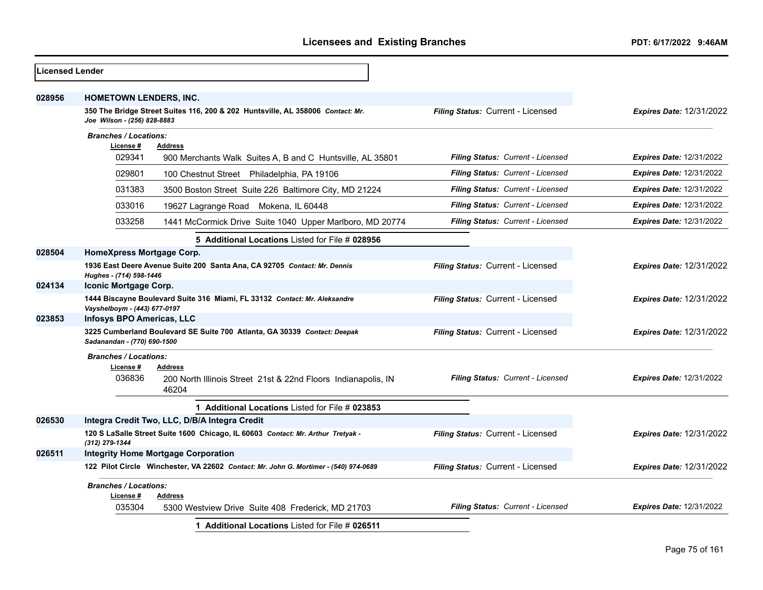| Licensed Lender |                                                                                                               |                                   |                                 |
|-----------------|---------------------------------------------------------------------------------------------------------------|-----------------------------------|---------------------------------|
| 028956          | <b>HOMETOWN LENDERS, INC.</b>                                                                                 |                                   |                                 |
|                 | 350 The Bridge Street Suites 116, 200 & 202 Huntsville, AL 358006 Contact: Mr.<br>Joe Wilson - (256) 828-8883 | Filing Status: Current - Licensed | <b>Expires Date: 12/31/2022</b> |
|                 | <b>Branches / Locations:</b>                                                                                  |                                   |                                 |
|                 | License #<br>Address                                                                                          |                                   |                                 |
|                 | 029341<br>900 Merchants Walk Suites A, B and C Huntsville, AL 35801                                           | Filing Status: Current - Licensed | <b>Expires Date: 12/31/2022</b> |
|                 | 029801<br>100 Chestnut Street Philadelphia, PA 19106                                                          | Filing Status: Current - Licensed | <b>Expires Date: 12/31/2022</b> |
|                 | 031383<br>3500 Boston Street Suite 226 Baltimore City, MD 21224                                               | Filing Status: Current - Licensed | Expires Date: 12/31/2022        |
|                 | 033016<br>19627 Lagrange Road Mokena, IL 60448                                                                | Filing Status: Current - Licensed | <b>Expires Date: 12/31/2022</b> |
|                 | 033258<br>1441 McCormick Drive Suite 1040 Upper Marlboro, MD 20774                                            | Filing Status: Current - Licensed | <b>Expires Date: 12/31/2022</b> |
|                 | 5 Additional Locations Listed for File # 028956                                                               |                                   |                                 |
| 028504          | HomeXpress Mortgage Corp.                                                                                     |                                   |                                 |
|                 | 1936 East Deere Avenue Suite 200 Santa Ana, CA 92705 Contact: Mr. Dennis<br>Hughes - (714) 598-1446           | Filing Status: Current - Licensed | <b>Expires Date: 12/31/2022</b> |
| 024134          | Iconic Mortgage Corp.                                                                                         |                                   |                                 |
|                 | 1444 Biscayne Boulevard Suite 316 Miami, FL 33132 Contact: Mr. Aleksandre<br>Vayshelboym - (443) 677-0197     | Filing Status: Current - Licensed | <b>Expires Date: 12/31/2022</b> |
| 023853          | <b>Infosys BPO Americas, LLC</b>                                                                              |                                   |                                 |
|                 | 3225 Cumberland Boulevard SE Suite 700 Atlanta, GA 30339 Contact: Deepak<br>Sadanandan - (770) 690-1500       | Filing Status: Current - Licensed | <b>Expires Date: 12/31/2022</b> |
|                 | <b>Branches / Locations:</b><br>License#<br><b>Address</b>                                                    |                                   |                                 |
|                 | 036836<br>200 North Illinois Street 21st & 22nd Floors Indianapolis, IN<br>46204                              | Filing Status: Current - Licensed | <b>Expires Date: 12/31/2022</b> |
|                 | 1 Additional Locations Listed for File # 023853                                                               |                                   |                                 |
| 026530          | Integra Credit Two, LLC, D/B/A Integra Credit                                                                 |                                   |                                 |
|                 | 120 S LaSalle Street Suite 1600 Chicago, IL 60603 Contact: Mr. Arthur Tretyak -<br>(312) 279-1344             | Filing Status: Current - Licensed | <b>Expires Date: 12/31/2022</b> |
| 026511          | <b>Integrity Home Mortgage Corporation</b>                                                                    |                                   |                                 |
|                 | 122 Pilot Circle Winchester, VA 22602 Contact: Mr. John G. Mortimer - (540) 974-0689                          | Filing Status: Current - Licensed | <b>Expires Date: 12/31/2022</b> |
|                 | <b>Branches / Locations:</b>                                                                                  |                                   |                                 |
|                 | License#<br><b>Address</b><br>035304<br>5300 Westview Drive Suite 408 Frederick, MD 21703                     | Filing Status: Current - Licensed | <b>Expires Date: 12/31/2022</b> |
|                 | 1 Additional Locations Listed for File # 026511                                                               |                                   |                                 |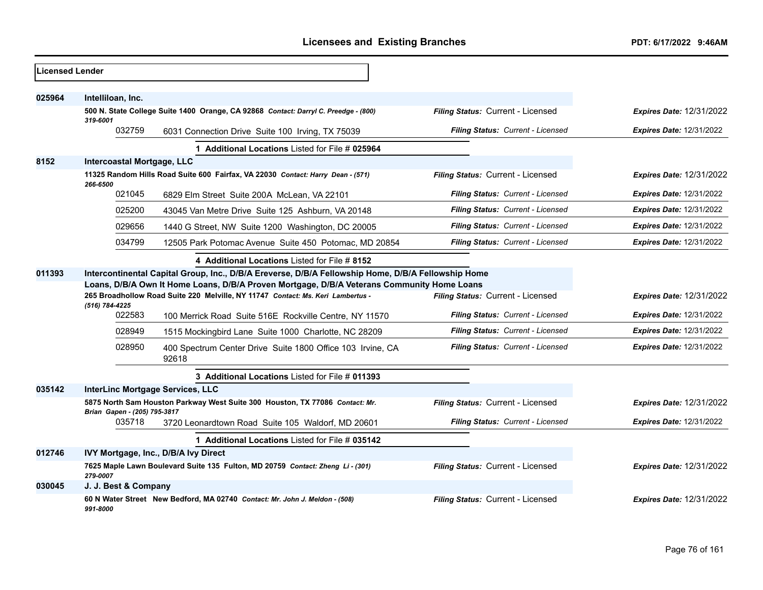| Licensed Lender |                                                                                            |                                                                                                    |                                   |                                 |
|-----------------|--------------------------------------------------------------------------------------------|----------------------------------------------------------------------------------------------------|-----------------------------------|---------------------------------|
|                 |                                                                                            |                                                                                                    |                                   |                                 |
| 025964          | Intelliloan, Inc.                                                                          |                                                                                                    |                                   |                                 |
|                 | 319-6001                                                                                   | 500 N. State College Suite 1400 Orange, CA 92868 Contact: Darryl C. Preedge - (800)                | Filing Status: Current - Licensed | <b>Expires Date: 12/31/2022</b> |
|                 | 032759                                                                                     | 6031 Connection Drive Suite 100 Irving, TX 75039                                                   | Filing Status: Current - Licensed | <b>Expires Date: 12/31/2022</b> |
|                 |                                                                                            | 1 Additional Locations Listed for File # 025964                                                    |                                   |                                 |
| 8152            | <b>Intercoastal Mortgage, LLC</b>                                                          |                                                                                                    |                                   |                                 |
|                 | 266-6500                                                                                   | 11325 Random Hills Road Suite 600 Fairfax, VA 22030 Contact: Harry Dean - (571)                    | Filing Status: Current - Licensed | <b>Expires Date: 12/31/2022</b> |
|                 | 021045                                                                                     | 6829 Elm Street Suite 200A McLean, VA 22101                                                        | Filing Status: Current - Licensed | Expires Date: 12/31/2022        |
|                 | 025200                                                                                     | 43045 Van Metre Drive Suite 125 Ashburn, VA 20148                                                  | Filing Status: Current - Licensed | <b>Expires Date: 12/31/2022</b> |
|                 | 029656                                                                                     | 1440 G Street, NW Suite 1200 Washington, DC 20005                                                  | Filing Status: Current - Licensed | Expires Date: 12/31/2022        |
|                 | 034799                                                                                     | 12505 Park Potomac Avenue Suite 450 Potomac, MD 20854                                              | Filing Status: Current - Licensed | <b>Expires Date: 12/31/2022</b> |
|                 |                                                                                            | 4 Additional Locations Listed for File # 8152                                                      |                                   |                                 |
| 011393          |                                                                                            | Intercontinental Capital Group, Inc., D/B/A Ereverse, D/B/A Fellowship Home, D/B/A Fellowship Home |                                   |                                 |
|                 | Loans, D/B/A Own It Home Loans, D/B/A Proven Mortgage, D/B/A Veterans Community Home Loans |                                                                                                    |                                   |                                 |
|                 | (516) 784-4225                                                                             | 265 Broadhollow Road Suite 220 Melville, NY 11747 Contact: Ms. Keri Lambertus -                    | Filing Status: Current - Licensed | <b>Expires Date: 12/31/2022</b> |
|                 | 022583                                                                                     | 100 Merrick Road Suite 516E Rockville Centre, NY 11570                                             | Filing Status: Current - Licensed | <b>Expires Date: 12/31/2022</b> |
|                 | 028949                                                                                     | 1515 Mockingbird Lane Suite 1000 Charlotte, NC 28209                                               | Filing Status: Current - Licensed | <b>Expires Date: 12/31/2022</b> |
|                 | 028950                                                                                     | 400 Spectrum Center Drive Suite 1800 Office 103 Irvine, CA<br>92618                                | Filing Status: Current - Licensed | <b>Expires Date: 12/31/2022</b> |
|                 |                                                                                            | 3 Additional Locations Listed for File # 011393                                                    |                                   |                                 |
| 035142          | InterLinc Mortgage Services, LLC                                                           |                                                                                                    |                                   |                                 |
|                 | Brian Gapen - (205) 795-3817                                                               | 5875 North Sam Houston Parkway West Suite 300 Houston, TX 77086 Contact: Mr.                       | Filing Status: Current - Licensed | <b>Expires Date: 12/31/2022</b> |
|                 | 035718                                                                                     | 3720 Leonardtown Road Suite 105 Waldorf, MD 20601                                                  | Filing Status: Current - Licensed | <b>Expires Date: 12/31/2022</b> |
|                 |                                                                                            | 1 Additional Locations Listed for File # 035142                                                    |                                   |                                 |
| 012746          |                                                                                            | IVY Mortgage, Inc., D/B/A Ivy Direct                                                               |                                   |                                 |
|                 | 279-0007                                                                                   | 7625 Maple Lawn Boulevard Suite 135 Fulton, MD 20759 Contact: Zheng Li - (301)                     | Filing Status: Current - Licensed | <b>Expires Date: 12/31/2022</b> |
| 030045          | J. J. Best & Company                                                                       |                                                                                                    |                                   |                                 |
|                 | 991-8000                                                                                   | 60 N Water Street New Bedford, MA 02740 Contact: Mr. John J. Meldon - (508)                        | Filing Status: Current - Licensed | <b>Expires Date: 12/31/2022</b> |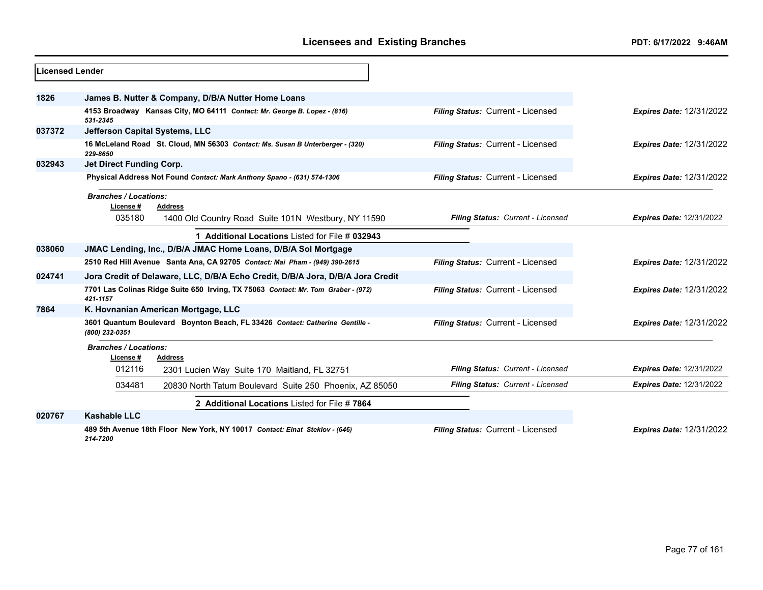| Licensed Lender |                                                                                                |                                   |                                 |
|-----------------|------------------------------------------------------------------------------------------------|-----------------------------------|---------------------------------|
|                 |                                                                                                |                                   |                                 |
| 1826            | James B. Nutter & Company, D/B/A Nutter Home Loans                                             |                                   |                                 |
|                 | 4153 Broadway Kansas City, MO 64111 Contact: Mr. George B. Lopez - (816)<br>531-2345           | Filing Status: Current - Licensed | <b>Expires Date: 12/31/2022</b> |
| 037372          | Jefferson Capital Systems, LLC                                                                 |                                   |                                 |
|                 | 16 McLeland Road St. Cloud, MN 56303 Contact: Ms. Susan B Unterberger - (320)<br>229-8650      | Filing Status: Current - Licensed | <b>Expires Date: 12/31/2022</b> |
| 032943          | Jet Direct Funding Corp.                                                                       |                                   |                                 |
|                 | Physical Address Not Found Contact: Mark Anthony Spano - (631) 574-1306                        | Filing Status: Current - Licensed | <b>Expires Date: 12/31/2022</b> |
|                 | <b>Branches / Locations:</b><br>License #<br><b>Address</b>                                    |                                   |                                 |
|                 | 035180<br>1400 Old Country Road Suite 101N Westbury, NY 11590                                  | Filing Status: Current - Licensed | <b>Expires Date: 12/31/2022</b> |
|                 | 1 Additional Locations Listed for File # 032943                                                |                                   |                                 |
| 038060          | JMAC Lending, Inc., D/B/A JMAC Home Loans, D/B/A Sol Mortgage                                  |                                   |                                 |
|                 | 2510 Red Hill Avenue Santa Ana, CA 92705 Contact: Mai Pham - (949) 390-2615                    | Filing Status: Current - Licensed | <b>Expires Date: 12/31/2022</b> |
| 024741          | Jora Credit of Delaware, LLC, D/B/A Echo Credit, D/B/A Jora, D/B/A Jora Credit                 |                                   |                                 |
|                 | 7701 Las Colinas Ridge Suite 650 Irving, TX 75063 Contact: Mr. Tom Graber - (972)<br>421-1157  | Filing Status: Current - Licensed | <b>Expires Date: 12/31/2022</b> |
| 7864            | K. Hovnanian American Mortgage, LLC                                                            |                                   |                                 |
|                 | 3601 Quantum Boulevard Boynton Beach, FL 33426 Contact: Catherine Gentille -<br>(800) 232-0351 | Filing Status: Current - Licensed | <b>Expires Date: 12/31/2022</b> |
|                 | <b>Branches / Locations:</b><br>License #<br>Address                                           |                                   |                                 |
|                 | 012116<br>2301 Lucien Way Suite 170 Maitland, FL 32751                                         | Filing Status: Current - Licensed | <b>Expires Date: 12/31/2022</b> |
|                 | 034481<br>20830 North Tatum Boulevard Suite 250 Phoenix, AZ 85050                              | Filing Status: Current - Licensed | <b>Expires Date: 12/31/2022</b> |
|                 | 2 Additional Locations Listed for File #7864                                                   |                                   |                                 |
| 020767          | <b>Kashable LLC</b>                                                                            |                                   |                                 |
|                 | 489 5th Avenue 18th Floor New York, NY 10017 Contact: Einat Steklov - (646)<br>214-7200        | Filing Status: Current - Licensed | <b>Expires Date: 12/31/2022</b> |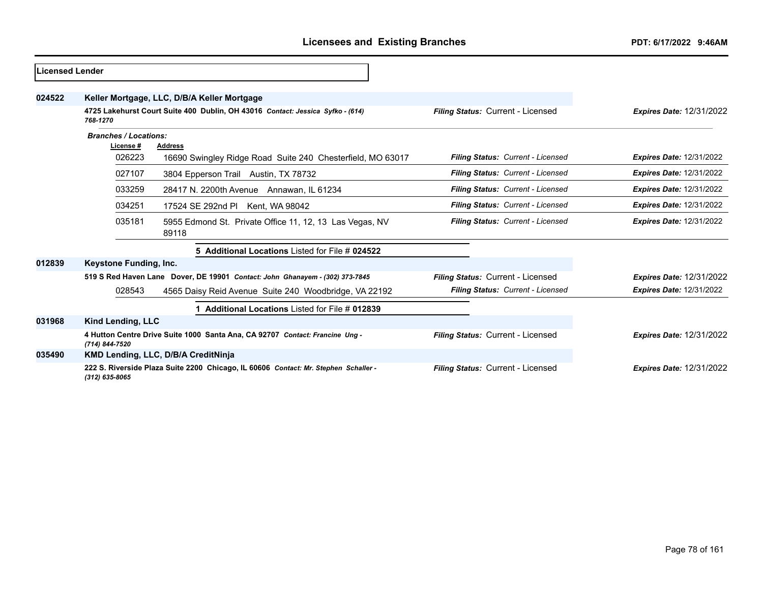| <b>Licensed Lender</b> |                              |                                                                                     |                                   |                                 |
|------------------------|------------------------------|-------------------------------------------------------------------------------------|-----------------------------------|---------------------------------|
| 024522                 |                              | Keller Mortgage, LLC, D/B/A Keller Mortgage                                         |                                   |                                 |
|                        | 768-1270                     | 4725 Lakehurst Court Suite 400 Dublin, OH 43016 Contact: Jessica Syfko - (614)      | Filing Status: Current - Licensed | <b>Expires Date: 12/31/2022</b> |
|                        | <b>Branches / Locations:</b> |                                                                                     |                                   |                                 |
|                        | License#                     | <b>Address</b>                                                                      |                                   |                                 |
|                        | 026223                       | 16690 Swingley Ridge Road Suite 240 Chesterfield, MO 63017                          | Filing Status: Current - Licensed | <b>Expires Date: 12/31/2022</b> |
|                        | 027107                       | 3804 Epperson Trail Austin, TX 78732                                                | Filing Status: Current - Licensed | <b>Expires Date: 12/31/2022</b> |
|                        | 033259                       | 28417 N. 2200th Avenue Annawan, IL 61234                                            | Filing Status: Current - Licensed | <b>Expires Date: 12/31/2022</b> |
|                        | 034251                       | 17524 SE 292nd PI Kent, WA 98042                                                    | Filing Status: Current - Licensed | <b>Expires Date: 12/31/2022</b> |
|                        | 035181                       | 5955 Edmond St. Private Office 11, 12, 13 Las Vegas, NV<br>89118                    | Filing Status: Current - Licensed | <b>Expires Date: 12/31/2022</b> |
|                        |                              | 5 Additional Locations Listed for File # 024522                                     |                                   |                                 |
| 012839                 | Keystone Funding, Inc.       |                                                                                     |                                   |                                 |
|                        |                              | 519 S Red Haven Lane Dover, DE 19901 Contact: John Ghanayem - (302) 373-7845        | Filing Status: Current - Licensed | <b>Expires Date: 12/31/2022</b> |
|                        | 028543                       | 4565 Daisy Reid Avenue Suite 240 Woodbridge, VA 22192                               | Filing Status: Current - Licensed | <b>Expires Date: 12/31/2022</b> |
|                        |                              | 1 Additional Locations Listed for File # 012839                                     |                                   |                                 |
| 031968                 | Kind Lending, LLC            |                                                                                     |                                   |                                 |
|                        | (714) 844-7520               | 4 Hutton Centre Drive Suite 1000 Santa Ana, CA 92707 Contact: Francine Ung -        | Filing Status: Current - Licensed | <b>Expires Date: 12/31/2022</b> |
| 035490                 |                              | KMD Lending, LLC, D/B/A CreditNinja                                                 |                                   |                                 |
|                        | (312) 635-8065               | 222 S. Riverside Plaza Suite 2200 Chicago, IL 60606 Contact: Mr. Stephen Schaller - | Filing Status: Current - Licensed | <b>Expires Date: 12/31/2022</b> |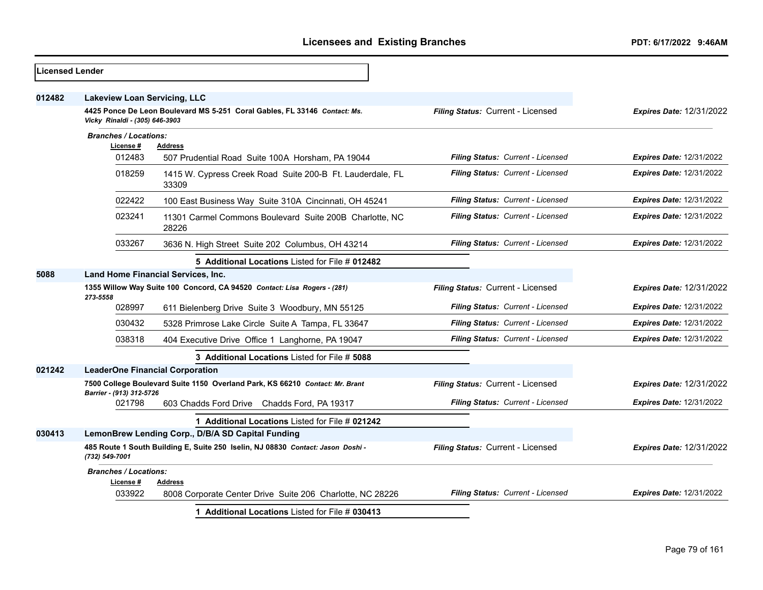| <b>Licensed Lender</b> |                                                                                      |                                                                                 |                                   |                                 |
|------------------------|--------------------------------------------------------------------------------------|---------------------------------------------------------------------------------|-----------------------------------|---------------------------------|
| 012482                 | <b>Lakeview Loan Servicing, LLC</b>                                                  |                                                                                 |                                   |                                 |
|                        | Vicky Rinaldi - (305) 646-3903                                                       | 4425 Ponce De Leon Boulevard MS 5-251 Coral Gables, FL 33146 Contact: Ms.       | Filing Status: Current - Licensed | <b>Expires Date: 12/31/2022</b> |
|                        | <b>Branches / Locations:</b>                                                         |                                                                                 |                                   |                                 |
|                        | License #<br>012483                                                                  | <b>Address</b><br>507 Prudential Road Suite 100A Horsham, PA 19044              | Filing Status: Current - Licensed | <b>Expires Date: 12/31/2022</b> |
|                        | 018259                                                                               | 1415 W. Cypress Creek Road Suite 200-B Ft. Lauderdale, FL<br>33309              | Filing Status: Current - Licensed | <b>Expires Date: 12/31/2022</b> |
|                        | 022422                                                                               | 100 East Business Way Suite 310A Cincinnati, OH 45241                           | Filing Status: Current - Licensed | <b>Expires Date: 12/31/2022</b> |
|                        | 023241                                                                               | 11301 Carmel Commons Boulevard Suite 200B Charlotte, NC<br>28226                | Filing Status: Current - Licensed | <b>Expires Date: 12/31/2022</b> |
|                        | 033267                                                                               | 3636 N. High Street Suite 202 Columbus, OH 43214                                | Filing Status: Current - Licensed | <b>Expires Date: 12/31/2022</b> |
|                        |                                                                                      | 5 Additional Locations Listed for File # 012482                                 |                                   |                                 |
| 5088                   | <b>Land Home Financial Services, Inc.</b>                                            |                                                                                 |                                   |                                 |
|                        | 1355 Willow Way Suite 100 Concord, CA 94520 Contact: Lisa Rogers - (281)<br>273-5558 |                                                                                 | Filing Status: Current - Licensed | <b>Expires Date: 12/31/2022</b> |
|                        | 028997                                                                               | 611 Bielenberg Drive Suite 3 Woodbury, MN 55125                                 | Filing Status: Current - Licensed | Expires Date: 12/31/2022        |
|                        | 030432                                                                               | 5328 Primrose Lake Circle Suite A Tampa, FL 33647                               | Filing Status: Current - Licensed | <b>Expires Date: 12/31/2022</b> |
|                        | 038318                                                                               | 404 Executive Drive Office 1 Langhorne, PA 19047                                | Filing Status: Current - Licensed | <b>Expires Date: 12/31/2022</b> |
|                        |                                                                                      | 3 Additional Locations Listed for File # 5088                                   |                                   |                                 |
| 021242                 |                                                                                      | <b>LeaderOne Financial Corporation</b>                                          |                                   |                                 |
|                        | Barrier - (913) 312-5726                                                             | 7500 College Boulevard Suite 1150 Overland Park, KS 66210 Contact: Mr. Brant    | Filing Status: Current - Licensed | <b>Expires Date: 12/31/2022</b> |
|                        | 021798                                                                               | 603 Chadds Ford Drive Chadds Ford, PA 19317                                     | Filing Status: Current - Licensed | <b>Expires Date: 12/31/2022</b> |
|                        |                                                                                      | 1 Additional Locations Listed for File # 021242                                 |                                   |                                 |
| 030413                 |                                                                                      | LemonBrew Lending Corp., D/B/A SD Capital Funding                               |                                   |                                 |
|                        | (732) 549-7001                                                                       | 485 Route 1 South Building E, Suite 250 Iselin, NJ 08830 Contact: Jason Doshi - | Filing Status: Current - Licensed | <b>Expires Date: 12/31/2022</b> |
|                        | <b>Branches / Locations:</b>                                                         |                                                                                 |                                   |                                 |
|                        | License #<br>033922                                                                  | Address<br>8008 Corporate Center Drive Suite 206 Charlotte, NC 28226            | Filing Status: Current - Licensed | <b>Expires Date: 12/31/2022</b> |
|                        |                                                                                      | 1 Additional Locations Listed for File # 030413                                 |                                   |                                 |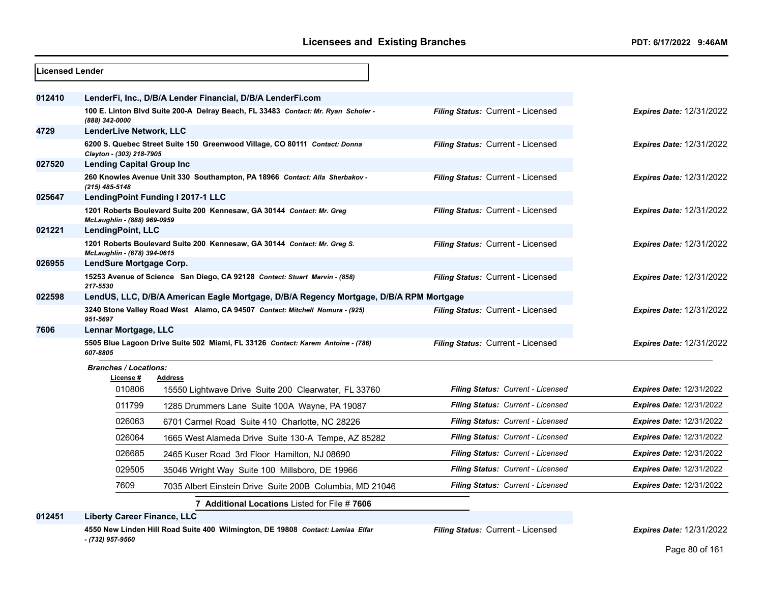| <b>Licensed Lender</b> |                                          |                                                                                        |                                   |                                 |
|------------------------|------------------------------------------|----------------------------------------------------------------------------------------|-----------------------------------|---------------------------------|
| 012410                 |                                          | LenderFi, Inc., D/B/A Lender Financial, D/B/A LenderFi.com                             |                                   |                                 |
|                        | (888) 342-0000                           | 100 E. Linton Blvd Suite 200-A Delray Beach, FL 33483 Contact: Mr. Ryan Scholer -      | Filing Status: Current - Licensed | <b>Expires Date: 12/31/2022</b> |
| 4729                   | LenderLive Network, LLC                  |                                                                                        |                                   |                                 |
|                        | Clayton - (303) 218-7905                 | 6200 S. Quebec Street Suite 150 Greenwood Village, CO 80111 Contact: Donna             | Filing Status: Current - Licensed | <b>Expires Date: 12/31/2022</b> |
| 027520                 | <b>Lending Capital Group Inc</b>         |                                                                                        |                                   |                                 |
|                        | $(215)$ 485-5148                         | 260 Knowles Avenue Unit 330 Southampton, PA 18966 Contact: Alla Sherbakov -            | Filing Status: Current - Licensed | <b>Expires Date: 12/31/2022</b> |
| 025647                 |                                          | LendingPoint Funding I 2017-1 LLC                                                      |                                   |                                 |
|                        | McLaughlin - (888) 969-0959              | 1201 Roberts Boulevard Suite 200 Kennesaw, GA 30144 Contact: Mr. Greg                  | Filing Status: Current - Licensed | <b>Expires Date: 12/31/2022</b> |
| 021221                 | LendingPoint, LLC                        |                                                                                        |                                   |                                 |
|                        | McLaughlin - (678) 394-0615              | 1201 Roberts Boulevard Suite 200 Kennesaw, GA 30144 Contact: Mr. Greg S.               | Filing Status: Current - Licensed | <b>Expires Date: 12/31/2022</b> |
| 026955                 | LendSure Mortgage Corp.                  |                                                                                        |                                   |                                 |
|                        | 217-5530                                 | 15253 Avenue of Science San Diego, CA 92128 Contact: Stuart Marvin - (858)             | Filing Status: Current - Licensed | <b>Expires Date: 12/31/2022</b> |
| 022598                 |                                          | LendUS, LLC, D/B/A American Eagle Mortgage, D/B/A Regency Mortgage, D/B/A RPM Mortgage |                                   |                                 |
|                        | 951-5697                                 | 3240 Stone Valley Road West Alamo, CA 94507 Contact: Mitchell Nomura - (925)           | Filing Status: Current - Licensed | <b>Expires Date: 12/31/2022</b> |
| 7606                   | Lennar Mortgage, LLC                     |                                                                                        |                                   |                                 |
|                        | 607-8805                                 | 5505 Blue Lagoon Drive Suite 502 Miami, FL 33126 Contact: Karem Antoine - (786)        | Filing Status: Current - Licensed | <b>Expires Date: 12/31/2022</b> |
|                        | <b>Branches / Locations:</b><br>License# | <b>Address</b>                                                                         |                                   |                                 |
|                        | 010806                                   | 15550 Lightwave Drive Suite 200 Clearwater, FL 33760                                   | Filing Status: Current - Licensed | <b>Expires Date: 12/31/2022</b> |
|                        | 011799                                   | 1285 Drummers Lane Suite 100A Wayne, PA 19087                                          | Filing Status: Current - Licensed | <b>Expires Date: 12/31/2022</b> |
|                        | 026063                                   | 6701 Carmel Road Suite 410 Charlotte, NC 28226                                         | Filing Status: Current - Licensed | <b>Expires Date: 12/31/2022</b> |
|                        | 026064                                   | 1665 West Alameda Drive Suite 130-A Tempe, AZ 85282                                    | Filing Status: Current - Licensed | <b>Expires Date: 12/31/2022</b> |
|                        | 026685                                   | 2465 Kuser Road 3rd Floor Hamilton, NJ 08690                                           | Filing Status: Current - Licensed | <b>Expires Date: 12/31/2022</b> |
|                        | 029505                                   | 35046 Wright Way Suite 100 Millsboro, DE 19966                                         | Filing Status: Current - Licensed | <b>Expires Date: 12/31/2022</b> |
|                        | 7609                                     | 7035 Albert Einstein Drive Suite 200B Columbia, MD 21046                               | Filing Status: Current - Licensed | <b>Expires Date: 12/31/2022</b> |
|                        |                                          | 7 Additional Locations Listed for File # 7606                                          |                                   |                                 |

**012451 Liberty Career Finance, LLC**

**4550 New Linden Hill Road Suite 400 Wilmington, DE 19808** *Contact: Lamiaa Elfar - (732) 957-9560*

*Filing Status:* Current - Licensed *Expires Date:* 12/31/2022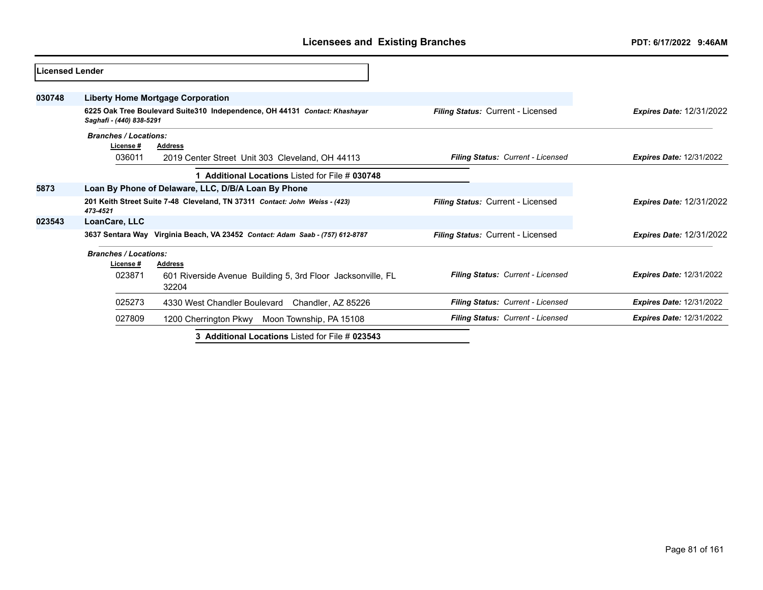| Licensed Lender |                              |                                                                               |                                   |                                 |
|-----------------|------------------------------|-------------------------------------------------------------------------------|-----------------------------------|---------------------------------|
| 030748          |                              | Liberty Home Mortgage Corporation                                             |                                   |                                 |
|                 | Saghafi - (440) 838-5291     | 6225 Oak Tree Boulevard Suite310 Independence, OH 44131 Contact: Khashayar    | Filing Status: Current - Licensed | <b>Expires Date: 12/31/2022</b> |
|                 | <b>Branches / Locations:</b> |                                                                               |                                   |                                 |
|                 | License#                     | <b>Address</b>                                                                |                                   |                                 |
|                 | 036011                       | 2019 Center Street Unit 303 Cleveland, OH 44113                               | Filing Status: Current - Licensed | <b>Expires Date: 12/31/2022</b> |
|                 |                              | 1 Additional Locations Listed for File # 030748                               |                                   |                                 |
| 5873            |                              | Loan By Phone of Delaware, LLC, D/B/A Loan By Phone                           |                                   |                                 |
|                 | 473-4521                     | 201 Keith Street Suite 7-48 Cleveland, TN 37311 Contact: John Weiss - (423)   | Filing Status: Current - Licensed | <b>Expires Date: 12/31/2022</b> |
| 023543          | LoanCare, LLC                |                                                                               |                                   |                                 |
|                 |                              | 3637 Sentara Way Virginia Beach, VA 23452 Contact: Adam Saab - (757) 612-8787 | Filing Status: Current - Licensed | <b>Expires Date: 12/31/2022</b> |
|                 | <b>Branches / Locations:</b> |                                                                               |                                   |                                 |
|                 | License#                     | <b>Address</b>                                                                |                                   |                                 |
|                 | 023871                       | 601 Riverside Avenue Building 5, 3rd Floor Jacksonville, FL<br>32204          | Filing Status: Current - Licensed | <b>Expires Date: 12/31/2022</b> |
|                 | 025273                       | 4330 West Chandler Boulevard Chandler, AZ 85226                               | Filing Status: Current - Licensed | <b>Expires Date: 12/31/2022</b> |
|                 | 027809                       | 1200 Cherrington Pkwy Moon Township, PA 15108                                 | Filing Status: Current - Licensed | <b>Expires Date: 12/31/2022</b> |
|                 |                              | 3 Additional Locations Listed for File # 023543                               |                                   |                                 |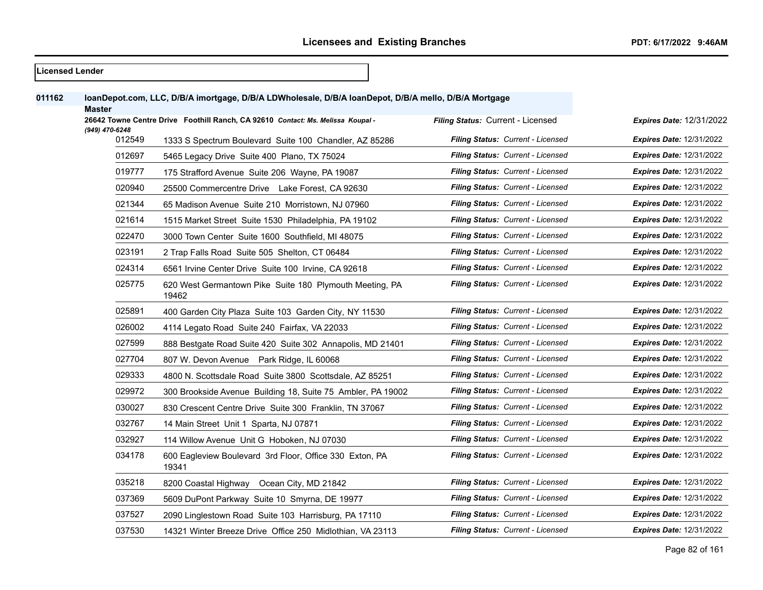| <b>Licensed Lender</b> |                          |                                                                                                      |                                          |                                 |
|------------------------|--------------------------|------------------------------------------------------------------------------------------------------|------------------------------------------|---------------------------------|
| 011162                 | <b>Master</b>            | loanDepot.com, LLC, D/B/A imortgage, D/B/A LDWholesale, D/B/A loanDepot, D/B/A mello, D/B/A Mortgage |                                          |                                 |
|                        |                          | 26642 Towne Centre Drive Foothill Ranch, CA 92610 Contact: Ms. Melissa Koupal -                      | Filing Status: Current - Licensed        | <b>Expires Date: 12/31/2022</b> |
|                        | (949) 470-6248<br>012549 | 1333 S Spectrum Boulevard Suite 100 Chandler, AZ 85286                                               | Filing Status: Current - Licensed        | <b>Expires Date: 12/31/2022</b> |
|                        | 012697                   | 5465 Legacy Drive Suite 400 Plano, TX 75024                                                          | Filing Status: Current - Licensed        | <b>Expires Date: 12/31/2022</b> |
|                        | 019777                   | 175 Strafford Avenue Suite 206 Wayne, PA 19087                                                       | <b>Filing Status: Current - Licensed</b> | <b>Expires Date: 12/31/2022</b> |
|                        | 020940                   | 25500 Commercentre Drive Lake Forest, CA 92630                                                       | Filing Status: Current - Licensed        | <b>Expires Date: 12/31/2022</b> |
|                        | 021344                   | 65 Madison Avenue Suite 210 Morristown, NJ 07960                                                     | <b>Filing Status: Current - Licensed</b> | <b>Expires Date: 12/31/2022</b> |
|                        | 021614                   | 1515 Market Street Suite 1530 Philadelphia, PA 19102                                                 | Filing Status: Current - Licensed        | <b>Expires Date: 12/31/2022</b> |
|                        | 022470                   | 3000 Town Center Suite 1600 Southfield, MI 48075                                                     | Filing Status: Current - Licensed        | <b>Expires Date: 12/31/2022</b> |
|                        | 023191                   | 2 Trap Falls Road Suite 505 Shelton, CT 06484                                                        | Filing Status: Current - Licensed        | <b>Expires Date: 12/31/2022</b> |
|                        | 024314                   | 6561 Irvine Center Drive Suite 100 Irvine, CA 92618                                                  | <b>Filing Status: Current - Licensed</b> | <b>Expires Date: 12/31/2022</b> |
|                        | 025775                   | 620 West Germantown Pike Suite 180 Plymouth Meeting, PA<br>19462                                     | <b>Filing Status: Current - Licensed</b> | <b>Expires Date: 12/31/2022</b> |
|                        | 025891                   | 400 Garden City Plaza Suite 103 Garden City, NY 11530                                                | <b>Filing Status: Current - Licensed</b> | <b>Expires Date: 12/31/2022</b> |
|                        | 026002                   | 4114 Legato Road Suite 240 Fairfax, VA 22033                                                         | Filing Status: Current - Licensed        | <b>Expires Date: 12/31/2022</b> |
|                        | 027599                   | 888 Bestgate Road Suite 420 Suite 302 Annapolis, MD 21401                                            | Filing Status: Current - Licensed        | <b>Expires Date: 12/31/2022</b> |
|                        | 027704                   | 807 W. Devon Avenue Park Ridge, IL 60068                                                             | Filing Status: Current - Licensed        | <b>Expires Date: 12/31/2022</b> |
|                        | 029333                   | 4800 N. Scottsdale Road Suite 3800 Scottsdale, AZ 85251                                              | <b>Filing Status: Current - Licensed</b> | <b>Expires Date: 12/31/2022</b> |
|                        | 029972                   | 300 Brookside Avenue Building 18, Suite 75 Ambler, PA 19002                                          | Filing Status: Current - Licensed        | <b>Expires Date: 12/31/2022</b> |
|                        | 030027                   | 830 Crescent Centre Drive Suite 300 Franklin, TN 37067                                               | <b>Filing Status: Current - Licensed</b> | <b>Expires Date: 12/31/2022</b> |
|                        | 032767                   | 14 Main Street Unit 1 Sparta, NJ 07871                                                               | Filing Status: Current - Licensed        | <b>Expires Date: 12/31/2022</b> |
|                        | 032927                   | 114 Willow Avenue Unit G Hoboken, NJ 07030                                                           | Filing Status: Current - Licensed        | <b>Expires Date: 12/31/2022</b> |
|                        | 034178                   | 600 Eagleview Boulevard 3rd Floor, Office 330 Exton, PA<br>19341                                     | <b>Filing Status: Current - Licensed</b> | <b>Expires Date: 12/31/2022</b> |
|                        | 035218                   | 8200 Coastal Highway Ocean City, MD 21842                                                            | Filing Status: Current - Licensed        | <b>Expires Date: 12/31/2022</b> |
|                        | 037369                   | 5609 DuPont Parkway Suite 10 Smyrna, DE 19977                                                        | <b>Filing Status: Current - Licensed</b> | <b>Expires Date: 12/31/2022</b> |
|                        | 037527                   | 2090 Linglestown Road Suite 103 Harrisburg, PA 17110                                                 | <b>Filing Status: Current - Licensed</b> | <b>Expires Date: 12/31/2022</b> |
|                        | 037530                   | 14321 Winter Breeze Drive Office 250 Midlothian, VA 23113                                            | Filing Status: Current - Licensed        | <b>Expires Date: 12/31/2022</b> |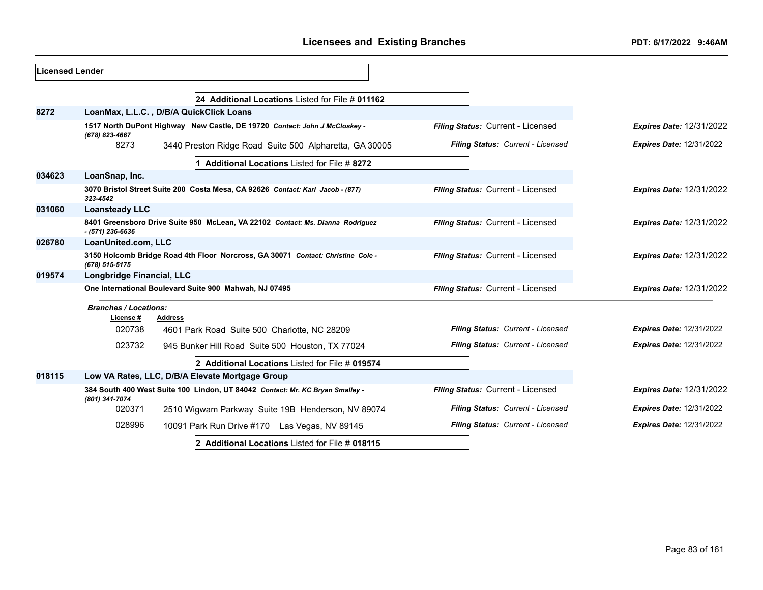| <b>ILicensed Lender</b> |                                           |                                                                                 |                                   |                                 |
|-------------------------|-------------------------------------------|---------------------------------------------------------------------------------|-----------------------------------|---------------------------------|
|                         |                                           | 24 Additional Locations Listed for File # 011162                                |                                   |                                 |
| 8272                    |                                           | LoanMax, L.L.C., D/B/A QuickClick Loans                                         |                                   |                                 |
|                         | (678) 823-4667                            | 1517 North DuPont Highway New Castle, DE 19720 Contact: John J McCloskey -      | Filing Status: Current - Licensed | <b>Expires Date: 12/31/2022</b> |
|                         | 8273                                      | 3440 Preston Ridge Road Suite 500 Alpharetta, GA 30005                          | Filing Status: Current - Licensed | <b>Expires Date: 12/31/2022</b> |
|                         |                                           | <b>Additional Locations Listed for File # 8272</b>                              |                                   |                                 |
| 034623                  | LoanSnap, Inc.                            |                                                                                 |                                   |                                 |
|                         | 323-4542                                  | 3070 Bristol Street Suite 200 Costa Mesa, CA 92626 Contact: Karl Jacob - (877)  | Filing Status: Current - Licensed | <b>Expires Date: 12/31/2022</b> |
| 031060                  | <b>Loansteady LLC</b>                     |                                                                                 |                                   |                                 |
|                         | $- (571)$ 236-6636                        | 8401 Greensboro Drive Suite 950 McLean, VA 22102 Contact: Ms. Dianna Rodriquez  | Filing Status: Current - Licensed | <b>Expires Date: 12/31/2022</b> |
| 026780                  | LoanUnited.com, LLC                       |                                                                                 |                                   |                                 |
|                         | (678) 515-5175                            | 3150 Holcomb Bridge Road 4th Floor Norcross, GA 30071 Contact: Christine Cole - | Filing Status: Current - Licensed | <b>Expires Date: 12/31/2022</b> |
| 019574                  | Longbridge Financial, LLC                 |                                                                                 |                                   |                                 |
|                         |                                           | One International Boulevard Suite 900 Mahwah, NJ 07495                          | Filing Status: Current - Licensed | <b>Expires Date: 12/31/2022</b> |
|                         | <b>Branches / Locations:</b><br>License # | Address                                                                         |                                   |                                 |
|                         | 020738                                    | 4601 Park Road Suite 500 Charlotte, NC 28209                                    | Filing Status: Current - Licensed | <b>Expires Date: 12/31/2022</b> |
|                         | 023732                                    | 945 Bunker Hill Road Suite 500 Houston, TX 77024                                | Filing Status: Current - Licensed | <b>Expires Date: 12/31/2022</b> |
|                         |                                           | 2 Additional Locations Listed for File # 019574                                 |                                   |                                 |
| 018115                  |                                           | Low VA Rates, LLC, D/B/A Elevate Mortgage Group                                 |                                   |                                 |
|                         | (801) 341-7074                            | 384 South 400 West Suite 100 Lindon, UT 84042 Contact: Mr. KC Bryan Smalley -   | Filing Status: Current - Licensed | <b>Expires Date: 12/31/2022</b> |
|                         | 020371                                    | 2510 Wigwam Parkway Suite 19B Henderson, NV 89074                               | Filing Status: Current - Licensed | <b>Expires Date: 12/31/2022</b> |
|                         | 028996                                    | 10091 Park Run Drive #170 Las Vegas, NV 89145                                   | Filing Status: Current - Licensed | <b>Expires Date: 12/31/2022</b> |
|                         |                                           | 2 Additional Locations Listed for File # 018115                                 |                                   |                                 |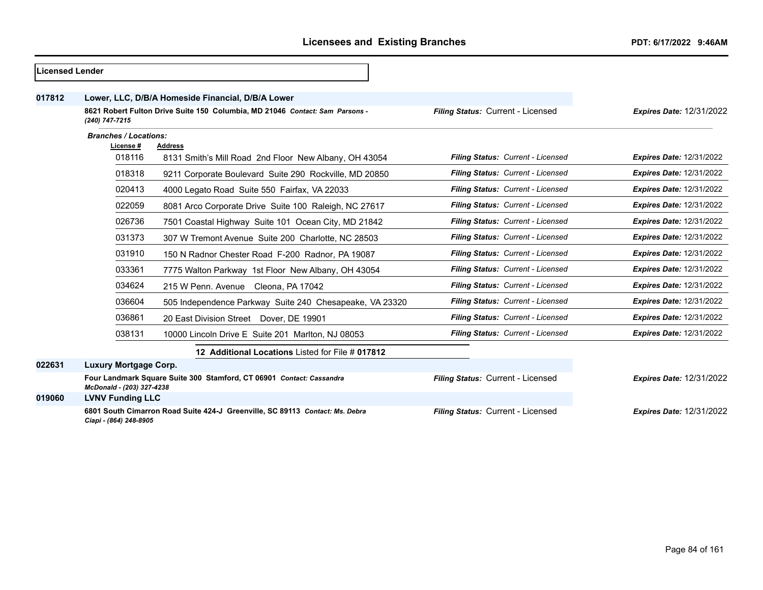| Licensed Lender |                                                                                                |                                                                              |                                   |                                 |
|-----------------|------------------------------------------------------------------------------------------------|------------------------------------------------------------------------------|-----------------------------------|---------------------------------|
| 017812          |                                                                                                | Lower, LLC, D/B/A Homeside Financial, D/B/A Lower                            |                                   |                                 |
|                 | 8621 Robert Fulton Drive Suite 150 Columbia, MD 21046 Contact: Sam Parsons -<br>(240) 747-7215 |                                                                              | Filing Status: Current - Licensed | <b>Expires Date: 12/31/2022</b> |
|                 | <b>Branches / Locations:</b>                                                                   |                                                                              |                                   |                                 |
|                 | License #                                                                                      | <b>Address</b>                                                               |                                   |                                 |
|                 | 018116                                                                                         | 8131 Smith's Mill Road 2nd Floor New Albany, OH 43054                        | Filing Status: Current - Licensed | <b>Expires Date: 12/31/2022</b> |
|                 | 018318                                                                                         | 9211 Corporate Boulevard Suite 290 Rockville, MD 20850                       | Filing Status: Current - Licensed | <b>Expires Date: 12/31/2022</b> |
|                 | 020413                                                                                         | 4000 Legato Road Suite 550 Fairfax, VA 22033                                 | Filing Status: Current - Licensed | <b>Expires Date: 12/31/2022</b> |
|                 | 022059                                                                                         | 8081 Arco Corporate Drive Suite 100 Raleigh, NC 27617                        | Filing Status: Current - Licensed | <b>Expires Date: 12/31/2022</b> |
|                 | 026736                                                                                         | 7501 Coastal Highway Suite 101 Ocean City, MD 21842                          | Filing Status: Current - Licensed | <b>Expires Date: 12/31/2022</b> |
|                 | 031373                                                                                         | 307 W Tremont Avenue Suite 200 Charlotte, NC 28503                           | Filing Status: Current - Licensed | <b>Expires Date: 12/31/2022</b> |
|                 | 031910                                                                                         | 150 N Radnor Chester Road F-200 Radnor, PA 19087                             | Filing Status: Current - Licensed | <b>Expires Date: 12/31/2022</b> |
|                 | 033361                                                                                         | 7775 Walton Parkway 1st Floor New Albany, OH 43054                           | Filing Status: Current - Licensed | <b>Expires Date: 12/31/2022</b> |
|                 | 034624                                                                                         | 215 W Penn. Avenue Cleona, PA 17042                                          | Filing Status: Current - Licensed | <b>Expires Date: 12/31/2022</b> |
|                 | 036604                                                                                         | 505 Independence Parkway Suite 240 Chesapeake, VA 23320                      | Filing Status: Current - Licensed | <b>Expires Date: 12/31/2022</b> |
|                 | 036861                                                                                         | 20 East Division Street Dover, DE 19901                                      | Filing Status: Current - Licensed | <b>Expires Date: 12/31/2022</b> |
|                 | 038131                                                                                         | 10000 Lincoln Drive E Suite 201 Marlton, NJ 08053                            | Filing Status: Current - Licensed | <b>Expires Date: 12/31/2022</b> |
|                 |                                                                                                | 12 Additional Locations Listed for File # 017812                             |                                   |                                 |
| 022631          | <b>Luxury Mortgage Corp.</b>                                                                   |                                                                              |                                   |                                 |
|                 | McDonald - (203) 327-4238                                                                      | Four Landmark Square Suite 300 Stamford, CT 06901 Contact: Cassandra         | Filing Status: Current - Licensed | <b>Expires Date: 12/31/2022</b> |
| 019060          | <b>LVNV Funding LLC</b>                                                                        |                                                                              |                                   |                                 |
|                 | Ciapi - (864) 248-8905                                                                         | 6801 South Cimarron Road Suite 424-J Greenville, SC 89113 Contact: Ms. Debra | Filing Status: Current - Licensed | <b>Expires Date: 12/31/2022</b> |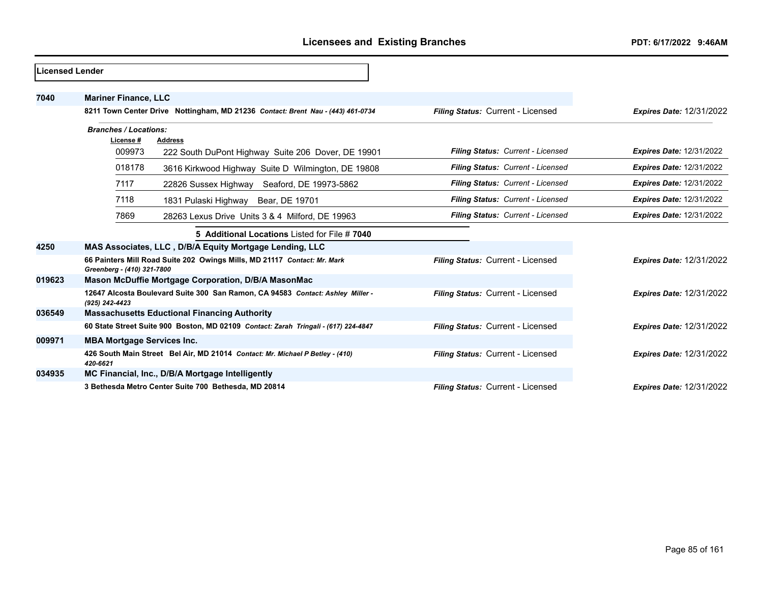| Licensed Lender |                                                                                                        |                                   |                                 |
|-----------------|--------------------------------------------------------------------------------------------------------|-----------------------------------|---------------------------------|
| 7040            | <b>Mariner Finance, LLC</b>                                                                            |                                   |                                 |
|                 | 8211 Town Center Drive Nottingham, MD 21236 Contact: Brent Nau - (443) 461-0734                        | Filing Status: Current - Licensed | <b>Expires Date: 12/31/2022</b> |
|                 | <b>Branches / Locations:</b>                                                                           |                                   |                                 |
|                 | License #<br><b>Address</b>                                                                            |                                   |                                 |
|                 | 009973<br>222 South DuPont Highway Suite 206 Dover, DE 19901                                           | Filing Status: Current - Licensed | <b>Expires Date: 12/31/2022</b> |
|                 | 018178<br>3616 Kirkwood Highway Suite D Wilmington, DE 19808                                           | Filing Status: Current - Licensed | <b>Expires Date: 12/31/2022</b> |
|                 | 7117<br>22826 Sussex Highway Seaford, DE 19973-5862                                                    | Filing Status: Current - Licensed | <b>Expires Date: 12/31/2022</b> |
|                 | 7118<br>1831 Pulaski Highway Bear, DE 19701                                                            | Filing Status: Current - Licensed | <b>Expires Date: 12/31/2022</b> |
|                 | 7869<br>28263 Lexus Drive Units 3 & 4 Milford, DE 19963                                                | Filing Status: Current - Licensed | <b>Expires Date: 12/31/2022</b> |
|                 | 5 Additional Locations Listed for File # 7040                                                          |                                   |                                 |
| 4250            | MAS Associates, LLC, D/B/A Equity Mortgage Lending, LLC                                                |                                   |                                 |
|                 | 66 Painters Mill Road Suite 202 Owings Mills, MD 21117 Contact: Mr. Mark<br>Greenberg - (410) 321-7800 | Filing Status: Current - Licensed | <b>Expires Date: 12/31/2022</b> |
| 019623          | Mason McDuffie Mortgage Corporation, D/B/A MasonMac                                                    |                                   |                                 |
|                 | 12647 Alcosta Boulevard Suite 300 San Ramon, CA 94583 Contact: Ashley Miller -<br>(925) 242-4423       | Filing Status: Current - Licensed | <b>Expires Date: 12/31/2022</b> |
| 036549          | <b>Massachusetts Eductional Financing Authority</b>                                                    |                                   |                                 |
|                 | 60 State Street Suite 900 Boston, MD 02109 Contact: Zarah Tringali - (617) 224-4847                    | Filing Status: Current - Licensed | <b>Expires Date: 12/31/2022</b> |
| 009971          | <b>MBA Mortgage Services Inc.</b>                                                                      |                                   |                                 |
|                 | 426 South Main Street Bel Air, MD 21014 Contact: Mr. Michael P Betley - (410)<br>420-6621              | Filing Status: Current - Licensed | <b>Expires Date: 12/31/2022</b> |
| 034935          | MC Financial, Inc., D/B/A Mortgage Intelligently                                                       |                                   |                                 |
|                 | 3 Bethesda Metro Center Suite 700 Bethesda, MD 20814                                                   | Filing Status: Current - Licensed | <b>Expires Date: 12/31/2022</b> |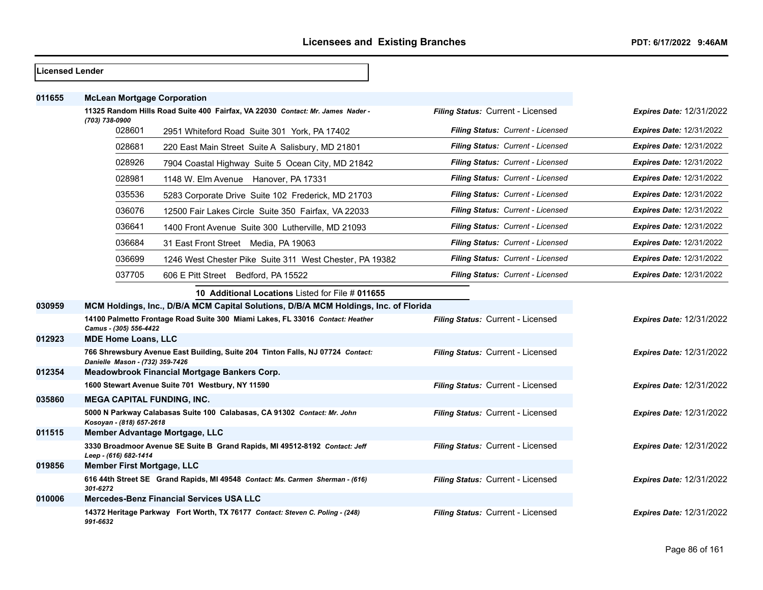| <b>Licensed Lender</b> |                                    |                                                                                      |                                   |                                 |
|------------------------|------------------------------------|--------------------------------------------------------------------------------------|-----------------------------------|---------------------------------|
| 011655                 | <b>McLean Mortgage Corporation</b> |                                                                                      |                                   |                                 |
|                        |                                    | 11325 Random Hills Road Suite 400 Fairfax, VA 22030 Contact: Mr. James Nader -       | Filing Status: Current - Licensed | <b>Expires Date: 12/31/2022</b> |
|                        | (703) 738-0900<br>028601           | 2951 Whiteford Road Suite 301 York, PA 17402                                         | Filing Status: Current - Licensed | <b>Expires Date: 12/31/2022</b> |
|                        | 028681                             | 220 East Main Street Suite A Salisbury, MD 21801                                     | Filing Status: Current - Licensed | <b>Expires Date: 12/31/2022</b> |
|                        | 028926                             | 7904 Coastal Highway Suite 5 Ocean City, MD 21842                                    | Filing Status: Current - Licensed | <b>Expires Date: 12/31/2022</b> |
|                        | 028981                             | 1148 W. Elm Avenue Hanover, PA 17331                                                 | Filing Status: Current - Licensed | <b>Expires Date: 12/31/2022</b> |
|                        | 035536                             | 5283 Corporate Drive Suite 102 Frederick, MD 21703                                   | Filing Status: Current - Licensed | <b>Expires Date: 12/31/2022</b> |
|                        | 036076                             | 12500 Fair Lakes Circle Suite 350 Fairfax, VA 22033                                  | Filing Status: Current - Licensed | <b>Expires Date: 12/31/2022</b> |
|                        | 036641                             | 1400 Front Avenue Suite 300 Lutherville, MD 21093                                    | Filing Status: Current - Licensed | <b>Expires Date: 12/31/2022</b> |
|                        | 036684                             | 31 East Front Street Media, PA 19063                                                 | Filing Status: Current - Licensed | <b>Expires Date: 12/31/2022</b> |
|                        | 036699                             | 1246 West Chester Pike Suite 311 West Chester, PA 19382                              | Filing Status: Current - Licensed | <b>Expires Date: 12/31/2022</b> |
|                        | 037705                             | 606 E Pitt Street Bedford, PA 15522                                                  | Filing Status: Current - Licensed | <b>Expires Date: 12/31/2022</b> |
|                        |                                    | 10 Additional Locations Listed for File # 011655                                     |                                   |                                 |
| 030959                 |                                    | MCM Holdings, Inc., D/B/A MCM Capital Solutions, D/B/A MCM Holdings, Inc. of Florida |                                   |                                 |
|                        | Camus - (305) 556-4422             | 14100 Palmetto Frontage Road Suite 300 Miami Lakes, FL 33016 Contact: Heather        | Filing Status: Current - Licensed | <b>Expires Date: 12/31/2022</b> |
| 012923                 | <b>MDE Home Loans, LLC</b>         |                                                                                      |                                   |                                 |
|                        | Danielle Mason - (732) 359-7426    | 766 Shrewsbury Avenue East Building, Suite 204 Tinton Falls, NJ 07724 Contact:       | Filing Status: Current - Licensed | <b>Expires Date: 12/31/2022</b> |
| 012354                 |                                    | Meadowbrook Financial Mortgage Bankers Corp.                                         |                                   |                                 |
|                        |                                    | 1600 Stewart Avenue Suite 701 Westbury, NY 11590                                     | Filing Status: Current - Licensed | <b>Expires Date: 12/31/2022</b> |
| 035860                 | <b>MEGA CAPITAL FUNDING, INC.</b>  |                                                                                      |                                   |                                 |
|                        | Kosoyan - (818) 657-2618           | 5000 N Parkway Calabasas Suite 100 Calabasas, CA 91302 Contact: Mr. John             | Filing Status: Current - Licensed | <b>Expires Date: 12/31/2022</b> |
| 011515                 |                                    | Member Advantage Mortgage, LLC                                                       |                                   |                                 |
|                        | Leep - (616) 682-1414              | 3330 Broadmoor Avenue SE Suite B Grand Rapids, MI 49512-8192 Contact: Jeff           | Filing Status: Current - Licensed | <b>Expires Date: 12/31/2022</b> |
| 019856                 | <b>Member First Mortgage, LLC</b>  |                                                                                      |                                   |                                 |
|                        | 301-6272                           | 616 44th Street SE Grand Rapids, MI 49548 Contact: Ms. Carmen Sherman - (616)        | Filing Status: Current - Licensed | <b>Expires Date: 12/31/2022</b> |
| 010006                 |                                    | <b>Mercedes-Benz Financial Services USA LLC</b>                                      |                                   |                                 |
|                        | 991-6632                           | 14372 Heritage Parkway Fort Worth, TX 76177 Contact: Steven C. Poling - (248)        | Filing Status: Current - Licensed | <b>Expires Date: 12/31/2022</b> |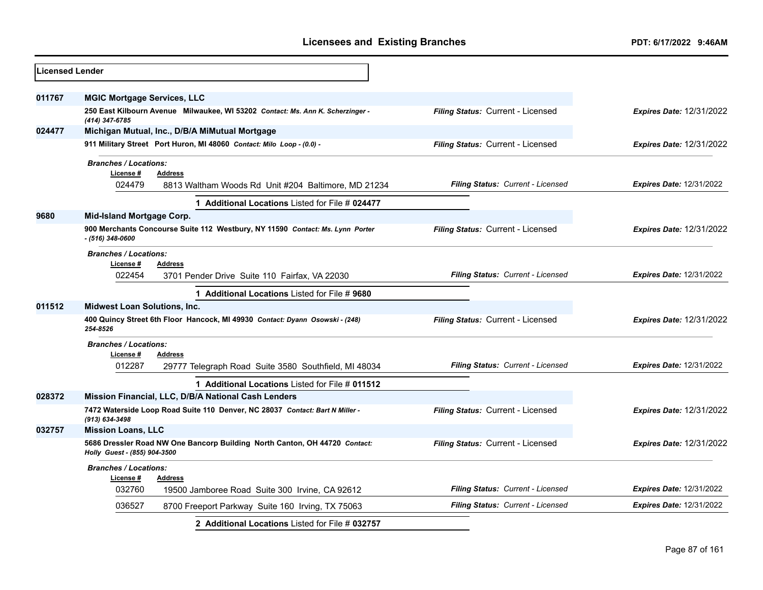| <b>Licensed Lender</b> |                                                                                                            |                                   |                                 |
|------------------------|------------------------------------------------------------------------------------------------------------|-----------------------------------|---------------------------------|
| 011767                 | <b>MGIC Mortgage Services, LLC</b>                                                                         |                                   |                                 |
|                        | 250 East Kilbourn Avenue Milwaukee, WI 53202 Contact: Ms. Ann K. Scherzinger -<br>(414) 347-6785           | Filing Status: Current - Licensed | <b>Expires Date: 12/31/2022</b> |
| 024477                 | Michigan Mutual, Inc., D/B/A MiMutual Mortgage                                                             |                                   |                                 |
|                        | 911 Military Street Port Huron, MI 48060 Contact: Milo Loop - (0.0) -                                      | Filing Status: Current - Licensed | <b>Expires Date: 12/31/2022</b> |
|                        | <b>Branches / Locations:</b>                                                                               |                                   |                                 |
|                        | License#<br><b>Address</b>                                                                                 |                                   |                                 |
|                        | 024479<br>8813 Waltham Woods Rd Unit #204 Baltimore, MD 21234                                              | Filing Status: Current - Licensed | <b>Expires Date: 12/31/2022</b> |
|                        | 1 Additional Locations Listed for File # 024477                                                            |                                   |                                 |
| 9680                   | <b>Mid-Island Mortgage Corp.</b>                                                                           |                                   |                                 |
|                        | 900 Merchants Concourse Suite 112 Westbury, NY 11590 Contact: Ms. Lynn Porter<br>$- (516)$ 348-0600        | Filing Status: Current - Licensed | <b>Expires Date: 12/31/2022</b> |
|                        | <b>Branches / Locations:</b>                                                                               |                                   |                                 |
|                        | License #<br><b>Address</b>                                                                                |                                   |                                 |
|                        | 022454<br>3701 Pender Drive Suite 110 Fairfax, VA 22030                                                    | Filing Status: Current - Licensed | <b>Expires Date: 12/31/2022</b> |
|                        | 1 Additional Locations Listed for File # 9680                                                              |                                   |                                 |
| 011512                 | <b>Midwest Loan Solutions, Inc.</b>                                                                        |                                   |                                 |
|                        | 400 Quincy Street 6th Floor Hancock, MI 49930 Contact: Dyann Osowski - (248)<br>254-8526                   | Filing Status: Current - Licensed | <b>Expires Date: 12/31/2022</b> |
|                        | <b>Branches / Locations:</b>                                                                               |                                   |                                 |
|                        | License #<br><b>Address</b>                                                                                |                                   |                                 |
|                        | 012287<br>29777 Telegraph Road Suite 3580 Southfield, MI 48034                                             | Filing Status: Current - Licensed | <b>Expires Date: 12/31/2022</b> |
|                        | 1 Additional Locations Listed for File # 011512                                                            |                                   |                                 |
| 028372                 | Mission Financial, LLC, D/B/A National Cash Lenders                                                        |                                   |                                 |
|                        | 7472 Waterside Loop Road Suite 110 Denver, NC 28037 Contact: Bart N Miller -<br>(913) 634-3498             | Filing Status: Current - Licensed | <b>Expires Date: 12/31/2022</b> |
| 032757                 | <b>Mission Loans, LLC</b>                                                                                  |                                   |                                 |
|                        | 5686 Dressler Road NW One Bancorp Building North Canton, OH 44720 Contact:<br>Holly Guest - (855) 904-3500 | Filing Status: Current - Licensed | <b>Expires Date: 12/31/2022</b> |
|                        | <b>Branches / Locations:</b>                                                                               |                                   |                                 |
|                        | License #<br><b>Address</b>                                                                                |                                   |                                 |
|                        | 032760<br>19500 Jamboree Road Suite 300 Irvine, CA 92612                                                   | Filing Status: Current - Licensed | <b>Expires Date: 12/31/2022</b> |
|                        | 036527<br>8700 Freeport Parkway Suite 160 Irving, TX 75063                                                 | Filing Status: Current - Licensed | <b>Expires Date: 12/31/2022</b> |
|                        | 2 Additional Locations Listed for File # 032757                                                            |                                   |                                 |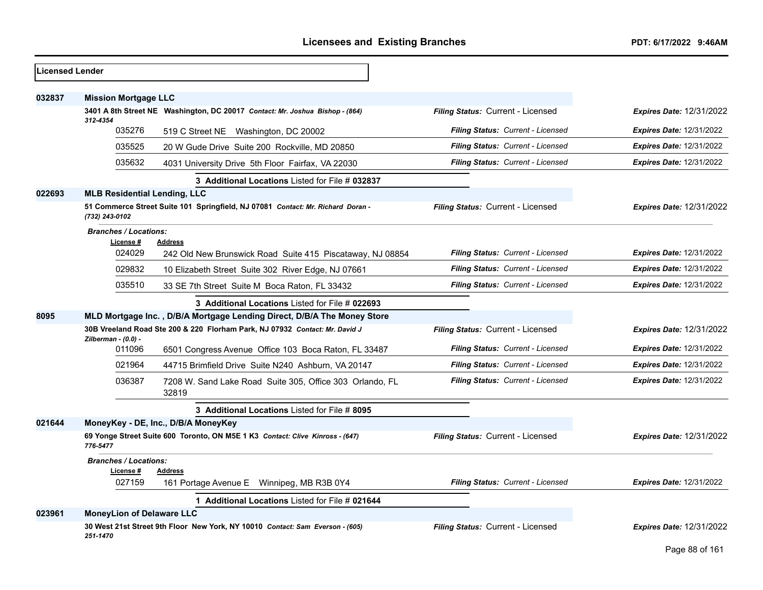| <b>Licensed Lender</b> |                                           |                                                                                 |                                   |                                 |
|------------------------|-------------------------------------------|---------------------------------------------------------------------------------|-----------------------------------|---------------------------------|
| 032837                 | <b>Mission Mortgage LLC</b>               |                                                                                 |                                   |                                 |
|                        | 312-4354                                  | 3401 A 8th Street NE Washington, DC 20017 Contact: Mr. Joshua Bishop - (864)    | Filing Status: Current - Licensed | <b>Expires Date: 12/31/2022</b> |
|                        | 035276                                    | 519 C Street NE Washington, DC 20002                                            | Filing Status: Current - Licensed | <b>Expires Date: 12/31/2022</b> |
|                        | 035525                                    | 20 W Gude Drive Suite 200 Rockville, MD 20850                                   | Filing Status: Current - Licensed | <b>Expires Date: 12/31/2022</b> |
|                        | 035632                                    | 4031 University Drive 5th Floor Fairfax, VA 22030                               | Filing Status: Current - Licensed | <b>Expires Date: 12/31/2022</b> |
|                        |                                           | 3 Additional Locations Listed for File # 032837                                 |                                   |                                 |
| 022693                 | <b>MLB Residential Lending, LLC</b>       |                                                                                 |                                   |                                 |
|                        | (732) 243-0102                            | 51 Commerce Street Suite 101 Springfield, NJ 07081 Contact: Mr. Richard Doran - | Filing Status: Current - Licensed | <b>Expires Date: 12/31/2022</b> |
|                        | <b>Branches / Locations:</b><br>License # | <b>Address</b>                                                                  |                                   |                                 |
|                        | 024029                                    | 242 Old New Brunswick Road Suite 415 Piscataway, NJ 08854                       | Filing Status: Current - Licensed | <b>Expires Date: 12/31/2022</b> |
|                        | 029832                                    | 10 Elizabeth Street Suite 302 River Edge, NJ 07661                              | Filing Status: Current - Licensed | <b>Expires Date: 12/31/2022</b> |
|                        | 035510                                    | 33 SE 7th Street Suite M Boca Raton, FL 33432                                   | Filing Status: Current - Licensed | <b>Expires Date: 12/31/2022</b> |
|                        |                                           | 3 Additional Locations Listed for File # 022693                                 |                                   |                                 |
| 8095                   |                                           | MLD Mortgage Inc., D/B/A Mortgage Lending Direct, D/B/A The Money Store         |                                   |                                 |
|                        | Zilberman - (0.0) -                       | 30B Vreeland Road Ste 200 & 220 Florham Park, NJ 07932 Contact: Mr. David J     | Filing Status: Current - Licensed | <b>Expires Date: 12/31/2022</b> |
|                        | 011096                                    | 6501 Congress Avenue Office 103 Boca Raton, FL 33487                            | Filing Status: Current - Licensed | <b>Expires Date: 12/31/2022</b> |
|                        | 021964                                    | 44715 Brimfield Drive Suite N240 Ashburn, VA 20147                              | Filing Status: Current - Licensed | <b>Expires Date: 12/31/2022</b> |
|                        | 036387                                    | 7208 W. Sand Lake Road Suite 305, Office 303 Orlando, FL<br>32819               | Filing Status: Current - Licensed | <b>Expires Date: 12/31/2022</b> |
|                        |                                           | 3 Additional Locations Listed for File # 8095                                   |                                   |                                 |
| 021644                 |                                           | MoneyKey - DE, Inc., D/B/A MoneyKey                                             |                                   |                                 |
|                        | 776-5477                                  | 69 Yonge Street Suite 600 Toronto, ON M5E 1 K3 Contact: Clive Kinross - (647)   | Filing Status: Current - Licensed | <b>Expires Date: 12/31/2022</b> |
|                        | <b>Branches / Locations:</b>              |                                                                                 |                                   |                                 |
|                        | License #<br>027159                       | <b>Address</b><br>161 Portage Avenue E Winnipeg, MB R3B 0Y4                     | Filing Status: Current - Licensed | <b>Expires Date: 12/31/2022</b> |
|                        |                                           | 1 Additional Locations Listed for File # 021644                                 |                                   |                                 |
| 023961                 | <b>MoneyLion of Delaware LLC</b>          |                                                                                 |                                   |                                 |
|                        | 251-1470                                  | 30 West 21st Street 9th Floor New York, NY 10010 Contact: Sam Everson - (605)   | Filing Status: Current - Licensed | <b>Expires Date: 12/31/2022</b> |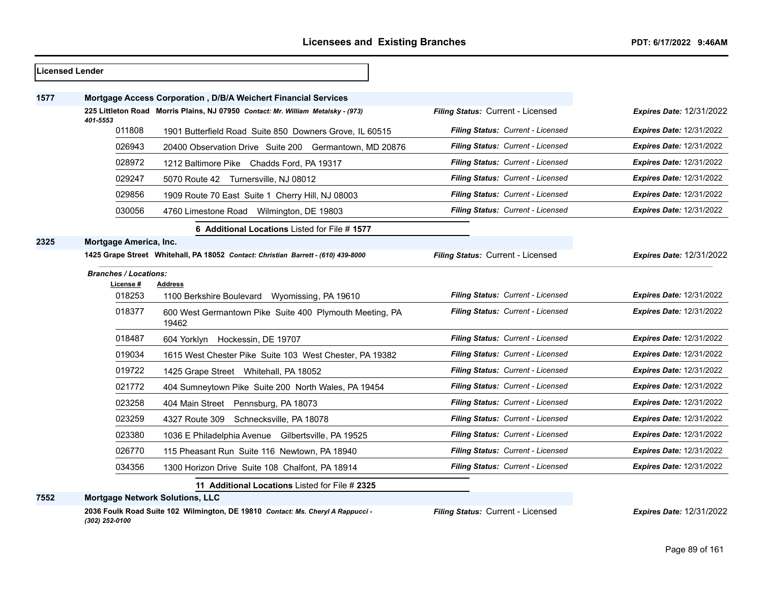|      | <b>Licensed Lender</b>                                      |                                                                                   |                                   |                                 |
|------|-------------------------------------------------------------|-----------------------------------------------------------------------------------|-----------------------------------|---------------------------------|
| 1577 |                                                             | Mortgage Access Corporation, D/B/A Weichert Financial Services                    |                                   |                                 |
|      | 401-5553                                                    | 225 Littleton Road Morris Plains, NJ 07950 Contact: Mr. William Metalsky - (973)  | Filing Status: Current - Licensed | <b>Expires Date: 12/31/2022</b> |
|      | 011808                                                      | 1901 Butterfield Road Suite 850 Downers Grove, IL 60515                           | Filing Status: Current - Licensed | <b>Expires Date: 12/31/2022</b> |
|      | 026943                                                      | 20400 Observation Drive Suite 200 Germantown, MD 20876                            | Filing Status: Current - Licensed | <b>Expires Date: 12/31/2022</b> |
|      | 028972                                                      | 1212 Baltimore Pike Chadds Ford, PA 19317                                         | Filing Status: Current - Licensed | <b>Expires Date: 12/31/2022</b> |
|      | 029247                                                      | 5070 Route 42 Turnersville, NJ 08012                                              | Filing Status: Current - Licensed | <b>Expires Date: 12/31/2022</b> |
|      | 029856                                                      | 1909 Route 70 East Suite 1 Cherry Hill, NJ 08003                                  | Filing Status: Current - Licensed | <b>Expires Date: 12/31/2022</b> |
|      | 030056                                                      | 4760 Limestone Road Wilmington, DE 19803                                          | Filing Status: Current - Licensed | <b>Expires Date: 12/31/2022</b> |
|      |                                                             | 6 Additional Locations Listed for File #1577                                      |                                   |                                 |
| 2325 | Mortgage America, Inc.                                      |                                                                                   |                                   |                                 |
|      |                                                             | 1425 Grape Street Whitehall, PA 18052 Contact: Christian Barrett - (610) 439-8000 | Filing Status: Current - Licensed | <b>Expires Date: 12/31/2022</b> |
|      | <b>Branches / Locations:</b><br>License #<br><b>Address</b> |                                                                                   |                                   |                                 |
|      | 018253                                                      | 1100 Berkshire Boulevard Wyomissing, PA 19610                                     | Filing Status: Current - Licensed | <b>Expires Date: 12/31/2022</b> |
|      | 018377                                                      | 600 West Germantown Pike Suite 400 Plymouth Meeting, PA<br>19462                  | Filing Status: Current - Licensed | <b>Expires Date: 12/31/2022</b> |
|      | 018487                                                      | 604 Yorklyn Hockessin, DE 19707                                                   | Filing Status: Current - Licensed | <b>Expires Date: 12/31/2022</b> |
|      | 019034                                                      | 1615 West Chester Pike Suite 103 West Chester, PA 19382                           | Filing Status: Current - Licensed | <b>Expires Date: 12/31/2022</b> |
|      | 019722                                                      | 1425 Grape Street Whitehall, PA 18052                                             | Filing Status: Current - Licensed | <b>Expires Date: 12/31/2022</b> |
|      | 021772                                                      | 404 Sumneytown Pike Suite 200 North Wales, PA 19454                               | Filing Status: Current - Licensed | <b>Expires Date: 12/31/2022</b> |
|      | 023258                                                      | 404 Main Street Pennsburg, PA 18073                                               | Filing Status: Current - Licensed | <b>Expires Date: 12/31/2022</b> |
|      | 023259                                                      | 4327 Route 309 Schnecksville, PA 18078                                            | Filing Status: Current - Licensed | <b>Expires Date: 12/31/2022</b> |
|      | 023380                                                      | 1036 E Philadelphia Avenue Gilbertsville, PA 19525                                | Filing Status: Current - Licensed | <b>Expires Date: 12/31/2022</b> |
|      | 026770                                                      | 115 Pheasant Run Suite 116 Newtown, PA 18940                                      | Filing Status: Current - Licensed | <b>Expires Date: 12/31/2022</b> |
|      | 034356                                                      | 1300 Horizon Drive Suite 108 Chalfont, PA 18914                                   | Filing Status: Current - Licensed | Expires Date: 12/31/2022        |
|      |                                                             | 11 Additional Locations Listed for File # 2325                                    |                                   |                                 |
| 7552 | <b>Mortgage Network Solutions, LLC</b>                      |                                                                                   |                                   |                                 |

**2036 Foulk Road Suite 102 Wilmington, DE 19810** *Contact: Ms. Cheryl A Rappucci - (302) 252-0100*

*Filing Status:* Current - Licensed *Expires Date:* 12/31/2022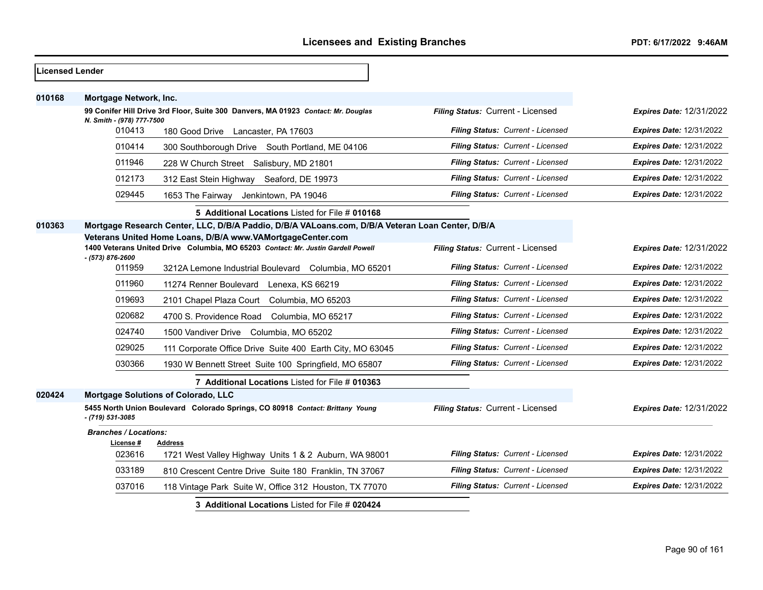| <b>ILicensed Lender</b> |                                     |                                                                                                                                                |                                   |                                 |
|-------------------------|-------------------------------------|------------------------------------------------------------------------------------------------------------------------------------------------|-----------------------------------|---------------------------------|
| 010168                  | Mortgage Network, Inc.              |                                                                                                                                                |                                   |                                 |
|                         |                                     | 99 Conifer Hill Drive 3rd Floor, Suite 300 Danvers, MA 01923 Contact: Mr. Douglas                                                              | Filing Status: Current - Licensed | Expires Date: 12/31/2022        |
|                         | N. Smith - (978) 777-7500<br>010413 | 180 Good Drive Lancaster, PA 17603                                                                                                             | Filing Status: Current - Licensed | <b>Expires Date: 12/31/2022</b> |
|                         | 010414                              | 300 Southborough Drive South Portland, ME 04106                                                                                                | Filing Status: Current - Licensed | <b>Expires Date: 12/31/2022</b> |
|                         | 011946                              | 228 W Church Street Salisbury, MD 21801                                                                                                        | Filing Status: Current - Licensed | Expires Date: 12/31/2022        |
|                         | 012173                              | 312 East Stein Highway Seaford, DE 19973                                                                                                       | Filing Status: Current - Licensed | <b>Expires Date: 12/31/2022</b> |
|                         | 029445                              | 1653 The Fairway Jenkintown, PA 19046                                                                                                          | Filing Status: Current - Licensed | <b>Expires Date: 12/31/2022</b> |
|                         |                                     | 5 Additional Locations Listed for File # 010168                                                                                                |                                   |                                 |
| 010363                  |                                     | Mortgage Research Center, LLC, D/B/A Paddio, D/B/A VALoans.com, D/B/A Veteran Loan Center, D/B/A                                               |                                   |                                 |
|                         | - (573) 876-2600                    | Veterans United Home Loans, D/B/A www.VAMortgageCenter.com<br>1400 Veterans United Drive Columbia, MO 65203 Contact: Mr. Justin Gardell Powell | Filing Status: Current - Licensed | Expires Date: 12/31/2022        |
|                         | 011959                              | 3212A Lemone Industrial Boulevard Columbia, MO 65201                                                                                           | Filing Status: Current - Licensed | <b>Expires Date: 12/31/2022</b> |
|                         | 011960                              | 11274 Renner Boulevard Lenexa, KS 66219                                                                                                        | Filing Status: Current - Licensed | <b>Expires Date: 12/31/2022</b> |
|                         | 019693                              | 2101 Chapel Plaza Court Columbia, MO 65203                                                                                                     | Filing Status: Current - Licensed | <b>Expires Date: 12/31/2022</b> |
|                         | 020682                              | 4700 S. Providence Road Columbia, MO 65217                                                                                                     | Filing Status: Current - Licensed | <b>Expires Date: 12/31/2022</b> |
|                         | 024740                              | 1500 Vandiver Drive Columbia, MO 65202                                                                                                         | Filing Status: Current - Licensed | <b>Expires Date: 12/31/2022</b> |
|                         | 029025                              | 111 Corporate Office Drive Suite 400 Earth City, MO 63045                                                                                      | Filing Status: Current - Licensed | <b>Expires Date: 12/31/2022</b> |
|                         | 030366                              | 1930 W Bennett Street Suite 100 Springfield, MO 65807                                                                                          | Filing Status: Current - Licensed | Expires Date: 12/31/2022        |
|                         |                                     | 7 Additional Locations Listed for File # 010363                                                                                                |                                   |                                 |
| 020424                  |                                     | <b>Mortgage Solutions of Colorado, LLC</b>                                                                                                     |                                   |                                 |
|                         | - (719) 531-3085                    | 5455 North Union Boulevard Colorado Springs, CO 80918 Contact: Brittany Young                                                                  | Filing Status: Current - Licensed | <b>Expires Date: 12/31/2022</b> |
|                         | <b>Branches / Locations:</b>        |                                                                                                                                                |                                   |                                 |
|                         | License #<br>023616                 | <b>Address</b><br>1721 West Valley Highway Units 1 & 2 Auburn, WA 98001                                                                        | Filing Status: Current - Licensed | <b>Expires Date: 12/31/2022</b> |
|                         | 033189                              | 810 Crescent Centre Drive Suite 180 Franklin, TN 37067                                                                                         | Filing Status: Current - Licensed | <b>Expires Date: 12/31/2022</b> |
|                         | 037016                              | 118 Vintage Park Suite W, Office 312 Houston, TX 77070                                                                                         | Filing Status: Current - Licensed | <b>Expires Date: 12/31/2022</b> |
|                         |                                     | 3 Additional Locations Listed for File # 020424                                                                                                |                                   |                                 |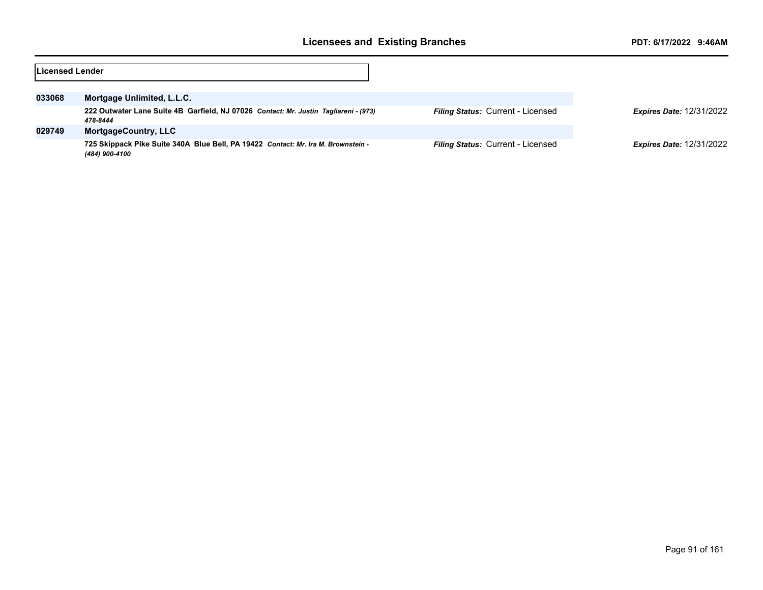| lLicensed Lender |                                                                                                     |                                          |                                 |
|------------------|-----------------------------------------------------------------------------------------------------|------------------------------------------|---------------------------------|
| 033068           | Mortgage Unlimited, L.L.C.                                                                          |                                          |                                 |
|                  | 222 Outwater Lane Suite 4B Garfield, NJ 07026 Contact: Mr. Justin Tagliareni - (973)<br>478-8444    | <b>Filing Status: Current - Licensed</b> | <b>Expires Date: 12/31/2022</b> |
| 029749           | <b>MortgageCountry, LLC</b>                                                                         |                                          |                                 |
|                  | 725 Skippack Pike Suite 340A Blue Bell, PA 19422 Contact: Mr. Ira M. Brownstein -<br>(484) 900-4100 | <b>Filing Status: Current - Licensed</b> | <b>Expires Date: 12/31/2022</b> |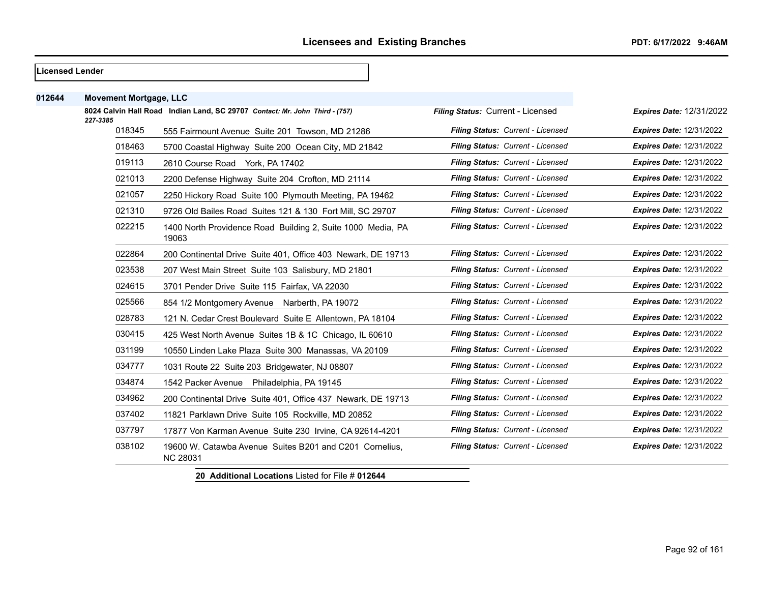#### **Licensed Lender**

| 012644 | <b>Movement Mortgage, LLC</b> |                                                                             |                                   |                                 |
|--------|-------------------------------|-----------------------------------------------------------------------------|-----------------------------------|---------------------------------|
|        | 227-3385                      | 8024 Calvin Hall Road Indian Land, SC 29707 Contact: Mr. John Third - (757) | Filing Status: Current - Licensed | <b>Expires Date: 12/31/2022</b> |
|        | 018345                        | 555 Fairmount Avenue Suite 201 Towson, MD 21286                             | Filing Status: Current - Licensed | <b>Expires Date: 12/31/2022</b> |
|        | 018463                        | 5700 Coastal Highway Suite 200 Ocean City, MD 21842                         | Filing Status: Current - Licensed | <b>Expires Date: 12/31/2022</b> |
|        | 019113                        | 2610 Course Road York, PA 17402                                             | Filing Status: Current - Licensed | <b>Expires Date: 12/31/2022</b> |
|        | 021013                        | 2200 Defense Highway Suite 204 Crofton, MD 21114                            | Filing Status: Current - Licensed | <b>Expires Date: 12/31/2022</b> |
|        | 021057                        | 2250 Hickory Road Suite 100 Plymouth Meeting, PA 19462                      | Filing Status: Current - Licensed | <b>Expires Date: 12/31/2022</b> |
|        | 021310                        | 9726 Old Bailes Road Suites 121 & 130 Fort Mill, SC 29707                   | Filing Status: Current - Licensed | <b>Expires Date: 12/31/2022</b> |
|        | 022215                        | 1400 North Providence Road Building 2, Suite 1000 Media, PA<br>19063        | Filing Status: Current - Licensed | <b>Expires Date: 12/31/2022</b> |
|        | 022864                        | 200 Continental Drive Suite 401, Office 403 Newark, DE 19713                | Filing Status: Current - Licensed | <b>Expires Date: 12/31/2022</b> |
|        | 023538                        | 207 West Main Street Suite 103 Salisbury, MD 21801                          | Filing Status: Current - Licensed | <b>Expires Date: 12/31/2022</b> |
|        | 024615                        | 3701 Pender Drive Suite 115 Fairfax, VA 22030                               | Filing Status: Current - Licensed | <b>Expires Date: 12/31/2022</b> |
|        | 025566                        | 854 1/2 Montgomery Avenue Narberth, PA 19072                                | Filing Status: Current - Licensed | <b>Expires Date: 12/31/2022</b> |
|        | 028783                        | 121 N. Cedar Crest Boulevard Suite E Allentown, PA 18104                    | Filing Status: Current - Licensed | <b>Expires Date: 12/31/2022</b> |
|        | 030415                        | 425 West North Avenue Suites 1B & 1C Chicago, IL 60610                      | Filing Status: Current - Licensed | <b>Expires Date: 12/31/2022</b> |
|        | 031199                        | 10550 Linden Lake Plaza Suite 300 Manassas, VA 20109                        | Filing Status: Current - Licensed | <b>Expires Date: 12/31/2022</b> |
|        | 034777                        | 1031 Route 22 Suite 203 Bridgewater, NJ 08807                               | Filing Status: Current - Licensed | <b>Expires Date: 12/31/2022</b> |
|        | 034874                        | 1542 Packer Avenue Philadelphia, PA 19145                                   | Filing Status: Current - Licensed | <b>Expires Date: 12/31/2022</b> |
|        | 034962                        | 200 Continental Drive Suite 401, Office 437 Newark, DE 19713                | Filing Status: Current - Licensed | <b>Expires Date: 12/31/2022</b> |
|        | 037402                        | 11821 Parklawn Drive Suite 105 Rockville, MD 20852                          | Filing Status: Current - Licensed | <b>Expires Date: 12/31/2022</b> |
|        | 037797                        | 17877 Von Karman Avenue Suite 230 Irvine, CA 92614-4201                     | Filing Status: Current - Licensed | <b>Expires Date: 12/31/2022</b> |
|        | 038102                        | 19600 W. Catawba Avenue Suites B201 and C201 Cornelius,<br><b>NC 28031</b>  | Filing Status: Current - Licensed | <b>Expires Date: 12/31/2022</b> |
|        |                               |                                                                             |                                   |                                 |

**20 Additional Locations** Listed for File # **012644**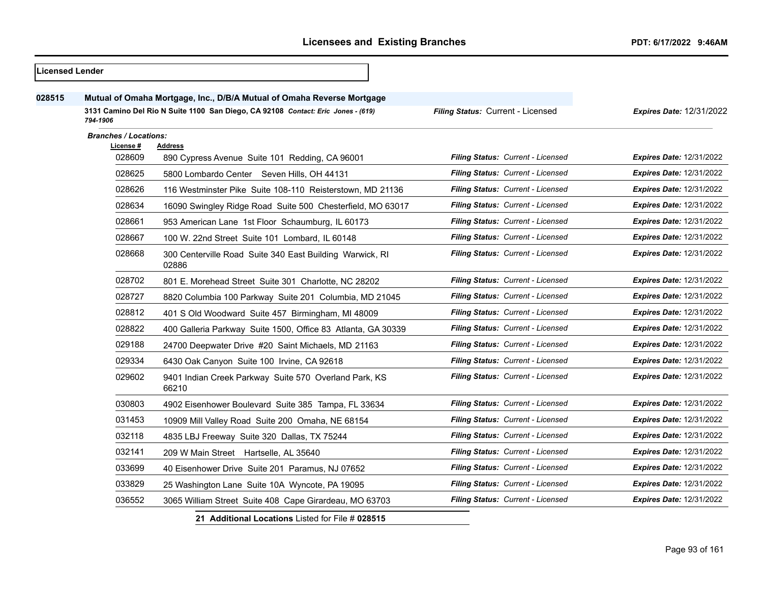| 028515 |                              | Mutual of Omaha Mortgage, Inc., D/B/A Mutual of Omaha Reverse Mortgage           |                                   |                                 |
|--------|------------------------------|----------------------------------------------------------------------------------|-----------------------------------|---------------------------------|
|        | 794-1906                     | 3131 Camino Del Rio N Suite 1100 San Diego, CA 92108 Contact: Eric Jones - (619) | Filing Status: Current - Licensed | Expires Date: 12/31/2022        |
|        | <b>Branches / Locations:</b> |                                                                                  |                                   |                                 |
|        | License #                    | <b>Address</b>                                                                   |                                   |                                 |
|        | 028609                       | 890 Cypress Avenue Suite 101 Redding, CA 96001                                   | Filing Status: Current - Licensed | <b>Expires Date: 12/31/2022</b> |
|        | 028625                       | 5800 Lombardo Center Seven Hills, OH 44131                                       | Filing Status: Current - Licensed | <b>Expires Date: 12/31/2022</b> |
|        | 028626                       | 116 Westminster Pike Suite 108-110 Reisterstown, MD 21136                        | Filing Status: Current - Licensed | <b>Expires Date: 12/31/2022</b> |
|        | 028634                       | 16090 Swingley Ridge Road Suite 500 Chesterfield, MO 63017                       | Filing Status: Current - Licensed | Expires Date: 12/31/2022        |
|        | 028661                       | 953 American Lane 1st Floor Schaumburg, IL 60173                                 | Filing Status: Current - Licensed | <b>Expires Date: 12/31/2022</b> |
|        | 028667                       | 100 W. 22nd Street Suite 101 Lombard, IL 60148                                   | Filing Status: Current - Licensed | <b>Expires Date: 12/31/2022</b> |
|        | 028668                       | 300 Centerville Road Suite 340 East Building Warwick, RI<br>02886                | Filing Status: Current - Licensed | <b>Expires Date: 12/31/2022</b> |
|        | 028702                       | 801 E. Morehead Street Suite 301 Charlotte, NC 28202                             | Filing Status: Current - Licensed | <b>Expires Date: 12/31/2022</b> |
|        | 028727                       | 8820 Columbia 100 Parkway Suite 201 Columbia, MD 21045                           | Filing Status: Current - Licensed | <b>Expires Date: 12/31/2022</b> |
|        | 028812                       | 401 S Old Woodward Suite 457 Birmingham, MI 48009                                | Filing Status: Current - Licensed | <b>Expires Date: 12/31/2022</b> |
|        | 028822                       | 400 Galleria Parkway Suite 1500, Office 83 Atlanta, GA 30339                     | Filing Status: Current - Licensed | <b>Expires Date: 12/31/2022</b> |
|        | 029188                       | 24700 Deepwater Drive #20 Saint Michaels, MD 21163                               | Filing Status: Current - Licensed | <b>Expires Date: 12/31/2022</b> |
|        | 029334                       | 6430 Oak Canyon Suite 100 Irvine, CA 92618                                       | Filing Status: Current - Licensed | <b>Expires Date: 12/31/2022</b> |
|        | 029602                       | 9401 Indian Creek Parkway Suite 570 Overland Park, KS<br>66210                   | Filing Status: Current - Licensed | <b>Expires Date: 12/31/2022</b> |
|        | 030803                       | 4902 Eisenhower Boulevard Suite 385 Tampa, FL 33634                              | Filing Status: Current - Licensed | <b>Expires Date: 12/31/2022</b> |
|        | 031453                       | 10909 Mill Valley Road Suite 200 Omaha, NE 68154                                 | Filing Status: Current - Licensed | <b>Expires Date: 12/31/2022</b> |
|        | 032118                       | 4835 LBJ Freeway Suite 320 Dallas, TX 75244                                      | Filing Status: Current - Licensed | <b>Expires Date: 12/31/2022</b> |
|        | 032141                       | 209 W Main Street Hartselle, AL 35640                                            | Filing Status: Current - Licensed | <b>Expires Date: 12/31/2022</b> |
|        | 033699                       | 40 Eisenhower Drive Suite 201 Paramus, NJ 07652                                  | Filing Status: Current - Licensed | <b>Expires Date: 12/31/2022</b> |
|        | 033829                       | 25 Washington Lane Suite 10A Wyncote, PA 19095                                   | Filing Status: Current - Licensed | <b>Expires Date: 12/31/2022</b> |
|        | 036552                       | 3065 William Street Suite 408 Cape Girardeau, MO 63703                           | Filing Status: Current - Licensed | <b>Expires Date: 12/31/2022</b> |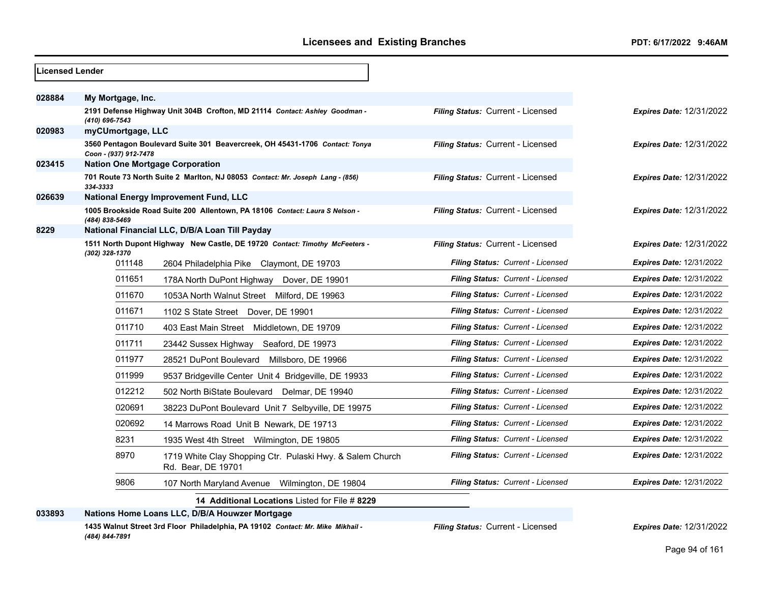| Licensed Lender |                                        |                                                                                 |                                          |                                 |
|-----------------|----------------------------------------|---------------------------------------------------------------------------------|------------------------------------------|---------------------------------|
| 028884          | My Mortgage, Inc.                      |                                                                                 |                                          |                                 |
|                 | (410) 696-7543                         | 2191 Defense Highway Unit 304B Crofton, MD 21114 Contact: Ashley Goodman -      | Filing Status: Current - Licensed        | <b>Expires Date: 12/31/2022</b> |
| 020983          | myCUmortgage, LLC                      |                                                                                 |                                          |                                 |
|                 | Coon - (937) 912-7478                  | 3560 Pentagon Boulevard Suite 301 Beavercreek, OH 45431-1706 Contact: Tonya     | Filing Status: Current - Licensed        | <b>Expires Date: 12/31/2022</b> |
| 023415          | <b>Nation One Mortgage Corporation</b> |                                                                                 |                                          |                                 |
|                 | 334-3333                               | 701 Route 73 North Suite 2 Marlton, NJ 08053 Contact: Mr. Joseph Lang - (856)   | Filing Status: Current - Licensed        | <b>Expires Date: 12/31/2022</b> |
| 026639          |                                        | National Energy Improvement Fund, LLC                                           |                                          |                                 |
|                 | (484) 838-5469                         | 1005 Brookside Road Suite 200 Allentown, PA 18106 Contact: Laura S Nelson -     | Filing Status: Current - Licensed        | <b>Expires Date: 12/31/2022</b> |
| 8229            |                                        | National Financial LLC, D/B/A Loan Till Payday                                  |                                          |                                 |
|                 | (302) 328-1370                         | 1511 North Dupont Highway New Castle, DE 19720 Contact: Timothy McFeeters -     | Filing Status: Current - Licensed        | <b>Expires Date: 12/31/2022</b> |
|                 | 011148                                 | 2604 Philadelphia Pike Claymont, DE 19703                                       | Filing Status: Current - Licensed        | <b>Expires Date: 12/31/2022</b> |
|                 | 011651                                 | 178A North DuPont Highway<br>Dover, DE 19901                                    | Filing Status: Current - Licensed        | <b>Expires Date: 12/31/2022</b> |
|                 | 011670                                 | 1053A North Walnut Street Milford, DE 19963                                     | Filing Status: Current - Licensed        | <b>Expires Date: 12/31/2022</b> |
|                 | 011671                                 | 1102 S State Street<br>Dover, DE 19901                                          | Filing Status: Current - Licensed        | <b>Expires Date: 12/31/2022</b> |
|                 | 011710                                 | 403 East Main Street Middletown, DE 19709                                       | Filing Status: Current - Licensed        | <b>Expires Date: 12/31/2022</b> |
|                 | 011711                                 | 23442 Sussex Highway<br>Seaford, DE 19973                                       | Filing Status: Current - Licensed        | <b>Expires Date: 12/31/2022</b> |
|                 | 011977                                 | 28521 DuPont Boulevard Millsboro, DE 19966                                      | Filing Status: Current - Licensed        | <b>Expires Date: 12/31/2022</b> |
|                 | 011999                                 | 9537 Bridgeville Center Unit 4 Bridgeville, DE 19933                            | <b>Filing Status: Current - Licensed</b> | <b>Expires Date: 12/31/2022</b> |
|                 | 012212                                 | 502 North BiState Boulevard<br>Delmar, DE 19940                                 | Filing Status: Current - Licensed        | <b>Expires Date: 12/31/2022</b> |
|                 | 020691                                 | 38223 DuPont Boulevard Unit 7 Selbyville, DE 19975                              | Filing Status: Current - Licensed        | <b>Expires Date: 12/31/2022</b> |
|                 | 020692                                 | 14 Marrows Road Unit B Newark, DE 19713                                         | <b>Filing Status: Current - Licensed</b> | <b>Expires Date: 12/31/2022</b> |
|                 | 8231                                   | 1935 West 4th Street Wilmington, DE 19805                                       | Filing Status: Current - Licensed        | <b>Expires Date: 12/31/2022</b> |
|                 | 8970                                   | 1719 White Clay Shopping Ctr. Pulaski Hwy. & Salem Church<br>Rd. Bear, DE 19701 | Filing Status: Current - Licensed        | <b>Expires Date: 12/31/2022</b> |
|                 | 9806                                   | 107 North Maryland Avenue Wilmington, DE 19804                                  | <b>Filing Status: Current - Licensed</b> | <b>Expires Date: 12/31/2022</b> |
|                 |                                        | 14 Additional Locations Listed for File # 8229                                  |                                          |                                 |
| 033893          |                                        | Nations Home Loans LLC, D/B/A Houwzer Mortgage                                  |                                          |                                 |

**1435 Walnut Street 3rd Floor Philadelphia, PA 19102** *Contact: Mr. Mike Mikhail - (484) 844-7891*

*Filing Status:* Current - Licensed *Expires Date:* 12/31/2022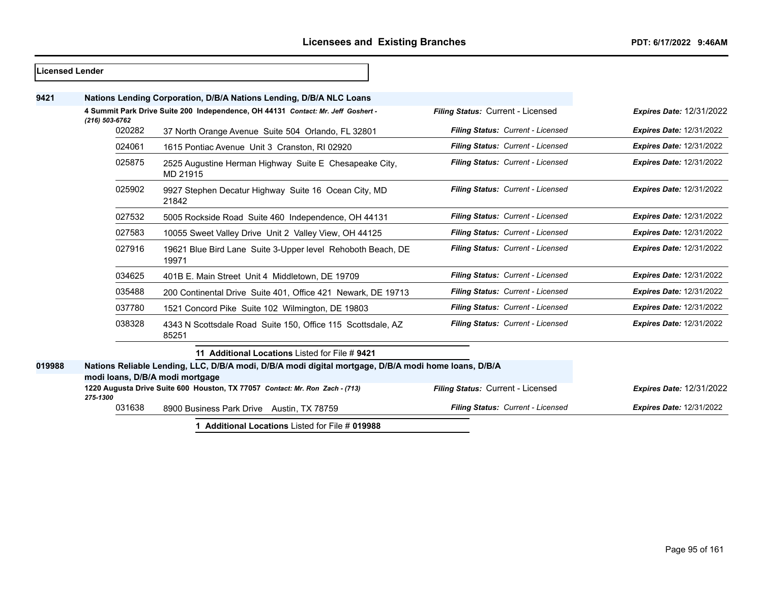| <b>Licensed Lender</b> |                                 |                                                                                                      |                                   |                                 |
|------------------------|---------------------------------|------------------------------------------------------------------------------------------------------|-----------------------------------|---------------------------------|
| 9421                   |                                 | Nations Lending Corporation, D/B/A Nations Lending, D/B/A NLC Loans                                  |                                   |                                 |
|                        | $(216) 503 - 6762$              | 4 Summit Park Drive Suite 200 Independence, OH 44131 Contact: Mr. Jeff Goshert -                     | Filing Status: Current - Licensed | <b>Expires Date: 12/31/2022</b> |
|                        | 020282                          | 37 North Orange Avenue Suite 504 Orlando, FL 32801                                                   | Filing Status: Current - Licensed | <b>Expires Date: 12/31/2022</b> |
|                        | 024061                          | 1615 Pontiac Avenue Unit 3 Cranston, RI 02920                                                        | Filing Status: Current - Licensed | <b>Expires Date: 12/31/2022</b> |
|                        | 025875                          | 2525 Augustine Herman Highway Suite E Chesapeake City,<br>MD 21915                                   | Filing Status: Current - Licensed | <b>Expires Date: 12/31/2022</b> |
|                        | 025902                          | 9927 Stephen Decatur Highway Suite 16 Ocean City, MD<br>21842                                        | Filing Status: Current - Licensed | <b>Expires Date: 12/31/2022</b> |
|                        | 027532                          | 5005 Rockside Road Suite 460 Independence, OH 44131                                                  | Filing Status: Current - Licensed | <b>Expires Date: 12/31/2022</b> |
|                        | 027583                          | 10055 Sweet Valley Drive Unit 2 Valley View, OH 44125                                                | Filing Status: Current - Licensed | <b>Expires Date: 12/31/2022</b> |
|                        | 027916                          | 19621 Blue Bird Lane Suite 3-Upper level Rehoboth Beach, DE<br>19971                                 | Filing Status: Current - Licensed | <b>Expires Date: 12/31/2022</b> |
|                        | 034625                          | 401B E. Main Street Unit 4 Middletown, DE 19709                                                      | Filing Status: Current - Licensed | <b>Expires Date: 12/31/2022</b> |
|                        | 035488                          | 200 Continental Drive Suite 401, Office 421 Newark, DE 19713                                         | Filing Status: Current - Licensed | <b>Expires Date: 12/31/2022</b> |
|                        | 037780                          | 1521 Concord Pike Suite 102 Wilmington, DE 19803                                                     | Filing Status: Current - Licensed | <b>Expires Date: 12/31/2022</b> |
|                        | 038328                          | 4343 N Scottsdale Road Suite 150, Office 115 Scottsdale, AZ<br>85251                                 | Filing Status: Current - Licensed | <b>Expires Date: 12/31/2022</b> |
|                        |                                 | 11 Additional Locations Listed for File #9421                                                        |                                   |                                 |
| 019988                 | modi Ioans, D/B/A modi mortgage | Nations Reliable Lending, LLC, D/B/A modi, D/B/A modi digital mortgage, D/B/A modi home loans, D/B/A |                                   |                                 |
|                        | 275-1300                        | 1220 Augusta Drive Suite 600 Houston, TX 77057 Contact: Mr. Ron Zach - (713)                         | Filing Status: Current - Licensed | <b>Expires Date: 12/31/2022</b> |
|                        | 031638                          | 8900 Business Park Drive Austin, TX 78759                                                            | Filing Status: Current - Licensed | <b>Expires Date: 12/31/2022</b> |
|                        |                                 | 1 Additional Locations Listed for File # 019988                                                      |                                   |                                 |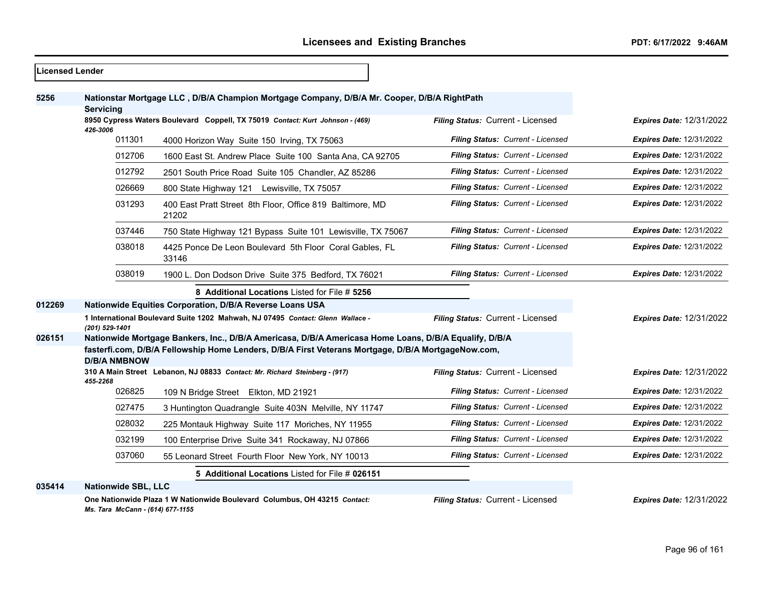$\overline{\phantom{0}}$ 

| <b>Licensed Lender</b> |                                                                                                                                                                                                                                    |                                                                                             |                                   |                                 |
|------------------------|------------------------------------------------------------------------------------------------------------------------------------------------------------------------------------------------------------------------------------|---------------------------------------------------------------------------------------------|-----------------------------------|---------------------------------|
| 5256                   | <b>Servicing</b>                                                                                                                                                                                                                   | Nationstar Mortgage LLC, D/B/A Champion Mortgage Company, D/B/A Mr. Cooper, D/B/A RightPath |                                   |                                 |
|                        | 8950 Cypress Waters Boulevard Coppell, TX 75019 Contact: Kurt Johnson - (469)<br>426-3006                                                                                                                                          |                                                                                             | Filing Status: Current - Licensed | <b>Expires Date: 12/31/2022</b> |
|                        | 011301                                                                                                                                                                                                                             | 4000 Horizon Way Suite 150 Irving, TX 75063                                                 | Filing Status: Current - Licensed | <b>Expires Date: 12/31/2022</b> |
|                        | 012706                                                                                                                                                                                                                             | 1600 East St. Andrew Place Suite 100 Santa Ana, CA 92705                                    | Filing Status: Current - Licensed | <b>Expires Date: 12/31/2022</b> |
|                        | 012792                                                                                                                                                                                                                             | 2501 South Price Road Suite 105 Chandler, AZ 85286                                          | Filing Status: Current - Licensed | <b>Expires Date: 12/31/2022</b> |
|                        | 026669                                                                                                                                                                                                                             | 800 State Highway 121 Lewisville, TX 75057                                                  | Filing Status: Current - Licensed | <b>Expires Date: 12/31/2022</b> |
|                        | 031293                                                                                                                                                                                                                             | 400 East Pratt Street 8th Floor, Office 819 Baltimore, MD<br>21202                          | Filing Status: Current - Licensed | <b>Expires Date: 12/31/2022</b> |
|                        | 037446                                                                                                                                                                                                                             | 750 State Highway 121 Bypass Suite 101 Lewisville, TX 75067                                 | Filing Status: Current - Licensed | <b>Expires Date: 12/31/2022</b> |
|                        | 038018                                                                                                                                                                                                                             | 4425 Ponce De Leon Boulevard 5th Floor Coral Gables. FL<br>33146                            | Filing Status: Current - Licensed | <b>Expires Date: 12/31/2022</b> |
|                        | 038019                                                                                                                                                                                                                             | 1900 L. Don Dodson Drive Suite 375 Bedford, TX 76021                                        | Filing Status: Current - Licensed | <b>Expires Date: 12/31/2022</b> |
|                        |                                                                                                                                                                                                                                    | 8 Additional Locations Listed for File # 5256                                               |                                   |                                 |
| 012269                 |                                                                                                                                                                                                                                    | Nationwide Equities Corporation, D/B/A Reverse Loans USA                                    |                                   |                                 |
|                        | (201) 529-1401                                                                                                                                                                                                                     | 1 International Boulevard Suite 1202 Mahwah, NJ 07495 Contact: Glenn Wallace -              | Filing Status: Current - Licensed | <b>Expires Date: 12/31/2022</b> |
| 026151                 | Nationwide Mortgage Bankers, Inc., D/B/A Americasa, D/B/A Americasa Home Loans, D/B/A Equalify, D/B/A<br>fasterfi.com, D/B/A Fellowship Home Lenders, D/B/A First Veterans Mortgage, D/B/A MortgageNow.com,<br><b>D/B/A NMBNOW</b> |                                                                                             |                                   |                                 |
|                        |                                                                                                                                                                                                                                    | 310 A Main Street Lebanon, NJ 08833 Contact: Mr. Richard Steinberg - (917)                  | Filing Status: Current - Licensed | <b>Expires Date: 12/31/2022</b> |
|                        | 455-2268<br>026825                                                                                                                                                                                                                 | 109 N Bridge Street Elkton, MD 21921                                                        | Filing Status: Current - Licensed | <b>Expires Date: 12/31/2022</b> |
|                        | 027475                                                                                                                                                                                                                             | 3 Huntington Quadrangle Suite 403N Melville, NY 11747                                       | Filing Status: Current - Licensed | <b>Expires Date: 12/31/2022</b> |
|                        | 028032                                                                                                                                                                                                                             | 225 Montauk Highway Suite 117 Moriches, NY 11955                                            | Filing Status: Current - Licensed | <b>Expires Date: 12/31/2022</b> |
|                        | 032199                                                                                                                                                                                                                             | 100 Enterprise Drive Suite 341 Rockaway, NJ 07866                                           | Filing Status: Current - Licensed | <b>Expires Date: 12/31/2022</b> |
|                        | 037060                                                                                                                                                                                                                             | 55 Leonard Street Fourth Floor New York, NY 10013                                           | Filing Status: Current - Licensed | <b>Expires Date: 12/31/2022</b> |
|                        |                                                                                                                                                                                                                                    | 5 Additional Locations Listed for File # 026151                                             |                                   |                                 |
| 035414                 | <b>Nationwide SBL, LLC</b>                                                                                                                                                                                                         |                                                                                             |                                   |                                 |
|                        | Ms. Tara McCann - (614) 677-1155                                                                                                                                                                                                   | One Nationwide Plaza 1 W Nationwide Boulevard Columbus, OH 43215 Contact:                   | Filing Status: Current - Licensed | <b>Expires Date: 12/31/2022</b> |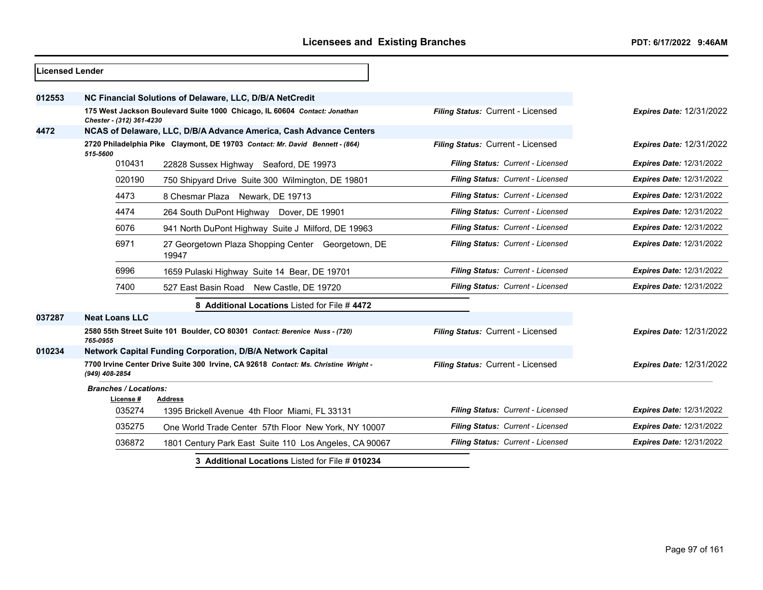| Licensed Lender |                                                                                                       |                                                                              |                                   |                                 |
|-----------------|-------------------------------------------------------------------------------------------------------|------------------------------------------------------------------------------|-----------------------------------|---------------------------------|
| 012553          |                                                                                                       | NC Financial Solutions of Delaware, LLC, D/B/A NetCredit                     |                                   |                                 |
|                 | Chester - (312) 361-4230                                                                              | 175 West Jackson Boulevard Suite 1000 Chicago, IL 60604 Contact: Jonathan    | Filing Status: Current - Licensed | <b>Expires Date: 12/31/2022</b> |
| 4472            |                                                                                                       | NCAS of Delaware, LLC, D/B/A Advance America, Cash Advance Centers           |                                   |                                 |
|                 | 515-5600                                                                                              | 2720 Philadelphia Pike Claymont, DE 19703 Contact: Mr. David Bennett - (864) | Filing Status: Current - Licensed | <b>Expires Date: 12/31/2022</b> |
|                 | 010431                                                                                                | 22828 Sussex Highway Seaford, DE 19973                                       | Filing Status: Current - Licensed | <b>Expires Date: 12/31/2022</b> |
|                 | 020190                                                                                                | 750 Shipyard Drive Suite 300 Wilmington, DE 19801                            | Filing Status: Current - Licensed | <b>Expires Date: 12/31/2022</b> |
|                 | 4473                                                                                                  | 8 Chesmar Plaza Newark, DE 19713                                             | Filing Status: Current - Licensed | <b>Expires Date: 12/31/2022</b> |
|                 | 4474                                                                                                  | 264 South DuPont Highway Dover, DE 19901                                     | Filing Status: Current - Licensed | <b>Expires Date: 12/31/2022</b> |
|                 | 6076                                                                                                  | 941 North DuPont Highway Suite J Milford, DE 19963                           | Filing Status: Current - Licensed | <b>Expires Date: 12/31/2022</b> |
|                 | 6971                                                                                                  | 27 Georgetown Plaza Shopping Center Georgetown, DE<br>19947                  | Filing Status: Current - Licensed | <b>Expires Date: 12/31/2022</b> |
|                 | 6996                                                                                                  | 1659 Pulaski Highway Suite 14 Bear, DE 19701                                 | Filing Status: Current - Licensed | <b>Expires Date: 12/31/2022</b> |
|                 | 7400                                                                                                  | 527 East Basin Road New Castle, DE 19720                                     | Filing Status: Current - Licensed | <b>Expires Date: 12/31/2022</b> |
|                 |                                                                                                       |                                                                              |                                   |                                 |
| 037287          | <b>Neat Loans LLC</b>                                                                                 |                                                                              |                                   |                                 |
|                 | 765-0955                                                                                              | 2580 55th Street Suite 101 Boulder, CO 80301 Contact: Berenice Nuss - (720)  | Filing Status: Current - Licensed | <b>Expires Date: 12/31/2022</b> |
| 010234          |                                                                                                       | Network Capital Funding Corporation, D/B/A Network Capital                   |                                   |                                 |
|                 | 7700 Irvine Center Drive Suite 300 Irvine, CA 92618 Contact: Ms. Christine Wright -<br>(949) 408-2854 |                                                                              | Filing Status: Current - Licensed | <b>Expires Date: 12/31/2022</b> |
|                 | <b>Branches / Locations:</b>                                                                          |                                                                              |                                   |                                 |
|                 | License #<br>035274                                                                                   | <b>Address</b><br>1395 Brickell Avenue 4th Floor Miami, FL 33131             | Filing Status: Current - Licensed | <b>Expires Date: 12/31/2022</b> |
|                 | 035275                                                                                                | One World Trade Center 57th Floor New York, NY 10007                         | Filing Status: Current - Licensed | <b>Expires Date: 12/31/2022</b> |
|                 | 036872                                                                                                | 1801 Century Park East Suite 110 Los Angeles, CA 90067                       | Filing Status: Current - Licensed | <b>Expires Date: 12/31/2022</b> |
|                 | 3 Additional Locations Listed for File # 010234                                                       |                                                                              |                                   |                                 |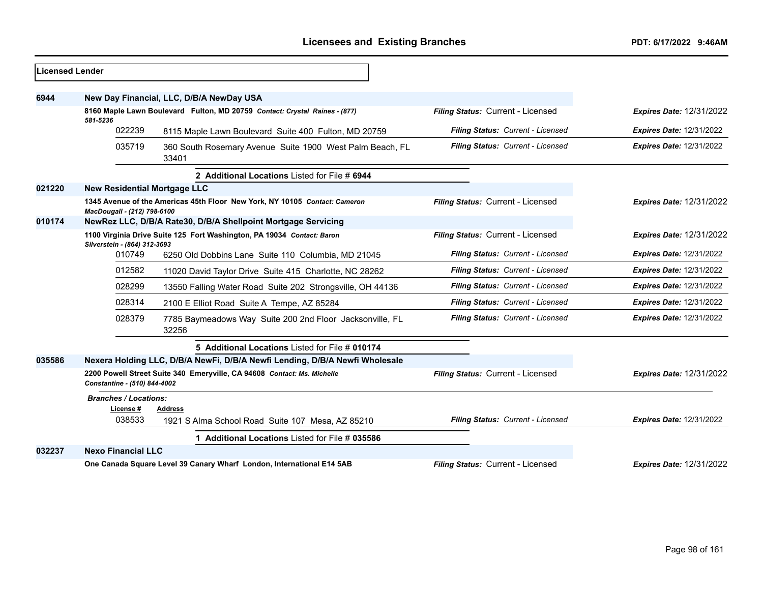| <b>Licensed Lender</b> |                                                                                                         |                                                                             |                                   |                                 |
|------------------------|---------------------------------------------------------------------------------------------------------|-----------------------------------------------------------------------------|-----------------------------------|---------------------------------|
|                        |                                                                                                         |                                                                             |                                   |                                 |
| 6944                   |                                                                                                         | New Day Financial, LLC, D/B/A NewDay USA                                    |                                   |                                 |
|                        |                                                                                                         | 8160 Maple Lawn Boulevard Fulton, MD 20759 Contact: Crystal Raines - (877)  | Filing Status: Current - Licensed | <b>Expires Date: 12/31/2022</b> |
|                        | 581-5236<br>022239<br>8115 Maple Lawn Boulevard Suite 400 Fulton, MD 20759                              |                                                                             | Filing Status: Current - Licensed | <b>Expires Date: 12/31/2022</b> |
|                        | 035719                                                                                                  | 360 South Rosemary Avenue Suite 1900 West Palm Beach, FL<br>33401           | Filing Status: Current - Licensed | <b>Expires Date: 12/31/2022</b> |
|                        |                                                                                                         | 2 Additional Locations Listed for File # 6944                               |                                   |                                 |
| 021220                 | <b>New Residential Mortgage LLC</b>                                                                     |                                                                             |                                   |                                 |
|                        | MacDougall - (212) 798-6100                                                                             | 1345 Avenue of the Americas 45th Floor New York, NY 10105 Contact: Cameron  | Filing Status: Current - Licensed | <b>Expires Date: 12/31/2022</b> |
| 010174                 | NewRez LLC, D/B/A Rate30, D/B/A Shellpoint Mortgage Servicing                                           |                                                                             |                                   |                                 |
|                        | 1100 Virginia Drive Suite 125 Fort Washington, PA 19034 Contact: Baron<br>Silverstein - (864) 312-3693  |                                                                             | Filing Status: Current - Licensed | <b>Expires Date: 12/31/2022</b> |
|                        | 010749                                                                                                  | 6250 Old Dobbins Lane Suite 110 Columbia, MD 21045                          | Filing Status: Current - Licensed | <b>Expires Date: 12/31/2022</b> |
|                        | 012582                                                                                                  | 11020 David Taylor Drive Suite 415 Charlotte, NC 28262                      | Filing Status: Current - Licensed | <b>Expires Date: 12/31/2022</b> |
|                        | 028299                                                                                                  | 13550 Falling Water Road Suite 202 Strongsville, OH 44136                   | Filing Status: Current - Licensed | <b>Expires Date: 12/31/2022</b> |
|                        | 028314                                                                                                  | 2100 E Elliot Road Suite A Tempe, AZ 85284                                  | Filing Status: Current - Licensed | <b>Expires Date: 12/31/2022</b> |
|                        | 028379                                                                                                  | 7785 Baymeadows Way Suite 200 2nd Floor Jacksonville, FL<br>32256           | Filing Status: Current - Licensed | <b>Expires Date: 12/31/2022</b> |
|                        |                                                                                                         | 5 Additional Locations Listed for File # 010174                             |                                   |                                 |
| 035586                 |                                                                                                         | Nexera Holding LLC, D/B/A NewFi, D/B/A Newfi Lending, D/B/A Newfi Wholesale |                                   |                                 |
|                        | 2200 Powell Street Suite 340 Emeryville, CA 94608 Contact: Ms. Michelle<br>Constantine - (510) 844-4002 |                                                                             | Filing Status: Current - Licensed | <b>Expires Date: 12/31/2022</b> |
|                        | <b>Branches / Locations:</b>                                                                            |                                                                             |                                   |                                 |
|                        | License#<br>038533                                                                                      | <b>Address</b><br>1921 S Alma School Road Suite 107 Mesa, AZ 85210          | Filing Status: Current - Licensed | <b>Expires Date: 12/31/2022</b> |
|                        |                                                                                                         | 1 Additional Locations Listed for File # 035586                             |                                   |                                 |
| 032237                 | <b>Nexo Financial LLC</b>                                                                               |                                                                             |                                   |                                 |
|                        |                                                                                                         | One Canada Square Level 39 Canary Wharf London, International E14 5AB       | Filing Status: Current - Licensed | <b>Expires Date: 12/31/2022</b> |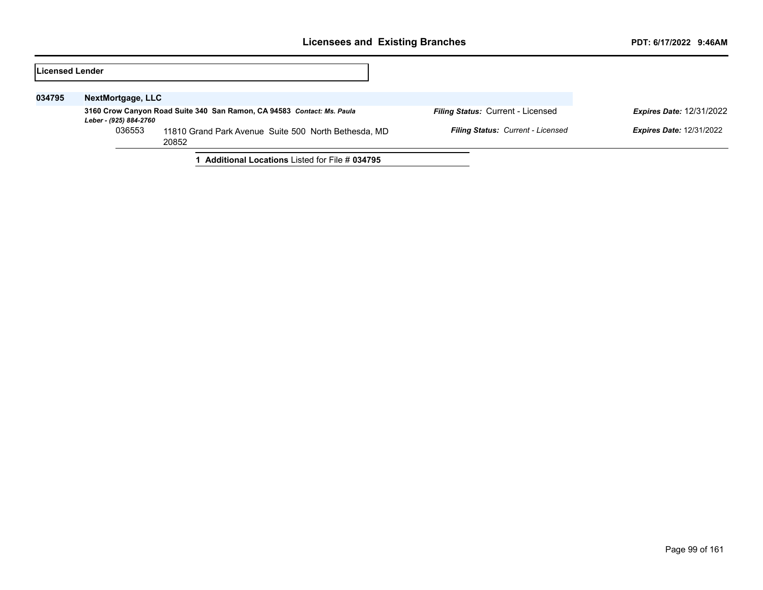| Licensed Lender |                        |                                                                        |                                   |                                 |
|-----------------|------------------------|------------------------------------------------------------------------|-----------------------------------|---------------------------------|
| 034795          | NextMortgage, LLC      |                                                                        |                                   |                                 |
|                 | Leber - (925) 884-2760 | 3160 Crow Canyon Road Suite 340 San Ramon, CA 94583 Contact: Ms. Paula | Filing Status: Current - Licensed | <b>Expires Date: 12/31/2022</b> |
|                 | 036553                 | 11810 Grand Park Avenue Suite 500 North Bethesda, MD<br>20852          | Filing Status: Current - Licensed | <b>Expires Date: 12/31/2022</b> |
|                 |                        | <b>Additional Locations Listed for File # 034795</b>                   |                                   |                                 |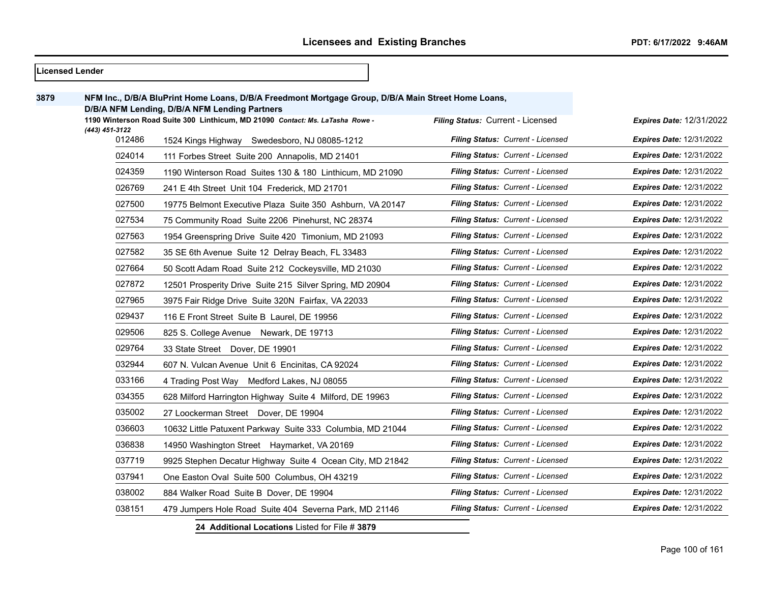|      | <b>Licensed Lender</b> |                                                                                                                                                     |                                   |                                 |
|------|------------------------|-----------------------------------------------------------------------------------------------------------------------------------------------------|-----------------------------------|---------------------------------|
| 3879 |                        | NFM Inc., D/B/A BluPrint Home Loans, D/B/A Freedmont Mortgage Group, D/B/A Main Street Home Loans,<br>D/B/A NFM Lending, D/B/A NFM Lending Partners |                                   |                                 |
|      | (443) 451-3122         | 1190 Winterson Road Suite 300 Linthicum, MD 21090 Contact: Ms. LaTasha Rowe -                                                                       | Filing Status: Current - Licensed | <b>Expires Date: 12/31/2022</b> |
|      | 012486                 | 1524 Kings Highway Swedesboro, NJ 08085-1212                                                                                                        | Filing Status: Current - Licensed | <b>Expires Date: 12/31/2022</b> |
|      | 024014                 | 111 Forbes Street Suite 200 Annapolis, MD 21401                                                                                                     | Filing Status: Current - Licensed | <b>Expires Date: 12/31/2022</b> |
|      | 024359                 | 1190 Winterson Road Suites 130 & 180 Linthicum, MD 21090                                                                                            | Filing Status: Current - Licensed | <b>Expires Date: 12/31/2022</b> |
|      | 026769                 | 241 E 4th Street Unit 104 Frederick, MD 21701                                                                                                       | Filing Status: Current - Licensed | <b>Expires Date: 12/31/2022</b> |
|      | 027500                 | 19775 Belmont Executive Plaza Suite 350 Ashburn, VA 20147                                                                                           | Filing Status: Current - Licensed | <b>Expires Date: 12/31/2022</b> |
|      | 027534                 | 75 Community Road Suite 2206 Pinehurst, NC 28374                                                                                                    | Filing Status: Current - Licensed | <b>Expires Date: 12/31/2022</b> |
|      | 027563                 | 1954 Greenspring Drive Suite 420 Timonium, MD 21093                                                                                                 | Filing Status: Current - Licensed | <b>Expires Date: 12/31/2022</b> |
|      | 027582                 | 35 SE 6th Avenue Suite 12 Delray Beach, FL 33483                                                                                                    | Filing Status: Current - Licensed | <b>Expires Date: 12/31/2022</b> |
|      | 027664                 | 50 Scott Adam Road Suite 212 Cockeysville, MD 21030                                                                                                 | Filing Status: Current - Licensed | <b>Expires Date: 12/31/2022</b> |
|      | 027872                 | 12501 Prosperity Drive Suite 215 Silver Spring, MD 20904                                                                                            | Filing Status: Current - Licensed | <b>Expires Date: 12/31/2022</b> |
|      | 027965                 | 3975 Fair Ridge Drive Suite 320N Fairfax, VA 22033                                                                                                  | Filing Status: Current - Licensed | <b>Expires Date: 12/31/2022</b> |
|      | 029437                 | 116 E Front Street Suite B Laurel, DE 19956                                                                                                         | Filing Status: Current - Licensed | <b>Expires Date: 12/31/2022</b> |
|      | 029506                 | 825 S. College Avenue Newark, DE 19713                                                                                                              | Filing Status: Current - Licensed | <b>Expires Date: 12/31/2022</b> |
|      | 029764                 | 33 State Street Dover, DE 19901                                                                                                                     | Filing Status: Current - Licensed | <b>Expires Date: 12/31/2022</b> |
|      | 032944                 | 607 N. Vulcan Avenue Unit 6 Encinitas, CA 92024                                                                                                     | Filing Status: Current - Licensed | <b>Expires Date: 12/31/2022</b> |
|      | 033166                 | 4 Trading Post Way Medford Lakes, NJ 08055                                                                                                          | Filing Status: Current - Licensed | <b>Expires Date: 12/31/2022</b> |
|      | 034355                 | 628 Milford Harrington Highway Suite 4 Milford, DE 19963                                                                                            | Filing Status: Current - Licensed | <b>Expires Date: 12/31/2022</b> |
|      | 035002                 | 27 Loockerman Street Dover, DE 19904                                                                                                                | Filing Status: Current - Licensed | <b>Expires Date: 12/31/2022</b> |
|      | 036603                 | 10632 Little Patuxent Parkway Suite 333 Columbia, MD 21044                                                                                          | Filing Status: Current - Licensed | <b>Expires Date: 12/31/2022</b> |
|      | 036838                 | 14950 Washington Street Haymarket, VA 20169                                                                                                         | Filing Status: Current - Licensed | <b>Expires Date: 12/31/2022</b> |
|      | 037719                 | 9925 Stephen Decatur Highway Suite 4 Ocean City, MD 21842                                                                                           | Filing Status: Current - Licensed | <b>Expires Date: 12/31/2022</b> |
|      | 037941                 | One Easton Oval Suite 500 Columbus, OH 43219                                                                                                        | Filing Status: Current - Licensed | <b>Expires Date: 12/31/2022</b> |
|      | 038002                 | 884 Walker Road Suite B Dover, DE 19904                                                                                                             | Filing Status: Current - Licensed | <b>Expires Date: 12/31/2022</b> |
|      | 038151                 | 479 Jumpers Hole Road Suite 404 Severna Park, MD 21146                                                                                              | Filing Status: Current - Licensed | <b>Expires Date: 12/31/2022</b> |
|      |                        | 24 Additional Locations Listed for File # 3879                                                                                                      |                                   |                                 |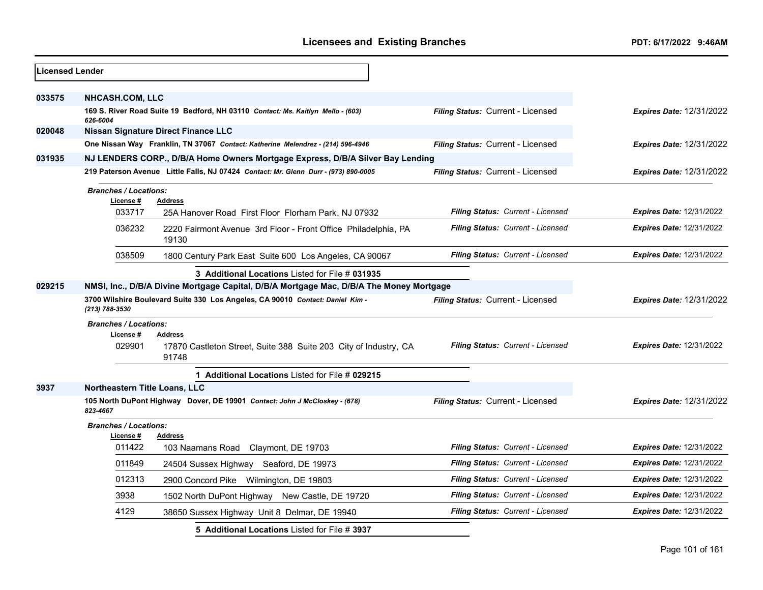| <b>Licensed Lender</b> |                                                                                                 |                                                                                      |                                          |                                 |
|------------------------|-------------------------------------------------------------------------------------------------|--------------------------------------------------------------------------------------|------------------------------------------|---------------------------------|
| 033575                 | <b>NHCASH.COM, LLC</b>                                                                          |                                                                                      |                                          |                                 |
|                        | 626-6004                                                                                        | 169 S. River Road Suite 19 Bedford, NH 03110 Contact: Ms. Kaitlyn Mello - (603)      | Filing Status: Current - Licensed        | <b>Expires Date: 12/31/2022</b> |
| 020048                 |                                                                                                 | <b>Nissan Signature Direct Finance LLC</b>                                           |                                          |                                 |
|                        |                                                                                                 | One Nissan Way Franklin, TN 37067 Contact: Katherine Melendrez - (214) 596-4946      | Filing Status: Current - Licensed        | <b>Expires Date: 12/31/2022</b> |
| 031935                 |                                                                                                 | NJ LENDERS CORP., D/B/A Home Owners Mortgage Express, D/B/A Silver Bay Lending       |                                          |                                 |
|                        |                                                                                                 | 219 Paterson Avenue Little Falls, NJ 07424 Contact: Mr. Glenn Durr - (973) 890-0005  | Filing Status: Current - Licensed        | <b>Expires Date: 12/31/2022</b> |
|                        | <b>Branches / Locations:</b><br>License #                                                       | Address                                                                              |                                          |                                 |
|                        | 033717                                                                                          | 25A Hanover Road First Floor Florham Park, NJ 07932                                  | Filing Status: Current - Licensed        | <b>Expires Date: 12/31/2022</b> |
|                        | 036232                                                                                          | 2220 Fairmont Avenue 3rd Floor - Front Office Philadelphia, PA<br>19130              | Filing Status: Current - Licensed        | <b>Expires Date: 12/31/2022</b> |
|                        | 038509                                                                                          | 1800 Century Park East Suite 600 Los Angeles, CA 90067                               | Filing Status: Current - Licensed        | <b>Expires Date: 12/31/2022</b> |
|                        |                                                                                                 | 3 Additional Locations Listed for File # 031935                                      |                                          |                                 |
| 029215                 | NMSI, Inc., D/B/A Divine Mortgage Capital, D/B/A Mortgage Mac, D/B/A The Money Mortgage         |                                                                                      |                                          |                                 |
|                        | 3700 Wilshire Boulevard Suite 330 Los Angeles, CA 90010 Contact: Daniel Kim -<br>(213) 788-3530 |                                                                                      | <b>Filing Status: Current - Licensed</b> | <b>Expires Date: 12/31/2022</b> |
|                        | <b>Branches / Locations:</b>                                                                    |                                                                                      |                                          |                                 |
|                        | License #<br>029901                                                                             | Address<br>17870 Castleton Street, Suite 388 Suite 203 City of Industry, CA<br>91748 | Filing Status: Current - Licensed        | <b>Expires Date: 12/31/2022</b> |
|                        |                                                                                                 | 1 Additional Locations Listed for File # 029215                                      |                                          |                                 |
| 3937                   | Northeastern Title Loans, LLC                                                                   |                                                                                      |                                          |                                 |
|                        | 823-4667                                                                                        | 105 North DuPont Highway Dover, DE 19901 Contact: John J McCloskey - (678)           | Filing Status: Current - Licensed        | <b>Expires Date: 12/31/2022</b> |
|                        | <b>Branches / Locations:</b>                                                                    |                                                                                      |                                          |                                 |
|                        | License #<br>011422                                                                             | <b>Address</b><br>103 Naamans Road Claymont, DE 19703                                | <b>Filing Status: Current - Licensed</b> | <b>Expires Date: 12/31/2022</b> |
|                        | 011849                                                                                          | 24504 Sussex Highway Seaford, DE 19973                                               | Filing Status: Current - Licensed        | <b>Expires Date: 12/31/2022</b> |
|                        | 012313                                                                                          | 2900 Concord Pike Wilmington, DE 19803                                               | <b>Filing Status: Current - Licensed</b> | <b>Expires Date: 12/31/2022</b> |
|                        | 3938                                                                                            | 1502 North DuPont Highway New Castle, DE 19720                                       | Filing Status: Current - Licensed        | <b>Expires Date: 12/31/2022</b> |
|                        | 4129                                                                                            | 38650 Sussex Highway Unit 8 Delmar, DE 19940                                         | Filing Status: Current - Licensed        | <b>Expires Date: 12/31/2022</b> |
|                        |                                                                                                 | 5 Additional Locations Listed for File # 3937                                        |                                          |                                 |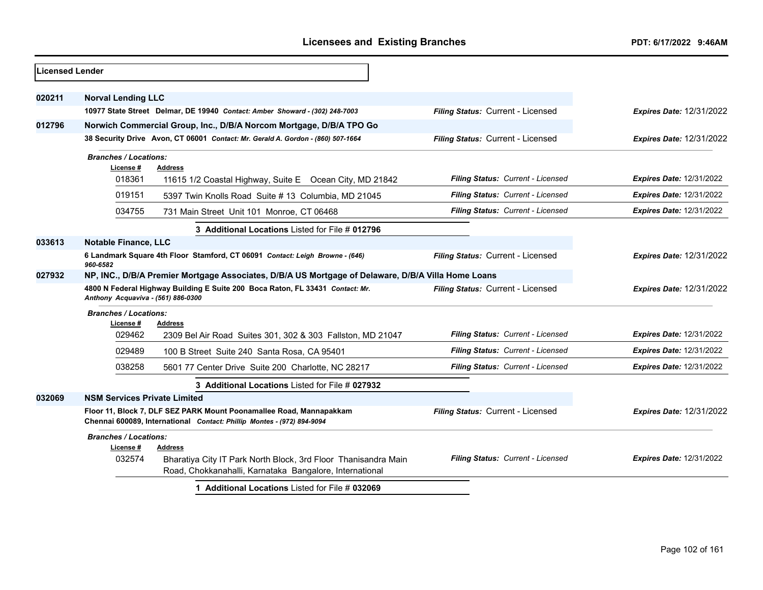| <b>Licensed Lender</b> |                                                                                                                                                                                    |                                                                                                                           |                                   |                                 |  |
|------------------------|------------------------------------------------------------------------------------------------------------------------------------------------------------------------------------|---------------------------------------------------------------------------------------------------------------------------|-----------------------------------|---------------------------------|--|
| 020211                 | <b>Norval Lending LLC</b>                                                                                                                                                          |                                                                                                                           |                                   |                                 |  |
|                        |                                                                                                                                                                                    | 10977 State Street Delmar, DE 19940 Contact: Amber Showard - (302) 248-7003                                               | Filing Status: Current - Licensed | <b>Expires Date: 12/31/2022</b> |  |
| 012796                 |                                                                                                                                                                                    | Norwich Commercial Group, Inc., D/B/A Norcom Mortgage, D/B/A TPO Go                                                       |                                   |                                 |  |
|                        |                                                                                                                                                                                    | 38 Security Drive Avon, CT 06001 Contact: Mr. Gerald A. Gordon - (860) 507-1664                                           | Filing Status: Current - Licensed | <b>Expires Date: 12/31/2022</b> |  |
|                        | <b>Branches / Locations:</b><br>License #                                                                                                                                          | <b>Address</b>                                                                                                            |                                   |                                 |  |
|                        | 018361                                                                                                                                                                             | 11615 1/2 Coastal Highway, Suite E Ocean City, MD 21842                                                                   | Filing Status: Current - Licensed | <b>Expires Date: 12/31/2022</b> |  |
|                        | 019151                                                                                                                                                                             | 5397 Twin Knolls Road Suite #13 Columbia, MD 21045                                                                        | Filing Status: Current - Licensed | <b>Expires Date: 12/31/2022</b> |  |
|                        | 034755                                                                                                                                                                             | 731 Main Street Unit 101 Monroe, CT 06468                                                                                 | Filing Status: Current - Licensed | <b>Expires Date: 12/31/2022</b> |  |
|                        |                                                                                                                                                                                    | 3 Additional Locations Listed for File # 012796                                                                           |                                   |                                 |  |
| 033613                 | <b>Notable Finance, LLC</b>                                                                                                                                                        |                                                                                                                           |                                   |                                 |  |
|                        | 960-6582                                                                                                                                                                           | 6 Landmark Square 4th Floor Stamford, CT 06091 Contact: Leigh Browne - (646)                                              | Filing Status: Current - Licensed | <b>Expires Date: 12/31/2022</b> |  |
| 027932                 | NP, INC., D/B/A Premier Mortgage Associates, D/B/A US Mortgage of Delaware, D/B/A Villa Home Loans                                                                                 |                                                                                                                           |                                   |                                 |  |
|                        | Anthony Acquaviva - (561) 886-0300                                                                                                                                                 | 4800 N Federal Highway Building E Suite 200 Boca Raton, FL 33431 Contact: Mr.                                             | Filing Status: Current - Licensed | <b>Expires Date: 12/31/2022</b> |  |
|                        | <b>Branches / Locations:</b>                                                                                                                                                       |                                                                                                                           |                                   |                                 |  |
|                        | License #                                                                                                                                                                          | <b>Address</b>                                                                                                            | Filing Status: Current - Licensed | <b>Expires Date: 12/31/2022</b> |  |
|                        | 029462                                                                                                                                                                             | 2309 Bel Air Road Suites 301, 302 & 303 Fallston, MD 21047                                                                | Filing Status: Current - Licensed |                                 |  |
|                        | 029489                                                                                                                                                                             | 100 B Street Suite 240 Santa Rosa, CA 95401                                                                               |                                   | <b>Expires Date: 12/31/2022</b> |  |
|                        | 038258                                                                                                                                                                             | 5601 77 Center Drive Suite 200 Charlotte, NC 28217                                                                        | Filing Status: Current - Licensed | <b>Expires Date: 12/31/2022</b> |  |
|                        |                                                                                                                                                                                    | 3 Additional Locations Listed for File # 027932                                                                           |                                   |                                 |  |
| 032069                 | <b>NSM Services Private Limited</b>                                                                                                                                                |                                                                                                                           |                                   |                                 |  |
|                        | Floor 11, Block 7, DLF SEZ PARK Mount Poonamallee Road, Mannapakkam<br>Filing Status: Current - Licensed<br>Chennai 600089, International Contact: Phillip Montes - (972) 894-9094 |                                                                                                                           | <b>Expires Date: 12/31/2022</b>   |                                 |  |
|                        | <b>Branches / Locations:</b><br>License #                                                                                                                                          | <b>Address</b>                                                                                                            |                                   |                                 |  |
|                        | 032574                                                                                                                                                                             | Bharatiya City IT Park North Block, 3rd Floor Thanisandra Main<br>Road, Chokkanahalli, Karnataka Bangalore, International | Filing Status: Current - Licensed | <b>Expires Date: 12/31/2022</b> |  |
|                        |                                                                                                                                                                                    | 1 Additional Locations Listed for File # 032069                                                                           |                                   |                                 |  |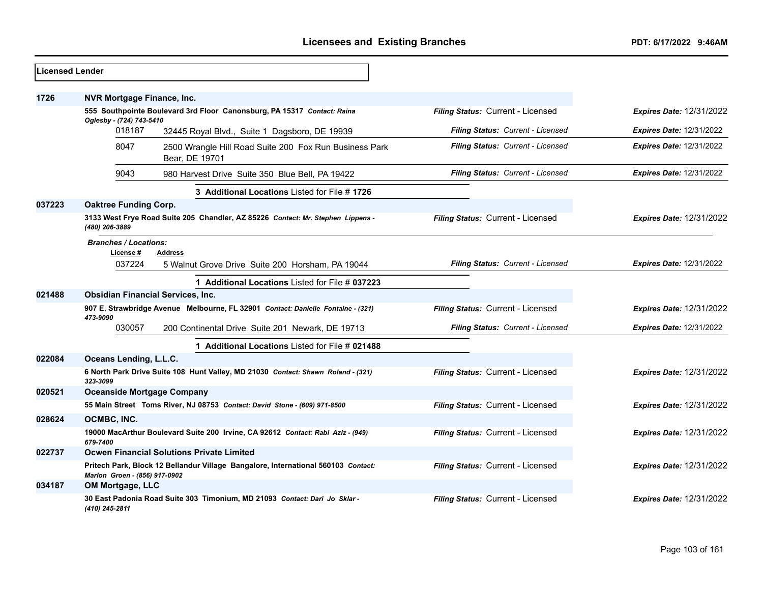| <b>Licensed Lender</b> |                                                                                                                    |                                   |                                 |
|------------------------|--------------------------------------------------------------------------------------------------------------------|-----------------------------------|---------------------------------|
| 1726                   | <b>NVR Mortgage Finance, Inc.</b>                                                                                  |                                   |                                 |
|                        | 555 Southpointe Boulevard 3rd Floor Canonsburg, PA 15317 Contact: Raina<br>Oglesby - (724) 743-5410                | Filing Status: Current - Licensed | <b>Expires Date: 12/31/2022</b> |
|                        | 018187<br>32445 Royal Blvd., Suite 1 Dagsboro, DE 19939                                                            | Filing Status: Current - Licensed | <b>Expires Date: 12/31/2022</b> |
|                        | 8047<br>2500 Wrangle Hill Road Suite 200 Fox Run Business Park<br>Bear, DE 19701                                   | Filing Status: Current - Licensed | Expires Date: 12/31/2022        |
|                        | 9043<br>980 Harvest Drive Suite 350 Blue Bell, PA 19422                                                            | Filing Status: Current - Licensed | <b>Expires Date: 12/31/2022</b> |
|                        | 3 Additional Locations Listed for File #1726                                                                       |                                   |                                 |
| 037223                 | <b>Oaktree Funding Corp.</b>                                                                                       |                                   |                                 |
|                        | 3133 West Frye Road Suite 205 Chandler, AZ 85226 Contact: Mr. Stephen Lippens -<br>(480) 206-3889                  | Filing Status: Current - Licensed | <b>Expires Date: 12/31/2022</b> |
|                        | <b>Branches / Locations:</b>                                                                                       |                                   |                                 |
|                        | License#<br>Address<br>037224<br>5 Walnut Grove Drive Suite 200 Horsham, PA 19044                                  | Filing Status: Current - Licensed | <b>Expires Date: 12/31/2022</b> |
|                        | 1 Additional Locations Listed for File # 037223                                                                    |                                   |                                 |
| 021488                 | <b>Obsidian Financial Services, Inc.</b>                                                                           |                                   |                                 |
|                        | 907 E. Strawbridge Avenue Melbourne, FL 32901 Contact: Danielle Fontaine - (321)<br>473-9090                       | Filing Status: Current - Licensed | <b>Expires Date: 12/31/2022</b> |
|                        | 030057<br>200 Continental Drive Suite 201 Newark, DE 19713                                                         | Filing Status: Current - Licensed | <b>Expires Date: 12/31/2022</b> |
|                        | 1 Additional Locations Listed for File # 021488                                                                    |                                   |                                 |
| 022084                 | Oceans Lending, L.L.C.                                                                                             |                                   |                                 |
|                        | 6 North Park Drive Suite 108 Hunt Valley, MD 21030 Contact: Shawn Roland - (321)<br>323-3099                       | Filing Status: Current - Licensed | <b>Expires Date: 12/31/2022</b> |
| 020521                 | <b>Oceanside Mortgage Company</b>                                                                                  |                                   |                                 |
|                        | 55 Main Street Toms River, NJ 08753 Contact: David Stone - (609) 971-8500                                          | Filing Status: Current - Licensed | <b>Expires Date: 12/31/2022</b> |
| 028624                 | OCMBC, INC.                                                                                                        |                                   |                                 |
|                        | 19000 MacArthur Boulevard Suite 200 Irvine, CA 92612 Contact: Rabi Aziz - (949)<br>679-7400                        | Filing Status: Current - Licensed | <b>Expires Date: 12/31/2022</b> |
| 022737                 | <b>Ocwen Financial Solutions Private Limited</b>                                                                   |                                   |                                 |
|                        | Pritech Park, Block 12 Bellandur Village Bangalore, International 560103 Contact:<br>Marlon Groen - (856) 917-0902 | Filing Status: Current - Licensed | <b>Expires Date: 12/31/2022</b> |
| 034187                 | OM Mortgage, LLC                                                                                                   |                                   |                                 |
|                        | 30 East Padonia Road Suite 303 Timonium, MD 21093 Contact: Dari Jo Sklar -<br>(410) 245-2811                       | Filing Status: Current - Licensed | <b>Expires Date: 12/31/2022</b> |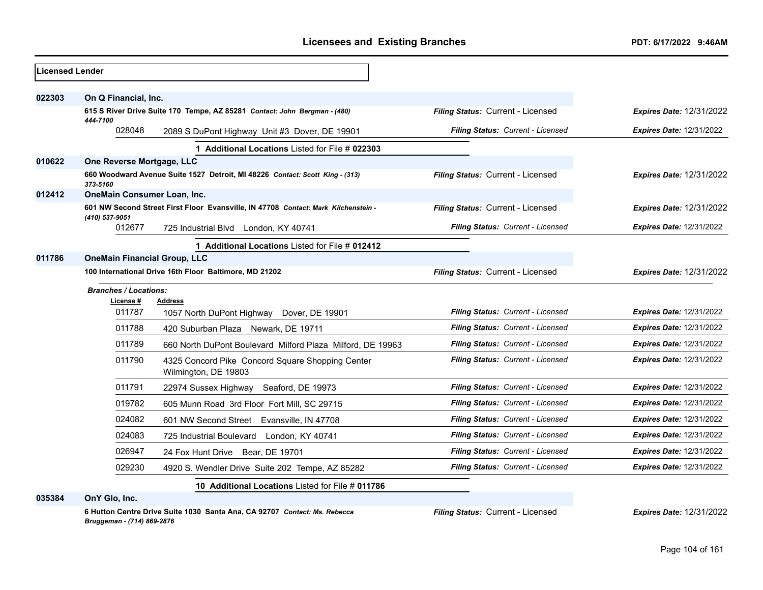| Licensed Lender |                                                        |                                                                                    |                                   |                                 |
|-----------------|--------------------------------------------------------|------------------------------------------------------------------------------------|-----------------------------------|---------------------------------|
| 022303          | On Q Financial, Inc.                                   |                                                                                    |                                   |                                 |
|                 | 444-7100                                               | 615 S River Drive Suite 170 Tempe, AZ 85281 Contact: John Bergman - (480)          | Filing Status: Current - Licensed | <b>Expires Date: 12/31/2022</b> |
|                 | 028048                                                 | 2089 S DuPont Highway Unit #3 Dover, DE 19901                                      | Filing Status: Current - Licensed | <b>Expires Date: 12/31/2022</b> |
|                 |                                                        | 1 Additional Locations Listed for File # 022303                                    |                                   |                                 |
| 010622          | One Reverse Mortgage, LLC                              |                                                                                    |                                   |                                 |
|                 | 373-5160                                               | 660 Woodward Avenue Suite 1527 Detroit, MI 48226 Contact: Scott King - (313)       | Filing Status: Current - Licensed | <b>Expires Date: 12/31/2022</b> |
| 012412          | OneMain Consumer Loan, Inc.                            |                                                                                    |                                   |                                 |
|                 | (410) 537-9051                                         | 601 NW Second Street First Floor Evansville, IN 47708 Contact: Mark Kilchenstein - | Filing Status: Current - Licensed | <b>Expires Date: 12/31/2022</b> |
|                 | 012677                                                 | 725 Industrial Blvd London, KY 40741                                               | Filing Status: Current - Licensed | <b>Expires Date: 12/31/2022</b> |
|                 |                                                        | 1 Additional Locations Listed for File # 012412                                    |                                   |                                 |
| 011786          | <b>OneMain Financial Group, LLC</b>                    |                                                                                    |                                   |                                 |
|                 | 100 International Drive 16th Floor Baltimore, MD 21202 |                                                                                    | Filing Status: Current - Licensed | <b>Expires Date: 12/31/2022</b> |
|                 | <b>Branches / Locations:</b>                           |                                                                                    |                                   |                                 |
|                 | License #<br>011787                                    | <b>Address</b>                                                                     | Filing Status: Current - Licensed | <b>Expires Date: 12/31/2022</b> |
|                 |                                                        | 1057 North DuPont Highway<br>Dover, DE 19901                                       |                                   |                                 |
|                 | 011788                                                 | 420 Suburban Plaza Newark, DE 19711                                                | Filing Status: Current - Licensed | <b>Expires Date: 12/31/2022</b> |
|                 | 011789                                                 | 660 North DuPont Boulevard Milford Plaza Milford, DE 19963                         | Filing Status: Current - Licensed | <b>Expires Date: 12/31/2022</b> |
|                 | 011790                                                 | 4325 Concord Pike Concord Square Shopping Center<br>Wilmington, DE 19803           | Filing Status: Current - Licensed | <b>Expires Date: 12/31/2022</b> |
|                 | 011791                                                 | Seaford, DE 19973<br>22974 Sussex Highway                                          | Filing Status: Current - Licensed | <b>Expires Date: 12/31/2022</b> |
|                 | 019782                                                 | 605 Munn Road 3rd Floor Fort Mill, SC 29715                                        | Filing Status: Current - Licensed | <b>Expires Date: 12/31/2022</b> |
|                 | 024082                                                 | 601 NW Second Street Evansville, IN 47708                                          | Filing Status: Current - Licensed | <b>Expires Date: 12/31/2022</b> |
|                 | 024083                                                 | 725 Industrial Boulevard London, KY 40741                                          | Filing Status: Current - Licensed | <b>Expires Date: 12/31/2022</b> |
|                 | 026947                                                 | 24 Fox Hunt Drive<br>Bear, DE 19701                                                | Filing Status: Current - Licensed | <b>Expires Date: 12/31/2022</b> |
|                 | 029230                                                 | 4920 S. Wendler Drive Suite 202 Tempe, AZ 85282                                    | Filing Status: Current - Licensed | <b>Expires Date: 12/31/2022</b> |
|                 |                                                        | 10 Additional Locations Listed for File # 011786                                   |                                   |                                 |
|                 |                                                        |                                                                                    |                                   |                                 |

**035384 OnY Glo, Inc.**

**6 Hutton Centre Drive Suite 1030 Santa Ana, CA 92707** *Contact: Ms. Rebecca Bruggeman - (714) 869-2876*

*Filing Status:* Current - Licensed *Expires Date:* 12/31/2022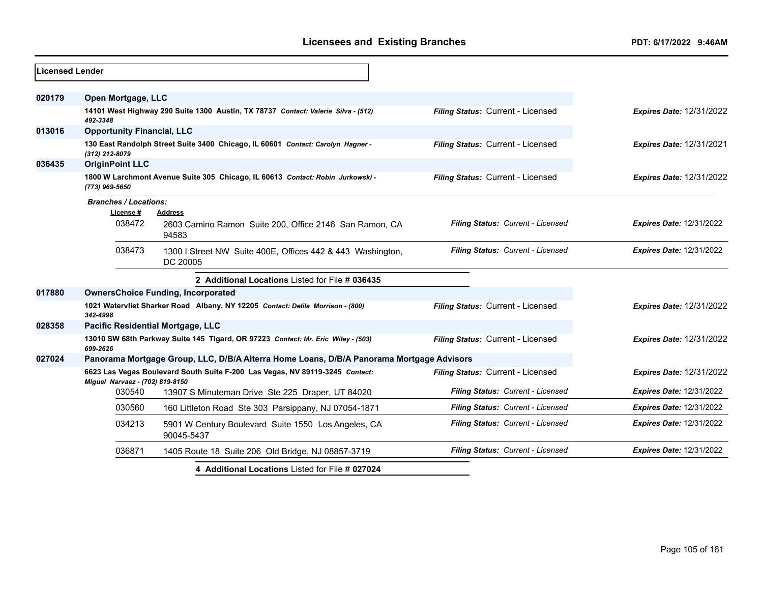| <b>Licensed Lender</b> |                                                                                          |                                                                                   |                                   |                                 |
|------------------------|------------------------------------------------------------------------------------------|-----------------------------------------------------------------------------------|-----------------------------------|---------------------------------|
| 020179                 | Open Mortgage, LLC                                                                       |                                                                                   |                                   |                                 |
|                        | 492-3348                                                                                 | 14101 West Highway 290 Suite 1300 Austin, TX 78737 Contact: Valerie Silva - (512) | Filing Status: Current - Licensed | <b>Expires Date: 12/31/2022</b> |
| 013016                 | <b>Opportunity Financial, LLC</b>                                                        |                                                                                   |                                   |                                 |
|                        | (312) 212-8079                                                                           | 130 East Randolph Street Suite 3400 Chicago, IL 60601 Contact: Carolyn Hagner -   | Filing Status: Current - Licensed | <b>Expires Date: 12/31/2021</b> |
| 036435                 | <b>OriginPoint LLC</b>                                                                   |                                                                                   |                                   |                                 |
|                        | (773) 969-5650                                                                           | 1800 W Larchmont Avenue Suite 305 Chicago, IL 60613 Contact: Robin Jurkowski -    | Filing Status: Current - Licensed | <b>Expires Date: 12/31/2022</b> |
|                        | <b>Branches / Locations:</b><br>License #                                                | <b>Address</b>                                                                    |                                   |                                 |
|                        | 038472                                                                                   | 2603 Camino Ramon Suite 200, Office 2146 San Ramon, CA<br>94583                   | Filing Status: Current - Licensed | <b>Expires Date: 12/31/2022</b> |
|                        | 038473                                                                                   | 1300 I Street NW Suite 400E, Offices 442 & 443 Washington,<br>DC 20005            | Filing Status: Current - Licensed | <b>Expires Date: 12/31/2022</b> |
|                        |                                                                                          | 2 Additional Locations Listed for File # 036435                                   |                                   |                                 |
| 017880                 |                                                                                          | <b>OwnersChoice Funding, Incorporated</b>                                         |                                   |                                 |
|                        | 342-4998                                                                                 | 1021 Watervliet Sharker Road Albany, NY 12205 Contact: Delila Morrison - (800)    | Filing Status: Current - Licensed | <b>Expires Date: 12/31/2022</b> |
| 028358                 | Pacific Residential Mortgage, LLC                                                        |                                                                                   |                                   |                                 |
|                        | 699-2626                                                                                 | 13010 SW 68th Parkway Suite 145 Tigard, OR 97223 Contact: Mr. Eric Wiley - (503)  | Filing Status: Current - Licensed | <b>Expires Date: 12/31/2022</b> |
| 027024                 | Panorama Mortgage Group, LLC, D/B/A Alterra Home Loans, D/B/A Panorama Mortgage Advisors |                                                                                   |                                   |                                 |
|                        | Miguel Narvaez - (702) 819-8150                                                          | 6623 Las Vegas Boulevard South Suite F-200 Las Vegas, NV 89119-3245 Contact:      | Filing Status: Current - Licensed | <b>Expires Date: 12/31/2022</b> |
|                        | 030540                                                                                   | 13907 S Minuteman Drive Ste 225 Draper, UT 84020                                  | Filing Status: Current - Licensed | <b>Expires Date: 12/31/2022</b> |
|                        | 030560                                                                                   | 160 Littleton Road Ste 303 Parsippany, NJ 07054-1871                              | Filing Status: Current - Licensed | <b>Expires Date: 12/31/2022</b> |
|                        | 034213                                                                                   | 5901 W Century Boulevard Suite 1550 Los Angeles, CA<br>90045-5437                 | Filing Status: Current - Licensed | <b>Expires Date: 12/31/2022</b> |
|                        | 036871                                                                                   | 1405 Route 18 Suite 206 Old Bridge, NJ 08857-3719                                 | Filing Status: Current - Licensed | <b>Expires Date: 12/31/2022</b> |
|                        |                                                                                          | 4 Additional Locations Listed for File # 027024                                   |                                   |                                 |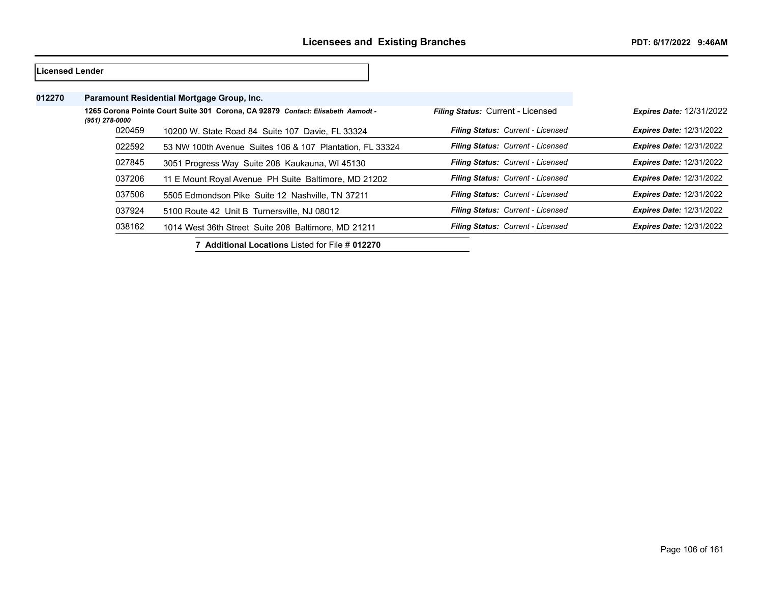| Licensed Lender |                |                                                                                 |                                   |                                 |
|-----------------|----------------|---------------------------------------------------------------------------------|-----------------------------------|---------------------------------|
| 012270          |                | Paramount Residential Mortgage Group, Inc.                                      |                                   |                                 |
|                 | (951) 278-0000 | 1265 Corona Pointe Court Suite 301 Corona, CA 92879 Contact: Elisabeth Aamodt - | Filing Status: Current - Licensed | <b>Expires Date: 12/31/2022</b> |
|                 | 020459         | 10200 W. State Road 84 Suite 107 Davie, FL 33324                                | Filing Status: Current - Licensed | <b>Expires Date: 12/31/2022</b> |
|                 | 022592         | 53 NW 100th Avenue Suites 106 & 107 Plantation, FL 33324                        | Filing Status: Current - Licensed | <b>Expires Date: 12/31/2022</b> |
|                 | 027845         | 3051 Progress Way Suite 208 Kaukauna, WI 45130                                  | Filing Status: Current - Licensed | <b>Expires Date: 12/31/2022</b> |
|                 | 037206         | 11 E Mount Royal Avenue PH Suite Baltimore, MD 21202                            | Filing Status: Current - Licensed | <b>Expires Date: 12/31/2022</b> |
|                 | 037506         | 5505 Edmondson Pike Suite 12 Nashville, TN 37211                                | Filing Status: Current - Licensed | <b>Expires Date: 12/31/2022</b> |
|                 | 037924         | 5100 Route 42 Unit B Turnersville, NJ 08012                                     | Filing Status: Current - Licensed | <b>Expires Date: 12/31/2022</b> |
|                 | 038162         | 1014 West 36th Street Suite 208 Baltimore, MD 21211                             | Filing Status: Current - Licensed | <b>Expires Date: 12/31/2022</b> |
|                 |                |                                                                                 |                                   |                                 |

**7 Additional Locations** Listed for File # **012270**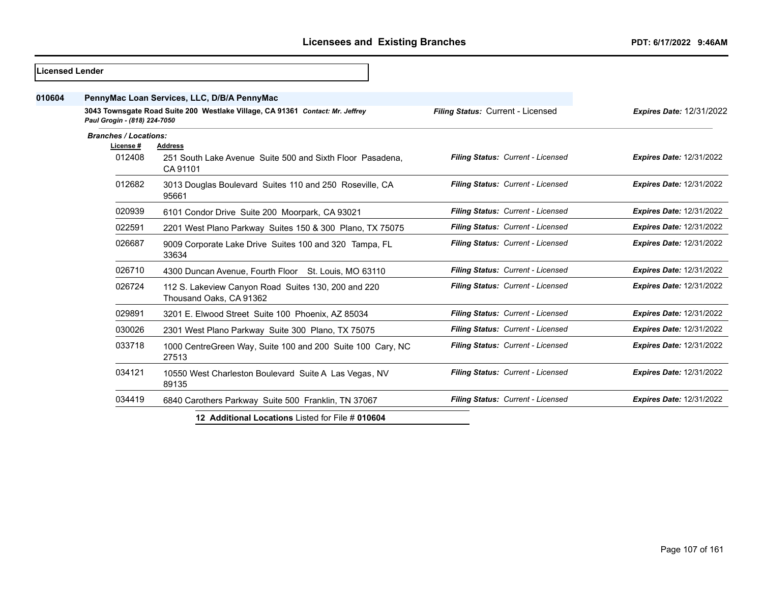| Licensed Lender |                                             |                                                                                         |                                   |                                 |
|-----------------|---------------------------------------------|-----------------------------------------------------------------------------------------|-----------------------------------|---------------------------------|
| 010604          | PennyMac Loan Services, LLC, D/B/A PennyMac |                                                                                         |                                   |                                 |
|                 | Paul Grogin - (818) 224-7050                | 3043 Townsgate Road Suite 200 Westlake Village, CA 91361 Contact: Mr. Jeffrey           | Filing Status: Current - Licensed | <b>Expires Date: 12/31/2022</b> |
|                 | <b>Branches / Locations:</b>                |                                                                                         |                                   |                                 |
|                 | License #<br>012408                         | <b>Address</b><br>251 South Lake Avenue Suite 500 and Sixth Floor Pasadena.<br>CA 91101 | Filing Status: Current - Licensed | <b>Expires Date: 12/31/2022</b> |
|                 | 012682                                      | 3013 Douglas Boulevard Suites 110 and 250 Roseville, CA<br>95661                        | Filing Status: Current - Licensed | <b>Expires Date: 12/31/2022</b> |
|                 | 020939                                      | 6101 Condor Drive Suite 200 Moorpark, CA 93021                                          | Filing Status: Current - Licensed | <b>Expires Date: 12/31/2022</b> |
|                 | 022591                                      | 2201 West Plano Parkway Suites 150 & 300 Plano, TX 75075                                | Filing Status: Current - Licensed | <b>Expires Date: 12/31/2022</b> |
|                 | 026687                                      | 9009 Corporate Lake Drive Suites 100 and 320 Tampa, FL<br>33634                         | Filing Status: Current - Licensed | <b>Expires Date: 12/31/2022</b> |
|                 | 026710                                      | 4300 Duncan Avenue, Fourth Floor St. Louis, MO 63110                                    | Filing Status: Current - Licensed | <b>Expires Date: 12/31/2022</b> |
|                 | 026724                                      | 112 S. Lakeview Canyon Road Suites 130, 200 and 220<br>Thousand Oaks, CA 91362          | Filing Status: Current - Licensed | <b>Expires Date: 12/31/2022</b> |
|                 | 029891                                      | 3201 E. Elwood Street Suite 100 Phoenix, AZ 85034                                       | Filing Status: Current - Licensed | <b>Expires Date: 12/31/2022</b> |
|                 | 030026                                      | 2301 West Plano Parkway Suite 300 Plano, TX 75075                                       | Filing Status: Current - Licensed | <b>Expires Date: 12/31/2022</b> |
|                 | 033718                                      | 1000 CentreGreen Way, Suite 100 and 200 Suite 100 Cary, NC<br>27513                     | Filing Status: Current - Licensed | <b>Expires Date: 12/31/2022</b> |
|                 | 034121                                      | 10550 West Charleston Boulevard Suite A Las Vegas, NV<br>89135                          | Filing Status: Current - Licensed | <b>Expires Date: 12/31/2022</b> |
|                 | 034419                                      | 6840 Carothers Parkway Suite 500 Franklin, TN 37067                                     | Filing Status: Current - Licensed | <b>Expires Date: 12/31/2022</b> |
|                 |                                             | 12 Additional Locations Listed for File # 010604                                        |                                   |                                 |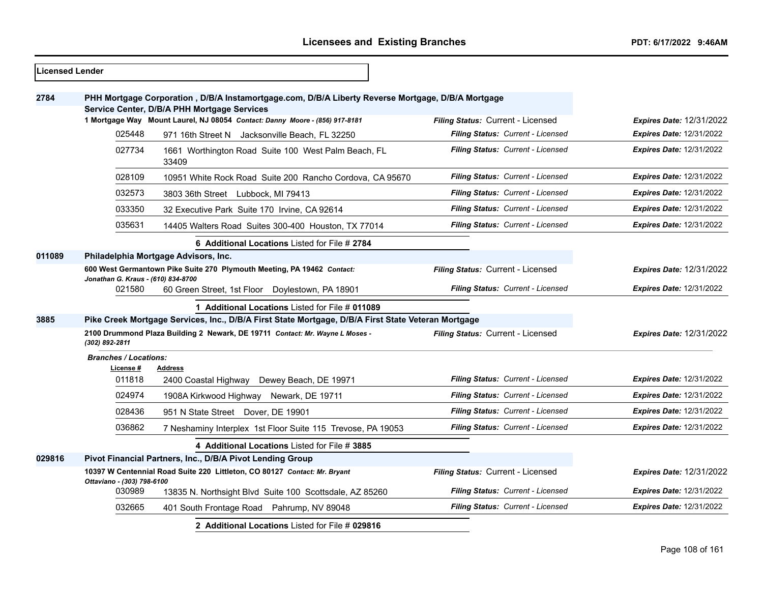| Licensed Lender |                                                                                                                                                  |                                                                                                    |                                   |                                 |
|-----------------|--------------------------------------------------------------------------------------------------------------------------------------------------|----------------------------------------------------------------------------------------------------|-----------------------------------|---------------------------------|
| 2784            | PHH Mortgage Corporation, D/B/A Instamortgage.com, D/B/A Liberty Reverse Mortgage, D/B/A Mortgage<br>Service Center, D/B/A PHH Mortgage Services |                                                                                                    |                                   |                                 |
|                 |                                                                                                                                                  | 1 Mortgage Way Mount Laurel, NJ 08054 Contact: Danny Moore - (856) 917-8181                        | Filing Status: Current - Licensed | <b>Expires Date: 12/31/2022</b> |
|                 | 025448                                                                                                                                           | 971 16th Street N Jacksonville Beach, FL 32250                                                     | Filing Status: Current - Licensed | Expires Date: 12/31/2022        |
|                 | 027734                                                                                                                                           | 1661 Worthington Road Suite 100 West Palm Beach, FL<br>33409                                       | Filing Status: Current - Licensed | <b>Expires Date: 12/31/2022</b> |
|                 | 028109                                                                                                                                           | 10951 White Rock Road Suite 200 Rancho Cordova, CA 95670                                           | Filing Status: Current - Licensed | <b>Expires Date: 12/31/2022</b> |
|                 | 032573                                                                                                                                           | 3803 36th Street Lubbock, MI 79413                                                                 | Filing Status: Current - Licensed | <b>Expires Date: 12/31/2022</b> |
|                 | 033350                                                                                                                                           | 32 Executive Park Suite 170 Irvine, CA 92614                                                       | Filing Status: Current - Licensed | Expires Date: 12/31/2022        |
|                 | 035631                                                                                                                                           | 14405 Walters Road Suites 300-400 Houston, TX 77014                                                | Filing Status: Current - Licensed | <b>Expires Date: 12/31/2022</b> |
|                 |                                                                                                                                                  | 6 Additional Locations Listed for File # 2784                                                      |                                   |                                 |
| 011089          | Philadelphia Mortgage Advisors, Inc.                                                                                                             |                                                                                                    |                                   |                                 |
|                 | 600 West Germantown Pike Suite 270 Plymouth Meeting, PA 19462 Contact:<br>Jonathan G. Kraus - (610) 834-8700                                     |                                                                                                    | Filing Status: Current - Licensed | <b>Expires Date: 12/31/2022</b> |
|                 | 021580                                                                                                                                           | 60 Green Street, 1st Floor Doylestown, PA 18901                                                    | Filing Status: Current - Licensed | <b>Expires Date: 12/31/2022</b> |
|                 |                                                                                                                                                  | 1 Additional Locations Listed for File # 011089                                                    |                                   |                                 |
| 3885            |                                                                                                                                                  | Pike Creek Mortgage Services, Inc., D/B/A First State Mortgage, D/B/A First State Veteran Mortgage |                                   |                                 |
|                 | (302) 892-2811                                                                                                                                   | 2100 Drummond Plaza Building 2 Newark, DE 19711 Contact: Mr. Wayne L Moses -                       | Filing Status: Current - Licensed | <b>Expires Date: 12/31/2022</b> |
|                 | <b>Branches / Locations:</b><br>License #                                                                                                        | <b>Address</b>                                                                                     |                                   |                                 |
|                 | 011818                                                                                                                                           | 2400 Coastal Highway Dewey Beach, DE 19971                                                         | Filing Status: Current - Licensed | <b>Expires Date: 12/31/2022</b> |
|                 | 024974                                                                                                                                           | 1908A Kirkwood Highway Newark, DE 19711                                                            | Filing Status: Current - Licensed | <b>Expires Date: 12/31/2022</b> |
|                 | 028436                                                                                                                                           | 951 N State Street Dover, DE 19901                                                                 | Filing Status: Current - Licensed | <b>Expires Date: 12/31/2022</b> |
|                 | 036862                                                                                                                                           | 7 Neshaminy Interplex 1st Floor Suite 115 Trevose, PA 19053                                        | Filing Status: Current - Licensed | Expires Date: 12/31/2022        |
|                 |                                                                                                                                                  | 4 Additional Locations Listed for File # 3885                                                      |                                   |                                 |
| 029816          |                                                                                                                                                  | Pivot Financial Partners, Inc., D/B/A Pivot Lending Group                                          |                                   |                                 |
|                 | Ottaviano - (303) 798-6100                                                                                                                       | 10397 W Centennial Road Suite 220 Littleton, CO 80127 Contact: Mr. Bryant                          | Filing Status: Current - Licensed | Expires Date: 12/31/2022        |
|                 | 030989                                                                                                                                           | 13835 N. Northsight Blvd Suite 100 Scottsdale, AZ 85260                                            | Filing Status: Current - Licensed | <b>Expires Date: 12/31/2022</b> |
|                 | 032665                                                                                                                                           | 401 South Frontage Road Pahrump, NV 89048                                                          | Filing Status: Current - Licensed | <b>Expires Date: 12/31/2022</b> |
|                 |                                                                                                                                                  | 2 Additional Locations Listed for File # 029816                                                    |                                   |                                 |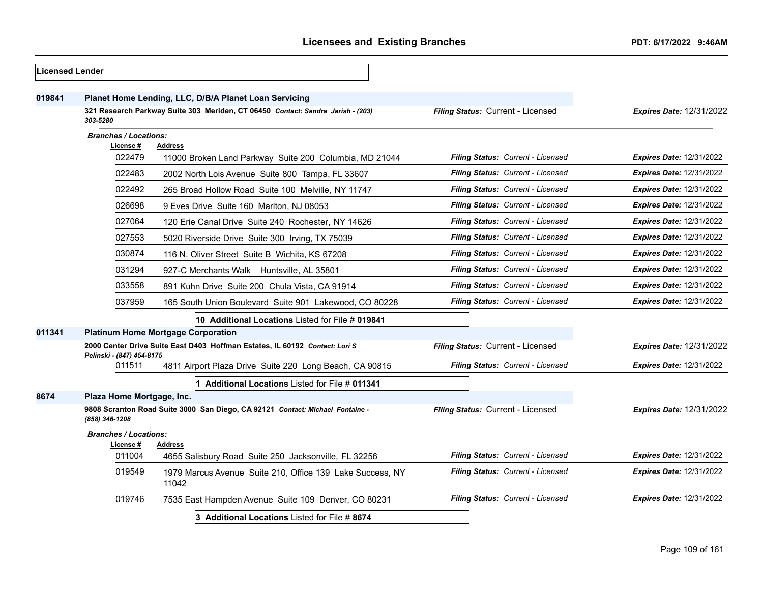| <b>Licensed Lender</b> |                                           |                                                                                                                                          |                                   |                                 |
|------------------------|-------------------------------------------|------------------------------------------------------------------------------------------------------------------------------------------|-----------------------------------|---------------------------------|
| 019841                 |                                           | Planet Home Lending, LLC, D/B/A Planet Loan Servicing<br>321 Research Parkway Suite 303 Meriden, CT 06450 Contact: Sandra Jarish - (203) | Filing Status: Current - Licensed | <b>Expires Date: 12/31/2022</b> |
|                        | 303-5280                                  |                                                                                                                                          |                                   |                                 |
|                        | <b>Branches / Locations:</b><br>License # | Address                                                                                                                                  |                                   |                                 |
|                        | 022479                                    | 11000 Broken Land Parkway Suite 200 Columbia, MD 21044                                                                                   | Filing Status: Current - Licensed | <b>Expires Date: 12/31/2022</b> |
|                        | 022483                                    | 2002 North Lois Avenue Suite 800 Tampa, FL 33607                                                                                         | Filing Status: Current - Licensed | <b>Expires Date: 12/31/2022</b> |
|                        | 022492                                    | 265 Broad Hollow Road Suite 100 Melville, NY 11747                                                                                       | Filing Status: Current - Licensed | <b>Expires Date: 12/31/2022</b> |
|                        | 026698                                    | 9 Eves Drive Suite 160 Marlton, NJ 08053                                                                                                 | Filing Status: Current - Licensed | <b>Expires Date: 12/31/2022</b> |
|                        | 027064                                    | 120 Erie Canal Drive Suite 240 Rochester, NY 14626                                                                                       | Filing Status: Current - Licensed | <b>Expires Date: 12/31/2022</b> |
|                        | 027553                                    | 5020 Riverside Drive Suite 300 Irving, TX 75039                                                                                          | Filing Status: Current - Licensed | <b>Expires Date: 12/31/2022</b> |
|                        | 030874                                    | 116 N. Oliver Street Suite B Wichita, KS 67208                                                                                           | Filing Status: Current - Licensed | <b>Expires Date: 12/31/2022</b> |
|                        | 031294                                    | 927-C Merchants Walk Huntsville, AL 35801                                                                                                | Filing Status: Current - Licensed | <b>Expires Date: 12/31/2022</b> |
|                        | 033558                                    | 891 Kuhn Drive Suite 200 Chula Vista, CA 91914                                                                                           | Filing Status: Current - Licensed | <b>Expires Date: 12/31/2022</b> |
|                        | 037959                                    | 165 South Union Boulevard Suite 901 Lakewood, CO 80228                                                                                   | Filing Status: Current - Licensed | <b>Expires Date: 12/31/2022</b> |
|                        |                                           | 10 Additional Locations Listed for File # 019841                                                                                         |                                   |                                 |
| 011341                 |                                           | <b>Platinum Home Mortgage Corporation</b>                                                                                                |                                   |                                 |
|                        | Pelinski - (847) 454-8175                 | 2000 Center Drive Suite East D403 Hoffman Estates, IL 60192 Contact: Lori S                                                              | Filing Status: Current - Licensed | Expires Date: 12/31/2022        |
|                        | 011511                                    | 4811 Airport Plaza Drive Suite 220 Long Beach, CA 90815                                                                                  | Filing Status: Current - Licensed | Expires Date: 12/31/2022        |
|                        |                                           | 1 Additional Locations Listed for File # 011341                                                                                          |                                   |                                 |
| 8674                   | Plaza Home Mortgage, Inc.                 |                                                                                                                                          |                                   |                                 |
|                        | (858) 346-1208                            | 9808 Scranton Road Suite 3000 San Diego, CA 92121 Contact: Michael Fontaine -                                                            | Filing Status: Current - Licensed | <b>Expires Date: 12/31/2022</b> |
|                        | <b>Branches / Locations:</b><br>License # | Address                                                                                                                                  |                                   |                                 |
|                        | 011004                                    | 4655 Salisbury Road Suite 250 Jacksonville, FL 32256                                                                                     | Filing Status: Current - Licensed | <b>Expires Date: 12/31/2022</b> |
|                        | 019549                                    | 1979 Marcus Avenue Suite 210, Office 139 Lake Success, NY<br>11042                                                                       | Filing Status: Current - Licensed | <b>Expires Date: 12/31/2022</b> |
|                        | 019746                                    | 7535 East Hampden Avenue Suite 109 Denver, CO 80231                                                                                      | Filing Status: Current - Licensed | <b>Expires Date: 12/31/2022</b> |
|                        |                                           | 3 Additional Locations Listed for File # 8674                                                                                            |                                   |                                 |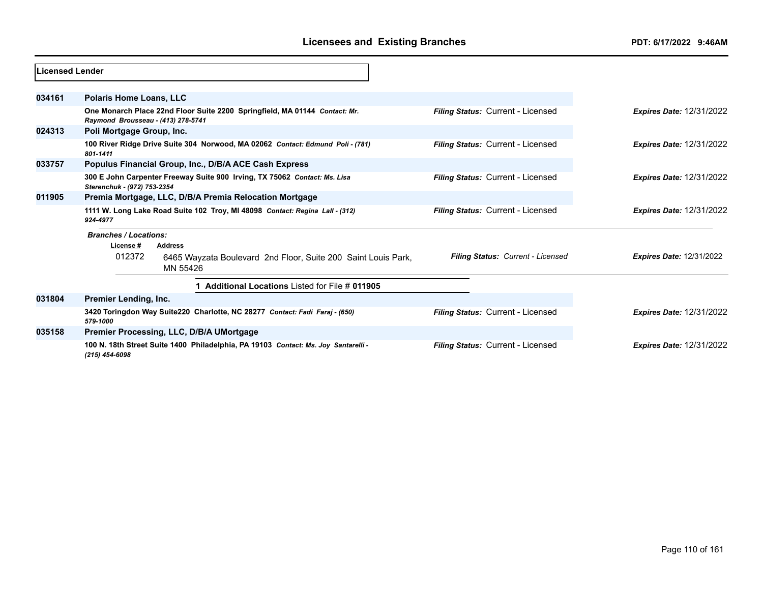| Licensed Lender |                                                                                                                  |                                   |                                 |
|-----------------|------------------------------------------------------------------------------------------------------------------|-----------------------------------|---------------------------------|
| 034161          | <b>Polaris Home Loans, LLC</b>                                                                                   |                                   |                                 |
|                 | One Monarch Place 22nd Floor Suite 2200 Springfield, MA 01144 Contact: Mr.<br>Raymond Brousseau - (413) 278-5741 | Filing Status: Current - Licensed | <b>Expires Date: 12/31/2022</b> |
| 024313          | Poli Mortgage Group, Inc.                                                                                        |                                   |                                 |
|                 | 100 River Ridge Drive Suite 304 Norwood, MA 02062 Contact: Edmund Poli - (781)<br>801-1411                       | Filing Status: Current - Licensed | <b>Expires Date: 12/31/2022</b> |
| 033757          | Populus Financial Group, Inc., D/B/A ACE Cash Express                                                            |                                   |                                 |
|                 | 300 E John Carpenter Freeway Suite 900 Irving, TX 75062 Contact: Ms. Lisa<br>Sterenchuk - (972) 753-2354         | Filing Status: Current - Licensed | <b>Expires Date: 12/31/2022</b> |
| 011905          | Premia Mortgage, LLC, D/B/A Premia Relocation Mortgage                                                           |                                   |                                 |
|                 | 1111 W. Long Lake Road Suite 102 Troy, MI 48098 Contact: Regina Lall - (312)<br>924-4977                         | Filing Status: Current - Licensed | <b>Expires Date: 12/31/2022</b> |
|                 | <b>Branches / Locations:</b>                                                                                     |                                   |                                 |
|                 | License #<br><b>Address</b>                                                                                      |                                   |                                 |
|                 | 012372<br>6465 Wayzata Boulevard 2nd Floor, Suite 200 Saint Louis Park,<br>MN 55426                              | Filing Status: Current - Licensed | <b>Expires Date: 12/31/2022</b> |
|                 | Additional Locations Listed for File # 011905                                                                    |                                   |                                 |
| 031804          | Premier Lending, Inc.                                                                                            |                                   |                                 |
|                 | 3420 Toringdon Way Suite220 Charlotte, NC 28277 Contact: Fadi Faraj - (650)<br>579-1000                          | Filing Status: Current - Licensed | <b>Expires Date: 12/31/2022</b> |
| 035158          | Premier Processing, LLC, D/B/A UMortgage                                                                         |                                   |                                 |
|                 | 100 N. 18th Street Suite 1400 Philadelphia, PA 19103 Contact: Ms. Joy Santarelli -<br>$(215)$ 454-6098           | Filing Status: Current - Licensed | <b>Expires Date: 12/31/2022</b> |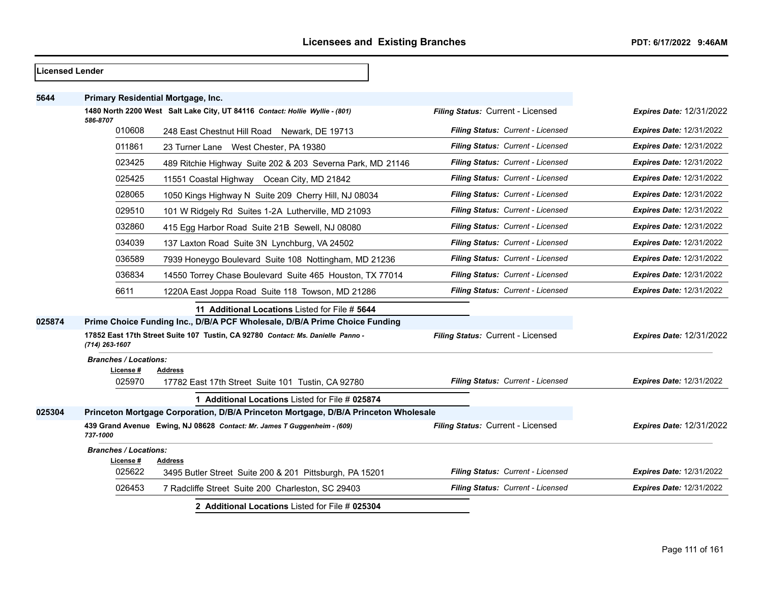| <b>Licensed Lender</b> |                                                     |                                                                                                                                        |                                   |                                 |
|------------------------|-----------------------------------------------------|----------------------------------------------------------------------------------------------------------------------------------------|-----------------------------------|---------------------------------|
| 5644                   |                                                     | Primary Residential Mortgage, Inc.                                                                                                     |                                   |                                 |
|                        | 586-8707                                            | 1480 North 2200 West Salt Lake City, UT 84116 Contact: Hollie Wyllie - (801)                                                           | Filing Status: Current - Licensed | <b>Expires Date: 12/31/2022</b> |
|                        | 010608                                              | 248 East Chestnut Hill Road Newark, DE 19713                                                                                           | Filing Status: Current - Licensed | <b>Expires Date: 12/31/2022</b> |
|                        | 011861                                              | 23 Turner Lane West Chester, PA 19380                                                                                                  | Filing Status: Current - Licensed | <b>Expires Date: 12/31/2022</b> |
|                        | 023425                                              | 489 Ritchie Highway Suite 202 & 203 Severna Park, MD 21146                                                                             | Filing Status: Current - Licensed | <b>Expires Date: 12/31/2022</b> |
|                        | 025425                                              | 11551 Coastal Highway Ocean City, MD 21842                                                                                             | Filing Status: Current - Licensed | <b>Expires Date: 12/31/2022</b> |
|                        | 028065                                              | 1050 Kings Highway N Suite 209 Cherry Hill, NJ 08034                                                                                   | Filing Status: Current - Licensed | <b>Expires Date: 12/31/2022</b> |
|                        | 029510                                              | 101 W Ridgely Rd Suites 1-2A Lutherville, MD 21093                                                                                     | Filing Status: Current - Licensed | <b>Expires Date: 12/31/2022</b> |
|                        | 032860                                              | 415 Egg Harbor Road Suite 21B Sewell, NJ 08080                                                                                         | Filing Status: Current - Licensed | <b>Expires Date: 12/31/2022</b> |
|                        | 034039                                              | 137 Laxton Road Suite 3N Lynchburg, VA 24502                                                                                           | Filing Status: Current - Licensed | <b>Expires Date: 12/31/2022</b> |
|                        | 036589                                              | 7939 Honeygo Boulevard Suite 108 Nottingham, MD 21236                                                                                  | Filing Status: Current - Licensed | <b>Expires Date: 12/31/2022</b> |
|                        | 036834                                              | 14550 Torrey Chase Boulevard Suite 465 Houston, TX 77014                                                                               | Filing Status: Current - Licensed | <b>Expires Date: 12/31/2022</b> |
|                        | 6611                                                | 1220A East Joppa Road Suite 118 Towson, MD 21286                                                                                       | Filing Status: Current - Licensed | <b>Expires Date: 12/31/2022</b> |
|                        |                                                     | 11 Additional Locations Listed for File # 5644                                                                                         |                                   |                                 |
| 025874                 |                                                     | Prime Choice Funding Inc., D/B/A PCF Wholesale, D/B/A Prime Choice Funding                                                             |                                   |                                 |
|                        | (714) 263-1607                                      | 17852 East 17th Street Suite 107 Tustin, CA 92780 Contact: Ms. Danielle Panno -                                                        | Filing Status: Current - Licensed | <b>Expires Date: 12/31/2022</b> |
|                        | <b>Branches / Locations:</b><br>License #<br>025970 | <b>Address</b>                                                                                                                         | Filing Status: Current - Licensed | <b>Expires Date: 12/31/2022</b> |
|                        |                                                     | 17782 East 17th Street Suite 101 Tustin, CA 92780                                                                                      |                                   |                                 |
| 025304                 |                                                     | 1 Additional Locations Listed for File # 025874<br>Princeton Mortgage Corporation, D/B/A Princeton Mortgage, D/B/A Princeton Wholesale |                                   |                                 |
|                        | 737-1000                                            | 439 Grand Avenue Ewing, NJ 08628 Contact: Mr. James T Guggenheim - (609)                                                               | Filing Status: Current - Licensed | <b>Expires Date: 12/31/2022</b> |
|                        | <b>Branches / Locations:</b>                        |                                                                                                                                        |                                   |                                 |
|                        | License #<br>025622                                 | Address<br>3495 Butler Street Suite 200 & 201 Pittsburgh, PA 15201                                                                     | Filing Status: Current - Licensed | <b>Expires Date: 12/31/2022</b> |
|                        | 026453                                              | 7 Radcliffe Street Suite 200 Charleston, SC 29403                                                                                      | Filing Status: Current - Licensed | <b>Expires Date: 12/31/2022</b> |
|                        |                                                     | 2 Additional Locations Listed for File # 025304                                                                                        |                                   |                                 |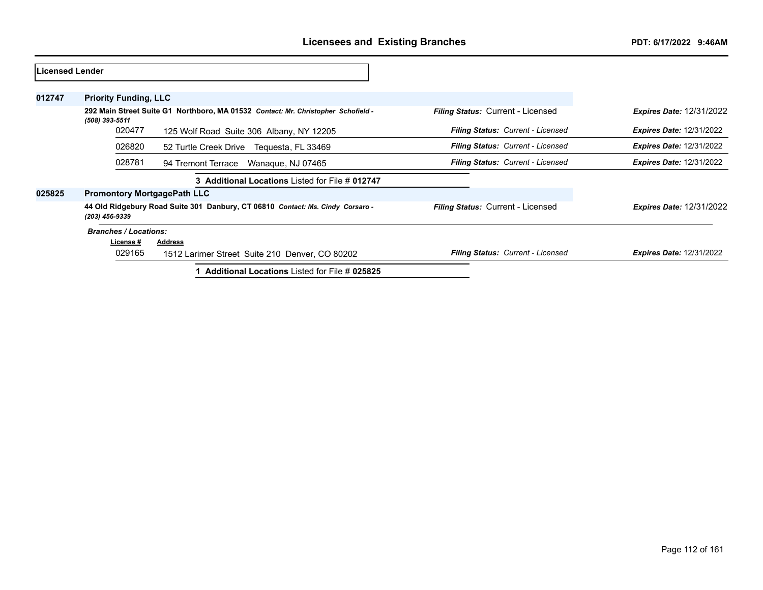| lLicensed Lender |                                    |                                                                                   |                                          |                                 |
|------------------|------------------------------------|-----------------------------------------------------------------------------------|------------------------------------------|---------------------------------|
| 012747           | <b>Priority Funding, LLC</b>       |                                                                                   |                                          |                                 |
|                  | (508) 393-5511                     | 292 Main Street Suite G1 Northboro, MA 01532 Contact: Mr. Christopher Schofield - | <b>Filing Status: Current - Licensed</b> | <b>Expires Date: 12/31/2022</b> |
|                  | 020477                             | 125 Wolf Road Suite 306 Albany, NY 12205                                          | Filing Status: Current - Licensed        | <b>Expires Date: 12/31/2022</b> |
|                  | 026820                             | 52 Turtle Creek Drive Tequesta, FL 33469                                          | <b>Filing Status: Current - Licensed</b> | <b>Expires Date: 12/31/2022</b> |
|                  | 028781                             | 94 Tremont Terrace<br>Wanaque, NJ 07465                                           | Filing Status: Current - Licensed        | <b>Expires Date: 12/31/2022</b> |
|                  |                                    | 3 Additional Locations Listed for File # 012747                                   |                                          |                                 |
| 025825           | <b>Promontory MortgagePath LLC</b> |                                                                                   |                                          |                                 |
|                  | (203) 456-9339                     | 44 Old Ridgebury Road Suite 301 Danbury, CT 06810 Contact: Ms. Cindy Corsaro -    | <b>Filing Status: Current - Licensed</b> | <b>Expires Date: 12/31/2022</b> |
|                  | <b>Branches / Locations:</b>       |                                                                                   |                                          |                                 |
|                  | License #                          | <b>Address</b>                                                                    |                                          |                                 |
|                  | 029165                             | 1512 Larimer Street Suite 210 Denver, CO 80202                                    | <b>Filing Status: Current - Licensed</b> | <b>Expires Date: 12/31/2022</b> |
|                  |                                    | <b>Additional Locations Listed for File # 025825</b>                              |                                          |                                 |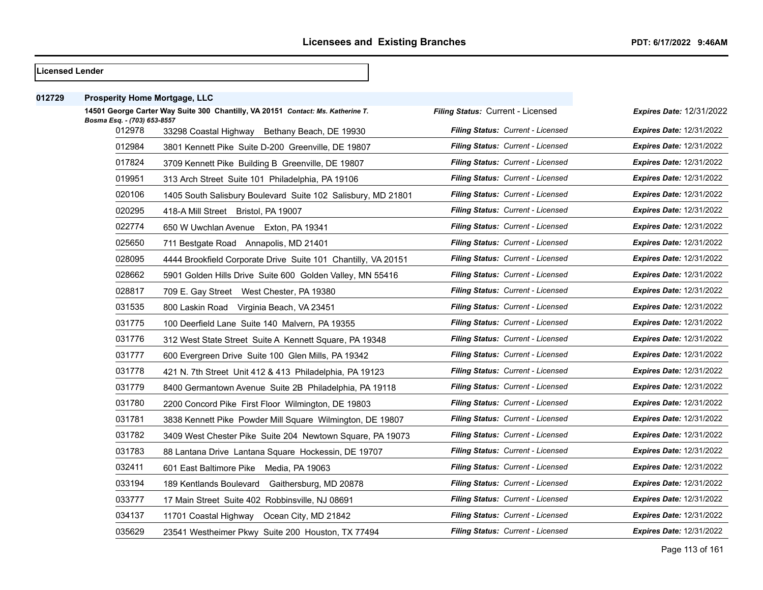| Licensed Lender |                                       |                                                                                 |                                   |                                 |
|-----------------|---------------------------------------|---------------------------------------------------------------------------------|-----------------------------------|---------------------------------|
| 012729          | <b>Prosperity Home Mortgage, LLC</b>  |                                                                                 |                                   |                                 |
|                 |                                       | 14501 George Carter Way Suite 300 Chantilly, VA 20151 Contact: Ms. Katherine T. | Filing Status: Current - Licensed | Expires Date: 12/31/2022        |
|                 | Bosma Esq. - (703) 653-8557<br>012978 | 33298 Coastal Highway Bethany Beach, DE 19930                                   | Filing Status: Current - Licensed | <b>Expires Date: 12/31/2022</b> |
|                 | 012984                                | 3801 Kennett Pike Suite D-200 Greenville, DE 19807                              | Filing Status: Current - Licensed | <b>Expires Date: 12/31/2022</b> |
|                 | 017824                                | 3709 Kennett Pike Building B Greenville, DE 19807                               | Filing Status: Current - Licensed | <b>Expires Date: 12/31/2022</b> |
|                 | 019951                                | 313 Arch Street Suite 101 Philadelphia, PA 19106                                | Filing Status: Current - Licensed | <b>Expires Date: 12/31/2022</b> |
|                 | 020106                                | 1405 South Salisbury Boulevard Suite 102 Salisbury, MD 21801                    | Filing Status: Current - Licensed | <b>Expires Date: 12/31/2022</b> |
|                 | 020295                                | 418-A Mill Street Bristol, PA 19007                                             | Filing Status: Current - Licensed | <b>Expires Date: 12/31/2022</b> |
|                 | 022774                                | 650 W Uwchlan Avenue Exton, PA 19341                                            | Filing Status: Current - Licensed | <b>Expires Date: 12/31/2022</b> |
|                 | 025650                                | 711 Bestgate Road Annapolis, MD 21401                                           | Filing Status: Current - Licensed | <b>Expires Date: 12/31/2022</b> |
|                 | 028095                                | 4444 Brookfield Corporate Drive Suite 101 Chantilly, VA 20151                   | Filing Status: Current - Licensed | <b>Expires Date: 12/31/2022</b> |
|                 | 028662                                | 5901 Golden Hills Drive Suite 600 Golden Valley, MN 55416                       | Filing Status: Current - Licensed | <b>Expires Date: 12/31/2022</b> |
|                 | 028817                                | 709 E. Gay Street West Chester, PA 19380                                        | Filing Status: Current - Licensed | <b>Expires Date: 12/31/2022</b> |
|                 | 031535                                | 800 Laskin Road Virginia Beach, VA 23451                                        | Filing Status: Current - Licensed | <b>Expires Date: 12/31/2022</b> |
|                 | 031775                                | 100 Deerfield Lane Suite 140 Malvern, PA 19355                                  | Filing Status: Current - Licensed | <b>Expires Date: 12/31/2022</b> |
|                 | 031776                                | 312 West State Street Suite A Kennett Square, PA 19348                          | Filing Status: Current - Licensed | <b>Expires Date: 12/31/2022</b> |
|                 | 031777                                | 600 Evergreen Drive Suite 100 Glen Mills, PA 19342                              | Filing Status: Current - Licensed | <b>Expires Date: 12/31/2022</b> |
|                 | 031778                                | 421 N. 7th Street Unit 412 & 413 Philadelphia, PA 19123                         | Filing Status: Current - Licensed | <b>Expires Date: 12/31/2022</b> |
|                 | 031779                                | 8400 Germantown Avenue Suite 2B Philadelphia, PA 19118                          | Filing Status: Current - Licensed | <b>Expires Date: 12/31/2022</b> |
|                 | 031780                                | 2200 Concord Pike First Floor Wilmington, DE 19803                              | Filing Status: Current - Licensed | <b>Expires Date: 12/31/2022</b> |
|                 | 031781                                | 3838 Kennett Pike Powder Mill Square Wilmington, DE 19807                       | Filing Status: Current - Licensed | <b>Expires Date: 12/31/2022</b> |
|                 | 031782                                | 3409 West Chester Pike Suite 204 Newtown Square, PA 19073                       | Filing Status: Current - Licensed | <b>Expires Date: 12/31/2022</b> |
|                 | 031783                                | 88 Lantana Drive Lantana Square Hockessin, DE 19707                             | Filing Status: Current - Licensed | <b>Expires Date: 12/31/2022</b> |
|                 | 032411                                | 601 East Baltimore Pike Media, PA 19063                                         | Filing Status: Current - Licensed | <b>Expires Date: 12/31/2022</b> |
|                 | 033194                                | 189 Kentlands Boulevard Gaithersburg, MD 20878                                  | Filing Status: Current - Licensed | <b>Expires Date: 12/31/2022</b> |
|                 | 033777                                | 17 Main Street Suite 402 Robbinsville, NJ 08691                                 | Filing Status: Current - Licensed | <b>Expires Date: 12/31/2022</b> |
|                 | 034137                                | 11701 Coastal Highway Ocean City, MD 21842                                      | Filing Status: Current - Licensed | <b>Expires Date: 12/31/2022</b> |
|                 | 035629                                | 23541 Westheimer Pkwy Suite 200 Houston, TX 77494                               | Filing Status: Current - Licensed | <b>Expires Date: 12/31/2022</b> |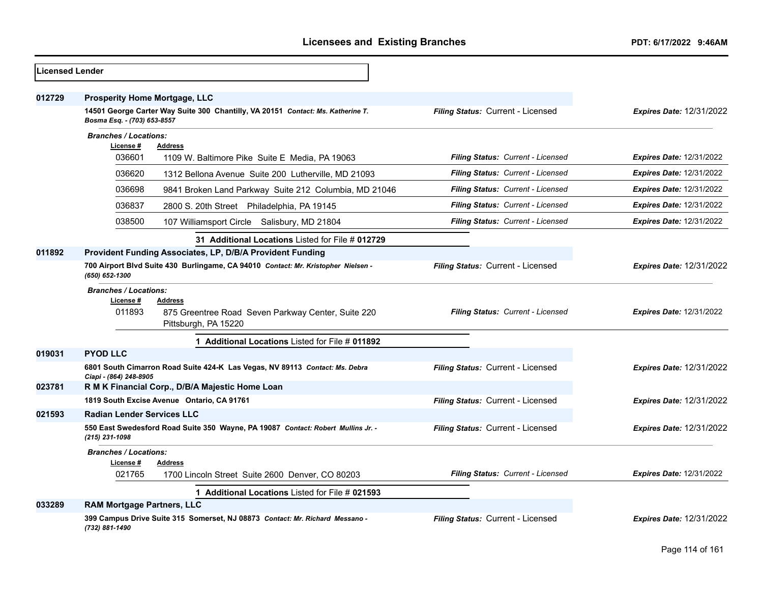| <b>Licensed Lender</b> |                                                                                                                                                        |                                   |                                 |
|------------------------|--------------------------------------------------------------------------------------------------------------------------------------------------------|-----------------------------------|---------------------------------|
| 012729                 | <b>Prosperity Home Mortgage, LLC</b><br>14501 George Carter Way Suite 300 Chantilly, VA 20151 Contact: Ms. Katherine T.<br>Bosma Esq. - (703) 653-8557 | Filing Status: Current - Licensed | <b>Expires Date: 12/31/2022</b> |
|                        | <b>Branches / Locations:</b>                                                                                                                           |                                   |                                 |
|                        | License #<br>Address                                                                                                                                   |                                   |                                 |
|                        | 036601<br>1109 W. Baltimore Pike Suite E Media, PA 19063                                                                                               | Filing Status: Current - Licensed | <b>Expires Date: 12/31/2022</b> |
|                        | 036620<br>1312 Bellona Avenue Suite 200 Lutherville, MD 21093                                                                                          | Filing Status: Current - Licensed | <b>Expires Date: 12/31/2022</b> |
|                        | 036698<br>9841 Broken Land Parkway Suite 212 Columbia, MD 21046                                                                                        | Filing Status: Current - Licensed | <b>Expires Date: 12/31/2022</b> |
|                        | 036837<br>2800 S. 20th Street Philadelphia, PA 19145                                                                                                   | Filing Status: Current - Licensed | <b>Expires Date: 12/31/2022</b> |
|                        | 038500<br>107 Williamsport Circle Salisbury, MD 21804                                                                                                  | Filing Status: Current - Licensed | <b>Expires Date: 12/31/2022</b> |
|                        | 31 Additional Locations Listed for File # 012729                                                                                                       |                                   |                                 |
| 011892                 | Provident Funding Associates, LP, D/B/A Provident Funding                                                                                              |                                   |                                 |
|                        | 700 Airport Blvd Suite 430 Burlingame, CA 94010 Contact: Mr. Kristopher Nielsen -<br>(650) 652-1300                                                    | Filing Status: Current - Licensed | <b>Expires Date: 12/31/2022</b> |
|                        | <b>Branches / Locations:</b><br>License #<br>Address<br>011893<br>875 Greentree Road Seven Parkway Center, Suite 220<br>Pittsburgh, PA 15220           | Filing Status: Current - Licensed | <b>Expires Date: 12/31/2022</b> |
|                        | 1 Additional Locations Listed for File # 011892                                                                                                        |                                   |                                 |
| 019031                 | <b>PYOD LLC</b>                                                                                                                                        |                                   |                                 |
|                        | 6801 South Cimarron Road Suite 424-K Las Vegas, NV 89113 Contact: Ms. Debra                                                                            | Filing Status: Current - Licensed | <b>Expires Date: 12/31/2022</b> |
| 023781                 | Ciapi - (864) 248-8905<br>R M K Financial Corp., D/B/A Majestic Home Loan                                                                              |                                   |                                 |
|                        | 1819 South Excise Avenue Ontario, CA 91761                                                                                                             | Filing Status: Current - Licensed | <b>Expires Date: 12/31/2022</b> |
| 021593                 | <b>Radian Lender Services LLC</b>                                                                                                                      |                                   |                                 |
|                        | 550 East Swedesford Road Suite 350 Wayne, PA 19087 Contact: Robert Mullins Jr. -<br>(215) 231-1098                                                     | Filing Status: Current - Licensed | <b>Expires Date: 12/31/2022</b> |
|                        | <b>Branches / Locations:</b>                                                                                                                           |                                   |                                 |
|                        | License #<br><b>Address</b><br>021765<br>1700 Lincoln Street Suite 2600 Denver, CO 80203                                                               | Filing Status: Current - Licensed | <b>Expires Date: 12/31/2022</b> |
|                        | 1 Additional Locations Listed for File # 021593                                                                                                        |                                   |                                 |
| 033289                 | <b>RAM Mortgage Partners, LLC</b>                                                                                                                      |                                   |                                 |
|                        | 399 Campus Drive Suite 315 Somerset, NJ 08873 Contact: Mr. Richard Messano -<br>(732) 881-1490                                                         | Filing Status: Current - Licensed | <b>Expires Date: 12/31/2022</b> |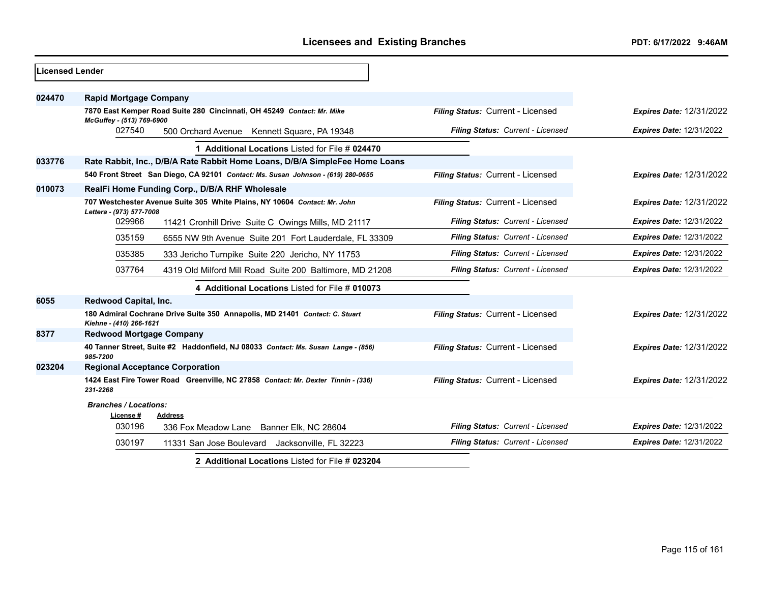| Licensed Lender |                                                                                                        |                                   |                                 |
|-----------------|--------------------------------------------------------------------------------------------------------|-----------------------------------|---------------------------------|
| 024470          | <b>Rapid Mortgage Company</b>                                                                          |                                   |                                 |
|                 | 7870 East Kemper Road Suite 280 Cincinnati, OH 45249 Contact: Mr. Mike<br>McGuffey - (513) 769-6900    | Filing Status: Current - Licensed | <b>Expires Date: 12/31/2022</b> |
|                 | 027540<br>500 Orchard Avenue Kennett Square, PA 19348                                                  | Filing Status: Current - Licensed | <b>Expires Date: 12/31/2022</b> |
|                 | 1 Additional Locations Listed for File # 024470                                                        |                                   |                                 |
| 033776          | Rate Rabbit, Inc., D/B/A Rate Rabbit Home Loans, D/B/A SimpleFee Home Loans                            |                                   |                                 |
|                 | 540 Front Street San Diego, CA 92101 Contact: Ms. Susan Johnson - (619) 280-0655                       | Filing Status: Current - Licensed | <b>Expires Date: 12/31/2022</b> |
| 010073          | RealFi Home Funding Corp., D/B/A RHF Wholesale                                                         |                                   |                                 |
|                 | 707 Westchester Avenue Suite 305 White Plains, NY 10604 Contact: Mr. John<br>Lettera - (973) 577-7008  | Filing Status: Current - Licensed | <b>Expires Date: 12/31/2022</b> |
|                 | 029966<br>11421 Cronhill Drive Suite C Owings Mills, MD 21117                                          | Filing Status: Current - Licensed | <b>Expires Date: 12/31/2022</b> |
|                 | 035159<br>6555 NW 9th Avenue Suite 201 Fort Lauderdale, FL 33309                                       | Filing Status: Current - Licensed | <b>Expires Date: 12/31/2022</b> |
|                 | 035385<br>333 Jericho Turnpike Suite 220 Jericho, NY 11753                                             | Filing Status: Current - Licensed | <b>Expires Date: 12/31/2022</b> |
|                 | 037764<br>4319 Old Milford Mill Road Suite 200 Baltimore, MD 21208                                     | Filing Status: Current - Licensed | <b>Expires Date: 12/31/2022</b> |
|                 | 4 Additional Locations Listed for File # 010073                                                        |                                   |                                 |
| 6055            | Redwood Capital, Inc.                                                                                  |                                   |                                 |
|                 | 180 Admiral Cochrane Drive Suite 350 Annapolis, MD 21401 Contact: C. Stuart<br>Kiehne - (410) 266-1621 | Filing Status: Current - Licensed | <b>Expires Date: 12/31/2022</b> |
| 8377            | <b>Redwood Mortgage Company</b>                                                                        |                                   |                                 |
|                 | 40 Tanner Street, Suite #2 Haddonfield, NJ 08033 Contact: Ms. Susan Lange - (856)<br>985-7200          | Filing Status: Current - Licensed | <b>Expires Date: 12/31/2022</b> |
| 023204          | <b>Regional Acceptance Corporation</b>                                                                 |                                   |                                 |
|                 | 1424 East Fire Tower Road Greenville, NC 27858 Contact: Mr. Dexter Tinnin - (336)<br>231-2268          | Filing Status: Current - Licensed | <b>Expires Date: 12/31/2022</b> |
|                 | <b>Branches / Locations:</b><br>License#<br><b>Address</b>                                             |                                   |                                 |
|                 | 030196<br>336 Fox Meadow Lane Banner Elk, NC 28604                                                     | Filing Status: Current - Licensed | <b>Expires Date: 12/31/2022</b> |
|                 | 030197<br>11331 San Jose Boulevard Jacksonville, FL 32223                                              | Filing Status: Current - Licensed | <b>Expires Date: 12/31/2022</b> |
|                 | 2 Additional Locations Listed for File # 023204                                                        |                                   |                                 |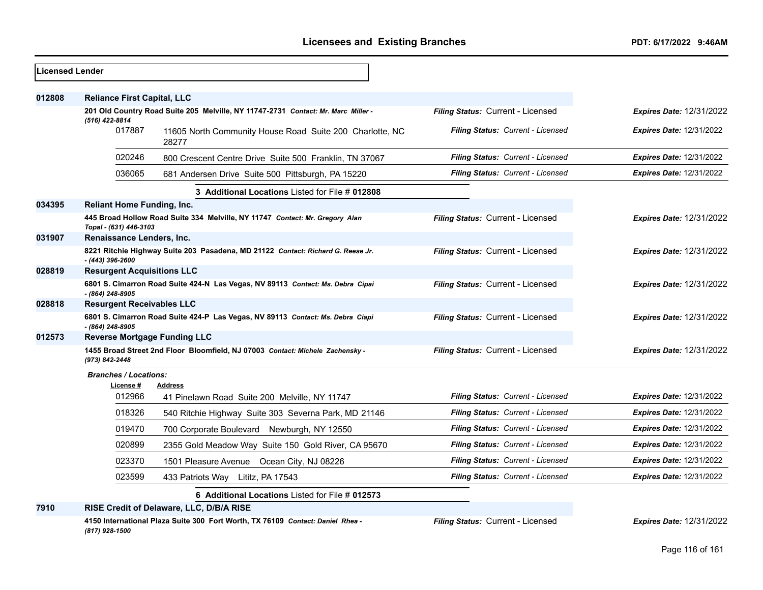| <b>Licensed Lender</b> |                                     |                                                                                   |                                          |                                 |
|------------------------|-------------------------------------|-----------------------------------------------------------------------------------|------------------------------------------|---------------------------------|
| 012808                 | <b>Reliance First Capital, LLC</b>  |                                                                                   |                                          |                                 |
|                        |                                     | 201 Old Country Road Suite 205 Melville, NY 11747-2731 Contact: Mr. Marc Miller - | Filing Status: Current - Licensed        | <b>Expires Date: 12/31/2022</b> |
|                        | (516) 422-8814<br>017887            | 11605 North Community House Road Suite 200 Charlotte, NC<br>28277                 | <b>Filing Status: Current - Licensed</b> | <b>Expires Date: 12/31/2022</b> |
|                        | 020246                              | 800 Crescent Centre Drive Suite 500 Franklin, TN 37067                            | Filing Status: Current - Licensed        | <b>Expires Date: 12/31/2022</b> |
|                        | 036065                              | 681 Andersen Drive Suite 500 Pittsburgh, PA 15220                                 | Filing Status: Current - Licensed        | <b>Expires Date: 12/31/2022</b> |
|                        |                                     | 3 Additional Locations Listed for File # 012808                                   |                                          |                                 |
| 034395                 | <b>Reliant Home Funding, Inc.</b>   |                                                                                   |                                          |                                 |
|                        | Topal - (631) 446-3103              | 445 Broad Hollow Road Suite 334 Melville, NY 11747 Contact: Mr. Gregory Alan      | Filing Status: Current - Licensed        | <b>Expires Date: 12/31/2022</b> |
| 031907                 | Renaissance Lenders, Inc.           |                                                                                   |                                          |                                 |
|                        | $- (443) 396 - 2600$                | 8221 Ritchie Highway Suite 203 Pasadena, MD 21122 Contact: Richard G. Reese Jr.   | Filing Status: Current - Licensed        | Expires Date: 12/31/2022        |
| 028819                 | <b>Resurgent Acquisitions LLC</b>   |                                                                                   |                                          |                                 |
|                        | - (864) 248-8905                    | 6801 S. Cimarron Road Suite 424-N Las Vegas, NV 89113 Contact: Ms. Debra Cipai    | Filing Status: Current - Licensed        | <b>Expires Date: 12/31/2022</b> |
| 028818                 | <b>Resurgent Receivables LLC</b>    |                                                                                   |                                          |                                 |
|                        | - (864) 248-8905                    | 6801 S. Cimarron Road Suite 424-P Las Vegas, NV 89113 Contact: Ms. Debra Ciapi    | Filing Status: Current - Licensed        | <b>Expires Date: 12/31/2022</b> |
| 012573                 | <b>Reverse Mortgage Funding LLC</b> |                                                                                   |                                          |                                 |
|                        | (973) 842-2448                      | 1455 Broad Street 2nd Floor Bloomfield, NJ 07003 Contact: Michele Zachensky -     | Filing Status: Current - Licensed        | <b>Expires Date: 12/31/2022</b> |
|                        | <b>Branches / Locations:</b>        |                                                                                   |                                          |                                 |
|                        | License #<br>012966                 | <b>Address</b><br>41 Pinelawn Road Suite 200 Melville, NY 11747                   | Filing Status: Current - Licensed        | <b>Expires Date: 12/31/2022</b> |
|                        | 018326                              | 540 Ritchie Highway Suite 303 Severna Park, MD 21146                              | <b>Filing Status: Current - Licensed</b> | <b>Expires Date: 12/31/2022</b> |
|                        | 019470                              | 700 Corporate Boulevard Newburgh, NY 12550                                        | <b>Filing Status: Current - Licensed</b> | <b>Expires Date: 12/31/2022</b> |
|                        | 020899                              | 2355 Gold Meadow Way Suite 150 Gold River, CA 95670                               | <b>Filing Status: Current - Licensed</b> | <b>Expires Date: 12/31/2022</b> |
|                        | 023370                              | 1501 Pleasure Avenue Ocean City, NJ 08226                                         | <b>Filing Status: Current - Licensed</b> | <b>Expires Date: 12/31/2022</b> |
|                        | 023599                              | 433 Patriots Way Lititz, PA 17543                                                 | <b>Filing Status: Current - Licensed</b> | <b>Expires Date: 12/31/2022</b> |
|                        |                                     | 6 Additional Locations Listed for File # 012573                                   |                                          |                                 |
| 7910                   |                                     | RISE Credit of Delaware, LLC, D/B/A RISE                                          |                                          |                                 |
|                        |                                     | $\sim$ and Diagon Oritization Fauthlands. TV 70400, $\sim$ 11110 $\sim$ 1110      |                                          |                                 |

**4150 International Plaza Suite 300 Fort Worth, TX 76109** *Contact: Daniel Rhea - (817) 928-1500*

*Filing Status:* Current - Licensed *Expires Date:* 12/31/2022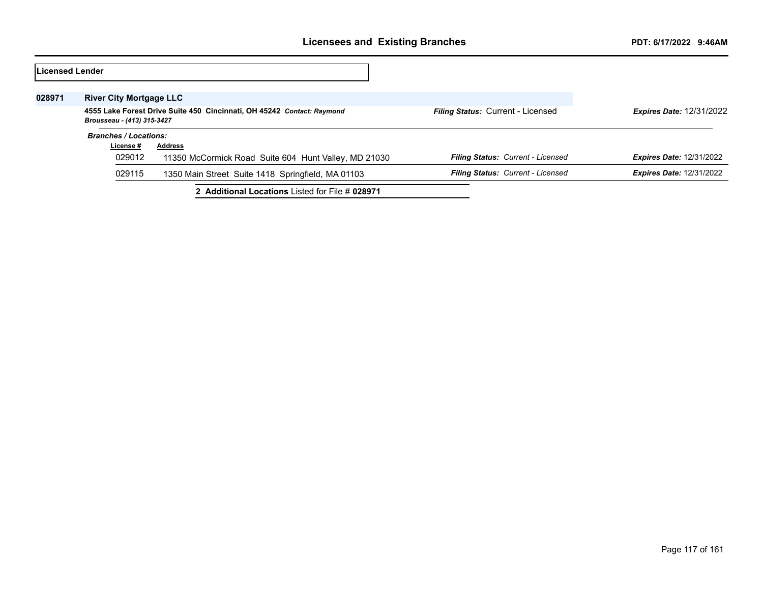| Licensed Lender |                                |                                                                        |                                          |                                 |
|-----------------|--------------------------------|------------------------------------------------------------------------|------------------------------------------|---------------------------------|
| 028971          | <b>River City Mortgage LLC</b> |                                                                        |                                          |                                 |
|                 | Brousseau - (413) 315-3427     | 4555 Lake Forest Drive Suite 450 Cincinnati, OH 45242 Contact: Raymond | Filing Status: Current - Licensed        | <b>Expires Date: 12/31/2022</b> |
|                 | <b>Branches / Locations:</b>   |                                                                        |                                          |                                 |
|                 | License #                      | <b>Address</b>                                                         |                                          |                                 |
|                 | 029012                         | 11350 McCormick Road Suite 604 Hunt Valley, MD 21030                   | <b>Filing Status: Current - Licensed</b> | <b>Expires Date: 12/31/2022</b> |
|                 | 029115                         | 1350 Main Street Suite 1418 Springfield, MA 01103                      | Filing Status: Current - Licensed        | <b>Expires Date: 12/31/2022</b> |
|                 |                                | 2 Additional Locations Listed for File # 028971                        |                                          |                                 |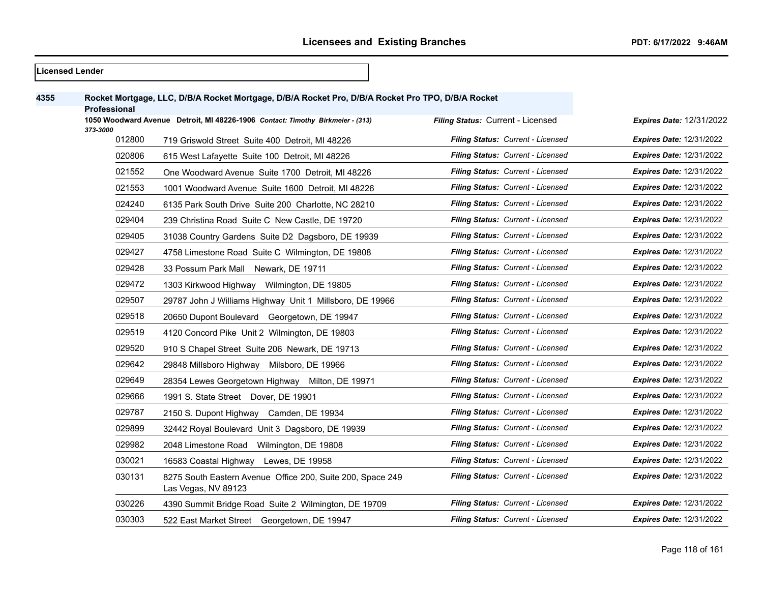|      | <b>Licensed Lender</b> |                                                                                                   |                                   |                                 |
|------|------------------------|---------------------------------------------------------------------------------------------------|-----------------------------------|---------------------------------|
| 4355 | <b>Professional</b>    | Rocket Mortgage, LLC, D/B/A Rocket Mortgage, D/B/A Rocket Pro, D/B/A Rocket Pro TPO, D/B/A Rocket |                                   |                                 |
|      |                        | 1050 Woodward Avenue Detroit, MI 48226-1906 Contact: Timothy Birkmeier - (313)                    | Filing Status: Current - Licensed | Expires Date: 12/31/2022        |
|      | 373-3000<br>012800     | 719 Griswold Street Suite 400 Detroit, MI 48226                                                   | Filing Status: Current - Licensed | <b>Expires Date: 12/31/2022</b> |
|      | 020806                 | 615 West Lafayette Suite 100 Detroit, MI 48226                                                    | Filing Status: Current - Licensed | <b>Expires Date: 12/31/2022</b> |
|      | 021552                 | One Woodward Avenue Suite 1700 Detroit, MI 48226                                                  | Filing Status: Current - Licensed | <b>Expires Date: 12/31/2022</b> |
|      | 021553                 | 1001 Woodward Avenue Suite 1600 Detroit, MI 48226                                                 | Filing Status: Current - Licensed | <b>Expires Date: 12/31/2022</b> |
|      | 024240                 | 6135 Park South Drive Suite 200 Charlotte, NC 28210                                               | Filing Status: Current - Licensed | <b>Expires Date: 12/31/2022</b> |
|      | 029404                 | 239 Christina Road Suite C New Castle, DE 19720                                                   | Filing Status: Current - Licensed | <b>Expires Date: 12/31/2022</b> |
|      | 029405                 | 31038 Country Gardens Suite D2 Dagsboro, DE 19939                                                 | Filing Status: Current - Licensed | <b>Expires Date: 12/31/2022</b> |
|      | 029427                 | 4758 Limestone Road Suite C Wilmington, DE 19808                                                  | Filing Status: Current - Licensed | <b>Expires Date: 12/31/2022</b> |
|      | 029428                 | 33 Possum Park Mall Newark, DE 19711                                                              | Filing Status: Current - Licensed | <b>Expires Date: 12/31/2022</b> |
|      | 029472                 | 1303 Kirkwood Highway Wilmington, DE 19805                                                        | Filing Status: Current - Licensed | <b>Expires Date: 12/31/2022</b> |
|      | 029507                 | 29787 John J Williams Highway Unit 1 Millsboro, DE 19966                                          | Filing Status: Current - Licensed | <b>Expires Date: 12/31/2022</b> |
|      | 029518                 | 20650 Dupont Boulevard Georgetown, DE 19947                                                       | Filing Status: Current - Licensed | <b>Expires Date: 12/31/2022</b> |
|      | 029519                 | 4120 Concord Pike Unit 2 Wilmington, DE 19803                                                     | Filing Status: Current - Licensed | <b>Expires Date: 12/31/2022</b> |
|      | 029520                 | 910 S Chapel Street Suite 206 Newark, DE 19713                                                    | Filing Status: Current - Licensed | <b>Expires Date: 12/31/2022</b> |
|      | 029642                 | 29848 Millsboro Highway Milsboro, DE 19966                                                        | Filing Status: Current - Licensed | <b>Expires Date: 12/31/2022</b> |
|      | 029649                 | 28354 Lewes Georgetown Highway Milton, DE 19971                                                   | Filing Status: Current - Licensed | <b>Expires Date: 12/31/2022</b> |
|      | 029666                 | 1991 S. State Street Dover, DE 19901                                                              | Filing Status: Current - Licensed | <b>Expires Date: 12/31/2022</b> |
|      | 029787                 | 2150 S. Dupont Highway Camden, DE 19934                                                           | Filing Status: Current - Licensed | <b>Expires Date: 12/31/2022</b> |
|      | 029899                 | 32442 Royal Boulevard Unit 3 Dagsboro, DE 19939                                                   | Filing Status: Current - Licensed | <b>Expires Date: 12/31/2022</b> |
|      | 029982                 | 2048 Limestone Road<br>Wilmington, DE 19808                                                       | Filing Status: Current - Licensed | <b>Expires Date: 12/31/2022</b> |
|      | 030021                 | 16583 Coastal Highway Lewes, DE 19958                                                             | Filing Status: Current - Licensed | <b>Expires Date: 12/31/2022</b> |
|      | 030131                 | 8275 South Eastern Avenue Office 200, Suite 200, Space 249<br>Las Vegas, NV 89123                 | Filing Status: Current - Licensed | <b>Expires Date: 12/31/2022</b> |
|      | 030226                 | 4390 Summit Bridge Road Suite 2 Wilmington, DE 19709                                              | Filing Status: Current - Licensed | <b>Expires Date: 12/31/2022</b> |
|      | 030303                 | 522 East Market Street Georgetown, DE 19947                                                       | Filing Status: Current - Licensed | <b>Expires Date: 12/31/2022</b> |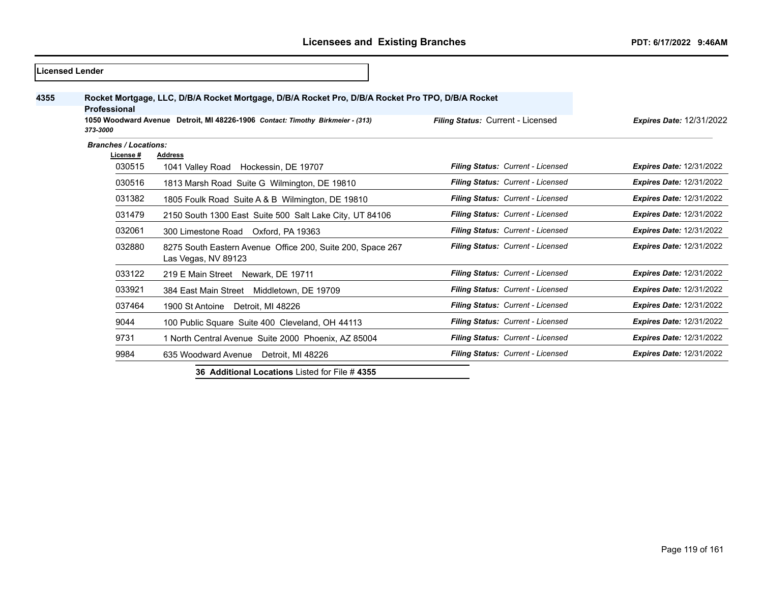|      | <b>Licensed Lender</b>          |                                                                                                                                                                                     |                                   |                                 |
|------|---------------------------------|-------------------------------------------------------------------------------------------------------------------------------------------------------------------------------------|-----------------------------------|---------------------------------|
| 4355 | <b>Professional</b><br>373-3000 | Rocket Mortgage, LLC, D/B/A Rocket Mortgage, D/B/A Rocket Pro, D/B/A Rocket Pro TPO, D/B/A Rocket<br>1050 Woodward Avenue Detroit, MI 48226-1906 Contact: Timothy Birkmeier - (313) | Filing Status: Current - Licensed | <b>Expires Date: 12/31/2022</b> |
|      | <b>Branches / Locations:</b>    |                                                                                                                                                                                     |                                   |                                 |
|      | License #<br>030515             | <b>Address</b><br>1041 Valley Road Hockessin, DE 19707                                                                                                                              | Filing Status: Current - Licensed | <b>Expires Date: 12/31/2022</b> |
|      | 030516                          | 1813 Marsh Road Suite G Wilmington, DE 19810                                                                                                                                        | Filing Status: Current - Licensed | <b>Expires Date: 12/31/2022</b> |
|      | 031382                          | 1805 Foulk Road Suite A & B Wilmington, DE 19810                                                                                                                                    | Filing Status: Current - Licensed | <b>Expires Date: 12/31/2022</b> |
|      | 031479                          | 2150 South 1300 East Suite 500 Salt Lake City, UT 84106                                                                                                                             | Filing Status: Current - Licensed | <b>Expires Date: 12/31/2022</b> |
|      | 032061                          | 300 Limestone Road Oxford, PA 19363                                                                                                                                                 | Filing Status: Current - Licensed | <b>Expires Date: 12/31/2022</b> |
|      | 032880                          | 8275 South Eastern Avenue Office 200, Suite 200, Space 267<br>Las Vegas, NV 89123                                                                                                   | Filing Status: Current - Licensed | <b>Expires Date: 12/31/2022</b> |
|      | 033122                          | 219 E Main Street Newark, DE 19711                                                                                                                                                  | Filing Status: Current - Licensed | <b>Expires Date: 12/31/2022</b> |
|      | 033921                          | 384 East Main Street Middletown, DE 19709                                                                                                                                           | Filing Status: Current - Licensed | <b>Expires Date: 12/31/2022</b> |
|      | 037464                          | Detroit, MI 48226<br>1900 St Antoine                                                                                                                                                | Filing Status: Current - Licensed | <b>Expires Date: 12/31/2022</b> |
|      | 9044                            | 100 Public Square Suite 400 Cleveland, OH 44113                                                                                                                                     | Filing Status: Current - Licensed | <b>Expires Date: 12/31/2022</b> |
|      | 9731                            | 1 North Central Avenue Suite 2000 Phoenix, AZ 85004                                                                                                                                 | Filing Status: Current - Licensed | <b>Expires Date: 12/31/2022</b> |
|      | 9984                            | 635 Woodward Avenue Detroit, MI 48226                                                                                                                                               | Filing Status: Current - Licensed | <b>Expires Date: 12/31/2022</b> |

**36 Additional Locations** Listed for File # **4355**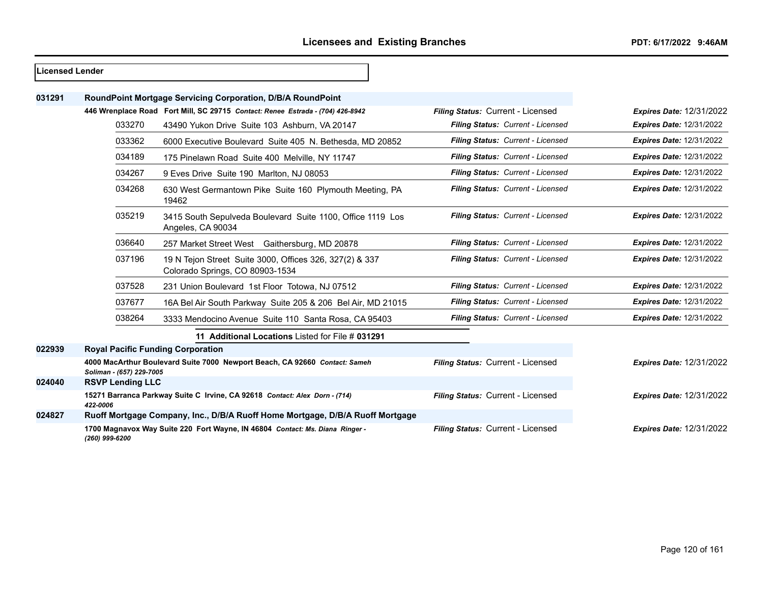# **Licensed Lender**

*(260) 999-6200*

| 031291 |                                          | RoundPoint Mortgage Servicing Corporation, D/B/A RoundPoint                                |                                   |                                 |
|--------|------------------------------------------|--------------------------------------------------------------------------------------------|-----------------------------------|---------------------------------|
|        |                                          | 446 Wrenplace Road Fort Mill, SC 29715 Contact: Renee Estrada - (704) 426-8942             | Filing Status: Current - Licensed | <b>Expires Date: 12/31/2022</b> |
|        | 033270                                   | 43490 Yukon Drive Suite 103 Ashburn, VA 20147                                              | Filing Status: Current - Licensed | <b>Expires Date: 12/31/2022</b> |
|        | 033362                                   | 6000 Executive Boulevard Suite 405 N. Bethesda, MD 20852                                   | Filing Status: Current - Licensed | <b>Expires Date: 12/31/2022</b> |
|        | 034189                                   | 175 Pinelawn Road Suite 400 Melville, NY 11747                                             | Filing Status: Current - Licensed | <b>Expires Date: 12/31/2022</b> |
|        | 034267                                   | 9 Eves Drive Suite 190 Marlton, NJ 08053                                                   | Filing Status: Current - Licensed | <b>Expires Date: 12/31/2022</b> |
|        | 034268                                   | 630 West Germantown Pike Suite 160 Plymouth Meeting, PA<br>19462                           | Filing Status: Current - Licensed | <b>Expires Date: 12/31/2022</b> |
|        | 035219                                   | 3415 South Sepulveda Boulevard Suite 1100, Office 1119 Los<br>Angeles, CA 90034            | Filing Status: Current - Licensed | <b>Expires Date: 12/31/2022</b> |
|        | 036640                                   | 257 Market Street West Gaithersburg, MD 20878                                              | Filing Status: Current - Licensed | <b>Expires Date: 12/31/2022</b> |
|        | 037196                                   | 19 N Tejon Street Suite 3000, Offices 326, 327(2) & 337<br>Colorado Springs, CO 80903-1534 | Filing Status: Current - Licensed | <b>Expires Date: 12/31/2022</b> |
|        | 037528                                   | 231 Union Boulevard 1st Floor Totowa, NJ 07512                                             | Filing Status: Current - Licensed | <b>Expires Date: 12/31/2022</b> |
|        | 037677                                   | 16A Bel Air South Parkway Suite 205 & 206 Bel Air, MD 21015                                | Filing Status: Current - Licensed | <b>Expires Date: 12/31/2022</b> |
|        | 038264                                   | 3333 Mendocino Avenue Suite 110 Santa Rosa, CA 95403                                       | Filing Status: Current - Licensed | <b>Expires Date: 12/31/2022</b> |
|        |                                          | 11 Additional Locations Listed for File # 031291                                           |                                   |                                 |
| 022939 | <b>Royal Pacific Funding Corporation</b> |                                                                                            |                                   |                                 |
|        | Soliman - (657) 229-7005                 | 4000 MacArthur Boulevard Suite 7000 Newport Beach, CA 92660 Contact: Sameh                 | Filing Status: Current - Licensed | <b>Expires Date: 12/31/2022</b> |
| 024040 | <b>RSVP Lending LLC</b>                  |                                                                                            |                                   |                                 |
|        | 422-0006                                 | 15271 Barranca Parkway Suite C Irvine, CA 92618 Contact: Alex Dorn - (714)                 | Filing Status: Current - Licensed | <b>Expires Date: 12/31/2022</b> |
| 024827 |                                          | Ruoff Mortgage Company, Inc., D/B/A Ruoff Home Mortgage, D/B/A Ruoff Mortgage              |                                   |                                 |
|        |                                          | 1700 Magnavox Way Suite 220 Fort Wayne, IN 46804 Contact: Ms. Diana Ringer -               | Filing Status: Current - Licensed | <b>Expires Date: 12/31/2022</b> |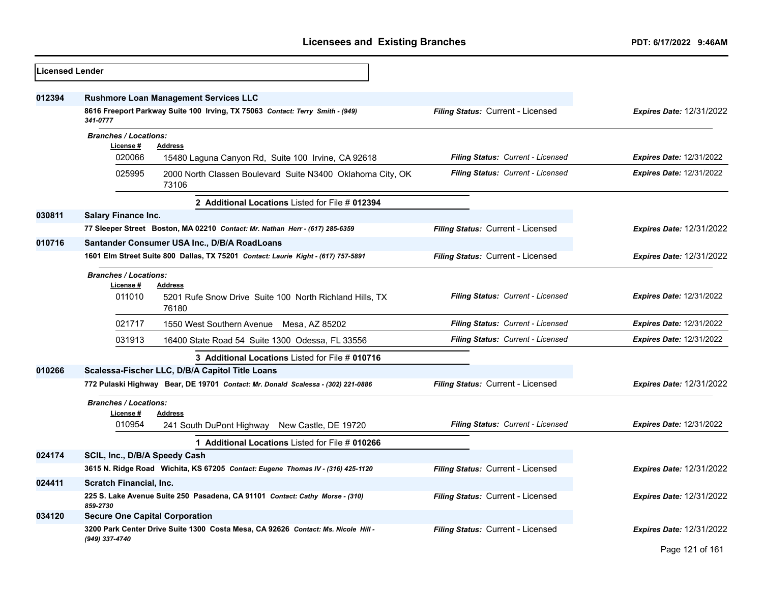| Licensed Lender |                                                             |                                                                                                                               |                                   |                                 |
|-----------------|-------------------------------------------------------------|-------------------------------------------------------------------------------------------------------------------------------|-----------------------------------|---------------------------------|
| 012394          |                                                             | <b>Rushmore Loan Management Services LLC</b><br>8616 Freeport Parkway Suite 100 Irving, TX 75063 Contact: Terry Smith - (949) | Filing Status: Current - Licensed | <b>Expires Date: 12/31/2022</b> |
|                 | 341-0777                                                    |                                                                                                                               |                                   |                                 |
|                 | <b>Branches / Locations:</b><br>License#<br>020066          | <b>Address</b><br>15480 Laguna Canyon Rd, Suite 100 Irvine, CA 92618                                                          | Filing Status: Current - Licensed | <b>Expires Date: 12/31/2022</b> |
|                 | 025995                                                      | 2000 North Classen Boulevard Suite N3400 Oklahoma City, OK<br>73106                                                           | Filing Status: Current - Licensed | <b>Expires Date: 12/31/2022</b> |
|                 |                                                             | 2 Additional Locations Listed for File # 012394                                                                               |                                   |                                 |
| 030811          | <b>Salary Finance Inc.</b>                                  |                                                                                                                               |                                   |                                 |
|                 |                                                             | 77 Sleeper Street Boston, MA 02210 Contact: Mr. Nathan Herr - (617) 285-6359                                                  | Filing Status: Current - Licensed | <b>Expires Date: 12/31/2022</b> |
| 010716          |                                                             | Santander Consumer USA Inc., D/B/A RoadLoans                                                                                  |                                   |                                 |
|                 |                                                             | 1601 Elm Street Suite 800 Dallas, TX 75201 Contact: Laurie Kight - (617) 757-5891                                             | Filing Status: Current - Licensed | <b>Expires Date: 12/31/2022</b> |
|                 | <b>Branches / Locations:</b><br>License #<br><b>Address</b> |                                                                                                                               |                                   |                                 |
|                 | 011010                                                      | 5201 Rufe Snow Drive Suite 100 North Richland Hills, TX<br>76180                                                              | Filing Status: Current - Licensed | <b>Expires Date: 12/31/2022</b> |
|                 | 021717                                                      | 1550 West Southern Avenue Mesa, AZ 85202                                                                                      | Filing Status: Current - Licensed | <b>Expires Date: 12/31/2022</b> |
|                 | 031913                                                      | 16400 State Road 54 Suite 1300 Odessa, FL 33556                                                                               | Filing Status: Current - Licensed | Expires Date: 12/31/2022        |
|                 |                                                             | 3 Additional Locations Listed for File # 010716                                                                               |                                   |                                 |
| 010266          |                                                             | Scalessa-Fischer LLC, D/B/A Capitol Title Loans                                                                               |                                   |                                 |
|                 |                                                             | 772 Pulaski Highway Bear, DE 19701 Contact: Mr. Donald Scalessa - (302) 221-0886                                              | Filing Status: Current - Licensed | <b>Expires Date: 12/31/2022</b> |
|                 | <b>Branches / Locations:</b><br>License#                    | <b>Address</b>                                                                                                                |                                   |                                 |
|                 | 010954                                                      | 241 South DuPont Highway New Castle, DE 19720                                                                                 | Filing Status: Current - Licensed | Expires Date: 12/31/2022        |
|                 |                                                             | 1 Additional Locations Listed for File # 010266                                                                               |                                   |                                 |
| 024174          | SCIL, Inc., D/B/A Speedy Cash                               |                                                                                                                               |                                   |                                 |
|                 |                                                             | 3615 N. Ridge Road Wichita, KS 67205 Contact: Eugene Thomas IV - (316) 425-1120                                               | Filing Status: Current - Licensed | <b>Expires Date: 12/31/2022</b> |
| 024411          | <b>Scratch Financial, Inc.</b>                              |                                                                                                                               |                                   |                                 |
|                 | 859-2730                                                    | 225 S. Lake Avenue Suite 250 Pasadena, CA 91101 Contact: Cathy Morse - (310)                                                  | Filing Status: Current - Licensed | <b>Expires Date: 12/31/2022</b> |
| 034120          | <b>Secure One Capital Corporation</b>                       |                                                                                                                               |                                   |                                 |
|                 | (949) 337-4740                                              | 3200 Park Center Drive Suite 1300 Costa Mesa, CA 92626 Contact: Ms. Nicole Hill -                                             | Filing Status: Current - Licensed | <b>Expires Date: 12/31/2022</b> |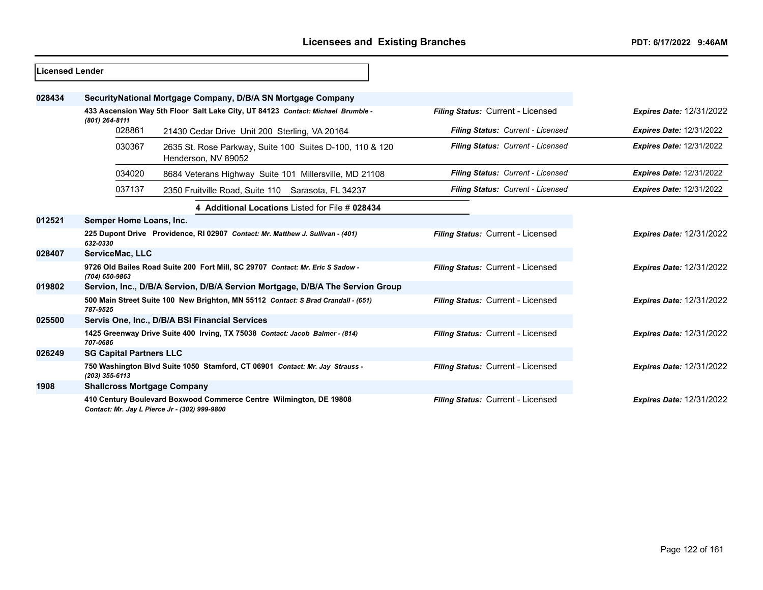| <b>ILicensed Lender</b> |                                    |                                                                                                                     |                                   |                                 |
|-------------------------|------------------------------------|---------------------------------------------------------------------------------------------------------------------|-----------------------------------|---------------------------------|
| 028434                  |                                    | SecurityNational Mortgage Company, D/B/A SN Mortgage Company                                                        |                                   |                                 |
|                         | (801) 264-8111                     | 433 Ascension Way 5th Floor Salt Lake City, UT 84123 Contact: Michael Brumble -                                     | Filing Status: Current - Licensed | <b>Expires Date: 12/31/2022</b> |
|                         | 028861                             | 21430 Cedar Drive Unit 200 Sterling, VA 20164                                                                       | Filing Status: Current - Licensed | <b>Expires Date: 12/31/2022</b> |
|                         | 030367                             | 2635 St. Rose Parkway, Suite 100 Suites D-100, 110 & 120<br>Henderson, NV 89052                                     | Filing Status: Current - Licensed | <b>Expires Date: 12/31/2022</b> |
|                         | 034020                             | 8684 Veterans Highway Suite 101 Millersville, MD 21108                                                              | Filing Status: Current - Licensed | <b>Expires Date: 12/31/2022</b> |
|                         | 037137                             | 2350 Fruitville Road, Suite 110 Sarasota, FL 34237                                                                  | Filing Status: Current - Licensed | <b>Expires Date: 12/31/2022</b> |
|                         |                                    | 4 Additional Locations Listed for File # 028434                                                                     |                                   |                                 |
| 012521                  | Semper Home Loans, Inc.            |                                                                                                                     |                                   |                                 |
|                         | 632-0330                           | 225 Dupont Drive Providence, RI 02907 Contact: Mr. Matthew J. Sullivan - (401)                                      | Filing Status: Current - Licensed | <b>Expires Date: 12/31/2022</b> |
| 028407                  | ServiceMac, LLC                    |                                                                                                                     |                                   |                                 |
|                         | (704) 650-9863                     | 9726 Old Bailes Road Suite 200 Fort Mill, SC 29707 Contact: Mr. Eric S Sadow -                                      | Filing Status: Current - Licensed | <b>Expires Date: 12/31/2022</b> |
| 019802                  |                                    | Servion, Inc., D/B/A Servion, D/B/A Servion Mortgage, D/B/A The Servion Group                                       |                                   |                                 |
|                         | 787-9525                           | 500 Main Street Suite 100 New Brighton, MN 55112 Contact: S Brad Crandall - (651)                                   | Filing Status: Current - Licensed | <b>Expires Date: 12/31/2022</b> |
| 025500                  |                                    | Servis One, Inc., D/B/A BSI Financial Services                                                                      |                                   |                                 |
|                         | 707-0686                           | 1425 Greenway Drive Suite 400 Irving, TX 75038 Contact: Jacob Balmer - (814)                                        | Filing Status: Current - Licensed | <b>Expires Date: 12/31/2022</b> |
| 026249                  | <b>SG Capital Partners LLC</b>     |                                                                                                                     |                                   |                                 |
|                         | $(203)$ 355-6113                   | 750 Washington Blvd Suite 1050 Stamford, CT 06901 Contact: Mr. Jay Strauss -                                        | Filing Status: Current - Licensed | <b>Expires Date: 12/31/2022</b> |
| 1908                    | <b>Shallcross Mortgage Company</b> |                                                                                                                     |                                   |                                 |
|                         |                                    | 410 Century Boulevard Boxwood Commerce Centre Wilmington, DE 19808<br>Contact: Mr. Jay L Pierce Jr - (302) 999-9800 | Filing Status: Current - Licensed | <b>Expires Date: 12/31/2022</b> |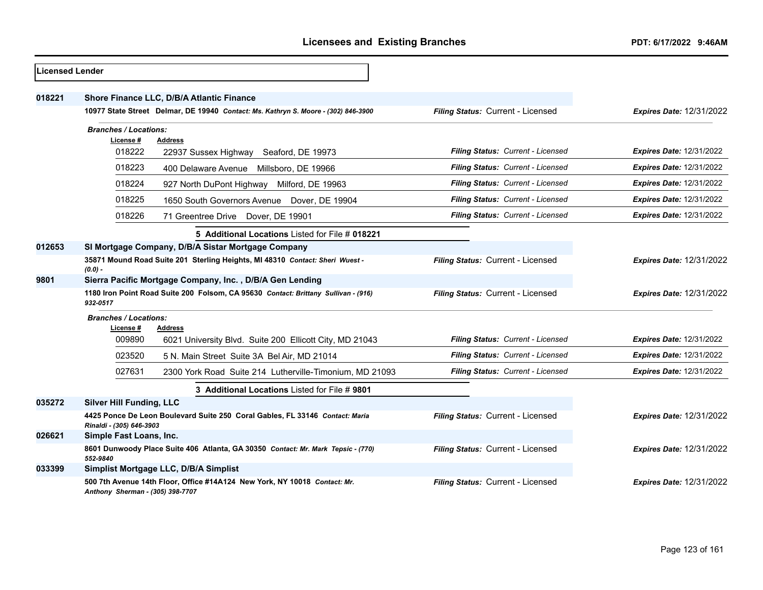| <b>Licensed Lender</b> |                                                                                                |                                                                                    |                                   |                                 |
|------------------------|------------------------------------------------------------------------------------------------|------------------------------------------------------------------------------------|-----------------------------------|---------------------------------|
| 018221                 |                                                                                                | Shore Finance LLC, D/B/A Atlantic Finance                                          |                                   |                                 |
|                        |                                                                                                | 10977 State Street Delmar, DE 19940 Contact: Ms. Kathryn S. Moore - (302) 846-3900 | Filing Status: Current - Licensed | <b>Expires Date: 12/31/2022</b> |
|                        | <b>Branches / Locations:</b>                                                                   |                                                                                    |                                   |                                 |
|                        | License #<br>018222                                                                            | <b>Address</b><br>22937 Sussex Highway Seaford, DE 19973                           | Filing Status: Current - Licensed | <b>Expires Date: 12/31/2022</b> |
|                        | 018223                                                                                         | 400 Delaware Avenue Millsboro, DE 19966                                            | Filing Status: Current - Licensed | <b>Expires Date: 12/31/2022</b> |
|                        | 018224                                                                                         | 927 North DuPont Highway Milford, DE 19963                                         | Filing Status: Current - Licensed | <b>Expires Date: 12/31/2022</b> |
|                        | 018225                                                                                         | 1650 South Governors Avenue Dover, DE 19904                                        | Filing Status: Current - Licensed | <b>Expires Date: 12/31/2022</b> |
|                        | 018226                                                                                         | 71 Greentree Drive Dover, DE 19901                                                 | Filing Status: Current - Licensed | <b>Expires Date: 12/31/2022</b> |
|                        |                                                                                                | 5 Additional Locations Listed for File # 018221                                    |                                   |                                 |
| 012653                 |                                                                                                | SI Mortgage Company, D/B/A Sistar Mortgage Company                                 |                                   |                                 |
|                        | $(0.0) -$                                                                                      | 35871 Mound Road Suite 201 Sterling Heights, MI 48310 Contact: Sheri Wuest -       | Filing Status: Current - Licensed | <b>Expires Date: 12/31/2022</b> |
| 9801                   |                                                                                                | Sierra Pacific Mortgage Company, Inc., D/B/A Gen Lending                           |                                   |                                 |
|                        | 1180 Iron Point Road Suite 200 Folsom, CA 95630 Contact: Brittany Sullivan - (916)<br>932-0517 |                                                                                    | Filing Status: Current - Licensed | <b>Expires Date: 12/31/2022</b> |
|                        | <b>Branches / Locations:</b>                                                                   |                                                                                    |                                   |                                 |
|                        | License #<br>009890                                                                            | Address<br>6021 University Blvd. Suite 200 Ellicott City, MD 21043                 | Filing Status: Current - Licensed | <b>Expires Date: 12/31/2022</b> |
|                        | 023520                                                                                         | 5 N. Main Street Suite 3A Bel Air, MD 21014                                        | Filing Status: Current - Licensed | <b>Expires Date: 12/31/2022</b> |
|                        | 027631                                                                                         | 2300 York Road Suite 214 Lutherville-Timonium, MD 21093                            | Filing Status: Current - Licensed | <b>Expires Date: 12/31/2022</b> |
|                        |                                                                                                | 3 Additional Locations Listed for File # 9801                                      |                                   |                                 |
| 035272                 | <b>Silver Hill Funding, LLC</b>                                                                |                                                                                    |                                   |                                 |
|                        | Rinaldi - (305) 646-3903                                                                       | 4425 Ponce De Leon Boulevard Suite 250 Coral Gables, FL 33146 Contact: Maria       | Filing Status: Current - Licensed | <b>Expires Date: 12/31/2022</b> |
| 026621                 | Simple Fast Loans, Inc.                                                                        |                                                                                    |                                   |                                 |
|                        | 552-9840                                                                                       | 8601 Dunwoody Place Suite 406 Atlanta, GA 30350 Contact: Mr. Mark Tepsic - (770)   | Filing Status: Current - Licensed | <b>Expires Date: 12/31/2022</b> |
| 033399                 |                                                                                                | Simplist Mortgage LLC, D/B/A Simplist                                              |                                   |                                 |
|                        | Anthony Sherman - (305) 398-7707                                                               | 500 7th Avenue 14th Floor, Office #14A124 New York, NY 10018 Contact: Mr.          | Filing Status: Current - Licensed | <b>Expires Date: 12/31/2022</b> |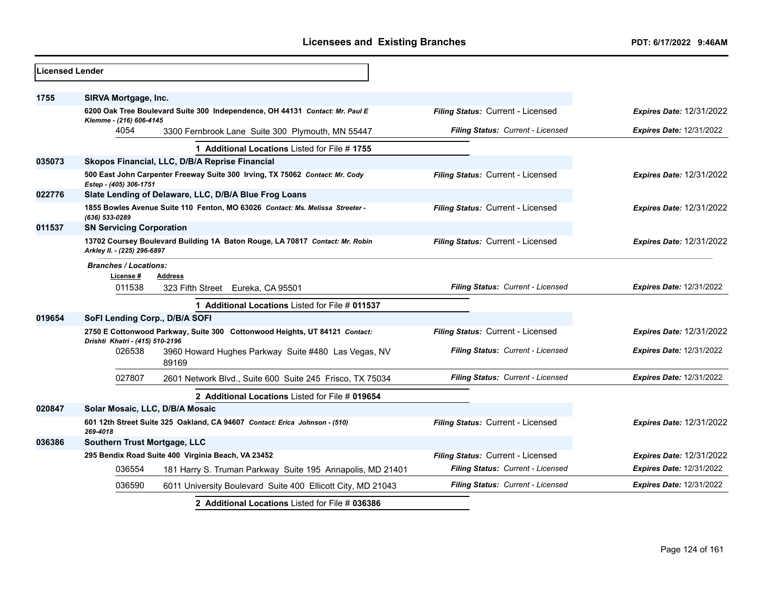| 036554              |                                                              | Filing Status: Current - Licensed                                                                                                                                                                                                                                                                                                                                                                                                                                                                                                                                                                                                                                                                                                                                                                                                                                                                                                                                                                                                    | <b>Expires Date: 12/31/2022</b><br><b>Expires Date: 12/31/2022</b>                                          |
|---------------------|--------------------------------------------------------------|--------------------------------------------------------------------------------------------------------------------------------------------------------------------------------------------------------------------------------------------------------------------------------------------------------------------------------------------------------------------------------------------------------------------------------------------------------------------------------------------------------------------------------------------------------------------------------------------------------------------------------------------------------------------------------------------------------------------------------------------------------------------------------------------------------------------------------------------------------------------------------------------------------------------------------------------------------------------------------------------------------------------------------------|-------------------------------------------------------------------------------------------------------------|
|                     |                                                              |                                                                                                                                                                                                                                                                                                                                                                                                                                                                                                                                                                                                                                                                                                                                                                                                                                                                                                                                                                                                                                      |                                                                                                             |
| 269-4018            |                                                              | Filing Status: Current - Licensed                                                                                                                                                                                                                                                                                                                                                                                                                                                                                                                                                                                                                                                                                                                                                                                                                                                                                                                                                                                                    | <b>Expires Date: 12/31/2022</b>                                                                             |
|                     |                                                              |                                                                                                                                                                                                                                                                                                                                                                                                                                                                                                                                                                                                                                                                                                                                                                                                                                                                                                                                                                                                                                      |                                                                                                             |
|                     | 2 Additional Locations Listed for File # 019654              |                                                                                                                                                                                                                                                                                                                                                                                                                                                                                                                                                                                                                                                                                                                                                                                                                                                                                                                                                                                                                                      |                                                                                                             |
| 027807              | 2601 Network Blvd., Suite 600 Suite 245 Frisco, TX 75034     | Filing Status: Current - Licensed                                                                                                                                                                                                                                                                                                                                                                                                                                                                                                                                                                                                                                                                                                                                                                                                                                                                                                                                                                                                    | <b>Expires Date: 12/31/2022</b>                                                                             |
| 026538              | 3960 Howard Hughes Parkway Suite #480 Las Vegas, NV<br>89169 | Filing Status: Current - Licensed                                                                                                                                                                                                                                                                                                                                                                                                                                                                                                                                                                                                                                                                                                                                                                                                                                                                                                                                                                                                    | <b>Expires Date: 12/31/2022</b>                                                                             |
|                     |                                                              | Filing Status: Current - Licensed                                                                                                                                                                                                                                                                                                                                                                                                                                                                                                                                                                                                                                                                                                                                                                                                                                                                                                                                                                                                    | <b>Expires Date: 12/31/2022</b>                                                                             |
|                     |                                                              |                                                                                                                                                                                                                                                                                                                                                                                                                                                                                                                                                                                                                                                                                                                                                                                                                                                                                                                                                                                                                                      |                                                                                                             |
| License #<br>011538 | <b>Address</b><br>323 Fifth Street<br>Eureka, CA 95501       | Filing Status: Current - Licensed                                                                                                                                                                                                                                                                                                                                                                                                                                                                                                                                                                                                                                                                                                                                                                                                                                                                                                                                                                                                    | <b>Expires Date: 12/31/2022</b>                                                                             |
|                     |                                                              | Filing Status: Current - Licensed                                                                                                                                                                                                                                                                                                                                                                                                                                                                                                                                                                                                                                                                                                                                                                                                                                                                                                                                                                                                    | <b>Expires Date: 12/31/2022</b>                                                                             |
| (636) 533-0289      |                                                              |                                                                                                                                                                                                                                                                                                                                                                                                                                                                                                                                                                                                                                                                                                                                                                                                                                                                                                                                                                                                                                      |                                                                                                             |
|                     |                                                              |                                                                                                                                                                                                                                                                                                                                                                                                                                                                                                                                                                                                                                                                                                                                                                                                                                                                                                                                                                                                                                      | <b>Expires Date: 12/31/2022</b>                                                                             |
|                     |                                                              | Filing Status: Current - Licensed                                                                                                                                                                                                                                                                                                                                                                                                                                                                                                                                                                                                                                                                                                                                                                                                                                                                                                                                                                                                    | <b>Expires Date: 12/31/2022</b>                                                                             |
|                     | 1 Additional Locations Listed for File #1755                 |                                                                                                                                                                                                                                                                                                                                                                                                                                                                                                                                                                                                                                                                                                                                                                                                                                                                                                                                                                                                                                      |                                                                                                             |
| 4054                | 3300 Fernbrook Lane Suite 300 Plymouth, MN 55447             | Filing Status: Current - Licensed                                                                                                                                                                                                                                                                                                                                                                                                                                                                                                                                                                                                                                                                                                                                                                                                                                                                                                                                                                                                    | <b>Expires Date: 12/31/2022</b><br><b>Expires Date: 12/31/2022</b>                                          |
|                     |                                                              |                                                                                                                                                                                                                                                                                                                                                                                                                                                                                                                                                                                                                                                                                                                                                                                                                                                                                                                                                                                                                                      |                                                                                                             |
|                     |                                                              | SIRVA Mortgage, Inc.<br>6200 Oak Tree Boulevard Suite 300 Independence, OH 44131 Contact: Mr. Paul E<br>Klemme - (216) 606-4145<br>Skopos Financial, LLC, D/B/A Reprise Financial<br>500 East John Carpenter Freeway Suite 300 Irving, TX 75062 Contact: Mr. Cody<br>Estep - (405) 306-1751<br>Slate Lending of Delaware, LLC, D/B/A Blue Frog Loans<br>1855 Bowles Avenue Suite 110 Fenton, MO 63026 Contact: Ms. Melissa Streeter -<br><b>SN Servicing Corporation</b><br>13702 Coursey Boulevard Building 1A Baton Rouge, LA 70817 Contact: Mr. Robin<br>Arkley II. - (225) 296-6897<br><b>Branches / Locations:</b><br>1 Additional Locations Listed for File # 011537<br>SoFI Lending Corp., D/B/A SOFI<br>2750 E Cottonwood Parkway, Suite 300 Cottonwood Heights, UT 84121 Contact:<br>Drishti Khatri - (415) 510-2196<br>Solar Mosaic, LLC, D/B/A Mosaic<br>601 12th Street Suite 325 Oakland, CA 94607 Contact: Erica Johnson - (510)<br>Southern Trust Mortgage, LLC<br>295 Bendix Road Suite 400 Virginia Beach, VA 23452 | Filing Status: Current - Licensed<br>Filing Status: Current - Licensed<br>Filing Status: Current - Licensed |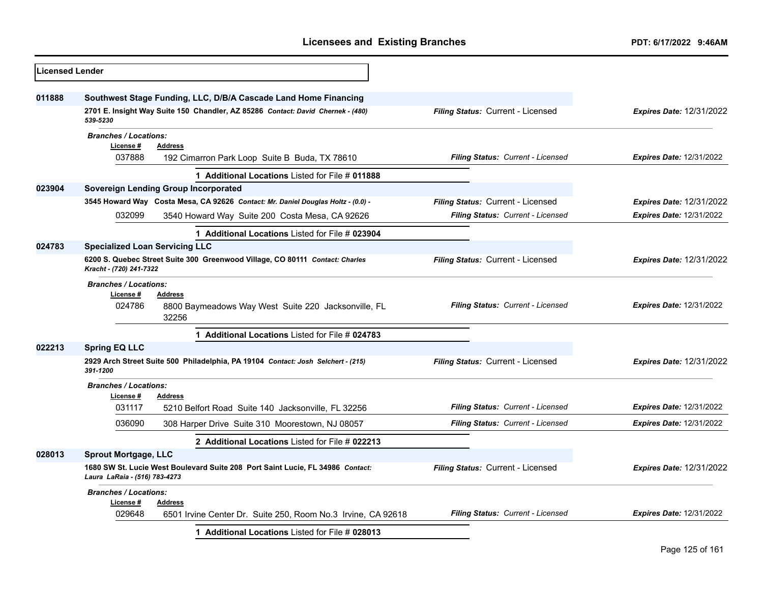| <b>Licensed Lender</b> |                                                                                                                 |                                          |                                 |
|------------------------|-----------------------------------------------------------------------------------------------------------------|------------------------------------------|---------------------------------|
| 011888                 | Southwest Stage Funding, LLC, D/B/A Cascade Land Home Financing                                                 |                                          |                                 |
|                        | 2701 E. Insight Way Suite 150 Chandler, AZ 85286 Contact: David Chernek - (480)<br>539-5230                     | Filing Status: Current - Licensed        | <b>Expires Date: 12/31/2022</b> |
|                        | <b>Branches / Locations:</b>                                                                                    |                                          |                                 |
|                        | License #<br><b>Address</b><br>037888<br>192 Cimarron Park Loop Suite B Buda, TX 78610                          | Filing Status: Current - Licensed        | <b>Expires Date: 12/31/2022</b> |
|                        | 1 Additional Locations Listed for File # 011888                                                                 |                                          |                                 |
| 023904                 | <b>Sovereign Lending Group Incorporated</b>                                                                     |                                          |                                 |
|                        | 3545 Howard Way Costa Mesa, CA 92626 Contact: Mr. Daniel Douglas Holtz - (0.0) -                                | Filing Status: Current - Licensed        | <b>Expires Date: 12/31/2022</b> |
|                        | 032099<br>3540 Howard Way Suite 200 Costa Mesa, CA 92626                                                        | Filing Status: Current - Licensed        | <b>Expires Date: 12/31/2022</b> |
|                        | 1 Additional Locations Listed for File # 023904                                                                 |                                          |                                 |
| 024783                 | <b>Specialized Loan Servicing LLC</b>                                                                           |                                          |                                 |
|                        | 6200 S. Quebec Street Suite 300 Greenwood Village, CO 80111 Contact: Charles<br>Kracht - (720) 241-7322         | Filing Status: Current - Licensed        | <b>Expires Date: 12/31/2022</b> |
|                        | <b>Branches / Locations:</b>                                                                                    |                                          |                                 |
|                        | License #<br><b>Address</b>                                                                                     |                                          |                                 |
|                        | 024786<br>8800 Baymeadows Way West Suite 220 Jacksonville, FL<br>32256                                          | Filing Status: Current - Licensed        | <b>Expires Date: 12/31/2022</b> |
|                        | 1 Additional Locations Listed for File # 024783                                                                 |                                          |                                 |
| 022213                 | <b>Spring EQ LLC</b>                                                                                            |                                          |                                 |
|                        | 2929 Arch Street Suite 500 Philadelphia, PA 19104 Contact: Josh Selchert - (215)<br>391-1200                    | <b>Filing Status: Current - Licensed</b> | <b>Expires Date: 12/31/2022</b> |
|                        | <b>Branches / Locations:</b>                                                                                    |                                          |                                 |
|                        | License #<br><b>Address</b>                                                                                     |                                          |                                 |
|                        | 031117<br>5210 Belfort Road Suite 140 Jacksonville, FL 32256                                                    | Filing Status: Current - Licensed        | Expires Date: 12/31/2022        |
|                        | 036090<br>308 Harper Drive Suite 310 Moorestown, NJ 08057                                                       | Filing Status: Current - Licensed        | <b>Expires Date: 12/31/2022</b> |
|                        | 2 Additional Locations Listed for File # 022213                                                                 |                                          |                                 |
| 028013                 | <b>Sprout Mortgage, LLC</b>                                                                                     |                                          |                                 |
|                        | 1680 SW St. Lucie West Boulevard Suite 208 Port Saint Lucie, FL 34986 Contact:<br>Laura LaRaia - (516) 783-4273 | Filing Status: Current - Licensed        | <b>Expires Date: 12/31/2022</b> |
|                        | <b>Branches / Locations:</b>                                                                                    |                                          |                                 |
|                        | License #<br>Address                                                                                            |                                          |                                 |
|                        | 029648<br>6501 Irvine Center Dr. Suite 250, Room No.3 Irvine, CA 92618                                          | Filing Status: Current - Licensed        | <b>Expires Date: 12/31/2022</b> |
|                        | 1 Additional Locations Listed for File # 028013                                                                 |                                          |                                 |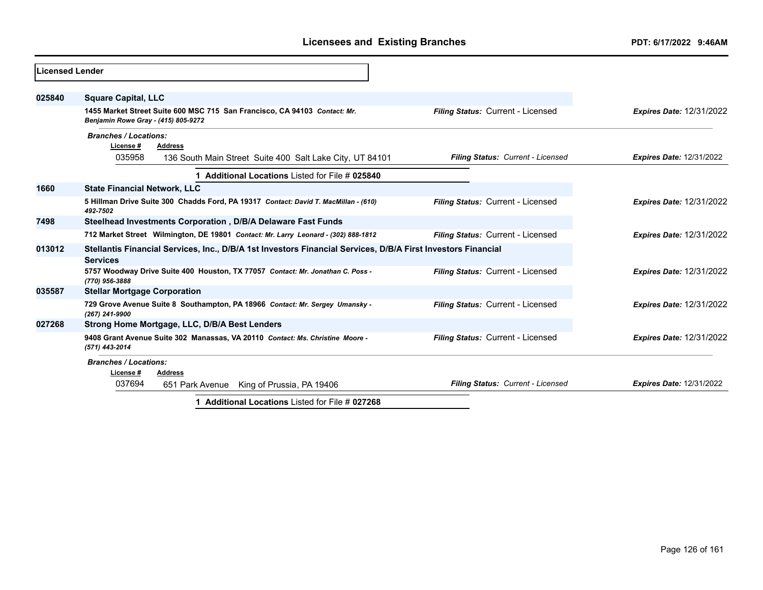| Licensed Lender |                                                                                                                                 |                                   |                                 |
|-----------------|---------------------------------------------------------------------------------------------------------------------------------|-----------------------------------|---------------------------------|
| 025840          | <b>Square Capital, LLC</b>                                                                                                      |                                   |                                 |
|                 | 1455 Market Street Suite 600 MSC 715 San Francisco, CA 94103 Contact: Mr.<br>Benjamin Rowe Gray - (415) 805-9272                | Filing Status: Current - Licensed | <b>Expires Date: 12/31/2022</b> |
|                 | <b>Branches / Locations:</b><br>License#<br><b>Address</b>                                                                      |                                   |                                 |
|                 | 035958<br>136 South Main Street Suite 400 Salt Lake City, UT 84101                                                              | Filing Status: Current - Licensed | <b>Expires Date: 12/31/2022</b> |
|                 | 1 Additional Locations Listed for File # 025840                                                                                 |                                   |                                 |
| 1660            | <b>State Financial Network, LLC</b>                                                                                             |                                   |                                 |
|                 | 5 Hillman Drive Suite 300 Chadds Ford, PA 19317 Contact: David T. MacMillan - (610)<br>492-7502                                 | Filing Status: Current - Licensed | <b>Expires Date: 12/31/2022</b> |
| 7498            | Steelhead Investments Corporation, D/B/A Delaware Fast Funds                                                                    |                                   |                                 |
|                 | 712 Market Street Wilmington, DE 19801 Contact: Mr. Larry Leonard - (302) 888-1812                                              | Filing Status: Current - Licensed | <b>Expires Date: 12/31/2022</b> |
| 013012          | Stellantis Financial Services, Inc., D/B/A 1st Investors Financial Services, D/B/A First Investors Financial<br><b>Services</b> |                                   |                                 |
|                 | 5757 Woodway Drive Suite 400 Houston, TX 77057 Contact: Mr. Jonathan C. Poss -<br>(770) 956-3888                                | Filing Status: Current - Licensed | <b>Expires Date: 12/31/2022</b> |
| 035587          | <b>Stellar Mortgage Corporation</b>                                                                                             |                                   |                                 |
|                 | 729 Grove Avenue Suite 8 Southampton, PA 18966 Contact: Mr. Sergey Umansky -<br>(267) 241-9900                                  | Filing Status: Current - Licensed | <b>Expires Date: 12/31/2022</b> |
| 027268          | Strong Home Mortgage, LLC, D/B/A Best Lenders                                                                                   |                                   |                                 |
|                 | 9408 Grant Avenue Suite 302 Manassas, VA 20110 Contact: Ms. Christine Moore -<br>(571) 443-2014                                 | Filing Status: Current - Licensed | <b>Expires Date: 12/31/2022</b> |
|                 | <b>Branches / Locations:</b><br>License #<br><b>Address</b>                                                                     |                                   |                                 |
|                 | 037694<br>King of Prussia, PA 19406<br>651 Park Avenue                                                                          | Filing Status: Current - Licensed | <b>Expires Date: 12/31/2022</b> |
|                 | 1 Additional Locations Listed for File # 027268                                                                                 |                                   |                                 |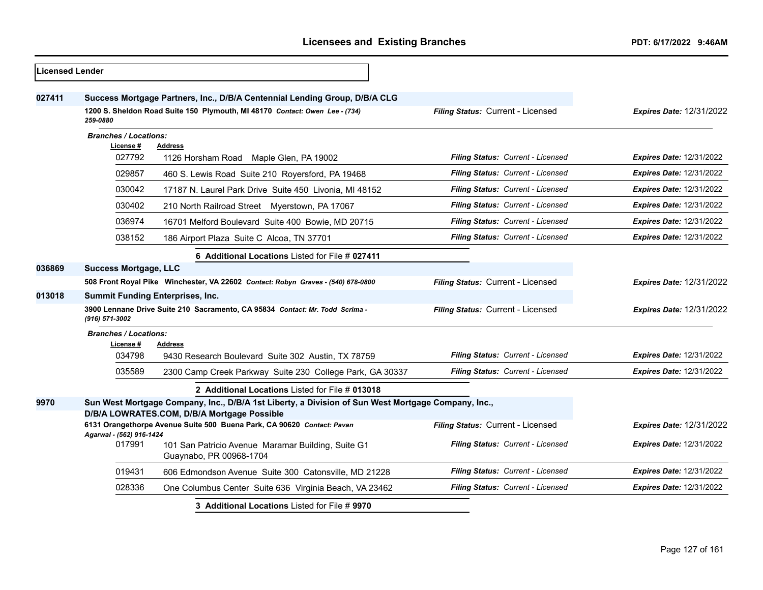| <b>Licensed Lender</b> |                                           |                                                                                                                                                   |                                   |                                 |
|------------------------|-------------------------------------------|---------------------------------------------------------------------------------------------------------------------------------------------------|-----------------------------------|---------------------------------|
| 027411                 |                                           | Success Mortgage Partners, Inc., D/B/A Centennial Lending Group, D/B/A CLG                                                                        |                                   |                                 |
|                        | 259-0880                                  | 1200 S. Sheldon Road Suite 150 Plymouth, MI 48170 Contact: Owen Lee - (734)                                                                       | Filing Status: Current - Licensed | <b>Expires Date: 12/31/2022</b> |
|                        | <b>Branches / Locations:</b>              |                                                                                                                                                   |                                   |                                 |
|                        | License #<br>027792                       | <b>Address</b><br>1126 Horsham Road Maple Glen, PA 19002                                                                                          | Filing Status: Current - Licensed | <b>Expires Date: 12/31/2022</b> |
|                        |                                           |                                                                                                                                                   |                                   |                                 |
|                        | 029857                                    | 460 S. Lewis Road Suite 210 Royersford, PA 19468                                                                                                  | Filing Status: Current - Licensed | <b>Expires Date: 12/31/2022</b> |
|                        | 030042                                    | 17187 N. Laurel Park Drive Suite 450 Livonia, MI 48152                                                                                            | Filing Status: Current - Licensed | Expires Date: 12/31/2022        |
|                        | 030402                                    | 210 North Railroad Street Myerstown, PA 17067                                                                                                     | Filing Status: Current - Licensed | <b>Expires Date: 12/31/2022</b> |
|                        | 036974                                    | 16701 Melford Boulevard Suite 400 Bowie, MD 20715                                                                                                 | Filing Status: Current - Licensed | Expires Date: 12/31/2022        |
|                        | 038152                                    | 186 Airport Plaza Suite C Alcoa, TN 37701                                                                                                         | Filing Status: Current - Licensed | <b>Expires Date: 12/31/2022</b> |
|                        |                                           | 6 Additional Locations Listed for File # 027411                                                                                                   |                                   |                                 |
| 036869                 | <b>Success Mortgage, LLC</b>              |                                                                                                                                                   |                                   |                                 |
|                        |                                           | 508 Front Royal Pike Winchester, VA 22602 Contact: Robyn Graves - (540) 678-0800                                                                  | Filing Status: Current - Licensed | Expires Date: 12/31/2022        |
| 013018                 | <b>Summit Funding Enterprises, Inc.</b>   |                                                                                                                                                   |                                   |                                 |
|                        | (916) 571-3002                            | 3900 Lennane Drive Suite 210 Sacramento, CA 95834 Contact: Mr. Todd Scrima -                                                                      | Filing Status: Current - Licensed | <b>Expires Date: 12/31/2022</b> |
|                        | <b>Branches / Locations:</b><br>License # | <b>Address</b>                                                                                                                                    |                                   |                                 |
|                        | 034798                                    | 9430 Research Boulevard Suite 302 Austin, TX 78759                                                                                                | Filing Status: Current - Licensed | <b>Expires Date: 12/31/2022</b> |
|                        | 035589                                    | 2300 Camp Creek Parkway Suite 230 College Park, GA 30337                                                                                          | Filing Status: Current - Licensed | <b>Expires Date: 12/31/2022</b> |
|                        |                                           | 2 Additional Locations Listed for File # 013018                                                                                                   |                                   |                                 |
| 9970                   |                                           | Sun West Mortgage Company, Inc., D/B/A 1st Liberty, a Division of Sun West Mortgage Company, Inc.,<br>D/B/A LOWRATES.COM, D/B/A Mortgage Possible |                                   |                                 |
|                        |                                           | 6131 Orangethorpe Avenue Suite 500 Buena Park, CA 90620 Contact: Pavan                                                                            | Filing Status: Current - Licensed | <b>Expires Date: 12/31/2022</b> |
|                        | Agarwal - (562) 916-1424<br>017991        | 101 San Patricio Avenue Maramar Building, Suite G1<br>Guaynabo, PR 00968-1704                                                                     | Filing Status: Current - Licensed | <b>Expires Date: 12/31/2022</b> |
|                        | 019431                                    | 606 Edmondson Avenue Suite 300 Catonsville, MD 21228                                                                                              | Filing Status: Current - Licensed | Expires Date: 12/31/2022        |
|                        | 028336                                    | One Columbus Center Suite 636 Virginia Beach, VA 23462                                                                                            | Filing Status: Current - Licensed | <b>Expires Date: 12/31/2022</b> |
|                        |                                           | 3 Additional Locations Listed for File # 9970                                                                                                     |                                   |                                 |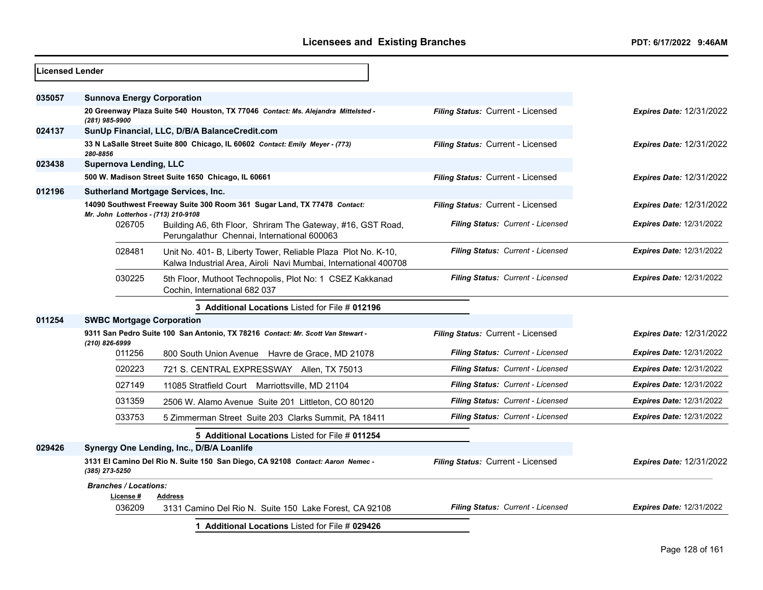| Licensed Lender |                                           |                                                                                                                                  |                                   |                                 |
|-----------------|-------------------------------------------|----------------------------------------------------------------------------------------------------------------------------------|-----------------------------------|---------------------------------|
| 035057          | <b>Sunnova Energy Corporation</b>         |                                                                                                                                  |                                   |                                 |
|                 | (281) 985-9900                            | 20 Greenway Plaza Suite 540 Houston, TX 77046 Contact: Ms. Alejandra Mittelsted -                                                | Filing Status: Current - Licensed | <b>Expires Date: 12/31/2022</b> |
| 024137          |                                           | SunUp Financial, LLC, D/B/A BalanceCredit.com                                                                                    |                                   |                                 |
|                 | 280-8856                                  | 33 N LaSalle Street Suite 800 Chicago, IL 60602 Contact: Emily Meyer - (773)                                                     | Filing Status: Current - Licensed | <b>Expires Date: 12/31/2022</b> |
| 023438          | <b>Supernova Lending, LLC</b>             |                                                                                                                                  |                                   |                                 |
|                 |                                           | 500 W. Madison Street Suite 1650 Chicago, IL 60661                                                                               | Filing Status: Current - Licensed | <b>Expires Date: 12/31/2022</b> |
| 012196          |                                           | <b>Sutherland Mortgage Services, Inc.</b>                                                                                        |                                   |                                 |
|                 | Mr. John Lotterhos - (713) 210-9108       | 14090 Southwest Freeway Suite 300 Room 361 Sugar Land, TX 77478 Contact:                                                         | Filing Status: Current - Licensed | <b>Expires Date: 12/31/2022</b> |
|                 | 026705                                    | Building A6, 6th Floor, Shriram The Gateway, #16, GST Road,<br>Perungalathur Chennai, International 600063                       | Filing Status: Current - Licensed | <b>Expires Date: 12/31/2022</b> |
|                 | 028481                                    | Unit No. 401- B, Liberty Tower, Reliable Plaza Plot No. K-10,<br>Kalwa Industrial Area, Airoli Navi Mumbai, International 400708 | Filing Status: Current - Licensed | <b>Expires Date: 12/31/2022</b> |
|                 | 030225                                    | 5th Floor, Muthoot Technopolis, Plot No: 1 CSEZ Kakkanad<br>Cochin. International 682 037                                        | Filing Status: Current - Licensed | <b>Expires Date: 12/31/2022</b> |
|                 |                                           | 3 Additional Locations Listed for File # 012196                                                                                  |                                   |                                 |
| 011254          | <b>SWBC Mortgage Corporation</b>          |                                                                                                                                  |                                   |                                 |
|                 | (210) 826-6999                            | 9311 San Pedro Suite 100 San Antonio, TX 78216 Contact: Mr. Scott Van Stewart -                                                  | Filing Status: Current - Licensed | <b>Expires Date: 12/31/2022</b> |
|                 | 011256                                    | 800 South Union Avenue Havre de Grace, MD 21078                                                                                  | Filing Status: Current - Licensed | <b>Expires Date: 12/31/2022</b> |
|                 | 020223                                    | 721 S. CENTRAL EXPRESSWAY Allen, TX 75013                                                                                        | Filing Status: Current - Licensed | <b>Expires Date: 12/31/2022</b> |
|                 | 027149                                    | 11085 Stratfield Court Marriottsville, MD 21104                                                                                  | Filing Status: Current - Licensed | <b>Expires Date: 12/31/2022</b> |
|                 | 031359                                    | 2506 W. Alamo Avenue Suite 201 Littleton, CO 80120                                                                               | Filing Status: Current - Licensed | <b>Expires Date: 12/31/2022</b> |
|                 | 033753                                    | 5 Zimmerman Street Suite 203 Clarks Summit, PA 18411                                                                             | Filing Status: Current - Licensed | <b>Expires Date: 12/31/2022</b> |
|                 |                                           | 5 Additional Locations Listed for File # 011254                                                                                  |                                   |                                 |
| 029426          |                                           | Synergy One Lending, Inc., D/B/A Loanlife                                                                                        |                                   |                                 |
|                 | (385) 273-5250                            | 3131 El Camino Del Rio N. Suite 150 San Diego, CA 92108 Contact: Aaron Nemec -                                                   | Filing Status: Current - Licensed | <b>Expires Date: 12/31/2022</b> |
|                 | <b>Branches / Locations:</b><br>License # | <b>Address</b>                                                                                                                   |                                   |                                 |
|                 | 036209                                    | 3131 Camino Del Rio N. Suite 150 Lake Forest, CA 92108                                                                           | Filing Status: Current - Licensed | Expires Date: 12/31/2022        |
|                 |                                           | 1 Additional Locations Listed for File # 029426                                                                                  |                                   |                                 |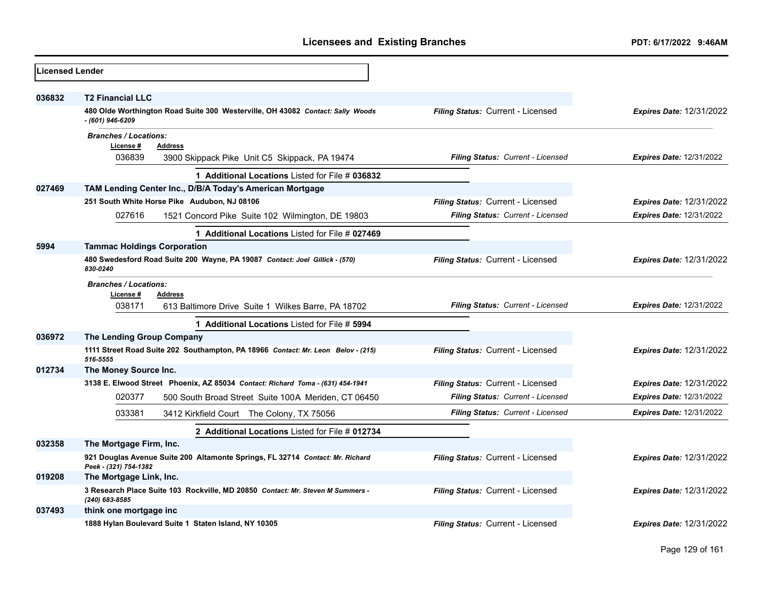| <b>Licensed Lender</b> |                                                                                                        |                                   |                                 |
|------------------------|--------------------------------------------------------------------------------------------------------|-----------------------------------|---------------------------------|
| 036832                 | <b>T2 Financial LLC</b>                                                                                |                                   |                                 |
|                        | 480 Olde Worthington Road Suite 300 Westerville, OH 43082 Contact: Sally Woods<br>- (601) 946-6209     | Filing Status: Current - Licensed | <b>Expires Date: 12/31/2022</b> |
|                        | <b>Branches / Locations:</b>                                                                           |                                   |                                 |
|                        | License #<br><b>Address</b><br>036839<br>3900 Skippack Pike Unit C5 Skippack, PA 19474                 | Filing Status: Current - Licensed | <b>Expires Date: 12/31/2022</b> |
|                        | 1 Additional Locations Listed for File # 036832                                                        |                                   |                                 |
| 027469                 | TAM Lending Center Inc., D/B/A Today's American Mortgage                                               |                                   |                                 |
|                        | 251 South White Horse Pike Audubon, NJ 08106                                                           | Filing Status: Current - Licensed | <b>Expires Date: 12/31/2022</b> |
|                        | 027616<br>1521 Concord Pike Suite 102 Wilmington, DE 19803                                             | Filing Status: Current - Licensed | <b>Expires Date: 12/31/2022</b> |
|                        | 1 Additional Locations Listed for File # 027469                                                        |                                   |                                 |
| 5994                   | <b>Tammac Holdings Corporation</b>                                                                     |                                   |                                 |
|                        | 480 Swedesford Road Suite 200 Wayne, PA 19087 Contact: Joel Gillick - (570)<br>830-0240                | Filing Status: Current - Licensed | <b>Expires Date: 12/31/2022</b> |
|                        | <b>Branches / Locations:</b>                                                                           |                                   |                                 |
|                        | License #<br><b>Address</b><br>038171<br>613 Baltimore Drive Suite 1 Wilkes Barre, PA 18702            | Filing Status: Current - Licensed | <b>Expires Date: 12/31/2022</b> |
|                        | 1 Additional Locations Listed for File # 5994                                                          |                                   |                                 |
| 036972                 | The Lending Group Company                                                                              |                                   |                                 |
|                        | 1111 Street Road Suite 202 Southampton, PA 18966 Contact: Mr. Leon Belov - (215)<br>516-5555           | Filing Status: Current - Licensed | <b>Expires Date: 12/31/2022</b> |
| 012734                 | The Money Source Inc.                                                                                  |                                   |                                 |
|                        | 3138 E. Elwood Street Phoenix, AZ 85034 Contact: Richard Toma - (631) 454-1941                         | Filing Status: Current - Licensed | <b>Expires Date: 12/31/2022</b> |
|                        | 020377<br>500 South Broad Street Suite 100A Meriden, CT 06450                                          | Filing Status: Current - Licensed | <b>Expires Date: 12/31/2022</b> |
|                        | 033381<br>3412 Kirkfield Court The Colony, TX 75056                                                    | Filing Status: Current - Licensed | <b>Expires Date: 12/31/2022</b> |
|                        | 2 Additional Locations Listed for File # 012734                                                        |                                   |                                 |
| 032358                 | The Mortgage Firm, Inc.                                                                                |                                   |                                 |
|                        | 921 Douglas Avenue Suite 200 Altamonte Springs, FL 32714 Contact: Mr. Richard<br>Peek - (321) 754-1382 | Filing Status: Current - Licensed | <b>Expires Date: 12/31/2022</b> |
| 019208                 | The Mortgage Link, Inc.                                                                                |                                   |                                 |
|                        | 3 Research Place Suite 103 Rockville, MD 20850 Contact: Mr. Steven M Summers -<br>(240) 683-8585       | Filing Status: Current - Licensed | <b>Expires Date: 12/31/2022</b> |
| 037493                 | think one mortgage inc                                                                                 |                                   |                                 |
|                        | 1888 Hylan Boulevard Suite 1 Staten Island, NY 10305                                                   | Filing Status: Current - Licensed | <b>Expires Date: 12/31/2022</b> |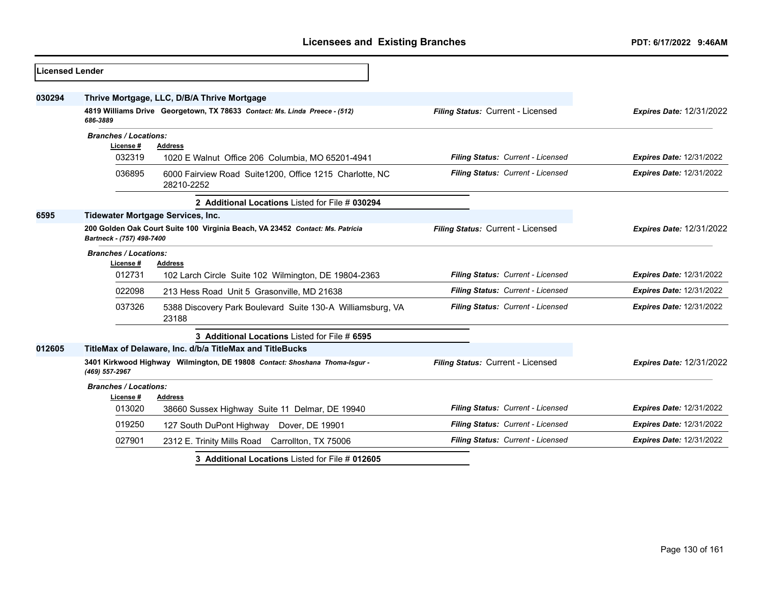| <b>Licensed Lender</b> |                                                                                                            |                                                                            |                                   |                                 |
|------------------------|------------------------------------------------------------------------------------------------------------|----------------------------------------------------------------------------|-----------------------------------|---------------------------------|
| 030294                 |                                                                                                            | Thrive Mortgage, LLC, D/B/A Thrive Mortgage                                |                                   |                                 |
|                        | 686-3889                                                                                                   | 4819 Williams Drive Georgetown, TX 78633 Contact: Ms. Linda Preece - (512) | Filing Status: Current - Licensed | <b>Expires Date: 12/31/2022</b> |
|                        | <b>Branches / Locations:</b><br>License #                                                                  | <b>Address</b>                                                             |                                   |                                 |
|                        | 032319                                                                                                     | 1020 E Walnut Office 206 Columbia, MO 65201-4941                           | Filing Status: Current - Licensed | <b>Expires Date: 12/31/2022</b> |
|                        | 036895                                                                                                     | 6000 Fairview Road Suite1200, Office 1215 Charlotte, NC<br>28210-2252      | Filing Status: Current - Licensed | <b>Expires Date: 12/31/2022</b> |
|                        |                                                                                                            | 2 Additional Locations Listed for File # 030294                            |                                   |                                 |
| 6595                   |                                                                                                            | Tidewater Mortgage Services, Inc.                                          |                                   |                                 |
|                        | 200 Golden Oak Court Suite 100 Virginia Beach, VA 23452 Contact: Ms. Patricia<br>Bartneck - (757) 498-7400 |                                                                            | Filing Status: Current - Licensed | <b>Expires Date: 12/31/2022</b> |
|                        | <b>Branches / Locations:</b><br>License #                                                                  | <b>Address</b>                                                             |                                   |                                 |
|                        | 012731                                                                                                     | 102 Larch Circle Suite 102 Wilmington, DE 19804-2363                       | Filing Status: Current - Licensed | <b>Expires Date: 12/31/2022</b> |
|                        | 022098                                                                                                     | 213 Hess Road Unit 5 Grasonville, MD 21638                                 | Filing Status: Current - Licensed | <b>Expires Date: 12/31/2022</b> |
|                        | 037326                                                                                                     | 5388 Discovery Park Boulevard Suite 130-A Williamsburg, VA<br>23188        | Filing Status: Current - Licensed | <b>Expires Date: 12/31/2022</b> |
|                        |                                                                                                            | 3 Additional Locations Listed for File # 6595                              |                                   |                                 |
| 012605                 |                                                                                                            | TitleMax of Delaware, Inc. d/b/a TitleMax and TitleBucks                   |                                   |                                 |
|                        | 3401 Kirkwood Highway Wilmington, DE 19808 Contact: Shoshana Thoma-Isgur -<br>(469) 557-2967               |                                                                            | Filing Status: Current - Licensed | <b>Expires Date: 12/31/2022</b> |
|                        | <b>Branches / Locations:</b><br>License #                                                                  | <b>Address</b>                                                             |                                   |                                 |
|                        | 013020                                                                                                     | 38660 Sussex Highway Suite 11 Delmar, DE 19940                             | Filing Status: Current - Licensed | <b>Expires Date: 12/31/2022</b> |
|                        | 019250                                                                                                     | 127 South DuPont Highway<br>Dover, DE 19901                                | Filing Status: Current - Licensed | <b>Expires Date: 12/31/2022</b> |
|                        | 027901                                                                                                     | 2312 E. Trinity Mills Road Carrollton, TX 75006                            | Filing Status: Current - Licensed | <b>Expires Date: 12/31/2022</b> |
|                        |                                                                                                            | 3 Additional Locations Listed for File # 012605                            |                                   |                                 |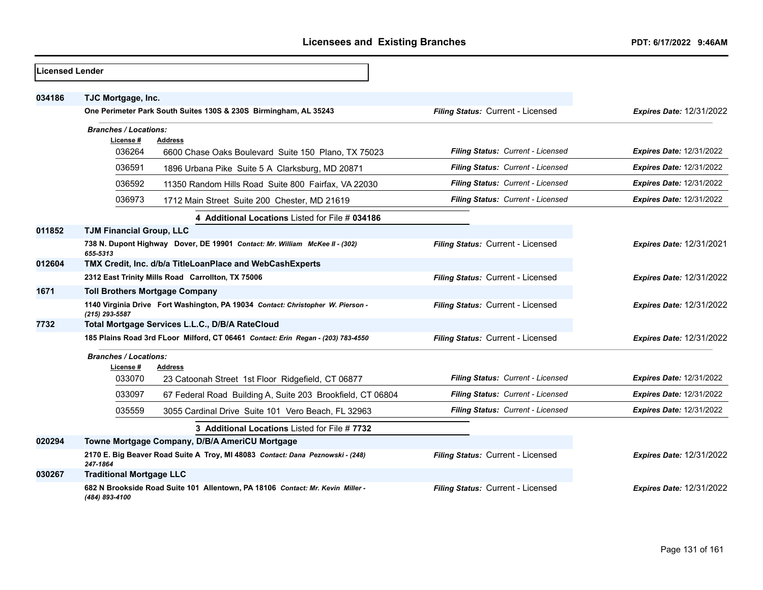| Licensed Lender |                                                                                                               |                                   |                                 |
|-----------------|---------------------------------------------------------------------------------------------------------------|-----------------------------------|---------------------------------|
| 034186          | TJC Mortgage, Inc.<br>One Perimeter Park South Suites 130S & 230S Birmingham, AL 35243                        | Filing Status: Current - Licensed | <b>Expires Date: 12/31/2022</b> |
|                 | <b>Branches / Locations:</b><br>License#<br><b>Address</b><br>036264                                          | Filing Status: Current - Licensed | <b>Expires Date: 12/31/2022</b> |
|                 | 6600 Chase Oaks Boulevard Suite 150 Plano, TX 75023<br>036591                                                 | Filing Status: Current - Licensed | <b>Expires Date: 12/31/2022</b> |
|                 | 1896 Urbana Pike Suite 5 A Clarksburg, MD 20871<br>036592                                                     | Filing Status: Current - Licensed | <b>Expires Date: 12/31/2022</b> |
|                 | 11350 Random Hills Road Suite 800 Fairfax, VA 22030<br>036973<br>1712 Main Street Suite 200 Chester, MD 21619 | Filing Status: Current - Licensed | <b>Expires Date: 12/31/2022</b> |
|                 | 4 Additional Locations Listed for File # 034186                                                               |                                   |                                 |
| 011852          | <b>TJM Financial Group, LLC</b>                                                                               |                                   |                                 |
|                 | 738 N. Dupont Highway Dover, DE 19901 Contact: Mr. William McKee II - (302)<br>655-5313                       | Filing Status: Current - Licensed | <b>Expires Date: 12/31/2021</b> |
| 012604          | TMX Credit, Inc. d/b/a TitleLoanPlace and WebCashExperts                                                      |                                   |                                 |
|                 | 2312 East Trinity Mills Road Carrollton, TX 75006                                                             | Filing Status: Current - Licensed | <b>Expires Date: 12/31/2022</b> |
| 1671            | <b>Toll Brothers Mortgage Company</b>                                                                         |                                   |                                 |
|                 | 1140 Virginia Drive Fort Washington, PA 19034 Contact: Christopher W. Pierson -<br>(215) 293-5587             | Filing Status: Current - Licensed | <b>Expires Date: 12/31/2022</b> |
| 7732            | Total Mortgage Services L.L.C., D/B/A RateCloud                                                               |                                   |                                 |
|                 | 185 Plains Road 3rd FLoor Milford, CT 06461 Contact: Erin Regan - (203) 783-4550                              | Filing Status: Current - Licensed | <b>Expires Date: 12/31/2022</b> |
|                 | <b>Branches / Locations:</b><br>License#<br><b>Address</b>                                                    |                                   |                                 |
|                 | 033070<br>23 Catoonah Street 1st Floor Ridgefield, CT 06877                                                   | Filing Status: Current - Licensed | <b>Expires Date: 12/31/2022</b> |
|                 | 033097<br>67 Federal Road Building A, Suite 203 Brookfield, CT 06804                                          | Filing Status: Current - Licensed | <b>Expires Date: 12/31/2022</b> |
|                 | 035559<br>3055 Cardinal Drive Suite 101 Vero Beach, FL 32963                                                  | Filing Status: Current - Licensed | <b>Expires Date: 12/31/2022</b> |
|                 | 3 Additional Locations Listed for File #7732                                                                  |                                   |                                 |
| 020294          | Towne Mortgage Company, D/B/A AmeriCU Mortgage                                                                |                                   |                                 |
|                 | 2170 E. Big Beaver Road Suite A Troy, MI 48083 Contact: Dana Peznowski - (248)<br>247-1864                    | Filing Status: Current - Licensed | <b>Expires Date: 12/31/2022</b> |
| 030267          | <b>Traditional Mortgage LLC</b>                                                                               |                                   |                                 |
|                 | 682 N Brookside Road Suite 101 Allentown, PA 18106 Contact: Mr. Kevin Miller -<br>(484) 893-4100              | Filing Status: Current - Licensed | <b>Expires Date: 12/31/2022</b> |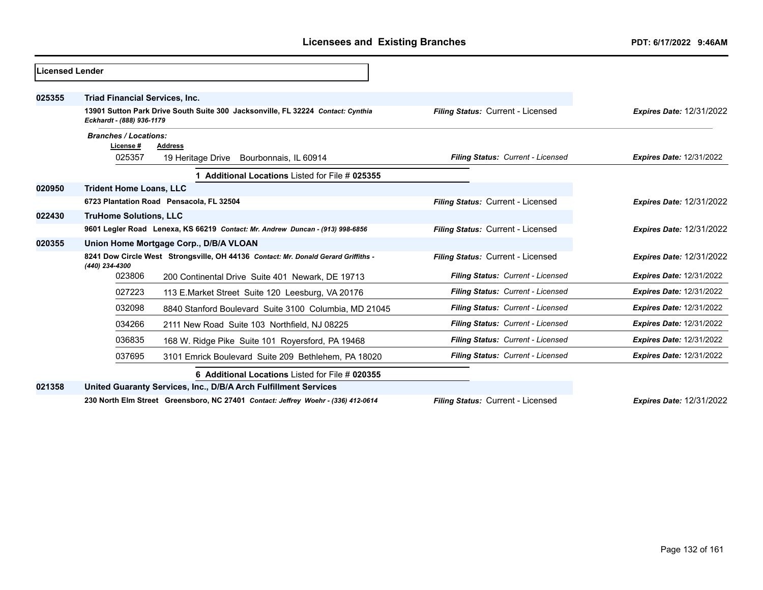| Licensed Lender |                                                                                                              |                                   |                                 |
|-----------------|--------------------------------------------------------------------------------------------------------------|-----------------------------------|---------------------------------|
| 025355          | <b>Triad Financial Services, Inc.</b>                                                                        |                                   |                                 |
|                 | 13901 Sutton Park Drive South Suite 300 Jacksonville, FL 32224 Contact: Cynthia<br>Eckhardt - (888) 936-1179 | Filing Status: Current - Licensed | <b>Expires Date: 12/31/2022</b> |
|                 | <b>Branches / Locations:</b><br>License #<br>Address                                                         |                                   |                                 |
|                 | 025357<br>19 Heritage Drive Bourbonnais, IL 60914                                                            | Filing Status: Current - Licensed | <b>Expires Date: 12/31/2022</b> |
|                 | 1 Additional Locations Listed for File # 025355                                                              |                                   |                                 |
| 020950          | <b>Trident Home Loans, LLC</b>                                                                               |                                   |                                 |
|                 | 6723 Plantation Road Pensacola, FL 32504                                                                     | Filing Status: Current - Licensed | <b>Expires Date: 12/31/2022</b> |
| 022430          | <b>TruHome Solutions, LLC</b>                                                                                |                                   |                                 |
|                 | 9601 Legler Road Lenexa, KS 66219 Contact: Mr. Andrew Duncan - (913) 998-6856                                | Filing Status: Current - Licensed | <b>Expires Date: 12/31/2022</b> |
| 020355          | Union Home Mortgage Corp., D/B/A VLOAN                                                                       |                                   |                                 |
|                 | 8241 Dow Circle West Strongsville, OH 44136 Contact: Mr. Donald Gerard Griffiths -<br>(440) 234-4300         | Filing Status: Current - Licensed | <b>Expires Date: 12/31/2022</b> |
|                 | 023806<br>200 Continental Drive Suite 401 Newark, DE 19713                                                   | Filing Status: Current - Licensed | <b>Expires Date: 12/31/2022</b> |
|                 | 027223<br>113 E.Market Street Suite 120 Leesburg, VA 20176                                                   | Filing Status: Current - Licensed | <b>Expires Date: 12/31/2022</b> |
|                 | 032098<br>8840 Stanford Boulevard Suite 3100 Columbia, MD 21045                                              | Filing Status: Current - Licensed | <b>Expires Date: 12/31/2022</b> |
|                 | 034266<br>2111 New Road Suite 103 Northfield, NJ 08225                                                       | Filing Status: Current - Licensed | <b>Expires Date: 12/31/2022</b> |
|                 | 036835<br>168 W. Ridge Pike Suite 101 Royersford, PA 19468                                                   | Filing Status: Current - Licensed | <b>Expires Date: 12/31/2022</b> |
|                 | 037695<br>3101 Emrick Boulevard Suite 209 Bethlehem, PA 18020                                                | Filing Status: Current - Licensed | <b>Expires Date: 12/31/2022</b> |
|                 | 6 Additional Locations Listed for File # 020355                                                              |                                   |                                 |
| 021358          | United Guaranty Services, Inc., D/B/A Arch Fulfillment Services                                              |                                   |                                 |
|                 | 230 North Elm Street Greensboro, NC 27401 Contact: Jeffrey Woehr - (336) 412-0614                            | Filing Status: Current - Licensed | <b>Expires Date: 12/31/2022</b> |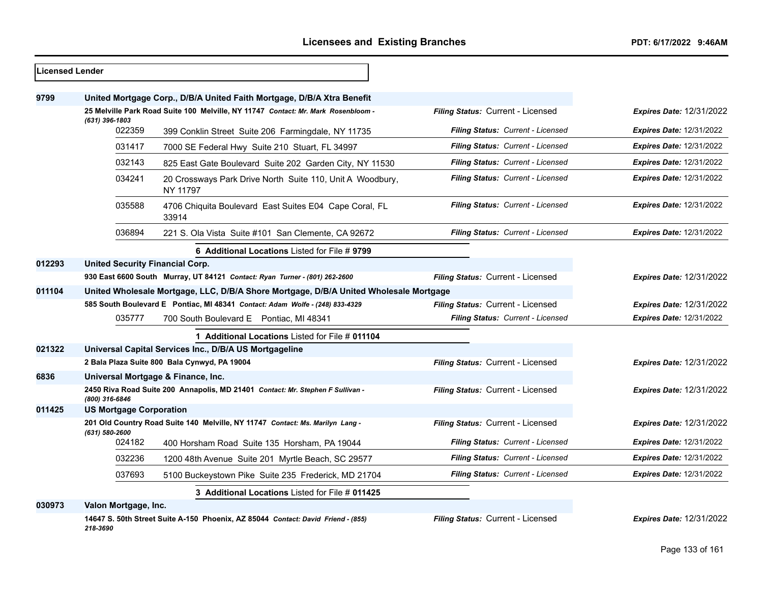| Licensed Lender |                                                                                       |                                                                                   |                                   |                                 |
|-----------------|---------------------------------------------------------------------------------------|-----------------------------------------------------------------------------------|-----------------------------------|---------------------------------|
| 9799            |                                                                                       | United Mortgage Corp., D/B/A United Faith Mortgage, D/B/A Xtra Benefit            |                                   |                                 |
|                 |                                                                                       | 25 Melville Park Road Suite 100 Melville, NY 11747 Contact: Mr. Mark Rosenbloom - | Filing Status: Current - Licensed | <b>Expires Date: 12/31/2022</b> |
|                 | $(631)$ 396-1803<br>022359                                                            | 399 Conklin Street Suite 206 Farmingdale, NY 11735                                | Filing Status: Current - Licensed | <b>Expires Date: 12/31/2022</b> |
|                 | 031417                                                                                | 7000 SE Federal Hwy Suite 210 Stuart, FL 34997                                    | Filing Status: Current - Licensed | <b>Expires Date: 12/31/2022</b> |
|                 | 032143                                                                                | 825 East Gate Boulevard Suite 202 Garden City, NY 11530                           | Filing Status: Current - Licensed | <b>Expires Date: 12/31/2022</b> |
|                 | 034241                                                                                | 20 Crossways Park Drive North Suite 110, Unit A Woodbury,<br>NY 11797             | Filing Status: Current - Licensed | <b>Expires Date: 12/31/2022</b> |
|                 | 035588                                                                                | 4706 Chiquita Boulevard East Suites E04 Cape Coral, FL<br>33914                   | Filing Status: Current - Licensed | <b>Expires Date: 12/31/2022</b> |
|                 | 036894                                                                                | 221 S. Ola Vista Suite #101 San Clemente, CA 92672                                | Filing Status: Current - Licensed | <b>Expires Date: 12/31/2022</b> |
|                 |                                                                                       | 6 Additional Locations Listed for File # 9799                                     |                                   |                                 |
| 012293          | <b>United Security Financial Corp.</b>                                                |                                                                                   |                                   |                                 |
|                 |                                                                                       | 930 East 6600 South Murray, UT 84121 Contact: Ryan Turner - (801) 262-2600        | Filing Status: Current - Licensed | <b>Expires Date: 12/31/2022</b> |
| 011104          | United Wholesale Mortgage, LLC, D/B/A Shore Mortgage, D/B/A United Wholesale Mortgage |                                                                                   |                                   |                                 |
|                 |                                                                                       | 585 South Boulevard E Pontiac, MI 48341 Contact: Adam Wolfe - (248) 833-4329      | Filing Status: Current - Licensed | <b>Expires Date: 12/31/2022</b> |
|                 | 035777                                                                                | 700 South Boulevard E Pontiac, MI 48341                                           | Filing Status: Current - Licensed | <b>Expires Date: 12/31/2022</b> |
|                 |                                                                                       | 1 Additional Locations Listed for File # 011104                                   |                                   |                                 |
| 021322          |                                                                                       | Universal Capital Services Inc., D/B/A US Mortgageline                            |                                   |                                 |
|                 |                                                                                       | 2 Bala Plaza Suite 800 Bala Cynwyd, PA 19004                                      | Filing Status: Current - Licensed | <b>Expires Date: 12/31/2022</b> |
| 6836            |                                                                                       | Universal Mortgage & Finance, Inc.                                                |                                   |                                 |
|                 | (800) 316-6846                                                                        | 2450 Riva Road Suite 200 Annapolis, MD 21401 Contact: Mr. Stephen F Sullivan -    | Filing Status: Current - Licensed | Expires Date: 12/31/2022        |
| 011425          | <b>US Mortgage Corporation</b>                                                        |                                                                                   |                                   |                                 |
|                 | (631) 580-2600                                                                        | 201 Old Country Road Suite 140 Melville, NY 11747 Contact: Ms. Marilyn Lang -     | Filing Status: Current - Licensed | <b>Expires Date: 12/31/2022</b> |
|                 | 024182                                                                                | 400 Horsham Road Suite 135 Horsham, PA 19044                                      | Filing Status: Current - Licensed | <b>Expires Date: 12/31/2022</b> |
|                 | 032236                                                                                | 1200 48th Avenue Suite 201 Myrtle Beach, SC 29577                                 | Filing Status: Current - Licensed | <b>Expires Date: 12/31/2022</b> |
|                 | 037693                                                                                | 5100 Buckeystown Pike Suite 235 Frederick, MD 21704                               | Filing Status: Current - Licensed | <b>Expires Date: 12/31/2022</b> |
|                 |                                                                                       | 3 Additional Locations Listed for File # 011425                                   |                                   |                                 |
| 030973          | Valon Mortgage, Inc.                                                                  |                                                                                   |                                   |                                 |

**14647 S. 50th Street Suite A-150 Phoenix, AZ 85044** *Contact: David Friend - (855) 218-3690*

*Filing Status:* Current - Licensed *Expires Date:* 12/31/2022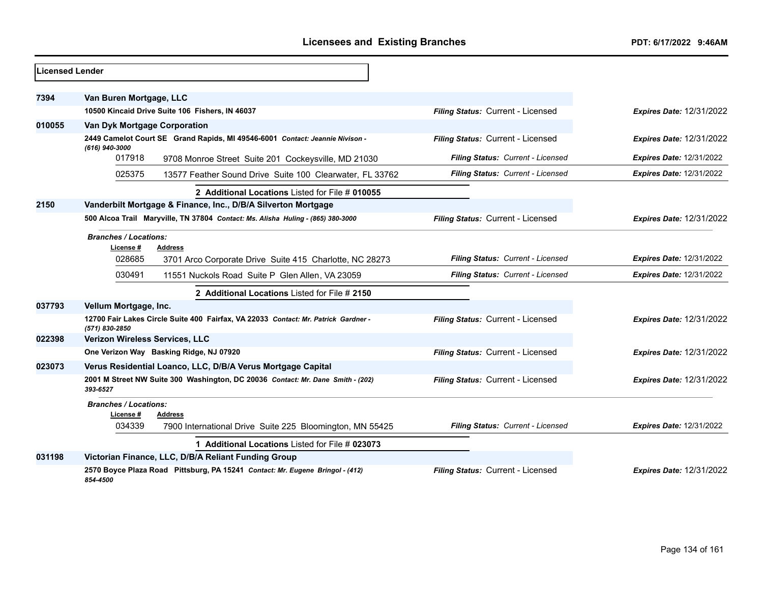| <b>Licensed Lender</b> |                                                               |                                                                                    |                                   |                                 |
|------------------------|---------------------------------------------------------------|------------------------------------------------------------------------------------|-----------------------------------|---------------------------------|
|                        |                                                               |                                                                                    |                                   |                                 |
| 7394                   | Van Buren Mortgage, LLC                                       |                                                                                    |                                   |                                 |
|                        | 10500 Kincaid Drive Suite 106 Fishers, IN 46037               |                                                                                    | Filing Status: Current - Licensed | <b>Expires Date: 12/31/2022</b> |
| 010055                 | Van Dyk Mortgage Corporation                                  |                                                                                    |                                   |                                 |
|                        | (616) 940-3000                                                | 2449 Camelot Court SE Grand Rapids, MI 49546-6001 Contact: Jeannie Nivison -       | Filing Status: Current - Licensed | <b>Expires Date: 12/31/2022</b> |
|                        | 017918                                                        | 9708 Monroe Street Suite 201 Cockeysville, MD 21030                                | Filing Status: Current - Licensed | <b>Expires Date: 12/31/2022</b> |
|                        | 025375                                                        | 13577 Feather Sound Drive Suite 100 Clearwater, FL 33762                           | Filing Status: Current - Licensed | <b>Expires Date: 12/31/2022</b> |
|                        |                                                               | 2 Additional Locations Listed for File # 010055                                    |                                   |                                 |
| 2150                   | Vanderbilt Mortgage & Finance, Inc., D/B/A Silverton Mortgage |                                                                                    |                                   |                                 |
|                        |                                                               | 500 Alcoa Trail Maryville, TN 37804 Contact: Ms. Alisha Huling - (865) 380-3000    | Filing Status: Current - Licensed | <b>Expires Date: 12/31/2022</b> |
|                        | <b>Branches / Locations:</b><br>License #<br><b>Address</b>   |                                                                                    |                                   |                                 |
|                        | 028685                                                        | 3701 Arco Corporate Drive Suite 415 Charlotte, NC 28273                            | Filing Status: Current - Licensed | <b>Expires Date: 12/31/2022</b> |
|                        | 030491                                                        | 11551 Nuckols Road Suite P Glen Allen, VA 23059                                    | Filing Status: Current - Licensed | <b>Expires Date: 12/31/2022</b> |
|                        |                                                               | 2 Additional Locations Listed for File # 2150                                      |                                   |                                 |
| 037793                 | Vellum Mortgage, Inc.                                         |                                                                                    |                                   |                                 |
|                        | (571) 830-2850                                                | 12700 Fair Lakes Circle Suite 400 Fairfax, VA 22033 Contact: Mr. Patrick Gardner - | Filing Status: Current - Licensed | <b>Expires Date: 12/31/2022</b> |
| 022398                 | Verizon Wireless Services, LLC                                |                                                                                    |                                   |                                 |
|                        | One Verizon Way Basking Ridge, NJ 07920                       |                                                                                    | Filing Status: Current - Licensed | <b>Expires Date: 12/31/2022</b> |
| 023073                 | Verus Residential Loanco, LLC, D/B/A Verus Mortgage Capital   |                                                                                    |                                   |                                 |
|                        | 393-6527                                                      | 2001 M Street NW Suite 300 Washington, DC 20036 Contact: Mr. Dane Smith - (202)    | Filing Status: Current - Licensed | <b>Expires Date: 12/31/2022</b> |
|                        | <b>Branches / Locations:</b><br>License#<br><b>Address</b>    |                                                                                    |                                   |                                 |
|                        | 034339                                                        | 7900 International Drive Suite 225 Bloomington, MN 55425                           | Filing Status: Current - Licensed | <b>Expires Date: 12/31/2022</b> |
|                        |                                                               | 1 Additional Locations Listed for File # 023073                                    |                                   |                                 |
| 031198                 | Victorian Finance, LLC, D/B/A Reliant Funding Group           |                                                                                    |                                   |                                 |
|                        | 854-4500                                                      | 2570 Boyce Plaza Road Pittsburg, PA 15241 Contact: Mr. Eugene Bringol - (412)      | Filing Status: Current - Licensed | <b>Expires Date: 12/31/2022</b> |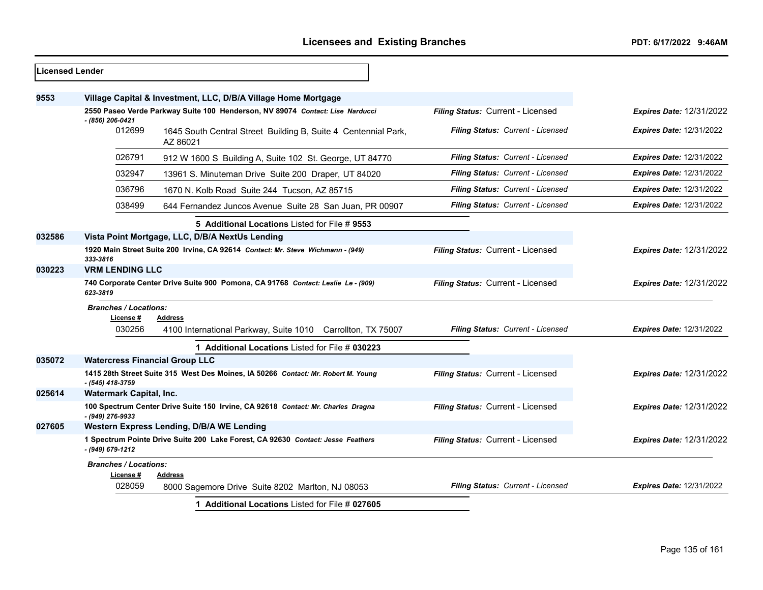| 9553     |                                                     | Village Capital & Investment, LLC, D/B/A Village Home Mortgage                    |                                   |                                 |
|----------|-----------------------------------------------------|-----------------------------------------------------------------------------------|-----------------------------------|---------------------------------|
|          |                                                     |                                                                                   |                                   |                                 |
|          |                                                     | 2550 Paseo Verde Parkway Suite 100 Henderson, NV 89074 Contact: Lise Narducci     | Filing Status: Current - Licensed | <b>Expires Date: 12/31/2022</b> |
|          | - (856) 206-0421<br>012699                          | 1645 South Central Street Building B, Suite 4 Centennial Park,<br>AZ 86021        | Filing Status: Current - Licensed | <b>Expires Date: 12/31/2022</b> |
|          | 026791                                              | 912 W 1600 S Building A, Suite 102 St. George, UT 84770                           | Filing Status: Current - Licensed | Expires Date: 12/31/2022        |
|          | 032947                                              | 13961 S. Minuteman Drive Suite 200 Draper, UT 84020                               | Filing Status: Current - Licensed | <b>Expires Date: 12/31/2022</b> |
|          | 036796                                              | 1670 N. Kolb Road Suite 244 Tucson, AZ 85715                                      | Filing Status: Current - Licensed | <b>Expires Date: 12/31/2022</b> |
|          | 038499                                              | 644 Fernandez Juncos Avenue Suite 28 San Juan, PR 00907                           | Filing Status: Current - Licensed | Expires Date: 12/31/2022        |
|          |                                                     | 5 Additional Locations Listed for File # 9553                                     |                                   |                                 |
| 032586   |                                                     | Vista Point Mortgage, LLC, D/B/A NextUs Lending                                   |                                   |                                 |
| 333-3816 |                                                     | 1920 Main Street Suite 200 Irvine, CA 92614 Contact: Mr. Steve Wichmann - (949)   | Filing Status: Current - Licensed | <b>Expires Date: 12/31/2022</b> |
| 030223   | <b>VRM LENDING LLC</b>                              |                                                                                   |                                   |                                 |
| 623-3819 |                                                     | 740 Corporate Center Drive Suite 900 Pomona, CA 91768 Contact: Leslie Le - (909)  | Filing Status: Current - Licensed | <b>Expires Date: 12/31/2022</b> |
|          | <b>Branches / Locations:</b><br>License #<br>030256 | <b>Address</b><br>4100 International Parkway, Suite 1010 Carrollton, TX 75007     | Filing Status: Current - Licensed | <b>Expires Date: 12/31/2022</b> |
|          |                                                     | 1 Additional Locations Listed for File # 030223                                   |                                   |                                 |
| 035072   |                                                     | <b>Watercress Financial Group LLC</b>                                             |                                   |                                 |
|          | - (545) 418-3759                                    | 1415 28th Street Suite 315 West Des Moines, IA 50266 Contact: Mr. Robert M. Young | Filing Status: Current - Licensed | <b>Expires Date: 12/31/2022</b> |
| 025614   | <b>Watermark Capital, Inc.</b>                      |                                                                                   |                                   |                                 |
|          | - (949) 276-9933                                    | 100 Spectrum Center Drive Suite 150 Irvine, CA 92618 Contact: Mr. Charles Dragna  | Filing Status: Current - Licensed | <b>Expires Date: 12/31/2022</b> |
| 027605   |                                                     | Western Express Lending, D/B/A WE Lending                                         |                                   |                                 |
|          | - (949) 679-1212                                    | 1 Spectrum Pointe Drive Suite 200 Lake Forest, CA 92630 Contact: Jesse Feathers   | Filing Status: Current - Licensed | Expires Date: 12/31/2022        |
|          | <b>Branches / Locations:</b>                        |                                                                                   |                                   |                                 |
|          | License #<br>028059                                 | <b>Address</b><br>8000 Sagemore Drive Suite 8202 Marlton, NJ 08053                | Filing Status: Current - Licensed | <b>Expires Date: 12/31/2022</b> |
|          |                                                     | 1 Additional Locations Listed for File # 027605                                   |                                   |                                 |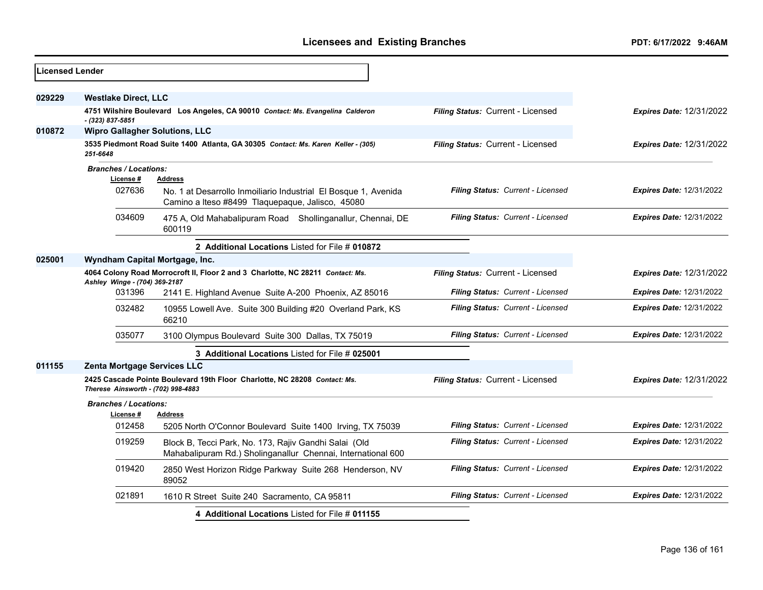| <b>Licensed Lender</b> |                                                                                                                 |                                                                                                                       |                                   |                                 |
|------------------------|-----------------------------------------------------------------------------------------------------------------|-----------------------------------------------------------------------------------------------------------------------|-----------------------------------|---------------------------------|
| 029229                 | <b>Westlake Direct, LLC</b>                                                                                     |                                                                                                                       |                                   |                                 |
|                        | - (323) 837-5851                                                                                                | 4751 Wilshire Boulevard Los Angeles, CA 90010 Contact: Ms. Evangelina Calderon                                        | Filing Status: Current - Licensed | <b>Expires Date: 12/31/2022</b> |
| 010872                 | <b>Wipro Gallagher Solutions, LLC</b>                                                                           |                                                                                                                       |                                   |                                 |
|                        | 251-6648                                                                                                        | 3535 Piedmont Road Suite 1400 Atlanta, GA 30305 Contact: Ms. Karen Keller - (305)                                     | Filing Status: Current - Licensed | <b>Expires Date: 12/31/2022</b> |
|                        | <b>Branches / Locations:</b>                                                                                    |                                                                                                                       |                                   |                                 |
|                        | License #                                                                                                       | <b>Address</b>                                                                                                        |                                   |                                 |
|                        | 027636                                                                                                          | No. 1 at Desarrollo Inmoiliario Industrial El Bosque 1, Avenida<br>Camino a Iteso #8499 Tlaquepaque, Jalisco, 45080   | Filing Status: Current - Licensed | <b>Expires Date: 12/31/2022</b> |
|                        | 034609                                                                                                          | 475 A, Old Mahabalipuram Road Shollinganallur, Chennai, DE<br>600119                                                  | Filing Status: Current - Licensed | <b>Expires Date: 12/31/2022</b> |
|                        |                                                                                                                 | 2 Additional Locations Listed for File # 010872                                                                       |                                   |                                 |
| 025001                 | Wyndham Capital Mortgage, Inc.                                                                                  |                                                                                                                       |                                   |                                 |
|                        | 4064 Colony Road Morrocroft II, Floor 2 and 3 Charlotte, NC 28211 Contact: Ms.<br>Ashley Winge - (704) 369-2187 |                                                                                                                       | Filing Status: Current - Licensed | <b>Expires Date: 12/31/2022</b> |
|                        | 031396                                                                                                          | 2141 E. Highland Avenue Suite A-200 Phoenix, AZ 85016                                                                 | Filing Status: Current - Licensed | <b>Expires Date: 12/31/2022</b> |
|                        | 032482                                                                                                          | 10955 Lowell Ave. Suite 300 Building #20 Overland Park, KS<br>66210                                                   | Filing Status: Current - Licensed | <b>Expires Date: 12/31/2022</b> |
|                        | 035077                                                                                                          | 3100 Olympus Boulevard Suite 300 Dallas, TX 75019                                                                     | Filing Status: Current - Licensed | <b>Expires Date: 12/31/2022</b> |
|                        |                                                                                                                 | 3 Additional Locations Listed for File # 025001                                                                       |                                   |                                 |
| 011155                 | Zenta Mortgage Services LLC                                                                                     |                                                                                                                       |                                   |                                 |
|                        | Therese Ainsworth - (702) 998-4883                                                                              | 2425 Cascade Pointe Boulevard 19th Floor Charlotte, NC 28208 Contact: Ms.                                             | Filing Status: Current - Licensed | <b>Expires Date: 12/31/2022</b> |
|                        | <b>Branches / Locations:</b>                                                                                    |                                                                                                                       |                                   |                                 |
|                        | License #                                                                                                       | <b>Address</b>                                                                                                        |                                   |                                 |
|                        | 012458                                                                                                          | 5205 North O'Connor Boulevard Suite 1400 Irving, TX 75039                                                             | Filing Status: Current - Licensed | <b>Expires Date: 12/31/2022</b> |
|                        | 019259                                                                                                          | Block B, Tecci Park, No. 173, Rajiv Gandhi Salai (Old<br>Mahabalipuram Rd.) Sholinganallur Chennai, International 600 | Filing Status: Current - Licensed | <b>Expires Date: 12/31/2022</b> |
|                        | 019420                                                                                                          | 2850 West Horizon Ridge Parkway Suite 268 Henderson, NV<br>89052                                                      | Filing Status: Current - Licensed | <b>Expires Date: 12/31/2022</b> |
|                        | 021891                                                                                                          | 1610 R Street Suite 240 Sacramento, CA 95811                                                                          | Filing Status: Current - Licensed | Expires Date: 12/31/2022        |
|                        |                                                                                                                 | 4 Additional Locations Listed for File # 011155                                                                       |                                   |                                 |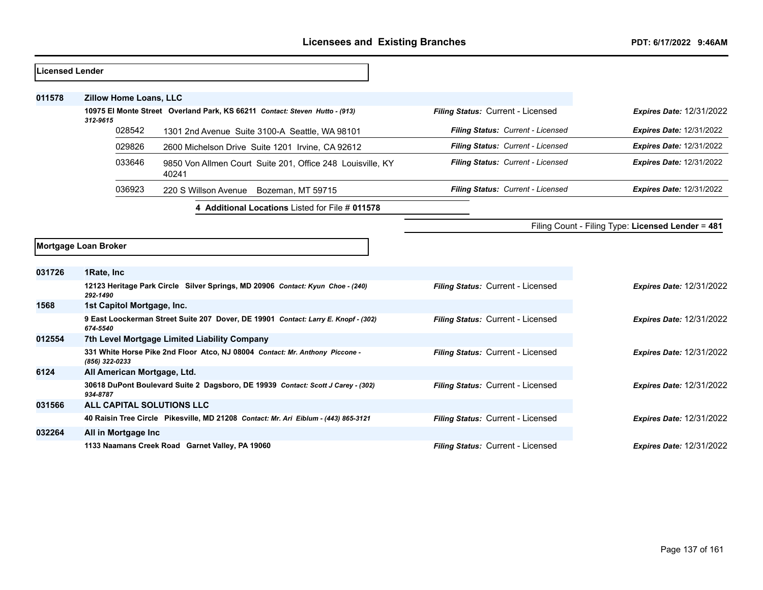| Licensed Lender |                               |                                                                                     |                                   |                                                   |
|-----------------|-------------------------------|-------------------------------------------------------------------------------------|-----------------------------------|---------------------------------------------------|
|                 |                               |                                                                                     |                                   |                                                   |
| 011578          | <b>Zillow Home Loans, LLC</b> |                                                                                     |                                   |                                                   |
|                 | 312-9615                      | 10975 El Monte Street Overland Park, KS 66211 Contact: Steven Hutto - (913)         | Filing Status: Current - Licensed | <b>Expires Date: 12/31/2022</b>                   |
|                 | 028542                        | 1301 2nd Avenue Suite 3100-A Seattle, WA 98101                                      | Filing Status: Current - Licensed | <b>Expires Date: 12/31/2022</b>                   |
|                 | 029826                        | 2600 Michelson Drive Suite 1201 Irvine, CA 92612                                    | Filing Status: Current - Licensed | <b>Expires Date: 12/31/2022</b>                   |
|                 | 033646                        | 9850 Von Allmen Court Suite 201, Office 248 Louisville, KY<br>40241                 | Filing Status: Current - Licensed | <b>Expires Date: 12/31/2022</b>                   |
|                 | 036923                        | 220 S Willson Avenue Bozeman, MT 59715                                              | Filing Status: Current - Licensed | <b>Expires Date: 12/31/2022</b>                   |
|                 |                               | Additional Locations Listed for File # 011578                                       |                                   |                                                   |
|                 |                               |                                                                                     |                                   | Filing Count - Filing Type: Licensed Lender = 481 |
|                 | Mortgage Loan Broker          |                                                                                     |                                   |                                                   |
| 031726          | 1Rate, Inc.                   |                                                                                     |                                   |                                                   |
|                 | 292-1490                      | 12123 Heritage Park Circle Silver Springs, MD 20906 Contact: Kyun Choe - (240)      | Filing Status: Current - Licensed | <b>Expires Date: 12/31/2022</b>                   |
| 1568            | 1st Capitol Mortgage, Inc.    |                                                                                     |                                   |                                                   |
|                 | 674-5540                      | 9 East Loockerman Street Suite 207 Dover, DE 19901 Contact: Larry E. Knopf - (302)  | Filing Status: Current - Licensed | <b>Expires Date: 12/31/2022</b>                   |
| 012554          |                               | 7th Level Mortgage Limited Liability Company                                        |                                   |                                                   |
|                 | (856) 322-0233                | 331 White Horse Pike 2nd Floor Atco, NJ 08004 Contact: Mr. Anthony Piccone -        | Filing Status: Current - Licensed | Expires Date: 12/31/2022                          |
| 6124            | All American Mortgage, Ltd.   |                                                                                     |                                   |                                                   |
|                 | 934-8787                      | 30618 DuPont Boulevard Suite 2 Dagsboro, DE 19939 Contact: Scott J Carey - (302)    | Filing Status: Current - Licensed | <b>Expires Date: 12/31/2022</b>                   |
| 031566          | ALL CAPITAL SOLUTIONS LLC     |                                                                                     |                                   |                                                   |
|                 |                               | 40 Raisin Tree Circle Pikesville, MD 21208 Contact: Mr. Ari Eiblum - (443) 865-3121 | Filing Status: Current - Licensed | <b>Expires Date: 12/31/2022</b>                   |
| 032264          | All in Mortgage Inc           |                                                                                     |                                   |                                                   |
|                 |                               | 1133 Naamans Creek Road Garnet Valley, PA 19060                                     | Filing Status: Current - Licensed | <b>Expires Date: 12/31/2022</b>                   |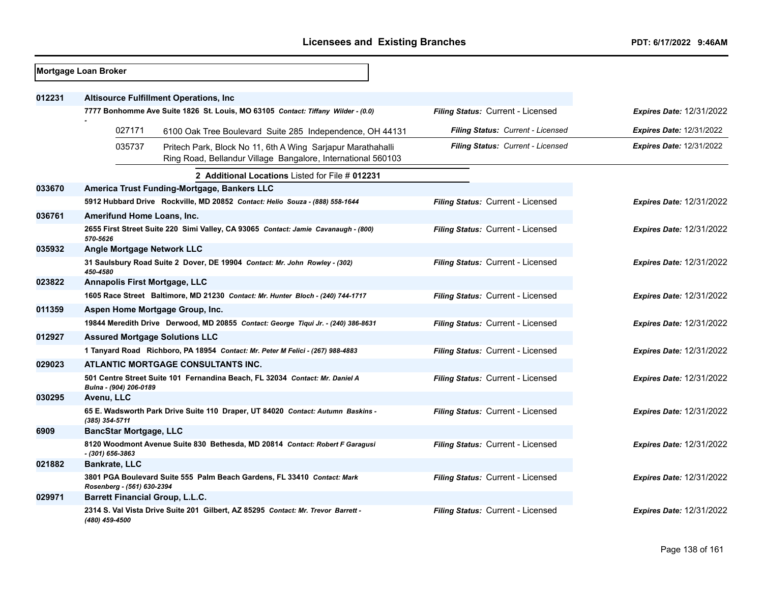|        | Mortgage Loan Broker                   |                                                                                                                             |                                   |                                 |
|--------|----------------------------------------|-----------------------------------------------------------------------------------------------------------------------------|-----------------------------------|---------------------------------|
| 012231 |                                        | <b>Altisource Fulfillment Operations, Inc.</b>                                                                              |                                   |                                 |
|        |                                        | 7777 Bonhomme Ave Suite 1826 St. Louis, MO 63105 Contact: Tiffany Wilder - (0.0)                                            | Filing Status: Current - Licensed | <b>Expires Date: 12/31/2022</b> |
|        | 027171                                 | 6100 Oak Tree Boulevard Suite 285 Independence, OH 44131                                                                    | Filing Status: Current - Licensed | <b>Expires Date: 12/31/2022</b> |
|        | 035737                                 | Pritech Park, Block No 11, 6th A Wing Sarjapur Marathahalli<br>Ring Road, Bellandur Village Bangalore, International 560103 | Filing Status: Current - Licensed | <b>Expires Date: 12/31/2022</b> |
|        |                                        | 2 Additional Locations Listed for File # 012231                                                                             |                                   |                                 |
| 033670 |                                        | America Trust Funding-Mortgage, Bankers LLC                                                                                 |                                   |                                 |
|        |                                        | 5912 Hubbard Drive Rockville, MD 20852 Contact: Helio Souza - (888) 558-1644                                                | Filing Status: Current - Licensed | <b>Expires Date: 12/31/2022</b> |
| 036761 | Amerifund Home Loans, Inc.             |                                                                                                                             |                                   |                                 |
|        | 570-5626                               | 2655 First Street Suite 220 Simi Valley, CA 93065 Contact: Jamie Cavanaugh - (800)                                          | Filing Status: Current - Licensed | <b>Expires Date: 12/31/2022</b> |
| 035932 | <b>Angle Mortgage Network LLC</b>      |                                                                                                                             |                                   |                                 |
|        | 450-4580                               | 31 Saulsbury Road Suite 2 Dover, DE 19904 Contact: Mr. John Rowley - (302)                                                  | Filing Status: Current - Licensed | <b>Expires Date: 12/31/2022</b> |
| 023822 | <b>Annapolis First Mortgage, LLC</b>   |                                                                                                                             |                                   |                                 |
|        |                                        | 1605 Race Street Baltimore, MD 21230 Contact: Mr. Hunter Bloch - (240) 744-1717                                             | Filing Status: Current - Licensed | <b>Expires Date: 12/31/2022</b> |
| 011359 |                                        | Aspen Home Mortgage Group, Inc.                                                                                             |                                   |                                 |
|        |                                        | 19844 Meredith Drive Derwood, MD 20855 Contact: George Tiqui Jr. - (240) 386-8631                                           | Filing Status: Current - Licensed | <b>Expires Date: 12/31/2022</b> |
| 012927 | <b>Assured Mortgage Solutions LLC</b>  |                                                                                                                             |                                   |                                 |
|        |                                        | 1 Tanyard Road Richboro, PA 18954 Contact: Mr. Peter M Felici - (267) 988-4883                                              | Filing Status: Current - Licensed | <b>Expires Date: 12/31/2022</b> |
| 029023 |                                        | ATLANTIC MORTGAGE CONSULTANTS INC.                                                                                          |                                   |                                 |
|        | Bulna - (904) 206-0189                 | 501 Centre Street Suite 101 Fernandina Beach, FL 32034 Contact: Mr. Daniel A                                                | Filing Status: Current - Licensed | <b>Expires Date: 12/31/2022</b> |
| 030295 | Avenu, LLC                             |                                                                                                                             |                                   |                                 |
|        | (385) 354-5711                         | 65 E. Wadsworth Park Drive Suite 110 Draper, UT 84020 Contact: Autumn Baskins -                                             | Filing Status: Current - Licensed | <b>Expires Date: 12/31/2022</b> |
| 6909   | <b>BancStar Mortgage, LLC</b>          |                                                                                                                             |                                   |                                 |
|        | $-$ (301) 656-3863                     | 8120 Woodmont Avenue Suite 830 Bethesda, MD 20814 Contact: Robert F Garagusi                                                | Filing Status: Current - Licensed | <b>Expires Date: 12/31/2022</b> |
| 021882 | <b>Bankrate, LLC</b>                   |                                                                                                                             |                                   |                                 |
|        | Rosenberg - (561) 630-2394             | 3801 PGA Boulevard Suite 555 Palm Beach Gardens, FL 33410 Contact: Mark                                                     | Filing Status: Current - Licensed | <b>Expires Date: 12/31/2022</b> |
| 029971 | <b>Barrett Financial Group, L.L.C.</b> |                                                                                                                             |                                   |                                 |
|        | (480) 459-4500                         | 2314 S. Val Vista Drive Suite 201 Gilbert, AZ 85295 Contact: Mr. Trevor Barrett -                                           | Filing Status: Current - Licensed | <b>Expires Date: 12/31/2022</b> |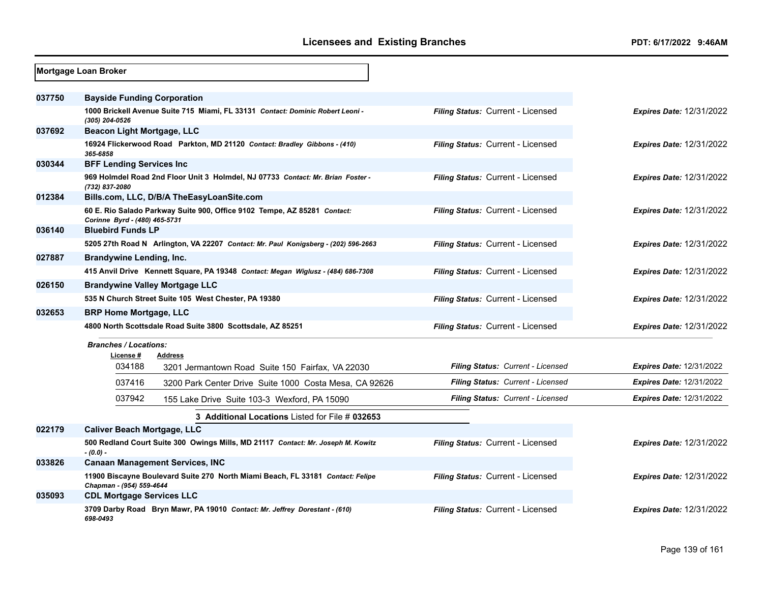|        | Mortgage Loan Broker               |                                                                                    |                                   |                                 |
|--------|------------------------------------|------------------------------------------------------------------------------------|-----------------------------------|---------------------------------|
| 037750 | <b>Bayside Funding Corporation</b> |                                                                                    |                                   |                                 |
|        | (305) 204-0526                     | 1000 Brickell Avenue Suite 715 Miami, FL 33131 Contact: Dominic Robert Leoni -     | Filing Status: Current - Licensed | <b>Expires Date: 12/31/2022</b> |
| 037692 | <b>Beacon Light Mortgage, LLC</b>  |                                                                                    |                                   |                                 |
|        | 365-6858                           | 16924 Flickerwood Road Parkton, MD 21120 Contact: Bradley Gibbons - (410)          | Filing Status: Current - Licensed | <b>Expires Date: 12/31/2022</b> |
| 030344 | <b>BFF Lending Services Inc</b>    |                                                                                    |                                   |                                 |
|        | (732) 837-2080                     | 969 Holmdel Road 2nd Floor Unit 3 Holmdel, NJ 07733 Contact: Mr. Brian Foster -    | Filing Status: Current - Licensed | <b>Expires Date: 12/31/2022</b> |
| 012384 |                                    | Bills.com, LLC, D/B/A TheEasyLoanSite.com                                          |                                   |                                 |
|        | Corinne Byrd - (480) 465-5731      | 60 E. Rio Salado Parkway Suite 900, Office 9102 Tempe, AZ 85281 Contact:           | Filing Status: Current - Licensed | <b>Expires Date: 12/31/2022</b> |
| 036140 | <b>Bluebird Funds LP</b>           |                                                                                    |                                   |                                 |
|        |                                    | 5205 27th Road N Arlington, VA 22207 Contact: Mr. Paul Konigsberg - (202) 596-2663 | Filing Status: Current - Licensed | <b>Expires Date: 12/31/2022</b> |
| 027887 | <b>Brandywine Lending, Inc.</b>    |                                                                                    |                                   |                                 |
|        |                                    | 415 Anvil Drive Kennett Square, PA 19348 Contact: Megan Wiglusz - (484) 686-7308   | Filing Status: Current - Licensed | <b>Expires Date: 12/31/2022</b> |
| 026150 |                                    | <b>Brandywine Valley Mortgage LLC</b>                                              |                                   |                                 |
|        |                                    | 535 N Church Street Suite 105 West Chester, PA 19380                               | Filing Status: Current - Licensed | <b>Expires Date: 12/31/2022</b> |
| 032653 | <b>BRP Home Mortgage, LLC</b>      |                                                                                    |                                   |                                 |
|        |                                    | 4800 North Scottsdale Road Suite 3800 Scottsdale, AZ 85251                         | Filing Status: Current - Licensed | <b>Expires Date: 12/31/2022</b> |
|        | <b>Branches / Locations:</b>       |                                                                                    |                                   |                                 |
|        | License#<br>034188                 | <b>Address</b>                                                                     | Filing Status: Current - Licensed | <b>Expires Date: 12/31/2022</b> |
|        |                                    | 3201 Jermantown Road Suite 150 Fairfax, VA 22030                                   |                                   |                                 |
|        | 037416                             | 3200 Park Center Drive Suite 1000 Costa Mesa, CA 92626                             | Filing Status: Current - Licensed | <b>Expires Date: 12/31/2022</b> |
|        | 037942                             | 155 Lake Drive Suite 103-3 Wexford, PA 15090                                       | Filing Status: Current - Licensed | <b>Expires Date: 12/31/2022</b> |
|        |                                    | 3 Additional Locations Listed for File # 032653                                    |                                   |                                 |
| 022179 | <b>Caliver Beach Mortgage, LLC</b> |                                                                                    |                                   |                                 |
|        | $-(0.0) -$                         | 500 Redland Court Suite 300 Owings Mills, MD 21117 Contact: Mr. Joseph M. Kowitz   | Filing Status: Current - Licensed | <b>Expires Date: 12/31/2022</b> |
| 033826 |                                    | <b>Canaan Management Services, INC</b>                                             |                                   |                                 |
|        | Chapman - (954) 559-4644           | 11900 Biscayne Boulevard Suite 270 North Miami Beach, FL 33181 Contact: Felipe     | Filing Status: Current - Licensed | <b>Expires Date: 12/31/2022</b> |
| 035093 | <b>CDL Mortgage Services LLC</b>   |                                                                                    |                                   |                                 |
|        | 698-0493                           | 3709 Darby Road Bryn Mawr, PA 19010 Contact: Mr. Jeffrey Dorestant - (610)         | Filing Status: Current - Licensed | <b>Expires Date: 12/31/2022</b> |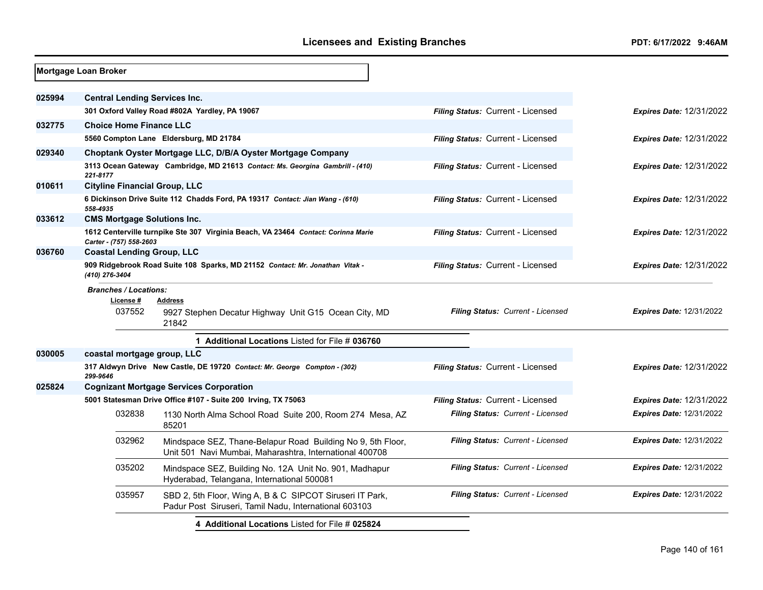|        | <b>Mortgage Loan Broker</b>                         |                                                                                                                        |                                          |                                 |
|--------|-----------------------------------------------------|------------------------------------------------------------------------------------------------------------------------|------------------------------------------|---------------------------------|
| 025994 | <b>Central Lending Services Inc.</b>                |                                                                                                                        |                                          |                                 |
|        |                                                     | 301 Oxford Valley Road #802A Yardley, PA 19067                                                                         | Filing Status: Current - Licensed        | Expires Date: 12/31/2022        |
| 032775 | <b>Choice Home Finance LLC</b>                      |                                                                                                                        |                                          |                                 |
|        |                                                     | 5560 Compton Lane Eldersburg, MD 21784                                                                                 | Filing Status: Current - Licensed        | Expires Date: 12/31/2022        |
| 029340 |                                                     | Choptank Oyster Mortgage LLC, D/B/A Oyster Mortgage Company                                                            |                                          |                                 |
|        | 221-8177                                            | 3113 Ocean Gateway Cambridge, MD 21613 Contact: Ms. Georgina Gambrill - (410)                                          | Filing Status: Current - Licensed        | <b>Expires Date: 12/31/2022</b> |
| 010611 | <b>Cityline Financial Group, LLC</b>                |                                                                                                                        |                                          |                                 |
|        | 558-4935                                            | 6 Dickinson Drive Suite 112 Chadds Ford, PA 19317 Contact: Jian Wang - (610)                                           | Filing Status: Current - Licensed        | <b>Expires Date: 12/31/2022</b> |
| 033612 | <b>CMS Mortgage Solutions Inc.</b>                  |                                                                                                                        |                                          |                                 |
|        | Carter - (757) 558-2603                             | 1612 Centerville turnpike Ste 307 Virginia Beach, VA 23464 Contact: Corinna Marie                                      | Filing Status: Current - Licensed        | <b>Expires Date: 12/31/2022</b> |
| 036760 | <b>Coastal Lending Group, LLC</b>                   |                                                                                                                        |                                          |                                 |
|        | (410) 276-3404                                      | 909 Ridgebrook Road Suite 108 Sparks, MD 21152 Contact: Mr. Jonathan Vitak -                                           | Filing Status: Current - Licensed        | <b>Expires Date: 12/31/2022</b> |
|        | <b>Branches / Locations:</b><br>License #<br>037552 | <b>Address</b><br>9927 Stephen Decatur Highway Unit G15 Ocean City, MD<br>21842                                        | Filing Status: Current - Licensed        | <b>Expires Date: 12/31/2022</b> |
|        |                                                     | 1 Additional Locations Listed for File # 036760                                                                        |                                          |                                 |
| 030005 | coastal mortgage group, LLC                         |                                                                                                                        |                                          |                                 |
|        | 299-9646                                            | 317 Aldwyn Drive New Castle, DE 19720 Contact: Mr. George Compton - (302)                                              | Filing Status: Current - Licensed        | Expires Date: 12/31/2022        |
| 025824 |                                                     | <b>Cognizant Mortgage Services Corporation</b>                                                                         |                                          |                                 |
|        |                                                     | 5001 Statesman Drive Office #107 - Suite 200 Irving, TX 75063                                                          | Filing Status: Current - Licensed        | <b>Expires Date: 12/31/2022</b> |
|        | 032838                                              | 1130 North Alma School Road Suite 200, Room 274 Mesa, AZ<br>85201                                                      | Filing Status: Current - Licensed        | <b>Expires Date: 12/31/2022</b> |
|        | 032962                                              | Mindspace SEZ, Thane-Belapur Road Building No 9, 5th Floor,<br>Unit 501 Navi Mumbai, Maharashtra, International 400708 | <b>Filing Status: Current - Licensed</b> | <b>Expires Date: 12/31/2022</b> |
|        | 035202                                              | Mindspace SEZ, Building No. 12A Unit No. 901, Madhapur<br>Hyderabad, Telangana, International 500081                   | Filing Status: Current - Licensed        | <b>Expires Date: 12/31/2022</b> |
|        | 035957                                              | SBD 2, 5th Floor, Wing A, B & C SIPCOT Siruseri IT Park,<br>Padur Post Siruseri, Tamil Nadu, International 603103      | Filing Status: Current - Licensed        | <b>Expires Date: 12/31/2022</b> |
|        |                                                     | 4 Additional Locations Listed for File # 025824                                                                        |                                          |                                 |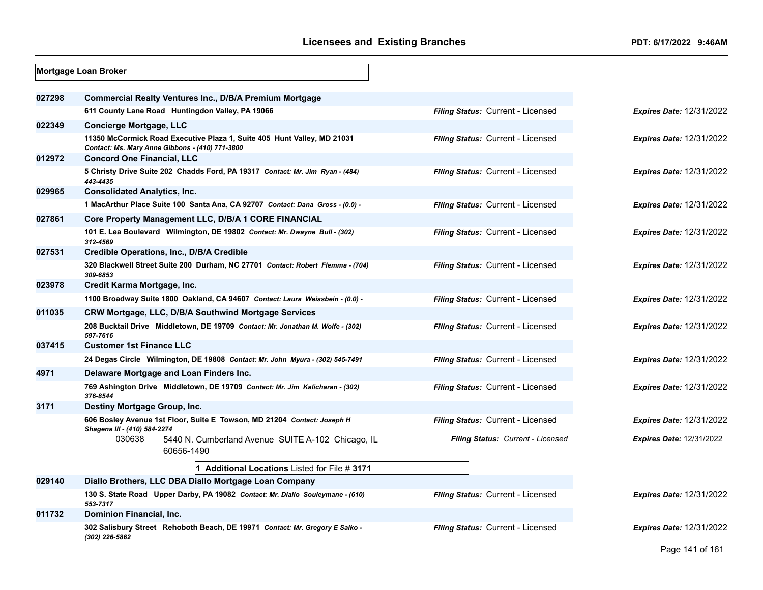|        | Mortgage Loan Broker                                                                                                       |                                          |                                 |
|--------|----------------------------------------------------------------------------------------------------------------------------|------------------------------------------|---------------------------------|
| 027298 | <b>Commercial Realty Ventures Inc., D/B/A Premium Mortgage</b>                                                             |                                          |                                 |
|        | 611 County Lane Road Huntingdon Valley, PA 19066                                                                           | Filing Status: Current - Licensed        | <b>Expires Date: 12/31/2022</b> |
| 022349 | <b>Concierge Mortgage, LLC</b>                                                                                             |                                          |                                 |
|        | 11350 McCormick Road Executive Plaza 1, Suite 405 Hunt Valley, MD 21031<br>Contact: Ms. Mary Anne Gibbons - (410) 771-3800 | Filing Status: Current - Licensed        | <b>Expires Date: 12/31/2022</b> |
| 012972 | <b>Concord One Financial, LLC</b>                                                                                          |                                          |                                 |
|        | 5 Christy Drive Suite 202 Chadds Ford, PA 19317 Contact: Mr. Jim Ryan - (484)<br>443-4435                                  | <b>Filing Status: Current - Licensed</b> | <b>Expires Date: 12/31/2022</b> |
| 029965 | <b>Consolidated Analytics, Inc.</b>                                                                                        |                                          |                                 |
|        | 1 MacArthur Place Suite 100 Santa Ana, CA 92707 Contact: Dana Gross - (0.0) -                                              | Filing Status: Current - Licensed        | <b>Expires Date: 12/31/2022</b> |
| 027861 | Core Property Management LLC, D/B/A 1 CORE FINANCIAL                                                                       |                                          |                                 |
|        | 101 E. Lea Boulevard Wilmington, DE 19802 Contact: Mr. Dwayne Bull - (302)<br>312-4569                                     | Filing Status: Current - Licensed        | <b>Expires Date: 12/31/2022</b> |
| 027531 | Credible Operations, Inc., D/B/A Credible                                                                                  |                                          |                                 |
|        | 320 Blackwell Street Suite 200 Durham, NC 27701 Contact: Robert Flemma - (704)<br>309-6853                                 | Filing Status: Current - Licensed        | <b>Expires Date: 12/31/2022</b> |
| 023978 | Credit Karma Mortgage, Inc.                                                                                                |                                          |                                 |
|        | 1100 Broadway Suite 1800 Oakland, CA 94607 Contact: Laura Weissbein - (0.0) -                                              | Filing Status: Current - Licensed        | <b>Expires Date: 12/31/2022</b> |
| 011035 | CRW Mortgage, LLC, D/B/A Southwind Mortgage Services                                                                       |                                          |                                 |
|        | 208 Bucktail Drive Middletown, DE 19709 Contact: Mr. Jonathan M. Wolfe - (302)<br>597-7616                                 | <b>Filing Status: Current - Licensed</b> | <b>Expires Date: 12/31/2022</b> |
| 037415 | <b>Customer 1st Finance LLC</b>                                                                                            |                                          |                                 |
|        | 24 Degas Circle Wilmington, DE 19808 Contact: Mr. John Myura - (302) 545-7491                                              | Filing Status: Current - Licensed        | <b>Expires Date: 12/31/2022</b> |
| 4971   | Delaware Mortgage and Loan Finders Inc.                                                                                    |                                          |                                 |
|        | 769 Ashington Drive Middletown, DE 19709 Contact: Mr. Jim Kalicharan - (302)<br>376-8544                                   | <b>Filing Status: Current - Licensed</b> | <b>Expires Date: 12/31/2022</b> |
| 3171   | Destiny Mortgage Group, Inc.                                                                                               |                                          |                                 |
|        | 606 Bosley Avenue 1st Floor, Suite E Towson, MD 21204 Contact: Joseph H                                                    | Filing Status: Current - Licensed        | <b>Expires Date: 12/31/2022</b> |
|        | Shagena III - (410) 584-2274<br>030638<br>5440 N. Cumberland Avenue SUITE A-102 Chicago, IL<br>60656-1490                  | Filing Status: Current - Licensed        | <b>Expires Date: 12/31/2022</b> |
|        | 1 Additional Locations Listed for File # 3171                                                                              |                                          |                                 |
| 029140 | Diallo Brothers, LLC DBA Diallo Mortgage Loan Company                                                                      |                                          |                                 |
|        | 130 S. State Road Upper Darby, PA 19082 Contact: Mr. Diallo Souleymane - (610)<br>553-7317                                 | Filing Status: Current - Licensed        | <b>Expires Date: 12/31/2022</b> |
| 011732 | Dominion Financial, Inc.                                                                                                   |                                          |                                 |
|        | 302 Salisbury Street Rehoboth Beach, DE 19971 Contact: Mr. Gregory E Salko -<br>(302) 226-5862                             | <b>Filing Status: Current - Licensed</b> | <b>Expires Date: 12/31/2022</b> |
|        |                                                                                                                            |                                          | Page 141 of 161                 |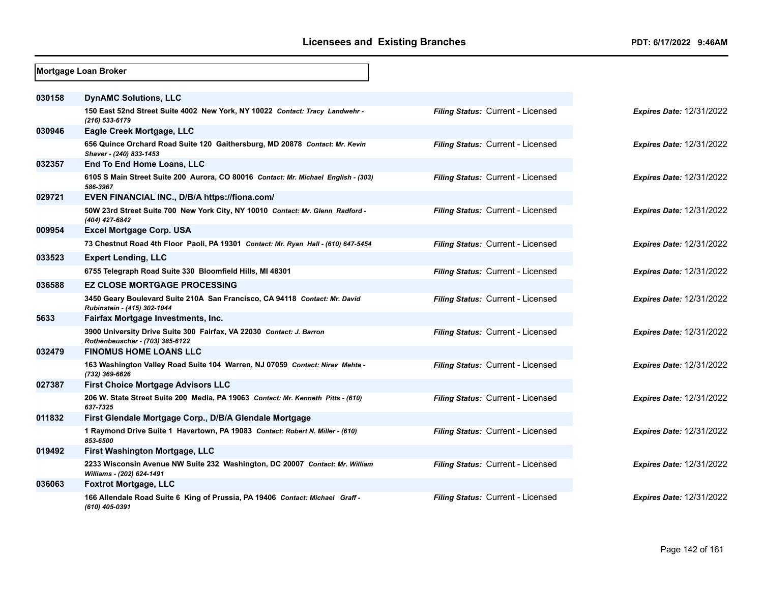|        | Mortgage Loan Broker                                                                                      |                                   |                                 |
|--------|-----------------------------------------------------------------------------------------------------------|-----------------------------------|---------------------------------|
| 030158 | <b>DynAMC Solutions, LLC</b>                                                                              |                                   |                                 |
|        | 150 East 52nd Street Suite 4002 New York, NY 10022 Contact: Tracy Landwehr -<br>(216) 533-6179            | Filing Status: Current - Licensed | <b>Expires Date: 12/31/2022</b> |
| 030946 | Eagle Creek Mortgage, LLC                                                                                 |                                   |                                 |
|        | 656 Quince Orchard Road Suite 120 Gaithersburg, MD 20878 Contact: Mr. Kevin<br>Shaver - (240) 833-1453    | Filing Status: Current - Licensed | <b>Expires Date: 12/31/2022</b> |
| 032357 | End To End Home Loans, LLC                                                                                |                                   |                                 |
|        | 6105 S Main Street Suite 200 Aurora, CO 80016 Contact: Mr. Michael English - (303)<br>586-3967            | Filing Status: Current - Licensed | <b>Expires Date: 12/31/2022</b> |
| 029721 | <b>EVEN FINANCIAL INC., D/B/A https://fiona.com/</b>                                                      |                                   |                                 |
|        | 50W 23rd Street Suite 700 New York City, NY 10010 Contact: Mr. Glenn Radford -<br>(404) 427-6842          | Filing Status: Current - Licensed | <b>Expires Date: 12/31/2022</b> |
| 009954 | <b>Excel Mortgage Corp. USA</b>                                                                           |                                   |                                 |
|        | 73 Chestnut Road 4th Floor Paoli, PA 19301 Contact: Mr. Ryan Hall - (610) 647-5454                        | Filing Status: Current - Licensed | <b>Expires Date: 12/31/2022</b> |
| 033523 | <b>Expert Lending, LLC</b>                                                                                |                                   |                                 |
|        | 6755 Telegraph Road Suite 330 Bloomfield Hills, MI 48301                                                  | Filing Status: Current - Licensed | <b>Expires Date: 12/31/2022</b> |
| 036588 | <b>EZ CLOSE MORTGAGE PROCESSING</b>                                                                       |                                   |                                 |
|        | 3450 Geary Boulevard Suite 210A San Francisco, CA 94118 Contact: Mr. David<br>Rubinstein - (415) 302-1044 | Filing Status: Current - Licensed | <b>Expires Date: 12/31/2022</b> |
| 5633   | Fairfax Mortgage Investments, Inc.                                                                        |                                   |                                 |
|        | 3900 University Drive Suite 300 Fairfax, VA 22030 Contact: J. Barron<br>Rothenbeuscher - (703) 385-6122   | Filing Status: Current - Licensed | <b>Expires Date: 12/31/2022</b> |
| 032479 | <b>FINOMUS HOME LOANS LLC</b>                                                                             |                                   |                                 |
|        | 163 Washington Valley Road Suite 104 Warren, NJ 07059 Contact: Nirav Mehta -<br>(732) 369-6626            | Filing Status: Current - Licensed | <b>Expires Date: 12/31/2022</b> |
| 027387 | <b>First Choice Mortgage Advisors LLC</b>                                                                 |                                   |                                 |
|        | 206 W. State Street Suite 200 Media, PA 19063 Contact: Mr. Kenneth Pitts - (610)<br>637-7325              | Filing Status: Current - Licensed | <b>Expires Date: 12/31/2022</b> |
| 011832 | First Glendale Mortgage Corp., D/B/A Glendale Mortgage                                                    |                                   |                                 |
|        | 1 Raymond Drive Suite 1 Havertown, PA 19083 Contact: Robert N. Miller - (610)<br>853-6500                 | Filing Status: Current - Licensed | <b>Expires Date: 12/31/2022</b> |
| 019492 | First Washington Mortgage, LLC                                                                            |                                   |                                 |
|        | 2233 Wisconsin Avenue NW Suite 232 Washington, DC 20007 Contact: Mr. William<br>Williams - (202) 624-1491 | Filing Status: Current - Licensed | <b>Expires Date: 12/31/2022</b> |
| 036063 | <b>Foxtrot Mortgage, LLC</b>                                                                              |                                   |                                 |
|        | 166 Allendale Road Suite 6 King of Prussia, PA 19406 Contact: Michael Graff -<br>(610) 405-0391           | Filing Status: Current - Licensed | <b>Expires Date: 12/31/2022</b> |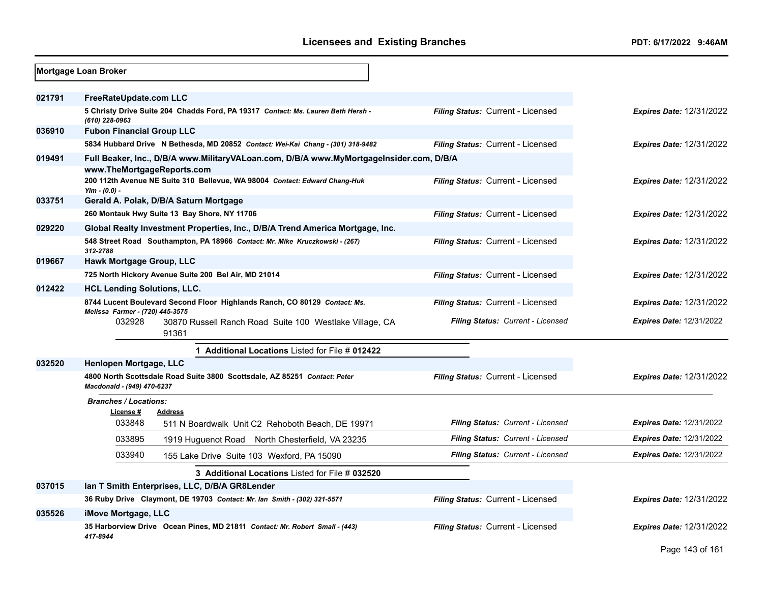|        | Mortgage Loan Broker                                                                                                  |                                          |                                 |
|--------|-----------------------------------------------------------------------------------------------------------------------|------------------------------------------|---------------------------------|
| 021791 | FreeRateUpdate.com LLC                                                                                                |                                          |                                 |
|        | 5 Christy Drive Suite 204 Chadds Ford, PA 19317 Contact: Ms. Lauren Beth Hersh -<br>(610) 228-0963                    | Filing Status: Current - Licensed        | <b>Expires Date: 12/31/2022</b> |
| 036910 | <b>Fubon Financial Group LLC</b>                                                                                      |                                          |                                 |
|        | 5834 Hubbard Drive N Bethesda, MD 20852 Contact: Wei-Kai Chang - (301) 318-9482                                       | Filing Status: Current - Licensed        | <b>Expires Date: 12/31/2022</b> |
| 019491 | Full Beaker, Inc., D/B/A www.MilitaryVALoan.com, D/B/A www.MyMortgageInsider.com, D/B/A<br>www.TheMortgageReports.com |                                          |                                 |
|        | 200 112th Avenue NE Suite 310 Bellevue, WA 98004 Contact: Edward Chang-Huk<br>Yim - $(0.0)$ -                         | Filing Status: Current - Licensed        | <b>Expires Date: 12/31/2022</b> |
| 033751 | Gerald A. Polak, D/B/A Saturn Mortgage                                                                                |                                          |                                 |
|        | 260 Montauk Hwy Suite 13 Bay Shore, NY 11706                                                                          | Filing Status: Current - Licensed        | <b>Expires Date: 12/31/2022</b> |
| 029220 | Global Realty Investment Properties, Inc., D/B/A Trend America Mortgage, Inc.                                         |                                          |                                 |
|        | 548 Street Road Southampton, PA 18966 Contact: Mr. Mike Kruczkowski - (267)<br>312-2788                               | Filing Status: Current - Licensed        | <b>Expires Date: 12/31/2022</b> |
| 019667 | Hawk Mortgage Group, LLC                                                                                              |                                          |                                 |
|        | 725 North Hickory Avenue Suite 200 Bel Air, MD 21014                                                                  | Filing Status: Current - Licensed        | <b>Expires Date: 12/31/2022</b> |
| 012422 | <b>HCL Lending Solutions, LLC.</b>                                                                                    |                                          |                                 |
|        | 8744 Lucent Boulevard Second Floor Highlands Ranch, CO 80129 Contact: Ms.<br>Melissa Farmer - (720) 445-3575          | Filing Status: Current - Licensed        | <b>Expires Date: 12/31/2022</b> |
|        | 032928<br>30870 Russell Ranch Road Suite 100 Westlake Village, CA<br>91361                                            | Filing Status: Current - Licensed        | <b>Expires Date: 12/31/2022</b> |
|        | 1 Additional Locations Listed for File # 012422                                                                       |                                          |                                 |
| 032520 | Henlopen Mortgage, LLC                                                                                                |                                          |                                 |
|        | 4800 North Scottsdale Road Suite 3800 Scottsdale, AZ 85251 Contact: Peter<br>Macdonald - (949) 470-6237               | Filing Status: Current - Licensed        | <b>Expires Date: 12/31/2022</b> |
|        | <b>Branches / Locations:</b>                                                                                          |                                          |                                 |
|        | License #<br><b>Address</b><br>033848<br>511 N Boardwalk Unit C2 Rehoboth Beach, DE 19971                             | Filing Status: Current - Licensed        | <b>Expires Date: 12/31/2022</b> |
|        | 033895<br>1919 Huguenot Road North Chesterfield, VA 23235                                                             | Filing Status: Current - Licensed        | <b>Expires Date: 12/31/2022</b> |
|        | 033940<br>155 Lake Drive Suite 103 Wexford, PA 15090                                                                  | <b>Filing Status: Current - Licensed</b> | <b>Expires Date: 12/31/2022</b> |
|        | 3 Additional Locations Listed for File # 032520                                                                       |                                          |                                 |
| 037015 | Ian T Smith Enterprises, LLC, D/B/A GR8Lender                                                                         |                                          |                                 |
|        | 36 Ruby Drive Claymont, DE 19703 Contact: Mr. Ian Smith - (302) 321-5571                                              | Filing Status: Current - Licensed        | <b>Expires Date: 12/31/2022</b> |
| 035526 | iMove Mortgage, LLC                                                                                                   |                                          |                                 |
|        | 35 Harborview Drive Ocean Pines, MD 21811 Contact: Mr. Robert Small - (443)<br>417-8944                               | Filing Status: Current - Licensed        | <b>Expires Date: 12/31/2022</b> |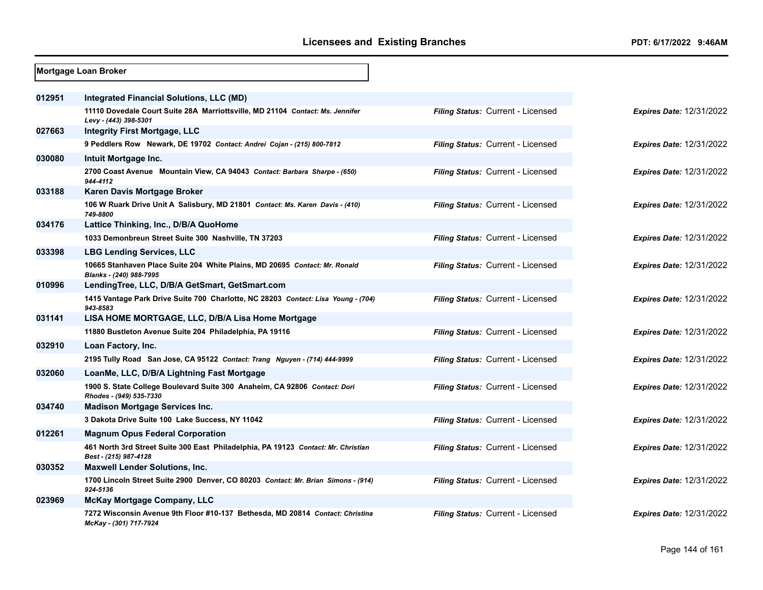|        | Mortgage Loan Broker                                                                                       |                                   |                                 |
|--------|------------------------------------------------------------------------------------------------------------|-----------------------------------|---------------------------------|
| 012951 | Integrated Financial Solutions, LLC (MD)                                                                   |                                   |                                 |
|        | 11110 Dovedale Court Suite 28A Marriottsville, MD 21104 Contact: Ms. Jennifer<br>Levy - (443) 398-5301     | Filing Status: Current - Licensed | <b>Expires Date: 12/31/2022</b> |
| 027663 | <b>Integrity First Mortgage, LLC</b>                                                                       |                                   |                                 |
|        | 9 Peddlers Row Newark, DE 19702 Contact: Andrei Cojan - (215) 800-7812                                     | Filing Status: Current - Licensed | <b>Expires Date: 12/31/2022</b> |
| 030080 | Intuit Mortgage Inc.                                                                                       |                                   |                                 |
|        | 2700 Coast Avenue Mountain View, CA 94043 Contact: Barbara Sharpe - (650)<br>944-4112                      | Filing Status: Current - Licensed | <b>Expires Date: 12/31/2022</b> |
| 033188 | Karen Davis Mortgage Broker                                                                                |                                   |                                 |
|        | 106 W Ruark Drive Unit A Salisbury, MD 21801 Contact: Ms. Karen Davis - (410)<br>749-8800                  | Filing Status: Current - Licensed | <b>Expires Date: 12/31/2022</b> |
| 034176 | Lattice Thinking, Inc., D/B/A QuoHome                                                                      |                                   |                                 |
|        | 1033 Demonbreun Street Suite 300 Nashville, TN 37203                                                       | Filing Status: Current - Licensed | <b>Expires Date: 12/31/2022</b> |
| 033398 | <b>LBG Lending Services, LLC</b>                                                                           |                                   |                                 |
|        | 10665 Stanhaven Place Suite 204 White Plains, MD 20695 Contact: Mr. Ronald<br>Blanks - (240) 988-7995      | Filing Status: Current - Licensed | <b>Expires Date: 12/31/2022</b> |
| 010996 | LendingTree, LLC, D/B/A GetSmart, GetSmart.com                                                             |                                   |                                 |
|        | 1415 Vantage Park Drive Suite 700 Charlotte, NC 28203 Contact: Lisa Young - (704)<br>943-8583              | Filing Status: Current - Licensed | <b>Expires Date: 12/31/2022</b> |
| 031141 | LISA HOME MORTGAGE, LLC, D/B/A Lisa Home Mortgage                                                          |                                   |                                 |
|        | 11880 Bustleton Avenue Suite 204 Philadelphia, PA 19116                                                    | Filing Status: Current - Licensed | <b>Expires Date: 12/31/2022</b> |
| 032910 | Loan Factory, Inc.                                                                                         |                                   |                                 |
|        | 2195 Tully Road San Jose, CA 95122 Contact: Trang Nguyen - (714) 444-9999                                  | Filing Status: Current - Licensed | <b>Expires Date: 12/31/2022</b> |
| 032060 | LoanMe, LLC, D/B/A Lightning Fast Mortgage                                                                 |                                   |                                 |
|        | 1900 S. State College Boulevard Suite 300 Anaheim, CA 92806 Contact: Dori<br>Rhodes - (949) 535-7330       | Filing Status: Current - Licensed | <b>Expires Date: 12/31/2022</b> |
| 034740 | <b>Madison Mortgage Services Inc.</b>                                                                      |                                   |                                 |
|        | 3 Dakota Drive Suite 100 Lake Success, NY 11042                                                            | Filing Status: Current - Licensed | <b>Expires Date: 12/31/2022</b> |
| 012261 | <b>Magnum Opus Federal Corporation</b>                                                                     |                                   |                                 |
|        | 461 North 3rd Street Suite 300 East Philadelphia, PA 19123 Contact: Mr. Christian<br>Best - (215) 987-4128 | Filing Status: Current - Licensed | <b>Expires Date: 12/31/2022</b> |
| 030352 | <b>Maxwell Lender Solutions, Inc.</b>                                                                      |                                   |                                 |
|        | 1700 Lincoln Street Suite 2900 Denver, CO 80203 Contact: Mr. Brian Simons - (914)<br>924-5136              | Filing Status: Current - Licensed | <b>Expires Date: 12/31/2022</b> |
| 023969 | <b>McKay Mortgage Company, LLC</b>                                                                         |                                   |                                 |
|        | 7272 Wisconsin Avenue 9th Floor #10-137 Bethesda, MD 20814 Contact: Christina<br>McKay - (301) 717-7924    | Filing Status: Current - Licensed | <b>Expires Date: 12/31/2022</b> |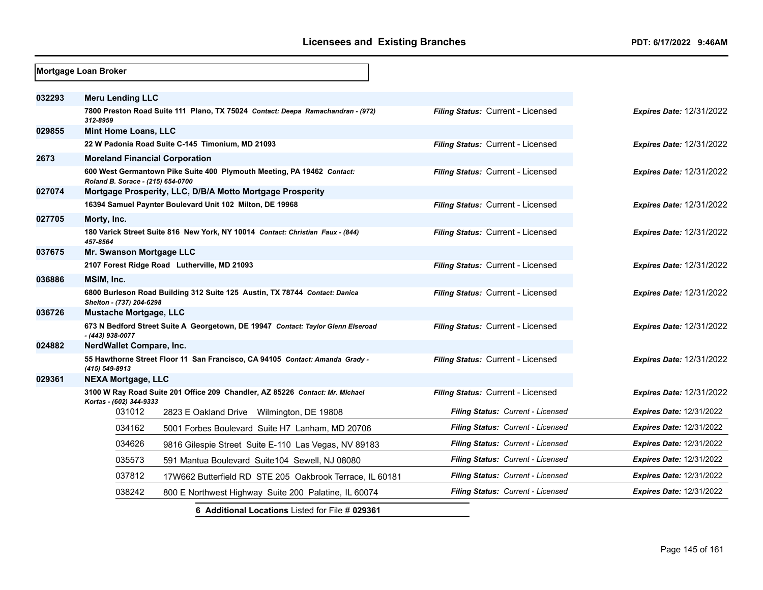|        | Mortgage Loan Broker                  |                                                                                  |                                   |                                 |
|--------|---------------------------------------|----------------------------------------------------------------------------------|-----------------------------------|---------------------------------|
| 032293 | <b>Meru Lending LLC</b>               |                                                                                  |                                   |                                 |
|        | 312-8959                              | 7800 Preston Road Suite 111 Plano, TX 75024 Contact: Deepa Ramachandran - (972)  | Filing Status: Current - Licensed | <b>Expires Date: 12/31/2022</b> |
| 029855 | <b>Mint Home Loans, LLC</b>           |                                                                                  |                                   |                                 |
|        |                                       | 22 W Padonia Road Suite C-145 Timonium, MD 21093                                 | Filing Status: Current - Licensed | <b>Expires Date: 12/31/2022</b> |
| 2673   | <b>Moreland Financial Corporation</b> |                                                                                  |                                   |                                 |
|        | Roland B. Sorace - (215) 654-0700     | 600 West Germantown Pike Suite 400 Plymouth Meeting, PA 19462 Contact:           | Filing Status: Current - Licensed | <b>Expires Date: 12/31/2022</b> |
| 027074 |                                       | Mortgage Prosperity, LLC, D/B/A Motto Mortgage Prosperity                        |                                   |                                 |
|        |                                       | 16394 Samuel Paynter Boulevard Unit 102 Milton, DE 19968                         | Filing Status: Current - Licensed | <b>Expires Date: 12/31/2022</b> |
| 027705 | Morty, Inc.                           |                                                                                  |                                   |                                 |
|        | 457-8564                              | 180 Varick Street Suite 816 New York, NY 10014 Contact: Christian Faux - (844)   | Filing Status: Current - Licensed | <b>Expires Date: 12/31/2022</b> |
| 037675 | Mr. Swanson Mortgage LLC              |                                                                                  |                                   |                                 |
|        |                                       | 2107 Forest Ridge Road Lutherville, MD 21093                                     | Filing Status: Current - Licensed | <b>Expires Date: 12/31/2022</b> |
| 036886 | MSIM, Inc.                            |                                                                                  |                                   |                                 |
|        | Shelton - (737) 204-6298              | 6800 Burleson Road Building 312 Suite 125 Austin, TX 78744 Contact: Danica       | Filing Status: Current - Licensed | Expires Date: 12/31/2022        |
| 036726 | Mustache Mortgage, LLC                |                                                                                  |                                   |                                 |
|        | - (443) 938-0077                      | 673 N Bedford Street Suite A Georgetown, DE 19947 Contact: Taylor Glenn Elseroad | Filing Status: Current - Licensed | <b>Expires Date: 12/31/2022</b> |
| 024882 | NerdWallet Compare, Inc.              |                                                                                  |                                   |                                 |
|        | (415) 549-8913                        | 55 Hawthorne Street Floor 11 San Francisco, CA 94105 Contact: Amanda Grady -     | Filing Status: Current - Licensed | <b>Expires Date: 12/31/2022</b> |
| 029361 | <b>NEXA Mortgage, LLC</b>             |                                                                                  |                                   |                                 |
|        | Kortas - (602) 344-9333               | 3100 W Ray Road Suite 201 Office 209 Chandler, AZ 85226 Contact: Mr. Michael     | Filing Status: Current - Licensed | <b>Expires Date: 12/31/2022</b> |
|        | 031012                                | 2823 E Oakland Drive Wilmington, DE 19808                                        | Filing Status: Current - Licensed | <b>Expires Date: 12/31/2022</b> |
|        | 034162                                | 5001 Forbes Boulevard Suite H7 Lanham, MD 20706                                  | Filing Status: Current - Licensed | <b>Expires Date: 12/31/2022</b> |
|        | 034626                                | 9816 Gilespie Street Suite E-110 Las Vegas, NV 89183                             | Filing Status: Current - Licensed | <b>Expires Date: 12/31/2022</b> |
|        | 035573                                | 591 Mantua Boulevard Suite 104 Sewell, NJ 08080                                  | Filing Status: Current - Licensed | <b>Expires Date: 12/31/2022</b> |
|        | 037812                                | 17W662 Butterfield RD STE 205 Oakbrook Terrace, IL 60181                         | Filing Status: Current - Licensed | <b>Expires Date: 12/31/2022</b> |
|        | 038242                                | 800 E Northwest Highway Suite 200 Palatine, IL 60074                             | Filing Status: Current - Licensed | <b>Expires Date: 12/31/2022</b> |
|        |                                       | 6 Additional Locations Listed for File # 029361                                  |                                   |                                 |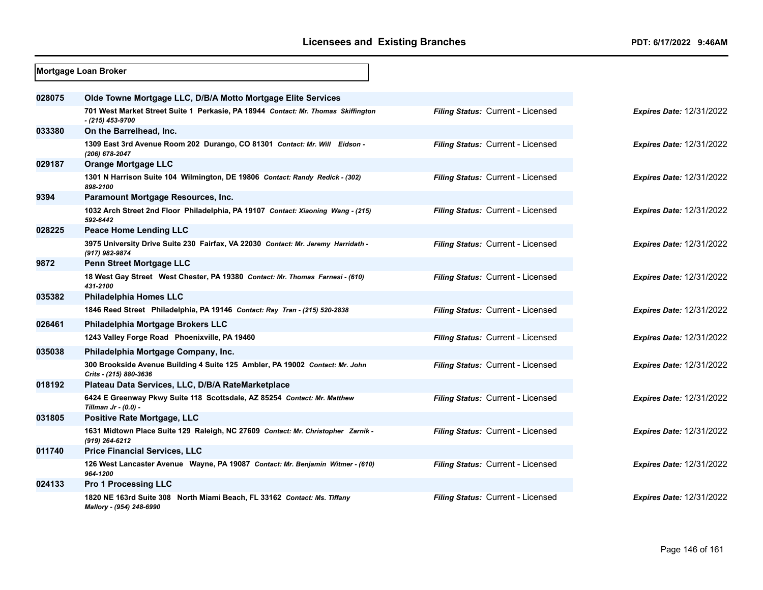|        | <b>Mortgage Loan Broker</b>                                                                             |                                   |                                 |
|--------|---------------------------------------------------------------------------------------------------------|-----------------------------------|---------------------------------|
|        |                                                                                                         |                                   |                                 |
| 028075 | Olde Towne Mortgage LLC, D/B/A Motto Mortgage Elite Services                                            |                                   |                                 |
|        | 701 West Market Street Suite 1 Perkasie, PA 18944 Contact: Mr. Thomas Skiffington<br>$-$ (215) 453-9700 | Filing Status: Current - Licensed | <b>Expires Date: 12/31/2022</b> |
| 033380 | On the Barrelhead, Inc.                                                                                 |                                   |                                 |
|        | 1309 East 3rd Avenue Room 202 Durango, CO 81301 Contact: Mr. Will Eidson -<br>(206) 678-2047            | Filing Status: Current - Licensed | <b>Expires Date: 12/31/2022</b> |
| 029187 | <b>Orange Mortgage LLC</b>                                                                              |                                   |                                 |
|        | 1301 N Harrison Suite 104 Wilmington, DE 19806 Contact: Randy Redick - (302)<br>898-2100                | Filing Status: Current - Licensed | <b>Expires Date: 12/31/2022</b> |
| 9394   | Paramount Mortgage Resources, Inc.                                                                      |                                   |                                 |
|        | 1032 Arch Street 2nd Floor Philadelphia, PA 19107 Contact: Xiaoning Wang - (215)<br>592-6442            | Filing Status: Current - Licensed | <b>Expires Date: 12/31/2022</b> |
| 028225 | <b>Peace Home Lending LLC</b>                                                                           |                                   |                                 |
|        | 3975 University Drive Suite 230 Fairfax, VA 22030 Contact: Mr. Jeremy Harridath -<br>(917) 982-9874     | Filing Status: Current - Licensed | <b>Expires Date: 12/31/2022</b> |
| 9872   | <b>Penn Street Mortgage LLC</b>                                                                         |                                   |                                 |
|        | 18 West Gay Street West Chester, PA 19380 Contact: Mr. Thomas Farnesi - (610)<br>431-2100               | Filing Status: Current - Licensed | <b>Expires Date: 12/31/2022</b> |
| 035382 | <b>Philadelphia Homes LLC</b>                                                                           |                                   |                                 |
|        | 1846 Reed Street Philadelphia, PA 19146 Contact: Ray Tran - (215) 520-2838                              | Filing Status: Current - Licensed | <b>Expires Date: 12/31/2022</b> |
| 026461 | Philadelphia Mortgage Brokers LLC                                                                       |                                   |                                 |
|        | 1243 Valley Forge Road Phoenixville, PA 19460                                                           | Filing Status: Current - Licensed | <b>Expires Date: 12/31/2022</b> |
| 035038 | Philadelphia Mortgage Company, Inc.                                                                     |                                   |                                 |
|        | 300 Brookside Avenue Building 4 Suite 125 Ambler, PA 19002 Contact: Mr. John<br>Crits - (215) 880-3636  | Filing Status: Current - Licensed | <b>Expires Date: 12/31/2022</b> |
| 018192 | Plateau Data Services, LLC, D/B/A RateMarketplace                                                       |                                   |                                 |
|        | 6424 E Greenway Pkwy Suite 118 Scottsdale, AZ 85254 Contact: Mr. Matthew<br>Tillman $Jr - (0.0) -$      | Filing Status: Current - Licensed | <b>Expires Date: 12/31/2022</b> |
| 031805 | Positive Rate Mortgage, LLC                                                                             |                                   |                                 |
|        | 1631 Midtown Place Suite 129 Raleigh, NC 27609 Contact: Mr. Christopher Zarnik -<br>(919) 264-6212      | Filing Status: Current - Licensed | <b>Expires Date: 12/31/2022</b> |
| 011740 | <b>Price Financial Services, LLC</b>                                                                    |                                   |                                 |
|        | 126 West Lancaster Avenue Wayne, PA 19087 Contact: Mr. Benjamin Witmer - (610)<br>964-1200              | Filing Status: Current - Licensed | <b>Expires Date: 12/31/2022</b> |
| 024133 | <b>Pro 1 Processing LLC</b>                                                                             |                                   |                                 |
|        | 1820 NE 163rd Suite 308 North Miami Beach, FL 33162 Contact: Ms. Tiffany<br>Mallory - (954) 248-6990    | Filing Status: Current - Licensed | <b>Expires Date: 12/31/2022</b> |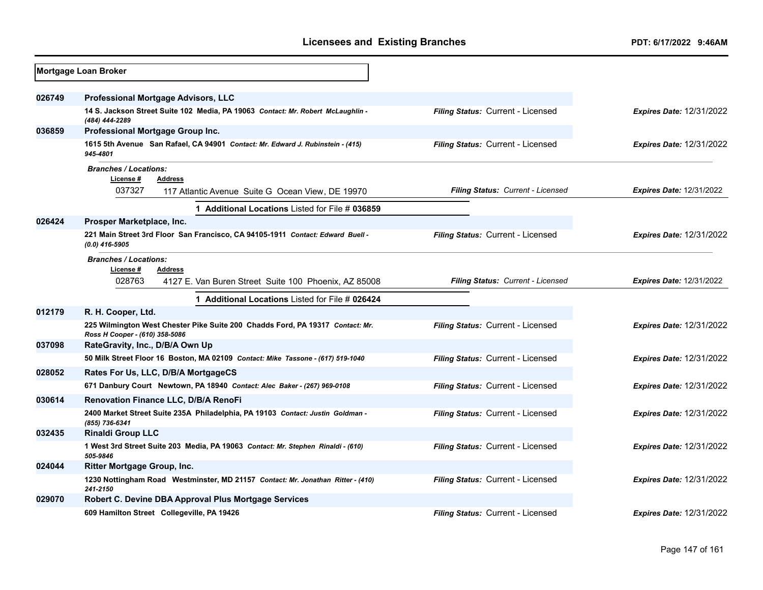|        | Mortgage Loan Broker                                                                                            |                                          |                                 |
|--------|-----------------------------------------------------------------------------------------------------------------|------------------------------------------|---------------------------------|
|        |                                                                                                                 |                                          |                                 |
| 026749 | <b>Professional Mortgage Advisors, LLC</b>                                                                      |                                          |                                 |
|        | 14 S. Jackson Street Suite 102 Media, PA 19063 Contact: Mr. Robert McLaughlin -<br>(484) 444-2289               | Filing Status: Current - Licensed        | <b>Expires Date: 12/31/2022</b> |
| 036859 | Professional Mortgage Group Inc.                                                                                |                                          |                                 |
|        | 1615 5th Avenue San Rafael, CA 94901 Contact: Mr. Edward J. Rubinstein - (415)<br>945-4801                      | Filing Status: Current - Licensed        | <b>Expires Date: 12/31/2022</b> |
|        | <b>Branches / Locations:</b>                                                                                    |                                          |                                 |
|        | License #<br><b>Address</b>                                                                                     |                                          |                                 |
|        | 037327<br>117 Atlantic Avenue Suite G Ocean View, DE 19970                                                      | Filing Status: Current - Licensed        | <b>Expires Date: 12/31/2022</b> |
|        | Additional Locations Listed for File # 036859                                                                   |                                          |                                 |
| 026424 | Prosper Marketplace, Inc.                                                                                       |                                          |                                 |
|        | 221 Main Street 3rd Floor San Francisco, CA 94105-1911 Contact: Edward Buell -<br>$(0.0)$ 416-5905              | Filing Status: Current - Licensed        | <b>Expires Date: 12/31/2022</b> |
|        | <b>Branches / Locations:</b>                                                                                    |                                          |                                 |
|        | License#<br><b>Address</b>                                                                                      |                                          |                                 |
|        | 028763<br>4127 E. Van Buren Street Suite 100 Phoenix, AZ 85008                                                  | Filing Status: Current - Licensed        | <b>Expires Date: 12/31/2022</b> |
|        | 1 Additional Locations Listed for File # 026424                                                                 |                                          |                                 |
| 012179 | R. H. Cooper, Ltd.                                                                                              |                                          |                                 |
|        | 225 Wilmington West Chester Pike Suite 200 Chadds Ford, PA 19317 Contact: Mr.<br>Ross H Cooper - (610) 358-5086 | Filing Status: Current - Licensed        | <b>Expires Date: 12/31/2022</b> |
| 037098 | RateGravity, Inc., D/B/A Own Up                                                                                 |                                          |                                 |
|        | 50 Milk Street Floor 16 Boston, MA 02109 Contact: Mike Tassone - (617) 519-1040                                 | Filing Status: Current - Licensed        | <b>Expires Date: 12/31/2022</b> |
| 028052 | Rates For Us, LLC, D/B/A MortgageCS                                                                             |                                          |                                 |
|        | 671 Danbury Court Newtown, PA 18940 Contact: Alec Baker - (267) 969-0108                                        | Filing Status: Current - Licensed        | <b>Expires Date: 12/31/2022</b> |
| 030614 | Renovation Finance LLC, D/B/A RenoFi                                                                            |                                          |                                 |
|        | 2400 Market Street Suite 235A Philadelphia, PA 19103 Contact: Justin Goldman -<br>(855) 736-6341                | Filing Status: Current - Licensed        | <b>Expires Date: 12/31/2022</b> |
| 032435 | <b>Rinaldi Group LLC</b>                                                                                        |                                          |                                 |
|        | 1 West 3rd Street Suite 203 Media, PA 19063 Contact: Mr. Stephen Rinaldi - (610)<br>505-9846                    | Filing Status: Current - Licensed        | <b>Expires Date: 12/31/2022</b> |
| 024044 | Ritter Mortgage Group, Inc.                                                                                     |                                          |                                 |
|        | 1230 Nottingham Road Westminster, MD 21157 Contact: Mr. Jonathan Ritter - (410)<br>241-2150                     | Filing Status: Current - Licensed        | Expires Date: 12/31/2022        |
| 029070 | Robert C. Devine DBA Approval Plus Mortgage Services                                                            |                                          |                                 |
|        | 609 Hamilton Street Collegeville, PA 19426                                                                      | <b>Filing Status: Current - Licensed</b> | <b>Expires Date: 12/31/2022</b> |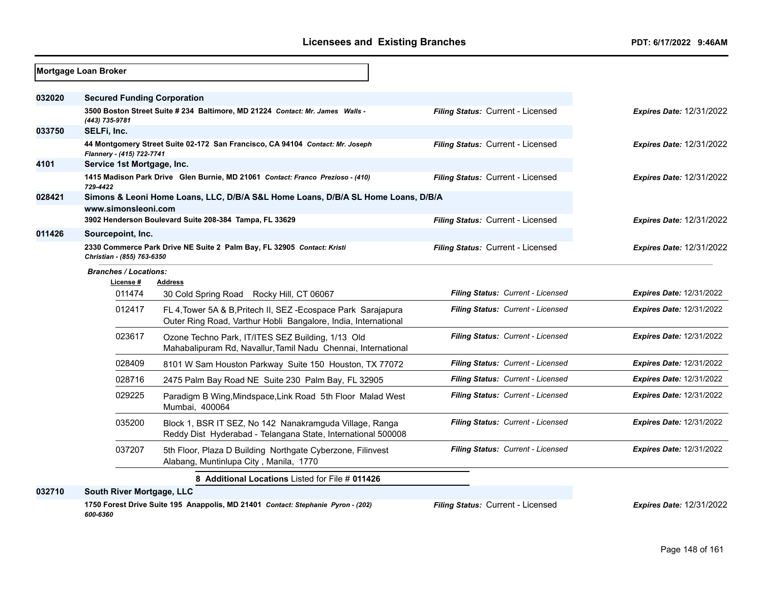|        | Mortgage Loan Broker               |                                                                                                                                |                                   |                                 |
|--------|------------------------------------|--------------------------------------------------------------------------------------------------------------------------------|-----------------------------------|---------------------------------|
| 032020 | <b>Secured Funding Corporation</b> |                                                                                                                                |                                   |                                 |
|        | (443) 735-9781                     | 3500 Boston Street Suite # 234 Baltimore, MD 21224 Contact: Mr. James Walls -                                                  | Filing Status: Current - Licensed | <b>Expires Date: 12/31/2022</b> |
| 033750 | SELFi, Inc.                        |                                                                                                                                |                                   |                                 |
|        | Flannery - (415) 722-7741          | 44 Montgomery Street Suite 02-172 San Francisco, CA 94104 Contact: Mr. Joseph                                                  | Filing Status: Current - Licensed | <b>Expires Date: 12/31/2022</b> |
| 4101   | Service 1st Mortgage, Inc.         |                                                                                                                                |                                   |                                 |
|        | 729-4422                           | 1415 Madison Park Drive Glen Burnie, MD 21061 Contact: Franco Prezioso - (410)                                                 | Filing Status: Current - Licensed | <b>Expires Date: 12/31/2022</b> |
| 028421 |                                    | Simons & Leoni Home Loans, LLC, D/B/A S&L Home Loans, D/B/A SL Home Loans, D/B/A                                               |                                   |                                 |
|        | www.simonsleoni.com                | 3902 Henderson Boulevard Suite 208-384 Tampa, FL 33629                                                                         | Filing Status: Current - Licensed | <b>Expires Date: 12/31/2022</b> |
| 011426 | Sourcepoint, Inc.                  |                                                                                                                                |                                   |                                 |
|        | Christian - (855) 763-6350         | 2330 Commerce Park Drive NE Suite 2 Palm Bay, FL 32905 Contact: Kristi                                                         | Filing Status: Current - Licensed | <b>Expires Date: 12/31/2022</b> |
|        | <b>Branches / Locations:</b>       |                                                                                                                                |                                   |                                 |
|        | License #                          | <b>Address</b>                                                                                                                 |                                   |                                 |
|        | 011474                             | 30 Cold Spring Road Rocky Hill, CT 06067                                                                                       | Filing Status: Current - Licensed | <b>Expires Date: 12/31/2022</b> |
|        | 012417                             | FL 4, Tower 5A & B, Pritech II, SEZ-Ecospace Park Sarajapura<br>Outer Ring Road, Varthur Hobli Bangalore, India, International | Filing Status: Current - Licensed | <b>Expires Date: 12/31/2022</b> |
|        | 023617                             | Ozone Techno Park, IT/ITES SEZ Building, 1/13 Old<br>Mahabalipuram Rd, Navallur, Tamil Nadu Chennai, International             | Filing Status: Current - Licensed | <b>Expires Date: 12/31/2022</b> |
|        | 028409                             | 8101 W Sam Houston Parkway Suite 150 Houston, TX 77072                                                                         | Filing Status: Current - Licensed | <b>Expires Date: 12/31/2022</b> |
|        | 028716                             | 2475 Palm Bay Road NE Suite 230 Palm Bay, FL 32905                                                                             | Filing Status: Current - Licensed | <b>Expires Date: 12/31/2022</b> |
|        | 029225                             | Paradigm B Wing, Mindspace, Link Road 5th Floor Malad West<br>Mumbai, 400064                                                   | Filing Status: Current - Licensed | <b>Expires Date: 12/31/2022</b> |
|        | 035200                             | Block 1, BSR IT SEZ, No 142 Nanakramguda Village, Ranga<br>Reddy Dist Hyderabad - Telangana State, International 500008        | Filing Status: Current - Licensed | <b>Expires Date: 12/31/2022</b> |
|        | 037207                             | 5th Floor, Plaza D Building Northgate Cyberzone, Filinvest<br>Alabang, Muntinlupa City, Manila, 1770                           | Filing Status: Current - Licensed | <b>Expires Date: 12/31/2022</b> |
|        |                                    | 8 Additional Locations Listed for File # 011426                                                                                |                                   |                                 |
| 032710 | South River Mortgage, LLC          |                                                                                                                                |                                   |                                 |
|        | 600-6360                           | 1750 Forest Drive Suite 195 Anappolis, MD 21401 Contact: Stephanie Pyron - (202)                                               | Filing Status: Current - Licensed | <b>Expires Date: 12/31/2022</b> |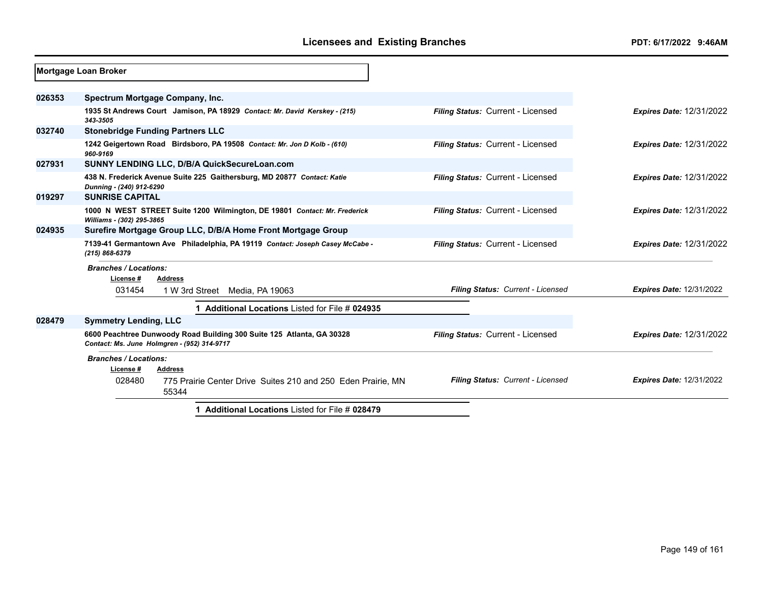|        | Mortgage Loan Broker                                        |                |                                                                              |                                                 |                                   |                                 |
|--------|-------------------------------------------------------------|----------------|------------------------------------------------------------------------------|-------------------------------------------------|-----------------------------------|---------------------------------|
| 026353 | Spectrum Mortgage Company, Inc.                             |                |                                                                              |                                                 |                                   |                                 |
|        | 343-3505                                                    |                | 1935 St Andrews Court Jamison, PA 18929 Contact: Mr. David Kerskey - (215)   |                                                 | Filing Status: Current - Licensed | <b>Expires Date: 12/31/2022</b> |
| 032740 | <b>Stonebridge Funding Partners LLC</b>                     |                |                                                                              |                                                 |                                   |                                 |
|        | 960-9169                                                    |                | 1242 Geigertown Road Birdsboro, PA 19508 Contact: Mr. Jon D Kolb - (610)     |                                                 | Filing Status: Current - Licensed | <b>Expires Date: 12/31/2022</b> |
| 027931 |                                                             |                | SUNNY LENDING LLC, D/B/A QuickSecureLoan.com                                 |                                                 |                                   |                                 |
|        | Dunning - (240) 912-6290                                    |                | 438 N. Frederick Avenue Suite 225 Gaithersburg, MD 20877 Contact: Katie      |                                                 | Filing Status: Current - Licensed | <b>Expires Date: 12/31/2022</b> |
| 019297 | <b>SUNRISE CAPITAL</b>                                      |                |                                                                              |                                                 |                                   |                                 |
|        | Williams - (302) 295-3865                                   |                | 1000 N WEST STREET Suite 1200 Wilmington, DE 19801 Contact: Mr. Frederick    |                                                 | Filing Status: Current - Licensed | <b>Expires Date: 12/31/2022</b> |
| 024935 |                                                             |                | Surefire Mortgage Group LLC, D/B/A Home Front Mortgage Group                 |                                                 |                                   |                                 |
|        | (215) 868-6379                                              |                | 7139-41 Germantown Ave Philadelphia, PA 19119 Contact: Joseph Casey McCabe - |                                                 | Filing Status: Current - Licensed | <b>Expires Date: 12/31/2022</b> |
|        | <b>Branches / Locations:</b><br>License#                    | <b>Address</b> |                                                                              |                                                 |                                   |                                 |
|        | 031454                                                      |                | 1 W 3rd Street Media, PA 19063                                               |                                                 | Filing Status: Current - Licensed | <b>Expires Date: 12/31/2022</b> |
|        |                                                             |                |                                                                              | Additional Locations Listed for File # 024935   |                                   |                                 |
| 028479 | <b>Symmetry Lending, LLC</b>                                |                |                                                                              |                                                 |                                   |                                 |
|        | Contact: Ms. June Holmgren - (952) 314-9717                 |                | 6600 Peachtree Dunwoody Road Building 300 Suite 125 Atlanta, GA 30328        |                                                 | Filing Status: Current - Licensed | <b>Expires Date: 12/31/2022</b> |
|        | <b>Branches / Locations:</b><br>License #<br><b>Address</b> |                |                                                                              |                                                 |                                   |                                 |
|        | 028480                                                      | 55344          | 775 Prairie Center Drive Suites 210 and 250 Eden Prairie, MN                 |                                                 | Filing Status: Current - Licensed | <b>Expires Date: 12/31/2022</b> |
|        |                                                             |                |                                                                              | 1 Additional Locations Listed for File # 028479 |                                   |                                 |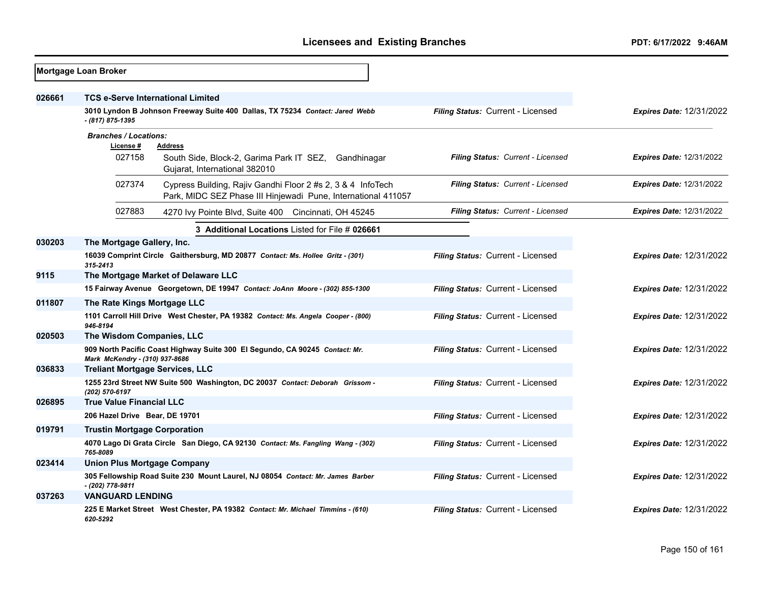|        | <b>Mortgage Loan Broker</b>         |                                                                                                                              |                                   |                                 |  |  |
|--------|-------------------------------------|------------------------------------------------------------------------------------------------------------------------------|-----------------------------------|---------------------------------|--|--|
| 026661 |                                     | <b>TCS e-Serve International Limited</b>                                                                                     |                                   |                                 |  |  |
|        | - (817) 875-1395                    | 3010 Lyndon B Johnson Freeway Suite 400 Dallas, TX 75234 Contact: Jared Webb                                                 | Filing Status: Current - Licensed | <b>Expires Date: 12/31/2022</b> |  |  |
|        | <b>Branches / Locations:</b>        |                                                                                                                              |                                   |                                 |  |  |
|        | License #<br>027158                 | <b>Address</b><br>South Side, Block-2, Garima Park IT SEZ,<br>Gandhinagar<br>Gujarat, International 382010                   | Filing Status: Current - Licensed | <b>Expires Date: 12/31/2022</b> |  |  |
|        | 027374                              | Cypress Building, Rajiv Gandhi Floor 2 #s 2, 3 & 4 InfoTech<br>Park, MIDC SEZ Phase III Hinjewadi Pune, International 411057 | Filing Status: Current - Licensed | <b>Expires Date: 12/31/2022</b> |  |  |
|        | 027883                              | 4270 Ivy Pointe Blvd, Suite 400 Cincinnati, OH 45245                                                                         | Filing Status: Current - Licensed | <b>Expires Date: 12/31/2022</b> |  |  |
|        |                                     | 3 Additional Locations Listed for File # 026661                                                                              |                                   |                                 |  |  |
| 030203 |                                     | The Mortgage Gallery, Inc.                                                                                                   |                                   |                                 |  |  |
|        | 315-2413                            | 16039 Comprint Circle Gaithersburg, MD 20877 Contact: Ms. Hollee Gritz - (301)                                               | Filing Status: Current - Licensed | <b>Expires Date: 12/31/2022</b> |  |  |
| 9115   | The Mortgage Market of Delaware LLC |                                                                                                                              |                                   |                                 |  |  |
|        |                                     | 15 Fairway Avenue Georgetown, DE 19947 Contact: JoAnn Moore - (302) 855-1300                                                 | Filing Status: Current - Licensed | <b>Expires Date: 12/31/2022</b> |  |  |
| 011807 | The Rate Kings Mortgage LLC         |                                                                                                                              |                                   |                                 |  |  |
|        | 946-8194                            | 1101 Carroll Hill Drive West Chester, PA 19382 Contact: Ms. Angela Cooper - (800)                                            | Filing Status: Current - Licensed | <b>Expires Date: 12/31/2022</b> |  |  |
| 020503 | The Wisdom Companies, LLC           |                                                                                                                              |                                   |                                 |  |  |
|        | Mark McKendry - (310) 937-8686      | 909 North Pacific Coast Highway Suite 300 El Segundo, CA 90245 Contact: Mr.                                                  | Filing Status: Current - Licensed | <b>Expires Date: 12/31/2022</b> |  |  |
| 036833 |                                     | <b>Treliant Mortgage Services, LLC</b>                                                                                       |                                   |                                 |  |  |
|        | (202) 570-6197                      | 1255 23rd Street NW Suite 500 Washington, DC 20037 Contact: Deborah Grissom -                                                | Filing Status: Current - Licensed | <b>Expires Date: 12/31/2022</b> |  |  |
| 026895 | <b>True Value Financial LLC</b>     |                                                                                                                              |                                   |                                 |  |  |
|        | 206 Hazel Drive Bear, DE 19701      |                                                                                                                              | Filing Status: Current - Licensed | <b>Expires Date: 12/31/2022</b> |  |  |
| 019791 | <b>Trustin Mortgage Corporation</b> |                                                                                                                              |                                   |                                 |  |  |
|        | 765-8089                            | 4070 Lago Di Grata Circle San Diego, CA 92130 Contact: Ms. Fangling Wang - (302)                                             | Filing Status: Current - Licensed | <b>Expires Date: 12/31/2022</b> |  |  |
| 023414 | <b>Union Plus Mortgage Company</b>  |                                                                                                                              |                                   |                                 |  |  |
|        | - (202) 778-9811                    | 305 Fellowship Road Suite 230 Mount Laurel, NJ 08054 Contact: Mr. James Barber                                               | Filing Status: Current - Licensed | <b>Expires Date: 12/31/2022</b> |  |  |
| 037263 | <b>VANGUARD LENDING</b>             |                                                                                                                              |                                   |                                 |  |  |
|        | 620-5292                            | 225 E Market Street West Chester, PA 19382 Contact: Mr. Michael Timmins - (610)                                              | Filing Status: Current - Licensed | <b>Expires Date: 12/31/2022</b> |  |  |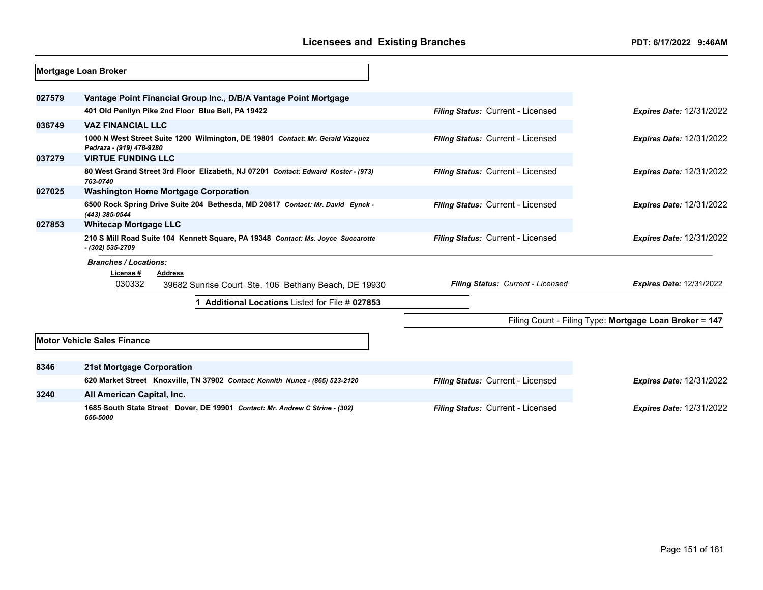|        | Mortgage Loan Broker                                                                                       |                                   |                                                        |
|--------|------------------------------------------------------------------------------------------------------------|-----------------------------------|--------------------------------------------------------|
| 027579 | Vantage Point Financial Group Inc., D/B/A Vantage Point Mortgage                                           |                                   |                                                        |
|        | 401 Old Penllyn Pike 2nd Floor Blue Bell, PA 19422                                                         | Filing Status: Current - Licensed | <b>Expires Date: 12/31/2022</b>                        |
| 036749 | <b>VAZ FINANCIAL LLC</b>                                                                                   |                                   |                                                        |
|        | 1000 N West Street Suite 1200 Wilmington, DE 19801 Contact: Mr. Gerald Vazquez<br>Pedraza - (919) 478-9280 | Filing Status: Current - Licensed | <b>Expires Date: 12/31/2022</b>                        |
| 037279 | <b>VIRTUE FUNDING LLC</b>                                                                                  |                                   |                                                        |
|        | 80 West Grand Street 3rd Floor Elizabeth, NJ 07201 Contact: Edward Koster - (973)<br>763-0740              | Filing Status: Current - Licensed | <b>Expires Date: 12/31/2022</b>                        |
| 027025 | <b>Washington Home Mortgage Corporation</b>                                                                |                                   |                                                        |
|        | 6500 Rock Spring Drive Suite 204 Bethesda, MD 20817 Contact: Mr. David Eynck -<br>(443) 385-0544           | Filing Status: Current - Licensed | <b>Expires Date: 12/31/2022</b>                        |
| 027853 | <b>Whitecap Mortgage LLC</b>                                                                               |                                   |                                                        |
|        | 210 S Mill Road Suite 104 Kennett Square, PA 19348 Contact: Ms. Joyce Succarotte<br>- (302) 535-2709       | Filing Status: Current - Licensed | <b>Expires Date: 12/31/2022</b>                        |
|        | <b>Branches / Locations:</b><br>License #<br><b>Address</b>                                                |                                   |                                                        |
|        | 030332<br>39682 Sunrise Court Ste. 106 Bethany Beach, DE 19930                                             | Filing Status: Current - Licensed | <b>Expires Date: 12/31/2022</b>                        |
|        | Additional Locations Listed for File # 027853                                                              |                                   |                                                        |
|        |                                                                                                            |                                   | Filing Count - Filing Type: Mortgage Loan Broker = 147 |
|        | <b>Motor Vehicle Sales Finance</b>                                                                         |                                   |                                                        |
| 8346   | <b>21st Mortgage Corporation</b>                                                                           |                                   |                                                        |
|        | 620 Market Street Knoxville, TN 37902 Contact: Kennith Nunez - (865) 523-2120                              | Filing Status: Current - Licensed | <b>Expires Date: 12/31/2022</b>                        |
| 3240   | All American Capital, Inc.                                                                                 |                                   |                                                        |
|        | 1685 South State Street Dover, DE 19901 Contact: Mr. Andrew C Strine - (302)<br>656-5000                   | Filing Status: Current - Licensed | <b>Expires Date: 12/31/2022</b>                        |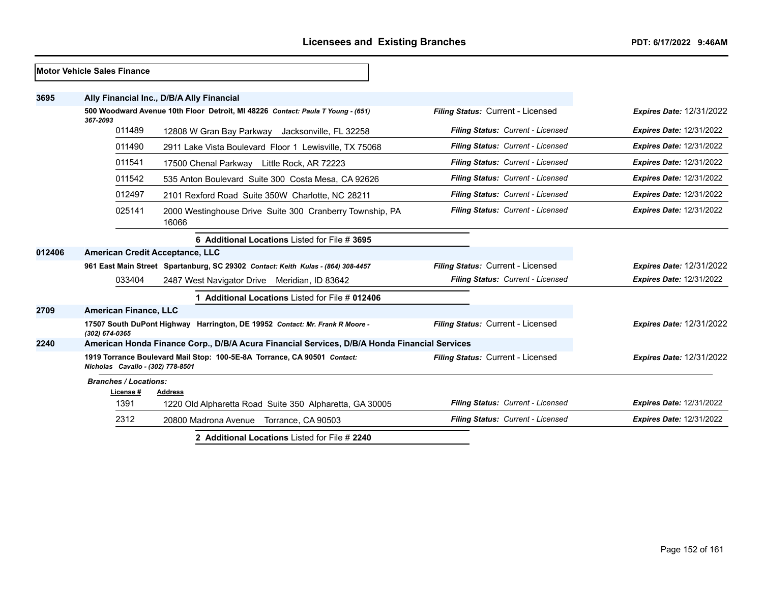|        | <b>Motor Vehicle Sales Finance</b>                   |                                                                                              |                                   |                                 |
|--------|------------------------------------------------------|----------------------------------------------------------------------------------------------|-----------------------------------|---------------------------------|
| 3695   |                                                      | Ally Financial Inc., D/B/A Ally Financial                                                    |                                   |                                 |
|        | 367-2093                                             | 500 Woodward Avenue 10th Floor Detroit, MI 48226 Contact: Paula T Young - (651)              | Filing Status: Current - Licensed | <b>Expires Date: 12/31/2022</b> |
|        | 011489                                               | 12808 W Gran Bay Parkway Jacksonville, FL 32258                                              | Filing Status: Current - Licensed | <b>Expires Date: 12/31/2022</b> |
|        | 011490                                               | 2911 Lake Vista Boulevard Floor 1 Lewisville, TX 75068                                       | Filing Status: Current - Licensed | <b>Expires Date: 12/31/2022</b> |
|        | 011541                                               | 17500 Chenal Parkway Little Rock, AR 72223                                                   | Filing Status: Current - Licensed | <b>Expires Date: 12/31/2022</b> |
|        | 011542                                               | 535 Anton Boulevard Suite 300 Costa Mesa, CA 92626                                           | Filing Status: Current - Licensed | <b>Expires Date: 12/31/2022</b> |
|        | 012497                                               | 2101 Rexford Road Suite 350W Charlotte, NC 28211                                             | Filing Status: Current - Licensed | <b>Expires Date: 12/31/2022</b> |
|        | 025141                                               | 2000 Westinghouse Drive Suite 300 Cranberry Township, PA<br>16066                            | Filing Status: Current - Licensed | <b>Expires Date: 12/31/2022</b> |
|        |                                                      | 6 Additional Locations Listed for File # 3695                                                |                                   |                                 |
| 012406 | American Credit Acceptance, LLC                      |                                                                                              |                                   |                                 |
|        |                                                      | 961 East Main Street Spartanburg, SC 29302 Contact: Keith Kulas - (864) 308-4457             | Filing Status: Current - Licensed | <b>Expires Date: 12/31/2022</b> |
|        | 033404                                               | 2487 West Navigator Drive Meridian, ID 83642                                                 | Filing Status: Current - Licensed | <b>Expires Date: 12/31/2022</b> |
|        |                                                      | 1 Additional Locations Listed for File # 012406                                              |                                   |                                 |
| 2709   | <b>American Finance, LLC</b>                         |                                                                                              |                                   |                                 |
|        | (302) 674-0365                                       | 17507 South DuPont Highway Harrington, DE 19952 Contact: Mr. Frank R Moore -                 | Filing Status: Current - Licensed | <b>Expires Date: 12/31/2022</b> |
| 2240   |                                                      | American Honda Finance Corp., D/B/A Acura Financial Services, D/B/A Honda Financial Services |                                   |                                 |
|        | Nicholas Cavallo - (302) 778-8501                    | 1919 Torrance Boulevard Mail Stop: 100-5E-8A Torrance, CA 90501 Contact:                     | Filing Status: Current - Licensed | <b>Expires Date: 12/31/2022</b> |
|        | <b>Branches / Locations:</b><br>License #<br>Address |                                                                                              |                                   |                                 |
|        | 1391                                                 | 1220 Old Alpharetta Road Suite 350 Alpharetta, GA 30005                                      | Filing Status: Current - Licensed | <b>Expires Date: 12/31/2022</b> |
|        | 2312                                                 | 20800 Madrona Avenue Torrance, CA 90503                                                      | Filing Status: Current - Licensed | <b>Expires Date: 12/31/2022</b> |
|        |                                                      | 2 Additional Locations Listed for File # 2240                                                |                                   |                                 |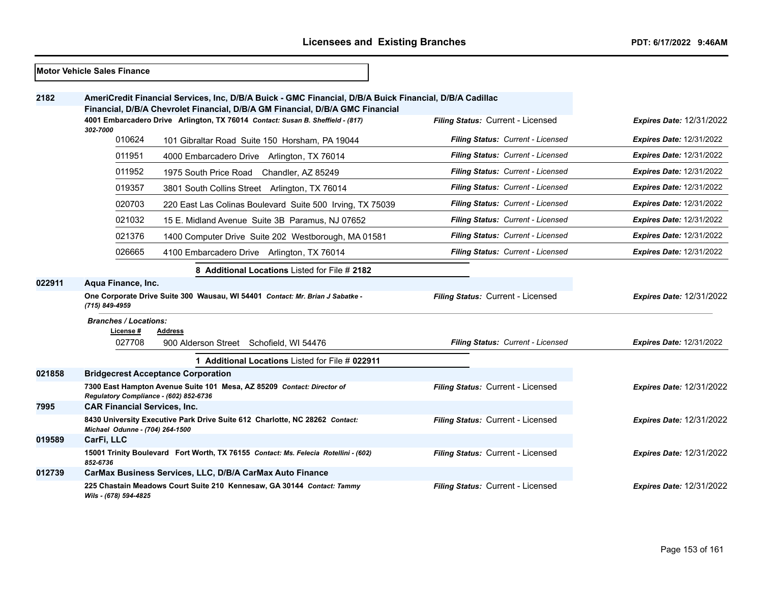|        | Motor Vehicle Sales Finance               |                                                                                                                                                                                          |                                          |                                 |
|--------|-------------------------------------------|------------------------------------------------------------------------------------------------------------------------------------------------------------------------------------------|------------------------------------------|---------------------------------|
| 2182   |                                           | AmeriCredit Financial Services, Inc, D/B/A Buick - GMC Financial, D/B/A Buick Financial, D/B/A Cadillac<br>Financial, D/B/A Chevrolet Financial, D/B/A GM Financial, D/B/A GMC Financial |                                          |                                 |
|        | 302-7000                                  | 4001 Embarcadero Drive Arlington, TX 76014 Contact: Susan B. Sheffield - (817)                                                                                                           | Filing Status: Current - Licensed        | <b>Expires Date: 12/31/2022</b> |
|        | 010624                                    | 101 Gibraltar Road Suite 150 Horsham, PA 19044                                                                                                                                           | <b>Filing Status: Current - Licensed</b> | <b>Expires Date: 12/31/2022</b> |
|        | 011951                                    | 4000 Embarcadero Drive Arlington, TX 76014                                                                                                                                               | Filing Status: Current - Licensed        | <b>Expires Date: 12/31/2022</b> |
|        | 011952                                    | 1975 South Price Road Chandler, AZ 85249                                                                                                                                                 | Filing Status: Current - Licensed        | <b>Expires Date: 12/31/2022</b> |
|        | 019357                                    | 3801 South Collins Street Arlington, TX 76014                                                                                                                                            | Filing Status: Current - Licensed        | <b>Expires Date: 12/31/2022</b> |
|        | 020703                                    | 220 East Las Colinas Boulevard Suite 500 Irving, TX 75039                                                                                                                                | Filing Status: Current - Licensed        | <b>Expires Date: 12/31/2022</b> |
|        | 021032                                    | 15 E. Midland Avenue Suite 3B Paramus, NJ 07652                                                                                                                                          | Filing Status: Current - Licensed        | <b>Expires Date: 12/31/2022</b> |
|        | 021376                                    | 1400 Computer Drive Suite 202 Westborough, MA 01581                                                                                                                                      | Filing Status: Current - Licensed        | <b>Expires Date: 12/31/2022</b> |
|        | 026665                                    | 4100 Embarcadero Drive Arlington, TX 76014                                                                                                                                               | Filing Status: Current - Licensed        | <b>Expires Date: 12/31/2022</b> |
|        |                                           | 8 Additional Locations Listed for File # 2182                                                                                                                                            |                                          |                                 |
| 022911 | Aqua Finance, Inc.                        |                                                                                                                                                                                          |                                          |                                 |
|        | (715) 849-4959                            | One Corporate Drive Suite 300 Wausau, WI 54401 Contact: Mr. Brian J Sabatke -                                                                                                            | Filing Status: Current - Licensed        | <b>Expires Date: 12/31/2022</b> |
|        | <b>Branches / Locations:</b><br>License # | Address                                                                                                                                                                                  |                                          |                                 |
|        | 027708                                    | 900 Alderson Street Schofield, WI 54476                                                                                                                                                  | Filing Status: Current - Licensed        | <b>Expires Date: 12/31/2022</b> |
|        |                                           | 1 Additional Locations Listed for File # 022911                                                                                                                                          |                                          |                                 |
| 021858 |                                           | <b>Bridgecrest Acceptance Corporation</b>                                                                                                                                                |                                          |                                 |
|        | Regulatory Compliance - (602) 852-6736    | 7300 East Hampton Avenue Suite 101 Mesa, AZ 85209 Contact: Director of                                                                                                                   | Filing Status: Current - Licensed        | <b>Expires Date: 12/31/2022</b> |
| 7995   | <b>CAR Financial Services, Inc.</b>       |                                                                                                                                                                                          |                                          |                                 |
|        | Michael Odunne - (704) 264-1500           | 8430 University Executive Park Drive Suite 612 Charlotte, NC 28262 Contact:                                                                                                              | Filing Status: Current - Licensed        | <b>Expires Date: 12/31/2022</b> |
| 019589 | CarFi, LLC                                |                                                                                                                                                                                          |                                          |                                 |
|        | 852-6736                                  | 15001 Trinity Boulevard Fort Worth, TX 76155 Contact: Ms. Felecia Rotellini - (602)                                                                                                      | Filing Status: Current - Licensed        | <b>Expires Date: 12/31/2022</b> |
| 012739 |                                           | CarMax Business Services, LLC, D/B/A CarMax Auto Finance                                                                                                                                 |                                          |                                 |
|        | Wils - (678) 594-4825                     | 225 Chastain Meadows Court Suite 210 Kennesaw, GA 30144 Contact: Tammy                                                                                                                   | Filing Status: Current - Licensed        | <b>Expires Date: 12/31/2022</b> |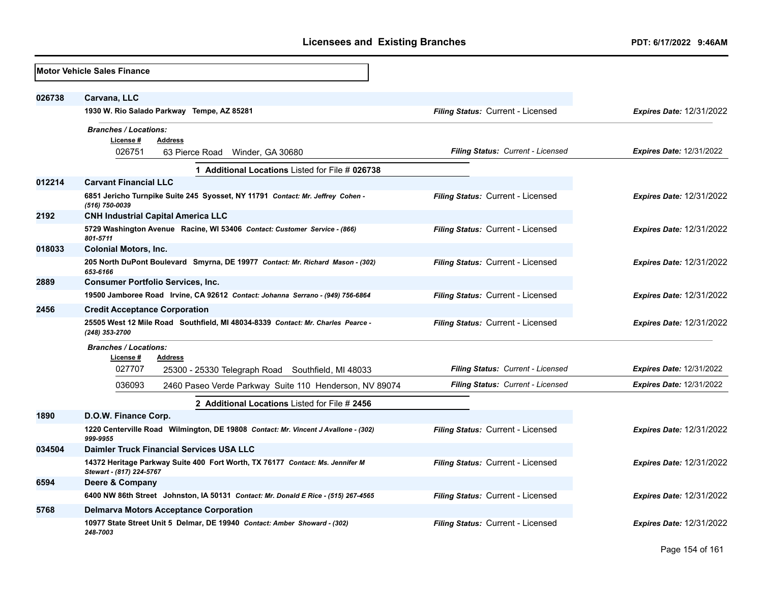|        | <b>Motor Vehicle Sales Finance</b>                                                                                  |                                          |                                 |
|--------|---------------------------------------------------------------------------------------------------------------------|------------------------------------------|---------------------------------|
| 026738 | Carvana, LLC                                                                                                        |                                          |                                 |
|        | 1930 W. Rio Salado Parkway Tempe, AZ 85281                                                                          | Filing Status: Current - Licensed        | <b>Expires Date: 12/31/2022</b> |
|        | <b>Branches / Locations:</b><br>License #<br><b>Address</b><br>026751<br>63 Pierce Road<br>Winder, GA 30680         | Filing Status: Current - Licensed        | <b>Expires Date: 12/31/2022</b> |
|        | 1 Additional Locations Listed for File # 026738                                                                     |                                          |                                 |
| 012214 | <b>Carvant Financial LLC</b>                                                                                        |                                          |                                 |
|        | 6851 Jericho Turnpike Suite 245 Syosset, NY 11791 Contact: Mr. Jeffrey Cohen -<br>(516) 750-0039                    | Filing Status: Current - Licensed        | <b>Expires Date: 12/31/2022</b> |
| 2192   | <b>CNH Industrial Capital America LLC</b>                                                                           |                                          |                                 |
|        | 5729 Washington Avenue Racine, WI 53406 Contact: Customer Service - (866)<br>801-5711                               | <b>Filing Status: Current - Licensed</b> | <b>Expires Date: 12/31/2022</b> |
| 018033 | <b>Colonial Motors, Inc.</b>                                                                                        |                                          |                                 |
|        | 205 North DuPont Boulevard Smyrna, DE 19977 Contact: Mr. Richard Mason - (302)<br>653-6166                          | Filing Status: Current - Licensed        | <b>Expires Date: 12/31/2022</b> |
| 2889   | <b>Consumer Portfolio Services, Inc.</b>                                                                            |                                          |                                 |
|        | 19500 Jamboree Road Irvine, CA 92612 Contact: Johanna Serrano - (949) 756-6864                                      | Filing Status: Current - Licensed        | <b>Expires Date: 12/31/2022</b> |
| 2456   | <b>Credit Acceptance Corporation</b>                                                                                |                                          |                                 |
|        | 25505 West 12 Mile Road Southfield, MI 48034-8339 Contact: Mr. Charles Pearce -<br>(248) 353-2700                   | <b>Filing Status: Current - Licensed</b> | <b>Expires Date: 12/31/2022</b> |
|        | <b>Branches / Locations:</b><br>License #<br>Address<br>027707<br>25300 - 25330 Telegraph Road Southfield, MI 48033 | Filing Status: Current - Licensed        | <b>Expires Date: 12/31/2022</b> |
|        | 036093<br>2460 Paseo Verde Parkway Suite 110 Henderson, NV 89074                                                    | <b>Filing Status: Current - Licensed</b> | <b>Expires Date: 12/31/2022</b> |
|        | 2 Additional Locations Listed for File # 2456                                                                       |                                          |                                 |
| 1890   | D.O.W. Finance Corp.                                                                                                |                                          |                                 |
|        | 1220 Centerville Road Wilmington, DE 19808 Contact: Mr. Vincent J Avallone - (302)<br>999-9955                      | <b>Filing Status: Current - Licensed</b> | <b>Expires Date: 12/31/2022</b> |
| 034504 | <b>Daimler Truck Financial Services USA LLC</b>                                                                     |                                          |                                 |
|        | 14372 Heritage Parkway Suite 400 Fort Worth, TX 76177 Contact: Ms. Jennifer M<br>Stewart - (817) 224-5767           | Filing Status: Current - Licensed        | <b>Expires Date: 12/31/2022</b> |
| 6594   | Deere & Company                                                                                                     |                                          |                                 |
|        | 6400 NW 86th Street Johnston, IA 50131 Contact: Mr. Donald E Rice - (515) 267-4565                                  | Filing Status: Current - Licensed        | <b>Expires Date: 12/31/2022</b> |
| 5768   | <b>Delmarva Motors Acceptance Corporation</b>                                                                       |                                          |                                 |
|        | 10977 State Street Unit 5 Delmar, DE 19940 Contact: Amber Showard - (302)<br>248-7003                               | <b>Filing Status: Current - Licensed</b> | <b>Expires Date: 12/31/2022</b> |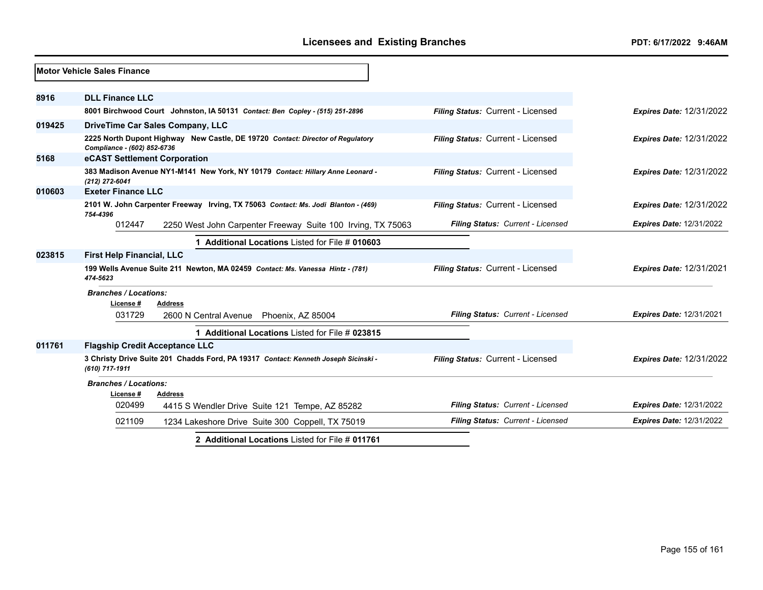|        | Motor Vehicle Sales Finance                                                                                   |                                   |                                 |
|--------|---------------------------------------------------------------------------------------------------------------|-----------------------------------|---------------------------------|
| 8916   | <b>DLL Finance LLC</b>                                                                                        |                                   |                                 |
|        | 8001 Birchwood Court Johnston, IA 50131 Contact: Ben Copley - (515) 251-2896                                  | Filing Status: Current - Licensed | <b>Expires Date: 12/31/2022</b> |
| 019425 | DriveTime Car Sales Company, LLC                                                                              |                                   |                                 |
|        | 2225 North Dupont Highway New Castle, DE 19720 Contact: Director of Regulatory<br>Compliance - (602) 852-6736 | Filing Status: Current - Licensed | <b>Expires Date: 12/31/2022</b> |
| 5168   | eCAST Settlement Corporation                                                                                  |                                   |                                 |
|        | 383 Madison Avenue NY1-M141 New York, NY 10179 Contact: Hillary Anne Leonard -<br>(212) 272-6041              | Filing Status: Current - Licensed | <b>Expires Date: 12/31/2022</b> |
| 010603 | <b>Exeter Finance LLC</b>                                                                                     |                                   |                                 |
|        | 2101 W. John Carpenter Freeway Irving, TX 75063 Contact: Ms. Jodi Blanton - (469)<br>754-4396                 | Filing Status: Current - Licensed | <b>Expires Date: 12/31/2022</b> |
|        | 012447<br>2250 West John Carpenter Freeway Suite 100 Irving, TX 75063                                         | Filing Status: Current - Licensed | <b>Expires Date: 12/31/2022</b> |
|        | 1 Additional Locations Listed for File # 010603                                                               |                                   |                                 |
| 023815 | <b>First Help Financial, LLC</b>                                                                              |                                   |                                 |
|        | 199 Wells Avenue Suite 211 Newton, MA 02459 Contact: Ms. Vanessa Hintz - (781)<br>474-5623                    | Filing Status: Current - Licensed | <b>Expires Date: 12/31/2021</b> |
|        | <b>Branches / Locations:</b><br>License#<br>Address                                                           |                                   |                                 |
|        | 031729<br>2600 N Central Avenue Phoenix, AZ 85004                                                             | Filing Status: Current - Licensed | <b>Expires Date: 12/31/2021</b> |
|        | 1 Additional Locations Listed for File # 023815                                                               |                                   |                                 |
| 011761 | <b>Flagship Credit Acceptance LLC</b>                                                                         |                                   |                                 |
|        | 3 Christy Drive Suite 201 Chadds Ford, PA 19317 Contact: Kenneth Joseph Sicinski -<br>(610) 717-1911          | Filing Status: Current - Licensed | <b>Expires Date: 12/31/2022</b> |
|        | <b>Branches / Locations:</b><br>License#<br>Address                                                           |                                   |                                 |
|        | 020499<br>4415 S Wendler Drive Suite 121 Tempe, AZ 85282                                                      | Filing Status: Current - Licensed | <b>Expires Date: 12/31/2022</b> |
|        | 021109<br>1234 Lakeshore Drive Suite 300 Coppell, TX 75019                                                    | Filing Status: Current - Licensed | <b>Expires Date: 12/31/2022</b> |
|        | 2 Additional Locations Listed for File # 011761                                                               |                                   |                                 |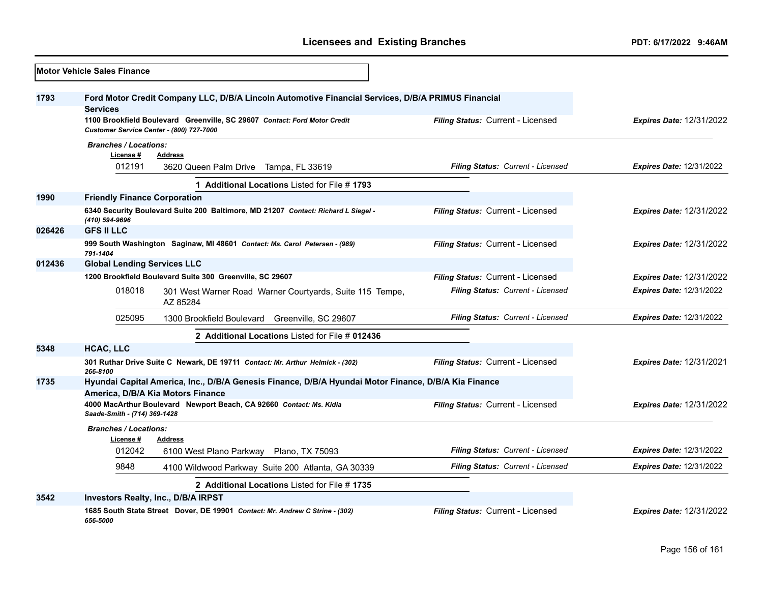|        | <b>Motor Vehicle Sales Finance</b>                          |                                                                                                                                                                                 |                                   |                                 |
|--------|-------------------------------------------------------------|---------------------------------------------------------------------------------------------------------------------------------------------------------------------------------|-----------------------------------|---------------------------------|
| 1793   | <b>Services</b><br>Customer Service Center - (800) 727-7000 | Ford Motor Credit Company LLC, D/B/A Lincoln Automotive Financial Services, D/B/A PRIMUS Financial<br>1100 Brookfield Boulevard Greenville, SC 29607 Contact: Ford Motor Credit | Filing Status: Current - Licensed | <b>Expires Date: 12/31/2022</b> |
|        | <b>Branches / Locations:</b>                                |                                                                                                                                                                                 |                                   |                                 |
|        | License #                                                   | <b>Address</b>                                                                                                                                                                  |                                   |                                 |
|        | 012191                                                      | 3620 Queen Palm Drive Tampa, FL 33619                                                                                                                                           | Filing Status: Current - Licensed | Expires Date: 12/31/2022        |
|        |                                                             | 1 Additional Locations Listed for File #1793                                                                                                                                    |                                   |                                 |
| 1990   | <b>Friendly Finance Corporation</b>                         |                                                                                                                                                                                 |                                   |                                 |
|        | (410) 594-9696                                              | 6340 Security Boulevard Suite 200 Baltimore, MD 21207 Contact: Richard L Siegel -                                                                                               | Filing Status: Current - Licensed | <b>Expires Date: 12/31/2022</b> |
| 026426 | <b>GFS II LLC</b>                                           |                                                                                                                                                                                 |                                   |                                 |
|        | 791-1404                                                    | 999 South Washington Saginaw, MI 48601 Contact: Ms. Carol Petersen - (989)                                                                                                      | Filing Status: Current - Licensed | Expires Date: 12/31/2022        |
| 012436 | <b>Global Lending Services LLC</b>                          |                                                                                                                                                                                 |                                   |                                 |
|        |                                                             | 1200 Brookfield Boulevard Suite 300 Greenville, SC 29607                                                                                                                        | Filing Status: Current - Licensed | Expires Date: 12/31/2022        |
|        | 018018                                                      | 301 West Warner Road Warner Courtyards, Suite 115 Tempe,<br>AZ 85284                                                                                                            | Filing Status: Current - Licensed | Expires Date: 12/31/2022        |
|        | 025095                                                      | 1300 Brookfield Boulevard Greenville, SC 29607                                                                                                                                  | Filing Status: Current - Licensed | <b>Expires Date: 12/31/2022</b> |
|        |                                                             | 2 Additional Locations Listed for File # 012436                                                                                                                                 |                                   |                                 |
| 5348   | HCAC, LLC                                                   |                                                                                                                                                                                 |                                   |                                 |
|        | 266-8100                                                    | 301 Ruthar Drive Suite C Newark, DE 19711 Contact: Mr. Arthur Helmick - (302)                                                                                                   | Filing Status: Current - Licensed | <b>Expires Date: 12/31/2021</b> |
| 1735   |                                                             | Hyundai Capital America, Inc., D/B/A Genesis Finance, D/B/A Hyundai Motor Finance, D/B/A Kia Finance<br>America, D/B/A Kia Motors Finance                                       |                                   |                                 |
|        | Saade-Smith - (714) 369-1428                                | 4000 MacArthur Boulevard Newport Beach, CA 92660 Contact: Ms. Kidia                                                                                                             | Filing Status: Current - Licensed | <b>Expires Date: 12/31/2022</b> |
|        | <b>Branches / Locations:</b>                                |                                                                                                                                                                                 |                                   |                                 |
|        | License #<br>012042                                         | <b>Address</b><br>6100 West Plano Parkway Plano, TX 75093                                                                                                                       | Filing Status: Current - Licensed | <b>Expires Date: 12/31/2022</b> |
|        | 9848                                                        | 4100 Wildwood Parkway Suite 200 Atlanta, GA 30339                                                                                                                               | Filing Status: Current - Licensed | Expires Date: 12/31/2022        |
|        |                                                             |                                                                                                                                                                                 |                                   |                                 |
| 3542   |                                                             | 2 Additional Locations Listed for File #1735<br>Investors Realty, Inc., D/B/A IRPST                                                                                             |                                   |                                 |
|        |                                                             | 1685 South State Street Dover, DE 19901 Contact: Mr. Andrew C Strine - (302)                                                                                                    | Filing Status: Current - Licensed | <b>Expires Date: 12/31/2022</b> |
|        | 656-5000                                                    |                                                                                                                                                                                 |                                   |                                 |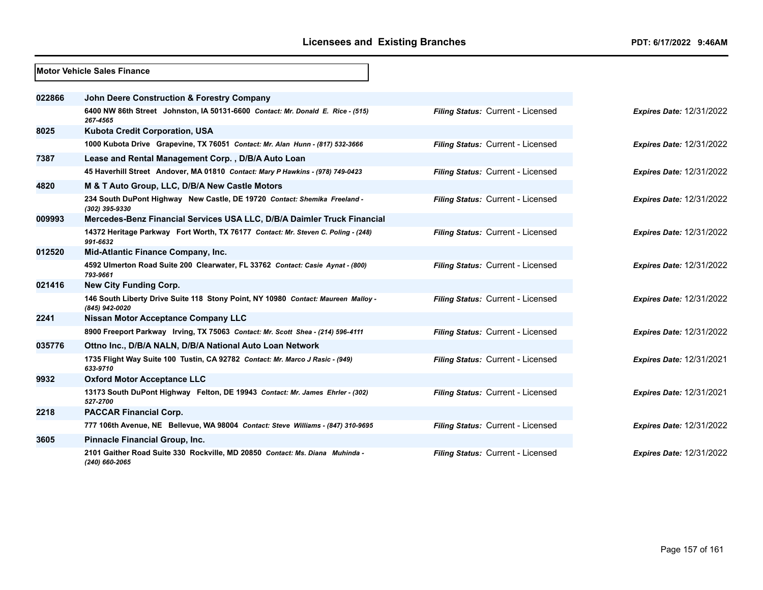|        | Motor Vehicle Sales Finance                                                                         |                                   |                                 |
|--------|-----------------------------------------------------------------------------------------------------|-----------------------------------|---------------------------------|
| 022866 | <b>John Deere Construction &amp; Forestry Company</b>                                               |                                   |                                 |
|        | 6400 NW 86th Street Johnston, IA 50131-6600 Contact: Mr. Donald E. Rice - (515)<br>267-4565         | Filing Status: Current - Licensed | <b>Expires Date: 12/31/2022</b> |
| 8025   | <b>Kubota Credit Corporation, USA</b>                                                               |                                   |                                 |
|        | 1000 Kubota Drive Grapevine, TX 76051 Contact: Mr. Alan Hunn - (817) 532-3666                       | Filing Status: Current - Licensed | <b>Expires Date: 12/31/2022</b> |
| 7387   | Lease and Rental Management Corp., D/B/A Auto Loan                                                  |                                   |                                 |
|        | 45 Haverhill Street Andover, MA 01810 Contact: Mary P Hawkins - (978) 749-0423                      | Filing Status: Current - Licensed | <b>Expires Date: 12/31/2022</b> |
| 4820   | M & T Auto Group, LLC, D/B/A New Castle Motors                                                      |                                   |                                 |
|        | 234 South DuPont Highway New Castle, DE 19720 Contact: Shemika Freeland -<br>(302) 395-9330         | Filing Status: Current - Licensed | <b>Expires Date: 12/31/2022</b> |
| 009993 | Mercedes-Benz Financial Services USA LLC, D/B/A Daimler Truck Financial                             |                                   |                                 |
|        | 14372 Heritage Parkway Fort Worth, TX 76177 Contact: Mr. Steven C. Poling - (248)<br>991-6632       | Filing Status: Current - Licensed | <b>Expires Date: 12/31/2022</b> |
| 012520 | Mid-Atlantic Finance Company, Inc.                                                                  |                                   |                                 |
|        | 4592 Ulmerton Road Suite 200 Clearwater, FL 33762 Contact: Casie Aynat - (800)<br>793-9661          | Filing Status: Current - Licensed | <b>Expires Date: 12/31/2022</b> |
| 021416 | <b>New City Funding Corp.</b>                                                                       |                                   |                                 |
|        | 146 South Liberty Drive Suite 118 Stony Point, NY 10980 Contact: Maureen Malloy -<br>(845) 942-0020 | Filing Status: Current - Licensed | <b>Expires Date: 12/31/2022</b> |
| 2241   | Nissan Motor Acceptance Company LLC                                                                 |                                   |                                 |
|        | 8900 Freeport Parkway Irving, TX 75063 Contact: Mr. Scott Shea - (214) 596-4111                     | Filing Status: Current - Licensed | <b>Expires Date: 12/31/2022</b> |
| 035776 | Ottno Inc., D/B/A NALN, D/B/A National Auto Loan Network                                            |                                   |                                 |
|        | 1735 Flight Way Suite 100 Tustin, CA 92782 Contact: Mr. Marco J Rasic - (949)<br>633-9710           | Filing Status: Current - Licensed | <b>Expires Date: 12/31/2021</b> |
| 9932   | <b>Oxford Motor Acceptance LLC</b>                                                                  |                                   |                                 |
|        | 13173 South DuPont Highway Felton, DE 19943 Contact: Mr. James Ehrler - (302)<br>527-2700           | Filing Status: Current - Licensed | <b>Expires Date: 12/31/2021</b> |
| 2218   | <b>PACCAR Financial Corp.</b>                                                                       |                                   |                                 |
|        | 777 106th Avenue, NE Bellevue, WA 98004 Contact: Steve Williams - (847) 310-9695                    | Filing Status: Current - Licensed | <b>Expires Date: 12/31/2022</b> |
| 3605   | Pinnacle Financial Group, Inc.                                                                      |                                   |                                 |
|        | 2101 Gaither Road Suite 330 Rockville, MD 20850 Contact: Ms. Diana Muhinda -<br>(240) 660-2065      | Filing Status: Current - Licensed | <b>Expires Date: 12/31/2022</b> |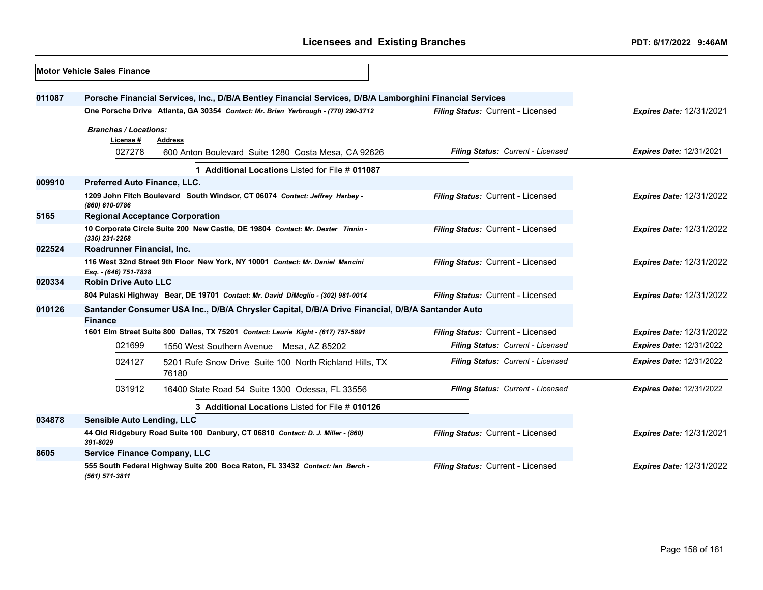| <b>Motor Vehicle Sales Finance</b> |                                                                                                                    |                                                                                                          |                                   |                                 |
|------------------------------------|--------------------------------------------------------------------------------------------------------------------|----------------------------------------------------------------------------------------------------------|-----------------------------------|---------------------------------|
| 011087                             |                                                                                                                    | Porsche Financial Services, Inc., D/B/A Bentley Financial Services, D/B/A Lamborghini Financial Services |                                   |                                 |
|                                    |                                                                                                                    | One Porsche Drive Atlanta, GA 30354 Contact: Mr. Brian Yarbrough - (770) 290-3712                        | Filing Status: Current - Licensed | <b>Expires Date: 12/31/2021</b> |
|                                    | <b>Branches / Locations:</b><br>License #                                                                          | <b>Address</b>                                                                                           |                                   |                                 |
|                                    | 027278                                                                                                             | 600 Anton Boulevard Suite 1280 Costa Mesa, CA 92626                                                      | Filing Status: Current - Licensed | <b>Expires Date: 12/31/2021</b> |
|                                    |                                                                                                                    | 1 Additional Locations Listed for File # 011087                                                          |                                   |                                 |
| 009910                             | Preferred Auto Finance, LLC.                                                                                       |                                                                                                          |                                   |                                 |
|                                    | (860) 610-0786                                                                                                     | 1209 John Fitch Boulevard South Windsor, CT 06074 Contact: Jeffrey Harbey -                              | Filing Status: Current - Licensed | <b>Expires Date: 12/31/2022</b> |
| 5165                               | <b>Regional Acceptance Corporation</b>                                                                             |                                                                                                          |                                   |                                 |
|                                    | (336) 231-2268                                                                                                     | 10 Corporate Circle Suite 200 New Castle, DE 19804 Contact: Mr. Dexter Tinnin -                          | Filing Status: Current - Licensed | <b>Expires Date: 12/31/2022</b> |
| 022524                             | Roadrunner Financial, Inc.                                                                                         |                                                                                                          |                                   |                                 |
|                                    | Esq. - (646) 751-7838                                                                                              | 116 West 32nd Street 9th Floor New York, NY 10001 Contact: Mr. Daniel Mancini                            | Filing Status: Current - Licensed | <b>Expires Date: 12/31/2022</b> |
| 020334                             | <b>Robin Drive Auto LLC</b>                                                                                        |                                                                                                          |                                   |                                 |
|                                    |                                                                                                                    | 804 Pulaski Highway Bear, DE 19701 Contact: Mr. David DiMeglio - (302) 981-0014                          | Filing Status: Current - Licensed | <b>Expires Date: 12/31/2022</b> |
| 010126                             | Santander Consumer USA Inc., D/B/A Chrysler Capital, D/B/A Drive Financial, D/B/A Santander Auto<br><b>Finance</b> |                                                                                                          |                                   |                                 |
|                                    |                                                                                                                    | 1601 Elm Street Suite 800 Dallas, TX 75201 Contact: Laurie Kight - (617) 757-5891                        | Filing Status: Current - Licensed | <b>Expires Date: 12/31/2022</b> |
|                                    | 021699                                                                                                             | 1550 West Southern Avenue Mesa, AZ 85202                                                                 | Filing Status: Current - Licensed | <b>Expires Date: 12/31/2022</b> |
|                                    | 024127                                                                                                             | 5201 Rufe Snow Drive Suite 100 North Richland Hills, TX<br>76180                                         | Filing Status: Current - Licensed | <b>Expires Date: 12/31/2022</b> |
|                                    | 031912                                                                                                             | 16400 State Road 54 Suite 1300 Odessa, FL 33556                                                          | Filing Status: Current - Licensed | <b>Expires Date: 12/31/2022</b> |
|                                    | 3 Additional Locations Listed for File # 010126                                                                    |                                                                                                          |                                   |                                 |
| 034878                             | <b>Sensible Auto Lending, LLC</b>                                                                                  |                                                                                                          |                                   |                                 |
|                                    | 44 Old Ridgebury Road Suite 100 Danbury, CT 06810 Contact: D. J. Miller - (860)<br>391-8029                        |                                                                                                          | Filing Status: Current - Licensed | <b>Expires Date: 12/31/2021</b> |
| 8605                               | <b>Service Finance Company, LLC</b>                                                                                |                                                                                                          |                                   |                                 |
|                                    | (561) 571-3811                                                                                                     | 555 South Federal Highway Suite 200 Boca Raton, FL 33432 Contact: lan Berch -                            | Filing Status: Current - Licensed | <b>Expires Date: 12/31/2022</b> |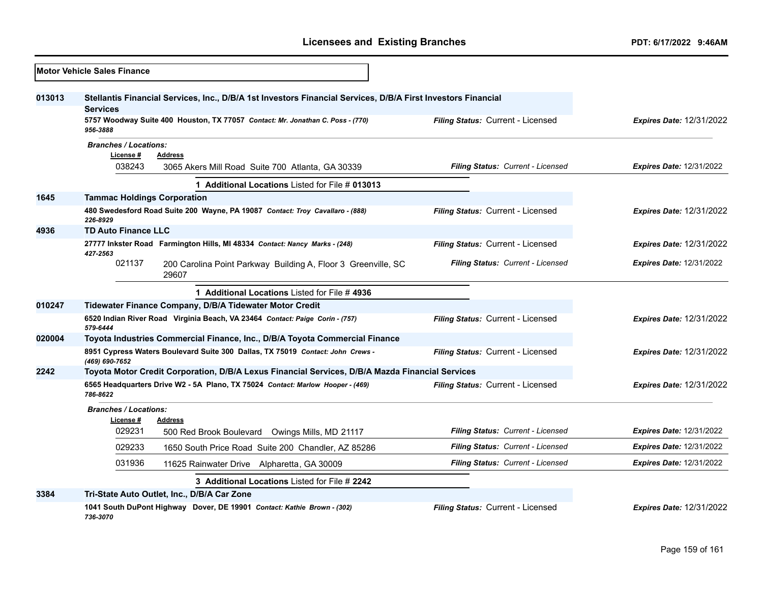|        | <b>Motor Vehicle Sales Finance</b>                                                                                              |                                   |                                 |
|--------|---------------------------------------------------------------------------------------------------------------------------------|-----------------------------------|---------------------------------|
| 013013 | Stellantis Financial Services, Inc., D/B/A 1st Investors Financial Services, D/B/A First Investors Financial<br><b>Services</b> |                                   |                                 |
|        | 5757 Woodway Suite 400 Houston, TX 77057 Contact: Mr. Jonathan C. Poss - (770)<br>956-3888                                      | Filing Status: Current - Licensed | <b>Expires Date: 12/31/2022</b> |
|        | <b>Branches / Locations:</b><br>License#<br>Address<br>038243<br>3065 Akers Mill Road Suite 700 Atlanta, GA 30339               | Filing Status: Current - Licensed | <b>Expires Date: 12/31/2022</b> |
|        |                                                                                                                                 |                                   |                                 |
|        | 1 Additional Locations Listed for File # 013013                                                                                 |                                   |                                 |
| 1645   | <b>Tammac Holdings Corporation</b><br>480 Swedesford Road Suite 200 Wayne, PA 19087 Contact: Troy Cavallaro - (888)<br>226-8929 | Filing Status: Current - Licensed | <b>Expires Date: 12/31/2022</b> |
| 4936   | <b>TD Auto Finance LLC</b>                                                                                                      |                                   |                                 |
|        | 27777 Inkster Road Farmington Hills, MI 48334 Contact: Nancy Marks - (248)<br>427-2563                                          | Filing Status: Current - Licensed | <b>Expires Date: 12/31/2022</b> |
|        | 021137<br>200 Carolina Point Parkway Building A, Floor 3 Greenville, SC<br>29607                                                | Filing Status: Current - Licensed | <b>Expires Date: 12/31/2022</b> |
|        | 1 Additional Locations Listed for File #4936                                                                                    |                                   |                                 |
| 010247 | Tidewater Finance Company, D/B/A Tidewater Motor Credit                                                                         |                                   |                                 |
|        | 6520 Indian River Road Virginia Beach, VA 23464 Contact: Paige Corin - (757)<br>579-6444                                        | Filing Status: Current - Licensed | <b>Expires Date: 12/31/2022</b> |
| 020004 | Toyota Industries Commercial Finance, Inc., D/B/A Toyota Commercial Finance                                                     |                                   |                                 |
|        | 8951 Cypress Waters Boulevard Suite 300 Dallas, TX 75019 Contact: John Crews -<br>(469) 690-7652                                | Filing Status: Current - Licensed | <b>Expires Date: 12/31/2022</b> |
| 2242   | Toyota Motor Credit Corporation, D/B/A Lexus Financial Services, D/B/A Mazda Financial Services                                 |                                   |                                 |
|        | 6565 Headquarters Drive W2 - 5A Plano, TX 75024 Contact: Marlow Hooper - (469)<br>786-8622                                      | Filing Status: Current - Licensed | <b>Expires Date: 12/31/2022</b> |
|        | <b>Branches / Locations:</b><br>License #<br><b>Address</b>                                                                     |                                   |                                 |
|        | 029231<br>500 Red Brook Boulevard<br>Owings Mills, MD 21117                                                                     | Filing Status: Current - Licensed | <b>Expires Date: 12/31/2022</b> |
|        | 029233<br>1650 South Price Road Suite 200 Chandler, AZ 85286                                                                    | Filing Status: Current - Licensed | <b>Expires Date: 12/31/2022</b> |
|        | 031936<br>11625 Rainwater Drive Alpharetta, GA 30009                                                                            | Filing Status: Current - Licensed | <b>Expires Date: 12/31/2022</b> |
|        | 3 Additional Locations Listed for File # 2242                                                                                   |                                   |                                 |
| 3384   | Tri-State Auto Outlet, Inc., D/B/A Car Zone                                                                                     |                                   |                                 |
|        | 1041 South DuPont Highway Dover, DE 19901 Contact: Kathie Brown - (302)<br>736-3070                                             | Filing Status: Current - Licensed | <b>Expires Date: 12/31/2022</b> |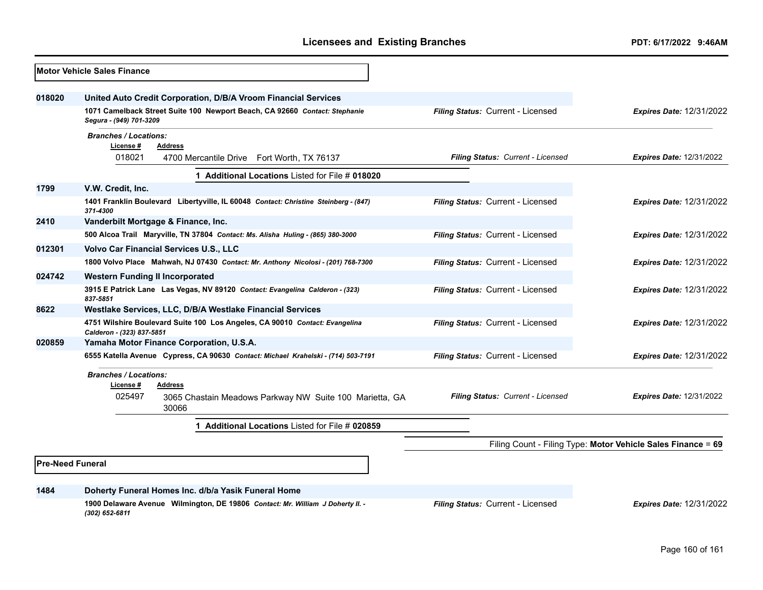|                         | <b>Motor Vehicle Sales Finance</b>                                                                       |                                   |                                                              |
|-------------------------|----------------------------------------------------------------------------------------------------------|-----------------------------------|--------------------------------------------------------------|
| 018020                  | United Auto Credit Corporation, D/B/A Vroom Financial Services                                           |                                   |                                                              |
|                         | 1071 Camelback Street Suite 100 Newport Beach, CA 92660 Contact: Stephanie<br>Segura - (949) 701-3209    | Filing Status: Current - Licensed | <b>Expires Date: 12/31/2022</b>                              |
|                         | <b>Branches / Locations:</b><br>License#<br><b>Address</b>                                               |                                   |                                                              |
|                         | 018021<br>4700 Mercantile Drive Fort Worth, TX 76137                                                     | Filing Status: Current - Licensed | <b>Expires Date: 12/31/2022</b>                              |
|                         | 1 Additional Locations Listed for File # 018020                                                          |                                   |                                                              |
| 1799                    | V.W. Credit, Inc.                                                                                        |                                   |                                                              |
|                         | 1401 Franklin Boulevard Libertyville, IL 60048 Contact: Christine Steinberg - (847)<br>371-4300          | Filing Status: Current - Licensed | <b>Expires Date: 12/31/2022</b>                              |
| 2410                    | Vanderbilt Mortgage & Finance, Inc.                                                                      |                                   |                                                              |
|                         | 500 Alcoa Trail Maryville, TN 37804 Contact: Ms. Alisha Huling - (865) 380-3000                          | Filing Status: Current - Licensed | <b>Expires Date: 12/31/2022</b>                              |
| 012301                  | <b>Volvo Car Financial Services U.S., LLC</b>                                                            |                                   |                                                              |
|                         | 1800 Volvo Place Mahwah, NJ 07430 Contact: Mr. Anthony Nicolosi - (201) 768-7300                         | Filing Status: Current - Licensed | <b>Expires Date: 12/31/2022</b>                              |
| 024742                  | <b>Western Funding II Incorporated</b>                                                                   |                                   |                                                              |
|                         | 3915 E Patrick Lane Las Vegas, NV 89120 Contact: Evangelina Calderon - (323)<br>837-5851                 | Filing Status: Current - Licensed | <b>Expires Date: 12/31/2022</b>                              |
| 8622                    | Westlake Services, LLC, D/B/A Westlake Financial Services                                                |                                   |                                                              |
|                         | 4751 Wilshire Boulevard Suite 100 Los Angeles, CA 90010 Contact: Evangelina<br>Calderon - (323) 837-5851 | Filing Status: Current - Licensed | <b>Expires Date: 12/31/2022</b>                              |
| 020859                  | Yamaha Motor Finance Corporation, U.S.A.                                                                 |                                   |                                                              |
|                         | 6555 Katella Avenue Cypress, CA 90630 Contact: Michael Krahelski - (714) 503-7191                        | Filing Status: Current - Licensed | <b>Expires Date: 12/31/2022</b>                              |
|                         | <b>Branches / Locations:</b><br>License #<br>Address                                                     |                                   |                                                              |
|                         | 025497<br>3065 Chastain Meadows Parkway NW Suite 100 Marietta, GA<br>30066                               | Filing Status: Current - Licensed | <b>Expires Date: 12/31/2022</b>                              |
|                         | Additional Locations Listed for File # 020859                                                            |                                   |                                                              |
|                         |                                                                                                          |                                   | Filing Count - Filing Type: Motor Vehicle Sales Finance = 69 |
| <b>Pre-Need Funeral</b> |                                                                                                          |                                   |                                                              |
| 1484                    | Doherty Funeral Homes Inc. d/b/a Yasik Funeral Home                                                      |                                   |                                                              |
|                         | 1900 Delaware Avenue Wilmington, DE 19806 Contact: Mr. William J Doherty II. -<br>(302) 652-6811         | Filing Status: Current - Licensed | <b>Expires Date: 12/31/2022</b>                              |